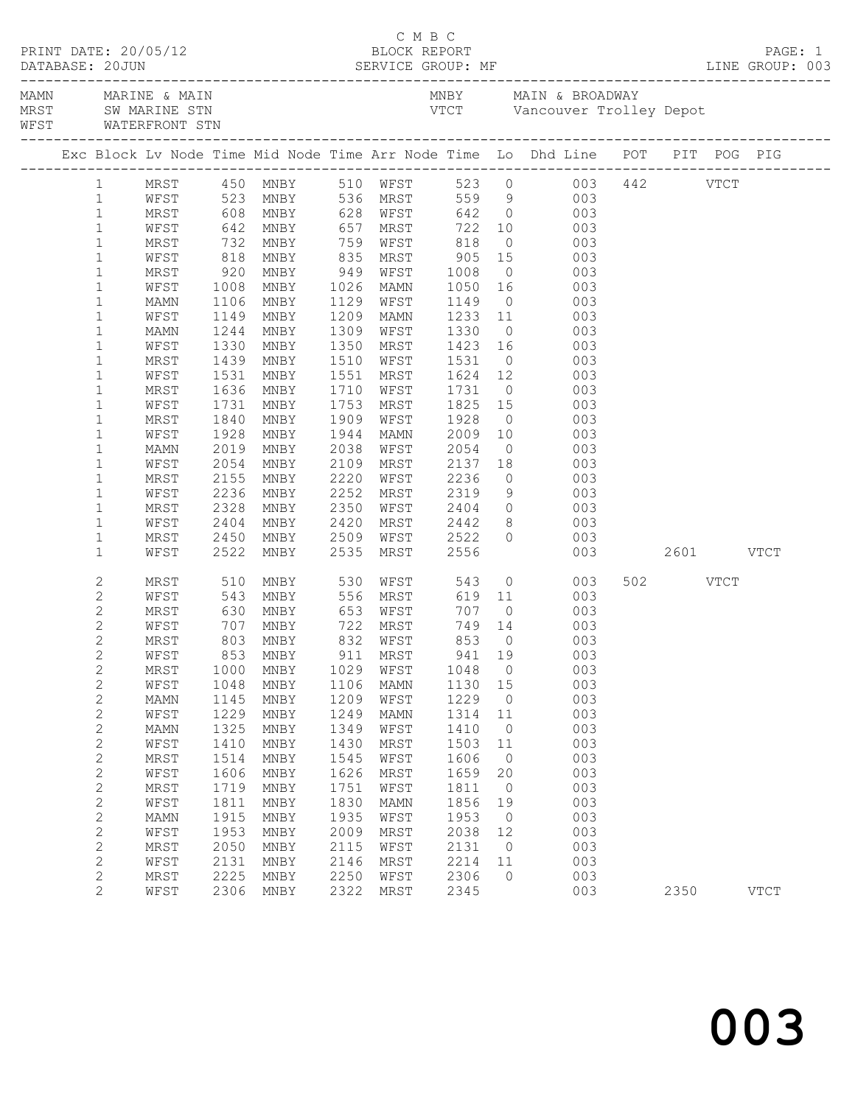|                            | WFST WATERFRONT STN |              |                                                                                                       |              |                              |                         |                |                                                                                                                   |               |          |             |
|----------------------------|---------------------|--------------|-------------------------------------------------------------------------------------------------------|--------------|------------------------------|-------------------------|----------------|-------------------------------------------------------------------------------------------------------------------|---------------|----------|-------------|
|                            |                     |              |                                                                                                       |              |                              |                         |                | Exc Block Lv Node Time Mid Node Time Arr Node Time Lo Dhd Line POT PIT POG PIG                                    |               |          |             |
| 1                          |                     |              |                                                                                                       |              |                              |                         |                | MRST 450 MNBY 510 WFST 523 0 003 442 VTCT<br>WFST 523 MNBY 536 MRST 559 9 003<br>MRST 608 MNBY 628 WFST 642 0 003 |               |          |             |
| $\mathbf{1}$               |                     |              |                                                                                                       |              |                              |                         |                |                                                                                                                   |               |          |             |
| $\mathbf{1}$               |                     |              |                                                                                                       |              |                              |                         |                |                                                                                                                   |               |          |             |
| $\mathbf{1}$               |                     |              |                                                                                                       |              |                              |                         |                | WFST 642 MNBY 657 MRST 722 10 003                                                                                 |               |          |             |
| $\mathbf 1$                | MRST                |              | 732 MNBY 759 WFST<br>818 MNBY 835 MRST<br>920 MNBY 949 WFST                                           |              |                              | 818                     |                | $0\qquad \qquad 003$                                                                                              |               |          |             |
| $\mathbf{1}$               | WFST                |              |                                                                                                       |              |                              |                         |                | 905 15 003<br>1008 0 003                                                                                          |               |          |             |
| $\mathbf 1$                | MRST                |              |                                                                                                       |              |                              |                         |                |                                                                                                                   |               |          |             |
| $\mathbf{1}$               | WFST                | 1008         | MNBY                                                                                                  |              | 1026 MAMN                    | 1050                    |                | 16 16<br>003                                                                                                      |               |          |             |
| $\mathbf 1$                | MAMN                | 1106         | MNBY                                                                                                  |              | 1129 WFST                    | 1149                    |                | $\overline{0}$<br>003                                                                                             |               |          |             |
| $\mathbf 1$                | WFST                | 1149         | MNBY                                                                                                  |              | 1209 MAMN                    | 1233    11<br>1330    0 |                | 003                                                                                                               |               |          |             |
| $\mathbf 1$                | MAMN                | 1244         | MNBY                                                                                                  |              | 1309 WFST                    |                         |                | 003                                                                                                               |               |          |             |
| $\mathbf 1$                | WFST                | 1330         | MNBY                                                                                                  | 1350         | MRST                         | 1423 16                 |                | 003                                                                                                               |               |          |             |
| $\mathbf 1$                | MRST                | 1439         | MNBY                                                                                                  | 1551         | 1510 WFST                    | 1531                    |                | $\overline{O}$<br>003                                                                                             |               |          |             |
| $\mathbf 1$<br>$\mathbf 1$ | WFST<br>MRST        | 1531<br>1636 | MNBY<br>MNBY                                                                                          |              | MRST<br>1710 WFST            | 1624 12<br>1731 0       |                | 003<br>$\begin{array}{c} 12 \\ 0 \end{array}$<br>003                                                              |               |          |             |
| $\mathbf 1$                | WFST                | 1731         | MNBY                                                                                                  | 1753         | MRST                         | 1825 15                 |                | 003                                                                                                               |               |          |             |
| $\mathbf 1$                | MRST                | 1840         | MNBY                                                                                                  | 1909         | WFST                         | 1928                    | $\overline{0}$ | 003                                                                                                               |               |          |             |
| $\mathbf{1}$               | WFST                | 1928         | MNBY                                                                                                  | 1944         | MAMN                         |                         |                |                                                                                                                   |               |          |             |
| $\mathbf 1$                | MAMN                | 2019         | MNBY                                                                                                  | 2038         | WFST                         | 2009<br>2054            | $\overline{0}$ | 10 003<br>003                                                                                                     |               |          |             |
| $\mathbf 1$                | WFST                | 2054         | MNBY                                                                                                  | 2109         | MRST                         | $2137$ 18               |                | 003                                                                                                               |               |          |             |
| $\mathbf 1$                | MRST                | 2155         | MNBY                                                                                                  | 2220         |                              | WFST 2236               |                | 003<br>$\overline{0}$                                                                                             |               |          |             |
| $\mathbf{1}$               | WFST                | 2236         | MNBY                                                                                                  | 2252         | MRST                         |                         |                | $9 \t 003$                                                                                                        |               |          |             |
| $\mathbf 1$                | MRST                | 2328         | MNBY                                                                                                  | 2350         | WFST                         | 2319<br>2404<br>2442    |                |                                                                                                                   |               |          |             |
| $\mathbf{1}$               | WFST                | 2404         | MNBY                                                                                                  | 2420         | MRST                         |                         |                | $\begin{array}{ccc} 0 & \hspace{1.5cm} & 003 \\ 8 & \hspace{1.5cm} & 003 \end{array}$                             |               |          |             |
| $\mathbf 1$                | MRST                | 2450         | MNBY                                                                                                  |              |                              | 2509 WFST 2522          | $\circ$        | 003                                                                                                               |               |          |             |
| $\mathbf{1}$               | WFST                | 2522         | MNBY                                                                                                  | 2535         | MRST                         | 2556                    |                |                                                                                                                   | 003 2601 VTCT |          |             |
| $\mathbf{2}$               | MRST                | 510          | MNBY                                                                                                  |              | 530 WFST                     | 543                     |                | $\overline{O}$<br>003                                                                                             |               | 502 VTCT |             |
| $\mathbf{2}$               | WFST                | 543          | MNBY 556 MRST                                                                                         |              |                              |                         |                | 619 11<br>003                                                                                                     |               |          |             |
| $\mathbf{2}$               | MRST                | 630          |                                                                                                       |              |                              | 707                     |                | $\overline{O}$<br>003                                                                                             |               |          |             |
| $\overline{c}$             | WFST                |              | MNBY 653 WFST<br>MNBY 722 MRST<br>MNBY 832 WFST<br>707 MNBY      722  MRST<br>803  MNBY     832  WFST |              |                              | 749 14                  |                | $\begin{bmatrix} 14 & 003 \\ 0 & 003 \end{bmatrix}$                                                               |               |          |             |
| $\mathbf{2}$               | MRST                |              |                                                                                                       |              |                              | 853                     |                |                                                                                                                   |               |          |             |
| $\mathbf{2}$               |                     |              |                                                                                                       |              |                              |                         |                | WFST 853 MNBY 911 MRST 941 19 003                                                                                 |               |          |             |
| $\mathbf{2}$<br>$\sqrt{2}$ | MRST                | 1000         | MNBY                                                                                                  | 1029<br>1106 | WFST                         | 1048                    | $\overline{0}$ | 003<br>003                                                                                                        |               |          |             |
|                            | WFST                | 1048<br>1145 | MNBY                                                                                                  | 1209         | MAMN                         | 1130 15<br>1229         | $\overline{0}$ | 003                                                                                                               |               |          |             |
| $\mathbf{2}$<br>$\sqrt{2}$ | MAMN<br>WFST        | 1229         | MNBY<br>MNBY                                                                                          | 1249         | WFST<br>MAMN                 | 1314                    | 11             | 003                                                                                                               |               |          |             |
| 2                          | MAMN                | 1325         | MNBY                                                                                                  | 1349         | WFST                         | 1410                    | $\overline{0}$ | 003                                                                                                               |               |          |             |
| $\sqrt{2}$                 | WFST                | 1410         | MNBY                                                                                                  | 1430         | MRST                         | 1503                    | 11             | 003                                                                                                               |               |          |             |
| $\mathbf{2}$               | MRST                | 1514         | $\operatorname{\mathsf{MNBY}}$                                                                        | 1545         | WFST                         | 1606                    | $\overline{0}$ | 003                                                                                                               |               |          |             |
| $\sqrt{2}$                 | WFST                | 1606         | MNBY                                                                                                  | 1626         | MRST                         | 1659                    | 20             | 003                                                                                                               |               |          |             |
| $\mathbf{2}$               | MRST                | 1719         | MNBY                                                                                                  | 1751         | WFST                         | 1811                    | $\overline{0}$ | 003                                                                                                               |               |          |             |
| $\mathbf{2}$               | WFST                | 1811         | MNBY                                                                                                  | 1830         | $\ensuremath{\mathsf{MAMN}}$ | 1856                    | 19             | 003                                                                                                               |               |          |             |
| $\mathbf{2}$               | <b>MAMN</b>         | 1915         | MNBY                                                                                                  | 1935         | WFST                         | 1953                    | $\overline{0}$ | 003                                                                                                               |               |          |             |
| $\mathbf{2}$               | WFST                | 1953         | MNBY                                                                                                  | 2009         | MRST                         | 2038                    | 12             | 003                                                                                                               |               |          |             |
| $\mathbf{2}$               | MRST                | 2050         | MNBY                                                                                                  | 2115         | WFST                         | 2131                    | $\overline{0}$ | 003                                                                                                               |               |          |             |
| $\mathbf{2}$               | WFST                | 2131         | MNBY                                                                                                  | 2146         | MRST                         | 2214                    | 11             | 003                                                                                                               |               |          |             |
| $\mathbf{2}$               | MRST                | 2225         | MNBY                                                                                                  | 2250         | WFST                         | 2306                    | $\circ$        | 003                                                                                                               |               |          |             |
| $\overline{c}$             | WFST                | 2306         | MNBY                                                                                                  | 2322         | MRST                         | 2345                    |                | 003                                                                                                               |               | 2350     | <b>VTCT</b> |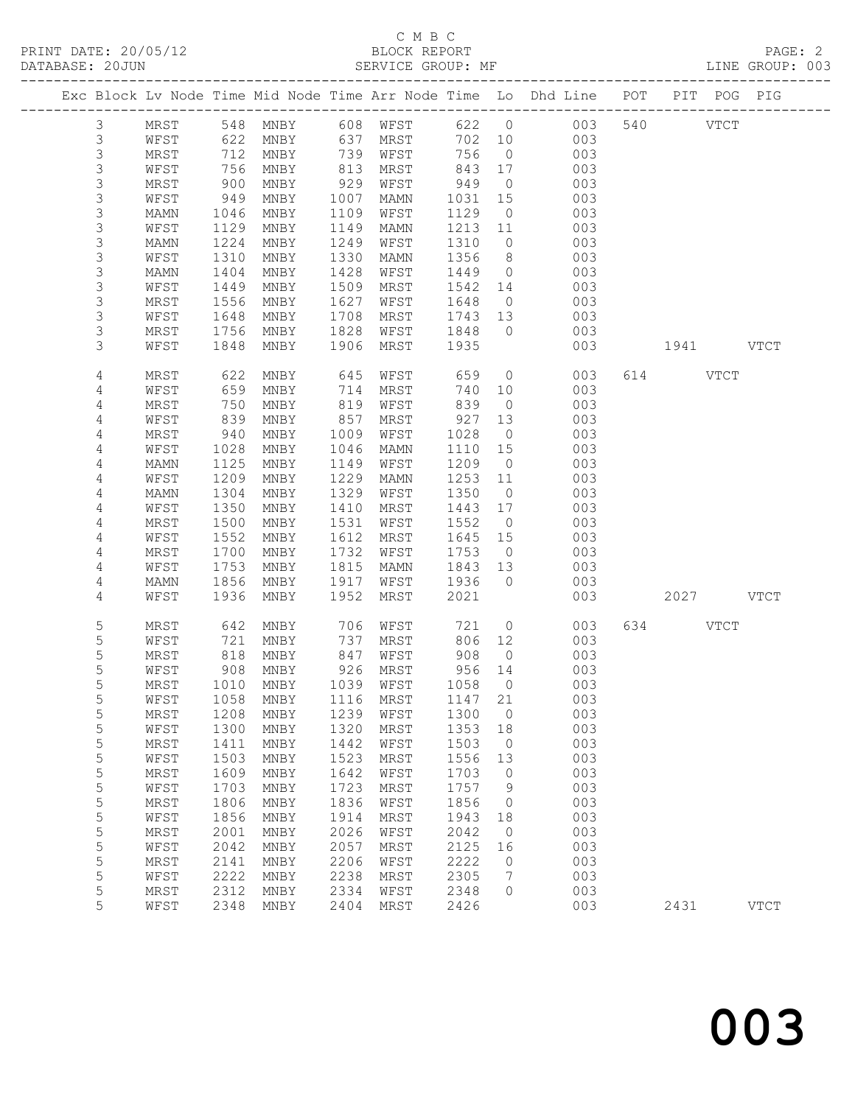### C M B C<br>BLOCK REPORT SERVICE GROUP: MF

|  |                |              |              |                               |              |                             |              |                      | Exc Block Lv Node Time Mid Node Time Arr Node Time Lo Dhd Line POT |         | PIT POG PIG |               |
|--|----------------|--------------|--------------|-------------------------------|--------------|-----------------------------|--------------|----------------------|--------------------------------------------------------------------|---------|-------------|---------------|
|  | 3              | MRST         | 548          | MNBY                          | 608          | WFST                        | 622          | $\overline{0}$       | 003                                                                | 540     | <b>VTCT</b> |               |
|  | $\mathsf 3$    | WFST         | 622          | MNBY                          | 637          | MRST                        | 702          | 10                   | 003                                                                |         |             |               |
|  | $\mathsf S$    | MRST         | 712          | MNBY                          | 739          | WFST                        | 756          | $\overline{0}$       | 003                                                                |         |             |               |
|  | $\mathfrak{Z}$ | WFST         | 756          | MNBY                          | 813          | MRST                        | 843          | 17                   | 003                                                                |         |             |               |
|  | $\mathsf S$    | MRST         | 900          | MNBY                          | 929          | WFST                        | 949          | $\overline{0}$       | 003                                                                |         |             |               |
|  | $\mathsf S$    | WFST         | 949          | MNBY                          | 1007         | MAMN                        | 1031         | 15                   | 003                                                                |         |             |               |
|  | $\mathsf S$    | MAMN         | 1046         | MNBY                          | 1109         | WFST                        | 1129         | $\overline{0}$       | 003                                                                |         |             |               |
|  | 3              | WFST         | 1129         | MNBY                          | 1149         | MAMN                        | 1213         | 11                   | 003                                                                |         |             |               |
|  | $\mathsf S$    | MAMN         | 1224         | MNBY                          | 1249         | WFST                        | 1310         | $\overline{0}$       | 003                                                                |         |             |               |
|  | $\mathsf S$    | WFST         | 1310         | MNBY                          | 1330         | MAMN                        | 1356         | 8 <sup>8</sup>       | 003                                                                |         |             |               |
|  | $\mathsf S$    | MAMN         | 1404         | MNBY                          | 1428         | WFST                        | 1449         | $\overline{0}$       | 003                                                                |         |             |               |
|  | 3<br>3         | WFST         | 1449         | MNBY                          | 1509         | MRST                        | 1542         | 14<br>$\overline{0}$ | 003<br>003                                                         |         |             |               |
|  | 3              | MRST<br>WFST | 1556<br>1648 | MNBY<br>$\operatorname{MNBY}$ | 1627<br>1708 | WFST<br>MRST                | 1648<br>1743 | 13                   | 003                                                                |         |             |               |
|  | 3              | MRST         | 1756         | MNBY                          | 1828         | WFST                        | 1848         | $\overline{0}$       | 003                                                                |         |             |               |
|  | 3              | WFST         | 1848         | MNBY                          | 1906         | MRST                        | 1935         |                      | 003                                                                | 1941 \  |             | <b>VTCT</b>   |
|  |                |              |              |                               |              |                             |              |                      |                                                                    |         |             |               |
|  | 4              | MRST         | 622          | MNBY                          | 645          | WFST                        | 659          | $\circ$              | 003                                                                | 614     | <b>VTCT</b> |               |
|  | 4              | WFST         | 659          | MNBY                          | 714          | MRST                        | 740          | 10                   | 003                                                                |         |             |               |
|  | 4              | MRST         | 750          | MNBY                          | 819          | WFST                        | 839          | $\overline{0}$       | 003                                                                |         |             |               |
|  | 4              | WFST         | 839          | MNBY                          | 857          | MRST                        | 927          | 13                   | 003                                                                |         |             |               |
|  | 4              | MRST         | 940          | MNBY                          | 1009         | WFST                        | 1028         | $\overline{0}$       | 003                                                                |         |             |               |
|  | 4              | WFST         | 1028         | MNBY                          | 1046         | <b>MAMN</b>                 | 1110         | 15                   | 003                                                                |         |             |               |
|  | 4              | MAMN<br>WFST | 1125<br>1209 | MNBY<br>MNBY                  | 1149<br>1229 | WFST                        | 1209<br>1253 | $\overline{0}$       | 003<br>003                                                         |         |             |               |
|  | 4<br>4         | MAMN         | 1304         | MNBY                          | 1329         | MAMN<br>WFST                | 1350         | 11<br>$\overline{0}$ | 003                                                                |         |             |               |
|  | 4              | WFST         | 1350         | MNBY                          | 1410         | MRST                        | 1443         | 17                   | 003                                                                |         |             |               |
|  | 4              | MRST         | 1500         | MNBY                          | 1531         | WFST                        | 1552         | $\overline{0}$       | 003                                                                |         |             |               |
|  | 4              | WFST         | 1552         | MNBY                          | 1612         | MRST                        | 1645         | 15                   | 003                                                                |         |             |               |
|  | 4              | MRST         | 1700         | MNBY                          | 1732         | WFST                        | 1753         | $\overline{0}$       | 003                                                                |         |             |               |
|  | 4              | WFST         | 1753         | MNBY                          | 1815         | MAMN                        | 1843         | 13                   | 003                                                                |         |             |               |
|  | 4              | MAMN         | 1856         | MNBY                          | 1917         | WFST                        | 1936         | $\overline{0}$       | 003                                                                |         |             |               |
|  | 4              | WFST         | 1936         | MNBY                          | 1952         | MRST                        | 2021         |                      | 003                                                                | 2027    |             | VTCT          |
|  | 5              | MRST         | 642          | MNBY                          | 706          | WFST                        | 721          | $\overline{0}$       | 003                                                                | 634 639 | <b>VTCT</b> |               |
|  | 5              | WFST         | 721          | MNBY                          | 737          | MRST                        | 806          | 12                   | 003                                                                |         |             |               |
|  | 5              | MRST         | 818          | MNBY                          | 847          | WFST                        | 908          | $\overline{0}$       | 003                                                                |         |             |               |
|  | 5              | WFST         | 908          | MNBY                          | 926          | MRST                        | 956          | 14                   | 003                                                                |         |             |               |
|  | 5              | MRST         | 1010         | MNBY                          | 1039         | WFST                        | 1058         | $\overline{0}$       | 003                                                                |         |             |               |
|  | 5              | WFST         |              |                               |              | 1058 MNBY 1116 MRST 1147 21 |              |                      | 003                                                                |         |             |               |
|  | 5              | MRST         | 1208         | MNBY                          | 1239         | WFST                        | 1300         | $\circ$              | 003                                                                |         |             |               |
|  | 5              | WFST         | 1300         | MNBY                          | 1320         | <b>MRST</b>                 | 1353         | 18                   | 003                                                                |         |             |               |
|  | 5              | MRST         | 1411         | MNBY                          | 1442         | WFST                        | 1503         | $\circ$              | 003                                                                |         |             |               |
|  | 5              | WFST         | 1503         | MNBY                          | 1523         | MRST                        | 1556         | 13                   | 003                                                                |         |             |               |
|  | 5              | MRST         | 1609         | MNBY                          | 1642         | WFST                        | 1703         | 0                    | 003                                                                |         |             |               |
|  | 5              | WFST         | 1703         | MNBY                          | 1723         | <b>MRST</b>                 | 1757         | 9                    | 003                                                                |         |             |               |
|  | 5              | MRST         | 1806         | MNBY                          | 1836         | WFST                        | 1856         | 0                    | 003                                                                |         |             |               |
|  | 5              | WFST         | 1856         | MNBY                          | 1914         | MRST                        | 1943         | 18                   | 003                                                                |         |             |               |
|  | 5              | MRST         | 2001         | MNBY                          | 2026         | WFST                        | 2042         | $\circ$              | 003                                                                |         |             |               |
|  | 5              | WFST         | 2042         | MNBY                          | 2057         | <b>MRST</b>                 | 2125         | 16                   | 003                                                                |         |             |               |
|  | 5              | MRST         | 2141         | MNBY                          | 2206         | WFST                        | 2222         | 0                    | 003                                                                |         |             |               |
|  | $\mathsf S$    | WFST         | 2222         | MNBY                          | 2238         | MRST                        | 2305         | 7                    | 003                                                                |         |             |               |
|  | 5              | MRST         | 2312         | MNBY                          | 2334         | WFST                        | 2348         | $\circ$              | 003                                                                |         |             |               |
|  | 5              | WFST         | 2348         | MNBY                          | 2404         | MRST                        | 2426         |                      | 003                                                                | 2431    |             | $_{\rm VTCT}$ |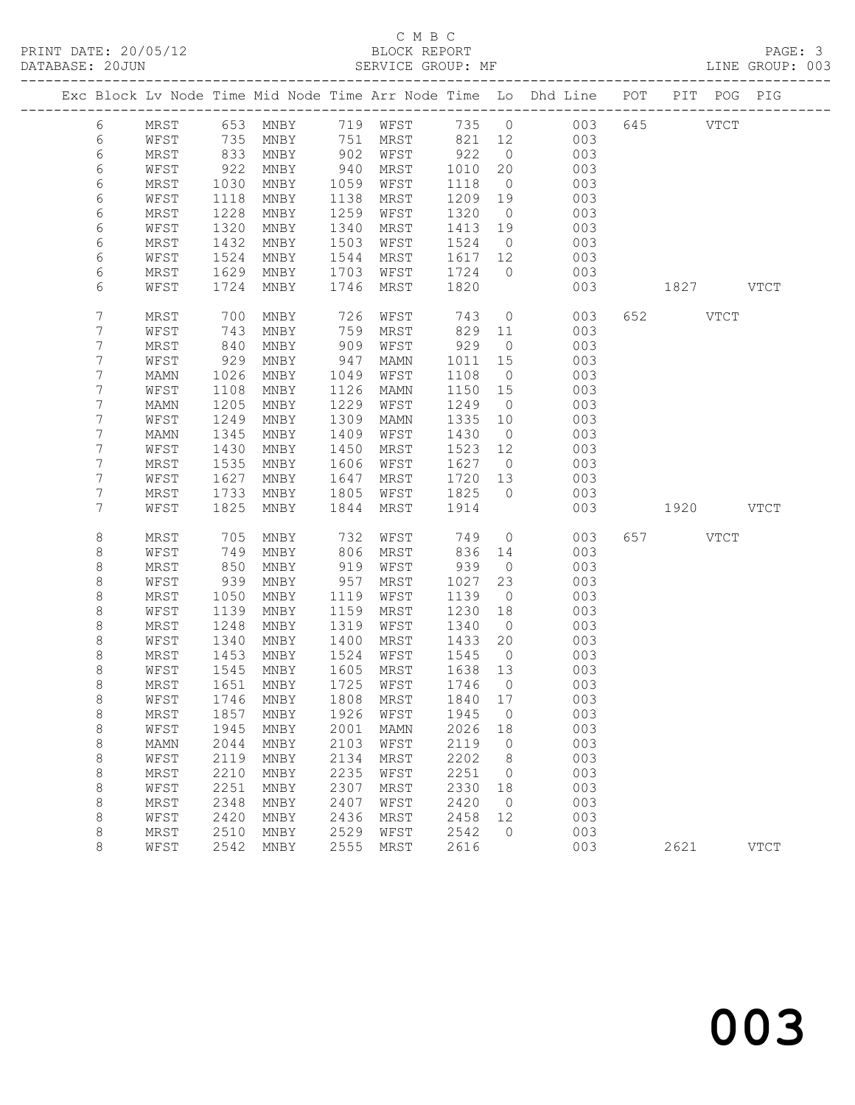### C M B C<br>BLOCK REPORT SERVICE GROUP: MF

|  |                     |              |              |                                  |              |              |                 |                          | Exc Block Lv Node Time Mid Node Time Arr Node Time Lo Dhd Line POT PIT POG PIG |           |             |
|--|---------------------|--------------|--------------|----------------------------------|--------------|--------------|-----------------|--------------------------|--------------------------------------------------------------------------------|-----------|-------------|
|  | 6                   | MRST         |              |                                  |              |              |                 |                          | 653 MNBY 719 WFST 735 0 003                                                    | 645 VTCT  |             |
|  | 6                   | WFST         |              | 735 MNBY                         |              | 751 MRST     | 821 12          |                          | 003                                                                            |           |             |
|  | 6                   | MRST         | 833          | MNBY                             |              | 902 WFST     | 922             | $\overline{0}$           | 003                                                                            |           |             |
|  | 6                   | WFST         | 922          | MNBY                             | 940          | MRST         | 1010            | 20                       | 003                                                                            |           |             |
|  | 6                   | MRST         | 1030         | MNBY                             | 1059         | WFST         | 1118            | $\overline{0}$           | 003                                                                            |           |             |
|  | 6                   | WFST         | 1118         | MNBY                             | 1138         | MRST         | 1209            | 19                       | 003                                                                            |           |             |
|  | 6                   | MRST         | 1228         | MNBY                             | 1259         | WFST         | 1320            | $\overline{0}$           | 003                                                                            |           |             |
|  | 6                   | WFST         | 1320         | MNBY                             | 1340         | MRST         | 1413            | 19                       | 003                                                                            |           |             |
|  | 6                   | MRST         | 1432<br>1524 | MNBY                             | 1503<br>1544 | WFST         | 1524<br>1617 12 | $\overline{0}$           | 003                                                                            |           |             |
|  | 6<br>6              | WFST<br>MRST | 1629         | MNBY<br>MNBY                     | 1703         | MRST<br>WFST | 1724            | $\overline{0}$           | 003<br>003                                                                     |           |             |
|  | 6                   | WFST         | 1724         | MNBY                             | 1746         | MRST         | 1820            |                          | 003                                                                            | 1827 VTCT |             |
|  |                     |              |              |                                  |              |              |                 |                          |                                                                                |           |             |
|  | $7\phantom{.}$      | MRST         | 700          | MNBY                             | 726          | WFST         | 743             | $\overline{0}$           | 003                                                                            | 652 VTCT  |             |
|  | 7                   | WFST         | 743          | MNBY                             | 759          | MRST         | 829             | 11                       | 003                                                                            |           |             |
|  | 7                   | MRST         | 840          | MNBY                             | 909          | WFST         | 929             | $\overline{0}$           | 003                                                                            |           |             |
|  | 7                   | WFST         | 929          | MNBY                             | 947          | MAMN         | 1011            | 15                       | 003                                                                            |           |             |
|  | $7\phantom{.}$      | MAMN         | 1026         | MNBY                             | 1049         | WFST         | 1108            | $\overline{0}$           | 003                                                                            |           |             |
|  | 7                   | WFST         | 1108         | MNBY                             | 1126         | MAMN         | 1150 15         |                          | 003                                                                            |           |             |
|  | 7                   | MAMN         | 1205         | MNBY                             | 1229         | WFST         | 1249            | $\overline{0}$           | 003                                                                            |           |             |
|  | 7<br>$7\phantom{.}$ | WFST<br>MAMN | 1249<br>1345 | MNBY<br>MNBY                     | 1309<br>1409 | MAMN<br>WFST | 1335<br>1430    | 10<br>$\overline{0}$     | 003<br>003                                                                     |           |             |
|  | 7                   | WFST         | 1430         | MNBY                             | 1450         | MRST         | 1523 12         |                          | 003                                                                            |           |             |
|  | 7                   | MRST         | 1535         | MNBY                             | 1606         | WFST         | 1627            | $\overline{0}$           | 003                                                                            |           |             |
|  | 7                   | WFST         | 1627         | MNBY                             | 1647         | MRST         | 1720            | 13                       | 003                                                                            |           |             |
|  | 7                   | MRST         | 1733         | MNBY                             | 1805         | WFST         | 1825            | $\overline{0}$           | 003                                                                            |           |             |
|  | 7                   | WFST         | 1825         | MNBY                             | 1844         | MRST         | 1914            |                          | 003                                                                            | 1920 VTCT |             |
|  |                     |              |              |                                  |              |              |                 |                          |                                                                                |           |             |
|  | 8                   | MRST         | 705          | MNBY                             | 732          | WFST         | 749             | $\overline{0}$           | 003                                                                            | 657 VTCT  |             |
|  | 8                   | WFST         | 749          | MNBY                             | 806          | MRST         | 836             | 14                       | 003                                                                            |           |             |
|  | 8                   | MRST<br>WFST | 850<br>939   | MNBY                             | 919<br>957   | WFST         | 939<br>1027     | $\overline{0}$<br>23     | 003<br>003                                                                     |           |             |
|  | 8<br>8              | MRST         | 1050         | MNBY<br>MNBY                     | 1119         | MRST<br>WFST | 1139            | $\overline{0}$           | 003                                                                            |           |             |
|  | 8                   | WFST         | 1139         | MNBY                             | 1159         | MRST         | 1230            | 18                       | 003                                                                            |           |             |
|  | 8                   | MRST         | 1248         | MNBY                             | 1319         | WFST         | 1340            | $\overline{0}$           | 003                                                                            |           |             |
|  | 8                   | WFST         | 1340         | MNBY                             | 1400         | MRST         | 1433            | 20                       | 003                                                                            |           |             |
|  | 8                   | MRST         | 1453         | MNBY                             | 1524         | WFST         | 1545            | $\overline{0}$           | 003                                                                            |           |             |
|  | 8                   | WFST         | 1545         | MNBY                             | 1605         | MRST         | 1638 13         |                          | 003                                                                            |           |             |
|  | 8                   | MRST         | 1651         | MNBY                             | 1725         | WFST         | 1746            | $\overline{0}$           | 003                                                                            |           |             |
|  | 8                   |              |              | WFST 1746 MNBY 1808 MRST 1840 17 |              |              |                 |                          | 003                                                                            |           |             |
|  | 8                   | MRST         | 1857         | MNBY                             | 1926         | WFST         | 1945            | $\overline{\phantom{0}}$ | 003                                                                            |           |             |
|  | 8                   | WFST         | 1945         | MNBY                             | 2001         | MAMN         | 2026            | 18                       | 003                                                                            |           |             |
|  | 8<br>8              | MAMN<br>WFST | 2044<br>2119 | MNBY<br>MNBY                     | 2103<br>2134 | WFST<br>MRST | 2119<br>2202    | $\overline{0}$<br>8      | 003<br>003                                                                     |           |             |
|  | 8                   | MRST         | 2210         | MNBY                             | 2235         | WFST         | 2251            | 0                        | 003                                                                            |           |             |
|  | 8                   | WFST         | 2251         | MNBY                             | 2307         | MRST         | 2330            | 18                       | 003                                                                            |           |             |
|  | 8                   | MRST         | 2348         | MNBY                             | 2407         | WFST         | 2420            | $\overline{0}$           | 003                                                                            |           |             |
|  | 8                   | WFST         | 2420         | MNBY                             | 2436         | MRST         | 2458            | 12                       | 003                                                                            |           |             |
|  | 8                   | MRST         | 2510         | MNBY                             | 2529         | WFST         | 2542            | $\Omega$                 | 003                                                                            |           |             |
|  | 8                   | WFST         | 2542         | MNBY                             | 2555         | MRST         | 2616            |                          | 003                                                                            | 2621      | <b>VTCT</b> |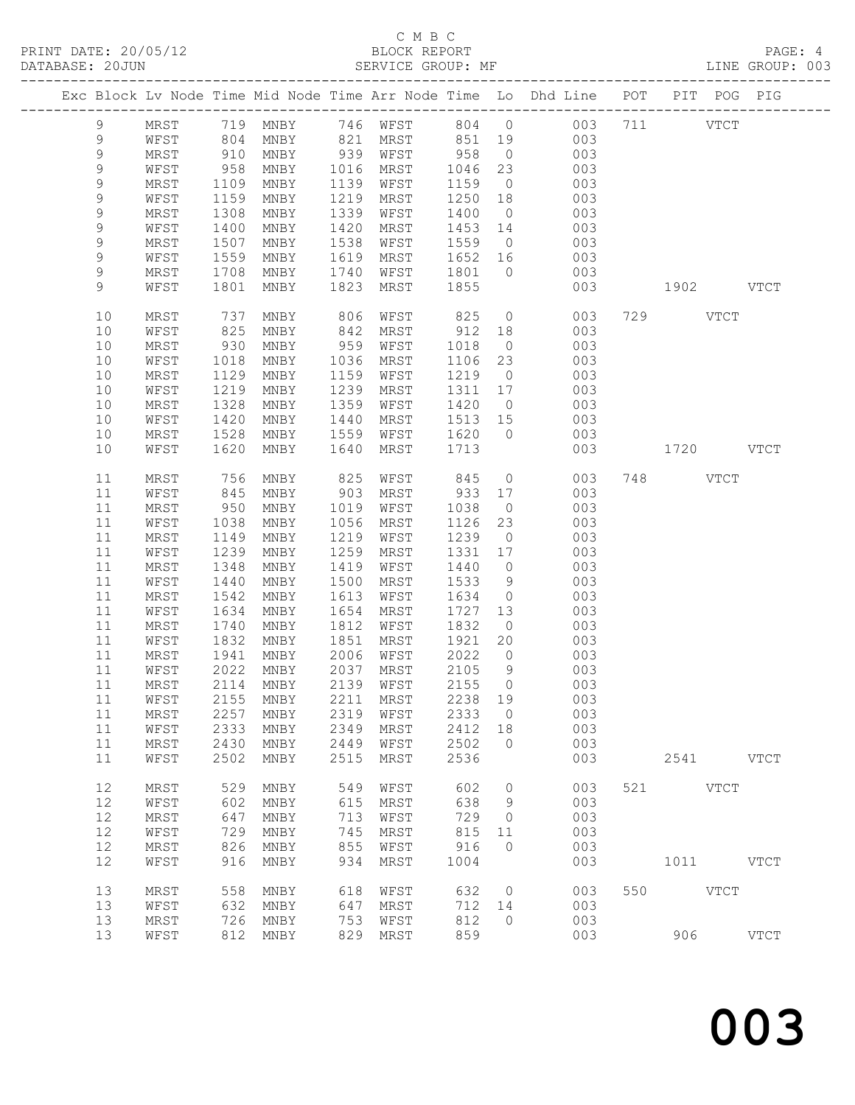### C M B C BLOCK REPORT<br>SERVICE GROUP: MF

|               |             |                          |           |      |                                    |         |                | Exc Block Lv Node Time Mid Node Time Arr Node Time Lo Dhd Line POT PIT POG PIG |     |           |             |             |
|---------------|-------------|--------------------------|-----------|------|------------------------------------|---------|----------------|--------------------------------------------------------------------------------|-----|-----------|-------------|-------------|
| 9             |             |                          |           |      |                                    |         |                | MRST 719 MNBY 746 WFST 804 0 003 711 VTCT<br>WFST 804 MNBY 821 MRST 851 19 003 |     |           |             |             |
| $\,9$         |             |                          |           |      |                                    |         |                |                                                                                |     |           |             |             |
| $\mathsf 9$   | MRST        |                          | 910 MNBY  |      | 939 WFST 958                       |         |                | $0$ 003                                                                        |     |           |             |             |
| $\mathsf 9$   | WFST        | 958                      | MNBY      |      | 1016 MRST                          |         |                | 1046 23 003                                                                    |     |           |             |             |
| $\mathcal{G}$ | MRST        |                          | MNBY      | 1139 | WFST                               | 1159    | $\overline{0}$ | 003                                                                            |     |           |             |             |
| 9             | WFST        | $1109$<br>$1159$<br>1159 | MNBY      | 1219 | MRST                               |         |                | $1250$ 18 003                                                                  |     |           |             |             |
| $\mathsf 9$   | MRST        | 1308                     | MNBY      | 1339 | WFST                               | 1400    |                | $0$ 003                                                                        |     |           |             |             |
| $\mathsf 9$   | WFST        | 1400                     | MNBY      | 1420 | MRST                               |         |                | 1453 14 003                                                                    |     |           |             |             |
| 9             | MRST        | 1507                     | MNBY      | 1538 | WFST                               |         |                |                                                                                |     |           |             |             |
| 9             | WFST        | 1559                     | MNBY      | 1619 | MRST                               |         |                | 1559 0 003<br>1652 16 003                                                      |     |           |             |             |
| 9             | MRST        | 1708                     | MNBY      | 1740 | WFST                               |         |                | 1801 0 003                                                                     |     |           |             |             |
| 9             | WFST        | 1801                     | MNBY      | 1823 | MRST                               | 1855    |                | 003                                                                            |     | 1902 VTCT |             |             |
|               |             |                          |           |      |                                    |         |                |                                                                                |     |           |             |             |
| 10            | MRST        | 737                      | MNBY      | 806  | WFST                               | 825     |                | $\overline{0}$<br>003                                                          |     | 729 VTCT  |             |             |
| 10            | WFST        | 825                      | MNBY      | 842  | MRST                               | 912 18  |                | 003                                                                            |     |           |             |             |
| 10            | MRST        | 930                      | MNBY      | 959  | WFST                               | 1018    |                | $0$ 003                                                                        |     |           |             |             |
| 10            | WFST        | 1018                     | MNBY      | 1036 | MRST                               |         |                | 1106 23 003                                                                    |     |           |             |             |
| 10            | MRST        | 1129                     | MNBY      | 1159 | WFST                               | 1219 0  |                | 003                                                                            |     |           |             |             |
| 10            | WFST        | 1219                     | MNBY      | 1239 | MRST                               |         |                | 1311 17 003                                                                    |     |           |             |             |
| 10            | MRST        | 1328                     | MNBY      | 1359 | WFST                               | 1420    |                | $0$ 003                                                                        |     |           |             |             |
| 10            | WFST        | 1420                     | MNBY      | 1440 | MRST                               |         |                | 1513 15 003                                                                    |     |           |             |             |
| 10            | MRST        | 1528                     | MNBY      | 1559 | WFST                               | 1620 0  |                | 003                                                                            |     |           |             |             |
| 10            | WFST        | 1620                     | MNBY      | 1640 | MRST                               | 1713    |                | 003                                                                            |     | 1720 VTCT |             |             |
|               |             |                          |           |      |                                    |         |                |                                                                                |     |           |             |             |
| 11            | MRST        | 756                      | MNBY      | 825  | WFST                               | 845     |                | $\overline{0}$<br>003                                                          |     | 748 VTCT  |             |             |
| 11            | WFST        | 845                      | MNBY      | 903  | MRST                               | 933 17  |                | 003                                                                            |     |           |             |             |
| 11            | MRST        | 950                      | MNBY      | 1019 | WFST                               | 1038    |                | $\overline{O}$<br>003                                                          |     |           |             |             |
| 11            | WFST        | 1038                     | MNBY      | 1056 | MRST                               | 1126    | 23             | 003                                                                            |     |           |             |             |
| 11            | MRST        | 1149                     | MNBY      | 1219 | WFST                               | 1239    | $\overline{0}$ | 003                                                                            |     |           |             |             |
| 11            | WFST        | 1239                     | MNBY      | 1259 | MRST                               | 1331 17 |                | 003                                                                            |     |           |             |             |
| 11            | MRST        | 1348                     | MNBY      | 1419 | WFST                               | 1440    | $\overline{0}$ | 003                                                                            |     |           |             |             |
| 11            | WFST        | 1440                     | MNBY      | 1500 | MRST                               | 1533    | 9              | 003                                                                            |     |           |             |             |
| 11            | MRST        | 1542                     | MNBY      | 1613 | WFST                               | 1634    |                | $\overline{0}$<br>003                                                          |     |           |             |             |
| 11            | WFST        | 1634                     | MNBY      | 1654 | MRST                               | 1727    |                | $\frac{13}{13}$ 003                                                            |     |           |             |             |
| 11            | MRST        | 1740                     | MNBY      |      | 1812 WFST                          | 1832 0  |                |                                                                                |     |           |             |             |
| 11            | WFST        |                          | 1832 MNBY | 1851 | MRST                               | 1921 20 |                | 003                                                                            |     |           |             |             |
| 11            | MRST        |                          | 1941 MNBY |      | 2006 WFST                          | 2022    |                | $\overline{O}$<br>003                                                          |     |           |             |             |
|               |             |                          |           |      | 11 WFST 2022 MNBY 2037 MRST 2105 9 |         |                | 003                                                                            |     |           |             |             |
| 11            | MRST        | 2114                     | MNBY      | 2139 | WFST                               | 2155    | $\circ$        | 003                                                                            |     |           |             |             |
| 11            | WFST        | 2155                     | MNBY      | 2211 | MRST                               | 2238    | 19             | 003                                                                            |     |           |             |             |
| 11            | MRST        | 2257                     | MNBY      | 2319 | WFST                               | 2333    | $\circ$        | 003                                                                            |     |           |             |             |
| 11            | WFST        | 2333                     | MNBY      | 2349 | MRST                               | 2412    | 18             | 003                                                                            |     |           |             |             |
| 11            | MRST        | 2430                     | MNBY      | 2449 | WFST                               | 2502    | $\circ$        | 003                                                                            |     |           |             |             |
| 11            | WFST        | 2502                     | MNBY      | 2515 | MRST                               | 2536    |                | 003                                                                            |     | 2541      |             | <b>VTCT</b> |
|               |             | 529                      |           | 549  |                                    |         | $\circ$        | 003                                                                            | 521 |           | <b>VTCT</b> |             |
| 12            | MRST        |                          | MNBY      |      | WFST                               | 602     |                |                                                                                |     |           |             |             |
| 12            | WFST        | 602                      | MNBY      | 615  | MRST                               | 638     | 9              | 003<br>003                                                                     |     |           |             |             |
| 12            | MRST        | 647                      | MNBY      | 713  | WFST                               | 729     | $\circ$        |                                                                                |     |           |             |             |
| 12            | WFST        | 729                      | MNBY      | 745  | <b>MRST</b>                        | 815     | 11             | 003                                                                            |     |           |             |             |
| 12            | MRST        | 826                      | MNBY      | 855  | WFST                               | 916     | $\circ$        | 003                                                                            |     |           |             |             |
| 12            | WFST        | 916                      | MNBY      | 934  | MRST                               | 1004    |                | 003                                                                            |     | 1011      |             | <b>VTCT</b> |
| 13            | <b>MRST</b> | 558                      | MNBY      | 618  | WFST                               | 632     | $\circ$        | 003                                                                            | 550 |           | <b>VTCT</b> |             |
| 13            | WFST        | 632                      | MNBY      | 647  | MRST                               | 712     | 14             | 003                                                                            |     |           |             |             |
| 13            | MRST        | 726                      | MNBY      | 753  | WFST                               | 812     | $\circ$        | 003                                                                            |     |           |             |             |
| 13            | WFST        | 812                      | MNBY      | 829  | MRST                               | 859     |                | 003                                                                            |     | 906       |             | <b>VTCT</b> |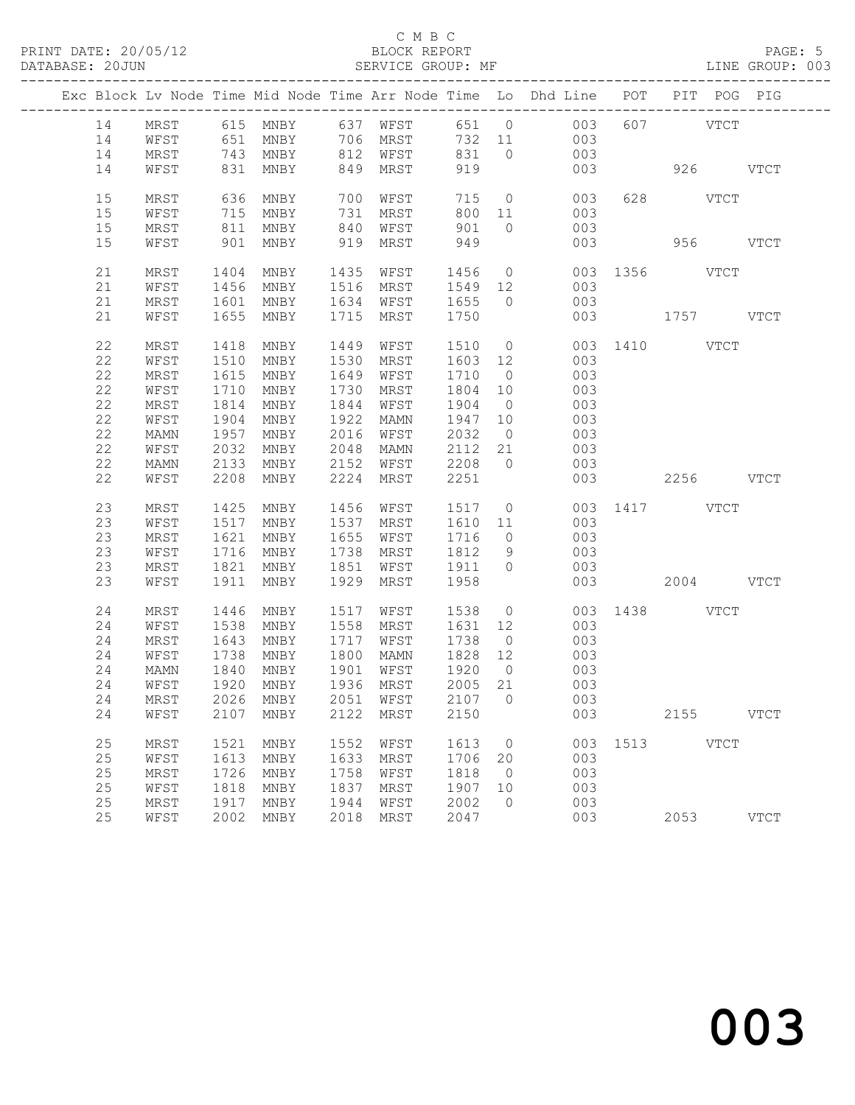## C M B C<br>BLOCK REPORT

LINE GROUP: 003

|    |              |              |              |              |              |                 |                | Exc Block Lv Node Time Mid Node Time Arr Node Time Lo Dhd Line POT    |     | PIT POG PIG   |             |
|----|--------------|--------------|--------------|--------------|--------------|-----------------|----------------|-----------------------------------------------------------------------|-----|---------------|-------------|
|    |              |              |              |              |              |                 |                |                                                                       |     |               |             |
| 14 |              |              |              |              |              |                 |                | MRST 615 MNBY 637 WFST 651 0 003<br>WFST 651 MNBY 706 MRST 732 11 003 |     | 607 VTCT      |             |
| 14 |              |              |              |              |              |                 |                |                                                                       |     |               |             |
| 14 | MRST         |              | 743 MNBY     |              | 812 WFST     | 831             | $\overline{0}$ | 003                                                                   |     |               |             |
| 14 | WFST         | 831          | MNBY         | 849          | MRST         | 919             |                | 003                                                                   |     | 926 VTCT      |             |
|    |              |              |              |              |              |                 |                |                                                                       |     |               |             |
| 15 | MRST         | 636          | MNBY         |              | 700 WFST     | 715             | $\overline{0}$ | 003                                                                   |     | 628 VTCT      |             |
| 15 | WFST         | 715          | MNBY         | 731          | MRST         | 800             | 11             | 003                                                                   |     |               |             |
| 15 | MRST         | 811          | MNBY         | 840          | WFST         | 901             | $\bigcirc$     | 003                                                                   |     |               |             |
| 15 | WFST         | 901          | MNBY         | 919          | MRST         | 949             |                | 003                                                                   |     | 956 VTCT      |             |
| 21 | MRST         | 1404         | MNBY         | 1435         | WFST         | 1456            |                | $\overline{O}$                                                        |     | 003 1356 VTCT |             |
| 21 | WFST         | 1456         | MNBY         |              | 1516 MRST    | 1549 12         |                | 003                                                                   |     |               |             |
| 21 | MRST         | 1601         | MNBY         |              | 1634 WFST    | 1655            | $\overline{0}$ | 003                                                                   |     |               |             |
| 21 | WFST         | 1655         | MNBY         |              | 1715 MRST    | 1750            |                |                                                                       |     | 003 1757 VTCT |             |
|    |              |              |              |              |              |                 |                |                                                                       |     |               |             |
| 22 | MRST         | 1418         | MNBY         | 1449         | WFST         | 1510            | $\overline{0}$ | 003                                                                   |     | 1410 VTCT     |             |
| 22 | WFST         | 1510         | MNBY         | 1530         | MRST         | 1603            | 12             | 003                                                                   |     |               |             |
| 22 | MRST         | 1615         | MNBY         | 1649         | WFST         | 1710            | $\overline{0}$ | 003                                                                   |     |               |             |
| 22 | WFST         | 1710         | MNBY         | 1730         | MRST         | 1804            | 10             | 003                                                                   |     |               |             |
| 22 | MRST         | 1814         | MNBY         | 1844         | WFST         | 1904            | $\overline{0}$ | 003                                                                   |     |               |             |
| 22 | WFST         | 1904         | MNBY         | 1922         | MAMN         | 1947            | 10             | 003                                                                   |     |               |             |
| 22 | MAMN         | 1957         | MNBY         | 2016         | WFST         | 2032            | $\overline{0}$ | 003                                                                   |     |               |             |
| 22 | WFST         | 2032         | MNBY         | 2048         | MAMN         | 2112            | 21             | 003                                                                   |     |               |             |
| 22 | MAMN         | 2133         | MNBY         | 2152         | WFST         | 2208            | $\overline{0}$ | 003                                                                   |     |               |             |
| 22 | WFST         | 2208         | MNBY         | 2224         | MRST         | 2251            |                |                                                                       | 003 | 2256 VTCT     |             |
| 23 | MRST         | 1425         | MNBY         | 1456         | WFST         | 1517            | $\overline{0}$ |                                                                       |     | 003 1417 VTCT |             |
| 23 | WFST         | 1517         | MNBY         | 1537         | MRST         | 1610 11         |                | 003                                                                   |     |               |             |
| 23 | MRST         | 1621         | MNBY         | 1655         | WFST         | 1716            | $\overline{0}$ | 003                                                                   |     |               |             |
| 23 | WFST         | 1716         | MNBY         | 1738         | MRST         | 1812            | 9              | 003                                                                   |     |               |             |
| 23 | MRST         | 1821         | MNBY         | 1851         | WFST         | 1911            | $\overline{0}$ | 003                                                                   |     |               |             |
| 23 | WFST         | 1911         | MNBY         | 1929         | MRST         | 1958            |                | 003                                                                   |     | 2004 VTCT     |             |
| 24 |              |              |              |              |              |                 |                |                                                                       |     | 1438 VTCT     |             |
| 24 | MRST<br>WFST | 1446<br>1538 | MNBY<br>MNBY | 1517<br>1558 | WFST<br>MRST | 1538<br>1631 12 | $\overline{0}$ | 003<br>003                                                            |     |               |             |
| 24 | MRST         | 1643         | MNBY         | 1717         | WFST         | 1738            | $\overline{0}$ | 003                                                                   |     |               |             |
| 24 | WFST         | 1738         | MNBY         | 1800         | MAMN         | 1828            | 12             | 003                                                                   |     |               |             |
| 24 | MAMN         | 1840         | MNBY         | 1901         | WFST         | 1920            | $\overline{0}$ | 003                                                                   |     |               |             |
| 24 | WFST         | 1920         | MNBY         |              | 1936 MRST    | 2005 21         |                | 003                                                                   |     |               |             |
|    |              |              |              |              |              |                 |                | 24 MRST 2026 MNBY 2051 WFST 2107 0 003                                |     |               |             |
| 24 | WFST         | 2107         | MNBY         | 2122         | MRST         | 2150            |                | 003                                                                   |     | 2155 VTCT     |             |
|    |              |              |              |              |              |                 |                |                                                                       |     |               |             |
| 25 | MRST         | 1521         | MNBY         | 1552         | WFST         | 1613            | $\overline{0}$ | 003                                                                   |     | 1513 VTCT     |             |
| 25 | WFST         | 1613         | MNBY         | 1633         | MRST         | 1706            | 20             | 003                                                                   |     |               |             |
| 25 | MRST         | 1726         | MNBY         | 1758         | WFST         | 1818            | $\overline{0}$ | 003                                                                   |     |               |             |
| 25 | WFST         | 1818         | MNBY         | 1837         | MRST         | 1907            | 10             | 003                                                                   |     |               |             |
| 25 | MRST         | 1917         | MNBY         | 1944         | WFST         | 2002            | $\circ$        | 003                                                                   |     |               |             |
| 25 | WFST         | 2002         | MNBY         | 2018         | MRST         | 2047            |                | 003                                                                   |     | 2053          | <b>VTCT</b> |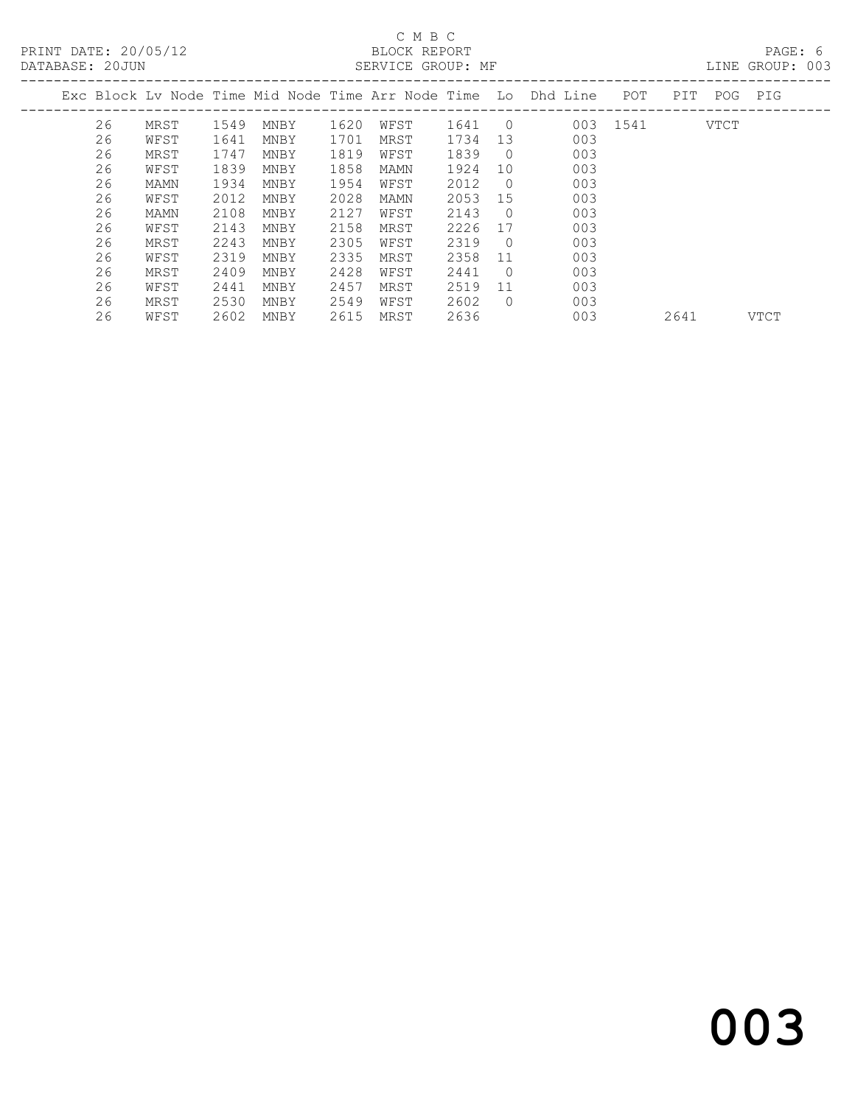# C M B C<br>BLOCK REPORT

LINE GROUP: 003

|  |    |      |      |      |      |      |      |            | Exc Block Ly Node Time Mid Node Time Arr Node Time Lo Dhd Line | POT  | PIT  | POG         | PIG         |
|--|----|------|------|------|------|------|------|------------|----------------------------------------------------------------|------|------|-------------|-------------|
|  | 26 | MRST | 1549 | MNBY | 1620 | WFST | 1641 | $\bigcirc$ | 003                                                            | 1541 |      | <b>VTCT</b> |             |
|  | 26 | WFST | 1641 | MNBY | 1701 | MRST | 1734 | 13         | 003                                                            |      |      |             |             |
|  | 26 | MRST | 1747 | MNBY | 1819 | WFST | 1839 | $\Omega$   | 003                                                            |      |      |             |             |
|  | 26 | WFST | 1839 | MNBY | 1858 | MAMN | 1924 | 10         | 003                                                            |      |      |             |             |
|  | 26 | MAMN | 1934 | MNBY | 1954 | WFST | 2012 | $\Omega$   | 003                                                            |      |      |             |             |
|  | 26 | WFST | 2012 | MNBY | 2028 | MAMN | 2053 | 15         | 003                                                            |      |      |             |             |
|  | 26 | MAMN | 2108 | MNBY | 2127 | WFST | 2143 | $\Omega$   | 003                                                            |      |      |             |             |
|  | 26 | WFST | 2143 | MNBY | 2158 | MRST | 2226 | 17         | 003                                                            |      |      |             |             |
|  | 26 | MRST | 2243 | MNBY | 2305 | WFST | 2319 | $\Omega$   | 003                                                            |      |      |             |             |
|  | 26 | WFST | 2319 | MNBY | 2335 | MRST | 2358 | 11         | 003                                                            |      |      |             |             |
|  | 26 | MRST | 2409 | MNBY | 2428 | WFST | 2441 | $\Omega$   | 003                                                            |      |      |             |             |
|  | 26 | WFST | 2441 | MNBY | 2457 | MRST | 2519 | 11         | 003                                                            |      |      |             |             |
|  | 26 | MRST | 2530 | MNBY | 2549 | WFST | 2602 | $\Omega$   | 003                                                            |      |      |             |             |
|  | 26 | WFST | 2602 | MNBY | 2615 | MRST | 2636 |            | 003                                                            |      | 2641 |             | <b>VTCT</b> |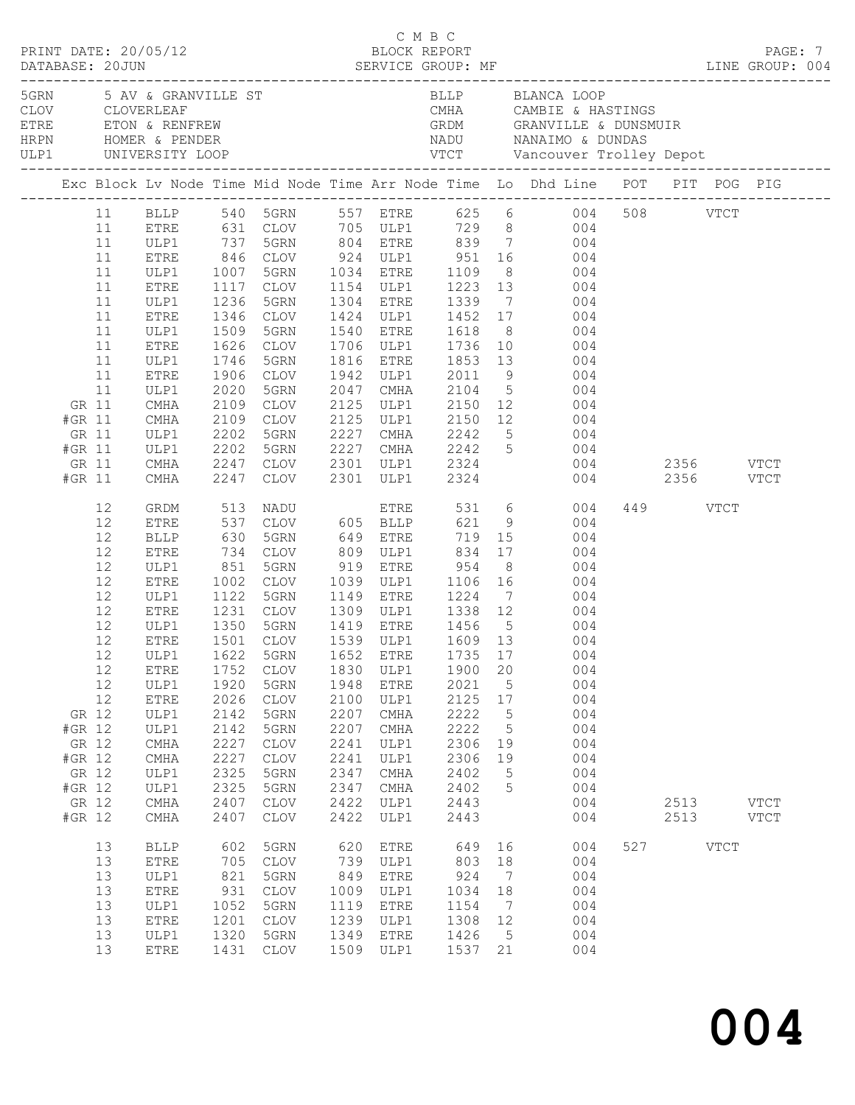|                                                                          |                                                                            |                                                                                                                                                                                              |                                                                                                              |                                                                                                                                                                                                                                                                             |                                                                                      |                                                                                                                      | C M B C                                                                                     |                                               |                                                                                                                                                                                                                                                                                                                                                                                                                                                                                                          |               |                          |      |                            |  |
|--------------------------------------------------------------------------|----------------------------------------------------------------------------|----------------------------------------------------------------------------------------------------------------------------------------------------------------------------------------------|--------------------------------------------------------------------------------------------------------------|-----------------------------------------------------------------------------------------------------------------------------------------------------------------------------------------------------------------------------------------------------------------------------|--------------------------------------------------------------------------------------|----------------------------------------------------------------------------------------------------------------------|---------------------------------------------------------------------------------------------|-----------------------------------------------|----------------------------------------------------------------------------------------------------------------------------------------------------------------------------------------------------------------------------------------------------------------------------------------------------------------------------------------------------------------------------------------------------------------------------------------------------------------------------------------------------------|---------------|--------------------------|------|----------------------------|--|
|                                                                          |                                                                            | ULP1 UNIVERSITY LOOP<br>_______________________                                                                                                                                              |                                                                                                              | 5GRN 5 AV & GRANVILLE ST<br>CLOV     CLOVERLEAF<br>ETRE       ETON & RENFREW<br>HRPN        HOMER & PENDER                                                                                                                                                                  |                                                                                      |                                                                                                                      |                                                                                             |                                               | BLLP BLANCA LOOP                                                                                                                                                                                                                                                                                                                                                                                                                                                                                         |               |                          |      |                            |  |
|                                                                          |                                                                            |                                                                                                                                                                                              |                                                                                                              |                                                                                                                                                                                                                                                                             |                                                                                      |                                                                                                                      |                                                                                             |                                               | Exc Block Lv Node Time Mid Node Time Arr Node Time Lo Dhd Line POT PIT POG PIG                                                                                                                                                                                                                                                                                                                                                                                                                           |               |                          |      |                            |  |
| GR 11<br>#GR 11<br>GR 11<br>#GR 11<br>GR 11<br>#GR 11                    | 11<br>11<br>11<br>11<br>11<br>11<br>11<br>11<br>11<br>11<br>11<br>11<br>11 | ETRE<br>ULP1<br><b>ETRE</b><br>ULP1<br>ETRE<br>ULP1<br>ETRE<br>ULP1<br>ETRE<br>ULP1<br>ETRE<br>ULP1<br>CMHA<br>CMHA<br>ULP1<br>ULP1<br>CMHA<br>CMHA                                          | 1007<br>1346<br>1509<br>1626<br>1746<br>1906<br>2020<br>2109<br>2109<br>2202<br>2109<br>2202<br>2247<br>2247 | 5GRN 1034 ETRE<br>CLOV<br>5GRN<br>CLOV<br>5GRN<br>CLOV<br>5GRN<br>CLOV<br>CLOV<br>5GRN<br>5GRN<br>CLOV<br>CLOV                                                                                                                                                              | 2047                                                                                 | 1540 ETRE<br>1706 ULP1<br>1816 ETRE<br>1942 ULP1<br>CMHA<br>2125 ULP1                                                | 2301 ULP1 2324                                                                              |                                               | BLLP 540 5GRN 557 ETRE 625 6 004<br>631 CLOV 705 ULP1 729 8 004<br>737 5GRN 804 ETRE 839 7 004<br>846 CLOV 924 ULP1 951 16 004<br>1109 8 004<br>1117 CLOV 1154 ULP1 1223 13 004<br>1236 5GRN 1304 ETRE 1339 7 004<br>1424 ULP1 1452 17 004<br>1618 8 004<br>$\begin{array}{cccc} 1736 & 10 & & 004 \\ 1853 & 13 & & 004 \\ 2011 & 9 & & 004 \end{array}$<br>2104 5 004<br>2125 ULP1 2150 12 004<br>2125 ULP1 2150 12 004<br>2227 CMHA 2242 5 004<br>2227 CMHA 2242 5 004<br>2301 ULP1 2324 004 2356 VTCT | 004 2356 VTCT | 508 VTCT                 |      |                            |  |
| GR 12<br>#GR 12<br>GR 12<br>#GR 12<br>GR 12<br>#GR 12<br>GR 12<br>#GR 12 | 12<br>12<br>12<br>12<br>12<br>12<br>12<br>12<br>12<br>12<br>12<br>12<br>12 | GRDM<br>ETRE<br>BLLP<br>ETRE<br>ULP1<br>ETRE<br>ULP1<br>ETRE<br>ULP1<br><b>ETRE</b><br>ETRE<br>ULP1<br><b>ETRE</b><br>ULP1<br>ULP1<br>$\rm CMA$<br>CMHA<br>ULP1<br>ULP1<br>$\rm CMA$<br>CMHA | 513<br>851<br>1002<br>1752<br>1920<br>2026<br>2142<br>2142<br>2227<br>2227<br>2325<br>2325<br>2407<br>2407   | NADU<br>CLOV 605 BLLP 621<br>537 CLOV<br>630 5GRN<br>734 CLOV<br>5GRN<br>CLOV<br>1501 CLOV<br>12 ULP1 1622 5GRN 1652 ETRE 1735 17<br><b>CLOV</b><br>5GRN<br><b>CLOV</b><br>5GRN<br>5GRN<br>$\mathtt{CLOV}$<br>$\mathtt{CLOV}$<br>5GRN<br>5GRN<br><b>CLOV</b><br><b>CLOV</b> | 1830<br>1948<br>2100<br>2207<br>2207<br>2241<br>2241<br>2347<br>2347<br>2422<br>2422 | 919 ETRE<br>1539 ULP1<br>ULP1<br><b>ETRE</b><br>ULP1<br>CMHA<br>CMHA<br>ULP1<br>ULP1<br>CMHA<br>CMHA<br>ULP1<br>ULP1 | 954<br>1900<br>2021<br>2125<br>2222<br>2222<br>2306<br>2306<br>2402<br>2402<br>2443<br>2443 | 20<br>5<br>17<br>5<br>5<br>19<br>19<br>5<br>5 | ETRE 531 6 004<br>9 004<br>8 004<br>1039 ULP1 1106 16 004<br>1122 5GRN 1149 ETRE 1224 7 004<br>1231 CLOV 1309 ULP1 1338 12 004<br>1350 5GRN 1419 ETRE 1456 5 004<br>1609 13 004<br>004<br>004<br>004<br>004<br>004<br>004<br>004<br>004<br>004<br>004<br>004<br>004                                                                                                                                                                                                                                      |               | 449 VTCT<br>2513<br>2513 |      | <b>VTCT</b><br><b>VTCT</b> |  |
|                                                                          | 13<br>13<br>13<br>13<br>13<br>13<br>13<br>13                               | <b>BLLP</b><br>ETRE<br>ULP1<br>ETRE<br>ULP1<br><b>ETRE</b><br>ULP1<br>ETRE                                                                                                                   | 602<br>705<br>821<br>931<br>1052<br>1201<br>1320<br>1431                                                     | 5GRN<br><b>CLOV</b><br>5GRN<br><b>CLOV</b><br>5GRN<br><b>CLOV</b><br>5GRN<br><b>CLOV</b>                                                                                                                                                                                    | 620<br>739<br>849<br>1009<br>1119<br>1239<br>1349<br>1509                            | <b>ETRE</b><br>ULP1<br><b>ETRE</b><br>ULP1<br><b>ETRE</b><br>ULP1<br><b>ETRE</b><br>ULP1                             | 649<br>803<br>924<br>1034<br>1154<br>1308<br>1426<br>1537                                   | 16<br>18<br>7<br>18<br>7<br>12<br>5<br>21     | 004<br>004<br>004<br>004<br>004<br>004<br>004<br>004                                                                                                                                                                                                                                                                                                                                                                                                                                                     | 527           |                          | VTCT |                            |  |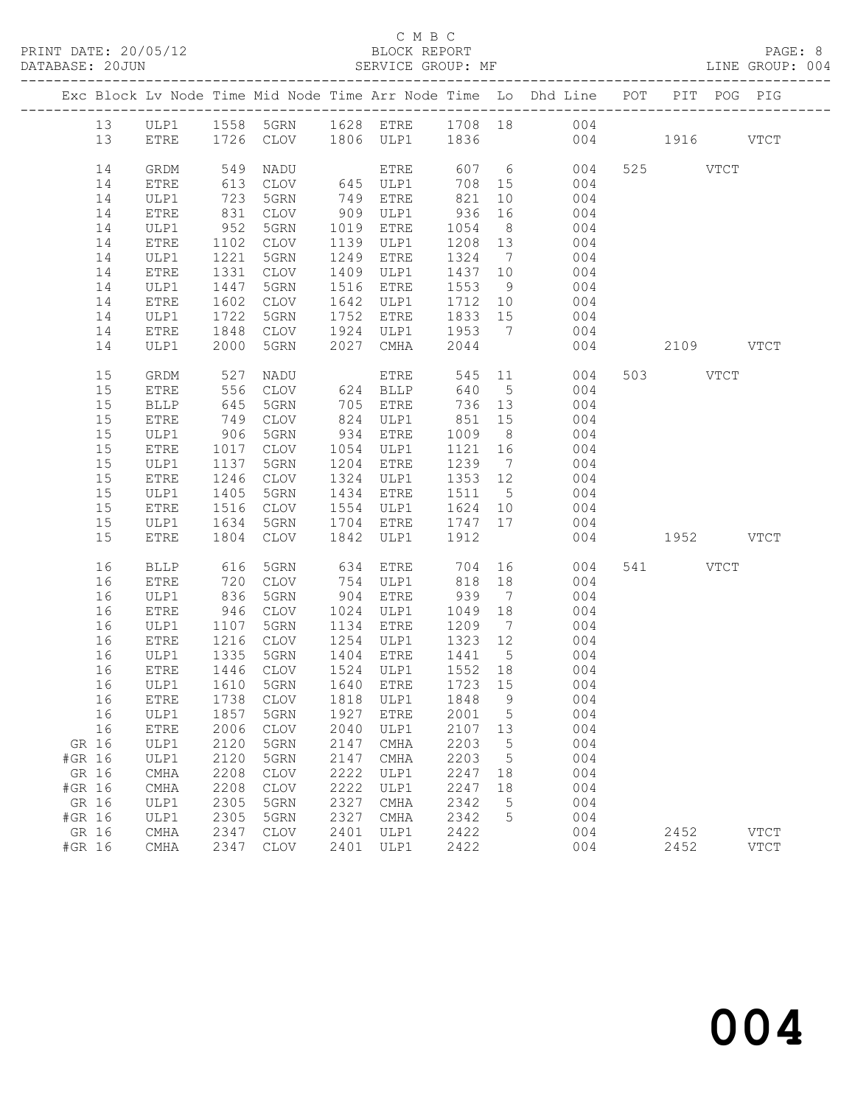## C M B C<br>BLOCK REPORT

LINE GROUP: 004

|        |             |              |             |      |                              |                          |                 | Exc Block Lv Node Time Mid Node Time Arr Node Time Lo Dhd Line POT |           |           | PIT POG PIG |
|--------|-------------|--------------|-------------|------|------------------------------|--------------------------|-----------------|--------------------------------------------------------------------|-----------|-----------|-------------|
| 13     |             |              |             |      |                              |                          |                 | ULP1 1558 5GRN 1628 ETRE 1708 18 004                               |           |           |             |
| 13     | ETRE        |              |             |      |                              | 1726 CLOV 1806 ULP1 1836 |                 | 004 1916 VTCT                                                      |           |           |             |
| 14     | GRDM        | 549          | NADU        |      |                              | 607 6                    |                 | 004                                                                |           | 525 VTCT  |             |
| 14     | ETRE        | 613          | CLOV        |      | ETRE<br>645 ULP1<br>749 ETRE | 708 15                   |                 | 004                                                                |           |           |             |
| 14     | ULP1        | 723          | 5GRN        |      |                              | 821                      | 10              | 004                                                                |           |           |             |
| 14     | ETRE        | 831          | CLOV        |      | 909 ULP1                     | 936                      | 16              | 004                                                                |           |           |             |
| 14     | ULP1        | 952          | 5GRN        |      | 1019 ETRE                    | 1054 8                   |                 | 004                                                                |           |           |             |
| 14     | ETRE        | 1102         | CLOV        |      | 1139 ULP1                    | 1208 13                  |                 | 004                                                                |           |           |             |
| 14     | ULP1        | 1221         | 5GRN        | 1249 | ETRE                         | 1324 7                   |                 | 004                                                                |           |           |             |
| 14     | ETRE        | 1331         | CLOV        |      | 1409 ULP1                    | 1437 10                  |                 | 004                                                                |           |           |             |
| 14     | ULP1        | 1447         | 5GRN        |      | 1516 ETRE                    | 1553                     | 9               | 004                                                                |           |           |             |
| 14     | ETRE        | 1602         | CLOV        |      | 1642 ULP1                    | 1712 10                  |                 | $004$<br>$004$                                                     |           |           |             |
| 14     | ULP1        | 1722         | 5GRN        |      | 1752 ETRE                    | 1833 15                  |                 |                                                                    |           |           |             |
| 14     | ETRE        | 1848         | CLOV        |      |                              | 1924 ULP1 1953 7         |                 | 004                                                                |           |           |             |
| 14     | ULP1        | 2000         | 5GRN        | 2027 | CMHA                         | 2044                     |                 |                                                                    | 004 00    | 2109 VTCT |             |
| 15     | GRDM        | 527          | NADU        |      | ETRE                         |                          |                 | 545 11<br>004                                                      |           | 503 VTCT  |             |
| 15     | ETRE        | 556          | CLOV        |      | 624 BLLP                     | 640                      |                 | 5 <sub>5</sub><br>004                                              |           |           |             |
| 15     | BLLP        | 645          | 5GRN        |      | 705 ETRE                     | 736 13                   |                 | 004                                                                |           |           |             |
| 15     | ETRE        | 749          | CLOV        |      |                              | 851                      | 15              | 004                                                                |           |           |             |
| 15     | ULP1        | 906          | 5GRN        |      | 824 ULP1<br>934 ETRE         | 1009                     | 8 <sup>8</sup>  | 004                                                                |           |           |             |
| 15     | ETRE        | 1017         | CLOV        |      | 1054 ULP1                    | 1121                     | 16              | 004                                                                |           |           |             |
| 15     | ULP1        | 1137         | 5GRN        |      | 1204 ETRE                    | 1239 7                   |                 | 004                                                                |           |           |             |
| 15     | ETRE        | 1246         | CLOV        |      | 1324 ULP1                    | 1353 12                  |                 | 004                                                                |           |           |             |
| 15     | ULP1        | 1405         | 5GRN        |      | 1434 ETRE                    | 1511 5                   |                 | 004                                                                |           |           |             |
| 15     | ETRE        | 1516         | CLOV        |      | 1554 ULP1                    | 1624 10                  |                 | 004                                                                |           |           |             |
| 15     | ULP1        | 1634         | 5GRN        |      | 1704 ETRE                    | 1747 17                  |                 | 004                                                                |           |           |             |
| 15     | ETRE        | 1804         | CLOV        | 1842 | ULP1                         | 1912                     |                 | 004                                                                | 1952 VTCT |           |             |
| 16     | <b>BLLP</b> | 616          | 5GRN        | 634  | ETRE                         | 704                      |                 | 004                                                                |           | 541 VTCT  |             |
| 16     | ETRE        | 720          | CLOV        |      | 754 ULP1                     | 818                      | 18              | 004                                                                |           |           |             |
| 16     | ULP1        | 836          | 5GRN        |      | 904 ETRE                     | 939 7                    |                 | 004                                                                |           |           |             |
| 16     | ETRE        | 946          | CLOV        |      | 1024 ULP1                    | 1049 18                  |                 | 004                                                                |           |           |             |
| 16     | ULP1        | 1107         | 5GRN        |      | 1134 ETRE                    | 1209 7                   |                 | 004                                                                |           |           |             |
| 16     | ETRE        | 1216         | CLOV        |      | 1254 ULP1                    | 1323 12                  |                 | 004                                                                |           |           |             |
| 16     | ULP1        | 1335         | 5GRN        |      | 1404 ETRE                    | 1441 5                   |                 | 004                                                                |           |           |             |
| 16     | ETRE        | 1446<br>1610 | CLOV        |      | 1524 ULP1                    | 1552 18                  |                 | 004                                                                |           |           |             |
| 16     | ULP1        |              | 5GRN        |      | 1640 ETRE                    | 1723 15                  |                 | 004                                                                |           |           |             |
|        |             |              |             |      |                              |                          |                 | 16 ETRE 1738 CLOV 1818 ULP1 1848 9 004                             |           |           |             |
| 16     | ULP1        | 1857         | 5GRN        | 1927 | <b>ETRE</b>                  | 2001                     | 5               | 004                                                                |           |           |             |
| 16     | ETRE        | 2006         | CLOV        | 2040 | ULP1                         | 2107                     | 13              | 004                                                                |           |           |             |
| GR 16  | ULP1        | 2120         | 5GRN        | 2147 | CMHA                         | 2203                     | $5\phantom{.0}$ | 004                                                                |           |           |             |
| #GR 16 | ULP1        | 2120         | 5GRN        | 2147 | CMHA                         | 2203                     | 5               | 004                                                                |           |           |             |
| GR 16  | CMHA        | 2208         | <b>CLOV</b> | 2222 | ULP1                         | 2247                     | 18              | 004                                                                |           |           |             |
| #GR 16 | CMHA        | 2208         | <b>CLOV</b> | 2222 | ULP1                         | 2247                     | 18              | 004                                                                |           |           |             |
| GR 16  | ULP1        | 2305         | 5GRN        | 2327 | CMHA                         | 2342                     | 5               | 004                                                                |           |           |             |
| #GR 16 | ULP1        | 2305         | 5GRN        | 2327 | CMHA                         | 2342                     | 5               | 004                                                                |           |           |             |
| GR 16  | CMHA        | 2347         | <b>CLOV</b> | 2401 | ULP1                         | 2422                     |                 | 004                                                                |           | 2452      | <b>VTCT</b> |
| #GR 16 | CMHA        | 2347         | CLOV        | 2401 | ULP1                         | 2422                     |                 | 004                                                                |           | 2452      | <b>VTCT</b> |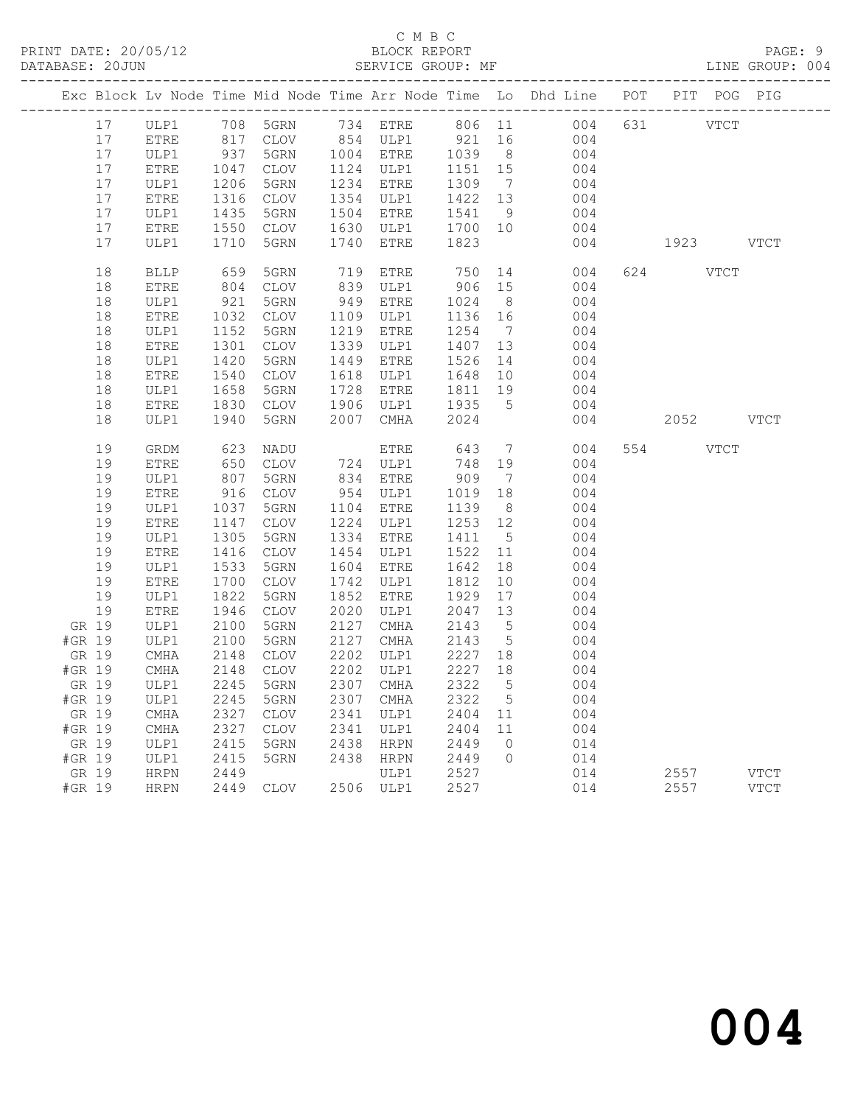## C M B C<br>BLOCK REPORT

LINE GROUP: 004

|                 |                                |                         |                 |      |                                                                                      |                   |                      | Exc Block Lv Node Time Mid Node Time Arr Node Time Lo Dhd Line POT PIT POG PIG |                    |             |
|-----------------|--------------------------------|-------------------------|-----------------|------|--------------------------------------------------------------------------------------|-------------------|----------------------|--------------------------------------------------------------------------------|--------------------|-------------|
| 17              |                                |                         |                 |      |                                                                                      |                   |                      | 806 11<br>004                                                                  | 631 VTCT           |             |
| 17              | ULP1 708 5GRN<br>ETRE 817 CLOV |                         |                 |      | $\begin{array}{cc}\n 754 & - \\  854 & \text{ULP1} \\  \hline\n 7778F\n \end{array}$ | 921               | 16                   | 004                                                                            |                    |             |
| 17              | ULP1                           | 937<br>1047             | 5GRN            |      | 1004 ETRE<br>1124 ULP1                                                               | 1039 8<br>1151 15 |                      | 004                                                                            |                    |             |
| 17              | ETRE                           |                         | CLOV            |      |                                                                                      |                   |                      | 004                                                                            |                    |             |
| 17              | ULP1                           | 1206<br>1316            | 5GRN            |      | 1234 ETRE                                                                            | 1309              | $\overline{7}$       | 004                                                                            |                    |             |
| 17              | ETRE                           |                         | CLOV            |      | 1354 ULP1                                                                            | 1422 13           |                      | 004                                                                            |                    |             |
| 17              | ULP1                           | $1435$<br>1435          | 5GRN            |      | 1504 ETRE                                                                            | 1541              | 9                    | 004                                                                            |                    |             |
| 17              | ETRE                           | 1550                    | CLOV            |      | 1630 ULP1                                                                            | 1700 10           |                      | 004                                                                            |                    |             |
| 17              | ULP1                           | 1710                    | 5GRN            | 1740 | ETRE                                                                                 | 1823              |                      | 004                                                                            | 1923               | <b>VTCT</b> |
| 18              | <b>BLLP</b>                    | 659<br>804              | 5GRN            |      | 719 ETRE<br>839 ULP1                                                                 | 750               | 14                   | 004                                                                            | 624<br><b>VTCT</b> |             |
| 18              | ETRE                           |                         | CLOV            |      |                                                                                      | 906 15            |                      | 004                                                                            |                    |             |
| 18              | ULP1                           | 921                     | 5GRN            |      | 949 ETRE                                                                             | 1024              | 8 <sup>8</sup>       | 004                                                                            |                    |             |
| 18              | ${\tt ETRE}$                   | 1032                    | CLOV            |      | 1109 ULP1                                                                            | 1136 16           |                      | 004                                                                            |                    |             |
| 18              | ULP1                           | 1152                    | 5GRN            |      | 1219 ETRE                                                                            | 1254              | $\overline{7}$       | 004                                                                            |                    |             |
| 18              | ETRE                           | 1301<br>1420<br>1301    | CLOV            |      | 1339 ULP1                                                                            | 1407 13           |                      | 004                                                                            |                    |             |
| 18              | ULP1                           |                         | 5GRN            |      | 1449 ETRE                                                                            | 1526              | 14                   | 004                                                                            |                    |             |
| 18              | ETRE                           | 1540                    | CLOV            |      | 1618 ULP1                                                                            | 1648              | 10                   | 004                                                                            |                    |             |
| 18              | ULP1                           | 1658                    | 5GRN            |      | 1728 ETRE                                                                            | 1811              | 19                   | 004                                                                            |                    |             |
| 18              | ETRE                           | 1830                    | CLOV            |      | 1906 ULP1                                                                            | 1935              | $5^{\circ}$          | 004                                                                            |                    |             |
| 18              | ULP1                           | 1940                    | 5GRN            |      | 2007 CMHA                                                                            | 2024              |                      | 004                                                                            | 2052 VTCT          |             |
| 19              | GRDM                           | 623                     | NADU            |      | ETRE                                                                                 | 643               | $\overline{7}$       | 004                                                                            | 554<br>VTCT        |             |
| 19              | <b>ETRE</b>                    | 650                     | CLOV            |      | 724 ULP1<br>834 ETRE                                                                 | 748               | 19                   | 004                                                                            |                    |             |
| 19              | ULP1                           | $\frac{0}{807}$         | 5GRN            |      |                                                                                      | 909               | $\overline{7}$       | 004                                                                            |                    |             |
| 19              | ETRE                           | 916                     | CLOV            |      | 954 ULP1                                                                             | 1019<br>1139      | 18                   | 004                                                                            |                    |             |
| 19              | ULP1                           | 1037                    | 5GRN            |      | 1104 ETRE                                                                            | 1139              | 8 <sup>8</sup>       | 004                                                                            |                    |             |
| 19              | ETRE                           | 1147<br>1147<br>1305    | CLOV            |      | 1224 ULP1                                                                            | 1253              | 12                   | 004                                                                            |                    |             |
| 19              | ULP1                           |                         | 5GRN            |      | 1334 ETRE                                                                            | 1411              | $5^{\circ}$          | 004                                                                            |                    |             |
| 19              | ETRE                           | 1416<br>1533            | CLOV            |      | 1454 ULP1                                                                            | 1522              | 11                   | 004                                                                            |                    |             |
| 19              | ULP1                           |                         | 5GRN            |      | 1604 ETRE                                                                            | 1642              | 18                   | 004                                                                            |                    |             |
| 19              | ${\tt ETRE}$                   | $1 / 0$<br>1822<br>1946 | CLOV            |      | 1742 ULP1                                                                            | 1812              | 10                   | 004                                                                            |                    |             |
| 19              | ULP1                           |                         | 5GRN            |      | 1852 ETRE                                                                            | 1929              | 17                   | 004                                                                            |                    |             |
| 19              | <b>ETRE</b>                    | 1946                    | CLOV            |      | 2020 ULP1                                                                            | 2047              | 13                   | 004                                                                            |                    |             |
| GR 19           | ULP1                           | 2100                    | 5GRN            |      | 2127 CMHA                                                                            | 2143              | $5\overline{)}$      | 004                                                                            |                    |             |
| #GR 19          | ULP1                           | 2100                    | 5GRN            |      | 2127 CMHA                                                                            | 2143              | $5\overline{)}$      | 004                                                                            |                    |             |
| GR 19           | $\rm CMA$                      | 2148                    | CLOV            |      | 2202 ULP1                                                                            | 2227 18           |                      | 004                                                                            |                    |             |
| #GR 19          | CMHA                           | 2148                    | $\mathtt{CLOV}$ |      | 2202 ULP1                                                                            | 2227              | 18                   | 004                                                                            |                    |             |
| GR 19           | ULP1                           | 2245                    | 5GRN            | 2307 | CMHA                                                                                 | 2322              | $5\overline{)}$      | 004                                                                            |                    |             |
| #GR 19          | ULP1                           | 2245                    | 5GRN            |      | 2307 CMHA<br>2341 ULP1                                                               | 2322              | $5\overline{)}$      | 004                                                                            |                    |             |
| GR 19           | CMHA<br>$\rm CMHA$             | 2327<br>2327            | CLOV            |      | 2341 ULP1                                                                            | 2404<br>2404      | 11                   | 004                                                                            |                    |             |
| #GR 19<br>GR 19 | ULP1                           | 2415                    | CLOV<br>5GRN    | 2438 | HRPN                                                                                 |                   | 11<br>$\overline{0}$ | 004<br>014                                                                     |                    |             |
| #GR 19          | ULP1                           | 2415<br>2415            | 5GRN            |      | 2438 HRPN                                                                            | 2449<br>2449      | $\overline{0}$       | 014                                                                            |                    |             |
| GR 19           | HRPN                           | 2449                    |                 |      | ULP1                                                                                 |                   |                      | 014                                                                            | 2557               | VTCT        |
| #GR 19          | HRPN                           |                         | 2449 CLOV       |      | 2506 ULP1                                                                            | $2527$<br>2527    |                      | 014                                                                            | 2557               | <b>VTCT</b> |
|                 |                                |                         |                 |      |                                                                                      |                   |                      |                                                                                |                    |             |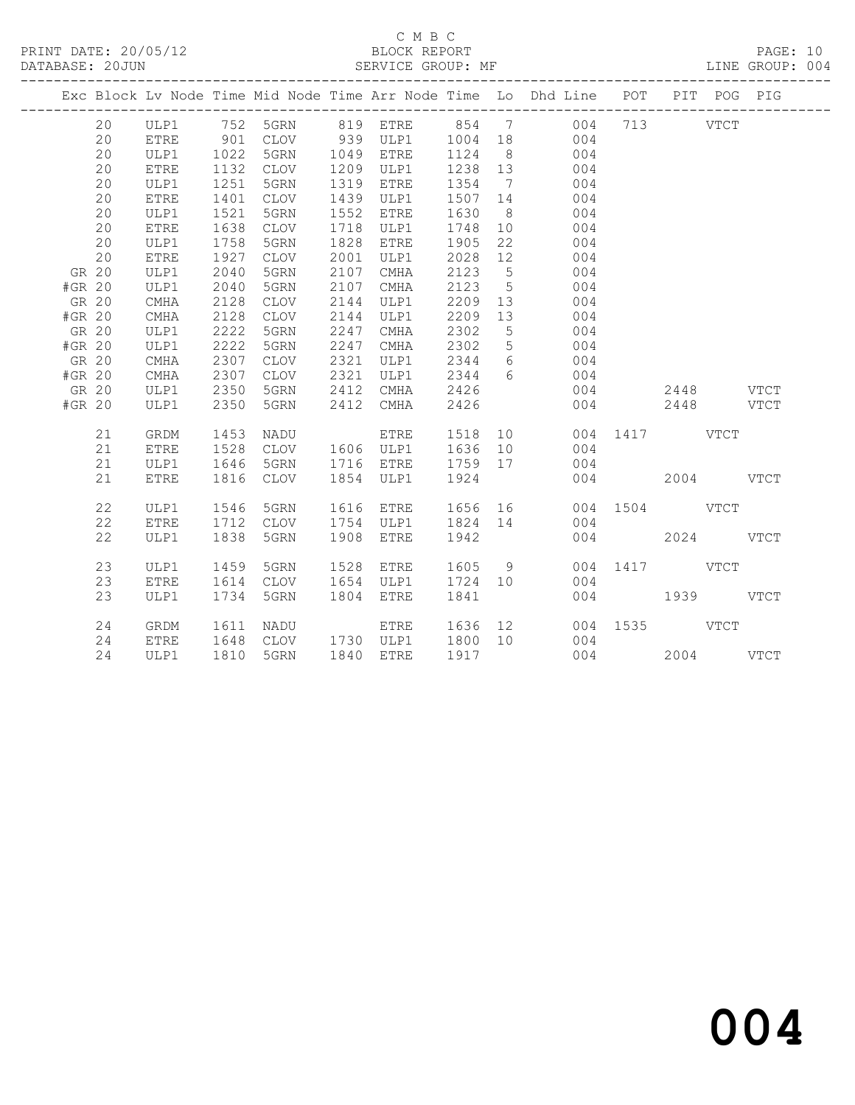# C M B C<br>BLOCK REPORT

PAGE: 10<br>LINE GROUP: 004

|        |       |             |      |             |      |             |      |                              | Exc Block Lv Node Time Mid Node Time Arr Node Time Lo Dhd Line POT<br>_________________________________ |           |      | PIT POG PIG |             |
|--------|-------|-------------|------|-------------|------|-------------|------|------------------------------|---------------------------------------------------------------------------------------------------------|-----------|------|-------------|-------------|
|        | 20    | ULP1        | 752  | 5GRN        | 819  | <b>ETRE</b> | 854  | $\overline{7}$               | 004                                                                                                     | 713       |      | <b>VTCT</b> |             |
|        | 20    | <b>ETRE</b> | 901  | CLOV        | 939  | ULP1        | 1004 | 18                           | 004                                                                                                     |           |      |             |             |
|        | 20    | ULP1        | 1022 | 5GRN        | 1049 | <b>ETRE</b> | 1124 | 8                            | 004                                                                                                     |           |      |             |             |
|        | 20    | <b>ETRE</b> | 1132 | <b>CLOV</b> | 1209 | ULP1        | 1238 | 13                           | 004                                                                                                     |           |      |             |             |
|        | 20    | ULP1        | 1251 | 5GRN        | 1319 | <b>ETRE</b> | 1354 | $7\phantom{.0}\phantom{.0}7$ | 004                                                                                                     |           |      |             |             |
|        | 20    | <b>ETRE</b> | 1401 | <b>CLOV</b> | 1439 | ULP1        | 1507 | 14                           | 004                                                                                                     |           |      |             |             |
|        | 20    | ULP1        | 1521 | 5GRN        | 1552 | ETRE        | 1630 | 8                            | 004                                                                                                     |           |      |             |             |
|        | 20    | <b>ETRE</b> | 1638 | <b>CLOV</b> | 1718 | ULP1        | 1748 | 10                           | 004                                                                                                     |           |      |             |             |
|        | 20    | ULP1        | 1758 | 5GRN        | 1828 | ETRE        | 1905 | 22                           | 004                                                                                                     |           |      |             |             |
|        | 20    | <b>ETRE</b> | 1927 | <b>CLOV</b> | 2001 | ULP1        | 2028 | 12                           | 004                                                                                                     |           |      |             |             |
|        | GR 20 | ULP1        | 2040 | 5GRN        | 2107 | CMHA        | 2123 | 5                            | 004                                                                                                     |           |      |             |             |
| #GR 20 |       | ULP1        | 2040 | 5GRN        | 2107 | <b>CMHA</b> | 2123 | $\overline{5}$               | 004                                                                                                     |           |      |             |             |
|        | GR 20 | <b>CMHA</b> | 2128 | <b>CLOV</b> | 2144 | ULP1        | 2209 | 13                           | 004                                                                                                     |           |      |             |             |
| #GR 20 |       | <b>CMHA</b> | 2128 | <b>CLOV</b> | 2144 | ULP1        | 2209 | 13                           | 004                                                                                                     |           |      |             |             |
|        | GR 20 | ULP1        | 2222 | 5GRN        | 2247 | <b>CMHA</b> | 2302 | $\mathsf S$                  | 004                                                                                                     |           |      |             |             |
| #GR 20 |       | ULP1        | 2222 | 5GRN        | 2247 | CMHA        | 2302 | 5                            | 004                                                                                                     |           |      |             |             |
| GR 20  |       | <b>CMHA</b> | 2307 | <b>CLOV</b> | 2321 | ULP1        | 2344 | $6\overline{6}$              | 004                                                                                                     |           |      |             |             |
| #GR 20 |       | CMHA        | 2307 | <b>CLOV</b> | 2321 | ULP1        | 2344 | 6                            | 004                                                                                                     |           |      |             |             |
| GR 20  |       | ULP1        | 2350 | 5GRN        | 2412 | <b>CMHA</b> | 2426 |                              | 004                                                                                                     |           | 2448 |             | <b>VTCT</b> |
| #GR 20 |       | ULP1        | 2350 | 5GRN        | 2412 | CMHA        | 2426 |                              | 004                                                                                                     |           | 2448 |             | <b>VTCT</b> |
|        |       |             |      |             |      |             |      |                              |                                                                                                         |           |      |             |             |
|        | 21    | GRDM        | 1453 | NADU        |      | ETRE        | 1518 | 10                           | 004                                                                                                     | 1417      | VTCT |             |             |
|        | 21    | ETRE        | 1528 | CLOV        | 1606 | ULP1        | 1636 | 10                           | 004                                                                                                     |           |      |             |             |
|        | 21    | ULP1        | 1646 | 5GRN        | 1716 | <b>ETRE</b> | 1759 | 17                           | 004                                                                                                     |           |      |             |             |
|        | 21    | <b>ETRE</b> | 1816 | <b>CLOV</b> | 1854 | ULP1        | 1924 |                              | 004                                                                                                     |           | 2004 |             | <b>VTCT</b> |
|        | 22    | ULP1        | 1546 | 5GRN        | 1616 | ETRE        | 1656 | 16                           | 004                                                                                                     | 1504 VTCT |      |             |             |
|        | 22    | <b>ETRE</b> | 1712 | <b>CLOV</b> | 1754 | ULP1        | 1824 | 14                           | 004                                                                                                     |           |      |             |             |
|        | 22    | ULP1        | 1838 | 5GRN        | 1908 | <b>ETRE</b> | 1942 |                              | 004                                                                                                     |           | 2024 |             | <b>VTCT</b> |
|        | 23    | ULP1        | 1459 | 5GRN        | 1528 | <b>ETRE</b> | 1605 | 9                            | 004                                                                                                     | 1417      |      | VTCT        |             |
|        | 23    | <b>ETRE</b> | 1614 | <b>CLOV</b> | 1654 | ULP1        | 1724 | 10 <sup>°</sup>              | 004                                                                                                     |           |      |             |             |
|        | 23    | ULP1        | 1734 | 5GRN        | 1804 | <b>ETRE</b> | 1841 |                              | 004                                                                                                     |           | 1939 |             | <b>VTCT</b> |
|        |       |             |      |             |      |             |      |                              |                                                                                                         |           |      |             |             |
|        | 24    | <b>GRDM</b> | 1611 | NADU        |      | ETRE        | 1636 | 12                           | 004                                                                                                     | 1535      |      | VTCT        |             |
|        | 24    | <b>ETRE</b> | 1648 | CLOV        | 1730 | ULP1        | 1800 | 10 <sup>°</sup>              | 004                                                                                                     |           |      |             |             |
|        | 24    | ULP1        | 1810 | 5GRN        | 1840 | ETRE        | 1917 |                              |                                                                                                         | 004       | 2004 |             | <b>VTCT</b> |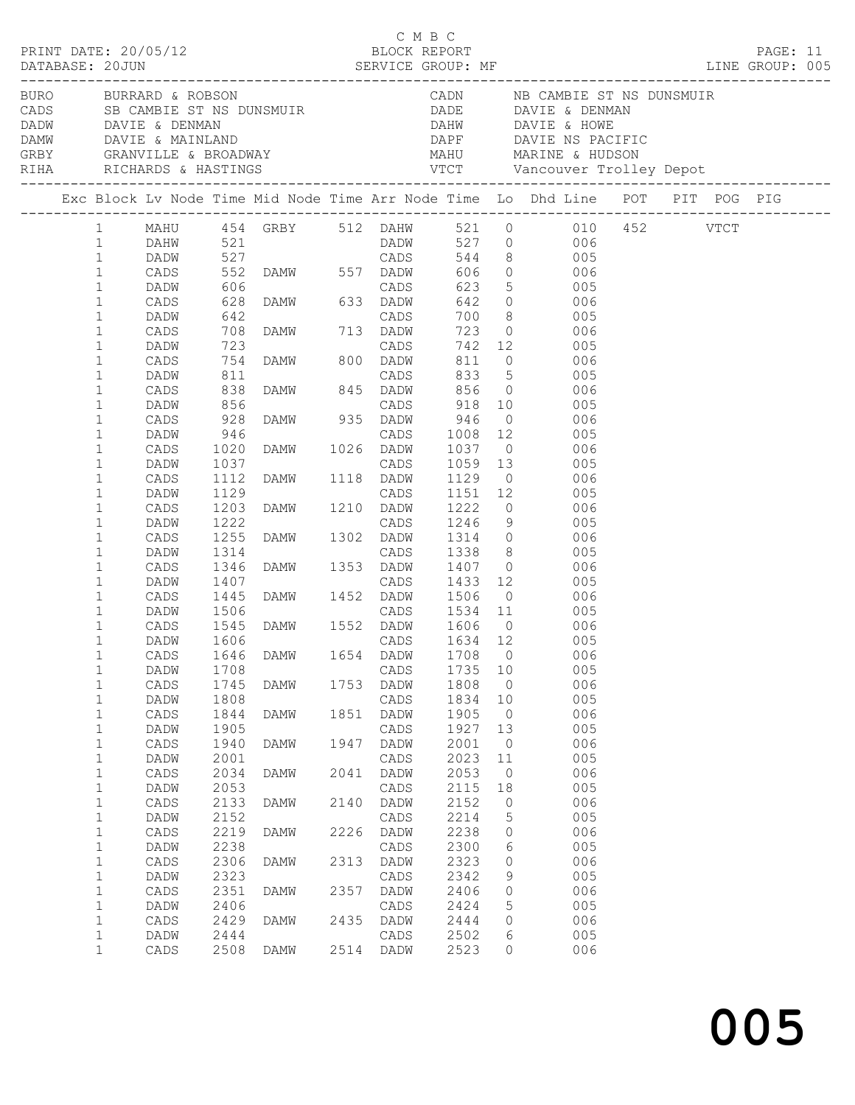|  | DATABASE: 20JUN                                   |                                         |                                     | $\begin{array}{cccc}\n\texttt{CRINT} & \texttt{DATE:} & 20/05/12 & \texttt{C} & \texttt{M} & \texttt{B} & \texttt{C}\n\end{array}$ |              |                              |                               |                                          |                                                                                                                                                                                                                                                  |  | PAGE: 11 |  |
|--|---------------------------------------------------|-----------------------------------------|-------------------------------------|------------------------------------------------------------------------------------------------------------------------------------|--------------|------------------------------|-------------------------------|------------------------------------------|--------------------------------------------------------------------------------------------------------------------------------------------------------------------------------------------------------------------------------------------------|--|----------|--|
|  |                                                   | BURO BURRARD & ROBSON                   |                                     |                                                                                                                                    |              |                              |                               |                                          | CADN NB CAMBIE ST NS DUNSMUIR<br>CADS SB CAMBIE ST NS DUNSMUIR<br>DADE DAVIE & DENMAN<br>DADW DAVIE & DENMAN<br>DAMW DAVIE & MAINLAND<br>CRBY GRANVILLE & BROADWAY MAHU MARINE & HUDSON<br>RIHA RICHARDS & HASTINGS VTCT Vancouver Trolley Depot |  |          |  |
|  |                                                   |                                         |                                     |                                                                                                                                    |              |                              |                               |                                          | Exc Block Lv Node Time Mid Node Time Arr Node Time Lo Dhd Line POT PIT POG PIG                                                                                                                                                                   |  |          |  |
|  | 1<br>$\mathbf{1}$<br>$\mathbf{1}$<br>$\mathbf{1}$ |                                         |                                     |                                                                                                                                    |              |                              |                               |                                          | 1 MAHU 454 GRBY 512 DAHW 521 0 010 452 VTCT                                                                                                                                                                                                      |  |          |  |
|  | $\mathbf 1$<br>$\mathbf 1$<br>1                   | DADW<br>CADS                            |                                     | 642 CADS<br>708 DAMW 713 DADW<br>723 CADS<br>754 DAMW 800 DADW                                                                     |              |                              |                               |                                          | 042 0 006<br>005 005<br>023 0 006                                                                                                                                                                                                                |  |          |  |
|  | 1<br>1<br>1                                       | DADW<br>CADS<br>DADW                    | $754\n811\n838\n856$                |                                                                                                                                    |              |                              |                               |                                          | 742 12 005<br>006 CADS 833 5<br>DAMW 845 DADW 856 0 005<br>CADS 918 10 006<br>CADS 918 10                                                                                                                                                        |  |          |  |
|  | 1<br>1<br>1<br>1                                  | CADS<br>DADW<br>CADS<br>DADW            | 928                                 | DAMW 935 DADW                                                                                                                      |              |                              | 946                           |                                          | $0$ 006                                                                                                                                                                                                                                          |  |          |  |
|  | 1<br>$\mathbf 1$<br>1                             | CADS<br>DADW<br>CADS                    | 946<br>1020<br>1037<br>1037<br>1112 | CADS<br>CADS<br>DAMW 1026 DADW<br>CADS<br>DAMW 1118 DADW                                                                           |              |                              |                               |                                          | 1008  12  005<br>1037  0  006<br>CADS 1059 13 005<br>1129 0 006                                                                                                                                                                                  |  |          |  |
|  | 1<br>1<br>1                                       | DADW<br>CADS<br>DADW                    | 1129<br>1203<br>1222                |                                                                                                                                    |              |                              |                               |                                          | 1151  12  005<br>1222  0  006<br>1246  9  005<br>CADS 1151 12 005<br>DAMW 1210 DADW 1222 0 006<br>CADS 1246 9 005<br>DAMW 1302 DADW 1314 0 006                                                                                                   |  |          |  |
|  | 1<br>1<br>1<br>1                                  | CADS<br>DADW<br>CADS<br>DADW            | 1255<br>1314<br>1346<br>1407        | CADS 1338<br>DAMW 1353 DADW 1407<br>CADS 1433<br>DAMW 1452 DADW 1506                                                               |              |                              | 1407 0<br>$\frac{1}{1433}$ 12 |                                          | 1338 8 005<br>006<br>005                                                                                                                                                                                                                         |  |          |  |
|  | 1<br>$\mathbf 1$<br>1                             | CADS<br>DADW<br>CADS                    | 1445<br>1506<br>1545<br>1606        |                                                                                                                                    |              |                              |                               |                                          | $\overline{O}$<br>006<br>CADS 1534 11 005<br>DAMW 1552 DADW 1606 0 006<br>CADS 1634 12 005                                                                                                                                                       |  |          |  |
|  | $\mathbf 1$<br>1<br>1                             | DADW<br>DADW                            | 1606<br>1708                        |                                                                                                                                    |              | CADS                         | 1735                          | 10                                       | CADS 1646 DAMW 1654 DADW 1708 0 006<br>005                                                                                                                                                                                                       |  |          |  |
|  | 1<br>$1\,$<br>1                                   | $\mathtt{CADS}$<br>DADW<br>CADS         | 1745<br>1808<br>1844                | DAMW<br>DAMW                                                                                                                       | 1753<br>1851 | DADW<br>CADS<br>DADW         | 1808<br>1834<br>1905          | $\overline{0}$<br>10<br>$\overline{0}$   | 006<br>005<br>006                                                                                                                                                                                                                                |  |          |  |
|  | 1<br>1<br>$1\,$                                   | DADW<br>$\mathtt{CADS}$<br>DADW         | 1905<br>1940<br>2001                | <b>DAMW</b>                                                                                                                        | 1947         | CADS<br>DADW<br>CADS         | 1927<br>2001<br>2023          | 13<br>$\overline{0}$<br>11               | 005<br>006<br>005                                                                                                                                                                                                                                |  |          |  |
|  | 1<br>$1\,$<br>1<br>$1\,$                          | $\mathtt{CADS}$<br>DADW<br>CADS<br>DADW | 2034<br>2053<br>2133<br>2152        | DAMW<br>DAMW                                                                                                                       | 2041<br>2140 | DADW<br>CADS<br>DADW<br>CADS | 2053<br>2115<br>2152<br>2214  | $\overline{0}$<br>18<br>0<br>$\mathsf S$ | 006<br>005<br>006<br>005                                                                                                                                                                                                                         |  |          |  |
|  | 1<br>1<br>1                                       | CADS<br>DADW<br>$\mathtt{CADS}$         | 2219<br>2238<br>2306                | DAMW<br>DAMW                                                                                                                       | 2226<br>2313 | DADW<br>CADS<br>DADW         | 2238<br>2300<br>2323          | 0<br>6<br>0                              | 006<br>005<br>006                                                                                                                                                                                                                                |  |          |  |
|  | $1\,$<br>1<br>1                                   | DADW<br>CADS<br>DADW                    | 2323<br>2351<br>2406                | DAMW                                                                                                                               | 2357         | CADS<br>DADW<br>CADS         | 2342<br>2406<br>2424          | 9<br>0<br>5                              | 005<br>006<br>005                                                                                                                                                                                                                                |  |          |  |
|  | 1<br>$1\,$<br>1                                   | CADS<br>DADW<br>CADS                    | 2429<br>2444<br>2508                | DAMW<br>DAMW                                                                                                                       | 2435         | DADW<br>CADS<br>2514 DADW    | 2444<br>2502<br>2523          | $\mathbf{0}$<br>6<br>0                   | 006<br>005<br>006                                                                                                                                                                                                                                |  |          |  |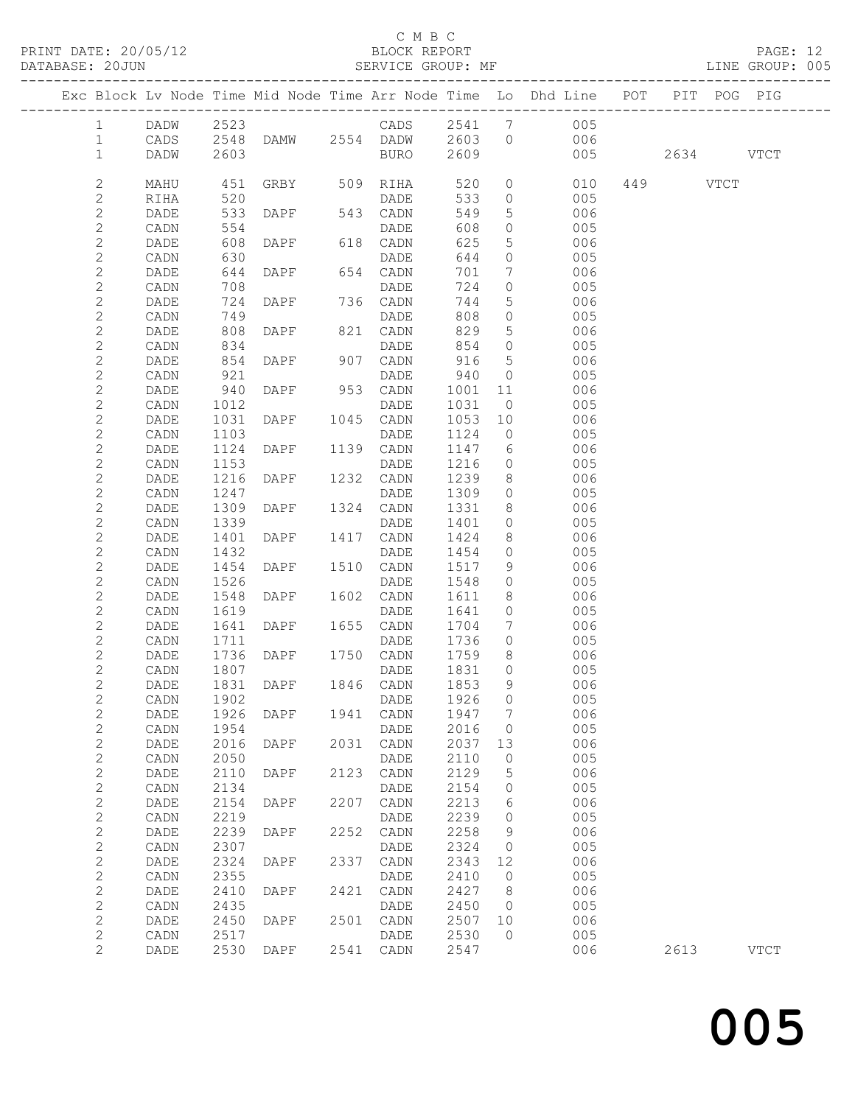### C M B C

| PRINT DATE: 20/05/12<br>DATABASE: 20JUN |                | N<br>-------------------- |      | BLOCK REPORT<br>SERVICE GROUP:      |      |                 |      |                              | BLOCK REPORT PAGE: 12<br>SERVICE GROUP: MF LINE GROUP: 005                     |               |             |  |
|-----------------------------------------|----------------|---------------------------|------|-------------------------------------|------|-----------------|------|------------------------------|--------------------------------------------------------------------------------|---------------|-------------|--|
|                                         |                |                           |      |                                     |      |                 |      |                              | Exc Block Lv Node Time Mid Node Time Arr Node Time Lo Dhd Line POT PIT POG PIG |               |             |  |
|                                         | $\mathbf{1}$   |                           |      |                                     |      |                 |      |                              | DADW 2523 CADS 2541 7 005<br>CADS 2548 DAMW 2554 DADW 2603 0 006               |               |             |  |
|                                         | $\mathbf{1}$   |                           |      |                                     |      |                 |      |                              | 006                                                                            |               |             |  |
|                                         | $\mathbf{1}$   | DADW                      | 2603 |                                     |      | BURO 2609       |      |                              |                                                                                | 005 2634 VTCT |             |  |
|                                         | $\mathbf{2}$   | MAHU                      |      |                                     |      |                 |      |                              | 0 010 449 VTCT                                                                 |               |             |  |
|                                         | $\overline{c}$ | RIHA                      | 520  |                                     |      | DADE            | 533  |                              | $\overline{0}$<br>005                                                          |               |             |  |
|                                         | $\mathbf{2}$   | DADE                      | 533  | <b>DAPF</b>                         |      | 543 CADN        | 549  |                              | $5^{\circ}$<br>006                                                             |               |             |  |
|                                         | $\sqrt{2}$     | CADN                      | 554  |                                     |      | DADE            | 608  | $\circ$                      | 005                                                                            |               |             |  |
|                                         | $\mathbf{2}$   | DADE                      | 608  | $DAPF$ 618                          |      | 618 CADN        | 625  | 5 <sup>5</sup>               | 006                                                                            |               |             |  |
|                                         | $\mathbf{2}$   | CADN                      | 630  |                                     |      | DADE            | 644  | $\circ$                      | 005                                                                            |               |             |  |
|                                         | $\mathbf{2}$   | DADE                      |      | 644 DAPF                            |      | 654 CADN        | 701  | $7\phantom{.0}\phantom{.0}7$ | 006                                                                            |               |             |  |
|                                         | $\overline{c}$ | CADN                      | 708  |                                     |      | DADE            | 724  | $\circ$                      | 005                                                                            |               |             |  |
|                                         | $\mathbf{2}$   | DADE                      | 724  | DAPF 736 CADN                       |      |                 | 744  | 5 <sup>5</sup>               | 006                                                                            |               |             |  |
|                                         | $\sqrt{2}$     | $\mathtt{CADN}$           | 749  |                                     |      | DADE            | 808  | $\circ$                      | 005                                                                            |               |             |  |
|                                         | $\mathbf{2}$   | DADE                      | 808  | <b>DAPF</b>                         |      | 821 CADN        | 829  | 5 <sup>5</sup>               | 006                                                                            |               |             |  |
|                                         | $\mathbf{2}$   | CADN                      | 834  |                                     |      | DADE            | 854  | $\overline{0}$               | 005                                                                            |               |             |  |
|                                         | $\mathbf{2}$   | DADE                      | 854  | $DAPF$ 90                           |      | 907 CADN        | 916  | $5\overline{)}$              | 006                                                                            |               |             |  |
|                                         | $\sqrt{2}$     | CADN                      | 921  |                                     |      | DADE            | 940  | $\overline{0}$               | 005                                                                            |               |             |  |
|                                         | $\mathbf{2}$   | DADE                      | 940  | DAPF                                |      | 953 CADN        | 1001 | 11                           | 006                                                                            |               |             |  |
|                                         | $\mathbf{2}$   | CADN                      | 1012 |                                     |      | DADE            | 1031 | $\overline{0}$               | 005                                                                            |               |             |  |
|                                         | $\mathbf{2}$   | DADE                      | 1031 | DAPF 1045 CADN                      |      |                 | 1053 | 10                           | 006                                                                            |               |             |  |
|                                         | $\sqrt{2}$     | CADN                      | 1103 |                                     |      | DADE            | 1124 | $\overline{0}$               | 005                                                                            |               |             |  |
|                                         | $\sqrt{2}$     | DADE                      | 1124 | DAPF 1139 CADN                      |      |                 | 1147 |                              | $6\overline{6}$<br>006                                                         |               |             |  |
|                                         | $\mathbf{2}$   | CADN                      | 1153 |                                     |      | DADE            | 1216 |                              | $\overline{0}$<br>005                                                          |               |             |  |
|                                         | $\sqrt{2}$     | DADE                      | 1216 | DAPF 1232 CADN                      |      |                 | 1239 | 8                            | 006                                                                            |               |             |  |
|                                         | $\sqrt{2}$     | CADN                      | 1247 |                                     |      | DADE            | 1309 | $\circ$                      | 005                                                                            |               |             |  |
|                                         | $\mathbf{2}$   | DADE                      | 1309 | DAPF 1324 CADN                      |      |                 | 1331 | 8                            | 006                                                                            |               |             |  |
|                                         | $\mathbf{2}$   | CADN                      | 1339 |                                     |      | DADE            | 1401 | $\overline{0}$               | 005                                                                            |               |             |  |
|                                         | $\mathbf{2}$   | DADE                      | 1401 | DAPF 1417                           |      | CADN            | 1424 | 8                            | 006                                                                            |               |             |  |
|                                         | $\sqrt{2}$     | CADN                      | 1432 |                                     |      | DADE            | 1454 | $\circ$                      | 005                                                                            |               |             |  |
|                                         | $\overline{c}$ | DADE                      | 1454 | DAPF 1510 CADN                      |      |                 | 1517 | 9                            | 006                                                                            |               |             |  |
|                                         | $\mathbf{2}$   | CADN                      | 1526 |                                     |      | DADE            | 1548 | $\circ$                      | 005                                                                            |               |             |  |
|                                         | $\mathbf{2}$   | DADE                      | 1548 | DAPF 1602 CADN                      |      |                 | 1611 | 8                            | 006                                                                            |               |             |  |
|                                         | $\mathbf{2}$   | CADN                      |      | 1619 DADE<br>1641 DAPF 1655 CADN    |      |                 | 1641 | $\circ$                      | 005                                                                            |               |             |  |
|                                         | $\mathbf{2}$   | DADE                      |      |                                     |      |                 | 1704 | $7\overline{ }$              | 006                                                                            |               |             |  |
|                                         | $\overline{c}$ | CADN                      | 1711 | and the contract of the contract of |      | DADE            | 1736 | $\overline{0}$               | 005                                                                            |               |             |  |
|                                         | $\overline{c}$ | DADE                      |      | 1736 DAPF 1750 CADN                 |      |                 | 1759 | 8                            | 006                                                                            |               |             |  |
|                                         | $\overline{2}$ | CADN 1807                 |      |                                     |      | DADE 1831 0     |      |                              | 005                                                                            |               |             |  |
|                                         | $\overline{c}$ | $\mathtt{DADE}$           | 1831 | DAPF                                | 1846 | $\mathtt{CADN}$ | 1853 | 9                            | 006                                                                            |               |             |  |
|                                         | $\mathbf{2}$   | CADN                      | 1902 |                                     |      | $\mathtt{DADE}$ | 1926 | 0                            | 005                                                                            |               |             |  |
|                                         | $\mathbf{2}$   | DADE                      | 1926 | DAPF                                | 1941 | CADN            | 1947 | 7                            | 006                                                                            |               |             |  |
|                                         | $\overline{c}$ | CADN                      | 1954 |                                     |      | DADE            | 2016 | 0                            | 005                                                                            |               |             |  |
|                                         | $\overline{c}$ | DADE                      | 2016 | DAPF                                | 2031 | CADN            | 2037 | 13                           | 006                                                                            |               |             |  |
|                                         | $\overline{c}$ | CADN                      | 2050 |                                     |      | DADE            | 2110 | 0                            | 005                                                                            |               |             |  |
|                                         | $\mathbf{2}$   | DADE                      | 2110 | DAPF                                | 2123 | CADN            | 2129 | 5                            | 006                                                                            |               |             |  |
|                                         | $\overline{c}$ | CADN                      | 2134 |                                     |      | DADE            | 2154 | 0                            | 005                                                                            |               |             |  |
|                                         | $\overline{c}$ | DADE                      | 2154 | DAPF                                | 2207 | CADN            | 2213 | 6                            | 006                                                                            |               |             |  |
|                                         | $\overline{c}$ | CADN                      | 2219 |                                     |      | DADE            | 2239 | 0                            | 005                                                                            |               |             |  |
|                                         | $\mathbf{2}$   | DADE                      | 2239 | DAPF                                | 2252 | $\mathtt{CADN}$ | 2258 | 9                            | 006                                                                            |               |             |  |
|                                         | $\mathbf{2}$   | CADN                      | 2307 |                                     |      | DADE            | 2324 | 0                            | 005                                                                            |               |             |  |
|                                         | $\overline{c}$ | DADE                      | 2324 | DAPF                                | 2337 | CADN            | 2343 | 12                           | 006                                                                            |               |             |  |
|                                         | $\overline{c}$ | CADN                      | 2355 |                                     |      | DADE            | 2410 | $\mathbb O$                  | 005                                                                            |               |             |  |
|                                         | $\mathbf{2}$   | DADE                      | 2410 | DAPF                                | 2421 | CADN            | 2427 | 8                            | 006                                                                            |               |             |  |
|                                         | $\mathbf{2}$   | CADN                      | 2435 |                                     |      | DADE            | 2450 | 0                            | 005                                                                            |               |             |  |
|                                         | $\overline{c}$ | DADE                      | 2450 | DAPF                                | 2501 | CADN            | 2507 | 10                           | 006                                                                            |               |             |  |
|                                         | $\overline{c}$ | CADN                      | 2517 |                                     |      | DADE            | 2530 | $\circ$                      | 005                                                                            |               |             |  |
|                                         | $\overline{2}$ | DADE                      | 2530 | DAPF                                | 2541 | CADN            | 2547 |                              | 006                                                                            | 2613          | <b>VTCT</b> |  |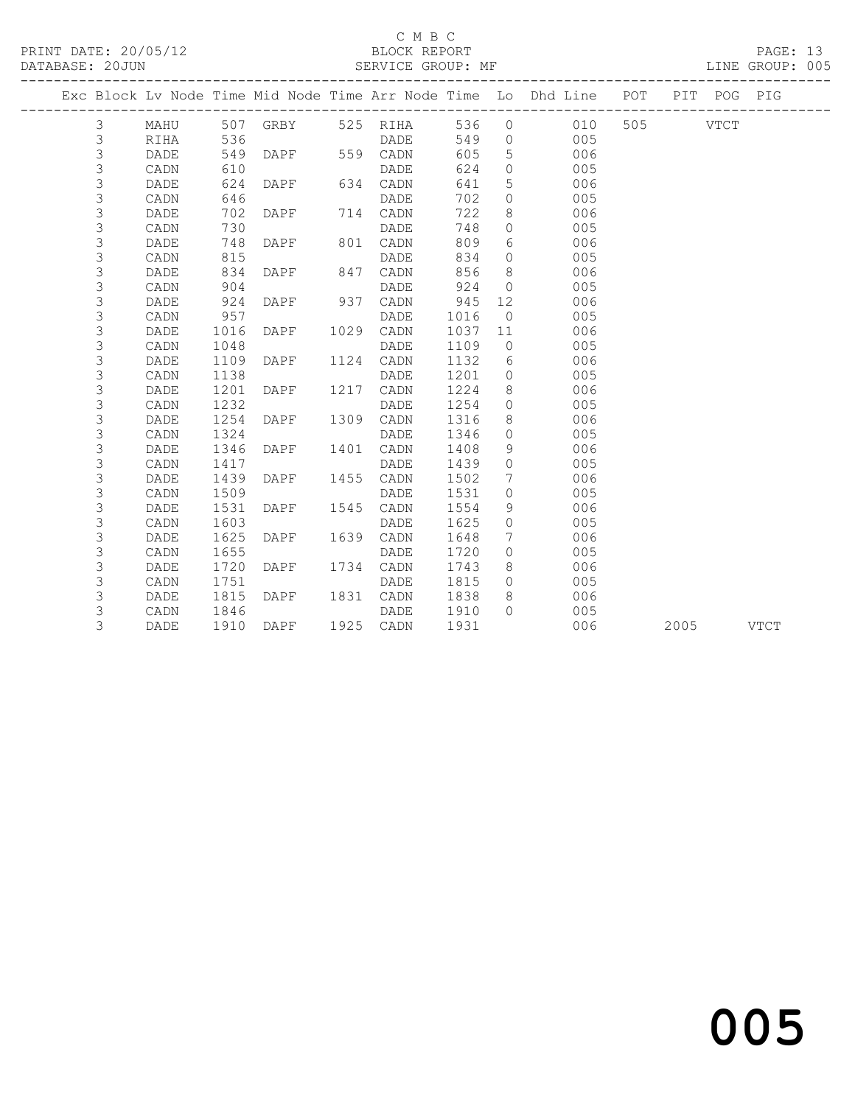## C M B C<br>BLOCK REPORT

| DATABASE: 20JUN |             |      |      |                |      | SERVICE GROUP: MF |      |                 | --------------------                                               |          |             | LINE GROUP: 005 |  |
|-----------------|-------------|------|------|----------------|------|-------------------|------|-----------------|--------------------------------------------------------------------|----------|-------------|-----------------|--|
|                 |             |      |      |                |      |                   |      |                 | Exc Block Lv Node Time Mid Node Time Arr Node Time Lo Dhd Line POT |          | PIT POG PIG |                 |  |
|                 | 3           | MAHU |      |                |      | 507 GRBY 525 RIHA | 536  |                 | $0$ $010$                                                          | 505 VTCT |             |                 |  |
|                 | 3           | RIHA | 536  |                |      | DADE              | 549  | $\overline{0}$  | 005                                                                |          |             |                 |  |
|                 | 3           | DADE | 549  | <b>DAPF</b>    |      | 559 CADN          | 605  | 5 <sup>5</sup>  | 006                                                                |          |             |                 |  |
|                 | 3           | CADN | 610  |                |      | DADE              | 624  | $\circ$         | 005                                                                |          |             |                 |  |
|                 | $\mathsf S$ | DADE | 624  | DAPF           |      | 634 CADN          | 641  | 5               | 006                                                                |          |             |                 |  |
| $\mathfrak{Z}$  |             | CADN | 646  |                |      | DADE              | 702  | $\circ$         | 005                                                                |          |             |                 |  |
|                 | 3           | DADE | 702  | DAPF           |      | 714 CADN          | 722  | 8               | 006                                                                |          |             |                 |  |
|                 | 3           | CADN | 730  |                |      | DADE              | 748  | $\circ$         | 005                                                                |          |             |                 |  |
| $\mathfrak{Z}$  |             | DADE | 748  | DAPF           |      | 801 CADN          | 809  | 6               | 006                                                                |          |             |                 |  |
|                 | 3           | CADN | 815  |                |      | DADE              | 834  | $\overline{0}$  | 005                                                                |          |             |                 |  |
|                 | 3           | DADE | 834  | DAPF           |      | 847 CADN          | 856  | 8 <sup>8</sup>  | 006                                                                |          |             |                 |  |
|                 | 3           | CADN | 904  |                |      | DADE              | 924  | $\overline{0}$  | 005                                                                |          |             |                 |  |
|                 | 3           | DADE | 924  | DAPF 937 CADN  |      |                   | 945  | 12 <sup>°</sup> | 006                                                                |          |             |                 |  |
|                 | 3           | CADN | 957  |                |      | DADE              | 1016 | $\overline{0}$  | 005                                                                |          |             |                 |  |
|                 | 3           | DADE | 1016 | DAPF 1029 CADN |      |                   | 1037 | 11              | 006                                                                |          |             |                 |  |
| $\mathsf 3$     |             | CADN | 1048 |                |      | <b>DADE</b>       | 1109 | $\overline{0}$  | 005                                                                |          |             |                 |  |
|                 | 3           | DADE | 1109 | DAPF           |      | 1124 CADN         | 1132 | 6               | 006                                                                |          |             |                 |  |
|                 | 3           | CADN | 1138 |                |      | DADE              | 1201 | $\overline{0}$  | 005                                                                |          |             |                 |  |
|                 | 3           | DADE | 1201 | DAPF           |      | 1217 CADN         | 1224 | 8 <sup>8</sup>  | 006                                                                |          |             |                 |  |
| $\mathsf 3$     |             | CADN | 1232 |                |      | DADE              | 1254 | $\overline{0}$  | 005                                                                |          |             |                 |  |
|                 | 3           | DADE | 1254 | DAPF           |      | 1309 CADN         | 1316 | 8               | 006                                                                |          |             |                 |  |
|                 | 3           | CADN | 1324 |                |      | DADE              | 1346 | $\circ$         | 005                                                                |          |             |                 |  |
| $\mathsf 3$     |             | DADE | 1346 | DAPF           | 1401 | CADN              | 1408 | 9               | 006                                                                |          |             |                 |  |
|                 | 3           | CADN | 1417 |                |      | DADE              | 1439 | $\circ$         | 005                                                                |          |             |                 |  |
|                 | 3           | DADE | 1439 | DAPF           |      | 1455 CADN         | 1502 | $7\phantom{0}$  | 006                                                                |          |             |                 |  |
| $\mathsf 3$     |             | CADN | 1509 |                |      | DADE              | 1531 | $\circ$         | 005                                                                |          |             |                 |  |
|                 | 3           | DADE | 1531 | DAPF           |      | 1545 CADN         | 1554 | 9               | 006                                                                |          |             |                 |  |
|                 | 3           | CADN | 1603 |                |      | DADE              | 1625 | $\circ$         | 005                                                                |          |             |                 |  |
|                 | 3           | DADE | 1625 | DAPF           | 1639 | CADN              | 1648 | 7               | 006                                                                |          |             |                 |  |
|                 | 3           | CADN | 1655 |                |      | DADE              | 1720 | $\circ$         | 005                                                                |          |             |                 |  |
|                 | 3           | DADE | 1720 | DAPF           |      | 1734 CADN         | 1743 | 8               | 006                                                                |          |             |                 |  |
|                 | 3           | CADN | 1751 |                |      | DADE              | 1815 |                 | $\overline{0}$<br>005                                              |          |             |                 |  |
|                 | 3           | DADE | 1815 | DAPF 1831 CADN |      |                   | 1838 | 8               | 006                                                                |          |             |                 |  |
|                 | 3           | CADN | 1846 |                |      | DADE              | 1910 | $\cap$          | 005                                                                |          |             |                 |  |
|                 | 3           | DADE | 1910 | DAPF 1925 CADN |      |                   | 1931 |                 | 006                                                                |          | 2005 VTCT   |                 |  |
|                 |             |      |      |                |      |                   |      |                 |                                                                    |          |             |                 |  |

# and the contract of  $\sim$  005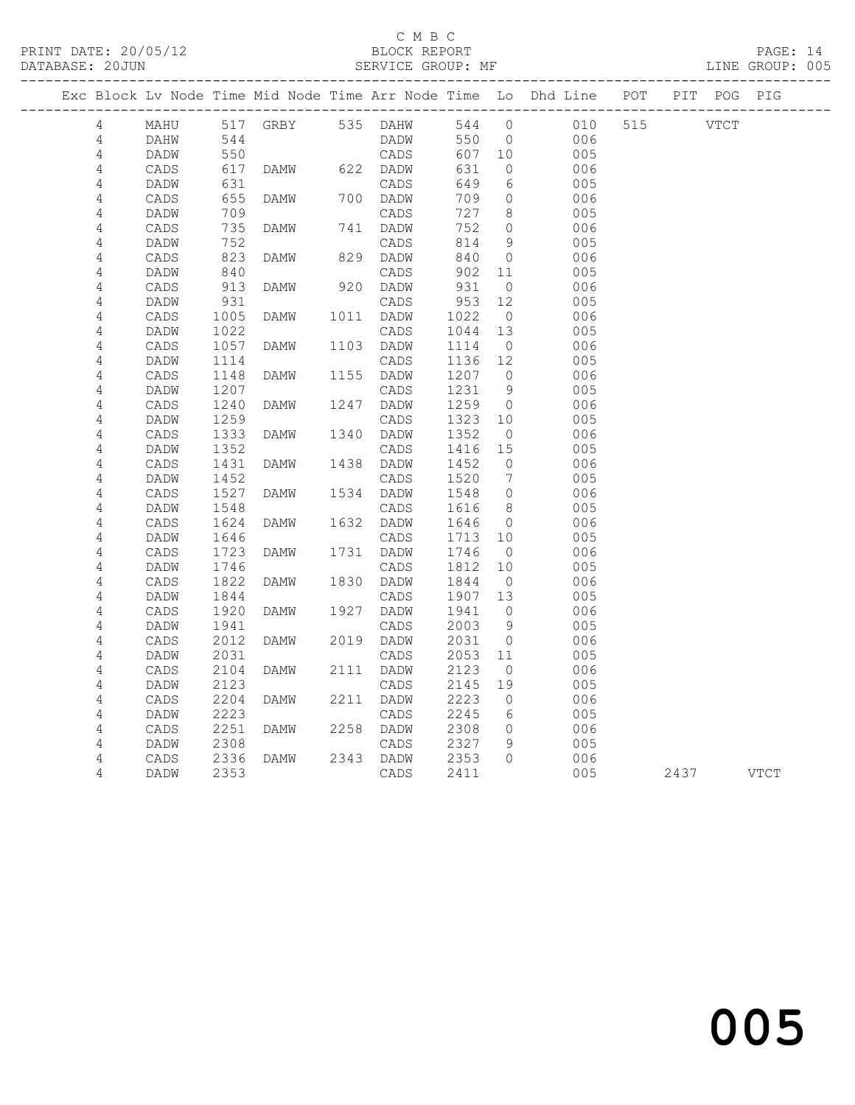### C M B C<br>BLOCK REPORT

PAGE: 14<br>LINE GROUP: 005

|                 |              |              |                   |      |              |              |                      | Exc Block Lv Node Time Mid Node Time Arr Node Time Lo Dhd Line POT PIT POG PIG |          |      |
|-----------------|--------------|--------------|-------------------|------|--------------|--------------|----------------------|--------------------------------------------------------------------------------|----------|------|
| $\overline{4}$  | MAHU         |              | 517 GRBY 535 DAHW |      |              | 544 0        |                      | 010                                                                            | 515 VTCT |      |
| 4               | DAHW         | 544          |                   |      | DADW         | 550          | $\overline{0}$       | 006                                                                            |          |      |
| 4               | DADW         | 550          |                   |      | CADS         | 607          | 10                   | 005                                                                            |          |      |
| $\sqrt{4}$      | CADS         | 617          | DAMW              |      | 622 DADW     | 631          | $\circ$              | 006                                                                            |          |      |
| $\overline{4}$  | DADW         | 631          |                   |      | CADS         | 649          | 6                    | 005                                                                            |          |      |
| $\sqrt{4}$      | CADS         | 655          | DAMW              |      | 700 DADW     | 709          | $\circ$              | 006                                                                            |          |      |
| 4               | DADW         | 709          |                   |      | CADS         | 727          | 8                    | 005                                                                            |          |      |
| $\sqrt{4}$      | CADS         | 735          | DAMW              |      | 741 DADW     | 752          | $\circ$              | 006                                                                            |          |      |
| 4               | DADW         | 752          |                   |      | CADS         | 814          | - 9                  | 005                                                                            |          |      |
| $\sqrt{4}$      | CADS         | 823          | <b>DAMW</b>       | 829  | DADW         | 840          | $\overline{0}$       | 006                                                                            |          |      |
| $\sqrt{4}$      | DADW         | 840          |                   |      | CADS         | 902          | 11                   | 005                                                                            |          |      |
| 4               | CADS         | 913          | <b>DAMW</b>       | 920  | DADW         | 931          | $\overline{0}$       | 006                                                                            |          |      |
| $\sqrt{4}$      | DADW         | 931          |                   |      | CADS         | 953          | 12                   | 005                                                                            |          |      |
| 4               | CADS         | 1005         | DAMW              | 1011 | DADW         | 1022         | $\overline{0}$       | 006                                                                            |          |      |
| $\sqrt{4}$      | DADW         | 1022         |                   |      | CADS         | 1044         | 13                   | 005                                                                            |          |      |
| $\sqrt{4}$      | CADS         | 1057         | DAMW              | 1103 | DADW         | 1114         | $\overline{0}$       | 006                                                                            |          |      |
| 4               | DADW         | 1114         |                   |      | CADS         | 1136         | 12                   | 005                                                                            |          |      |
| 4               | CADS         | 1148         | DAMW              | 1155 | DADW         | 1207         | $\overline{0}$       | 006                                                                            |          |      |
| 4               | DADW         | 1207         |                   |      | CADS         | 1231         | 9                    | 005                                                                            |          |      |
| 4               | CADS         | 1240         | DAMW              | 1247 | DADW         | 1259         | $\overline{0}$       | 006                                                                            |          |      |
| 4               | DADW         | 1259         |                   |      | CADS         | 1323         | 10                   | 005                                                                            |          |      |
| 4               | CADS         | 1333         | DAMW              | 1340 | DADW         | 1352         | $\overline{0}$       | 006                                                                            |          |      |
| 4               | DADW         | 1352         |                   |      | CADS         | 1416         | 15                   | 005                                                                            |          |      |
| 4               | CADS         | 1431         | DAMW              | 1438 | DADW         | 1452         | $\overline{0}$       | 006                                                                            |          |      |
| 4               | DADW         | 1452         |                   |      | CADS         | 1520         | 7                    | 005                                                                            |          |      |
| 4               | CADS         | 1527         | DAMW              | 1534 | DADW         | 1548         | $\overline{0}$       | 006                                                                            |          |      |
| 4               | DADW         | 1548         |                   |      | CADS         | 1616         | - 8                  | 005                                                                            |          |      |
| 4               | CADS         | 1624         | DAMW              | 1632 | DADW         | 1646         | $\circ$              | 006                                                                            |          |      |
| 4               | DADW         | 1646         |                   |      | CADS         | 1713         | 10                   | 005                                                                            |          |      |
| 4               | CADS         | 1723         | DAMW              | 1731 | DADW         | 1746         | $\overline{0}$       | 006                                                                            |          |      |
| 4<br>$\sqrt{4}$ | DADW         | 1746         | DAMW              |      | CADS         | 1812         | 10<br>$\overline{0}$ | 005                                                                            |          |      |
| 4               | CADS         | 1822<br>1844 |                   | 1830 | DADW<br>CADS | 1844<br>1907 | 13                   | 006<br>005                                                                     |          |      |
|                 | DADW         |              | DAMW              | 1927 |              | 1941         | $\bigcirc$           | 006                                                                            |          |      |
| 4<br>$\sqrt{4}$ | CADS<br>DADW | 1920<br>1941 |                   |      | DADW<br>CADS | 2003         | 9                    | 005                                                                            |          |      |
| 4               | CADS         | 2012         | DAMW              | 2019 | DADW         | 2031         | $\overline{0}$       | 006                                                                            |          |      |
| $\sqrt{4}$      | DADW         | 2031         |                   |      | CADS         | 2053         | 11                   | 005                                                                            |          |      |
| 4               | CADS         | 2104         | DAMW              | 2111 | DADW         | 2123         | $\overline{0}$       | 006                                                                            |          |      |
| 4               | DADW         | 2123         |                   |      | CADS         | 2145         | 19                   | 005                                                                            |          |      |
| 4               | CADS         | 2204         | DAMW              | 2211 | DADW         | 2223         | $\overline{0}$       | 006                                                                            |          |      |
| 4               | DADW         | 2223         |                   |      | CADS         | 2245         | 6                    | 005                                                                            |          |      |
| $\overline{4}$  | CADS         | 2251         | DAMW              | 2258 | DADW         | 2308         | $\circ$              | 006                                                                            |          |      |
| 4               | DADW         | 2308         |                   |      | CADS         | 2327         | 9                    | 005                                                                            |          |      |
| 4               | CADS         | 2336         | DAMW              |      | 2343 DADW    | 2353         | $\Omega$             | 006                                                                            |          |      |
| 4               | DADW         | 2353         |                   |      | CADS         | 2411         |                      | 005                                                                            | 2437     | VTCT |
|                 |              |              |                   |      |              |              |                      |                                                                                |          |      |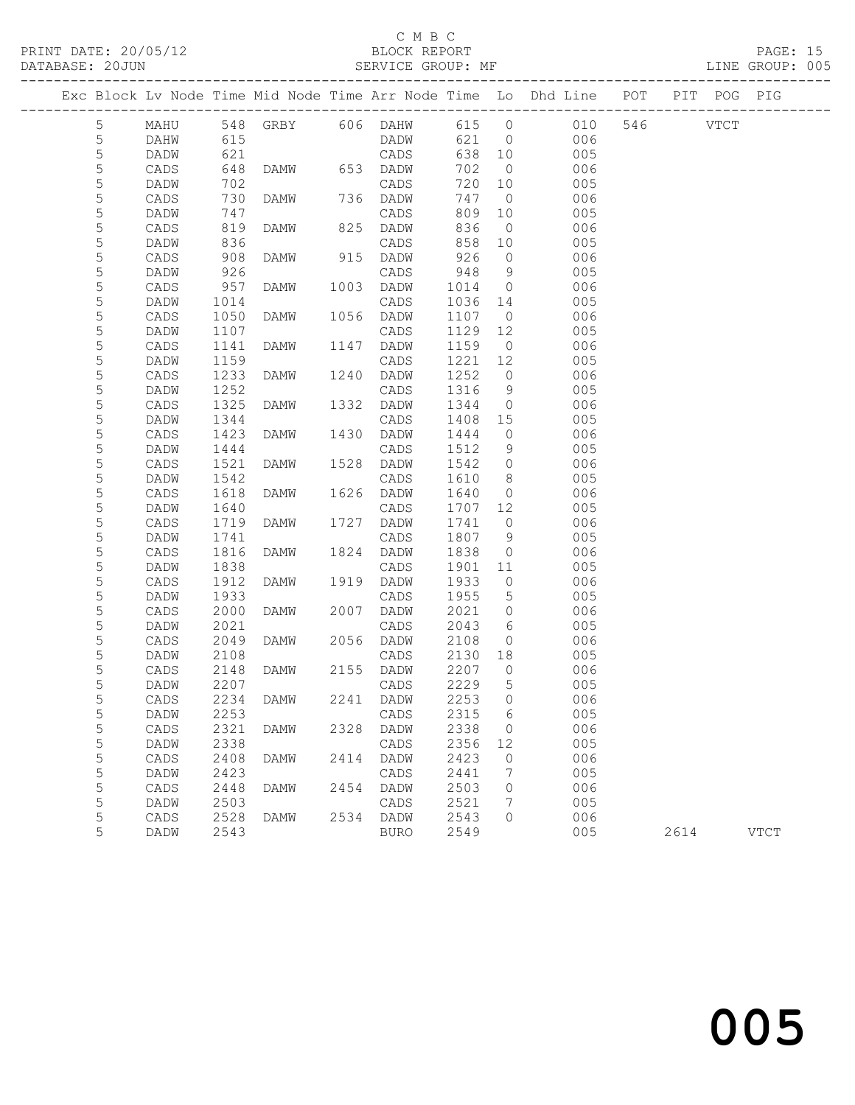### C M B C<br>BLOCK REPORT

PAGE: 15<br>LINE GROUP: 005

|             | Exc Block Lv Node Time Mid Node Time Arr Node Time Lo Dhd Line POT |              |                   |      |              |                |                      |            |          | PIT POG PIG |             |
|-------------|--------------------------------------------------------------------|--------------|-------------------|------|--------------|----------------|----------------------|------------|----------|-------------|-------------|
| 5           | MAHU                                                               |              | 548 GRBY 606 DAHW |      |              | 615 0          |                      | 010        | 546 VTCT |             |             |
| 5           | DAHW                                                               | 615          |                   |      | DADW         | 621            | $\overline{0}$       | 006        |          |             |             |
| $\mathsf S$ | DADW                                                               | 621          |                   |      | CADS         | 638            | 10                   | 005        |          |             |             |
| 5           | CADS                                                               | 648          | DAMW 653 DADW     |      |              | 702            | $\overline{0}$       | 006        |          |             |             |
| 5           | DADW                                                               | 702          |                   |      | CADS         | 720            | 10                   | 005        |          |             |             |
| 5           | CADS                                                               | 730          | DAMW              |      | 736 DADW     | 747            | $\overline{0}$       | 006        |          |             |             |
| 5           | DADW                                                               | 747          |                   |      | CADS         | 809            | 10                   | 005        |          |             |             |
| 5           | CADS                                                               | 819          | DAMW              | 825  | DADW         | 836            | $\overline{0}$       | 006        |          |             |             |
| 5           | DADW                                                               | 836          |                   |      | CADS         | 858            | 10                   | 005        |          |             |             |
| 5           | CADS                                                               | 908          | DAMW              | 915  | DADW         | 926            | $\circ$              | 006        |          |             |             |
| 5<br>5      | DADW                                                               | 926          |                   | 1003 | CADS         | 948            | 9                    | 005        |          |             |             |
| 5           | CADS<br>DADW                                                       | 957<br>1014  | DAMW              |      | DADW<br>CADS | 1014<br>1036   | $\overline{0}$<br>14 | 006<br>005 |          |             |             |
| 5           | CADS                                                               | 1050         | DAMW              | 1056 | DADW         | 1107           | $\overline{0}$       | 006        |          |             |             |
| 5           | DADW                                                               | 1107         |                   |      | CADS         | 1129           | 12                   | 005        |          |             |             |
| 5           | CADS                                                               | 1141         | DAMW              | 1147 | DADW         | 1159           | $\overline{0}$       | 006        |          |             |             |
| 5           | DADW                                                               | 1159         |                   |      | CADS         | 1221           | 12                   | 005        |          |             |             |
| 5           | CADS                                                               | 1233         | DAMW              | 1240 | DADW         | 1252           | $\circ$              | 006        |          |             |             |
| 5           | DADW                                                               | 1252         |                   |      | CADS         | 1316           | 9                    | 005        |          |             |             |
| $\mathsf S$ | CADS                                                               | 1325         | DAMW              | 1332 | DADW         | 1344           | $\overline{0}$       | 006        |          |             |             |
| 5           | DADW                                                               | 1344         |                   |      | CADS         | 1408           | 15                   | 005        |          |             |             |
| 5           | CADS                                                               | 1423         | DAMW              | 1430 | DADW         | 1444           | $\circ$              | 006        |          |             |             |
| 5           | DADW                                                               | 1444         |                   |      | CADS         | 1512           | 9                    | 005        |          |             |             |
| 5           | CADS                                                               | 1521         | DAMW              | 1528 | DADW         | 1542           | $\circ$              | 006        |          |             |             |
| 5           | DADW                                                               | 1542         |                   |      | CADS         | 1610           | 8 <sup>8</sup>       | 005        |          |             |             |
| 5           | CADS                                                               | 1618         | DAMW              | 1626 | DADW         | 1640           | $\overline{0}$       | 006        |          |             |             |
| 5           | DADW                                                               | 1640         |                   |      | CADS         | 1707           | 12                   | 005        |          |             |             |
| 5           | CADS                                                               | 1719         | DAMW              | 1727 | DADW         | 1741           | $\overline{0}$       | 006        |          |             |             |
| 5           | DADW                                                               | 1741         |                   |      | CADS         | 1807           | 9                    | 005        |          |             |             |
| 5           | CADS                                                               | 1816         | DAMW              | 1824 | DADW         | 1838           | $\circ$              | 006        |          |             |             |
| 5           | DADW                                                               | 1838         |                   |      | CADS         | 1901           | 11                   | 005        |          |             |             |
| 5           | CADS                                                               | 1912         | DAMW              | 1919 | DADW         | 1933           | $\circ$              | 006        |          |             |             |
| 5           | DADW                                                               | 1933         |                   |      | CADS         | 1955           | 5                    | 005        |          |             |             |
| 5           | CADS                                                               | 2000         | DAMW              | 2007 | DADW         | 2021           | $\circ$              | 006        |          |             |             |
| 5           | DADW                                                               | 2021         |                   |      | CADS         | 2043           | 6                    | 005        |          |             |             |
| 5           | CADS                                                               | 2049         | DAMW              |      | 2056 DADW    | 2108           | $\circ$              | 006        |          |             |             |
| 5           | DADW                                                               | 2108         |                   |      | CADS         | 2130           | 18                   | 005        |          |             |             |
| 5           | CADS                                                               | 2148         | DAMW              |      | 2155 DADW    | 2207           | $\overline{0}$       | 006        |          |             |             |
| 5           | DADW                                                               | 2207         |                   |      | CADS         | 2229           | 5                    | 005        |          |             |             |
| 5           | $\mathtt{CADS}$                                                    |              | 2234 DAMW         |      | 2241 DADW    | 2253 0<br>2315 |                      | 006        |          |             |             |
| 5<br>5      | DADW<br>CADS                                                       | 2253<br>2321 | DAMW              | 2328 | CADS<br>DADW | 2338           | 6<br>0               | 005<br>006 |          |             |             |
| 5           | DADW                                                               | 2338         |                   |      | CADS         | 2356           | 12                   | 005        |          |             |             |
| 5           | CADS                                                               | 2408         | DAMW              | 2414 | DADW         | 2423           | 0                    | 006        |          |             |             |
| 5           | DADW                                                               | 2423         |                   |      | CADS         | 2441           | 7                    | 005        |          |             |             |
| 5           | CADS                                                               | 2448         | DAMW              | 2454 | DADW         | 2503           | 0                    | 006        |          |             |             |
| 5           | DADW                                                               | 2503         |                   |      | CADS         | 2521           | 7                    | 005        |          |             |             |
| 5           | $\mathtt{CADS}$                                                    | 2528         | DAMW              | 2534 | DADW         | 2543           | 0                    | 006        |          |             |             |
| 5           | DADW                                                               | 2543         |                   |      | <b>BURO</b>  | 2549           |                      | 005        | 2614     |             | <b>VTCT</b> |
|             |                                                                    |              |                   |      |              |                |                      |            |          |             |             |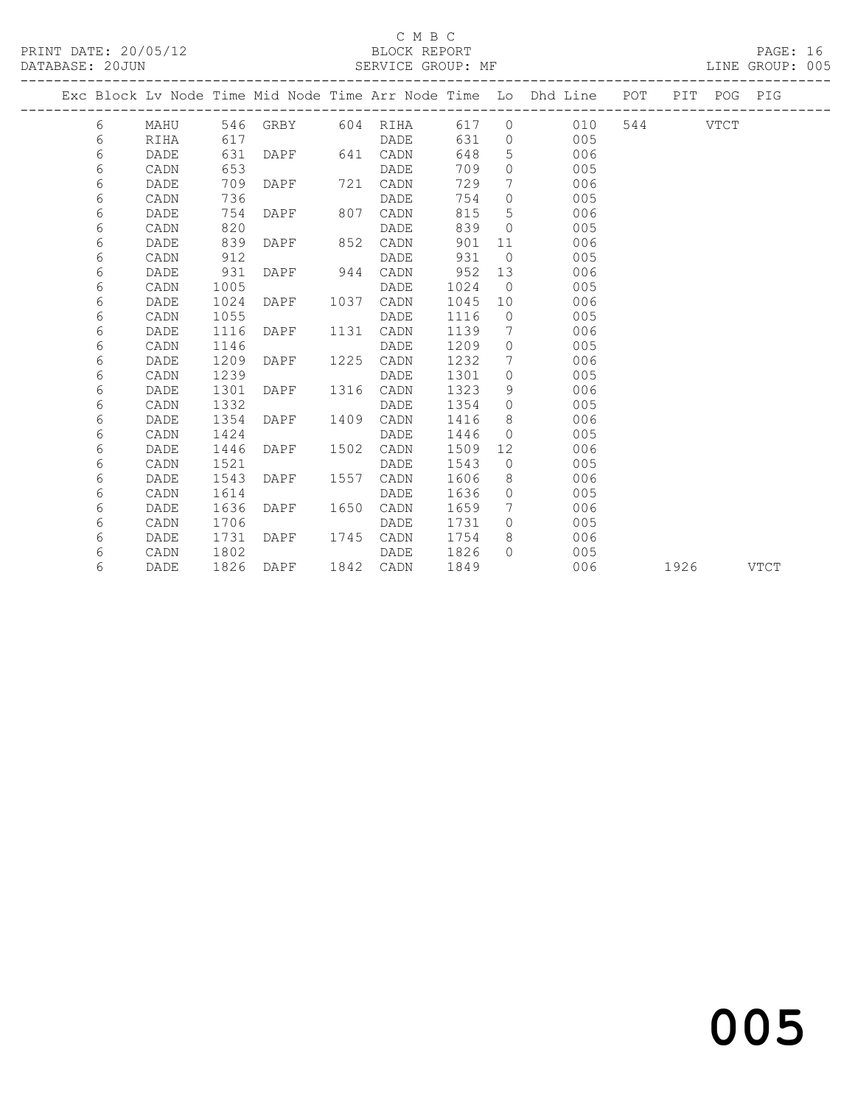### C M B C<br>BLOCK REPORT

PAGE: 16<br>LINE GROUP: 005

|  |   |      |      |                   |      |          |      |                 | Exc Block Lv Node Time Mid Node Time Arr Node Time Lo Dhd Line POT |     |      | PIT POG PIG |             |
|--|---|------|------|-------------------|------|----------|------|-----------------|--------------------------------------------------------------------|-----|------|-------------|-------------|
|  | 6 | MAHU |      | 546 GRBY 604 RIHA |      |          | 617  | $\circ$         | 010                                                                | 544 |      | VTCT        |             |
|  | 6 | RIHA | 617  |                   |      | DADE     | 631  | $\circ$         | 005                                                                |     |      |             |             |
|  | 6 | DADE | 631  | DAPF              |      | 641 CADN | 648  | 5               | 006                                                                |     |      |             |             |
|  | 6 | CADN | 653  |                   |      | DADE     | 709  | $\circ$         | 005                                                                |     |      |             |             |
|  | 6 | DADE | 709  | DAPF              | 721  | CADN     | 729  | $7\phantom{.0}$ | 006                                                                |     |      |             |             |
|  | 6 | CADN | 736  |                   |      | DADE     | 754  | $\circ$         | 005                                                                |     |      |             |             |
|  | 6 | DADE | 754  | DAPF              | 807  | CADN     | 815  | 5               | 006                                                                |     |      |             |             |
|  | 6 | CADN | 820  |                   |      | DADE     | 839  | $\Omega$        | 005                                                                |     |      |             |             |
|  | 6 | DADE | 839  | DAPF              | 852  | CADN     | 901  | 11              | 006                                                                |     |      |             |             |
|  | 6 | CADN | 912  |                   |      | DADE     | 931  | $\Omega$        | 005                                                                |     |      |             |             |
|  | 6 | DADE | 931  | DAPF              | 944  | CADN     | 952  | 13              | 006                                                                |     |      |             |             |
|  | 6 | CADN | 1005 |                   |      | DADE     | 1024 | $\overline{0}$  | 005                                                                |     |      |             |             |
|  | 6 | DADE | 1024 | DAPF              | 1037 | CADN     | 1045 | 10              | 006                                                                |     |      |             |             |
|  | 6 | CADN | 1055 |                   |      | DADE     | 1116 | $\circ$         | 005                                                                |     |      |             |             |
|  | 6 | DADE | 1116 | DAPF              | 1131 | CADN     | 1139 | 7               | 006                                                                |     |      |             |             |
|  | 6 | CADN | 1146 |                   |      | DADE     | 1209 | $\circ$         | 005                                                                |     |      |             |             |
|  | 6 | DADE | 1209 | DAPF              | 1225 | CADN     | 1232 | 7               | 006                                                                |     |      |             |             |
|  | 6 | CADN | 1239 |                   |      | DADE     | 1301 | $\circ$         | 005                                                                |     |      |             |             |
|  | 6 | DADE | 1301 | DAPF              | 1316 | CADN     | 1323 | 9               | 006                                                                |     |      |             |             |
|  | 6 | CADN | 1332 |                   |      | DADE     | 1354 | $\circ$         | 005                                                                |     |      |             |             |
|  | 6 | DADE | 1354 | DAPF              | 1409 | CADN     | 1416 | 8               | 006                                                                |     |      |             |             |
|  | 6 | CADN | 1424 |                   |      | DADE     | 1446 | $\circ$         | 005                                                                |     |      |             |             |
|  | 6 | DADE | 1446 | DAPF              | 1502 | CADN     | 1509 | 12              | 006                                                                |     |      |             |             |
|  | 6 | CADN | 1521 |                   |      | DADE     | 1543 | $\circ$         | 005                                                                |     |      |             |             |
|  | 6 | DADE | 1543 | DAPF              | 1557 | CADN     | 1606 | 8               | 006                                                                |     |      |             |             |
|  | 6 | CADN | 1614 |                   |      | DADE     | 1636 | $\circ$         | 005                                                                |     |      |             |             |
|  | 6 | DADE | 1636 | DAPF              | 1650 | CADN     | 1659 | 7               | 006                                                                |     |      |             |             |
|  | 6 | CADN | 1706 |                   |      | DADE     | 1731 | $\Omega$        | 005                                                                |     |      |             |             |
|  | 6 | DADE | 1731 | DAPF              | 1745 | CADN     | 1754 | 8               | 006                                                                |     |      |             |             |
|  | 6 | CADN | 1802 |                   |      | DADE     | 1826 | $\Omega$        | 005                                                                |     |      |             |             |
|  | 6 | DADE | 1826 | DAPF              | 1842 | CADN     | 1849 |                 | 006                                                                |     | 1926 |             | <b>VTCT</b> |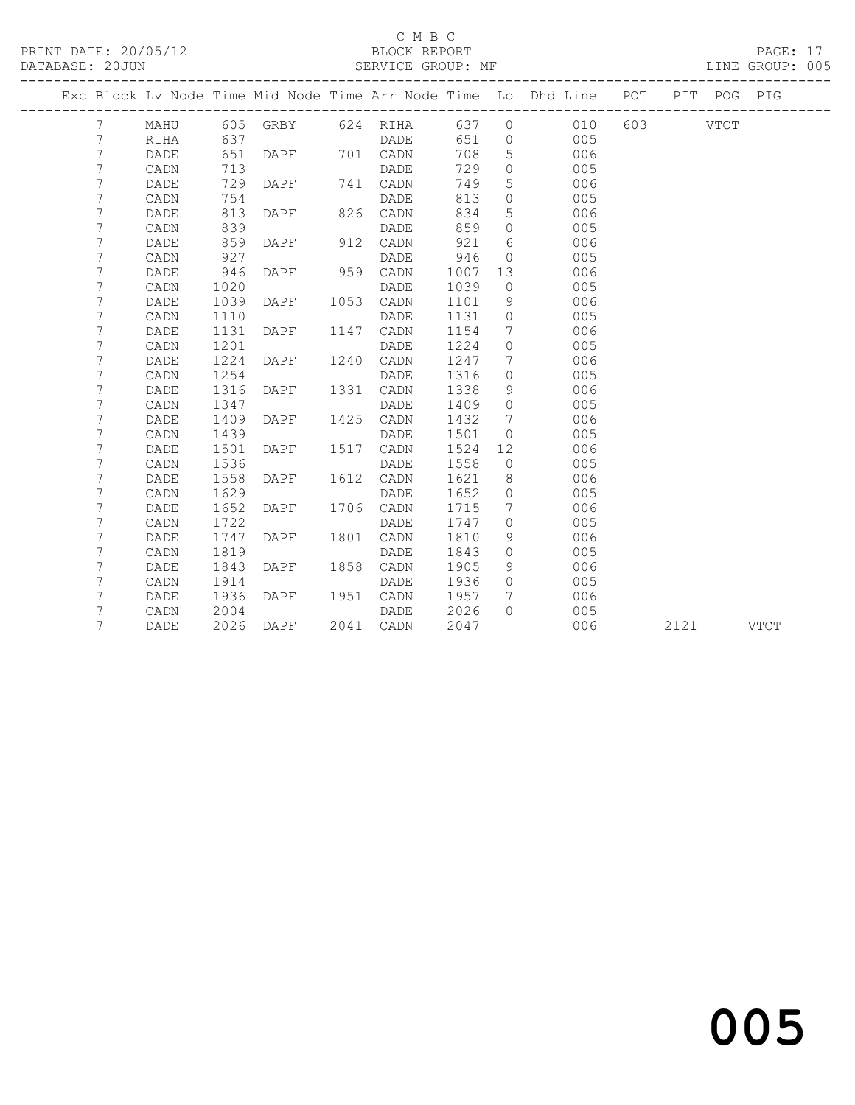### C M B C<br>BLOCK REPORT

PAGE: 17<br>LINE GROUP: 005

|  |                |             |      |      |      |                   |      |                 | Exc Block Lv Node Time Mid Node Time Arr Node Time Lo Dhd Line POT |          |      | PIT POG | PIG         |
|--|----------------|-------------|------|------|------|-------------------|------|-----------------|--------------------------------------------------------------------|----------|------|---------|-------------|
|  | 7              | MAHU        |      |      |      | 605 GRBY 624 RIHA | 637  | $\overline{0}$  | 010                                                                | 603 VTCT |      |         |             |
|  | 7              | RIHA        | 637  |      |      | DADE              | 651  | $\overline{0}$  | 005                                                                |          |      |         |             |
|  | $\overline{7}$ | DADE        | 651  | DAPF |      | 701 CADN          | 708  | 5               | 006                                                                |          |      |         |             |
|  | 7              | CADN        | 713  |      |      | DADE              | 729  | $\circ$         | 005                                                                |          |      |         |             |
|  | 7              | DADE        | 729  | DAPF |      | 741 CADN          | 749  | 5               | 006                                                                |          |      |         |             |
|  | 7              | CADN        | 754  |      |      | <b>DADE</b>       | 813  | $\circ$         | 005                                                                |          |      |         |             |
|  | 7              | DADE        | 813  | DAPF |      | 826 CADN          | 834  | 5               | 006                                                                |          |      |         |             |
|  | 7              | CADN        | 839  |      |      | DADE              | 859  | $\circ$         | 005                                                                |          |      |         |             |
|  | 7              | <b>DADE</b> | 859  | DAPF | 912  | CADN              | 921  | 6               | 006                                                                |          |      |         |             |
|  | 7              | CADN        | 927  |      |      | DADE              | 946  | $\circ$         | 005                                                                |          |      |         |             |
|  | 7              | DADE        | 946  | DAPF | 959  | CADN              | 1007 | 13              | 006                                                                |          |      |         |             |
|  | 7              | CADN        | 1020 |      |      | DADE              | 1039 | $\circ$         | 005                                                                |          |      |         |             |
|  | 7              | DADE        | 1039 | DAPF |      | 1053 CADN         | 1101 | 9               | 006                                                                |          |      |         |             |
|  | 7              | CADN        | 1110 |      |      | DADE              | 1131 | $\circ$         | 005                                                                |          |      |         |             |
|  | 7              | DADE        | 1131 | DAPF | 1147 | CADN              | 1154 | 7               | 006                                                                |          |      |         |             |
|  | 7              | CADN        | 1201 |      |      | DADE              | 1224 | $\circ$         | 005                                                                |          |      |         |             |
|  | 7              | DADE        | 1224 | DAPF | 1240 | CADN              | 1247 | $7\phantom{.0}$ | 006                                                                |          |      |         |             |
|  | 7              | CADN        | 1254 |      |      | DADE              | 1316 | $\circ$         | 005                                                                |          |      |         |             |
|  | $7\phantom{.}$ | DADE        | 1316 | DAPF |      | 1331 CADN         | 1338 | 9               | 006                                                                |          |      |         |             |
|  | 7              | CADN        | 1347 |      |      | DADE              | 1409 | $\circ$         | 005                                                                |          |      |         |             |
|  | 7              | DADE        | 1409 | DAPF | 1425 | CADN              | 1432 | 7               | 006                                                                |          |      |         |             |
|  | 7              | CADN        | 1439 |      |      | DADE              | 1501 | $\circ$         | 005                                                                |          |      |         |             |
|  | 7              | DADE        | 1501 | DAPF | 1517 | CADN              | 1524 | 12              | 006                                                                |          |      |         |             |
|  | 7              | CADN        | 1536 |      |      | DADE              | 1558 | $\circ$         | 005                                                                |          |      |         |             |
|  | 7              | DADE        | 1558 | DAPF |      | 1612 CADN         | 1621 | 8               | 006                                                                |          |      |         |             |
|  | 7              | CADN        | 1629 |      |      | DADE              | 1652 | $\circ$         | 005                                                                |          |      |         |             |
|  | 7              | DADE        | 1652 | DAPF |      | 1706 CADN         | 1715 | 7               | 006                                                                |          |      |         |             |
|  | 7              | CADN        | 1722 |      |      | DADE              | 1747 | $\circ$         | 005                                                                |          |      |         |             |
|  | 7              | DADE        | 1747 | DAPF | 1801 | CADN              | 1810 | 9               | 006                                                                |          |      |         |             |
|  | 7              | CADN        | 1819 |      |      | DADE              | 1843 | $\Omega$        | 005                                                                |          |      |         |             |
|  | 7              | DADE        | 1843 | DAPF | 1858 | CADN              | 1905 | 9               | 006                                                                |          |      |         |             |
|  | 7              | CADN        | 1914 |      |      | DADE              | 1936 | $\Omega$        | 005                                                                |          |      |         |             |
|  | 7              | DADE        | 1936 | DAPF | 1951 | CADN              | 1957 | 7               | 006                                                                |          |      |         |             |
|  | 7              | CADN        | 2004 |      |      | <b>DADE</b>       | 2026 | $\bigcap$       | 005                                                                |          |      |         |             |
|  | 7              | DADE        | 2026 | DAPF |      | 2041 CADN         | 2047 |                 | 006                                                                |          | 2121 |         | <b>VTCT</b> |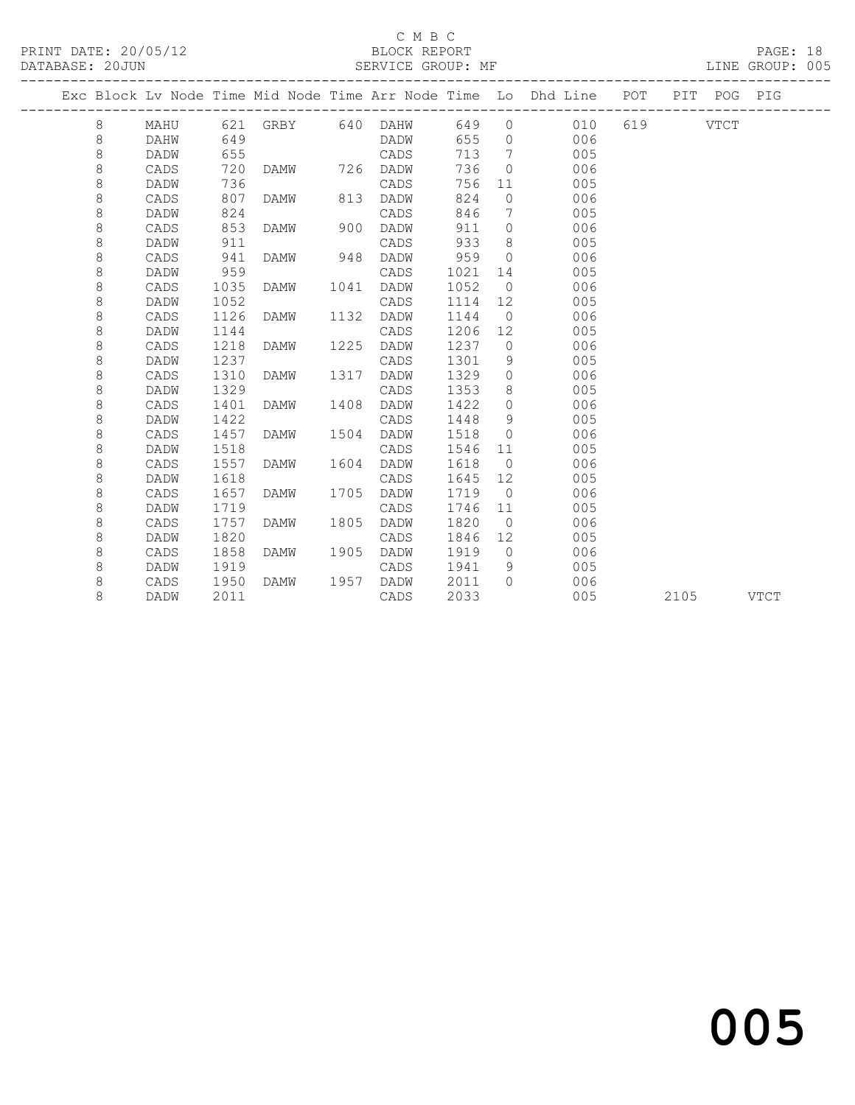## C M B C<br>BLOCK REPORT

PAGE: 18<br>LINE GROUP: 005

|  |         |             |      |                   |      |      |      |                | Exc Block Lv Node Time Mid Node Time Arr Node Time Lo Dhd Line POT |          |      | PIT POG | PIG         |
|--|---------|-------------|------|-------------------|------|------|------|----------------|--------------------------------------------------------------------|----------|------|---------|-------------|
|  | 8       | MAHU        |      | 621 GRBY 640 DAHW |      |      | 649  | $\circ$        | 010                                                                | 619 VTCT |      |         |             |
|  | 8       | DAHW        | 649  |                   |      | DADW | 655  | $\Omega$       | 006                                                                |          |      |         |             |
|  | $\,8\,$ | DADW        | 655  |                   |      | CADS | 713  | 7              | 005                                                                |          |      |         |             |
|  | $\,8\,$ | CADS        | 720  | DAMW              | 726  | DADW | 736  | $\Omega$       | 006                                                                |          |      |         |             |
|  | 8       | DADW        | 736  |                   |      | CADS | 756  | 11             | 005                                                                |          |      |         |             |
|  | 8       | CADS        | 807  | <b>DAMW</b>       | 813  | DADW | 824  | $\Omega$       | 006                                                                |          |      |         |             |
|  | 8       | DADW        | 824  |                   |      | CADS | 846  | 7              | 005                                                                |          |      |         |             |
|  | 8       | CADS        | 853  | <b>DAMW</b>       | 900  | DADW | 911  | $\circ$        | 006                                                                |          |      |         |             |
|  | 8       | DADW        | 911  |                   |      | CADS | 933  | 8              | 005                                                                |          |      |         |             |
|  | 8       | CADS        | 941  | <b>DAMW</b>       | 948  | DADW | 959  | $\bigcirc$     | 006                                                                |          |      |         |             |
|  | 8       | DADW        | 959  |                   |      | CADS | 1021 | 14             | 005                                                                |          |      |         |             |
|  | 8       | CADS        | 1035 | DAMW              | 1041 | DADW | 1052 | $\overline{0}$ | 006                                                                |          |      |         |             |
|  | $\,8\,$ | DADW        | 1052 |                   |      | CADS | 1114 | 12             | 005                                                                |          |      |         |             |
|  | $\,8\,$ | CADS        | 1126 | DAMW              | 1132 | DADW | 1144 | $\overline{0}$ | 006                                                                |          |      |         |             |
|  | 8       | <b>DADW</b> | 1144 |                   |      | CADS | 1206 | 12             | 005                                                                |          |      |         |             |
|  | 8       | CADS        | 1218 | <b>DAMW</b>       | 1225 | DADW | 1237 | $\circ$        | 006                                                                |          |      |         |             |
|  | 8       | DADW        | 1237 |                   |      | CADS | 1301 | 9              | 005                                                                |          |      |         |             |
|  | 8       | CADS        | 1310 | <b>DAMW</b>       | 1317 | DADW | 1329 | $\circ$        | 006                                                                |          |      |         |             |
|  | 8       | DADW        | 1329 |                   |      | CADS | 1353 | 8              | 005                                                                |          |      |         |             |
|  | 8       | CADS        | 1401 | <b>DAMW</b>       | 1408 | DADW | 1422 | $\circ$        | 006                                                                |          |      |         |             |
|  | 8       | DADW        | 1422 |                   |      | CADS | 1448 | 9              | 005                                                                |          |      |         |             |
|  | 8       | CADS        | 1457 | DAMW              | 1504 | DADW | 1518 | $\circ$        | 006                                                                |          |      |         |             |
|  | 8       | DADW        | 1518 |                   |      | CADS | 1546 | 11             | 005                                                                |          |      |         |             |
|  | 8       | CADS        | 1557 | DAMW              | 1604 | DADW | 1618 | $\overline{0}$ | 006                                                                |          |      |         |             |
|  | 8       | DADW        | 1618 |                   |      | CADS | 1645 | 12             | 005                                                                |          |      |         |             |
|  | 8       | CADS        | 1657 | <b>DAMW</b>       | 1705 | DADW | 1719 | $\bigcirc$     | 006                                                                |          |      |         |             |
|  | 8       | DADW        | 1719 |                   |      | CADS | 1746 | 11             | 005                                                                |          |      |         |             |
|  | 8       | CADS        | 1757 | <b>DAMW</b>       | 1805 | DADW | 1820 | $\overline{0}$ | 006                                                                |          |      |         |             |
|  | 8       | DADW        | 1820 |                   |      | CADS | 1846 | 12             | 005                                                                |          |      |         |             |
|  | 8       | CADS        | 1858 | <b>DAMW</b>       | 1905 | DADW | 1919 | $\bigcirc$     | 006                                                                |          |      |         |             |
|  | 8       | DADW        | 1919 |                   |      | CADS | 1941 | 9              | 005                                                                |          |      |         |             |
|  | 8       | CADS        | 1950 | <b>DAMW</b>       | 1957 | DADW | 2011 | $\bigcap$      | 006                                                                |          |      |         |             |
|  | 8       | DADW        | 2011 |                   |      | CADS | 2033 |                | 005                                                                |          | 2105 |         | <b>VTCT</b> |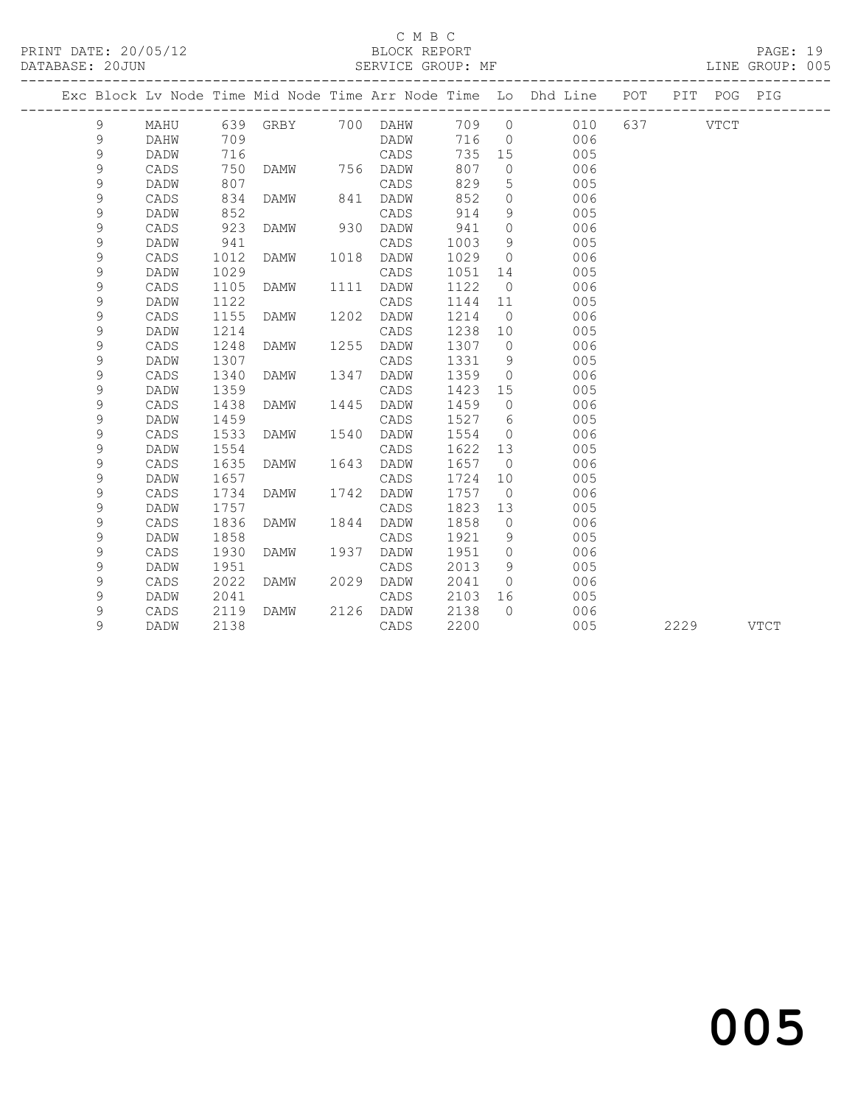### C M B C

|  |               |      |      |                   |      |           |       |                | MF<br>______________________________<br>Exc Block Lv Node Time Mid Node Time Arr Node Time Lo Dhd Line POT PIT POG PIG | -------------------- |          |  |
|--|---------------|------|------|-------------------|------|-----------|-------|----------------|------------------------------------------------------------------------------------------------------------------------|----------------------|----------|--|
|  | 9             | MAHU |      | 639 GRBY 700 DAHW |      |           | 709 0 |                | 010                                                                                                                    |                      | 637 VTCT |  |
|  | 9             | DAHW | 709  |                   |      | DADW      | 716   | $\overline{0}$ | 006                                                                                                                    |                      |          |  |
|  | 9             | DADW | 716  |                   |      | CADS      | 735   | 15             | 005                                                                                                                    |                      |          |  |
|  | 9             | CADS | 750  | DAMW 756 DADW     |      |           | 807   | $\overline{0}$ | 006                                                                                                                    |                      |          |  |
|  | 9             | DADW | 807  |                   |      | CADS      | 829   | 5              | 005                                                                                                                    |                      |          |  |
|  | 9             | CADS | 834  | DAMW              | 841  | DADW      | 852   | $\circ$        | 006                                                                                                                    |                      |          |  |
|  | 9             | DADW | 852  |                   |      | CADS      | 914   | 9              | 005                                                                                                                    |                      |          |  |
|  | 9             | CADS | 923  | DAMW              | 930  | DADW      | 941   | $\circ$        | 006                                                                                                                    |                      |          |  |
|  | 9             | DADW | 941  |                   |      | CADS      | 1003  | 9              | 005                                                                                                                    |                      |          |  |
|  | 9             | CADS | 1012 | DAMW              | 1018 | DADW      | 1029  | $\Omega$       | 006                                                                                                                    |                      |          |  |
|  | 9             | DADW | 1029 |                   |      | CADS      | 1051  | 14             | 005                                                                                                                    |                      |          |  |
|  | 9             | CADS | 1105 | DAMW              | 1111 | DADW      | 1122  | $\overline{0}$ | 006                                                                                                                    |                      |          |  |
|  | 9             | DADW | 1122 |                   |      | CADS      | 1144  | 11             | 005                                                                                                                    |                      |          |  |
|  | 9             | CADS | 1155 | DAMW              | 1202 | DADW      | 1214  | $\overline{0}$ | 006                                                                                                                    |                      |          |  |
|  | 9             | DADW | 1214 |                   |      | CADS      | 1238  | 10             | 005                                                                                                                    |                      |          |  |
|  | 9             | CADS | 1248 | DAMW              | 1255 | DADW      | 1307  | $\Omega$       | 006                                                                                                                    |                      |          |  |
|  | $\mathcal{G}$ | DADW | 1307 |                   |      | CADS      | 1331  | 9              | 005                                                                                                                    |                      |          |  |
|  | 9             | CADS | 1340 | DAMW              | 1347 | DADW      | 1359  | $\circ$        | 006                                                                                                                    |                      |          |  |
|  | 9             | DADW | 1359 |                   |      | CADS      | 1423  | 15             | 005                                                                                                                    |                      |          |  |
|  | 9             | CADS | 1438 | DAMW              | 1445 | DADW      | 1459  | $\circ$        | 006                                                                                                                    |                      |          |  |
|  | 9             | DADW | 1459 |                   |      | CADS      | 1527  | 6              | 005                                                                                                                    |                      |          |  |
|  | 9             | CADS | 1533 | DAMW              | 1540 | DADW      | 1554  | $\circ$        | 006                                                                                                                    |                      |          |  |
|  | 9             | DADW | 1554 |                   |      | CADS      | 1622  | 13             | 005                                                                                                                    |                      |          |  |
|  | 9             | CADS | 1635 | DAMW              | 1643 | DADW      | 1657  | $\overline{0}$ | 006                                                                                                                    |                      |          |  |
|  | 9             | DADW | 1657 |                   |      | CADS      | 1724  | 10             | 005                                                                                                                    |                      |          |  |
|  | $\mathsf 9$   | CADS | 1734 | DAMW              | 1742 | DADW      | 1757  | $\overline{0}$ | 006                                                                                                                    |                      |          |  |
|  | 9             | DADW | 1757 |                   |      | CADS      | 1823  | 13             | 005                                                                                                                    |                      |          |  |
|  | $\mathsf 9$   | CADS | 1836 | DAMW              | 1844 | DADW      | 1858  | $\overline{0}$ | 006                                                                                                                    |                      |          |  |
|  | 9             | DADW | 1858 |                   |      | CADS      | 1921  | 9              | 005                                                                                                                    |                      |          |  |
|  | 9             | CADS | 1930 | DAMW              | 1937 | DADW      | 1951  | $\circ$        | 006                                                                                                                    |                      |          |  |
|  | 9             | DADW | 1951 |                   |      | CADS      | 2013  | 9              | 005                                                                                                                    |                      |          |  |
|  | 9             | CADS | 2022 | DAMW              | 2029 | DADW      | 2041  | $\overline{0}$ | 006                                                                                                                    |                      |          |  |
|  | 9             | DADW | 2041 |                   |      | CADS      | 2103  | 16             | 005                                                                                                                    |                      |          |  |
|  | 9             | CADS | 2119 | <b>DAMW</b>       |      | 2126 DADW | 2138  | $\bigcap$      | 006                                                                                                                    |                      |          |  |

9 DADW 2138 CADS 2200 005 2229 VTCT

# and the contract of  $\sim$  005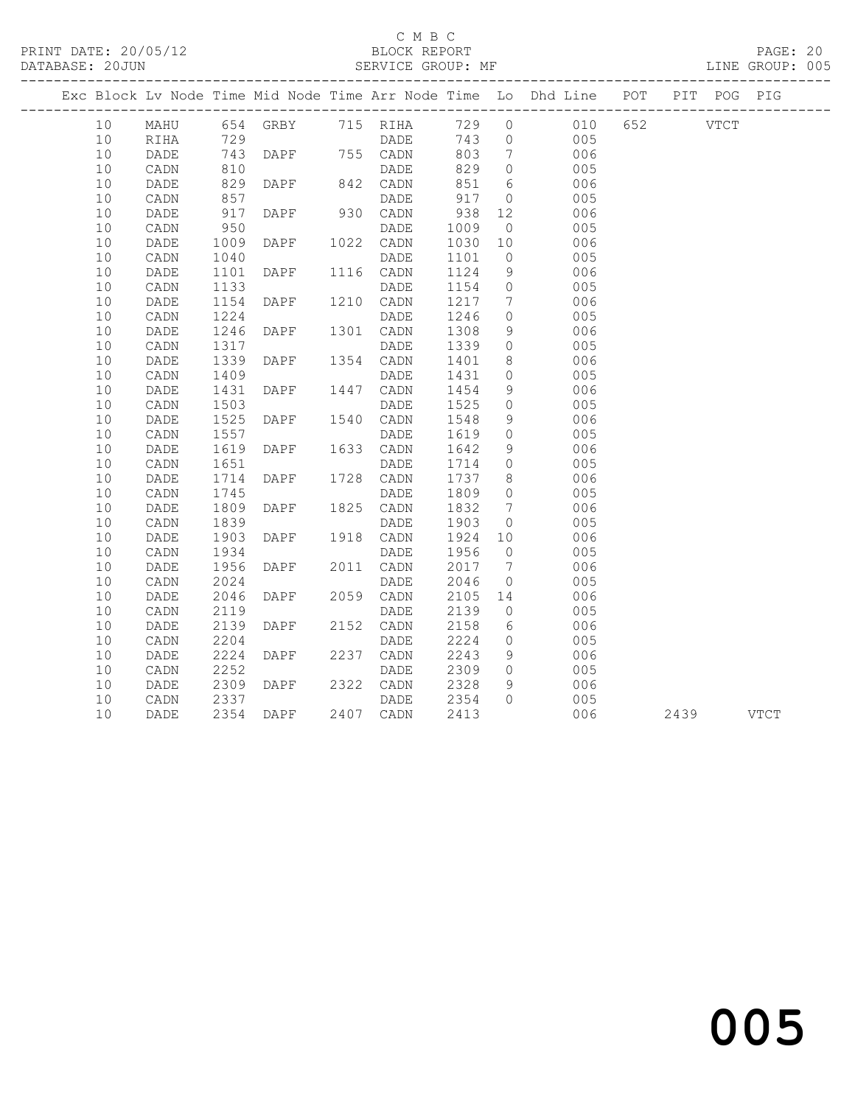## C M B C<br>BLOCK REPORT

### SERVICE GROUP: MF

PRINT DATE: 20/05/12 BLOCK REPORT PAGE: 20

|    |      |                   |                               |                        |                                                                    |                 | Exc Block Lv Node Time Mid Node Time Arr Node Time Lo Dhd Line POT PIT POG PIG |           |  |
|----|------|-------------------|-------------------------------|------------------------|--------------------------------------------------------------------|-----------------|--------------------------------------------------------------------------------|-----------|--|
| 10 |      |                   |                               |                        |                                                                    |                 | MAHU 654 GRBY 715 RIHA 729 0 010 652 VTCT                                      |           |  |
| 10 | RIHA | 729               |                               |                        |                                                                    |                 | DADE 743 0 005                                                                 |           |  |
| 10 | DADE |                   | 743 DAPF 755 CADN<br>810 DADE |                        | 803                                                                | $7\overline{ }$ | $006$<br>$005$                                                                 |           |  |
| 10 | CADN |                   |                               |                        | 829                                                                | $\overline{0}$  |                                                                                |           |  |
| 10 | DADE | 829               | DAPF 842 CADN                 |                        | 851                                                                | 6               | 006                                                                            |           |  |
| 10 | CADN |                   |                               | DADE                   | 917                                                                | $\overline{0}$  | 005                                                                            |           |  |
| 10 | DADE | 857<br>917<br>950 | DAPF 930 CADN                 |                        | $\begin{matrix} 11111111 & 0 \\ 938 & 12 \\ 1009 & 1 \end{matrix}$ |                 | 006                                                                            |           |  |
| 10 | CADN |                   |                               | DADE                   |                                                                    |                 | 005                                                                            |           |  |
| 10 | DADE | 1009              |                               | DAPF 1022 CADN 1030 10 |                                                                    |                 | 006                                                                            |           |  |
| 10 | CADN | 1040              |                               | DADE                   | 1101                                                               | $\overline{0}$  | 005                                                                            |           |  |
| 10 | DADE | 1101              | DAPF 1116 CADN                |                        | 1124                                                               | 9               | 006                                                                            |           |  |
| 10 | CADN | 1133              |                               | DADE                   | 1154                                                               | $\overline{0}$  | 005                                                                            |           |  |
| 10 | DADE | 1154              | DAPF 1210 CADN                |                        | 1217                                                               | $\overline{7}$  | 006                                                                            |           |  |
| 10 | CADN | 1224              |                               | DADE                   | 1246                                                               | $\overline{0}$  | 005                                                                            |           |  |
| 10 | DADE | 1246              | DAPF 1301 CADN                |                        | 1308                                                               | 9               | 006                                                                            |           |  |
| 10 | CADN | 1317              |                               | DADE                   | 1339                                                               | $\overline{0}$  | 005                                                                            |           |  |
| 10 | DADE | 1339<br>1409      | DAPF 1354 CADN                |                        | 1401                                                               | 8 <sup>8</sup>  | 006                                                                            |           |  |
| 10 | CADN |                   |                               | DADE                   | 1431                                                               | $\overline{0}$  | 005                                                                            |           |  |
| 10 | DADE | 1431              | DAPF 1447 CADN                |                        | 1454                                                               | 9               | 006                                                                            |           |  |
| 10 | CADN | 1503              |                               |                        | 1525                                                               | $\overline{0}$  | 005                                                                            |           |  |
| 10 | DADE |                   |                               |                        | 1548                                                               | 9               | 006                                                                            |           |  |
| 10 | CADN | 1557              |                               | DADE                   | 1619                                                               | $\overline{0}$  | 005                                                                            |           |  |
| 10 | DADE | 1619              | DAPF 1633 CADN                |                        | 1642                                                               | 9               | 006                                                                            |           |  |
| 10 | CADN | 1651              |                               | DADE                   | 1714                                                               | $\overline{0}$  | 005                                                                            |           |  |
| 10 | DADE | 1714              | DAPF 1728 CADN                |                        | 1737                                                               | 8 <sup>8</sup>  | 006                                                                            |           |  |
| 10 | CADN | 1745              |                               | DADE                   | 1809                                                               | $\overline{0}$  | 005                                                                            |           |  |
| 10 | DADE | 1809              | DAPF 1825 CADN                |                        | 1832                                                               | $7\overline{ }$ | 006                                                                            |           |  |
| 10 | CADN | 1839              |                               | DADE                   | 1903                                                               | $\overline{0}$  | 005                                                                            |           |  |
| 10 | DADE | 1903              |                               | DAPF 1918 CADN 1924 10 |                                                                    |                 | 006                                                                            |           |  |
| 10 | CADN | 1934              |                               | DADE                   | 1956                                                               | $\overline{0}$  | 005                                                                            |           |  |
| 10 | DADE | 1956              | <b>DAPF</b>                   | 2011 CADN              | 2017 7                                                             |                 | 006                                                                            |           |  |
| 10 | CADN | 2024              |                               | DADE                   | 2046                                                               | $\overline{0}$  | 005                                                                            |           |  |
| 10 | DADE | 2046              | DAPF 2059 CADN                |                        | 2105 14                                                            |                 | 006                                                                            |           |  |
| 10 | CADN |                   | 2119<br>2139 DAPF 2152        | DADE                   | 2139<br>2158                                                       | $\overline{0}$  | 005                                                                            |           |  |
| 10 | DADE |                   |                               | 2152 CADN              |                                                                    | $6\overline{6}$ | 006                                                                            |           |  |
| 10 | CADN | 2204              |                               | DADE                   | 2224                                                               | $\overline{0}$  | 005                                                                            |           |  |
| 10 | DADE | 2224              | DAPF 2237 CADN                |                        | 2243                                                               | 9               | 006                                                                            |           |  |
| 10 | CADN | 2252              |                               | DADE                   | 2309                                                               | $\overline{0}$  | 005                                                                            |           |  |
| 10 | DADE | 2309              | <b>DAPF</b>                   | 2322 CADN 2328         |                                                                    | 9               | 006                                                                            |           |  |
| 10 | CADN | 2337              |                               | DADE                   | $2354$<br>2412                                                     | $\overline{0}$  | 005                                                                            |           |  |
| 10 | DADE |                   | 2354 DAPF                     | 2407 CADN              | 2413                                                               |                 | 006                                                                            | 2439 VTCT |  |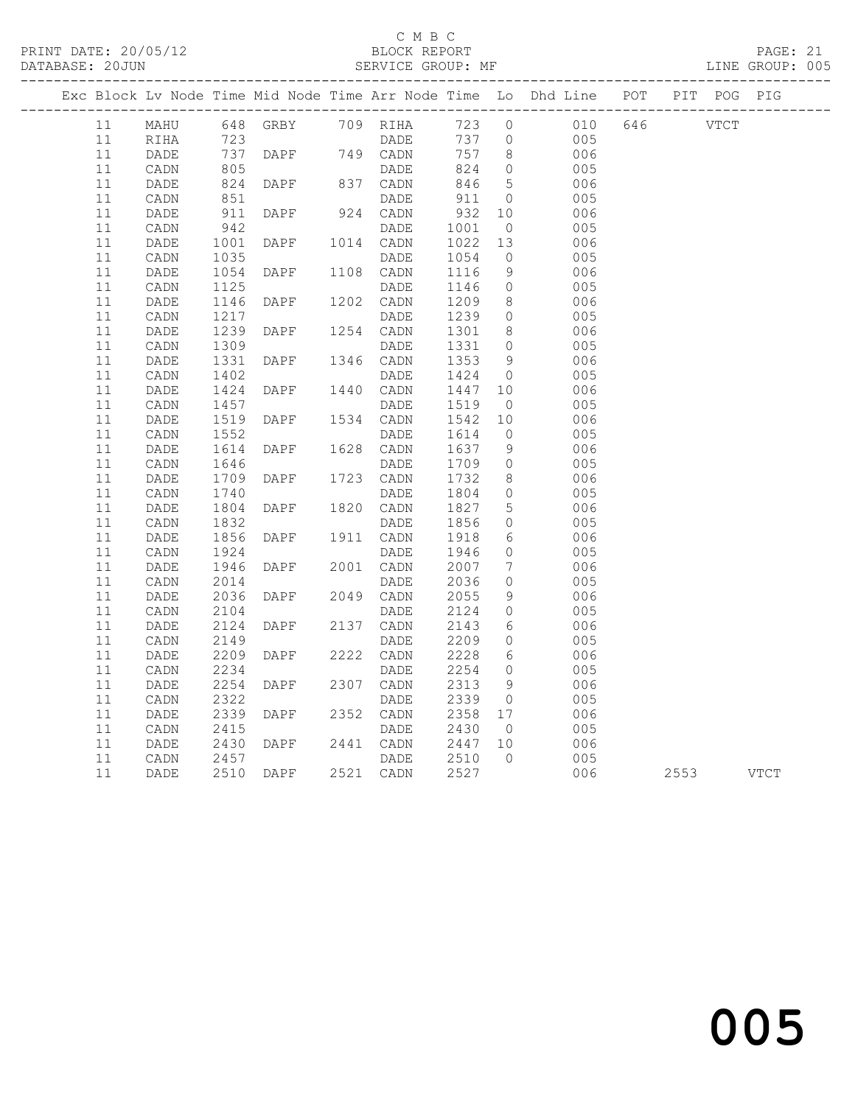### C M B C<br>BLOCK REPORT

### SERVICE GROUP: MF

|          |                 |                                             |                |                   |                      |                                  | Exc Block Lv Node Time Mid Node Time Arr Node Time Lo Dhd Line POT PIT POG PIG |     |             |      |
|----------|-----------------|---------------------------------------------|----------------|-------------------|----------------------|----------------------------------|--------------------------------------------------------------------------------|-----|-------------|------|
| 11       | MAHU            |                                             | 648 GRBY       | 709 RIHA          | 723 0                |                                  | 010                                                                            | 646 | <b>VTCT</b> |      |
| 11       | RIHA            | 723                                         |                | DADE              | 737 0                |                                  | 005                                                                            |     |             |      |
| 11       | DADE            | 737<br>805                                  | DAPF           | 749 CADN          | 757                  | 8 <sup>8</sup>                   | 006                                                                            |     |             |      |
| 11       | CADN            |                                             |                | DADE              | 824                  | $\overline{0}$                   | 005                                                                            |     |             |      |
| 11       | DADE            | 824<br>851                                  | <b>DAPF</b>    | 837 CADN          | 846                  | $5\overline{)}$                  | 006                                                                            |     |             |      |
| 11       | $\mathtt{CADN}$ |                                             |                | DADE              | 911                  | $\overline{0}$                   | 005                                                                            |     |             |      |
| 11       | DADE            | 911                                         | DAPF           | 924 CADN          | 932                  | 10                               | 006                                                                            |     |             |      |
| 11<br>11 | CADN            | 942                                         |                | DADE<br>1014 CADN | 1001                 | $\overline{0}$                   | 005                                                                            |     |             |      |
| 11       | DADE<br>CADN    | 1001<br>1035                                | <b>DAPF</b>    | DADE              | 1022 13<br>1054      | $\overline{0}$                   | 006<br>005                                                                     |     |             |      |
| 11       | DADE            | $\begin{array}{c} 1035 \\ 1054 \end{array}$ | DAPF           | 1108 CADN         | 1116                 | 9                                | 006                                                                            |     |             |      |
| 11       | CADN            | 1125                                        |                | DADE              |                      | $\overline{0}$                   | 005                                                                            |     |             |      |
| 11       | DADE            | 1146                                        | DAPF           | 1202 CADN         | 1146<br>1209<br>1209 | 8 <sup>8</sup>                   | 006                                                                            |     |             |      |
| 11       | $\mathtt{CADN}$ |                                             |                | DADE              | 1239                 | $\overline{0}$                   | 005                                                                            |     |             |      |
| 11       | $\mathtt{DADE}$ | 1217<br>1239                                | DAPF           | 1254 CADN         | 1301 8               |                                  | 006                                                                            |     |             |      |
| 11       | CADN            | 1309                                        |                | DADE              | 1331                 | $\overline{0}$                   | 005                                                                            |     |             |      |
| 11       | DADE            | 1331                                        | DAPF           | 1346 CADN         | 1353                 | 9                                | 006                                                                            |     |             |      |
| 11       | CADN            | 1402                                        |                | DADE              | 1424                 | $\overline{0}$                   | 005                                                                            |     |             |      |
| 11       | DADE            | 1424                                        | DAPF           | 1440 CADN         | 1447 10              |                                  | 006                                                                            |     |             |      |
| 11       | $\mathtt{CADN}$ | $142.$<br>1457                              |                | DADE              | 1519                 | $\overline{0}$                   | 005                                                                            |     |             |      |
| 11       | DADE            | 1519<br>1552                                | DAPF           | 1534 CADN         | 1542                 | 10                               | 006                                                                            |     |             |      |
| 11       | CADN            |                                             |                | DADE              | 1614                 | $\overline{0}$                   | 005                                                                            |     |             |      |
| 11       | DADE            | 1614<br>1646                                | DAPF           | 1628 CADN         | 1637                 | 9                                | 006                                                                            |     |             |      |
| 11       | CADN            | 1646                                        |                | DADE              | 1709                 | $\overline{0}$                   | 005                                                                            |     |             |      |
| 11       | DADE            | 1709                                        | DAPF           | 1723 CADN         | 1732                 | 8 <sup>8</sup>                   | 006                                                                            |     |             |      |
| 11       | $\mathtt{CADN}$ | 1740                                        |                | DADE              | 1804                 | $\overline{0}$                   | 005                                                                            |     |             |      |
| 11       | DADE            | 1804                                        | DAPF           | 1820 CADN         | 1827                 | $5\overline{)}$                  | 006                                                                            |     |             |      |
| 11       | CADN            | 1832<br>1856                                |                | DADE              | 1856                 | $\overline{0}$                   | 005                                                                            |     |             |      |
| 11       | DADE            |                                             | DAPF           | 1911 CADN         | 1918                 | 6                                | 006                                                                            |     |             |      |
| 11<br>11 | CADN<br>DADE    | 1924<br>1946                                | DAPF           | DADE<br>2001 CADN | 1946<br>2007         | $\overline{0}$<br>$\overline{7}$ | 005<br>006                                                                     |     |             |      |
| 11       | CADN            | 2014                                        |                | DADE              | 2036                 | $\circ$                          | 005                                                                            |     |             |      |
| 11       | DADE            | 2036                                        | DAPF           | 2049 CADN         | 2055                 | 9                                | 006                                                                            |     |             |      |
| 11       | CADN            | 2104                                        |                | DADE              | 2124                 | $\overline{0}$                   | 005                                                                            |     |             |      |
| 11       | DADE            | 2124                                        | DAPF           | 2137 CADN         | 2143                 | 6                                | 006                                                                            |     |             |      |
| 11       | CADN            | 2149                                        |                | DADE              | 2209                 | $\overline{0}$                   | 005                                                                            |     |             |      |
| 11       | $\mathtt{DADE}$ | 2209                                        | DAPF           | 2222 CADN         | 2228                 | $6\overline{6}$                  | 006                                                                            |     |             |      |
| 11       | CADN            | 2234                                        |                | DADE              | 2254                 | $\overline{0}$                   | 005                                                                            |     |             |      |
| 11       | DADE            | 2254                                        | DAPF           | 2307 CADN         | 2313                 | 9                                | 006                                                                            |     |             |      |
| 11       | CADN            | 2322                                        |                | DADE              | 2339                 | $\overline{0}$                   | 005                                                                            |     |             |      |
| 11       | DADE            | 2339                                        | DAPF           | 2352 CADN         | 2358 17<br>2430 0    |                                  | 006                                                                            |     |             |      |
| 11       | CADN            | 2415                                        |                | DADE              |                      |                                  | 005                                                                            |     |             |      |
| 11       | DADE            | 2430<br>2457                                | DAPF           | 2441 CADN         | 2447 10<br>2510 0    |                                  | 006                                                                            |     |             |      |
| 11       | CADN            |                                             |                | DADE              |                      |                                  | 005                                                                            |     |             |      |
| 11       | DADE            | 2510                                        | DAPF 2521 CADN |                   | 2527                 |                                  | 006                                                                            |     | 2553        | VTCT |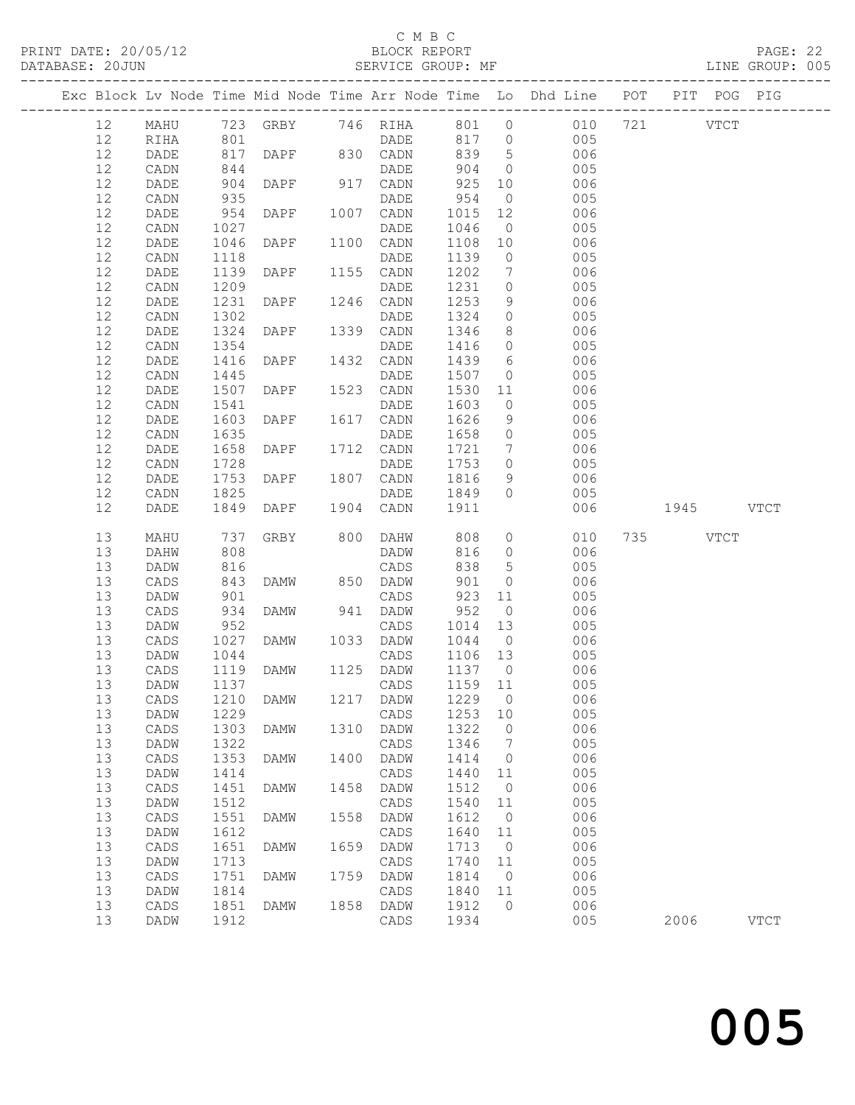### C M B C<br>BLOCK REPORT

### SERVICE GROUP: MF

|          |                   |              |               |      |                  |                |                 | Exc Block Lv Node Time Mid Node Time Arr Node Time Lo Dhd Line POT PIT POG PIG |           |             |
|----------|-------------------|--------------|---------------|------|------------------|----------------|-----------------|--------------------------------------------------------------------------------|-----------|-------------|
| 12       | MAHU              |              |               |      |                  |                |                 | 723 GRBY 746 RIHA 801 0 010 721 VTCT                                           |           |             |
| 12       | RIHA              |              |               |      | DADE             | 817 0<br>839 5 |                 |                                                                                |           |             |
| 12       | DADE              | $801$ $817$  | DAPF 830 CADN |      |                  | 839            | 5 <sup>5</sup>  | $\begin{array}{c} 005 \\ 006 \end{array}$                                      |           |             |
| 12       | CADN              | 844          |               |      | DADE             | 904            | $\overline{0}$  | 005                                                                            |           |             |
| 12       | DADE              | 904          | DAPF 917 CADN |      |                  | 925            | 10              | 006                                                                            |           |             |
| 12       | CADN              |              |               |      | DADE             | 954            | $\overline{0}$  | 005                                                                            |           |             |
| 12       | DADE              | 935<br>954   | DAPF          |      | 1007 CADN        | 1015           | 12              | 006                                                                            |           |             |
| 12       | CADN              | 1027         |               |      | DADE             | 1046           |                 | $\overline{0}$<br>005                                                          |           |             |
| 12       | DADE              | 1046         | DAPF          |      | 1100 CADN        | 1108           | 10              | 006                                                                            |           |             |
| 12       | CADN              | 1118         |               |      | DADE             | 1139           | $\overline{0}$  | 005                                                                            |           |             |
| 12       | DADE              | 1139         | DAPF          |      | 1155 CADN        | 1202           | $7\overline{ }$ | 006                                                                            |           |             |
| 12       | CADN              | 1209         |               |      | DADE             | 1231           | $\overline{0}$  | 005                                                                            |           |             |
| 12       | DADE              | 1231         | DAPF          |      | 1246 CADN        | 1253           | 9               | 006                                                                            |           |             |
| 12       | $\mathtt{CADN}$   | 1302         |               |      | DADE             | 1324           | $\overline{0}$  | 005                                                                            |           |             |
| 12       | DADE              | 1324         | DAPF          |      | 1339 CADN        | 1346           | 8 <sup>8</sup>  | 006                                                                            |           |             |
| 12       | CADN              | 1354         |               |      | DADE             | 1416           | $\overline{0}$  | 005                                                                            |           |             |
| 12       | DADE              | 1416         | DAPF          |      | 1432 CADN        | 1439           | $6\overline{6}$ | 006                                                                            |           |             |
| 12       | CADN              | 1445         |               |      | DADE             | 1507           | $\overline{0}$  | 005                                                                            |           |             |
| 12       | DADE              | 1507         | DAPF          |      | 1523 CADN        | 1530 11        |                 | 006                                                                            |           |             |
| 12       | CADN              | 1541         |               |      | DADE             | 1603           | $\overline{0}$  | 005                                                                            |           |             |
| 12       | DADE              | 1603         | DAPF          |      | 1617 CADN        | 1626           | 9               | 006                                                                            |           |             |
| 12       | CADN              | 1635         |               |      | DADE             | 1658           | $\overline{0}$  | 005                                                                            |           |             |
| 12       | DADE              | 1658         | DAPF          |      | 1712 CADN        | 1721           | $7\overline{ }$ | 006                                                                            |           |             |
| 12       | CADN              | 1728         |               |      | DADE             | 1753           | $\overline{0}$  | 005                                                                            |           |             |
| 12       | DADE              | 1753         | DAPF          |      | 1807 CADN        | 1816           | 9               | 006                                                                            |           |             |
| 12       | CADN              | 1825         |               |      | DADE             | 1849           | $\overline{0}$  | 005                                                                            |           |             |
| 12       | DADE              | 1849         | DAPF          |      | 1904 CADN        | 1911           |                 | 006                                                                            | 1945 VTCT |             |
| 13       | MAHU              | 737          | GRBY 800 DAHW |      |                  | 808            |                 | $\overline{0}$<br>010                                                          | 735 VTCT  |             |
| 13       | DAHW              | 808          |               |      | DADW             | 816            | $\overline{O}$  | 006                                                                            |           |             |
| 13       | DADW              | 816          |               |      | CADS             | 838            | 5 <sup>5</sup>  | 005                                                                            |           |             |
| 13       | CADS              | 843          | <b>DAMW</b>   |      | 850 DADW         | 901            | $\overline{0}$  | 006                                                                            |           |             |
| 13       | DADW              | 901          |               |      | CADS             | 923            | 11              | 005                                                                            |           |             |
| 13       | CADS              | 934          | DAMW          |      | 941 DADW         | 952            | $\overline{0}$  | 006                                                                            |           |             |
| 13       | DADW              | 952<br>1027  |               |      | CADS             | 1014           | 13              | 005                                                                            |           |             |
| 13       | CADS              |              | DAMW          |      | 1033 DADW        | 1044 0         |                 | 006                                                                            |           |             |
| 13       | DADW              | 1044         |               |      | CADS             | 1106 13        |                 | 005                                                                            |           |             |
| 13       | CADS              | 1119         | DAMW          |      | 1125 DADW        | 1137 0         |                 | 006                                                                            |           |             |
| 13       | DADW              | 1137         |               |      | CADS             | 1159 11        |                 | 005                                                                            |           |             |
|          | 13 CADS 1210 DAMW |              |               |      | 1217 DADW 1229 0 |                |                 | 006                                                                            |           |             |
| 13       | DADW              | 1229         |               |      | CADS             | 1253           | 10              | 005                                                                            |           |             |
| 13       | CADS              | 1303         | DAMW          | 1310 | DADW             | 1322           | 0               | 006                                                                            |           |             |
|          |                   |              |               |      | CADS             | 1346           | 7               | 005                                                                            |           |             |
| 13       | DADW              | 1322         |               |      |                  |                |                 |                                                                                |           |             |
| 13       | CADS              | 1353         | DAMW          | 1400 | DADW             | 1414           | $\circ$         | 006                                                                            |           |             |
| 13       | DADW              | 1414         |               |      | $\mathtt{CADS}$  | 1440           | 11              | 005                                                                            |           |             |
| 13       | CADS              | 1451         | DAMW          | 1458 | DADW             | 1512           | $\circ$         | 006                                                                            |           |             |
| 13       | DADW              | 1512         |               |      | CADS             | 1540           | 11              | 005                                                                            |           |             |
| 13       | CADS              | 1551         | <b>DAMW</b>   | 1558 | DADW             | 1612           | $\overline{0}$  | 006                                                                            |           |             |
| 13       | DADW              | 1612         |               |      | CADS             | 1640           | 11              | 005                                                                            |           |             |
| 13       | CADS              | 1651         | DAMW          | 1659 | DADW             | 1713           | $\overline{0}$  | 006                                                                            |           |             |
| 13       | DADW              | 1713         |               |      | CADS             | 1740           | 11              | 005                                                                            |           |             |
| 13       | CADS              | 1751         | DAMW          | 1759 | DADW             | 1814           | $\overline{0}$  | 006                                                                            |           |             |
| 13       | DADW              | 1814         |               |      | CADS             | 1840           | 11              | 005                                                                            |           |             |
| 13<br>13 | CADS<br>DADW      | 1851<br>1912 | DAMW          | 1858 | DADW<br>CADS     | 1912<br>1934   | $\mathbf{0}$    | 006<br>005                                                                     | 2006      | <b>VTCT</b> |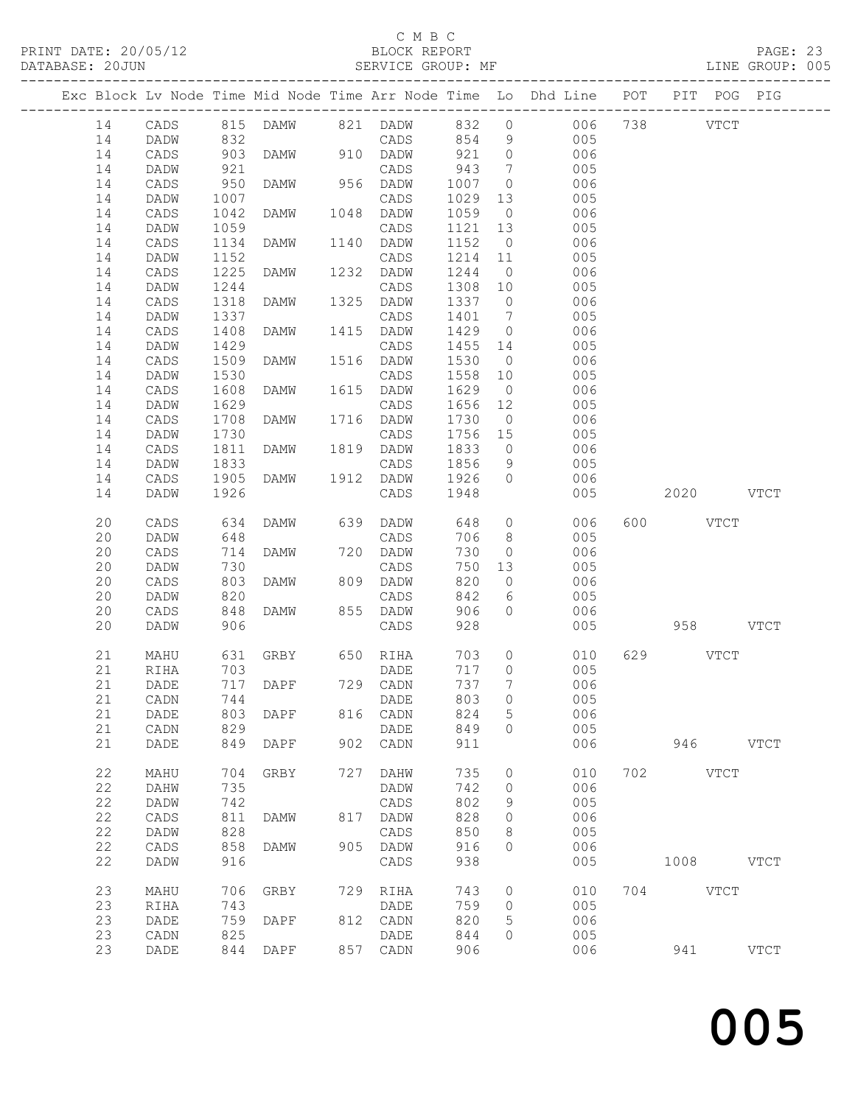## C M B C<br>BLOCK REPORT

PRINT DATE: 20/05/12 BLOCK REPORT PAGE: 23

|    |         |                 |      |                   |     |                              |         |                 | Exc Block Lv Node Time Mid Node Time Arr Node Time Lo Dhd Line POT PIT POG PIG |             |          |             |
|----|---------|-----------------|------|-------------------|-----|------------------------------|---------|-----------------|--------------------------------------------------------------------------------|-------------|----------|-------------|
| 14 |         |                 |      |                   |     | CADS 815 DAMW 821 DADW 832 0 |         |                 | 006 738 VTCT                                                                   |             |          |             |
| 14 |         | DADW            | 832  |                   |     | CADS 854 9                   |         |                 | 005                                                                            |             |          |             |
| 14 |         | CADS            | 903  | DAMW              |     | 910 DADW                     | 921 0   |                 | 006                                                                            |             |          |             |
| 14 |         | DADW            | 921  |                   |     | CADS                         | 943     | $\overline{7}$  | 005                                                                            |             |          |             |
| 14 |         | CADS            | 950  | DAMW              |     | 956 DADW                     | 1007    | $\overline{0}$  | 006                                                                            |             |          |             |
| 14 |         | DADW            | 1007 |                   |     | CADS                         | 1029    | 13              | 005                                                                            |             |          |             |
| 14 |         | CADS            | 1042 | DAMW              |     | 1048 DADW                    | 1059    | $\overline{0}$  | 006                                                                            |             |          |             |
| 14 |         | DADW            | 1059 |                   |     | CADS                         | 1121 13 |                 | 005                                                                            |             |          |             |
| 14 |         | CADS            | 1134 | DAMW              |     | 1140 DADW                    | 1152 0  |                 | 006                                                                            |             |          |             |
| 14 |         | DADW            | 1152 |                   |     | CADS                         | 1214 11 |                 | 005                                                                            |             |          |             |
| 14 |         | CADS            | 1225 | DAMW              |     | 1232 DADW                    | 1244    | $\overline{0}$  | 006                                                                            |             |          |             |
| 14 |         | DADW            | 1244 |                   |     | CADS                         | 1308 10 |                 | 005                                                                            |             |          |             |
| 14 |         | CADS            | 1318 | DAMW              |     | 1325 DADW                    | 1337 0  |                 | 006                                                                            |             |          |             |
| 14 |         | DADW            | 1337 |                   |     | CADS                         | 1401    | $7\overline{ }$ | 005                                                                            |             |          |             |
| 14 |         | CADS            | 1408 | DAMW              |     | 1415 DADW                    | 1429    | $\overline{0}$  | 006                                                                            |             |          |             |
| 14 |         | DADW            | 1429 |                   |     | CADS                         | 1455 14 |                 | 005                                                                            |             |          |             |
| 14 |         | CADS            | 1509 | DAMW              |     | 1516 DADW                    | 1530    | $\overline{0}$  | 006                                                                            |             |          |             |
| 14 |         | DADW            | 1530 |                   |     | CADS                         | 1558 10 |                 | 005                                                                            |             |          |             |
| 14 |         | CADS            | 1608 | DAMW              |     | 1615 DADW                    | 1629    | $\overline{0}$  | 006                                                                            |             |          |             |
| 14 |         | DADW            | 1629 |                   |     | CADS                         | 1656 12 |                 | 005                                                                            |             |          |             |
| 14 |         | $\mathtt{CADS}$ | 1708 | DAMW              |     | 1716 DADW                    | 1730    | $\overline{0}$  | 006                                                                            |             |          |             |
| 14 |         | DADW            | 1730 |                   |     | CADS                         | 1756 15 |                 | 005                                                                            |             |          |             |
| 14 |         | CADS            | 1811 | DAMW              |     | 1819 DADW                    | 1833    | $\overline{0}$  | 006                                                                            |             |          |             |
| 14 |         | DADW            | 1833 |                   |     | CADS                         | 1856    | 9               | 005                                                                            |             |          |             |
| 14 |         | CADS            | 1905 | DAMW              |     | 1912 DADW                    | 1926    | $\overline{0}$  | 006                                                                            |             |          |             |
| 14 |         | DADW            | 1926 |                   |     | CADS                         | 1948    |                 | 005                                                                            | 2020 VTCT   |          |             |
| 20 |         | CADS            | 634  | DAMW              |     | 639 DADW                     | 648     |                 | $\overline{0}$<br>006                                                          | 600 VTCT    |          |             |
| 20 |         | DADW            | 648  |                   |     | CADS                         | 706     | 8 <sup>8</sup>  | 005                                                                            |             |          |             |
| 20 |         | $\mathtt{CADS}$ | 714  | DAMW              |     | 720 DADW                     | 730     | $\overline{0}$  | 006                                                                            |             |          |             |
| 20 |         | DADW            | 730  |                   |     | CADS                         | 750     | 13              | 005                                                                            |             |          |             |
| 20 |         | CADS            | 803  | DAMW              |     | 809 DADW                     | 820     | $\overline{0}$  | 006                                                                            |             |          |             |
| 20 |         | DADW            | 820  |                   |     | CADS                         | 842     | 6               | 005                                                                            |             |          |             |
| 20 |         | CADS            | 848  | DAMW              |     | 855 DADW                     | 906     | $\circ$         | 006                                                                            |             |          |             |
| 20 |         | DADW            | 906  |                   |     | CADS                         | 928     |                 | 005                                                                            |             | 958 VTCT |             |
|    |         |                 |      |                   |     |                              |         |                 |                                                                                |             |          |             |
| 21 |         | MAHU            |      | 631 GRBY 650 RIHA |     |                              | 703     | $\overline{0}$  | 010                                                                            | 629 VTCT    |          |             |
| 21 |         | RIHA            | 703  |                   |     | DADE                         | 717     | $\overline{0}$  | 005                                                                            |             |          |             |
| 21 |         | DADE            |      | 717 DAPF          |     | 729 CADN                     | 737     | $7\phantom{.0}$ | 006                                                                            |             |          |             |
|    | 21 CADN |                 |      | 744 DADE          |     |                              |         | 803 0           | 005                                                                            |             |          |             |
| 21 |         | DADE            | 803  | DAPF              | 816 | CADN                         | 824     | 5               | 006                                                                            |             |          |             |
| 21 |         | CADN            | 829  |                   |     | DADE                         | 849     | $\circ$         | 005                                                                            |             |          |             |
| 21 |         | DADE            | 849  | DAPF              | 902 | CADN                         | 911     |                 | 006                                                                            | 946   10    |          | <b>VTCT</b> |
| 22 |         | MAHU            | 704  | GRBY              | 727 | DAHW                         | 735     | 0               | 010                                                                            | 702 VTCT    |          |             |
| 22 |         | DAHW            | 735  |                   |     | DADW                         | 742     | $\circ$         | 006                                                                            |             |          |             |
| 22 |         | DADW            | 742  |                   |     | CADS                         | 802     | 9               | 005                                                                            |             |          |             |
| 22 |         | CADS            | 811  | DAMW              |     | 817 DADW                     | 828     | 0               | 006                                                                            |             |          |             |
| 22 |         | DADW            | 828  |                   |     | CADS                         | 850     | 8               | 005                                                                            |             |          |             |
| 22 |         | CADS            | 858  | <b>DAMW</b>       |     | 905 DADW                     | 916     | $\Omega$        | 006                                                                            |             |          |             |
| 22 |         | DADW            | 916  |                   |     | $\mathtt{CADS}$              | 938     |                 | 005                                                                            | $1008$ VTCT |          |             |
|    |         |                 |      |                   |     |                              |         |                 |                                                                                |             |          |             |
| 23 |         | MAHU            | 706  | GRBY              | 729 | RIHA                         | 743     | $\circ$         | 010                                                                            | 704 VTCT    |          |             |
| 23 |         | RIHA            | 743  |                   |     | DADE                         | 759     | $\circ$         | 005                                                                            |             |          |             |
| 23 |         | DADE            | 759  | DAPF              |     | 812 CADN                     | 820     | 5               | 006                                                                            |             |          |             |
| 23 |         | CADN            | 825  | 844 DAPF          |     | DADE                         | 844     | 0               | 005                                                                            |             |          |             |
| 23 |         | DADE            |      |                   |     | 857 CADN                     | 906     |                 | 006                                                                            | 941         |          | <b>VTCT</b> |
|    |         |                 |      |                   |     |                              |         |                 |                                                                                |             |          |             |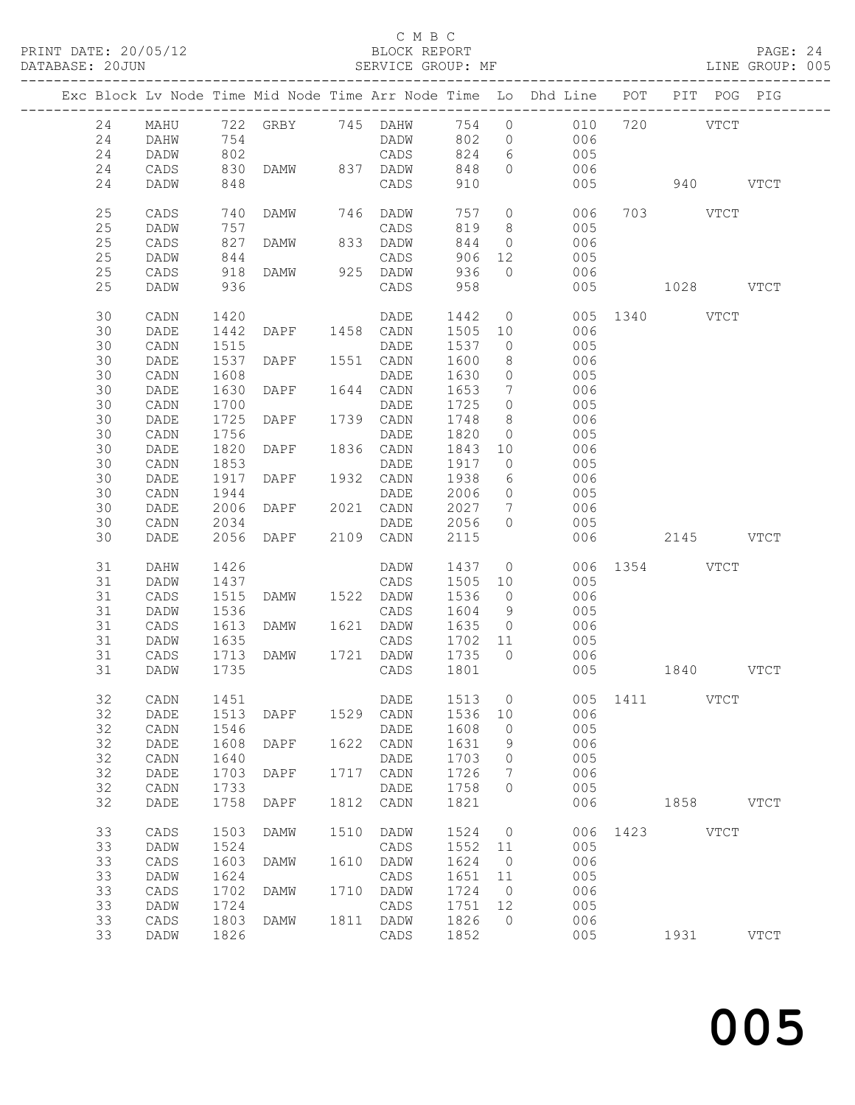# C M B C<br>BLOCK REPORT<br>SERVICE GROUP: MF

| PRINT DATE: 20/05/12<br>DATABASE: 20JUN |    |      |      |                |      | C M B C           |         |                 | 12 BLOCK REPORT PAGE: 24<br>SERVICE GROUP: MF LINE GROUP: 005                     |           |      |      |               |  |
|-----------------------------------------|----|------|------|----------------|------|-------------------|---------|-----------------|-----------------------------------------------------------------------------------|-----------|------|------|---------------|--|
|                                         |    |      |      |                |      |                   |         |                 | Exc Block Lv Node Time Mid Node Time Arr Node Time Lo Dhd Line POT PIT POG PIG    |           |      |      |               |  |
|                                         | 24 | MAHU |      |                |      | 722 GRBY 745 DAHW | 754     |                 | $0\qquad \qquad 010\qquad 720\qquad \qquad \text{VTCT}$                           |           |      |      |               |  |
|                                         | 24 | DAHW | 754  |                |      | DADW              |         |                 |                                                                                   |           |      |      |               |  |
|                                         | 24 | DADW | 802  |                |      | CADS              |         |                 | $\begin{array}{cccc} 802 & 0 & 006 \\ 824 & 6 & 005 \\ 848 & 0 & 006 \end{array}$ |           |      |      |               |  |
|                                         | 24 | CADS | 830  |                |      | DAMW 837 DADW     |         |                 |                                                                                   |           |      |      |               |  |
|                                         | 24 | DADW | 848  |                |      | CADS              | 910     |                 | 005                                                                               | 940 VTCT  |      |      |               |  |
|                                         | 25 | CADS | 740  | DAMW 746 DADW  |      |                   | 757     |                 | 0 006 703 VTCT                                                                    |           |      |      |               |  |
|                                         | 25 | DADW | 757  |                |      | CADS              | 819     |                 | 8 005                                                                             |           |      |      |               |  |
|                                         | 25 | CADS | 827  |                |      | 833 DADW          | 844     |                 | $0$ 006                                                                           |           |      |      |               |  |
|                                         | 25 |      | 844  | DAMW           |      |                   | 906     |                 |                                                                                   |           |      |      |               |  |
|                                         |    | DADW |      |                |      |                   |         |                 | 12 005                                                                            |           |      |      |               |  |
|                                         | 25 | CADS | 918  |                |      |                   | 936     | $\overline{0}$  | 006                                                                               |           |      |      |               |  |
|                                         | 25 | DADW | 936  |                |      | CADS              | 958     |                 | 005                                                                               | 1028 VTCT |      |      |               |  |
|                                         | 30 | CADN | 1420 |                |      | DADE              | 1442    |                 | 0 005 1340 VTCT                                                                   |           |      |      |               |  |
|                                         | 30 | DADE | 1442 | DAPF 1458 CADN |      |                   | 1505    | 10              | 006                                                                               |           |      |      |               |  |
|                                         | 30 | CADN | 1515 |                |      | DADE              | 1537    | $\overline{0}$  | 005                                                                               |           |      |      |               |  |
|                                         | 30 | DADE | 1537 | DAPF 1551 CADN |      |                   | 1600    |                 | 8 006                                                                             |           |      |      |               |  |
|                                         | 30 | CADN | 1608 |                |      | DADE              | 1630    | $\circ$         | 005                                                                               |           |      |      |               |  |
|                                         | 30 | DADE | 1630 | DAPF 1644 CADN |      |                   | 1653    | $7\overline{ }$ |                                                                                   |           |      |      |               |  |
|                                         | 30 | CADN | 1700 |                |      | DADE              | 1725    | $\overline{0}$  | $\begin{array}{c} 006 \\ 005 \end{array}$                                         |           |      |      |               |  |
|                                         | 30 | DADE | 1725 | DAPF 1739 CADN |      |                   | 1748    |                 | 8 006                                                                             |           |      |      |               |  |
|                                         | 30 | CADN | 1756 |                |      | DADE              | 1820    |                 | $0$ 005                                                                           |           |      |      |               |  |
|                                         | 30 | DADE | 1820 | DAPF 1836 CADN |      |                   | 1843    |                 |                                                                                   |           |      |      |               |  |
|                                         | 30 | CADN | 1853 |                |      | DADE              | 1917    |                 | $\begin{array}{ccc} 10 & \quad & 006 \\ 0 & \quad & 005 \end{array}$              |           |      |      |               |  |
|                                         | 30 | DADE | 1917 | DAPF 1932 CADN |      |                   | 1938    |                 | $\begin{array}{ccc}\n6 & 006 \\ \end{array}$                                      |           |      |      |               |  |
|                                         | 30 | CADN | 1944 |                |      | DADE              | 2006    |                 | $0$ 005                                                                           |           |      |      |               |  |
|                                         | 30 | DADE | 2006 | DAPF 2021 CADN |      |                   | 2027    |                 |                                                                                   |           |      |      |               |  |
|                                         | 30 | CADN | 2034 |                |      | DADE              | 2056    | $\circ$         | 7 006<br>005                                                                      |           |      |      |               |  |
|                                         | 30 | DADE | 2056 | DAPF           |      | 2109 CADN         | 2115    |                 | 006                                                                               | 2145 VTCT |      |      |               |  |
|                                         |    |      |      |                |      |                   |         |                 |                                                                                   |           |      |      |               |  |
|                                         | 31 | DAHW | 1426 |                |      | DADW              | 1437    |                 | 0 006 1354 VTCT                                                                   |           |      |      |               |  |
|                                         | 31 | DADW | 1437 |                |      | CADS              | 1505    | 10              | 005                                                                               |           |      |      |               |  |
|                                         | 31 | CADS | 1515 | DAMW 1522 DADW |      |                   | 1536    |                 | $0$ 006                                                                           |           |      |      |               |  |
|                                         | 31 | DADW | 1536 |                |      | CADS              | 1604    | 9               | 005                                                                               |           |      |      |               |  |
|                                         | 31 | CADS | 1613 | DAMW 1621 DADW |      |                   |         |                 | 1635 0 006                                                                        |           |      |      |               |  |
|                                         | 31 | DADW | 1635 |                |      | CADS              | 1702 11 |                 | 005                                                                               |           |      |      |               |  |
|                                         | 31 | CADS | 1713 | DAMW           | 1721 | DADW              | 1735    | $\circ$         | 006                                                                               |           |      |      |               |  |
|                                         | 31 | DADW | 1735 |                |      | CADS              | 1801    |                 | 005                                                                               |           | 1840 |      | <b>VTCT</b>   |  |
|                                         |    |      |      |                |      |                   |         |                 |                                                                                   |           |      |      |               |  |
|                                         | 32 | CADN | 1451 |                |      | DADE              | 1513    | $\circ$         | 005                                                                               | 1411      |      | VTCT |               |  |
|                                         | 32 | DADE | 1513 | DAPF           | 1529 | CADN              | 1536    | 10              | 006                                                                               |           |      |      |               |  |
|                                         | 32 | CADN | 1546 |                |      | DADE              | 1608    | $\circ$         | 005                                                                               |           |      |      |               |  |
|                                         | 32 | DADE | 1608 | DAPF           | 1622 | CADN              | 1631    | 9               | 006                                                                               |           |      |      |               |  |
|                                         | 32 | CADN | 1640 |                |      | DADE              | 1703    | $\mathbb O$     | 005                                                                               |           |      |      |               |  |
|                                         | 32 | DADE | 1703 | DAPF           | 1717 | CADN              | 1726    | 7               | 006                                                                               |           |      |      |               |  |
|                                         | 32 | CADN | 1733 |                |      | DADE              | 1758    | $\mathbf{0}$    | 005                                                                               |           |      |      |               |  |
|                                         | 32 | DADE | 1758 | DAPF           | 1812 | CADN              | 1821    |                 | 006                                                                               |           | 1858 |      | <b>VTCT</b>   |  |
|                                         | 33 | CADS | 1503 | DAMW           | 1510 | DADW              | 1524    | $\circ$         | 006                                                                               | 1423      |      | VTCT |               |  |
|                                         | 33 | DADW | 1524 |                |      | CADS              | 1552    | 11              | 005                                                                               |           |      |      |               |  |
|                                         | 33 | CADS | 1603 | DAMW           | 1610 | DADW              | 1624    | $\circ$         | 006                                                                               |           |      |      |               |  |
|                                         | 33 | DADW | 1624 |                |      | CADS              | 1651    | 11              | 005                                                                               |           |      |      |               |  |
|                                         | 33 | CADS | 1702 | DAMW           | 1710 | DADW              | 1724    | $\circ$         | 006                                                                               |           |      |      |               |  |
|                                         | 33 | DADW | 1724 |                |      | CADS              | 1751    | 12              | 005                                                                               |           |      |      |               |  |
|                                         | 33 | CADS | 1803 | DAMW           | 1811 | DADW              | 1826    | $\circ$         | 006                                                                               |           |      |      |               |  |
|                                         | 33 | DADW | 1826 |                |      | CADS              | 1852    |                 | 005                                                                               |           | 1931 |      | $_{\rm VTCT}$ |  |
|                                         |    |      |      |                |      |                   |         |                 |                                                                                   |           |      |      |               |  |

and the contract of  $\sim$  005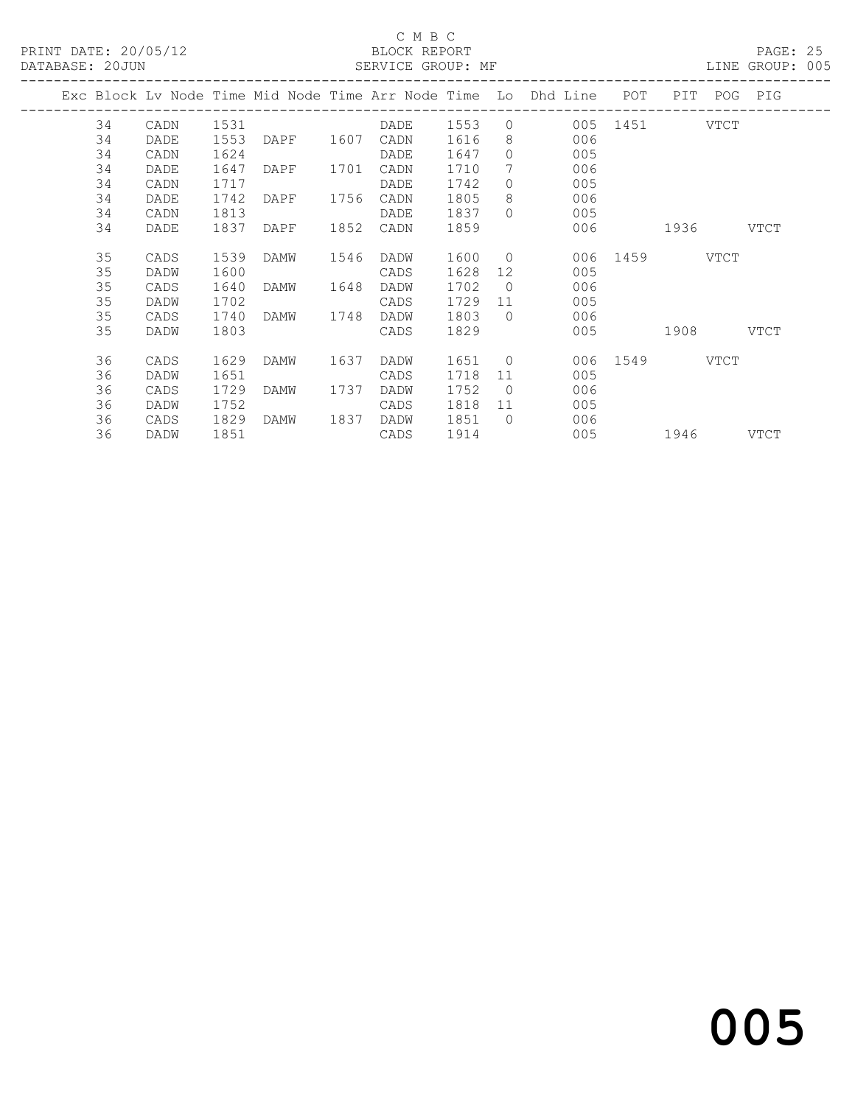## C M B C<br>BLOCK REPORT

PAGE: 25<br>LINE GROUP: 005

|    |      |      |                |      | PHILATOM OROGI. FIL |        |                |                                                                    |               |             |         |
|----|------|------|----------------|------|---------------------|--------|----------------|--------------------------------------------------------------------|---------------|-------------|---------|
|    |      |      |                |      |                     |        |                | Exc Block Lv Node Time Mid Node Time Arr Node Time Lo Dhd Line POT |               | PIT         | POG PIG |
| 34 | CADN | 1531 |                |      | DADE 1553           |        |                | $\overline{0}$                                                     | 005 1451 VTCT |             |         |
| 34 | DADE | 1553 | DAPF 1607 CADN |      |                     | 1616   | 8              | 006                                                                |               |             |         |
| 34 | CADN | 1624 |                |      | DADE                | 1647   | $\Omega$       | 005                                                                |               |             |         |
| 34 | DADE | 1647 | DAPF           | 1701 | CADN                | 1710   | 7              | 006                                                                |               |             |         |
| 34 | CADN | 1717 |                |      | DADE                | 1742   | $\Omega$       | 005                                                                |               |             |         |
| 34 | DADE | 1742 | DAPF           |      | 1756 CADN           | 1805   | 8              | 006                                                                |               |             |         |
| 34 | CADN | 1813 |                |      | DADE                | 1837   | $\bigcap$      | 005                                                                |               |             |         |
| 34 | DADE | 1837 | DAPF           |      | 1852 CADN           | 1859   |                | 006                                                                |               | 1936 - VTCT |         |
| 35 | CADS | 1539 | DAMW           | 1546 | DADW                | 1600 0 |                |                                                                    | 006 1459 VTCT |             |         |
| 35 | DADW | 1600 |                |      | CADS                | 1628   | 12             | 005                                                                |               |             |         |
| 35 | CADS | 1640 | DAMW           | 1648 | DADW                | 1702   | $\bigcirc$     | 006                                                                |               |             |         |
| 35 | DADW | 1702 |                |      | CADS                | 1729   | 11             | 005                                                                |               |             |         |
| 35 | CADS | 1740 | DAMW           | 1748 | DADW                | 1803   | $\bigcap$      | 006                                                                |               |             |         |
| 35 | DADW | 1803 |                |      | CADS                | 1829   |                |                                                                    | 005 — 100     | 1908 VTCT   |         |
| 36 | CADS | 1629 | DAMW           | 1637 | DADW                | 1651   | $\overline{0}$ |                                                                    | 006 1549 VTCT |             |         |
| 36 | DADW | 1651 |                |      | CADS                | 1718   | 11             | 005                                                                |               |             |         |
| 36 | CADS | 1729 | DAMW           | 1737 | DADW                | 1752   | $\overline{0}$ | 006                                                                |               |             |         |
| 36 | DADW | 1752 |                |      | CADS                | 1818   |                | 005                                                                |               |             |         |
| 36 | CADS | 1829 | DAMW           | 1837 | DADW                | 1851   | $\bigcap$      | 006                                                                |               |             |         |
| 36 | DADW | 1851 |                |      | CADS                | 1914   |                | 005 1946 VTCT                                                      |               |             |         |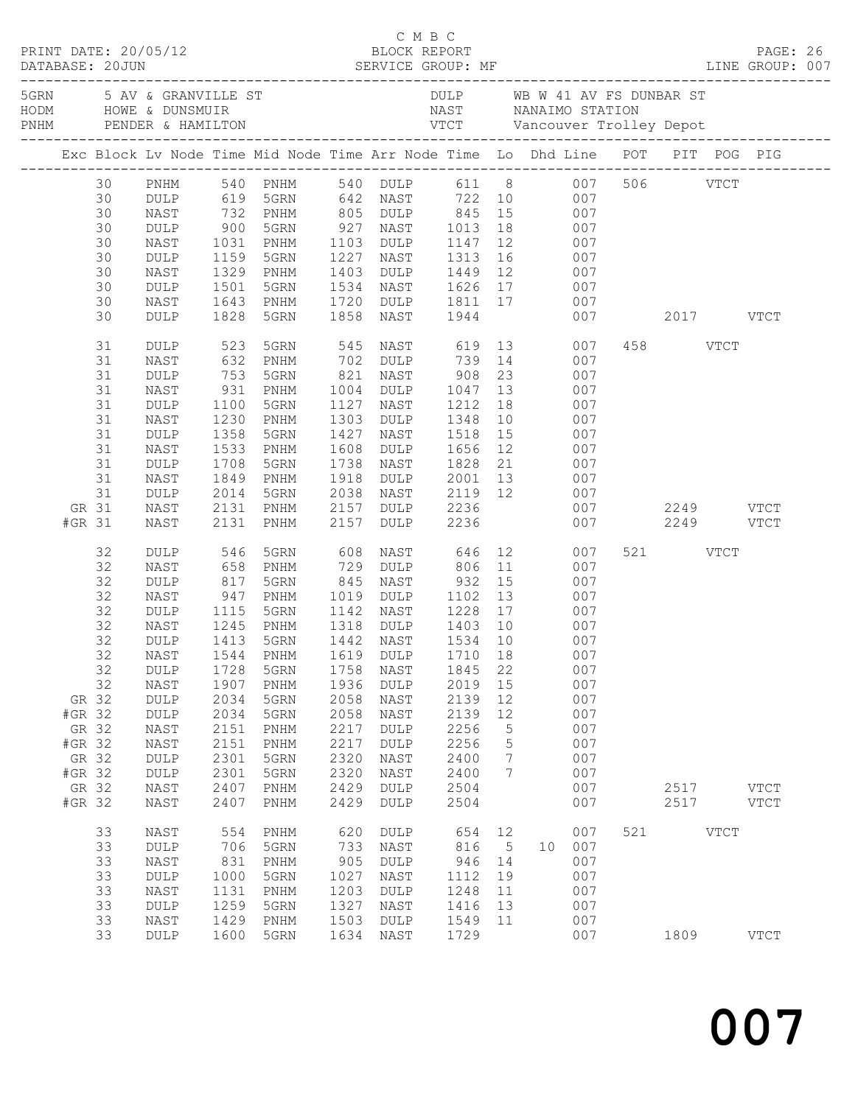|                                                                          |                                                                                                          |                                                                                                                                                                    |                                                                                                                            |                                                                                                                                                                                  |                                                                                                                   |                                                                                                                                                                                |                                                                                                                 |                                                          | C M B C<br>PRINT DATE: 20/05/12<br>DATABASE: 20JUN SERVICE GROUP: MF LINE GROUP: 007<br>DATABASE: 20JUN SERVICE GROUP: MF LINE GROUP: 007                                                                |                         |                          |             |                            |  |
|--------------------------------------------------------------------------|----------------------------------------------------------------------------------------------------------|--------------------------------------------------------------------------------------------------------------------------------------------------------------------|----------------------------------------------------------------------------------------------------------------------------|----------------------------------------------------------------------------------------------------------------------------------------------------------------------------------|-------------------------------------------------------------------------------------------------------------------|--------------------------------------------------------------------------------------------------------------------------------------------------------------------------------|-----------------------------------------------------------------------------------------------------------------|----------------------------------------------------------|----------------------------------------------------------------------------------------------------------------------------------------------------------------------------------------------------------|-------------------------|--------------------------|-------------|----------------------------|--|
|                                                                          |                                                                                                          |                                                                                                                                                                    |                                                                                                                            |                                                                                                                                                                                  |                                                                                                                   |                                                                                                                                                                                |                                                                                                                 |                                                          |                                                                                                                                                                                                          |                         |                          |             |                            |  |
|                                                                          |                                                                                                          |                                                                                                                                                                    |                                                                                                                            |                                                                                                                                                                                  |                                                                                                                   |                                                                                                                                                                                |                                                                                                                 |                                                          | Exc Block Lv Node Time Mid Node Time Arr Node Time Lo Dhd Line POT PIT POG PIG                                                                                                                           |                         |                          |             |                            |  |
|                                                                          | 30<br>30<br>30<br>30<br>30<br>30<br>30<br>30<br>30<br>30<br>31<br>31<br>31<br>31<br>31<br>31<br>31<br>31 | PNHM<br>DULP<br>NAST<br>DULP<br>NAST<br>DULP<br>NAST<br>DULP<br>NAST<br>DULP<br>DULP<br>NAST<br>$\texttt{DULP}$<br>NAST<br>$\texttt{DULP}$<br>NAST<br>DULP<br>NAST | 732<br>$900$<br>$1031$<br>1159<br>1329<br>1501<br>1643<br>1828<br>523<br>632<br>753<br>931<br>1100<br>1230<br>1358<br>1533 | 619 5GRN<br>PNHM<br>5GRN<br>PNHM<br>5GRN<br>PNHM<br>5GRN<br>PNHM<br>5GRN<br>5GRN<br>PNHM<br>5GRN<br>PNHM<br>5GRN<br>PNHM<br>5GRN<br>PNHM                                         | 1227<br>1403<br>1534<br>1720<br>1858<br>545<br>821<br>1004<br>1127<br>1303<br>1427<br>1608                        | 642 NAST 722 10<br>927 NAST 1013 18<br>1103 DULP 1147 12<br>NAST 1313<br>DULP 1449 12<br>NAST<br>NAST 619 13<br>702 DULP<br>NAST<br>DULP<br>NAST<br>DULP<br>NAST<br>DULP 1656  | 1944<br>739 14<br>908<br>1047 13<br>1212<br>1348<br>1518                                                        | 23<br>18<br>10<br>15<br>12                               | 540 PNHM 540 DULP 611 8 007 506 VTCT<br>007<br>805 DULP 845 15 007<br>007<br>007<br>16 007<br>007<br>NAST 1626 17 007<br>DULP 1811 17 007<br>007<br>007<br>007<br>007<br>007<br>007<br>007<br>007<br>007 |                         | 2017 VTCT<br>458 VTCT    |             |                            |  |
| GR 31<br>#GR 31                                                          | 31<br>31<br>31                                                                                           | DULP<br>NAST<br>DULP<br>NAST<br>NAST                                                                                                                               | 1708<br>1849<br>2014<br>2131<br>2131                                                                                       | 5GRN<br>PNHM<br>5GRN<br>PNHM<br>PNHM                                                                                                                                             | 1738<br>1918<br>2038<br>2157<br>2157                                                                              | NAST<br>DULP<br>NAST<br>DULP 2236<br>DULP                                                                                                                                      | 1828<br>2236                                                                                                    |                                                          | 21 007<br>2001 13 007<br>2119 12 007                                                                                                                                                                     | 007 2249 VTCT<br>007 00 | 2249 VTCT                |             |                            |  |
| GR 32<br>#GR 32<br>GR 32<br>#GR 32<br>GR 32<br>#GR 32<br>GR 32<br>#GR 32 | 32<br>32<br>32<br>32<br>32<br>32<br>32<br>32<br>32                                                       | DULP<br>NAST<br>DULP<br>NAST<br>DULP<br>NAST<br>DULP<br>DULP<br>NAST<br>DULP<br>DULP<br>NAST<br>NAST<br>DULP<br>$\texttt{DULP}$<br>NAST<br>NAST                    | 546<br>658<br>817<br>947<br>1115<br>1245<br>1728<br>1907<br>2034<br>2034<br>2151<br>2151<br>2301<br>2301<br>2407<br>2407   | 5GRN<br>PNHM<br>5GRN<br>PNHM<br>5GRN<br>PNHM<br>1413 5GRN<br>32 NAST 1544 PNHM 1619 DULP 1710 18<br>5GRN<br>PNHM<br>5GRN<br>5GRN<br>PNHM<br>PNHM<br>5GRN<br>5GRN<br>PNHM<br>PNHM | 608<br>729<br>845<br>1019<br>1142<br>1758<br>1936<br>2058<br>2058<br>2217<br>2217<br>2320<br>2320<br>2429<br>2429 | NAST<br>DULP<br>NAST<br>DULP<br>NAST<br>1318 DULP 1403 10<br>1442 NAST<br>NAST<br>DULP<br>NAST<br>NAST<br>DULP<br>DULP<br>NAST<br>$\ensuremath{\mathsf{NAST}}$<br>DULP<br>DULP | 646<br>806 11<br>932<br>1534 10<br>1845<br>2019<br>2139<br>2139<br>2256<br>2256<br>2400<br>2400<br>2504<br>2504 | 15<br>22<br>15<br>12<br>12<br>$\mathsf S$<br>5<br>7<br>7 | 12<br>007<br>007<br>007<br>007<br>007<br>007<br>007<br>007<br>007<br>007<br>007<br>007<br>007<br>007<br>007<br>007<br>007<br>007                                                                         |                         | 521 VTCT<br>2517<br>2517 |             | <b>VTCT</b><br><b>VTCT</b> |  |
|                                                                          | 33<br>33<br>33<br>33<br>33<br>33<br>33<br>33                                                             | NAST<br>DULP<br>NAST<br><b>DULP</b><br>NAST<br>DULP<br>NAST<br>DULP                                                                                                | 554<br>706<br>831<br>1000<br>1131<br>1259<br>1429<br>1600                                                                  | PNHM<br>5GRN<br>PNHM<br>5GRN<br>PNHM<br>5GRN<br>PNHM<br>5GRN                                                                                                                     | 620<br>733<br>905<br>1027<br>1203<br>1327<br>1503<br>1634                                                         | <b>DULP</b><br>NAST<br>$\texttt{DULP}$<br>NAST<br>DULP<br>NAST<br>DULP<br>NAST                                                                                                 | 654<br>816<br>946<br>1112<br>1248<br>1416<br>1549<br>1729                                                       | 12<br>5<br>14<br>19<br>11<br>13<br>11                    | 007<br>007<br>10<br>007<br>007<br>007<br>007<br>007<br>007                                                                                                                                               | 521                     | 1809                     | <b>VTCT</b> | <b>VTCT</b>                |  |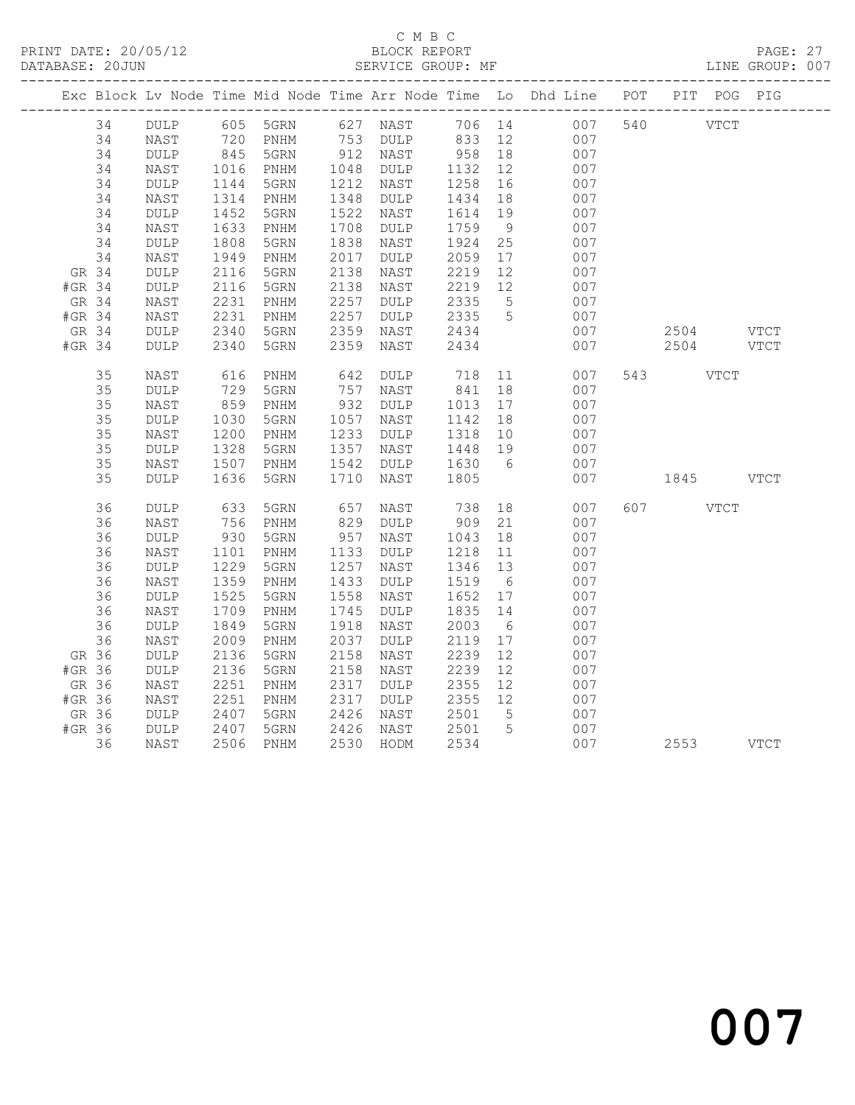# C M B C<br>
C M B C<br>
ELOCK REPORT

|        | DATABASE: 20JUN |                 |      |                              |      | SERVICE GROUP: MF |                 |     |                                                                    |                  |      |               | LINE GROUP: 007 |
|--------|-----------------|-----------------|------|------------------------------|------|-------------------|-----------------|-----|--------------------------------------------------------------------|------------------|------|---------------|-----------------|
|        |                 |                 |      |                              |      |                   | _______________ |     | Exc Block Lv Node Time Mid Node Time Arr Node Time Lo Dhd Line POT | ---------------- |      | PIT POG PIG   |                 |
|        | 34              | DULP            | 605  | 5GRN                         | 627  | NAST              | 706 14          |     | 007                                                                | 540              |      | $_{\rm VTCT}$ |                 |
|        | 34              | NAST            | 720  | PNHM                         | 753  | <b>DULP</b>       | 833             | 12  | 007                                                                |                  |      |               |                 |
|        | 34              | $\texttt{DULP}$ | 845  | 5GRN                         | 912  | NAST              | 958             | 18  | 007                                                                |                  |      |               |                 |
|        | 34              | NAST            | 1016 | PNHM                         | 1048 | DULP              | 1132            | 12  | 007                                                                |                  |      |               |                 |
|        | 34              | $\texttt{DULP}$ | 1144 | 5GRN                         | 1212 | NAST              | 1258            | 16  | 007                                                                |                  |      |               |                 |
|        | 34              | NAST            | 1314 | PNHM                         | 1348 | <b>DULP</b>       | 1434            | 18  | 007                                                                |                  |      |               |                 |
|        | 34              | $\texttt{DULP}$ | 1452 | 5GRN                         | 1522 | NAST              | 1614            | 19  | 007                                                                |                  |      |               |                 |
|        | 34              | NAST            | 1633 | $\mathop{\rm PNHM}\nolimits$ | 1708 | DULP              | 1759            | 9   | 007                                                                |                  |      |               |                 |
|        | 34              | <b>DULP</b>     | 1808 | 5GRN                         | 1838 | NAST              | 1924            | 25  | 007                                                                |                  |      |               |                 |
|        | 34              | NAST            | 1949 | PNHM                         | 2017 | <b>DULP</b>       | 2059            | 17  | 007                                                                |                  |      |               |                 |
| GR 34  |                 | $\texttt{DULP}$ | 2116 | 5GRN                         | 2138 | NAST              | 2219            | 12  | 007                                                                |                  |      |               |                 |
| #GR 34 |                 | <b>DULP</b>     | 2116 | 5GRN                         | 2138 | NAST              | 2219            | 12  | 007                                                                |                  |      |               |                 |
| GR 34  |                 | NAST            | 2231 | PNHM                         | 2257 | <b>DULP</b>       | 2335            | 5   | 007                                                                |                  |      |               |                 |
| #GR 34 |                 | NAST            | 2231 | PNHM                         | 2257 | DULP              | 2335            | 5   | 007                                                                |                  |      |               |                 |
| GR 34  |                 | <b>DULP</b>     | 2340 | 5GRN                         | 2359 | NAST              | 2434            |     | 007                                                                |                  | 2504 |               | VTCT            |
| #GR 34 |                 | <b>DULP</b>     | 2340 | 5GRN                         | 2359 | NAST              | 2434            |     | 007                                                                |                  | 2504 |               | <b>VTCT</b>     |
|        | 35              | NAST            | 616  | $\texttt{PNHM}{}$            | 642  | <b>DULP</b>       | 718             | 11  | 007                                                                | 543              |      | <b>VTCT</b>   |                 |
|        | 35              | <b>DULP</b>     | 729  | 5GRN                         | 757  | NAST              | 841             | 18  | 007                                                                |                  |      |               |                 |
|        | 35              | NAST            | 859  | PNHM                         | 932  | DULP              | 1013            | 17  | 007                                                                |                  |      |               |                 |
|        | 35              | <b>DULP</b>     | 1030 | 5GRN                         | 1057 | NAST              | 1142            | 18  | 007                                                                |                  |      |               |                 |
|        | 35              | NAST            | 1200 | PNHM                         | 1233 | <b>DULP</b>       | 1318            | 10  | 007                                                                |                  |      |               |                 |
|        | 35              | DULP            | 1328 | 5GRN                         | 1357 | NAST              | 1448            | 19  | 007                                                                |                  |      |               |                 |
|        | 35              | NAST            | 1507 | PNHM                         | 1542 | <b>DULP</b>       | 1630            | 6   | 007                                                                |                  |      |               |                 |
|        | 35              | <b>DULP</b>     | 1636 | 5GRN                         | 1710 | NAST              | 1805            |     | 007                                                                |                  | 1845 |               | <b>VTCT</b>     |
|        | 36              | <b>DULP</b>     | 633  | 5GRN                         | 657  | NAST              | 738             | 18  | 007                                                                | 607              |      | <b>VTCT</b>   |                 |
|        | 36              | NAST            | 756  | PNHM                         | 829  | <b>DULP</b>       | 909             | 21  | 007                                                                |                  |      |               |                 |
|        | 36              | <b>DULP</b>     | 930  | 5GRN                         | 957  | NAST              | 1043            | 18  | 007                                                                |                  |      |               |                 |
|        | 36              | NAST            | 1101 | $\mathop{\rm PNHM}\nolimits$ | 1133 | <b>DULP</b>       | 1218            | 11  | 007                                                                |                  |      |               |                 |
|        | 36              | DULP            | 1229 | 5GRN                         | 1257 | NAST              | 1346            | 13  | 007                                                                |                  |      |               |                 |
|        | 36              | NAST            | 1359 | $\mathop{\rm PNHM}\nolimits$ | 1433 | DULP              | 1519            | - 6 | 007                                                                |                  |      |               |                 |
|        | 36              | $\texttt{DULP}$ | 1525 | 5GRN                         | 1558 | NAST              | 1652            | 17  | 007                                                                |                  |      |               |                 |
|        | 36              | NAST            | 1709 | PNHM                         | 1745 | <b>DULP</b>       | 1835            | 14  | 007                                                                |                  |      |               |                 |
|        | 36              | $\texttt{DULP}$ | 1849 | 5GRN                         | 1918 | NAST              | 2003            | 6   | 007                                                                |                  |      |               |                 |
|        | 36              | NAST            | 2009 | PNHM                         | 2037 | <b>DULP</b>       | 2119            | 17  | 007                                                                |                  |      |               |                 |
| GR 36  |                 | $\texttt{DULP}$ | 2136 | 5GRN                         | 2158 | NAST              | 2239            | 12  | 007                                                                |                  |      |               |                 |
| #GR 36 |                 | $\texttt{DULP}$ | 2136 | 5GRN                         | 2158 | NAST              | 2239            | 12  | 007                                                                |                  |      |               |                 |
| GR 36  |                 | NAST            | 2251 | PNHM                         | 2317 | $\texttt{DULP}$   | 2355            | 12  | 007                                                                |                  |      |               |                 |
| #GR 36 |                 | NAST            | 2251 | $\texttt{PNHM}$              | 2317 | $\texttt{DULP}$   | 2355            | 12  | 007                                                                |                  |      |               |                 |
| GR 36  |                 | <b>DULP</b>     | 2407 | 5GRN                         | 2426 | NAST              | 2501            | 5   | 007                                                                |                  |      |               |                 |
| #GR 36 |                 | <b>DULP</b>     | 2407 | 5GRN                         | 2426 | NAST              | 2501            | 5   | 007                                                                |                  |      |               |                 |
|        | 36              | NAST            | 2506 | $\mathop{\rm PNHM}\nolimits$ | 2530 | HODM              | 2534            |     | 007                                                                |                  | 2553 |               | <b>VTCT</b>     |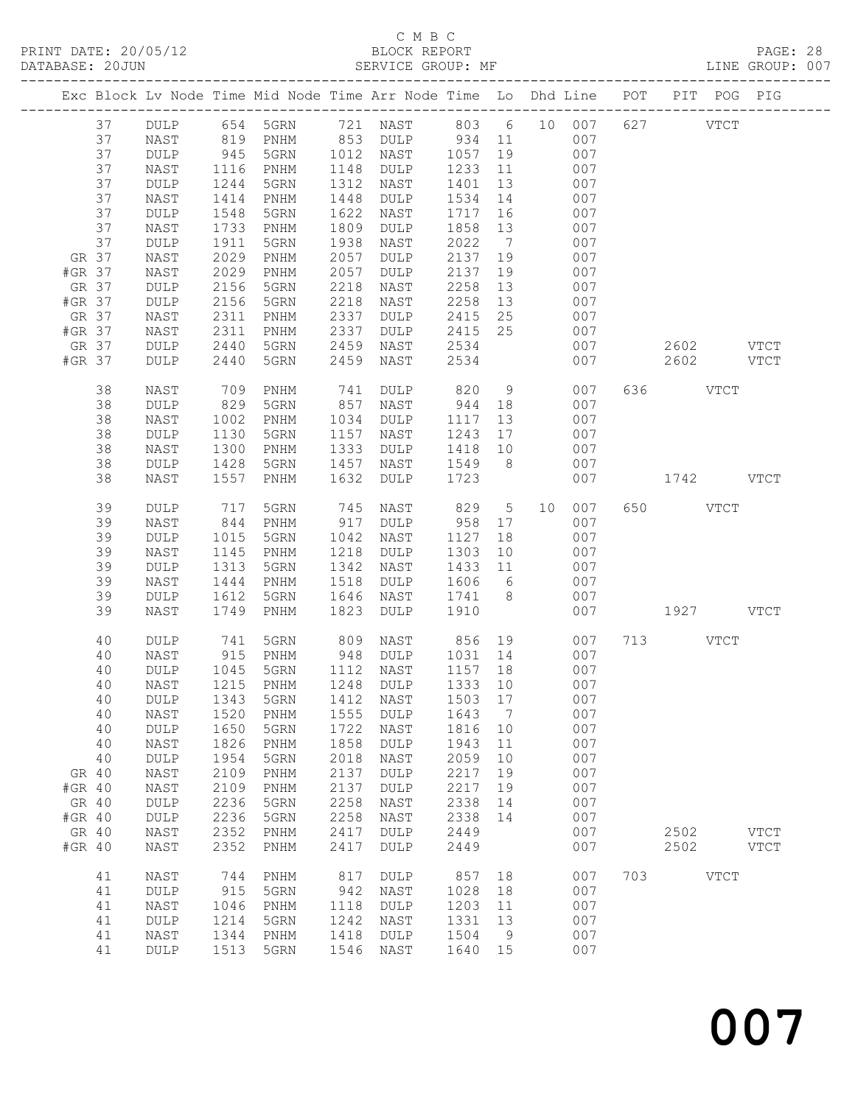# C M B C

| PRINT DATE: 20/05/12<br>DATABASE: 20JUN |             |                         |              | 12 BLOCK REPORT<br>SERVICE GROUP:                                                                                                 |              |                              |                          |                       |                                                           |            |        |               |             |               |  |
|-----------------------------------------|-------------|-------------------------|--------------|-----------------------------------------------------------------------------------------------------------------------------------|--------------|------------------------------|--------------------------|-----------------------|-----------------------------------------------------------|------------|--------|---------------|-------------|---------------|--|
|                                         |             |                         |              | Exc Block Lv Node Time Mid Node Time Arr Node Time Lo Dhd Line POT PIT POG PIG                                                    |              |                              |                          |                       |                                                           |            |        |               |             |               |  |
|                                         |             |                         |              | 37 DULP 654 5GRN 721 NAST 803 6 10 007 627 VTCT<br>37 NAST 819 PNHM 853 DULP 934 11 007<br>37 DULP 945 5GRN 1012 NAST 1057 19 007 |              |                              |                          |                       |                                                           |            |        |               |             |               |  |
|                                         | 37          | NAST                    |              | 1116 PNHM                                                                                                                         |              | 1148 DULP 1233               |                          |                       | 11 007                                                    |            |        |               |             |               |  |
|                                         | 37<br>37    | $\texttt{DULP}$<br>NAST | 1244<br>1414 | 5GRN<br>PNHM                                                                                                                      | 1448         | 1312 NAST<br>DULP            | 1401<br>1534             |                       | $\begin{array}{ccc} 13 & & 007 \\ 14 & & 007 \end{array}$ |            |        |               |             |               |  |
|                                         | 37          | $\texttt{DULP}$         | 1548         | 5GRN                                                                                                                              | 1622         | NAST                         | 1717                     |                       | 16                                                        | 007        |        |               |             |               |  |
|                                         | 37          | NAST                    | 1733         | PNHM                                                                                                                              | 1809         | DULP                         | 1858                     | 13                    |                                                           | 007        |        |               |             |               |  |
|                                         | 37<br>GR 37 | <b>DULP</b><br>NAST     | 1911<br>2029 | 5GRN<br>PNHM                                                                                                                      | 1938<br>2057 | NAST<br>DULP                 | 2022<br>2137             | $7\overline{ }$<br>19 |                                                           | 007<br>007 |        |               |             |               |  |
| #GR 37                                  |             | NAST                    | 2029         | PNHM                                                                                                                              | 2057         | DULP                         | 2137                     | 19                    |                                                           | 007        |        |               |             |               |  |
| GR 37                                   |             | <b>DULP</b>             | 2156         | 5GRN                                                                                                                              | 2218         | NAST                         | 2258                     | 13                    |                                                           | 007        |        |               |             |               |  |
| #GR 37<br>GR 37                         |             | DULP<br>NAST            | 2156<br>2311 | 5GRN<br>PNHM                                                                                                                      | 2218<br>2337 | NAST<br>DULP                 | 2258                     | 13                    |                                                           | 007<br>007 |        |               |             |               |  |
| #GR 37                                  |             | NAST                    | 2311         | PNHM                                                                                                                              | 2337         | DULP                         |                          |                       |                                                           | 007        |        |               |             |               |  |
| GR 37                                   |             | DULP                    | 2440         | 5GRN                                                                                                                              | 2459         | NAST 2534                    |                          |                       |                                                           |            |        | 007 2602 VTCT |             |               |  |
| #GR 37                                  |             | DULP                    | 2440         | 5GRN                                                                                                                              | 2459         | NAST                         | 2534                     |                       |                                                           |            | 007 00 | 2602 VTCT     |             |               |  |
|                                         | 38          | NAST                    | 709          | PNHM                                                                                                                              | 741          | DULP 820                     |                          |                       | 9                                                         | 007        |        | 636 VTCT      |             |               |  |
|                                         | 38<br>38    | <b>DULP</b><br>NAST     | 829<br>1002  | 5GRN<br>PNHM                                                                                                                      |              | 857 NAST<br>1034 DULP        | 944 18<br>1117           | 13                    |                                                           | 007<br>007 |        |               |             |               |  |
|                                         | 38          | $\texttt{DULP}$         | 1130         | 5GRN                                                                                                                              |              | 1157 NAST                    |                          |                       |                                                           | 007        |        |               |             |               |  |
|                                         | 38          | NAST                    | 1300         | PNHM                                                                                                                              | 1333         | DULP                         | 1243    17<br>1418    10 |                       |                                                           | 007        |        |               |             |               |  |
|                                         | 38          | <b>DULP</b>             | 1428         | 5GRN                                                                                                                              | 1457         | NAST                         | 1549 8 007               |                       |                                                           |            |        |               |             |               |  |
|                                         | 38          | NAST                    | 1557         | PNHM                                                                                                                              | 1632         | DULP                         | 1723                     |                       |                                                           | 007        |        | 1742 VTCT     |             |               |  |
|                                         | 39<br>39    | DULP<br>NAST            | 717<br>844   | 5GRN<br><b>PNHM</b>                                                                                                               |              | 745 NAST<br>917 DULP         | 829 5 10<br>958 17       |                       |                                                           | 007<br>007 |        | 650 VTCT      |             |               |  |
|                                         | 39          | <b>DULP</b>             | 1015         | 5GRN                                                                                                                              |              | 1042 NAST                    | 1127                     | 18                    |                                                           | 007        |        |               |             |               |  |
|                                         | 39          | NAST                    | 1145         | PNHM                                                                                                                              | 1218         | DULP                         | 1303                     |                       |                                                           | 007        |        |               |             |               |  |
|                                         | 39<br>39    | DULP<br>NAST            | 1313<br>1444 | 5GRN                                                                                                                              | 1342<br>1518 | NAST<br>DULP                 | 1433<br>1606             |                       | $\begin{array}{c} 10 \\ 11 \\ 6 \end{array}$              | 007<br>007 |        |               |             |               |  |
|                                         | 39          | <b>DULP</b>             | 1612         | PNHM<br>5GRN                                                                                                                      | 1646         | NAST                         | 1741 8                   |                       |                                                           | 007        |        |               |             |               |  |
|                                         | 39          | NAST                    | 1749         | PNHM                                                                                                                              | 1823         | DULP                         | 1910                     |                       |                                                           | 007        |        | 1927 VTCT     |             |               |  |
|                                         | 40          | DULP                    |              | 741 5GRN                                                                                                                          |              | 809 NAST 856 19              |                          |                       |                                                           | 007        |        | 713 VTCT      |             |               |  |
|                                         | 40<br>40    | NAST<br>DULP            | 1045         | 915 PNHM<br>5GRN                                                                                                                  | 1112         | 948 DULP 1031 14 007<br>NAST | 1157 18                  |                       |                                                           | 007        |        |               |             |               |  |
|                                         | 40          | NAST                    | 1215         | PNHM                                                                                                                              | 1248         | <b>DULP</b>                  | 1333                     | 10                    |                                                           | 007        |        |               |             |               |  |
|                                         | 40          | DULP                    | 1343         | 5GRN                                                                                                                              | 1412         | NAST                         | 1503                     | 17                    |                                                           | 007        |        |               |             |               |  |
|                                         | 40<br>40    | NAST<br>DULP            | 1520<br>1650 | PNHM<br>5GRN                                                                                                                      | 1555<br>1722 | <b>DULP</b><br>NAST          | 1643<br>1816             | 7<br>10               |                                                           | 007<br>007 |        |               |             |               |  |
|                                         | 40          | NAST                    | 1826         | PNHM                                                                                                                              | 1858         | <b>DULP</b>                  | 1943                     | 11                    |                                                           | 007        |        |               |             |               |  |
|                                         | 40          | DULP                    | 1954         | 5GRN                                                                                                                              | 2018         | NAST                         | 2059                     | 10                    |                                                           | 007        |        |               |             |               |  |
|                                         | GR 40       | NAST                    | 2109         | $\mathop{\rm PNHM}\nolimits$                                                                                                      | 2137         | DULP                         | 2217                     | 19                    |                                                           | 007        |        |               |             |               |  |
| #GR 40                                  | GR 40       | NAST<br>DULP            | 2109<br>2236 | $\mathop{\rm PNHM}\nolimits$<br>5GRN                                                                                              | 2137<br>2258 | DULP<br>NAST                 | 2217<br>2338             | 19<br>14              |                                                           | 007<br>007 |        |               |             |               |  |
| #GR 40                                  |             | DULP                    | 2236         | 5GRN                                                                                                                              | 2258         | NAST                         | 2338                     | 14                    |                                                           | 007        |        |               |             |               |  |
|                                         | GR 40       | NAST                    | 2352         | $\mathop{\rm PNHM}\nolimits$                                                                                                      | 2417         | DULP                         | 2449                     |                       |                                                           | 007        |        | 2502          |             | <b>VTCT</b>   |  |
| #GR 40                                  |             | NAST                    | 2352         | $\mathop{\rm PNHM}\nolimits$                                                                                                      | 2417         | DULP                         | 2449                     |                       |                                                           | 007        |        | 2502          |             | $_{\rm VTCT}$ |  |
|                                         | 41          | NAST                    | 744          | $\mathop{\rm PNHM}\nolimits$                                                                                                      | 817          | DULP                         | 857                      | 18                    |                                                           | 007        | 703    |               | <b>VTCT</b> |               |  |
|                                         | 41<br>41    | $\texttt{DULP}$<br>NAST | 915<br>1046  | 5GRN<br>PNHM                                                                                                                      | 942<br>1118  | NAST<br>DULP                 | 1028<br>1203             | 18<br>11              |                                                           | 007<br>007 |        |               |             |               |  |
|                                         | 41          | DULP                    | 1214         | 5GRN                                                                                                                              | 1242         | NAST                         | 1331                     | 13                    |                                                           | 007        |        |               |             |               |  |
|                                         | 41          | NAST                    | 1344         | $\mathop{\rm PNHM}\nolimits$                                                                                                      | 1418         | DULP                         | 1504                     | 9                     |                                                           | 007        |        |               |             |               |  |
|                                         | 41          | DULP                    | 1513         | 5GRN                                                                                                                              | 1546         | NAST                         | 1640                     | 15                    |                                                           | 007        |        |               |             |               |  |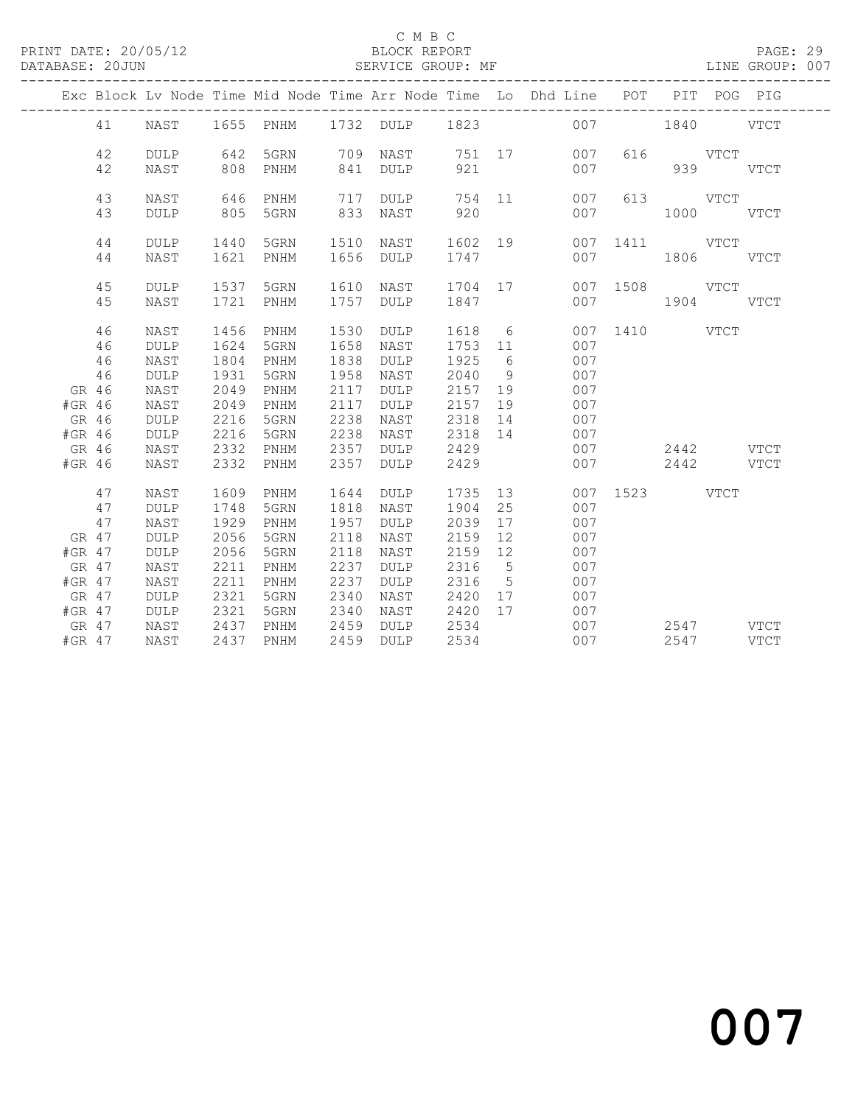### C M B C<br>
C M B C<br>
ELOCK REPORT

### DATABASE: 20JUN SERVICE GROUP: MF LINE GROUP: 007

|          |    |             |      |           |      |      |         |                 | Exc Block Lv Node Time Mid Node Time Arr Node Time Lo Dhd Line POT |               |               | PIT POG PIG |             |
|----------|----|-------------|------|-----------|------|------|---------|-----------------|--------------------------------------------------------------------|---------------|---------------|-------------|-------------|
|          | 41 | NAST        |      |           |      |      |         |                 | 1655 PNHM 1732 DULP 1823 007 1840 VTCT                             |               |               |             |             |
|          | 42 | <b>DULP</b> | 642  | 5GRN      | 709  |      |         |                 | NAST 751 17 007                                                    |               | 616 VTCT      |             |             |
|          | 42 | NAST        | 808  | PNHM      | 841  | DULP | 921     |                 | 007                                                                |               | 939           |             | VTCT        |
|          | 43 | NAST        | 646  | PNHM      | 717  | DULP |         |                 | 754 11<br>007                                                      |               | 613 VTCT      |             |             |
|          | 43 | <b>DULP</b> | 805  | 5GRN      | 833  | NAST | 920     |                 | 007                                                                |               | $1000$ $VTCT$ |             |             |
|          | 44 | <b>DULP</b> | 1440 | 5GRN      | 1510 | NAST | 1602 19 |                 |                                                                    | 007 1411 VTCT |               |             |             |
|          | 44 | NAST        | 1621 | PNHM      | 1656 | DULP | 1747    |                 | 007                                                                |               | 1806 VTCT     |             |             |
|          | 45 | <b>DULP</b> |      | 1537 5GRN | 1610 | NAST | 1704 17 |                 |                                                                    | 007 1508 VTCT |               |             |             |
|          | 45 | NAST        | 1721 | PNHM      | 1757 | DULP | 1847    |                 |                                                                    | 007           | 1904 VTCT     |             |             |
|          | 46 | NAST        | 1456 | PNHM      | 1530 | DULP | 1618 6  |                 |                                                                    | 007 1410 VTCT |               |             |             |
|          | 46 | <b>DULP</b> | 1624 | 5GRN      | 1658 | NAST | 1753 11 |                 | 007                                                                |               |               |             |             |
|          | 46 | NAST        | 1804 | PNHM      | 1838 | DULP | 1925    | 6               | 007                                                                |               |               |             |             |
|          | 46 | DULP        | 1931 | 5GRN      | 1958 | NAST | 2040    | 9               | 007                                                                |               |               |             |             |
| GR 46    |    | NAST        | 2049 | PNHM      | 2117 | DULP | 2157 19 |                 | 007                                                                |               |               |             |             |
| #GR 46   |    | NAST        | 2049 | PNHM      | 2117 | DULP | 2157    | 19              | 007                                                                |               |               |             |             |
| GR 46    |    | DULP        | 2216 | 5GRN      | 2238 | NAST | 2318 14 |                 | 007                                                                |               |               |             |             |
| #GR 46   |    | DULP        | 2216 | 5GRN      | 2238 | NAST | 2318 14 |                 | 007                                                                |               |               |             |             |
| GR 46    |    | NAST        | 2332 | PNHM      | 2357 | DULP | 2429    |                 | 007                                                                |               | 2442 VTCT     |             |             |
| #GR 46   |    | NAST        | 2332 | PNHM      | 2357 | DULP | 2429    |                 | 007                                                                |               | 2442 VTCT     |             |             |
|          | 47 | NAST        | 1609 | PNHM      | 1644 | DULP | 1735    |                 | 13                                                                 | 007 1523 VTCT |               |             |             |
|          | 47 | <b>DULP</b> | 1748 | 5GRN      | 1818 | NAST | 1904    | 25              | 007                                                                |               |               |             |             |
|          | 47 | NAST        | 1929 | PNHM      | 1957 | DULP | 2039    | 17              | 007                                                                |               |               |             |             |
| GR 47    |    | <b>DULP</b> | 2056 | 5GRN      | 2118 | NAST | 2159    | 12              | 007                                                                |               |               |             |             |
| #GR 47   |    | <b>DULP</b> | 2056 | 5GRN      | 2118 | NAST | 2159    | 12              | 007                                                                |               |               |             |             |
| GR 47    |    | NAST        | 2211 | PNHM      | 2237 | DULP | 2316    | $5^{\circ}$     | 007                                                                |               |               |             |             |
| #GR 47   |    | NAST        | 2211 | PNHM      | 2237 | DULP | 2316    | $5\overline{)}$ | 007                                                                |               |               |             |             |
| GR 47    |    | <b>DULP</b> | 2321 | 5GRN      | 2340 | NAST | 2420 17 |                 | 007                                                                |               |               |             |             |
| $#GR$ 47 |    | DULP        | 2321 | 5GRN      | 2340 | NAST | 2420 17 |                 | 007                                                                |               |               |             |             |
| GR 47    |    | NAST        | 2437 | PNHM      | 2459 | DULP | 2534    |                 | 007                                                                |               | 2547 VTCT     |             |             |
| $#GR$ 47 |    | NAST        | 2437 | PNHM      | 2459 | DULP | 2534    |                 | 007                                                                |               | 2547          |             | <b>VTCT</b> |
|          |    |             |      |           |      |      |         |                 |                                                                    |               |               |             |             |

# and 2007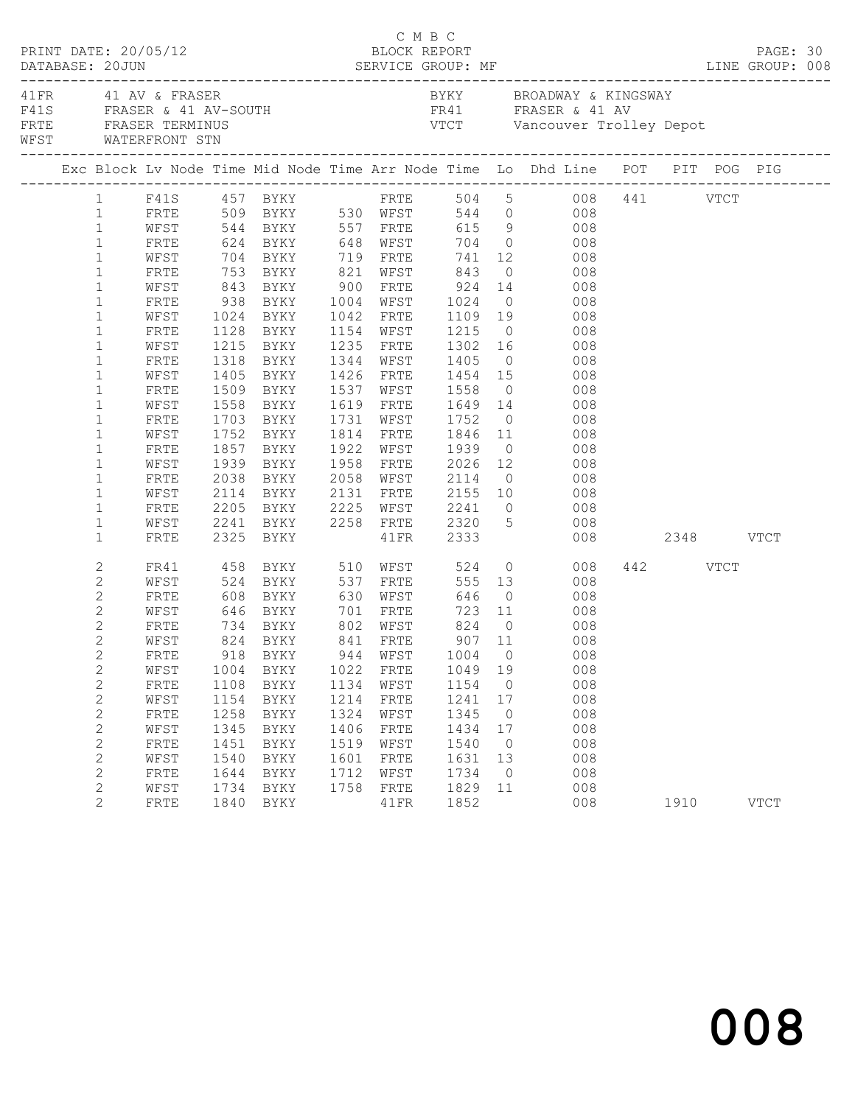|            | DATABASE: 20JUN | PRINT DATE: 20/05/12                                                |      |                        |      | C M B C<br>BLOCK REPORT |                |                |                                                                                                                                                                                                                                                                                          |          | PAGE: 30    |  |
|------------|-----------------|---------------------------------------------------------------------|------|------------------------|------|-------------------------|----------------|----------------|------------------------------------------------------------------------------------------------------------------------------------------------------------------------------------------------------------------------------------------------------------------------------------------|----------|-------------|--|
|            |                 | 41 FR 41 AV & FRASER<br>FRTE FRASER TERMINUS<br>WEST WATERFRONT STN |      |                        |      |                         |                |                | BYKY BROADWAY & KINGSWAY<br>${\tt F41S} \hspace{1.5cm} {\tt FRASER} \hspace{1.5cm} \& \hspace{1.5cm} 41 \hspace{1.5cm} {\tt AV-SOUTH} \hspace{1.5cm} {\tt FR41} \hspace{1.5cm} {\tt FRASER} \hspace{1.5cm} \& \hspace{1.5cm} 41 \hspace{1.5cm} {\tt AV}$<br>VTCT Vancouver Trolley Depot |          |             |  |
|            |                 |                                                                     |      |                        |      |                         |                |                | Exc Block Lv Node Time Mid Node Time Arr Node Time Lo Dhd Line POT PIT POG PIG                                                                                                                                                                                                           |          |             |  |
|            |                 |                                                                     |      |                        |      |                         |                |                | $\begin{tabular}{lcccccc} 1 & F41S & 457 BYKY & FRTE & 504 & 5 & 008 & 441 & VTCT \\ 1 & FRTE & 509 BYKY & 530 WFST & 544 & 0 & 008 & \end{tabular}$                                                                                                                                     |          |             |  |
|            |                 |                                                                     |      |                        |      |                         |                |                |                                                                                                                                                                                                                                                                                          |          |             |  |
|            | $\mathbf{1}$    |                                                                     |      |                        |      |                         |                |                | WFST 544 BYKY 557 FRTE 615 9 008                                                                                                                                                                                                                                                         |          |             |  |
|            | $\mathbf{1}$    | FRTE                                                                |      |                        |      |                         |                |                |                                                                                                                                                                                                                                                                                          |          |             |  |
|            | $\mathbf{1}$    | WFST                                                                |      |                        |      |                         |                |                |                                                                                                                                                                                                                                                                                          |          |             |  |
|            | $\mathbf{1}$    | FRTE                                                                |      |                        |      |                         |                |                |                                                                                                                                                                                                                                                                                          |          |             |  |
|            | $\mathbf{1}$    | WFST                                                                |      |                        |      |                         |                |                | 843 BYKY 900 FRTE 924 14 008                                                                                                                                                                                                                                                             |          |             |  |
|            | $\mathbf{1}$    | FRTE                                                                |      |                        |      |                         |                |                |                                                                                                                                                                                                                                                                                          |          |             |  |
|            | $\mathbf{1}$    | WFST                                                                |      |                        |      |                         |                |                |                                                                                                                                                                                                                                                                                          |          |             |  |
|            | $\mathbf{1}$    | FRTE                                                                |      |                        |      |                         |                |                | 938 BYKY 1004 WFST 1024 0 008<br>1024 BYKY 1042 FRTE 1109 19 008<br>1128 BYKY 1154 WFST 1215 0 008                                                                                                                                                                                       |          |             |  |
|            | $\mathbf{1}$    | WFST                                                                |      | 1215 BYKY              |      |                         |                |                | 1235 FRTE 1302 16 008                                                                                                                                                                                                                                                                    |          |             |  |
|            | $\mathbf{1}$    | FRTE                                                                | 1318 | BYKY 1344 WFST 1405    |      |                         |                |                | $0$ 008                                                                                                                                                                                                                                                                                  |          |             |  |
|            | $\mathbf{1}$    | WFST                                                                |      |                        |      |                         |                |                |                                                                                                                                                                                                                                                                                          |          |             |  |
|            | $\mathbf{1}$    | FRTE                                                                |      | 1405 BYKY<br>1509 BYKY |      |                         |                |                | 1426 FRTE 1454 15 008<br>1537 WFST 1558 0 008                                                                                                                                                                                                                                            |          |             |  |
|            | $\mathbf{1}$    | WFST                                                                |      | 1558 BYKY              |      |                         |                |                | 1619 FRTE 1649 14 008                                                                                                                                                                                                                                                                    |          |             |  |
|            | $\mathbf{1}$    | FRTE                                                                |      | 1703 BYKY              |      |                         | 1731 WFST 1752 |                | $0$ 008                                                                                                                                                                                                                                                                                  |          |             |  |
|            | $\mathbf{1}$    | WFST                                                                | 1752 | BYKY                   |      |                         |                |                |                                                                                                                                                                                                                                                                                          |          |             |  |
|            | 1               | FRTE                                                                |      | 1857 BYKY              |      |                         |                |                |                                                                                                                                                                                                                                                                                          |          |             |  |
|            | $\mathbf{1}$    | WFST                                                                |      | 1939 BYKY              |      |                         |                |                | 1958 FRTE 2026 12 008                                                                                                                                                                                                                                                                    |          |             |  |
|            | 1               | FRTE                                                                | 2038 | BYKY                   |      |                         | 2058 WFST 2114 |                | $0$ 008                                                                                                                                                                                                                                                                                  |          |             |  |
|            | $\mathbf{1}$    | WFST                                                                |      |                        | 2131 |                         |                |                | 2114 BYKY 2131 FRTE 2155 10 008<br>2205 BYKY 2225 WFST 2241 0 008<br>2241 BYKY 2258 FRTE 2320 5 008                                                                                                                                                                                      |          |             |  |
|            | $\mathbf{1}$    | FRTE                                                                |      |                        |      |                         |                |                |                                                                                                                                                                                                                                                                                          |          |             |  |
|            | $\mathbf{1}$    | WFST                                                                |      |                        |      |                         |                |                |                                                                                                                                                                                                                                                                                          |          |             |  |
|            | $\mathbf{1}$    | FRTE                                                                |      | 2325 BYKY              |      |                         | 41FR 2333      |                | 008 2348 VTCT                                                                                                                                                                                                                                                                            |          |             |  |
|            | $\overline{c}$  | FR41                                                                |      |                        |      |                         |                |                | $0$ 008                                                                                                                                                                                                                                                                                  | 442 VTCT |             |  |
|            | 2               | WFST                                                                |      |                        |      |                         |                |                | $555 \quad 13$<br>008                                                                                                                                                                                                                                                                    |          |             |  |
|            | 2               | FRTE                                                                | 608  | BYKY 630 WFST          |      |                         | 646            |                | $\overline{O}$<br>008                                                                                                                                                                                                                                                                    |          |             |  |
|            | 2               | WFST                                                                | 646  |                        |      |                         |                |                | BYKY 701 FRTE 723 11 008                                                                                                                                                                                                                                                                 |          |             |  |
|            | $\mathbf{2}$    | FRTE                                                                |      |                        |      |                         |                | $\overline{0}$ | $\begin{array}{c} 008 \\ 008 \end{array}$                                                                                                                                                                                                                                                |          |             |  |
|            | $\overline{c}$  | WFST                                                                |      |                        |      |                         |                |                |                                                                                                                                                                                                                                                                                          |          |             |  |
|            | $\overline{2}$  |                                                                     |      |                        |      |                         |                |                | FRTE 918 BYKY 944 WFST 1004 0 008                                                                                                                                                                                                                                                        |          |             |  |
|            | $\mathbf{2}$    | WFST                                                                | 1004 | BYKY                   | 1022 | FRTE                    | 1049           | 19             | 008                                                                                                                                                                                                                                                                                      |          |             |  |
|            | $\overline{c}$  | FRTE                                                                | 1108 | BYKY                   | 1134 | WFST                    | 1154           | $\overline{0}$ | 008                                                                                                                                                                                                                                                                                      |          |             |  |
|            | $\mathbf{2}$    | WFST                                                                | 1154 | BYKY                   | 1214 | FRTE                    | 1241           | 17             | 008                                                                                                                                                                                                                                                                                      |          |             |  |
|            | $\overline{c}$  | FRTE                                                                | 1258 | BYKY                   | 1324 | WFST                    | 1345           | $\overline{0}$ | 008                                                                                                                                                                                                                                                                                      |          |             |  |
|            | $\overline{c}$  | WFST                                                                | 1345 | BYKY                   | 1406 | FRTE                    | 1434           | 17             | 008                                                                                                                                                                                                                                                                                      |          |             |  |
| $\sqrt{2}$ |                 | FRTE                                                                | 1451 | BYKY                   | 1519 | WFST                    | 1540           | $\overline{0}$ | 008                                                                                                                                                                                                                                                                                      |          |             |  |
|            | $\mathbf{2}$    | WFST                                                                | 1540 | BYKY                   | 1601 | FRTE                    | 1631           | 13             | 008                                                                                                                                                                                                                                                                                      |          |             |  |
|            | 2               | FRTE                                                                | 1644 | BYKY                   | 1712 | WFST                    | 1734           | $\overline{0}$ | 008                                                                                                                                                                                                                                                                                      |          |             |  |
|            | 2               | WFST                                                                | 1734 | BYKY                   | 1758 | FRTE                    | 1829           | 11             | 008                                                                                                                                                                                                                                                                                      |          |             |  |
|            | $\overline{2}$  | FRTE                                                                | 1840 | BYKY                   |      | 41FR                    | 1852           |                | 008                                                                                                                                                                                                                                                                                      | 1910     | <b>VTCT</b> |  |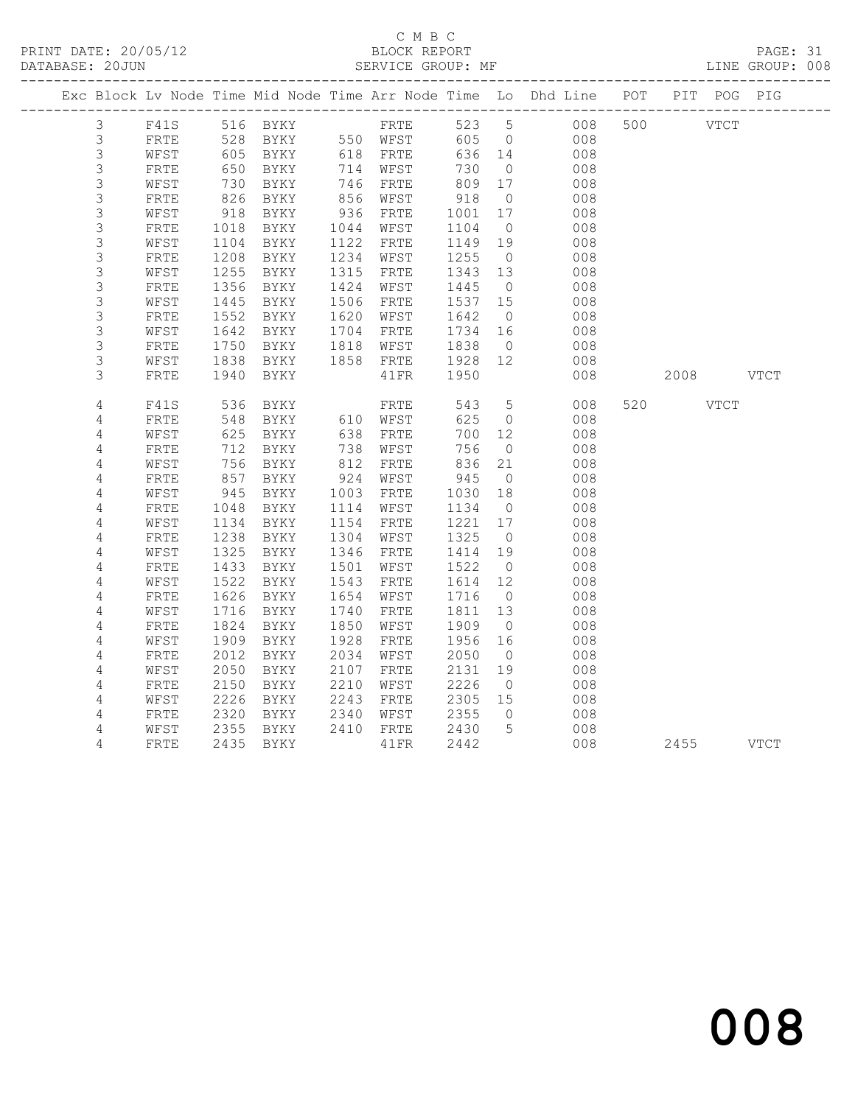### C M B C<br>
C M B C<br>
ELOCK REPORT DATABASE: 20JUN SERVICE GROUP: MF LINE GROUP: 008

|                |                    |                  |                      |      |                      |         |                | Exc Block Lv Node Time Mid Node Time Arr Node Time Lo Dhd Line POT PIT POG PIG |           |  |
|----------------|--------------------|------------------|----------------------|------|----------------------|---------|----------------|--------------------------------------------------------------------------------|-----------|--|
| $\mathcal{S}$  | F41S 516 BYKY FRTE |                  |                      |      |                      |         |                | 523 5<br>008                                                                   | 500 VTCT  |  |
| $\mathfrak{Z}$ | FRTE               |                  |                      |      |                      |         | 605 0          | 008                                                                            |           |  |
| $\mathsf S$    | WFST               |                  | 528 BYKY<br>605 BYKY |      |                      |         | 636 14         | 008                                                                            |           |  |
| $\mathsf 3$    | ${\tt FRTE}$       | 650              | BYKY                 |      | 714 WFST             | 730     | $\overline{0}$ | 008                                                                            |           |  |
| $\mathsf 3$    | WFST               | 730              | BYKY                 |      |                      | 809 17  |                | 008                                                                            |           |  |
| $\mathsf S$    | FRTE               | 826              | BYKY                 |      | 746 FRTE<br>856 WFST | 918     | $\overline{0}$ | 008                                                                            |           |  |
| 3              | WFST               | $918$<br>$1018$  | BYKY                 | 936  | FRTE                 | 1001    | 17             | 008                                                                            |           |  |
| $\mathsf S$    | ${\tt FRTE}$       |                  | BYKY                 | 1044 | WFST                 | 1104    | $\overline{0}$ | 008                                                                            |           |  |
| $\mathsf S$    | WFST               | 1104             | BYKY                 |      | 1122 FRTE            | 1149    | 19             | 008                                                                            |           |  |
| $\mathsf 3$    | FRTE               | 1208             | BYKY                 | 1234 | WFST                 | 1255    | $\overline{0}$ | 008                                                                            |           |  |
| 3              | WFST               | $\frac{1}{1255}$ | BYKY                 | 1315 | FRTE                 | 1343 13 |                | 008                                                                            |           |  |
| 3              | FRTE               | 1356             | BYKY                 | 1424 | WFST                 | 1445    | $\overline{0}$ | 008                                                                            |           |  |
| $\mathsf S$    | WFST               | 1445             | BYKY                 |      | 1506 FRTE            | 1537 15 |                | 008                                                                            |           |  |
| $\mathsf S$    | FRTE               | 1552             | BYKY                 |      | 1620 WFST            | 1642    | $\overline{0}$ | 008                                                                            |           |  |
| 3              | WFST               | 1642             | BYKY                 | 1704 | FRTE                 | 1734    | 16             | 008                                                                            |           |  |
| 3              | FRTE               | $10 - 2$<br>1750 | BYKY                 | 1818 | WFST                 | 1838    | $\overline{0}$ | 008                                                                            |           |  |
| $\mathsf S$    | WFST               | 1838             | BYKY                 |      | 1858 FRTE            | 1928 12 |                | 008                                                                            |           |  |
| 3              | FRTE               | 1940             | BYKY                 |      | 41FR                 | 1950    |                | 008                                                                            | 2008 VTCT |  |
| 4              | F41S               | 536              |                      |      |                      | 543     | $5^{\circ}$    | 008                                                                            | 520 VTCT  |  |
| $\sqrt{4}$     | FRTE               | 548              |                      |      |                      | 625     | $\overline{0}$ | 008                                                                            |           |  |
| 4              | WFST               | 625              | BYKY                 |      | 638 FRTE             | 700     | 12             | 008                                                                            |           |  |
| 4              | FRTE               | 712              | BYKY                 |      |                      | 756     | $\overline{0}$ | 008                                                                            |           |  |
| 4              | WFST               | 756              | BYKY                 |      | 738 WFST<br>812 FRTE | 836     | 21             | 008                                                                            |           |  |
| 4              | FRTE               | 857              | BYKY                 | 924  | WFST                 | 945     | $\overline{0}$ | 008                                                                            |           |  |
| $\overline{4}$ | WFST               | 945              | BYKY                 |      | 1003 FRTE            | 1030    | 18             | 008                                                                            |           |  |
| $\overline{4}$ | FRTE               | 1048             | BYKY                 | 1114 | WFST                 | 1134    | $\overline{0}$ | 008                                                                            |           |  |
| $\overline{4}$ | WFST               | 1134             | BYKY                 | 1154 | FRTE                 | 1221    | 17             | 008                                                                            |           |  |
| $\sqrt{4}$     | ${\tt FRTE}$       | 1238             | BYKY                 | 1304 | WFST                 | 1325    | $\overline{0}$ | 008                                                                            |           |  |
| 4              | WFST               | 1325             | BYKY                 |      | 1346 FRTE            | 1414    | 19             | 008                                                                            |           |  |
| $\sqrt{4}$     | ${\tt FRTE}$       | 1433             | BYKY                 | 1501 | WFST                 | 1522    | $\overline{0}$ | 008                                                                            |           |  |
| $\sqrt{4}$     | WFST               | 1522             | BYKY                 | 1543 | FRTE                 | 1614 12 |                | 008                                                                            |           |  |
| 4              | FRTE               | 1626             | BYKY                 | 1654 | WFST                 | 1716    | $\overline{0}$ | 008                                                                            |           |  |
| $\sqrt{4}$     | WFST               | 1716             | BYKY                 | 1740 | FRTE                 | 1811    | 13             | 008                                                                            |           |  |
| 4              | FRTE               | 1824             | BYKY                 | 1850 | WFST                 | 1909    | $\overline{0}$ | 008                                                                            |           |  |
| 4              | WFST               | 1909             | BYKY                 | 1928 | FRTE                 | 1956    | 16             | 008                                                                            |           |  |
| $\sqrt{4}$     | ${\tt FRTE}$       | 2012             | BYKY                 | 2034 | WFST                 | 2050    | $\overline{0}$ | 008                                                                            |           |  |
| 4              | WFST               | 2050             | BYKY                 | 2107 | FRTE                 | 2131    | 19             | 008                                                                            |           |  |
| 4              | FRTE               | 2150             | BYKY                 | 2210 | WFST                 | 2226    | $\overline{0}$ | 008                                                                            |           |  |
| $\sqrt{4}$     | WFST               | 2226             | BYKY                 | 2243 | FRTE                 | 2305 15 |                | 008                                                                            |           |  |
| 4              | ${\tt FRTE}$       | 2320             | BYKY                 | 2340 | WFST                 | 2355    | $\overline{0}$ | 008                                                                            |           |  |
| 4              | WFST               | 2355             | BYKY                 |      | 2410 FRTE            | 2430    | $5^{\circ}$    | 008                                                                            |           |  |
| 4              | FRTE               |                  | 2435 BYKY            |      | 41FR                 | 2442    |                | 008                                                                            | 2455 VTCT |  |
|                |                    |                  |                      |      |                      |         |                |                                                                                |           |  |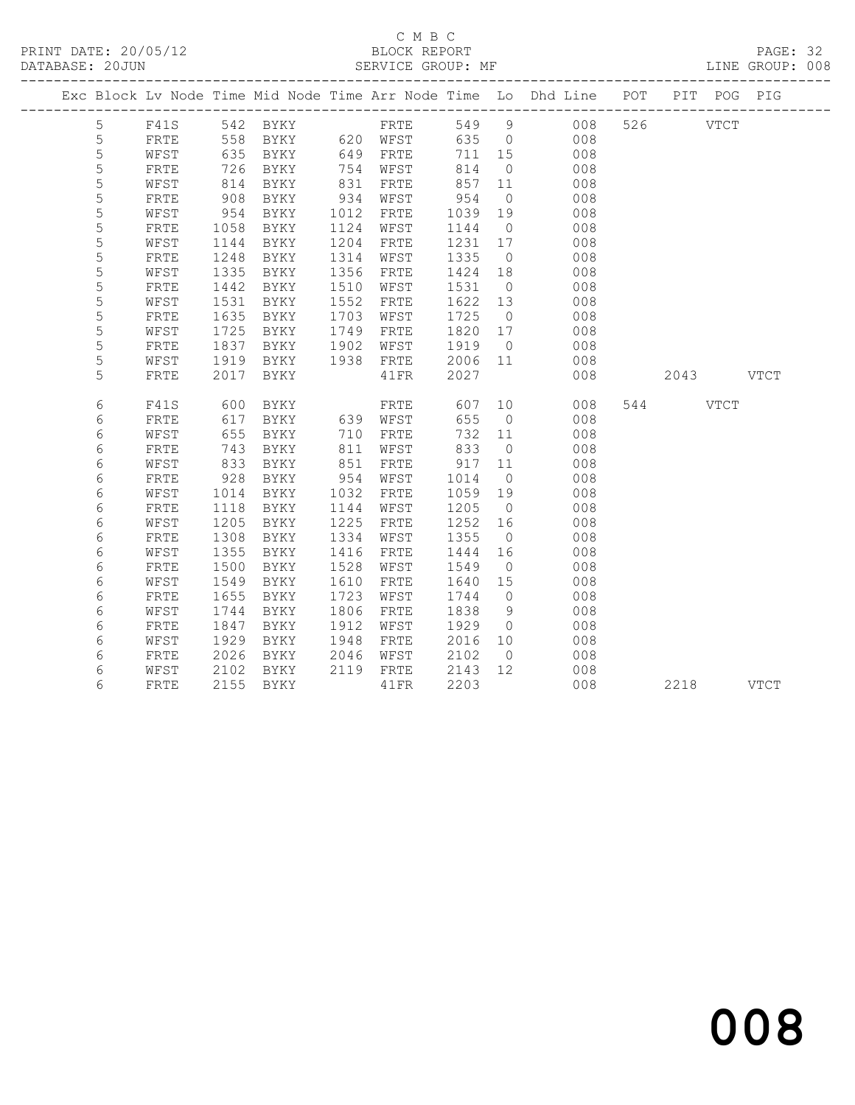PRINT DATE: 20/05/12 BLOCK REPORT<br>DATABASE: 20JUN SERVICE GROUP: MF

# C M B C<br>BLOCK REPORT

PAGE: 32<br>LINE GROUP: 008

|             |              |      |                                              |      |           |               |                | Exc Block Lv Node Time Mid Node Time Arr Node Time Lo Dhd Line POT PIT POG PIG |          |           |  |
|-------------|--------------|------|----------------------------------------------|------|-----------|---------------|----------------|--------------------------------------------------------------------------------|----------|-----------|--|
| 5           |              |      | F41S 542 BYKY FRTE<br>FRTE 558 BYKY 620 WFST |      |           |               |                | 549 9 008                                                                      | 526 VTCT |           |  |
| $\mathsf S$ |              |      |                                              |      |           | 635 0         |                | 008                                                                            |          |           |  |
| 5           | WFST         | 635  | BYKY                                         |      | 649 FRTE  | 711 15        |                | 008                                                                            |          |           |  |
| 5           | FRTE         | 726  | BYKY                                         |      | 754 WFST  | 814           | $\overline{0}$ | 008                                                                            |          |           |  |
| 5           | WFST         | 814  | BYKY                                         | 831  | FRTE      | 857 11        |                | 008                                                                            |          |           |  |
| $\mathsf S$ | ${\tt FRTE}$ | 908  | BYKY                                         | 934  | WFST      | $954$<br>1039 | $\overline{0}$ | 008                                                                            |          |           |  |
| $\mathsf S$ | WFST         | 954  | BYKY                                         | 1012 | FRTE      | 1039          | 19             | 008                                                                            |          |           |  |
| 5           | FRTE         | 1058 | BYKY                                         | 1124 | WFST      | 1144          | $\overline{0}$ | 008                                                                            |          |           |  |
| 5           | WFST         | 1144 | BYKY                                         | 1204 | FRTE      | 1231 17       |                | 008                                                                            |          |           |  |
| 5           | FRTE         | 1248 | BYKY                                         | 1314 | WFST      | 1335          | $\overline{0}$ | 008                                                                            |          |           |  |
| $\mathsf S$ | WFST         | 1335 | BYKY                                         | 1356 | FRTE      | 1424 18       |                | 008                                                                            |          |           |  |
| 5           | ${\tt FRTE}$ | 1442 | BYKY                                         | 1510 | WFST      | 1531          | $\overline{0}$ | 008                                                                            |          |           |  |
| 5           | WFST         | 1531 | BYKY                                         | 1552 | FRTE      | 1622 13       |                | 008                                                                            |          |           |  |
| 5           | FRTE         | 1635 | BYKY                                         | 1703 | WFST      | 1725          | $\overline{0}$ | 008                                                                            |          |           |  |
| 5           | WFST         | 1725 | BYKY                                         | 1749 | FRTE      | 1820 17       |                | 008                                                                            |          |           |  |
| $\mathsf S$ | FRTE         | 1837 | BYKY                                         | 1902 | WFST      | 1919          | $\overline{0}$ | 008                                                                            |          |           |  |
| 5           | WFST         | 1919 | BYKY                                         |      | 1938 FRTE | 2006 11       |                | 008                                                                            |          |           |  |
| 5           | FRTE         | 2017 | BYKY                                         |      | 41FR      | 2027          |                | 008                                                                            |          | 2043 VTCT |  |
| 6           | F41S         | 600  |                                              |      |           |               |                | 607 10<br>008                                                                  | 544 VTCT |           |  |
| 6           | ${\tt FRTE}$ | 617  |                                              |      |           | 655           | $\overline{0}$ | 008                                                                            |          |           |  |
| 6           | WFST         | 655  | BYKY                                         | 710  | FRTE      | 732 11        |                | 008                                                                            |          |           |  |
| 6           | FRTE         | 743  | BYKY                                         | 811  | WFST      | 833           | $\overline{0}$ | 008                                                                            |          |           |  |
| 6           | WFST         | 833  | BYKY                                         | 851  | FRTE      | 917 11        |                | 008                                                                            |          |           |  |
| 6           | FRTE         | 928  | BYKY                                         | 954  | WFST      | 1014          | $\overline{0}$ | 008                                                                            |          |           |  |
| 6           | WFST         | 1014 | BYKY                                         | 1032 | FRTE      | 1059 19       |                | 008                                                                            |          |           |  |
| 6           | FRTE         | 1118 | BYKY                                         | 1144 | WFST      | 1205          | $\overline{0}$ | 008                                                                            |          |           |  |
| 6           | WFST         | 1205 | BYKY                                         | 1225 | FRTE      | 1252          | 16             | 008                                                                            |          |           |  |
| 6           | FRTE         | 1308 | BYKY                                         | 1334 | WFST      | 1355          | $\overline{0}$ | 008                                                                            |          |           |  |
| 6           | WFST         | 1355 | BYKY                                         | 1416 | FRTE      | 1444          | 16             | 008                                                                            |          |           |  |
| 6           | FRTE         | 1500 | BYKY                                         | 1528 | WFST      | 1549          | $\overline{0}$ | 008                                                                            |          |           |  |
| 6           | WFST         | 1549 | BYKY                                         | 1610 | FRTE      | 1640 15       |                | 008                                                                            |          |           |  |
| 6           | FRTE         | 1655 | BYKY                                         | 1723 | WFST      | 1744          | $\overline{0}$ | 008                                                                            |          |           |  |
| 6           | WFST         | 1744 | BYKY                                         | 1806 | FRTE      | 1838          | 9              | 008                                                                            |          |           |  |
| 6           | FRTE         | 1847 | BYKY                                         | 1912 | WFST      | 1929          | $\overline{0}$ | 008                                                                            |          |           |  |
| 6           | WFST         | 1929 | BYKY                                         | 1948 | FRTE      | 2016 10       |                | 008                                                                            |          |           |  |
| 6           | FRTE         | 2026 | BYKY                                         | 2046 | WFST      | 2102          | $\overline{0}$ | 008                                                                            |          |           |  |
| 6           | WFST         | 2102 | BYKY                                         |      | 2119 FRTE | 2143 12       |                | 008                                                                            |          |           |  |
| 6           | FRTE         | 2155 | BYKY                                         |      | 41FR      | 2203          |                | 008                                                                            | 2218     | VTCT      |  |

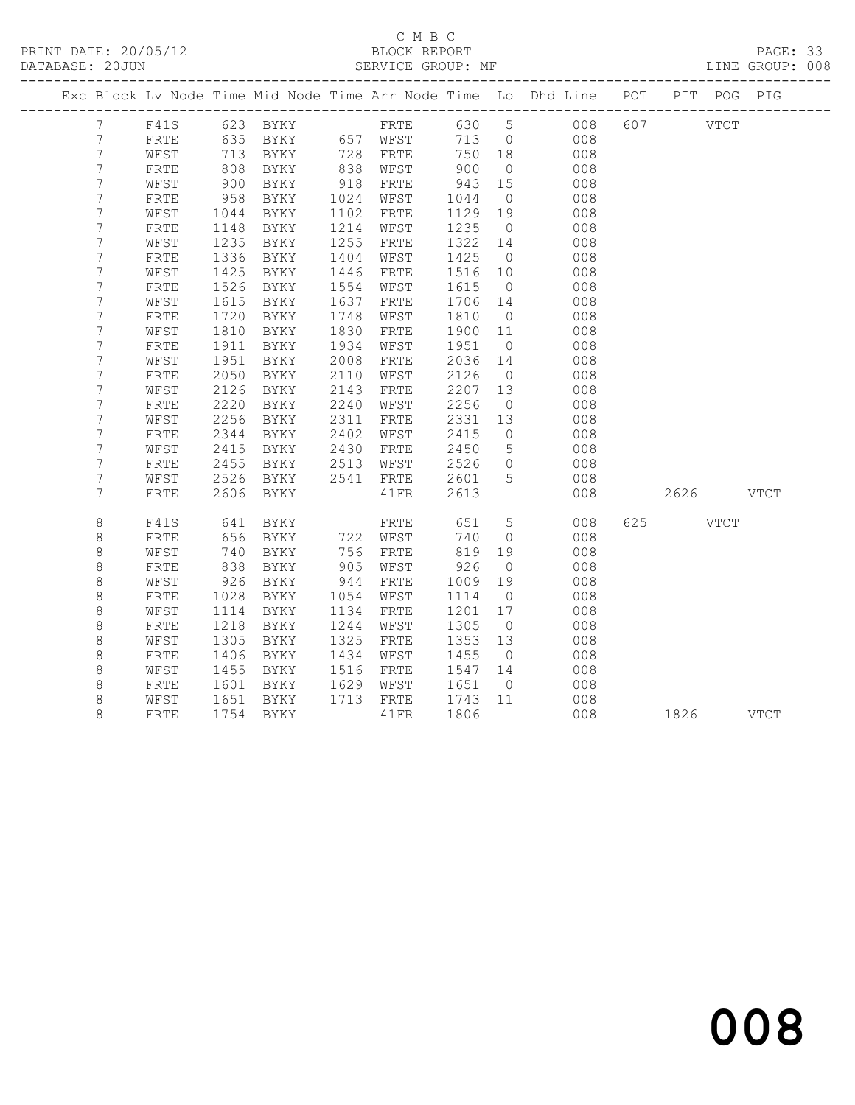### C M B C<br>
C M B C<br>
ELOCK REPORT DATABASE: 20JUN SERVICE GROUP: MF LINE GROUP: 008

|                |              |      |               |      |               |         |                 | Exc Block Lv Node Time Mid Node Time Arr Node Time Lo Dhd Line POT PIT POG PIG |     |             |      |  |
|----------------|--------------|------|---------------|------|---------------|---------|-----------------|--------------------------------------------------------------------------------|-----|-------------|------|--|
| $7^{\circ}$    |              |      |               |      |               |         |                 | F41S 623 BYKY FRTE 630 5 008                                                   | 607 | <b>VTCT</b> |      |  |
| 7              | FRTE         | 635  |               |      | BYKY 657 WFST |         |                 | 713 0<br>008                                                                   |     |             |      |  |
| $\overline{7}$ | WFST         | 713  | BYKY 728 FRTE |      |               | 750 18  |                 | 008                                                                            |     |             |      |  |
| $\overline{7}$ | ${\tt FRTE}$ | 808  | BYKY          |      | 838 WFST      | 900     | $\overline{0}$  | 008                                                                            |     |             |      |  |
| 7              | WFST         | 900  | BYKY          | 918  | FRTE          | 943     | 15              | 008                                                                            |     |             |      |  |
| 7              | FRTE         | 958  | BYKY          | 1024 | WFST          | 1044    | $\overline{0}$  | 008                                                                            |     |             |      |  |
| 7              | WFST         | 1044 | BYKY          | 1102 | FRTE          | 1129    | 19              | 008                                                                            |     |             |      |  |
| $\overline{7}$ | ${\tt FRTE}$ | 1148 | BYKY          | 1214 | WFST          | 1235    | $\overline{0}$  | 008                                                                            |     |             |      |  |
| $\overline{7}$ | WFST         | 1235 | BYKY          | 1255 | FRTE          | 1322    | 14              | 008                                                                            |     |             |      |  |
| 7              | ${\tt FRTE}$ | 1336 | BYKY          | 1404 | WFST          | 1425    | $\overline{0}$  | 008                                                                            |     |             |      |  |
| $\overline{7}$ | WFST         | 1425 | BYKY          | 1446 | FRTE          | 1516 10 |                 | 008                                                                            |     |             |      |  |
| $\overline{7}$ | FRTE         | 1526 | BYKY          | 1554 | WFST          | 1615    | $\overline{0}$  | 008                                                                            |     |             |      |  |
| $\overline{7}$ | WFST         | 1615 | BYKY          | 1637 | ${\tt FRTE}$  | 1706    | 14              | 008                                                                            |     |             |      |  |
| 7              | FRTE         | 1720 | BYKY          | 1748 | WFST          | 1810    | $\overline{0}$  | 008                                                                            |     |             |      |  |
| 7              | WFST         | 1810 | BYKY          | 1830 | FRTE          | 1900 11 |                 | 008                                                                            |     |             |      |  |
| 7              | FRTE         | 1911 | BYKY          | 1934 | WFST          | 1951    | $\overline{0}$  | 008                                                                            |     |             |      |  |
| 7              | WFST         | 1951 | BYKY          | 2008 | FRTE          | 2036    | 14              | 008                                                                            |     |             |      |  |
| $\overline{7}$ | ${\tt FRTE}$ | 2050 | BYKY          | 2110 | WFST          | 2126    | $\overline{0}$  | 008                                                                            |     |             |      |  |
| $\overline{7}$ | WFST         | 2126 | BYKY          | 2143 | FRTE          | 2207    | 13              | 008                                                                            |     |             |      |  |
| 7              | ${\tt FRTE}$ | 2220 | BYKY          | 2240 | WFST          | 2256    | $\overline{0}$  | 008                                                                            |     |             |      |  |
| $\overline{7}$ | WFST         | 2256 | BYKY          | 2311 | FRTE          | 2331    | 13              | 008                                                                            |     |             |      |  |
| 7              | FRTE         | 2344 | BYKY          | 2402 | WFST          | 2415    | $\overline{0}$  | 008                                                                            |     |             |      |  |
| 7              | WFST         | 2415 | BYKY          | 2430 | FRTE          | 2450    | $5^{\circ}$     | 008                                                                            |     |             |      |  |
| 7              | FRTE         | 2455 | BYKY          | 2513 | WFST          | 2526    | $\overline{0}$  | 008                                                                            |     |             |      |  |
| $\overline{7}$ | WFST         | 2526 | BYKY          | 2541 | FRTE          | 2601    | 5               | 008                                                                            |     |             |      |  |
| 7              | FRTE         | 2606 | BYKY          |      | 41FR          | 2613    |                 | 008                                                                            |     | 2626 VTCT   |      |  |
| $\,8\,$        | F41S         | 641  | <b>BYKY</b>   |      | FRTE          | 651     | $5\overline{)}$ | 008                                                                            |     | 625 VTCT    |      |  |
| 8              | FRTE         | 656  | BYKY          |      | 722 WFST      | 740     | $\overline{0}$  | 008                                                                            |     |             |      |  |
| $\,8\,$        | WFST         | 740  | BYKY          | 756  | FRTE          | 819     | 19              | 008                                                                            |     |             |      |  |
| $\,8\,$        | FRTE         | 838  | BYKY          | 905  | WFST          | 926     | $\overline{0}$  | 008                                                                            |     |             |      |  |
| 8              | WFST         | 926  | BYKY          | 944  | FRTE          | 1009    | 19              | 008                                                                            |     |             |      |  |
| 8              | FRTE         | 1028 | BYKY          | 1054 | WFST          | 1114    | $\overline{0}$  | 008                                                                            |     |             |      |  |
| $\,8\,$        | WFST         | 1114 | BYKY          | 1134 | FRTE          | 1201    | 17              | 008                                                                            |     |             |      |  |
| $\,8\,$        | ${\tt FRTE}$ | 1218 | BYKY          | 1244 | WFST          | 1305    | $\overline{0}$  | 008                                                                            |     |             |      |  |
| $\,8\,$        | WFST         | 1305 | BYKY          | 1325 | FRTE          | 1353 13 |                 | 008                                                                            |     |             |      |  |
| $\,8\,$        | ${\tt FRTE}$ | 1406 | BYKY          | 1434 | WFST          | 1455    | $\overline{0}$  | 008                                                                            |     |             |      |  |
| $\,8\,$        | WFST         | 1455 | BYKY          | 1516 | FRTE          | 1547 14 |                 | 008                                                                            |     |             |      |  |
| 8              | FRTE         | 1601 | BYKY          | 1629 | WFST          | 1651    | $\overline{0}$  | 008                                                                            |     |             |      |  |
| $\,8\,$        | WFST         | 1651 | BYKY          | 1713 | FRTE          | 1743    | 11              | 008                                                                            |     |             |      |  |
| 8              | <b>FRTE</b>  | 1754 | BYKY          |      | 41 FR         | 1806    |                 | 008                                                                            |     | 1826        | VTCT |  |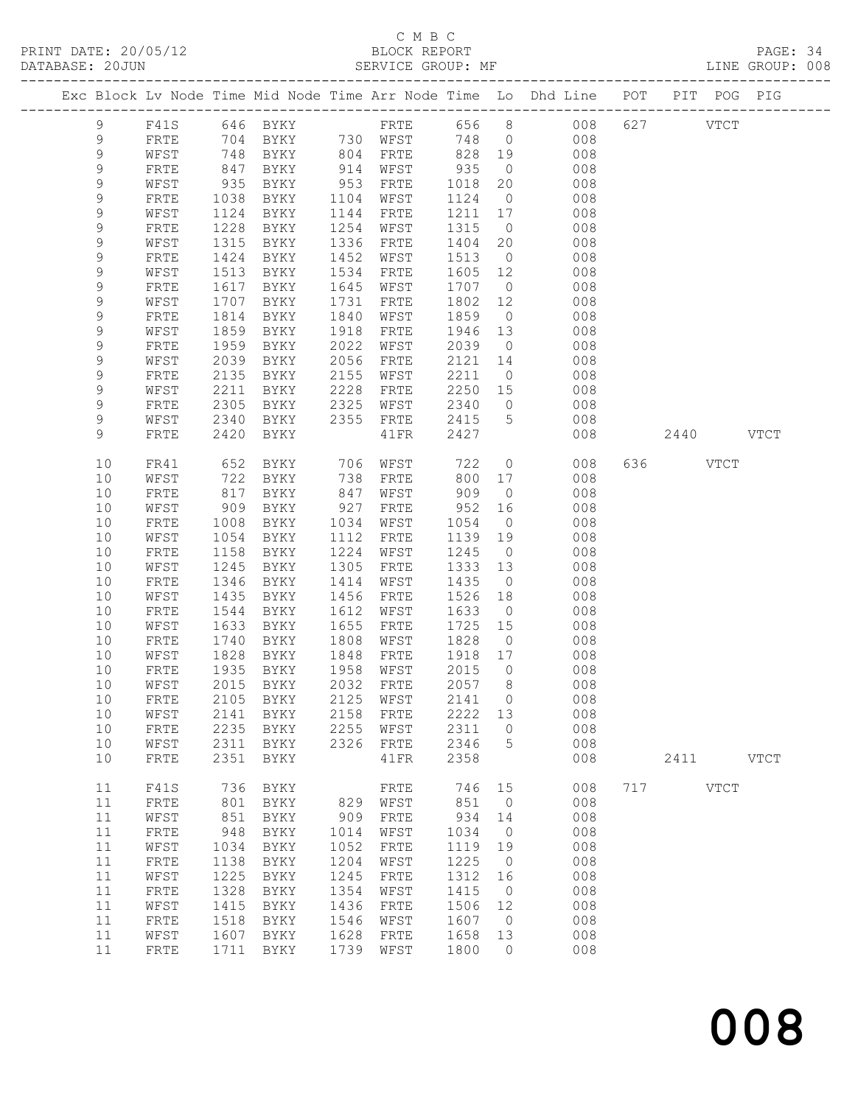## C M B C<br>BLOCK REPORT

PAGE: 34<br>LINE GROUP: 008

|  |               |              |              |              |              |                             |              |                      | Exc Block Lv Node Time Mid Node Time Arr Node Time Lo Dhd Line POT |     |           | PIT POG PIG |             |
|--|---------------|--------------|--------------|--------------|--------------|-----------------------------|--------------|----------------------|--------------------------------------------------------------------|-----|-----------|-------------|-------------|
|  | $\mathcal{G}$ | F41S         |              | 646 BYKY     |              |                             |              |                      | FRTE 656 8 008                                                     |     | 627       | <b>VTCT</b> |             |
|  | 9             | FRTE         |              |              |              |                             | 748 0        |                      | 008                                                                |     |           |             |             |
|  | 9             | WFST         | 748          | BYKY         |              | 804 FRTE                    | 828 19       |                      | 008                                                                |     |           |             |             |
|  | 9             | FRTE         | 847          | BYKY         | 914          | WFST                        | 935          | $\overline{0}$       | 008                                                                |     |           |             |             |
|  | 9             | WFST         | 935          | BYKY         | 953          | FRTE                        | 1018         | 20                   | 008                                                                |     |           |             |             |
|  | 9             | FRTE         | 1038         | BYKY         | 1104         | WFST                        | 1124         | $\overline{0}$       | 008                                                                |     |           |             |             |
|  | $\mathsf 9$   | WFST         | 1124         | BYKY         | 1144         | FRTE                        | 1211         | 17                   | 008                                                                |     |           |             |             |
|  | 9             | FRTE         | 1228         | BYKY         | 1254         | WFST                        | 1315         | $\overline{0}$       | 008                                                                |     |           |             |             |
|  | 9             | WFST         | 1315         | BYKY         | 1336         | FRTE                        | 1404         | 20                   | 008                                                                |     |           |             |             |
|  | 9             | FRTE         | 1424         | BYKY         | 1452         | WFST                        | 1513         | $\overline{0}$       | 008                                                                |     |           |             |             |
|  | 9             | WFST         | 1513         | BYKY         | 1534         | FRTE                        | 1605         | 12                   | 008                                                                |     |           |             |             |
|  | 9             | FRTE         | 1617         | BYKY         | 1645         | WFST                        | 1707         | $\overline{0}$       | 008                                                                |     |           |             |             |
|  | 9             | WFST         | 1707         | BYKY         | 1731         | FRTE                        | 1802         | 12                   | 008                                                                |     |           |             |             |
|  | 9             | FRTE         | 1814         | BYKY         | 1840         | WFST                        | 1859         | $\overline{0}$       | 008                                                                |     |           |             |             |
|  | 9             | WFST         | 1859         | BYKY         | 1918         | FRTE                        | 1946         | 13                   | 008                                                                |     |           |             |             |
|  | 9             | FRTE         | 1959         | BYKY         | 2022         | WFST                        | 2039         | $\overline{0}$       | 008                                                                |     |           |             |             |
|  | 9             | WFST         | 2039         | BYKY         | 2056         | FRTE                        | 2121         | 14                   | 008                                                                |     |           |             |             |
|  | 9<br>9        | FRTE         | 2135<br>2211 | BYKY         | 2155<br>2228 | WFST                        | 2211<br>2250 | $\overline{0}$       | 008<br>008                                                         |     |           |             |             |
|  | 9             | WFST<br>FRTE | 2305         | BYKY<br>BYKY | 2325         | FRTE<br>WFST                | 2340         | 15<br>$\overline{0}$ | 008                                                                |     |           |             |             |
|  | 9             | WFST         | 2340         | BYKY         | 2355         | FRTE                        | 2415         | $5^{\circ}$          | 008                                                                |     |           |             |             |
|  | 9             | FRTE         | 2420         | BYKY         |              | 41FR                        | 2427         |                      | 008                                                                |     | 2440 VTCT |             |             |
|  |               |              |              |              |              |                             |              |                      |                                                                    |     |           |             |             |
|  | 10            | FR41         | 652          | BYKY         | 706          | WFST                        | 722          | $\overline{0}$       | 008                                                                |     | 636 VTCT  |             |             |
|  | 10            | WFST         | 722          | BYKY         | 738          | FRTE                        | 800          | 17                   | 008                                                                |     |           |             |             |
|  | 10            | FRTE         | 817          | BYKY         | 847          | WFST                        | 909          | $\overline{0}$       | 008                                                                |     |           |             |             |
|  | 10            | WFST         | 909          | BYKY         | 927          | FRTE                        | 952          | 16                   | 008                                                                |     |           |             |             |
|  | 10            | FRTE         | 1008         | BYKY         | 1034         | WFST                        | 1054         | $\overline{0}$       | 008                                                                |     |           |             |             |
|  | 10            | WFST         | 1054         | BYKY         | 1112         | FRTE                        | 1139         | 19                   | 008                                                                |     |           |             |             |
|  | 10            | FRTE         | 1158         | BYKY         | 1224         | WFST                        | 1245         | $\overline{0}$       | 008                                                                |     |           |             |             |
|  | 10            | WFST         | 1245         | BYKY         | 1305         | FRTE                        | 1333         | 13                   | 008                                                                |     |           |             |             |
|  | 10            | FRTE         | 1346         | BYKY         | 1414         | WFST                        | 1435         | $\overline{0}$       | 008                                                                |     |           |             |             |
|  | 10            | WFST         | 1435         | BYKY         | 1456         | FRTE                        | 1526         | 18                   | 008                                                                |     |           |             |             |
|  | 10            | FRTE         | 1544         | BYKY         | 1612<br>1655 | WFST                        | 1633         | $\overline{0}$<br>15 | 008                                                                |     |           |             |             |
|  | 10<br>10      | WFST<br>FRTE | 1633<br>1740 | BYKY<br>BYKY | 1808         | FRTE<br>WFST                | 1725<br>1828 | $\overline{0}$       | 008<br>008                                                         |     |           |             |             |
|  | 10            | WFST         | 1828         | BYKY         | 1848         | FRTE                        | 1918 17      |                      | 008                                                                |     |           |             |             |
|  | 10            | FRTE         | 1935         | BYKY         | 1958         | WFST                        | 2015         | $\overline{0}$       | 008                                                                |     |           |             |             |
|  | 10            | WFST         | 2015         | BYKY         |              | 2032 FRTE                   | 2057         | 8 <sup>8</sup>       | 008                                                                |     |           |             |             |
|  |               |              |              |              |              | 10 FRTE 2105 BYKY 2125 WFST | 2141 0       |                      | 008                                                                |     |           |             |             |
|  | 10            | WFST         | 2141         | BYKY         | 2158         | FRTE                        | 2222         | 13                   | 008                                                                |     |           |             |             |
|  | 10            | FRTE         | 2235         | BYKY         | 2255         | WFST                        | 2311         | $\mathbf 0$          | 008                                                                |     |           |             |             |
|  | 10            | WFST         | 2311         | BYKY         | 2326         | FRTE                        | 2346         | 5                    | 008                                                                |     |           |             |             |
|  | 10            | FRTE         | 2351         | BYKY         |              | 41FR                        | 2358         |                      | 008                                                                |     | 2411      |             | <b>VTCT</b> |
|  | 11            | F41S         | 736          | BYKY         |              | FRTE                        | 746          | 15                   | 008                                                                | 717 |           | <b>VTCT</b> |             |
|  | 11            | FRTE         | 801          | BYKY         | 829          | WFST                        | 851          | $\overline{0}$       | 008                                                                |     |           |             |             |
|  | 11            | WFST         | 851          | BYKY         | 909          | ${\tt FRTE}$                | 934          | 14                   | 008                                                                |     |           |             |             |
|  | 11            | ${\tt FRTE}$ | 948          | BYKY         | 1014         | WFST                        | 1034         | $\overline{0}$       | 008                                                                |     |           |             |             |
|  | 11            | WFST         | 1034         | BYKY         | 1052         | FRTE                        | 1119         | 19                   | 008                                                                |     |           |             |             |
|  | 11            | ${\tt FRTE}$ | 1138         | BYKY         | 1204         | WFST                        | 1225         | $\overline{0}$       | 008                                                                |     |           |             |             |
|  | 11            | WFST         | 1225         | <b>BYKY</b>  | 1245         | FRTE                        | 1312         | 16                   | 008                                                                |     |           |             |             |
|  | 11            | ${\tt FRTE}$ | 1328         | BYKY         | 1354         | WFST                        | 1415         | $\overline{0}$       | 008                                                                |     |           |             |             |
|  | 11            | WFST         | 1415         | BYKY         | 1436         | FRTE                        | 1506         | 12                   | 008                                                                |     |           |             |             |
|  | 11            | FRTE         | 1518         | BYKY         | 1546         | WFST                        | 1607         | $\overline{0}$       | 008                                                                |     |           |             |             |
|  | 11            | WFST         | 1607         | BYKY         | 1628         | FRTE                        | 1658         | 13                   | 008                                                                |     |           |             |             |
|  | 11            | ${\tt FRTE}$ | 1711         | BYKY         | 1739         | WFST                        | 1800         | 0                    | 008                                                                |     |           |             |             |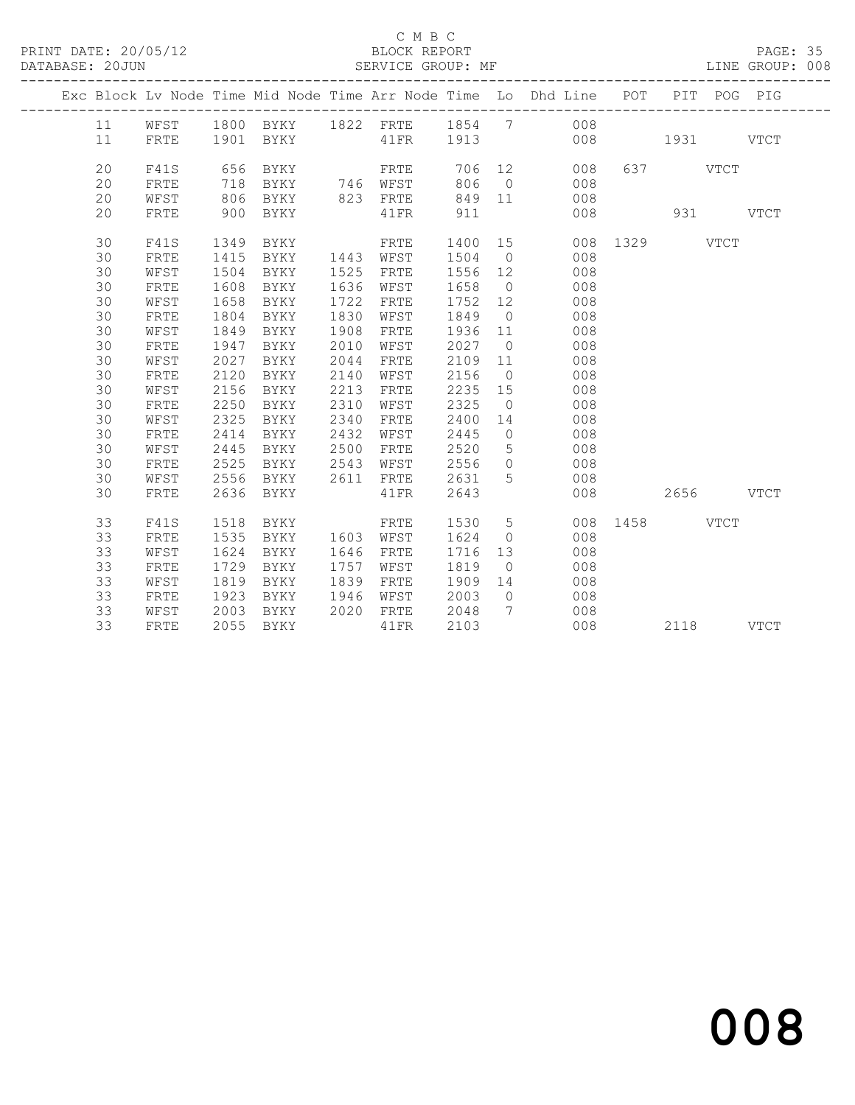## C M B C<br>BLOCK REPORT

PAGE: 35<br>LINE GROUP: 008

|  |    |      |      |               |      |           |         |                | Exc Block Lv Node Time Mid Node Time Arr Node Time Lo Dhd Line POT PIT POG PIG |               |           |          |  |
|--|----|------|------|---------------|------|-----------|---------|----------------|--------------------------------------------------------------------------------|---------------|-----------|----------|--|
|  | 11 | WFST |      |               |      |           |         |                | 1800 BYKY 1822 FRTE 1854 7 008                                                 |               |           |          |  |
|  | 11 | FRTE |      |               |      |           |         |                |                                                                                |               |           |          |  |
|  | 20 | F41S | 656  | BYKY          |      | FRTE      |         |                | 706 12 008                                                                     |               | 637 VTCT  |          |  |
|  | 20 | FRTE | 718  | BYKY 746 WFST |      |           |         |                | 806 0 008                                                                      |               |           |          |  |
|  | 20 | WFST | 806  | BYKY          |      | 823 FRTE  |         |                | 849 11 008                                                                     |               |           |          |  |
|  | 20 | FRTE | 900  | BYKY          |      | 41 FR     | 911     |                | 008                                                                            |               |           | 931 VTCT |  |
|  |    |      |      |               |      |           |         |                |                                                                                |               |           |          |  |
|  | 30 | F41S | 1349 | BYKY          |      | FRTE      | 1400 15 |                |                                                                                | 008 1329 VTCT |           |          |  |
|  | 30 | FRTE | 1415 | BYKY          |      | 1443 WFST | 1504 0  |                | 008                                                                            |               |           |          |  |
|  | 30 | WFST | 1504 | BYKY          | 1525 | FRTE      | 1556 12 |                | 008                                                                            |               |           |          |  |
|  | 30 | FRTE | 1608 | BYKY          | 1636 | WFST      | 1658 0  |                | 008                                                                            |               |           |          |  |
|  | 30 | WFST | 1658 | BYKY          | 1722 | FRTE      | 1752 12 |                | 008                                                                            |               |           |          |  |
|  | 30 | FRTE | 1804 | BYKY          | 1830 | WFST      | 1849 0  |                | 008                                                                            |               |           |          |  |
|  | 30 | WFST | 1849 | BYKY          | 1908 | FRTE      | 1936    | 11             | 008                                                                            |               |           |          |  |
|  | 30 | FRTE | 1947 | BYKY          | 2010 | WFST      | 2027 0  |                | 008                                                                            |               |           |          |  |
|  | 30 | WFST | 2027 | BYKY          | 2044 | FRTE      | 2109    | 11             | 008                                                                            |               |           |          |  |
|  | 30 | FRTE | 2120 | BYKY          | 2140 | WFST      | 2156    | $\overline{0}$ | 008                                                                            |               |           |          |  |
|  | 30 | WFST | 2156 | BYKY          | 2213 | FRTE      | 2235 15 |                | 008                                                                            |               |           |          |  |
|  | 30 | FRTE | 2250 | BYKY          | 2310 | WFST      | 2325    | $\overline{0}$ | 008                                                                            |               |           |          |  |
|  | 30 | WFST | 2325 | BYKY          | 2340 | FRTE      | 2400    | 14             | 008                                                                            |               |           |          |  |
|  | 30 | FRTE | 2414 | BYKY          | 2432 | WFST      | 2445    | $\overline{0}$ | 008                                                                            |               |           |          |  |
|  | 30 | WFST | 2445 | BYKY          | 2500 | FRTE      | 2520    | 5 <sup>5</sup> | 008                                                                            |               |           |          |  |
|  | 30 | FRTE | 2525 | BYKY          | 2543 | WFST      | 2556    | $\overline{0}$ | 008                                                                            |               |           |          |  |
|  | 30 | WFST | 2556 | BYKY          |      | 2611 FRTE | 2631 5  |                | 008                                                                            |               |           |          |  |
|  | 30 | FRTE | 2636 | BYKY          |      | 41FR      | 2643    |                | 008                                                                            |               | 2656 VTCT |          |  |
|  | 33 | F41S | 1518 | BYKY          |      | FRTE      | 1530 5  |                |                                                                                | 008 1458 VTCT |           |          |  |
|  | 33 | FRTE | 1535 | BYKY          |      | 1603 WFST | 1624    | $\overline{0}$ | 008                                                                            |               |           |          |  |
|  | 33 | WFST | 1624 | BYKY          | 1646 | FRTE      | 1716 13 |                | 008                                                                            |               |           |          |  |
|  | 33 | FRTE | 1729 | BYKY          | 1757 | WFST      | 1819 0  |                | 008                                                                            |               |           |          |  |
|  | 33 | WFST | 1819 | BYKY          | 1839 | FRTE      | 1909 14 |                | 008                                                                            |               |           |          |  |
|  | 33 | FRTE | 1923 | BYKY          | 1946 | WFST      | 2003    | $\overline{0}$ | 008                                                                            |               |           |          |  |
|  | 33 | WFST | 2003 | BYKY          |      | 2020 FRTE | 2048    | $\overline{7}$ | 008                                                                            |               |           |          |  |
|  | 33 | FRTE |      | 2055 BYKY     |      | 41FR      | 2103    |                | 008                                                                            |               | 2118 VTCT |          |  |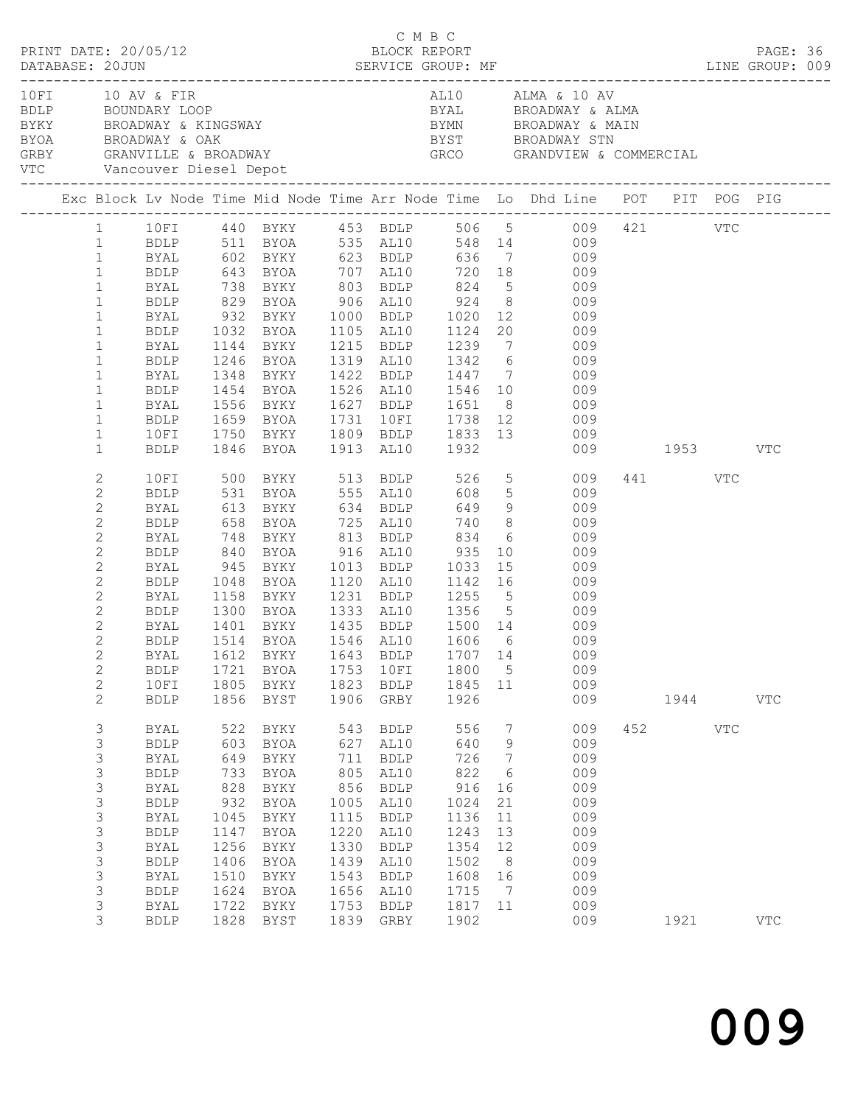| PRINT DATE: 20/05/12                            |                |             |      |                       |      | C M B C<br>BLOCK REPORT |         |                 |                                                                                                                                                                                                                                                                                                                                               |              |     | PAGE: 36   |  |
|-------------------------------------------------|----------------|-------------|------|-----------------------|------|-------------------------|---------|-----------------|-----------------------------------------------------------------------------------------------------------------------------------------------------------------------------------------------------------------------------------------------------------------------------------------------------------------------------------------------|--------------|-----|------------|--|
|                                                 |                |             |      |                       |      |                         |         |                 | DATABASE: 20JUN SERVICE GROUP: MF LINE GROUP: 009                                                                                                                                                                                                                                                                                             |              |     |            |  |
| 10 FI 10 AV & FIR<br>VTC Vancouver Diesel Depot |                |             |      | BDLP BOUNDARY LOOP    |      |                         |         |                 | AL10 ALMA & 10 AV<br>BYAL BROADWAY & ALMA<br>BYKY BROADWAY BROADWAY BYMN BROADWAY A KINGSWAY BYMN BROADWAY A MAIN BYON BROADWAY A MAIN BROADWAY A MAIN BYST BROADWAY STN GRBY GRBY STN GRBY STRAIN CHAPTER A COMPRESSION OF A SERVICE OF A SERVICE OF A SERVICE OF A SERVIC<br>BYST        BROADWAY STN<br>GRCO        GRANDVIEW & COMMERCIAL |              |     |            |  |
|                                                 |                |             |      |                       |      |                         |         |                 | Exc Block Lv Node Time Mid Node Time Arr Node Time Lo Dhd Line POT PIT POG PIG                                                                                                                                                                                                                                                                |              |     |            |  |
|                                                 |                |             |      |                       |      |                         |         |                 | 1 10FI 440 BYKY 453 BDLP 506 5 009 421 VTC                                                                                                                                                                                                                                                                                                    |              |     |            |  |
|                                                 |                |             |      |                       |      |                         |         |                 | 1 BDLP 511 BYOA 535 AL10 548 14 009                                                                                                                                                                                                                                                                                                           |              |     |            |  |
|                                                 | $\mathbf{1}$   |             |      |                       |      |                         |         |                 |                                                                                                                                                                                                                                                                                                                                               |              |     |            |  |
|                                                 | $\mathbf{1}$   |             |      |                       |      |                         |         |                 | BYAL 602 BYKY 623 BDLP 636 7 009<br>BDLP 643 BYOA 707 AL10 720 18 009                                                                                                                                                                                                                                                                         |              |     |            |  |
|                                                 | $\mathbf{1}$   | <b>BYAL</b> |      |                       |      |                         |         |                 | 738 BYKY 803 BDLP 824 5 009                                                                                                                                                                                                                                                                                                                   |              |     |            |  |
|                                                 | $\mathbf{1}$   | BDLP        |      |                       |      |                         |         |                 |                                                                                                                                                                                                                                                                                                                                               |              |     |            |  |
|                                                 | $\mathbf{1}$   |             |      |                       |      |                         |         |                 |                                                                                                                                                                                                                                                                                                                                               |              |     |            |  |
|                                                 | $\mathbf{1}$   |             |      |                       |      |                         |         |                 | BDLP 829 BYOA 906 AL10 924 8 009<br>BYAL 932 BYKY 1000 BDLP 1020 12 009<br>BDLP 1032 BYOA 1105 AL10 1124 20 009                                                                                                                                                                                                                               |              |     |            |  |
|                                                 | $\mathbf{1}$   | BYAL        |      |                       |      |                         |         |                 | 1144 BYKY 1215 BDLP 1239 7 009                                                                                                                                                                                                                                                                                                                |              |     |            |  |
|                                                 | $\mathbf{1}$   | BDLP        |      |                       |      |                         |         |                 | 1246 BYOA 1319 AL10 1342 6 009                                                                                                                                                                                                                                                                                                                |              |     |            |  |
|                                                 | $\mathbf{1}$   | BYAL        |      |                       |      |                         |         |                 |                                                                                                                                                                                                                                                                                                                                               |              |     |            |  |
|                                                 | $\mathbf{1}$   | BDLP        |      |                       |      |                         |         |                 | 1348 BYKY       1422   BDLP       1447      7               009<br>1454   BYOA       1526   AL10       1546    10                009                                                                                                                                                                                                          |              |     |            |  |
|                                                 | $\mathbf{1}$   | BYAL        |      |                       |      |                         |         |                 | 1556 BYKY 1627 BDLP 1651 8 009                                                                                                                                                                                                                                                                                                                |              |     |            |  |
|                                                 | $\mathbf{1}$   |             |      |                       |      |                         |         |                 | BDLP 1659 BYOA 1731 10FI 1738 12 009                                                                                                                                                                                                                                                                                                          |              |     |            |  |
|                                                 | $\mathbf{1}$   | 10FI        |      |                       |      |                         |         |                 |                                                                                                                                                                                                                                                                                                                                               |              |     |            |  |
|                                                 | $\mathbf{1}$   | BDLP        |      |                       |      |                         |         |                 | 1750 BYKY 1809 BDLP 1833 13 009<br>1846 BYOA 1913 AL10 1932 009                                                                                                                                                                                                                                                                               | 009 1953 VTC |     |            |  |
|                                                 |                |             |      |                       |      |                         |         |                 |                                                                                                                                                                                                                                                                                                                                               |              |     |            |  |
|                                                 | $\overline{2}$ | 10FI        |      |                       |      |                         |         |                 | 500 BYKY 513 BDLP 526 5 009                                                                                                                                                                                                                                                                                                                   | 441 VTC      |     |            |  |
|                                                 | $\mathbf{2}$   | BDLP        |      |                       |      |                         |         |                 | 531 BYOA 555 AL10 608 5 009<br>613 BYKY 634 BDLP 649 9 009<br>658 BYOA 725 AL10 740 8 009                                                                                                                                                                                                                                                     |              |     |            |  |
|                                                 | $\mathbf{2}$   | BYAL        |      |                       |      |                         |         |                 |                                                                                                                                                                                                                                                                                                                                               |              |     |            |  |
|                                                 | 2              | BDLP        |      |                       |      |                         |         |                 |                                                                                                                                                                                                                                                                                                                                               |              |     |            |  |
|                                                 | $\mathbf{2}$   | BYAL        |      | 748 BYKY 813 BDLP 834 |      |                         |         |                 | 6 009                                                                                                                                                                                                                                                                                                                                         |              |     |            |  |
|                                                 | 2              | BDLP        |      |                       |      |                         |         |                 | 840 BYOA 916 AL10 935 10 009<br>945 BYKY 1013 BDLP 1033 15 009<br>1048 BYOA 1120 AL10 1142 16 009                                                                                                                                                                                                                                             |              |     |            |  |
|                                                 | $\sqrt{2}$     | BYAL        |      |                       |      |                         |         |                 |                                                                                                                                                                                                                                                                                                                                               |              |     |            |  |
|                                                 | 2              | BDLP        |      |                       |      |                         |         |                 |                                                                                                                                                                                                                                                                                                                                               |              |     |            |  |
|                                                 | $\overline{2}$ | BYAL        |      |                       |      |                         |         |                 | 1158 BYKY 1231 BDLP 1255 5 009                                                                                                                                                                                                                                                                                                                |              |     |            |  |
|                                                 | $\overline{2}$ | BDLP        | 1300 |                       |      |                         |         |                 | BYOA 1333 AL10 1356 5 009                                                                                                                                                                                                                                                                                                                     |              |     |            |  |
|                                                 | $\overline{2}$ | BYAL        |      |                       |      |                         |         |                 | 1401 BYKY 1435 BDLP 1500 14 009<br>1514 BYOA 1546 AL10 1606 6 009                                                                                                                                                                                                                                                                             |              |     |            |  |
|                                                 | $\mathbf{2}$   | BDLP        |      |                       |      |                         |         |                 |                                                                                                                                                                                                                                                                                                                                               |              |     |            |  |
|                                                 | $\overline{2}$ |             |      |                       |      |                         |         |                 | BYAL 1612 BYKY 1643 BDLP 1707 14 009                                                                                                                                                                                                                                                                                                          |              |     |            |  |
|                                                 | $\mathbf{2}$   | <b>BDLP</b> | 1721 | BYOA                  |      | 1753 10FI               | 1800    | $5\overline{)}$ | 009                                                                                                                                                                                                                                                                                                                                           |              |     |            |  |
|                                                 | $\mathbf{2}$   | 10FI        | 1805 | BYKY                  |      | 1823 BDLP               | 1845 11 |                 | 009                                                                                                                                                                                                                                                                                                                                           |              |     |            |  |
|                                                 | $\overline{2}$ | <b>BDLP</b> | 1856 | BYST                  |      | 1906 GRBY               | 1926    |                 | 009                                                                                                                                                                                                                                                                                                                                           | 1944         |     | <b>VTC</b> |  |
|                                                 | 3              | BYAL        | 522  | BYKY                  | 543  | BDLP                    | 556     | 7               | 009                                                                                                                                                                                                                                                                                                                                           | 452          | VTC |            |  |
|                                                 | 3              | <b>BDLP</b> | 603  | BYOA                  | 627  | AL10                    | 640     | 9               | 009                                                                                                                                                                                                                                                                                                                                           |              |     |            |  |
|                                                 | 3              | BYAL        | 649  | BYKY                  | 711  | BDLP                    | 726     | $\overline{7}$  | 009                                                                                                                                                                                                                                                                                                                                           |              |     |            |  |
|                                                 | 3              | <b>BDLP</b> | 733  | BYOA                  | 805  | AL10                    | 822     | $6\overline{6}$ | 009                                                                                                                                                                                                                                                                                                                                           |              |     |            |  |
|                                                 | 3              | BYAL        | 828  | BYKY                  | 856  | BDLP                    | 916     | 16              | 009                                                                                                                                                                                                                                                                                                                                           |              |     |            |  |
|                                                 | 3              | <b>BDLP</b> | 932  | BYOA                  | 1005 | AL10                    | 1024    | 21              | 009                                                                                                                                                                                                                                                                                                                                           |              |     |            |  |
|                                                 | 3              | BYAL        | 1045 | BYKY                  | 1115 | BDLP                    | 1136    | 11              | 009                                                                                                                                                                                                                                                                                                                                           |              |     |            |  |
|                                                 | 3              | <b>BDLP</b> | 1147 | BYOA                  | 1220 | AL10                    | 1243    | 13              | 009                                                                                                                                                                                                                                                                                                                                           |              |     |            |  |
|                                                 | 3              | BYAL        | 1256 | BYKY                  | 1330 | BDLP                    | 1354    | 12              | 009                                                                                                                                                                                                                                                                                                                                           |              |     |            |  |
|                                                 | 3              | <b>BDLP</b> | 1406 | BYOA                  | 1439 | AL10                    | 1502    | 8 <sup>8</sup>  | 009                                                                                                                                                                                                                                                                                                                                           |              |     |            |  |
|                                                 | 3              | BYAL        | 1510 | BYKY                  | 1543 | BDLP                    | 1608    | 16              | 009                                                                                                                                                                                                                                                                                                                                           |              |     |            |  |
|                                                 | 3              | <b>BDLP</b> | 1624 | BYOA                  | 1656 | AL10                    | 1715    | $\overline{7}$  | 009                                                                                                                                                                                                                                                                                                                                           |              |     |            |  |
|                                                 | 3              | BYAL        | 1722 | BYKY                  | 1753 | BDLP                    | 1817 11 |                 | 009                                                                                                                                                                                                                                                                                                                                           |              |     |            |  |
|                                                 | 3              | <b>BDLP</b> | 1828 | BYST                  |      | 1839 GRBY               | 1902    |                 | 009                                                                                                                                                                                                                                                                                                                                           | 1921         |     | <b>VTC</b> |  |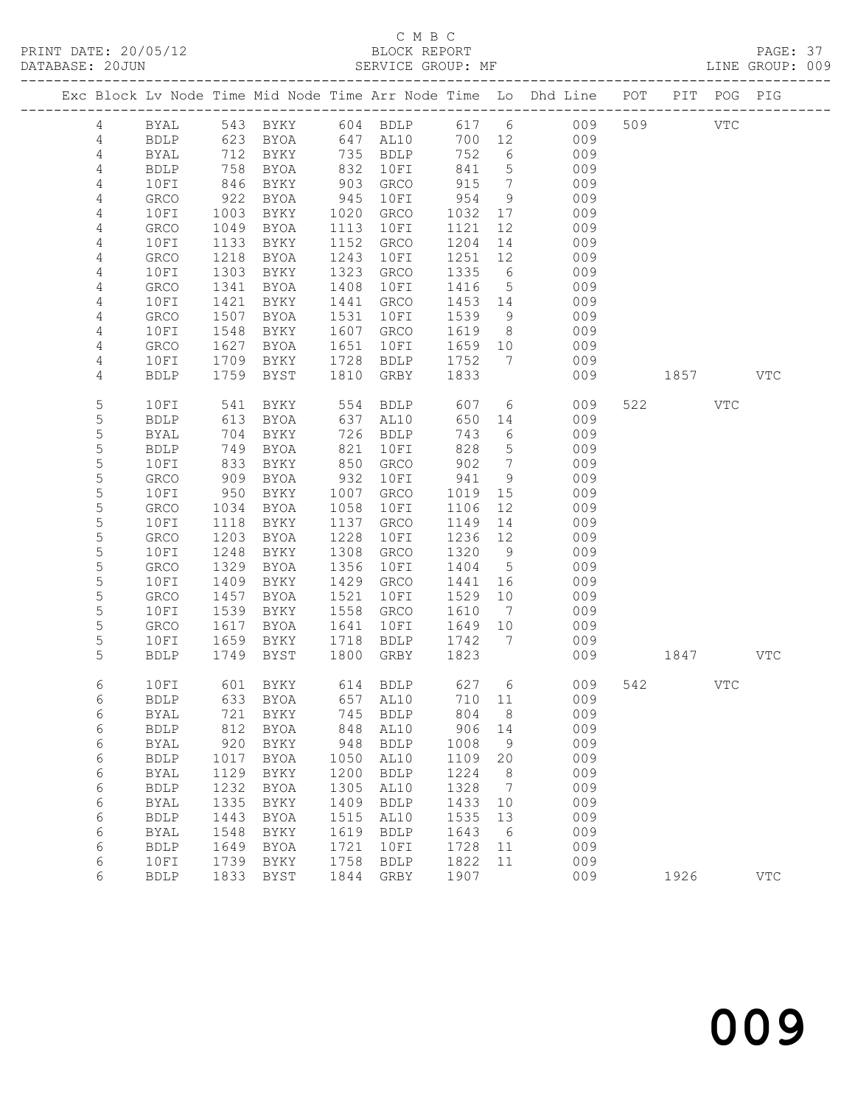#### C M B C<br>BLOCK REPORT

PAGE: 37<br>LINE GROUP: 009

|                 |                            |              |                               |              |                     |              |                              | Exc Block Lv Node Time Mid Node Time Arr Node Time Lo Dhd Line POT |     |             | PIT POG PIG |            |
|-----------------|----------------------------|--------------|-------------------------------|--------------|---------------------|--------------|------------------------------|--------------------------------------------------------------------|-----|-------------|-------------|------------|
| 4               | BYAL                       |              |                               |              |                     |              |                              | 543 BYKY 604 BDLP 617 6 009                                        | 509 |             | <b>VTC</b>  |            |
| 4               | BDLP                       | 623          | BYOA                          |              | 647 AL10            | 700 12       |                              | 009                                                                |     |             |             |            |
| 4               | BYAL                       | 712          | BYKY                          |              | 735 BDLP            | 752          | $6\overline{6}$              | 009                                                                |     |             |             |            |
| 4               | <b>BDLP</b>                | 758          | BYOA                          | 832          | 10FI                | 841          | $5\phantom{.0}$              | 009                                                                |     |             |             |            |
| 4               | 10FI                       | 846          | BYKY                          | 903          | GRCO                | 915          | $7\phantom{.0}\phantom{.0}7$ | 009                                                                |     |             |             |            |
| $\overline{4}$  | GRCO                       | 922          | BYOA                          | 945          | 10FI                | 954          | 9                            | 009                                                                |     |             |             |            |
| 4               | 10FI                       | 1003         | BYKY                          | 1020         | GRCO                | 1032         | 17                           | 009                                                                |     |             |             |            |
| 4               | GRCO                       | 1049         | BYOA                          | 1113         | 10FI                | 1121         | 12                           | 009                                                                |     |             |             |            |
| 4               | 10FI                       | 1133         | BYKY                          | 1152         | GRCO                | 1204         | 14                           | 009                                                                |     |             |             |            |
| 4               | GRCO                       | 1218         | BYOA                          | 1243         | 10FI                | 1251         | 12                           | 009                                                                |     |             |             |            |
| $\overline{4}$  | 10FI                       | 1303         | BYKY                          | 1323         | GRCO                | 1335         | $6\overline{6}$              | 009                                                                |     |             |             |            |
| $\overline{4}$  | <b>GRCO</b>                | 1341         | BYOA                          | 1408         | 10FI                | 1416         | $5^{\circ}$                  | 009                                                                |     |             |             |            |
| 4               | 10FI                       | 1421         | BYKY                          | 1441         | GRCO                | 1453 14      |                              | 009                                                                |     |             |             |            |
| 4               | GRCO                       | 1507         | BYOA                          | 1531         | 10FI                | 1539         | 9                            | 009                                                                |     |             |             |            |
| 4               | 10FI                       | 1548         | BYKY                          | 1607         | GRCO                | 1619         | 8 <sup>8</sup>               | 009                                                                |     |             |             |            |
| 4               | GRCO                       | 1627         | BYOA                          | 1651         | 10FI                | 1659         | 10                           | 009                                                                |     |             |             |            |
| 4<br>4          | 10FI<br><b>BDLP</b>        | 1709         | BYKY                          | 1728<br>1810 | BDLP                | 1752<br>1833 | 7                            | 009                                                                |     |             |             | VTC        |
|                 |                            | 1759         | BYST                          |              | GRBY                |              |                              | 009                                                                |     | 1857   1900 |             |            |
| 5               | 10FI                       | 541          | BYKY                          | 554          | BDLP                | 607          |                              | $6\degree$<br>009                                                  |     | 522 VTC     |             |            |
| 5               | <b>BDLP</b>                | 613          | BYOA                          | 637          | AL10                | 650          | 14                           | 009                                                                |     |             |             |            |
| 5               | BYAL                       | 704          | BYKY                          | 726          | BDLP                | 743          | 6                            | 009                                                                |     |             |             |            |
| $\mathsf S$     | <b>BDLP</b>                | 749          | BYOA                          | 821          | 10FI                | 828          | 5 <sup>5</sup>               | 009                                                                |     |             |             |            |
| 5               | 10FI                       | 833          | BYKY                          | 850          | GRCO                | 902          | $7\overline{ }$              | 009                                                                |     |             |             |            |
| 5               | GRCO                       | 909          | BYOA                          | 932          | 10FI                | 941          | 9                            | 009                                                                |     |             |             |            |
| 5               | 10FI                       | 950          | BYKY                          | 1007         | GRCO                | 1019         | 15                           | 009                                                                |     |             |             |            |
| 5               | GRCO                       | 1034         | BYOA                          | 1058         | 10FI                | 1106         | 12                           | 009                                                                |     |             |             |            |
| 5               | 10FI                       | 1118         | BYKY                          | 1137         | GRCO                | 1149         | 14                           | 009                                                                |     |             |             |            |
| 5<br>5          | <b>GRCO</b>                | 1203         | BYOA                          | 1228         | 10FI                | 1236         | 12                           | 009                                                                |     |             |             |            |
| $\mathsf S$     | 10FI<br>GRCO               | 1248<br>1329 | BYKY                          | 1308<br>1356 | GRCO                | 1320<br>1404 | 9<br>$5\overline{)}$         | 009<br>009                                                         |     |             |             |            |
| 5               | 10FI                       | 1409         | BYOA<br>BYKY                  | 1429         | 10FI<br>GRCO        | 1441         | 16                           | 009                                                                |     |             |             |            |
| 5               | GRCO                       | 1457         | BYOA                          | 1521         | 10FI                | 1529         | 10                           | 009                                                                |     |             |             |            |
| 5               | 10FI                       | 1539         | BYKY                          | 1558         | GRCO                | 1610         | $\overline{7}$               | 009                                                                |     |             |             |            |
| 5               | GRCO                       | 1617         | BYOA                          | 1641         | 10FI                | 1649         | 10                           | 009                                                                |     |             |             |            |
| 5               | 10FI                       | 1659         | BYKY                          | 1718         | BDLP                | 1742 7       |                              | 009                                                                |     |             |             |            |
| 5               | <b>BDLP</b>                | 1749         | BYST                          | 1800         | GRBY                | 1823         |                              | 009                                                                |     | 1847        |             | VTC        |
|                 |                            |              |                               |              |                     |              |                              |                                                                    |     |             |             |            |
| 6               | 10FI                       |              | 601 BYKY                      |              | 614 BDLP 627 6      |              |                              | 009                                                                |     | 542 VTC     |             |            |
| 6               |                            |              | BDLP 633 BYOA 657 AL10 710 11 |              |                     |              |                              | 009                                                                |     |             |             |            |
| 6               | <b>BYAL</b>                | 721          | <b>BYKY</b>                   | 745          | <b>BDLP</b>         | 804          | 8                            | 009                                                                |     |             |             |            |
| 6               | <b>BDLP</b>                | 812<br>920   | <b>BYOA</b>                   | 848<br>948   | AL10                | 906          | 14<br>9                      | 009<br>009                                                         |     |             |             |            |
| 6<br>$\epsilon$ | <b>BYAL</b><br><b>BDLP</b> | 1017         | BYKY<br><b>BYOA</b>           | 1050         | <b>BDLP</b><br>AL10 | 1008<br>1109 | 20                           | 009                                                                |     |             |             |            |
| 6               | BYAL                       | 1129         | <b>BYKY</b>                   | 1200         | <b>BDLP</b>         | 1224         | 8                            | 009                                                                |     |             |             |            |
| 6               | <b>BDLP</b>                | 1232         | <b>BYOA</b>                   | 1305         | AL10                | 1328         | 7                            | 009                                                                |     |             |             |            |
| 6               | <b>BYAL</b>                | 1335         | BYKY                          | 1409         | <b>BDLP</b>         | 1433         | 10                           | 009                                                                |     |             |             |            |
| 6               | <b>BDLP</b>                | 1443         | <b>BYOA</b>                   | 1515         | AL10                | 1535         | 13                           | 009                                                                |     |             |             |            |
| 6               | BYAL                       | 1548         | BYKY                          | 1619         | <b>BDLP</b>         | 1643         | - 6                          | 009                                                                |     |             |             |            |
| 6               | <b>BDLP</b>                | 1649         | <b>BYOA</b>                   | 1721         | 10FI                | 1728         | 11                           | 009                                                                |     |             |             |            |
| 6               | 10FI                       | 1739         | BYKY                          | 1758         | <b>BDLP</b>         | 1822         | 11                           | 009                                                                |     |             |             |            |
| 6               | <b>BDLP</b>                | 1833         | <b>BYST</b>                   | 1844         | GRBY                | 1907         |                              | 009                                                                |     | 1926        |             | <b>VTC</b> |
|                 |                            |              |                               |              |                     |              |                              |                                                                    |     |             |             |            |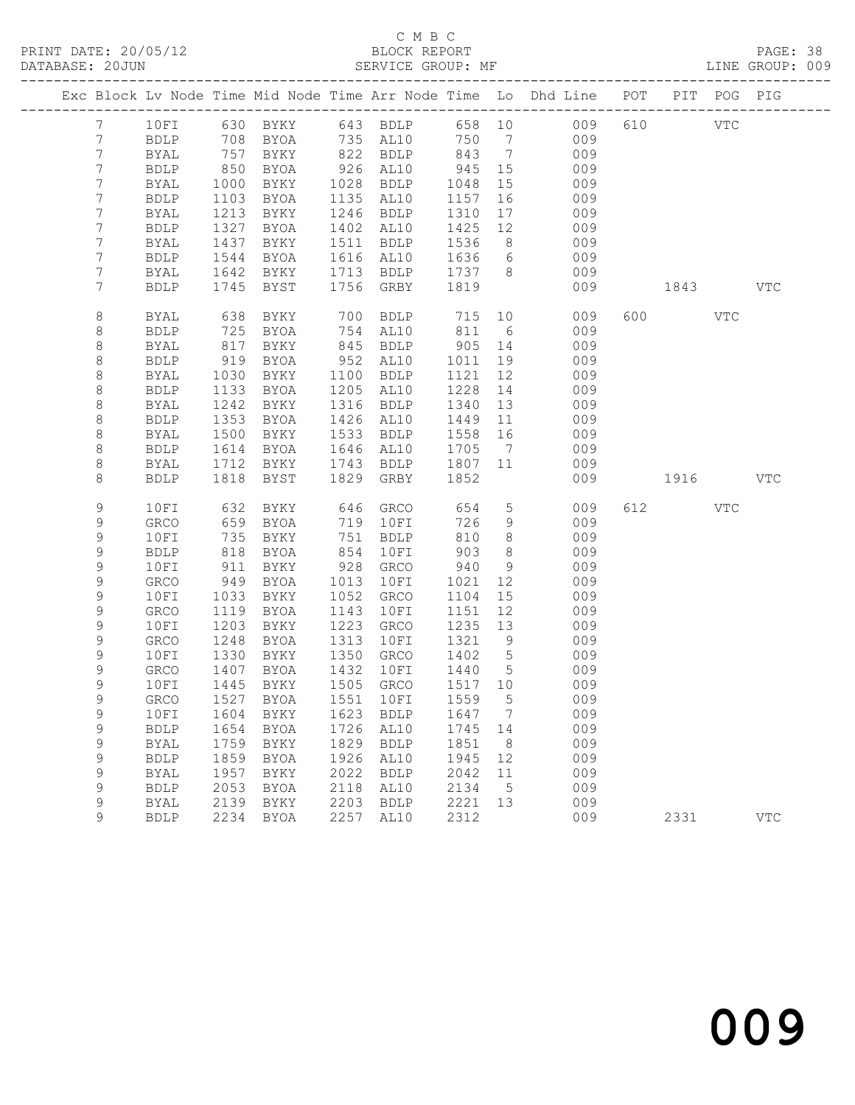#### C M B C<br>BLOCK REPORT

PAGE: 38<br>LINE GROUP: 009

|                                  |                      |              |                                 |              |                        |              |                      | Exc Block Lv Node Time Mid Node Time Arr Node Time Lo Dhd Line POT |     |             | PIT POG PIG |              |
|----------------------------------|----------------------|--------------|---------------------------------|--------------|------------------------|--------------|----------------------|--------------------------------------------------------------------|-----|-------------|-------------|--------------|
| $7\overline{ }$                  | 10FI                 |              |                                 |              |                        |              |                      |                                                                    | 610 | <b>VTC</b>  |             |              |
| $7\overline{ }$                  | BDLP                 |              |                                 |              |                        |              |                      |                                                                    |     |             |             |              |
| $7\phantom{.0}$                  | BYAL                 | 757          | BYKY                            |              | 822 BDLP               | 843          | $7\overline{ }$      | 009                                                                |     |             |             |              |
| $\overline{7}$                   | <b>BDLP</b>          | 850          | BYOA                            |              | 926 AL10               | 945          | 15                   | 009                                                                |     |             |             |              |
| $7\,$                            | BYAL                 | 1000         | BYKY                            |              | 1028 BDLP              | 1048         | 15                   | 009                                                                |     |             |             |              |
| 7                                | <b>BDLP</b>          | 1103         | BYOA                            |              | 1135 AL10              | 1157         | 16                   | 009                                                                |     |             |             |              |
| 7                                | BYAL                 | 1213         | BYKY                            |              | 1246 BDLP              | 1310         | 17                   | 009                                                                |     |             |             |              |
| 7                                | BDLP                 | 1327         | BYOA                            |              | 1402 AL10              | 1425         | 12                   | 009                                                                |     |             |             |              |
| $\overline{7}$<br>$\overline{7}$ | BYAL<br><b>BDLP</b>  | 1437<br>1544 | BYKY<br>BYOA                    |              | 1511 BDLP<br>1616 AL10 | 1536<br>1636 | 8<br>$6\overline{6}$ | 009<br>009                                                         |     |             |             |              |
| $\overline{7}$                   | BYAL                 | 1642         | BYKY                            |              | 1713 BDLP              | 1737 8       |                      | 009                                                                |     |             |             |              |
| 7                                | <b>BDLP</b>          | 1745         | BYST                            |              | 1756 GRBY              | 1819         |                      | 009                                                                |     | 1843 VTC    |             |              |
|                                  |                      |              |                                 |              |                        |              |                      |                                                                    |     |             |             |              |
| 8                                | BYAL                 | 638          | BYKY                            |              | 700 BDLP               | 715          | 10                   | 009                                                                |     | 600 VTC     |             |              |
| 8                                | <b>BDLP</b>          | 725          | BYOA                            | 754          | AL10                   | 811          | 6                    | 009                                                                |     |             |             |              |
| 8                                | BYAL                 | 817          | BYKY                            | 845          | BDLP                   | 905          | 14                   | 009                                                                |     |             |             |              |
| 8                                | <b>BDLP</b>          | 919          | BYOA                            | 952          | AL10                   | 1011         | 19                   | 009                                                                |     |             |             |              |
| 8                                | BYAL                 | 1030         | BYKY                            | 1100         | BDLP                   | 1121         | 12 <sup>°</sup>      | 009                                                                |     |             |             |              |
| 8                                | <b>BDLP</b>          | 1133         | BYOA                            | 1205         | AL10                   | 1228         | 14                   | 009                                                                |     |             |             |              |
| 8                                | BYAL                 | 1242         | BYKY                            | 1316         | BDLP                   | 1340         | 13                   | 009                                                                |     |             |             |              |
| 8<br>$\,8\,$                     | BDLP                 | 1353<br>1500 | BYOA                            | 1426<br>1533 | AL10                   | 1449<br>1558 | 11<br>16             | 009<br>009                                                         |     |             |             |              |
| 8                                | BYAL<br>BDLP         | 1614         | BYKY<br>BYOA                    | 1646         | BDLP<br>AL10           | 1705         | $7\overline{ }$      | 009                                                                |     |             |             |              |
| 8                                | BYAL                 | 1712         | BYKY                            | 1743         | BDLP                   | 1807         | 11                   | 009                                                                |     |             |             |              |
| 8                                | <b>BDLP</b>          | 1818         | BYST                            | 1829         | GRBY                   | 1852         |                      | 009                                                                |     | 1916 — 1916 |             | <b>VTC</b>   |
|                                  |                      |              |                                 |              |                        |              |                      |                                                                    |     |             |             |              |
| 9                                | 10FI                 | 632          | BYKY                            | 646          | GRCO                   | 654          | $5^{\circ}$          | 009                                                                |     | 612 VTC     |             |              |
| 9                                | GRCO                 | 659          | BYOA                            |              | 719 10FI               | 726          | 9                    | 009                                                                |     |             |             |              |
| 9                                | 10FI                 | 735          | BYKY                            | 751          | BDLP                   | 810          | $8\,$                | 009                                                                |     |             |             |              |
| 9                                | <b>BDLP</b>          | 818          | BYOA                            | 854          | 10FI                   | 903          | 8                    | 009                                                                |     |             |             |              |
| 9                                | 10FI                 | 911          | BYKY                            | 928          | GRCO                   | 940          | 9                    | 009                                                                |     |             |             |              |
| 9                                | GRCO                 | 949          | BYOA                            | 1013         | 10FI                   | 1021         | 12                   | 009                                                                |     |             |             |              |
| 9<br>9                           | 10FI<br>${\tt GRCO}$ | 1033<br>1119 | BYKY<br>BYOA                    | 1052<br>1143 | GRCO                   | 1104<br>1151 | 15<br>12             | 009<br>009                                                         |     |             |             |              |
| 9                                | 10FI                 | 1203         | BYKY                            | 1223         | 10FI<br>GRCO           | 1235         | 13                   | 009                                                                |     |             |             |              |
| 9                                | GRCO                 | 1248         | BYOA                            | 1313         | 10FI                   | 1321         | 9                    | 009                                                                |     |             |             |              |
| 9                                | 10FI                 | 1330         | BYKY                            | 1350         | GRCO                   | 1402         | $5\overline{)}$      | 009                                                                |     |             |             |              |
| 9                                | ${\tt GRCO}$         | 1407         | BYOA                            | 1432         | 10FI                   | 1440         | $5^{\circ}$          | 009                                                                |     |             |             |              |
| 9                                | 10FI                 | 1445         | BYKY                            |              | 1505 GRCO              | 1517 10      |                      | 009                                                                |     |             |             |              |
| 9                                |                      |              | GRCO 1527 BYOA 1551 10FI 1559 5 |              |                        |              |                      | 009                                                                |     |             |             |              |
| 9                                | 10FI                 | 1604         | BYKY                            | 1623         | BDLP                   | 1647         | $\overline{7}$       | 009                                                                |     |             |             |              |
| 9                                | <b>BDLP</b>          | 1654         | BYOA                            | 1726         | AL10                   | 1745         | 14                   | 009                                                                |     |             |             |              |
| 9                                | <b>BYAL</b>          | 1759         | BYKY                            | 1829         | BDLP                   | 1851         | 8                    | 009                                                                |     |             |             |              |
| 9                                | <b>BDLP</b>          | 1859         | BYOA                            | 1926         | AL10                   | 1945         | 12                   | 009                                                                |     |             |             |              |
| 9                                | <b>BYAL</b>          | 1957         | BYKY                            | 2022         | <b>BDLP</b>            | 2042         | 11                   | 009                                                                |     |             |             |              |
| 9                                | <b>BDLP</b>          | 2053         | BYOA                            | 2118         | AL10                   | 2134         | $5\phantom{0}$       | 009                                                                |     |             |             |              |
| 9                                | BYAL                 | 2139         | BYKY                            | 2203         | BDLP                   | 2221         | 13                   | 009                                                                |     |             |             |              |
| 9                                | <b>BDLP</b>          |              | 2234 BYOA                       | 2257         | AL10                   | 2312         |                      | 009                                                                |     | 2331        |             | $_{\rm VTC}$ |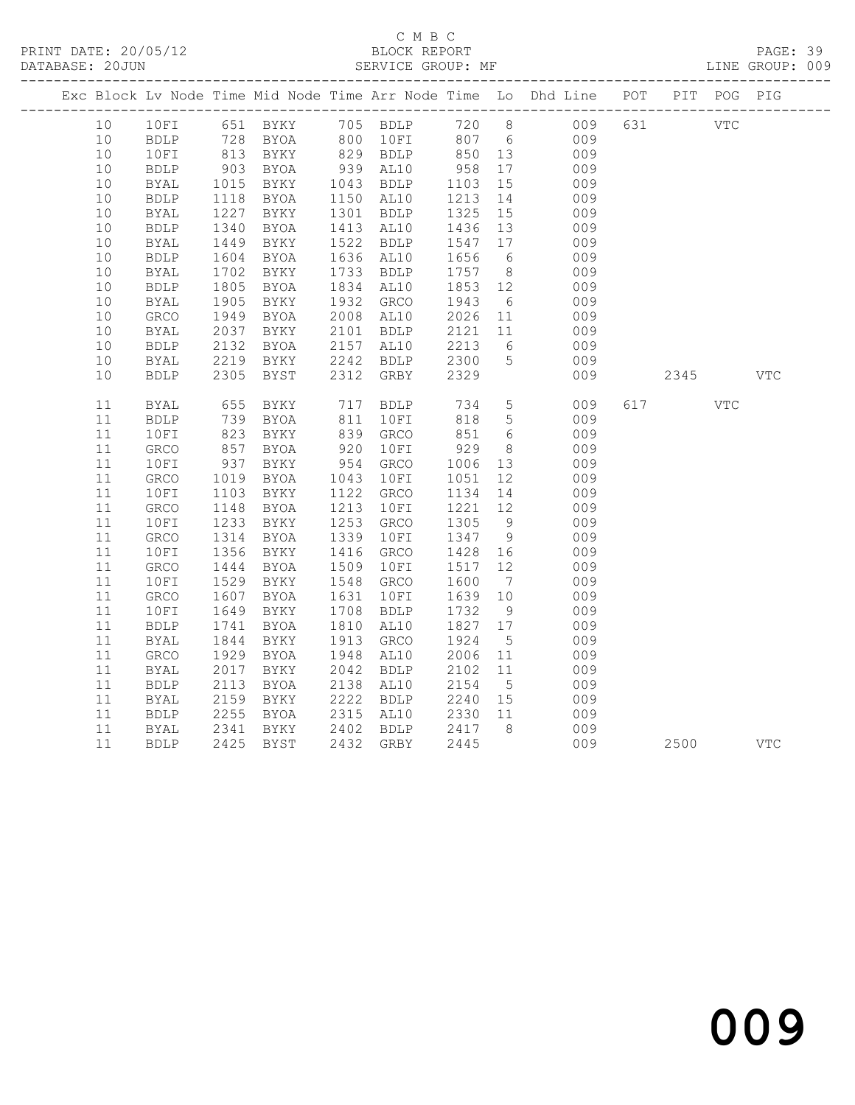#### C M B C<br>BLOCK REPORT

PAGE: 39<br>LINE GROUP: 009

|                 |    |              |              |                         |      |                      |                  |                 | Exc Block Lv Node Time Mid Node Time Arr Node Time Lo Dhd Line POT |     |            | PIT POG PIG |            |
|-----------------|----|--------------|--------------|-------------------------|------|----------------------|------------------|-----------------|--------------------------------------------------------------------|-----|------------|-------------|------------|
| 10 <sup>°</sup> |    | 10FI         |              |                         |      |                      |                  |                 | 651 BYKY 705 BDLP 720 8 009                                        | 631 | <b>VTC</b> |             |            |
| $10$            |    | BDLP         |              | 728 BYOA 800 10FI 807 6 |      |                      |                  |                 | 009                                                                |     |            |             |            |
| 10              |    | 10FI         | 813<br>903   | <b>BYKY</b>             |      | 829 BDLP<br>939 AL10 | 850 13<br>958 17 |                 | 009                                                                |     |            |             |            |
| 10              |    | <b>BDLP</b>  |              | BYOA                    |      |                      |                  |                 | 009                                                                |     |            |             |            |
| 10              |    | <b>BYAL</b>  | 1015         | BYKY                    |      | 1043 BDLP            | 1103             | 15              | 009                                                                |     |            |             |            |
| 10              |    | ${\tt BDLP}$ | 1118         | BYOA                    |      | 1150 AL10            | 1213             | 14              | 009                                                                |     |            |             |            |
| $10$            |    | BYAL         | 1227         | BYKY                    |      | 1301 BDLP            | 1325             | 15              | 009                                                                |     |            |             |            |
| 10              |    | <b>BDLP</b>  | 1340         | BYOA                    | 1413 | AL10                 | 1436             | 13              | 009                                                                |     |            |             |            |
| 10              |    | <b>BYAL</b>  | 1449         | BYKY                    | 1522 | BDLP                 | 1547             | 17              | 009                                                                |     |            |             |            |
| 10              |    | <b>BDLP</b>  | 1604         | BYOA                    |      | 1636 AL10            | 1656             | $6\overline{6}$ | 009                                                                |     |            |             |            |
| 10              |    | BYAL         | 1702         | BYKY                    |      | 1733 BDLP            | 1757 8           |                 | 009                                                                |     |            |             |            |
| 10              |    | <b>BDLP</b>  | 1805         | BYOA                    | 1834 | AL10                 | 1853 12          |                 | 009                                                                |     |            |             |            |
| 10              |    | <b>BYAL</b>  | 1905         | BYKY                    | 1932 | GRCO                 | 1943             | 6               | 009                                                                |     |            |             |            |
| 10              |    | ${\tt GRCO}$ | 1949         | BYOA                    | 2008 | AL10                 | 2026             | 11              | 009                                                                |     |            |             |            |
| 10              |    | <b>BYAL</b>  | 2037         | BYKY                    |      | 2101 BDLP            | 2121             | 11              | 009                                                                |     |            |             |            |
| 10              |    | <b>BDLP</b>  | 2132         | BYOA                    | 2157 | AL10                 | 2213             | 6               | 009                                                                |     |            |             |            |
| 10              |    | BYAL         | 2219         | BYKY                    | 2242 | BDLP                 | 2300             | $5^{\circ}$     | 009                                                                |     |            |             |            |
| 10              |    | <b>BDLP</b>  | 2305         | BYST                    | 2312 | GRBY                 | 2329             |                 | 009                                                                |     | 2345       |             | <b>VTC</b> |
|                 |    |              |              |                         |      |                      |                  |                 |                                                                    |     |            |             |            |
| 11              |    | <b>BYAL</b>  | 655          | BYKY                    | 717  | BDLP                 | 734              | $5\overline{)}$ | 009                                                                |     | 617        | <b>VTC</b>  |            |
| 11              |    | <b>BDLP</b>  | 739          | BYOA                    | 811  | 10FI                 | 818              | $5^{\circ}$     | 009                                                                |     |            |             |            |
| 11              |    | 10FI         | $135$<br>823 | BYKY                    |      | 839 GRCO             | 851              | 6               | 009                                                                |     |            |             |            |
| 11              |    | GRCO         | 857          | BYOA                    | 920  | 10FI                 | 929              | 8 <sup>8</sup>  | 009                                                                |     |            |             |            |
| 11              |    | 10FI         | 937          | BYKY                    | 954  | GRCO                 | 1006             | 13              | 009                                                                |     |            |             |            |
| 11              |    | GRCO         | 1019         | BYOA                    | 1043 | 10FI                 | 1051             | 12              | 009                                                                |     |            |             |            |
| 11              |    | 10FI         | 1103         | BYKY                    | 1122 | GRCO                 | 1134             | 14              | 009                                                                |     |            |             |            |
| 11              |    | GRCO         | 1148         | BYOA                    | 1213 | 10FI                 | 1221             | 12              | 009                                                                |     |            |             |            |
| 11              |    | 10FI         | 1233         | BYKY                    | 1253 | GRCO                 | 1305             | 9               | 009                                                                |     |            |             |            |
| 11              |    | GRCO         | 1314         | BYOA                    | 1339 | 10FI                 | 1347             | 9               | 009                                                                |     |            |             |            |
| 11              |    | 10FI         | 1356         | BYKY                    | 1416 | GRCO                 | 1428             | 16              | 009                                                                |     |            |             |            |
| 11              |    | GRCO         | 1444         | BYOA                    | 1509 | 10FI                 | 1517             | 12              | 009                                                                |     |            |             |            |
| 11              |    | 10FI         | 1529         | BYKY                    | 1548 | GRCO                 | 1600             | $\overline{7}$  | 009                                                                |     |            |             |            |
| 11              |    | GRCO         | 1607         | BYOA                    | 1631 | 10FI                 | 1639             | 10              | 009                                                                |     |            |             |            |
| 11              |    | 10FI         | 1649         | BYKY                    | 1708 | <b>BDLP</b>          | 1732             | 9               | 009                                                                |     |            |             |            |
| 11              |    | <b>BDLP</b>  | 1741         | <b>BYOA</b>             | 1810 | AL10                 | 1827 17          |                 | 009                                                                |     |            |             |            |
| 11              |    | <b>BYAL</b>  | 1844         | BYKY                    | 1913 | GRCO                 | 1924             | $5\overline{)}$ | 009                                                                |     |            |             |            |
| 11              |    | GRCO         | 1929         | BYOA                    | 1948 | AL10                 | 2006             | 11              | 009                                                                |     |            |             |            |
| 11              |    | BYAL         | 2017         | BYKY                    | 2042 | BDLP                 | 2102             | 11              | 009                                                                |     |            |             |            |
| 11              |    | <b>BDLP</b>  | 2113         | BYOA                    | 2138 | AL10                 | 2154             | $5\overline{)}$ | 009                                                                |     |            |             |            |
| 11              |    | <b>BYAL</b>  | 2159         | BYKY                    | 2222 | <b>BDLP</b>          | 2240             | 15              | 009                                                                |     |            |             |            |
| 11              |    | <b>BDLP</b>  | 2255         | BYOA                    | 2315 | AL10                 | 2330             | 11              | 009                                                                |     |            |             |            |
| 11              |    | BYAL         | 2341         | BYKY                    | 2402 | BDLP                 | 2417             | 8 <sup>8</sup>  | 009                                                                |     |            |             |            |
|                 | 11 | <b>BDLP</b>  | 2425         | BYST                    |      | 2432 GRBY            | 2445             |                 | 009                                                                |     | 2500       |             | <b>VTC</b> |
|                 |    |              |              |                         |      |                      |                  |                 |                                                                    |     |            |             |            |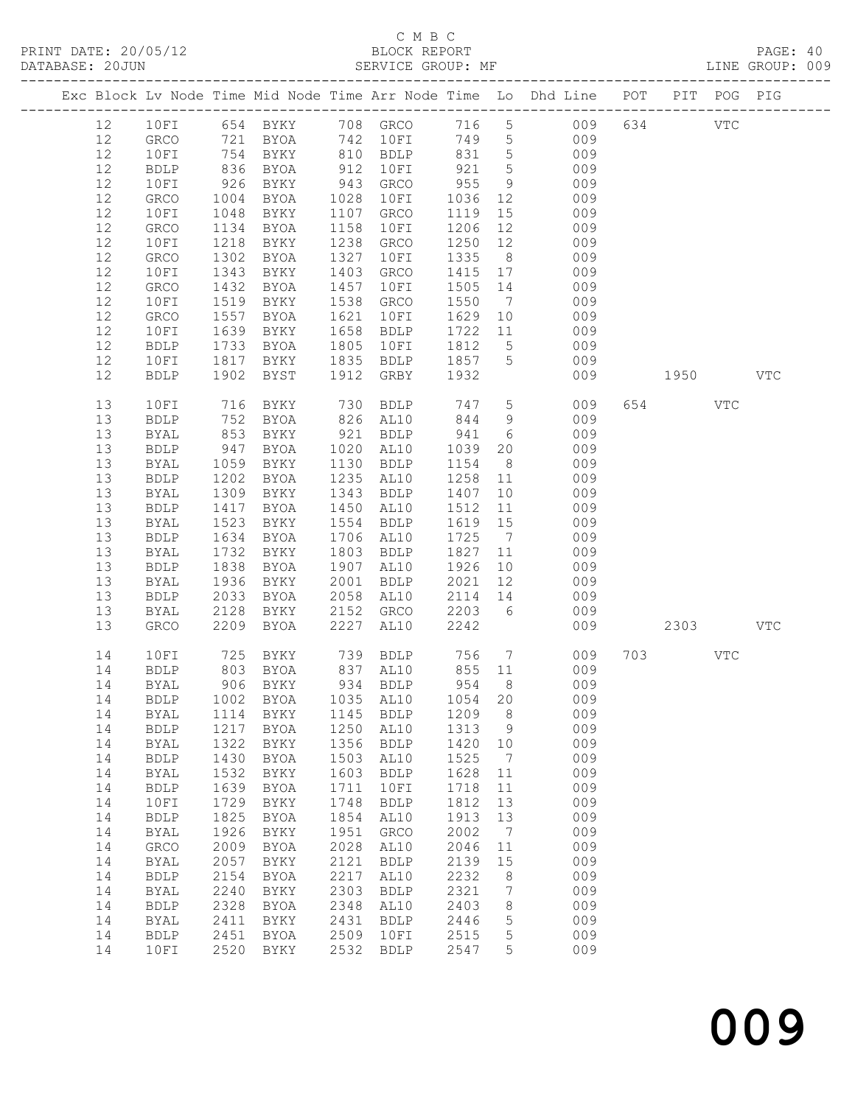#### C M B C N B C N B C N B C N B C N B C N B C SEPORT DATABASE: 20JUN SERVICE GROUP: MF LINE GROUP: 009

|    |              |            |                                     |      |                |          |                 | Exc Block Lv Node Time Mid Node Time Arr Node Time Lo Dhd Line POT   |           | PIT POG PIG |     |
|----|--------------|------------|-------------------------------------|------|----------------|----------|-----------------|----------------------------------------------------------------------|-----------|-------------|-----|
| 12 |              |            |                                     |      |                |          |                 |                                                                      | 634 VTC   |             |     |
|    |              |            |                                     |      |                | 749 5    |                 | 10FI 654 BYKY 708 GRCO 716 5 009<br>GRCO 721 BYOA 742 10FI 749 5 009 |           |             |     |
| 12 |              |            |                                     |      | 810 BDLP       |          |                 | 009                                                                  |           |             |     |
| 12 | 10FI         |            | 754 BYKY                            |      |                | 831 5    |                 |                                                                      |           |             |     |
| 12 | BDLP         | 836        | BYOA                                | 912  | 10FI           | 921      | $5\overline{)}$ | 009                                                                  |           |             |     |
| 12 | 10FI         | 926        | BYKY                                | 943  | GRCO           | 955      | 9               | 009                                                                  |           |             |     |
| 12 | GRCO         | 1004       | BYOA                                | 1028 | 10FI           | 1036     | 12              | 009                                                                  |           |             |     |
| 12 | 10FI         | 1048       | BYKY                                | 1107 | GRCO           | 1119     | 15              | 009                                                                  |           |             |     |
| 12 | GRCO         | 1134       | BYOA                                | 1158 | 10FI           | 1206     | 12              | 009                                                                  |           |             |     |
| 12 | 10FI         | 1218       | BYKY                                | 1238 | GRCO           | 1250     | 12              | 009                                                                  |           |             |     |
| 12 | GRCO         | 1302       | BYOA                                | 1327 | 10FI           | 1335     | 8 <sup>8</sup>  | 009                                                                  |           |             |     |
| 12 |              | 1343       |                                     | 1403 |                | 1415 17  |                 | 009                                                                  |           |             |     |
|    | 10FI         |            | BYKY                                |      | GRCO           |          |                 |                                                                      |           |             |     |
| 12 | GRCO         | 1432       | BYOA                                | 1457 | 10FI           | 1505     | 14              | 009                                                                  |           |             |     |
| 12 | 10FI         | 1519       | BYKY                                | 1538 | GRCO           | 1550     | $\overline{7}$  | 009                                                                  |           |             |     |
| 12 | GRCO         | 1557       | BYOA                                | 1621 | 10FI           | 1629     | 10              | 009                                                                  |           |             |     |
| 12 | 10FI         | 1639       | BYKY                                | 1658 | BDLP           | 1722     | 11              | 009                                                                  |           |             |     |
| 12 | <b>BDLP</b>  | 1733       | BYOA                                | 1805 | 10FI           | 1812     | 5 <sup>5</sup>  | 009                                                                  |           |             |     |
| 12 | 10FI         | 1817       | BYKY                                | 1835 | BDLP           | 1857 5   |                 | 009                                                                  |           |             |     |
| 12 | <b>BDLP</b>  | 1902       | BYST                                | 1912 | GRBY           | 1932     |                 | 009                                                                  | 1950 1990 |             | VTC |
|    |              |            |                                     |      |                |          |                 |                                                                      |           |             |     |
| 13 | 10FI         | 716        | BYKY                                | 730  | BDLP           | 747 5    |                 | 009                                                                  | 654 VTC   |             |     |
| 13 | <b>BDLP</b>  | 752        | BYOA                                |      | 826 AL10       | 844      | 9               | 009                                                                  |           |             |     |
| 13 |              |            |                                     |      | 921 BDLP       | 941      | $6\overline{6}$ | 009                                                                  |           |             |     |
|    | BYAL         | 853<br>947 | BYKY                                |      |                |          |                 |                                                                      |           |             |     |
| 13 | <b>BDLP</b>  |            | BYOA                                | 1020 | AL10           | 1039     | 20              | 009                                                                  |           |             |     |
| 13 | BYAL         | 1059       | BYKY                                | 1130 | BDLP           | 1154     |                 | $8 - 8$<br>009                                                       |           |             |     |
| 13 | <b>BDLP</b>  | 1202       | BYOA                                | 1235 | AL10           | 1258     | 11              | 009                                                                  |           |             |     |
| 13 | BYAL         | 1309       | BYKY                                | 1343 | BDLP           | 1407     | 10              | 009                                                                  |           |             |     |
| 13 | <b>BDLP</b>  | 1417       | BYOA                                | 1450 | AL10           | 1512     | 11              | 009                                                                  |           |             |     |
| 13 | BYAL         | 1523       | BYKY                                | 1554 | BDLP           | 1619 15  |                 | 009                                                                  |           |             |     |
| 13 | <b>BDLP</b>  | 1634       | BYOA                                | 1706 | AL10           | 1725     | $\overline{7}$  | 009                                                                  |           |             |     |
| 13 | BYAL         | 1732       | BYKY                                | 1803 | BDLP           | 1827     | 11              | 009                                                                  |           |             |     |
| 13 | ${\tt BDLP}$ | 1838       | BYOA                                | 1907 | AL10           | 1926     | 10              | 009                                                                  |           |             |     |
| 13 |              | 1936       |                                     | 2001 |                | 2021     | 12              |                                                                      |           |             |     |
|    | BYAL         |            | BYKY                                |      | BDLP           |          |                 | 009                                                                  |           |             |     |
| 13 | <b>BDLP</b>  | 2033       | BYOA                                | 2058 | AL10           | 2114     | 14              | 009                                                                  |           |             |     |
| 13 | BYAL         | 2128       | BYKY                                | 2152 | GRCO           | 2203 6   |                 | 009                                                                  |           |             |     |
| 13 | ${\tt GRCO}$ | 2209       | BYOA                                | 2227 | AL10           | 2242     |                 | 009                                                                  | 2303      |             | VTC |
|    |              |            |                                     |      |                |          |                 |                                                                      |           |             |     |
| 14 | 10FI         | 725        | BYKY                                |      | 739 BDLP 756 7 |          |                 | 009                                                                  | 703 VTC   |             |     |
| 14 | <b>BDLP</b>  |            | 803 BYOA<br>906 BYKY                |      | 837 AL10       | $855$ 11 |                 | 009                                                                  |           |             |     |
| 14 | <b>BYAL</b>  |            |                                     |      | 934 BDLP       | 954      | 8 <sup>8</sup>  | 009                                                                  |           |             |     |
|    |              |            | 14 BDLP 1002 BYOA 1035 AL10 1054 20 |      |                |          |                 | 009                                                                  |           |             |     |
| 14 | BYAL         |            | 1114 BYKY                           | 1145 | <b>BDLP</b>    | 1209     | 8               | 009                                                                  |           |             |     |
| 14 | <b>BDLP</b>  | 1217       | BYOA                                | 1250 | AL10           | 1313     | 9               | 009                                                                  |           |             |     |
| 14 | BYAL         | 1322       | BYKY                                | 1356 | <b>BDLP</b>    | 1420     | 10              | 009                                                                  |           |             |     |
| 14 | ${\tt BDLP}$ | 1430       | BYOA                                | 1503 | AL10           | 1525     | $\overline{7}$  | 009                                                                  |           |             |     |
| 14 | <b>BYAL</b>  | 1532       | BYKY                                | 1603 | <b>BDLP</b>    | 1628     | 11              | 009                                                                  |           |             |     |
| 14 |              | 1639       |                                     | 1711 |                | 1718     | 11              | 009                                                                  |           |             |     |
|    | <b>BDLP</b>  |            | BYOA                                |      | 10FI           |          |                 |                                                                      |           |             |     |
| 14 | 10FI         | 1729       | BYKY                                | 1748 | <b>BDLP</b>    | 1812     | 13              | 009                                                                  |           |             |     |
| 14 | ${\tt BDLP}$ | 1825       | BYOA                                | 1854 | AL10           | 1913     | 13              | 009                                                                  |           |             |     |
| 14 | <b>BYAL</b>  | 1926       | BYKY                                | 1951 | GRCO           | 2002     | $\overline{7}$  | 009                                                                  |           |             |     |
| 14 | GRCO         | 2009       | BYOA                                | 2028 | AL10           | 2046     | 11              | 009                                                                  |           |             |     |
| 14 | <b>BYAL</b>  | 2057       | BYKY                                | 2121 | <b>BDLP</b>    | 2139     | 15              | 009                                                                  |           |             |     |
| 14 | ${\tt BDLP}$ | 2154       | <b>BYOA</b>                         | 2217 | AL10           | 2232     | 8               | 009                                                                  |           |             |     |
| 14 | <b>BYAL</b>  | 2240       | BYKY                                | 2303 | <b>BDLP</b>    | 2321     | $7\phantom{.0}$ | 009                                                                  |           |             |     |
| 14 | <b>BDLP</b>  | 2328       | BYOA                                | 2348 | AL10           | 2403     | 8               | 009                                                                  |           |             |     |
| 14 | BYAL         | 2411       | BYKY                                | 2431 | ${\tt BDLP}$   | 2446     | $\overline{5}$  | 009                                                                  |           |             |     |
| 14 | <b>BDLP</b>  | 2451       | BYOA                                | 2509 | 10FI           | 2515     | 5               | 009                                                                  |           |             |     |
| 14 |              | 2520       |                                     | 2532 |                |          | 5               | 009                                                                  |           |             |     |
|    | 10FI         |            | BYKY                                |      | <b>BDLP</b>    | 2547     |                 |                                                                      |           |             |     |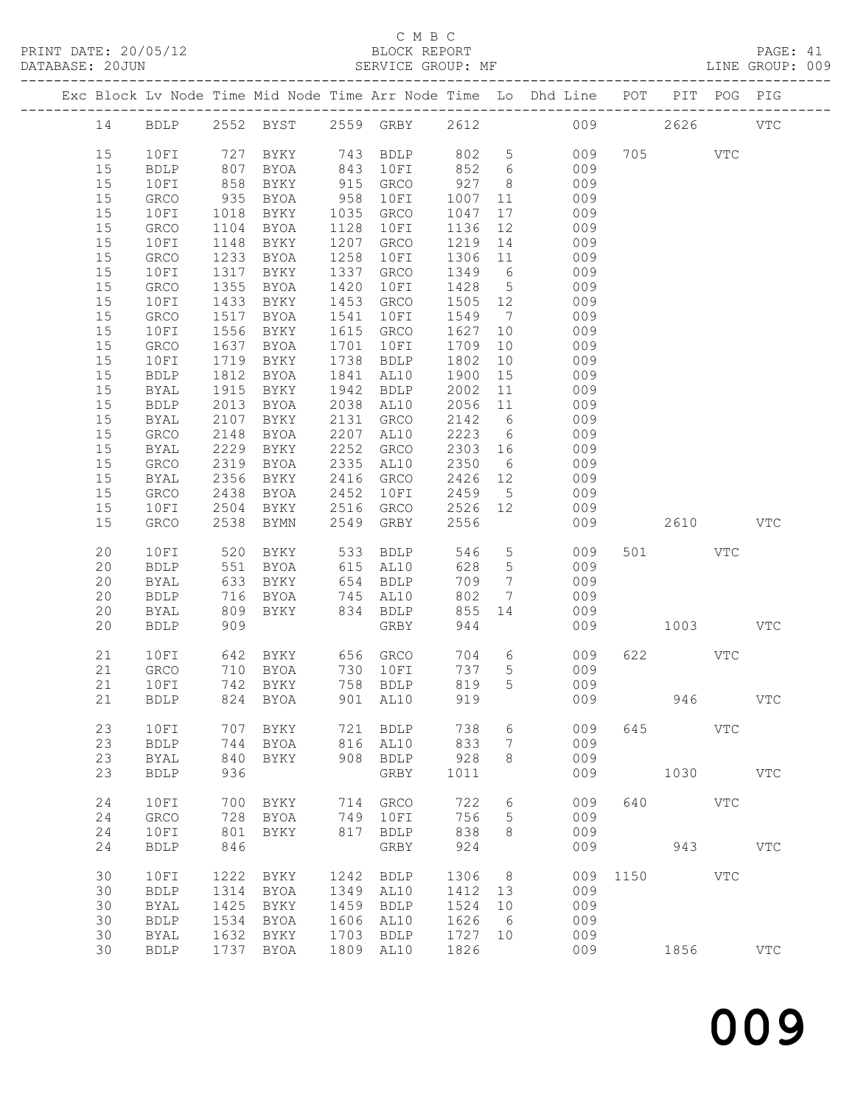### C M B C<br>BLOCK REPORT<br>SERVICE GROUP: MF

| DATABASE: 20JUN |    |             |            | SERVICE GROUP: MF<br>-----------------------------                                                                                      |      |                      |         |                 |                                                                                |          |            |            | LINE GROUP: 009 |
|-----------------|----|-------------|------------|-----------------------------------------------------------------------------------------------------------------------------------------|------|----------------------|---------|-----------------|--------------------------------------------------------------------------------|----------|------------|------------|-----------------|
|                 |    |             |            |                                                                                                                                         |      |                      |         |                 | Exc Block Lv Node Time Mid Node Time Arr Node Time Lo Dhd Line POT PIT POG PIG |          |            |            |                 |
|                 |    |             |            |                                                                                                                                         |      |                      |         |                 | 14 BDLP 2552 BYST 2559 GRBY 2612 009 2626 VTC                                  |          |            |            |                 |
|                 | 15 | 10FI        |            | 727 BYKY       743   BDLP       802     5<br>807   BYOA       843   10FI       852    6<br>858   BYKY        915   GRCO       927     8 |      |                      |         |                 | 009                                                                            |          | 705 VTC    |            |                 |
|                 | 15 | BDLP        |            |                                                                                                                                         |      |                      |         |                 | 009                                                                            |          |            |            |                 |
|                 | 15 | 10FI        |            |                                                                                                                                         |      |                      |         | 8 <sup>8</sup>  | 009                                                                            |          |            |            |                 |
|                 | 15 | GRCO        | 935        | BYOA                                                                                                                                    |      | 958 10FI             | 1007    | 11              | 009                                                                            |          |            |            |                 |
|                 | 15 | 10FI        | 1018       | BYKY                                                                                                                                    |      | 1035 GRCO            | 1047    |                 | 009                                                                            |          |            |            |                 |
|                 | 15 | GRCO        | 1104       | BYOA                                                                                                                                    |      | 1128 10FI            | 1136    | 12              | 009                                                                            |          |            |            |                 |
|                 | 15 | 10FI        | 1148       | BYKY                                                                                                                                    |      | 1207 GRCO            | 1219    |                 | 14<br>009                                                                      |          |            |            |                 |
|                 | 15 | GRCO        | 1233       | <b>BYOA</b>                                                                                                                             | 1258 | 10FI                 | 1306 11 |                 | 009                                                                            |          |            |            |                 |
|                 | 15 | 10FI        | 1317       | BYKY                                                                                                                                    |      | 1337 GRCO            | 1349 6  |                 | 009                                                                            |          |            |            |                 |
|                 | 15 | GRCO        | 1355       | BYOA                                                                                                                                    | 1420 | 10FI                 | 1428 5  |                 | 009                                                                            |          |            |            |                 |
|                 | 15 | 10FI        | 1433       | BYKY                                                                                                                                    |      | 1453 GRCO            | 1505 12 |                 | 009                                                                            |          |            |            |                 |
|                 | 15 | GRCO        | 1517       | BYOA                                                                                                                                    | 1541 | 10FI                 | 1549    |                 | $7\overline{ }$<br>009                                                         |          |            |            |                 |
|                 | 15 | 10FI        | 1556       | BYKY                                                                                                                                    |      | 1615 GRCO            | 1627    | 10              | 009                                                                            |          |            |            |                 |
|                 | 15 | GRCO        | 1637       | BYOA                                                                                                                                    | 1701 | 10FI                 | 1709    | 10              | 009                                                                            |          |            |            |                 |
|                 | 15 | 10FI        | 1719       | BYKY                                                                                                                                    |      | 1738 BDLP            | 1802    | 10              | 009                                                                            |          |            |            |                 |
|                 | 15 | <b>BDLP</b> | 1812       | BYOA                                                                                                                                    |      | 1841 AL10            | 1900    | 15              | 009                                                                            |          |            |            |                 |
|                 | 15 | BYAL        | 1915       | BYKY                                                                                                                                    |      | 1942 BDLP            | 2002    | 11              | 009                                                                            |          |            |            |                 |
|                 | 15 | <b>BDLP</b> | 2013       | BYOA                                                                                                                                    |      | 2038 AL10            | 2056    | 11              | 009                                                                            |          |            |            |                 |
|                 | 15 | BYAL        | 2107       | BYKY                                                                                                                                    |      | 2131 GRCO            | 2142 6  |                 | 009                                                                            |          |            |            |                 |
|                 | 15 | GRCO        | 2148       | BYOA                                                                                                                                    |      | 2207 AL10            | 2223    |                 | $6\overline{6}$<br>009                                                         |          |            |            |                 |
|                 | 15 | BYAL        | 2229       | BYKY 2252 GRCO                                                                                                                          |      |                      | 2303 16 |                 | 009                                                                            |          |            |            |                 |
|                 | 15 | GRCO        | 2319       | BYOA                                                                                                                                    |      | 2335 AL10            | 2350 6  |                 | 009                                                                            |          |            |            |                 |
|                 | 15 | BYAL        | 2356       | BYKY                                                                                                                                    |      | 2416 GRCO            | 2426 12 |                 | 009                                                                            |          |            |            |                 |
|                 | 15 | GRCO        | 2438       | BYOA                                                                                                                                    | 2452 | 10FI                 | 2459 5  |                 | 009                                                                            |          |            |            |                 |
|                 | 15 | 10FI        | 2504       | BYKY                                                                                                                                    |      | 2516 GRCO            | 2526 12 |                 | 009                                                                            |          |            |            |                 |
|                 | 15 | GRCO        | 2538       | BYMN                                                                                                                                    |      | 2549 GRBY            | 2556    |                 |                                                                                | 009      |            | 2610 VTC   |                 |
|                 | 20 | 10FI        | 520        | BYKY                                                                                                                                    |      | 533 BDLP             | 546     |                 | 5 <sub>1</sub><br>009                                                          |          | 501 000    | VTC        |                 |
|                 | 20 | <b>BDLP</b> | 551        | BYOA                                                                                                                                    |      | 615 AL10             | 628     | $5\overline{)}$ | 009                                                                            |          |            |            |                 |
|                 | 20 | BYAL        | 633        | BYKY                                                                                                                                    |      | 654 BDLP             | 709     | $7\overline{ }$ | 009                                                                            |          |            |            |                 |
|                 | 20 | <b>BDLP</b> | 716<br>809 | BYOA                                                                                                                                    |      | 745 AL10<br>834 BDLP | 802     | $7\overline{ }$ | 009                                                                            |          |            |            |                 |
|                 | 20 | BYAL        | 809        | BYKY                                                                                                                                    |      | $834$ BDLP           | 855     | 14              | 009                                                                            |          |            |            |                 |
|                 | 20 | <b>BDLP</b> | 909        |                                                                                                                                         |      | GRBY                 | 944     |                 | 009                                                                            | 1003 VTC |            |            |                 |
|                 | 21 | 10FI        |            |                                                                                                                                         |      |                      |         | 704 6           | 009                                                                            |          | 622 VTC    |            |                 |
|                 | 21 | GRCO        |            |                                                                                                                                         |      |                      | 737     | 5 <sup>5</sup>  | 009                                                                            |          |            |            |                 |
|                 |    |             |            |                                                                                                                                         |      |                      |         |                 | 21 10FI 742 BYKY 758 BDLP 819 5 009                                            |          |            |            |                 |
|                 | 21 | <b>BDLP</b> | 824        | BYOA                                                                                                                                    |      | 901 AL10             | 919     |                 | 009                                                                            |          | 946        |            | <b>VTC</b>      |
|                 | 23 | 10FI        | 707        | BYKY                                                                                                                                    |      | 721 BDLP             | 738     | 6               | 009                                                                            |          | 645        | <b>VTC</b> |                 |
|                 | 23 | <b>BDLP</b> | 744        | BYOA                                                                                                                                    |      | 816 AL10             | 833     | 7               | 009                                                                            |          |            |            |                 |
|                 | 23 | <b>BYAL</b> | 840        | BYKY                                                                                                                                    | 908  | <b>BDLP</b>          | 928     | 8               | 009                                                                            |          |            |            |                 |
|                 | 23 | <b>BDLP</b> | 936        |                                                                                                                                         |      | GRBY                 | 1011    |                 | 009                                                                            |          |            | 1030       | <b>VTC</b>      |
|                 | 24 | 10FI        | 700        | BYKY                                                                                                                                    |      | 714 GRCO             | 722     | 6               | 009                                                                            | 640      | <b>VTC</b> |            |                 |
|                 | 24 | GRCO        | 728        | BYOA                                                                                                                                    |      | 749 10FI             | 756     | 5               | 009                                                                            |          |            |            |                 |
|                 | 24 | 10FI        | 801        | BYKY                                                                                                                                    |      | 817 BDLP             | 838     | 8               | 009                                                                            |          |            |            |                 |
|                 | 24 | <b>BDLP</b> | 846        |                                                                                                                                         |      | GRBY                 | 924     |                 | 009                                                                            |          | 943        |            | <b>VTC</b>      |
|                 | 30 | 10FI        | 1222       | BYKY                                                                                                                                    | 1242 | <b>BDLP</b>          | 1306    | 8               | 009                                                                            |          | 1150       | <b>VTC</b> |                 |
|                 | 30 | <b>BDLP</b> | 1314       | BYOA                                                                                                                                    | 1349 | AL10                 | 1412    | 13              | 009                                                                            |          |            |            |                 |
|                 | 30 | <b>BYAL</b> | 1425       | BYKY                                                                                                                                    | 1459 | <b>BDLP</b>          | 1524    | 10              | 009                                                                            |          |            |            |                 |
|                 | 30 | <b>BDLP</b> | 1534       | BYOA                                                                                                                                    | 1606 | AL10                 | 1626    | 6               | 009                                                                            |          |            |            |                 |
|                 | 30 | <b>BYAL</b> |            | 1632 BYKY                                                                                                                               | 1703 | <b>BDLP</b>          | 1727 10 |                 | 009                                                                            |          |            |            |                 |

30 BDLP 1737 BYOA 1809 AL10 1826 009 1856 VTC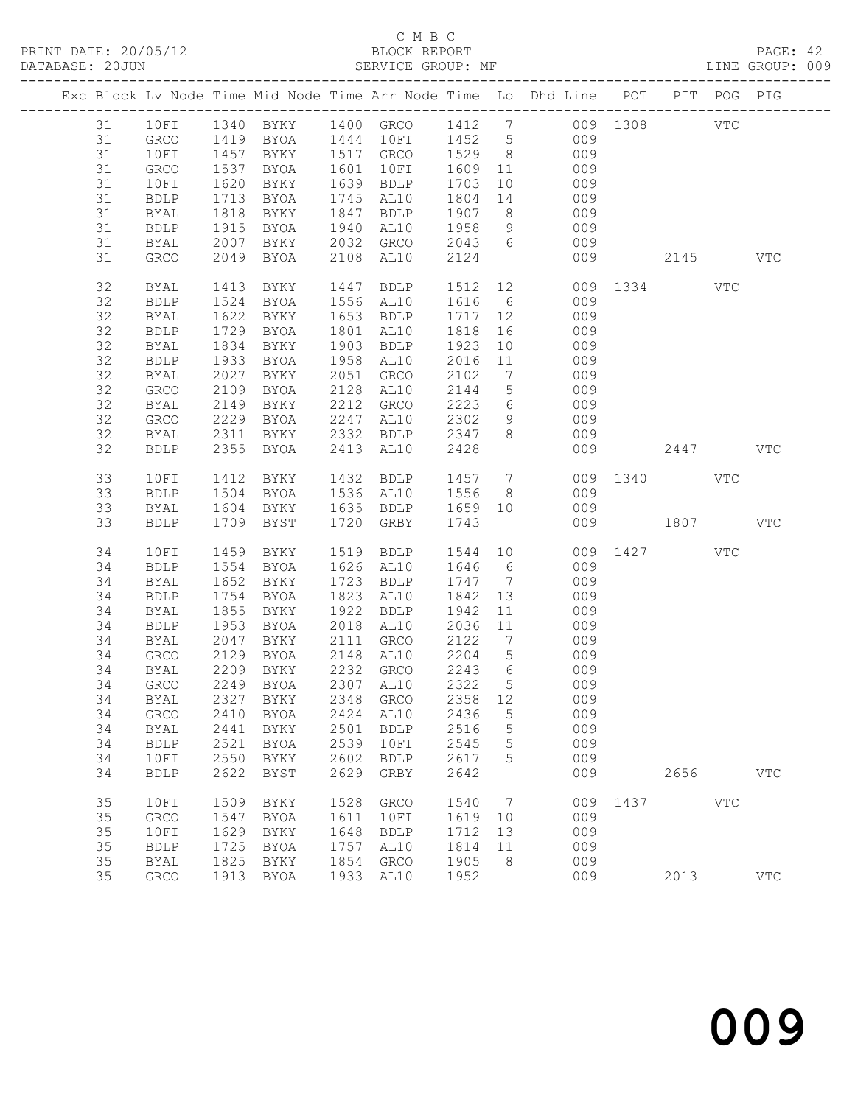#### C M B C<br>BLOCK REPORT

PAGE: 42<br>LINE GROUP: 009

|  |    |              |      |             |      |                                     |                  |                            | Exc Block Lv Node Time Mid Node Time Arr Node Time Lo Dhd Line POT PIT POG PIG      |              |              |
|--|----|--------------|------|-------------|------|-------------------------------------|------------------|----------------------------|-------------------------------------------------------------------------------------|--------------|--------------|
|  | 31 |              |      |             |      |                                     |                  |                            | 10FI 1340 BYKY 1400 GRCO 1412 7 009 1308 VTC<br>GRCO 1419 BYOA 1444 10FI 1452 5 009 |              |              |
|  | 31 |              |      |             |      |                                     |                  |                            |                                                                                     |              |              |
|  | 31 | 10FI         |      |             |      | 1457 BYKY 1517 GRCO 1529 8          |                  |                            | 009                                                                                 |              |              |
|  | 31 | GRCO         | 1537 | BYOA        |      | 1601 10FI                           |                  |                            | 1609 11 009                                                                         |              |              |
|  | 31 | 10FI         | 1620 | BYKY        |      | 1639 BDLP                           | 1703             | 10                         | 009                                                                                 |              |              |
|  | 31 | BDLP         | 1713 | BYOA        |      | 1745 AL10                           |                  |                            | $1804$ 14<br>009                                                                    |              |              |
|  | 31 | BYAL         | 1818 | BYKY        |      | 1847 BDLP 1907                      |                  |                            | $8 - 8$<br>009                                                                      |              |              |
|  | 31 | BDLP         | 1915 | BYOA        |      | 1940 AL10                           | 1958             | 9                          | 009                                                                                 |              |              |
|  | 31 | BYAL         | 2007 | <b>BYKY</b> |      | 2032 GRCO                           |                  |                            | 009                                                                                 |              |              |
|  | 31 | GRCO         |      | 2049 BYOA   |      | 2108 AL10                           | 2043 6<br>2124   |                            | 009                                                                                 | 2145 VTC     |              |
|  |    |              |      |             |      |                                     |                  |                            |                                                                                     |              |              |
|  | 32 | BYAL         | 1413 | BYKY        | 1447 | BDLP                                |                  |                            | 1512  12  009  1334  VTC                                                            |              |              |
|  | 32 | BDLP         | 1524 | BYOA        |      | 1556 AL10                           | 1616             | $\overline{\phantom{a}}$ 6 | 009                                                                                 |              |              |
|  | 32 | BYAL         |      | 1622 BYKY   |      | 1653 BDLP                           | 1717 12          |                            | 009                                                                                 |              |              |
|  | 32 | <b>BDLP</b>  | 1729 | BYOA        |      | 1801 AL10                           | 1818             |                            | 16<br>009                                                                           |              |              |
|  | 32 | BYAL         | 1834 | BYKY        |      | 1903 BDLP                           | 1923             |                            | 009<br>10                                                                           |              |              |
|  | 32 | <b>BDLP</b>  | 1933 | BYOA        |      | 1958 AL10                           | 2016             | 11                         | 009                                                                                 |              |              |
|  | 32 | BYAL         | 2027 | BYKY        |      | 2051 GRCO                           | 2102             | $7\overline{ }$            | 009                                                                                 |              |              |
|  | 32 | GRCO         | 2109 | BYOA        |      | 2128 AL10                           | 2144             | $5\overline{)}$            | 009                                                                                 |              |              |
|  | 32 | BYAL         | 2149 | BYKY        |      |                                     |                  |                            | 2212 GRCO 2223 6 009                                                                |              |              |
|  | 32 |              |      | BYOA        | 2247 |                                     | 2302             | 9                          | 009                                                                                 |              |              |
|  |    | GRCO         | 2229 |             |      | AL10<br>2332 BDLP                   |                  | 8 <sup>8</sup>             |                                                                                     |              |              |
|  | 32 | BYAL         | 2311 | BYKY        |      |                                     | 2347             |                            | 009                                                                                 |              |              |
|  | 32 | <b>BDLP</b>  |      | 2355 BYOA   |      | 2413 AL10                           | 2428             |                            | 009                                                                                 | 2447         | <b>VTC</b>   |
|  |    |              |      |             |      |                                     |                  |                            |                                                                                     |              |              |
|  | 33 | 10FI         | 1412 | BYKY        |      | 1432 BDLP 1457 7                    |                  |                            |                                                                                     | 009 1340 VTC |              |
|  | 33 | <b>BDLP</b>  |      | 1504 BYOA   |      | 1536 AL10 1556<br>1635 BDLP 1659 10 |                  | 8 <sup>8</sup>             | 009                                                                                 |              |              |
|  | 33 | BYAL         |      | 1604 BYKY   |      |                                     |                  |                            | 009                                                                                 |              |              |
|  | 33 | <b>BDLP</b>  |      | 1709 BYST   |      | 1720 GRBY                           | 1743             |                            |                                                                                     | 009 1807 VTC |              |
|  | 34 | 10FI         | 1459 | BYKY        |      | 1519 BDLP                           |                  |                            |                                                                                     | 009 1427 VTC |              |
|  | 34 | <b>BDLP</b>  |      | 1554 BYOA   |      | 1626 AL10                           | 1646 6           |                            | $1544$ 10<br>009                                                                    |              |              |
|  | 34 | BYAL         |      | 1652 BYKY   |      | 1723 BDLP                           | 1747 7           |                            | 009                                                                                 |              |              |
|  | 34 | BDLP         | 1754 | BYOA        |      | 1823 AL10                           | 1842             | 13                         | 009                                                                                 |              |              |
|  | 34 | BYAL         | 1855 | BYKY        |      | 1922 BDLP                           | 1942             | 11                         | 009                                                                                 |              |              |
|  | 34 | BDLP         | 1953 | BYOA        |      | 2018 AL10                           | 2036 11          |                            | 009                                                                                 |              |              |
|  | 34 | BYAL         | 2047 | BYKY        |      | 2111 GRCO                           | 2122             |                            | $7\overline{ }$<br>009                                                              |              |              |
|  | 34 | GRCO         | 2129 | BYOA        |      | 2148 AL10 2204                      |                  | $5\overline{)}$            | 009                                                                                 |              |              |
|  | 34 | BYAL         | 2209 | BYKY        |      |                                     |                  | $6\overline{6}$            |                                                                                     |              |              |
|  | 34 | GRCO         |      | 2249 BYOA   |      | 2232 GRCO<br>2307 AL10              | 2243 6<br>2322 5 |                            | 009<br>009                                                                          |              |              |
|  |    |              |      |             |      |                                     |                  |                            | 34 BYAL 2327 BYKY 2348 GRCO 2358 12 009                                             |              |              |
|  |    |              |      |             |      |                                     |                  |                            | 009                                                                                 |              |              |
|  | 34 | GRCO         |      | 2410 BYOA   | 2424 | AL10                                | 2436             | 5                          |                                                                                     |              |              |
|  | 34 | BYAL         | 2441 | BYKY        | 2501 | <b>BDLP</b>                         | 2516             | $5\phantom{.0}$            | 009                                                                                 |              |              |
|  | 34 | <b>BDLP</b>  | 2521 | BYOA        | 2539 | 10FI                                | 2545             | $\overline{5}$             | 009                                                                                 |              |              |
|  | 34 | 10FI         | 2550 | BYKY        | 2602 | BDLP                                | 2617             | 5                          | 009                                                                                 |              |              |
|  | 34 | <b>BDLP</b>  | 2622 | BYST        | 2629 | GRBY                                | 2642             |                            | 009                                                                                 | 2656         | $_{\rm VTC}$ |
|  | 35 | 10FI         | 1509 | BYKY        | 1528 | GRCO                                | 1540             | $\overline{7}$             |                                                                                     | 009 1437 VTC |              |
|  | 35 | GRCO         | 1547 | BYOA        | 1611 | 10FI                                | 1619             | 10                         | 009                                                                                 |              |              |
|  | 35 | 10FI         | 1629 | BYKY        | 1648 | <b>BDLP</b>                         | 1712             | 13                         | 009                                                                                 |              |              |
|  | 35 | <b>BDLP</b>  | 1725 | BYOA        | 1757 | AL10                                | 1814             | 11                         | 009                                                                                 |              |              |
|  | 35 | <b>BYAL</b>  | 1825 | BYKY        | 1854 | ${\tt GRCO}$                        | 1905             | 8                          | 009                                                                                 |              |              |
|  | 35 | ${\tt GRCO}$ |      | 1913 BYOA   |      | 1933 AL10                           | 1952             |                            | 009                                                                                 | 2013         | <b>VTC</b>   |
|  |    |              |      |             |      |                                     |                  |                            |                                                                                     |              |              |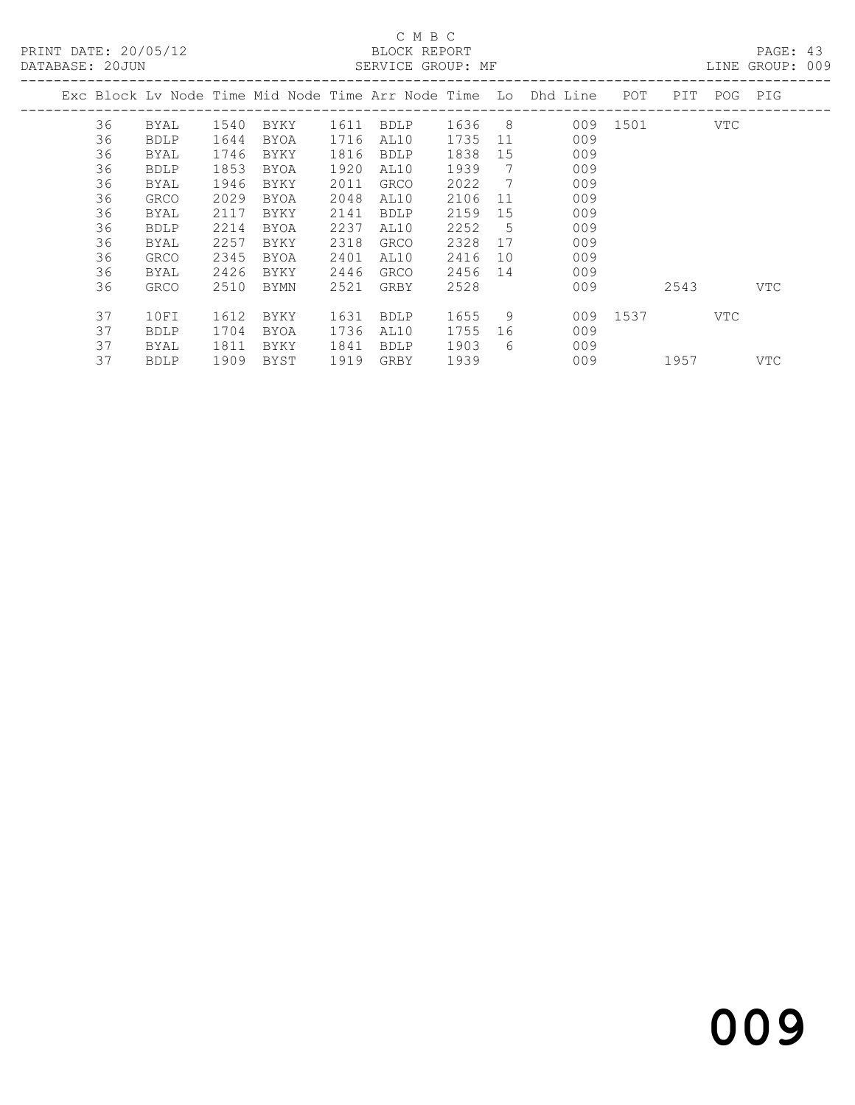#### C M B C<br>BLOCK REPORT SERVICE GROUP: MF

|  |    |             |      |             |      |             |      |     | Exc Block Ly Node Time Mid Node Time Arr Node Time Lo Dhd Line | POT  | PIT. | POG | PIG        |
|--|----|-------------|------|-------------|------|-------------|------|-----|----------------------------------------------------------------|------|------|-----|------------|
|  | 36 | BYAL        | 1540 | BYKY        | 1611 | <b>BDLP</b> | 1636 | - 8 | 009                                                            | 1501 |      | VTC |            |
|  | 36 | <b>BDLP</b> | 1644 | BYOA        | 1716 | AL10        | 1735 | 11  | 009                                                            |      |      |     |            |
|  | 36 | BYAL        | 1746 | BYKY        | 1816 | <b>BDLP</b> | 1838 | 15  | 009                                                            |      |      |     |            |
|  | 36 | <b>BDLP</b> | 1853 | <b>BYOA</b> | 1920 | AL10        | 1939 | 7   | 009                                                            |      |      |     |            |
|  | 36 | <b>BYAL</b> | 1946 | BYKY        | 2011 | <b>GRCO</b> | 2022 | - 7 | 009                                                            |      |      |     |            |
|  | 36 | GRCO        | 2029 | BYOA        | 2048 | AL10        | 2106 | -11 | 009                                                            |      |      |     |            |
|  | 36 | BYAL        | 2117 | BYKY        | 2141 | <b>BDLP</b> | 2159 | 15  | 009                                                            |      |      |     |            |
|  | 36 | <b>BDLP</b> | 2214 | <b>BYOA</b> | 2237 | AL10        | 2252 | 5   | 009                                                            |      |      |     |            |
|  | 36 | BYAL        | 2257 | BYKY        | 2318 | <b>GRCO</b> | 2328 | 17  | 009                                                            |      |      |     |            |
|  | 36 | GRCO        | 2345 | BYOA        | 2401 | AL10        | 2416 | 10  | 009                                                            |      |      |     |            |
|  | 36 | BYAL        | 2426 | BYKY        | 2446 | GRCO        | 2456 | 14  | 009                                                            |      |      |     |            |
|  | 36 | <b>GRCO</b> | 2510 | BYMN        | 2521 | GRBY        | 2528 |     | 009                                                            |      | 2543 |     | <b>VTC</b> |
|  |    |             |      |             |      |             |      |     |                                                                |      |      |     |            |
|  | 37 | 10FI        | 1612 | BYKY        | 1631 | <b>BDLP</b> | 1655 | 9   | 009                                                            | 1537 |      | VTC |            |
|  | 37 | <b>BDLP</b> | 1704 | BYOA        | 1736 | AL10        | 1755 | 16  | 009                                                            |      |      |     |            |
|  | 37 | BYAL        | 1811 | BYKY        | 1841 | <b>BDLP</b> | 1903 | 6   | 009                                                            |      |      |     |            |
|  | 37 | <b>BDLP</b> | 1909 | BYST        | 1919 | GRBY        | 1939 |     | 009                                                            |      | 1957 |     | VTC        |
|  |    |             |      |             |      |             |      |     |                                                                |      |      |     |            |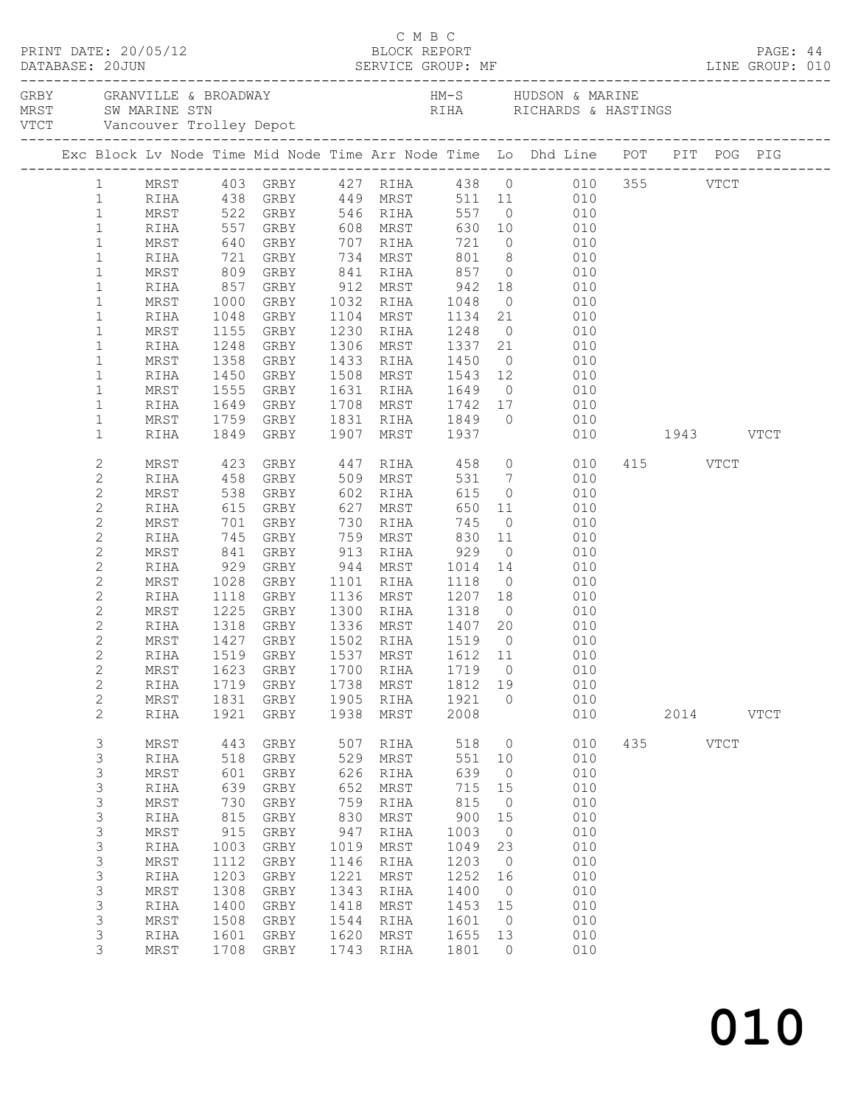|                                | PRINT DATE: 20/05/12 |              |                        |             | C M B C<br>BLOCK REPORT                       |                              |                      |                                                                                                                          |          |      | PAGE: 44    |  |
|--------------------------------|----------------------|--------------|------------------------|-------------|-----------------------------------------------|------------------------------|----------------------|--------------------------------------------------------------------------------------------------------------------------|----------|------|-------------|--|
|                                |                      |              |                        |             |                                               |                              |                      |                                                                                                                          |          |      |             |  |
|                                |                      |              |                        |             |                                               |                              |                      | Exc Block Lv Node Time Mid Node Time Arr Node Time Lo Dhd Line POT PIT POG PIG                                           |          |      |             |  |
|                                |                      |              |                        |             |                                               |                              |                      | 1 MRST 403 GRBY 427 RIHA 438 0 010 355 VTCT<br>1 RIHA 438 GRBY 449 MRST 511 11 010<br>1 MRST 522 GRBY 546 RIHA 557 0 010 |          |      |             |  |
|                                |                      |              |                        |             |                                               |                              |                      |                                                                                                                          |          |      |             |  |
|                                |                      |              |                        |             |                                               |                              |                      |                                                                                                                          |          |      |             |  |
| $\mathbf{1}$                   | RIHA                 |              |                        |             |                                               |                              |                      | 557 GRBY 608 MRST 630 10 010                                                                                             |          |      |             |  |
| $\mathbf{1}$                   | MRST                 |              |                        |             |                                               |                              |                      |                                                                                                                          |          |      |             |  |
| $\mathbf{1}$                   | RIHA                 |              |                        |             |                                               |                              |                      |                                                                                                                          |          |      |             |  |
| $\mathbf{1}$                   | MRST                 |              |                        |             |                                               |                              |                      |                                                                                                                          |          |      |             |  |
| $\mathbf{1}$                   | RIHA                 |              | 857 GRBY 912 MRST 942  |             |                                               |                              |                      | 18 010                                                                                                                   |          |      |             |  |
| $\mathbf{1}$                   | MRST                 | 1000         |                        |             | GRBY 1032 RIHA 1048                           |                              |                      | $0$ $010$                                                                                                                |          |      |             |  |
| $\mathbf{1}$                   | RIHA                 |              | 1048 GRBY<br>1155 GRBY |             | 1104 MRST                                     |                              |                      | 1134 21 010<br>1248 0 010                                                                                                |          |      |             |  |
| $\mathbf 1$                    | MRST                 |              | 1248 GRBY              |             | 1230 RIHA<br>1306 MRST 1337 21                |                              |                      | 010                                                                                                                      |          |      |             |  |
| $\mathbf 1$<br>$\mathbf{1}$    | RIHA<br>MRST         | 1358         | GRBY                   |             | 1433 RIHA 1450                                |                              |                      | $0$ 010                                                                                                                  |          |      |             |  |
| $\mathbf 1$                    | RIHA                 |              |                        |             |                                               |                              |                      |                                                                                                                          |          |      |             |  |
| $\mathbf{1}$                   | MRST                 |              | 1450 GRBY<br>1555 GRBY |             |                                               |                              |                      | 1508 MRST 1543 12 010<br>1631 RIHA 1649 0 010                                                                            |          |      |             |  |
| $\mathbf 1$                    | RIHA                 |              | 1649 GRBY              |             |                                               |                              |                      | 1708 MRST 1742 17 010                                                                                                    |          |      |             |  |
| $\mathbf{1}$                   | MRST                 |              | 1759 GRBY              |             | 1831 RIHA 1849                                |                              |                      | $0 \qquad \qquad 010$                                                                                                    |          |      |             |  |
| $\mathbf{1}$                   | RIHA                 |              | 1849 GRBY              |             | 1907 MRST 1937                                |                              |                      | 010 1943 VTCT                                                                                                            |          |      |             |  |
|                                |                      |              |                        |             |                                               |                              |                      |                                                                                                                          |          |      |             |  |
| $\mathbf{2}$                   |                      |              |                        |             |                                               |                              |                      | MRST 423 GRBY 447 RIHA 458 0 010                                                                                         | 415 VTCT |      |             |  |
| $\mathbf{2}$                   | RIHA                 |              | 458 GRBY 509 MRST      |             |                                               |                              |                      | 531 7 010                                                                                                                |          |      |             |  |
| $\mathbf{2}$                   | MRST                 |              |                        |             |                                               | 615                          |                      | $0\qquad \qquad 010$                                                                                                     |          |      |             |  |
| $\mathbf{2}$                   | RIHA                 |              |                        |             |                                               |                              |                      | 650 11 010<br>745 0 010                                                                                                  |          |      |             |  |
| $\mathbf{2}$                   | MRST                 |              |                        |             | --<br>730 RIHA                                | 745                          |                      |                                                                                                                          |          |      |             |  |
| $\mathbf{2}$                   | RIHA                 |              | 745 GRBY               |             |                                               |                              |                      | 759 MRST 830 11 010                                                                                                      |          |      |             |  |
| $\mathbf{2}$                   | MRST                 |              | 841 GRBY               |             | 913 RIHA                                      | $929$ 0<br>1014 14<br>1118 0 |                      | $0\qquad \qquad 010$                                                                                                     |          |      |             |  |
| $\mathbf{2}$                   | RIHA                 |              | 929 GRBY               |             | 944 MRST                                      |                              |                      | 010<br>$\overline{O}$                                                                                                    |          |      |             |  |
| $\mathbf{2}$                   | MRST                 |              | $1028$ GRBY            |             | 1101 RIHA                                     |                              |                      | 010                                                                                                                      |          |      |             |  |
| $\mathbf{2}$                   | RIHA                 |              | 1118 GRBY              |             |                                               |                              |                      | 1136 MRST 1207 18 010                                                                                                    |          |      |             |  |
| $\mathbf{2}$                   | MRST                 | 1225         | GRBY                   |             | 1300 RIHA 1318                                |                              |                      | $0$ $010$                                                                                                                |          |      |             |  |
| $\mathbf{2}$                   | RIHA                 |              | 1318 GRBY<br>1427 GRBY |             | 1336 MRST   1407  20<br>1502  RIHA   1519   0 |                              |                      | $\begin{array}{c} 010 \\ 010 \end{array}$                                                                                |          |      |             |  |
| $\mathbf{2}$<br>$\overline{2}$ | MRST                 |              |                        |             |                                               |                              |                      | RIHA 1519 GRBY 1537 MRST 1612 11 010                                                                                     |          |      |             |  |
| $\mathbf{2}$                   | MRST                 | 1623         | GRBY                   | 1700        | RIHA                                          | 1719                         | $\overline{0}$       | 010                                                                                                                      |          |      |             |  |
| $\mathbf{2}$                   | RIHA                 | 1719         | GRBY                   | 1738        | MRST                                          | 1812                         | 19                   | 010                                                                                                                      |          |      |             |  |
| $\sqrt{2}$                     | MRST                 | 1831         | GRBY                   | 1905        | RIHA                                          | 1921                         | $\circ$              | 010                                                                                                                      |          |      |             |  |
| $\mathbf{2}$                   | RIHA                 | 1921         | GRBY                   | 1938        | MRST                                          | 2008                         |                      | 010                                                                                                                      |          | 2014 | <b>VTCT</b> |  |
|                                |                      |              |                        |             |                                               |                              |                      |                                                                                                                          |          |      |             |  |
| 3                              | MRST                 | 443          | GRBY                   | 507         | RIHA                                          | 518                          | $\overline{0}$       | 010                                                                                                                      | 435 VTCT |      |             |  |
| 3                              | RIHA                 | 518          | GRBY                   | 529         | MRST                                          | 551                          | 10                   | 010                                                                                                                      |          |      |             |  |
| 3                              | MRST                 | 601          | GRBY                   | 626         | RIHA                                          | 639                          | $\overline{0}$       | 010                                                                                                                      |          |      |             |  |
| 3                              | RIHA                 | 639          | GRBY                   | 652         | MRST                                          | 715                          | 15                   | 010                                                                                                                      |          |      |             |  |
| $\mathsf 3$                    | MRST                 | 730          | GRBY                   | 759         | RIHA                                          | 815                          | $\overline{0}$       | 010                                                                                                                      |          |      |             |  |
| $\mathsf 3$                    | RIHA                 | 815          | GRBY                   | 830         | MRST                                          | 900                          | 15                   | 010                                                                                                                      |          |      |             |  |
| 3                              | MRST                 | 915          | GRBY                   | 947<br>1019 | RIHA                                          | 1003                         | $\overline{0}$<br>23 | 010<br>010                                                                                                               |          |      |             |  |
| $\mathsf 3$<br>$\mathsf 3$     | RIHA<br>MRST         | 1003<br>1112 | GRBY<br>GRBY           | 1146        | MRST<br>RIHA                                  | 1049<br>1203                 | $\overline{0}$       | 010                                                                                                                      |          |      |             |  |
| $\mathsf 3$                    | RIHA                 | 1203         | GRBY                   | 1221        | MRST                                          | 1252                         | 16                   | 010                                                                                                                      |          |      |             |  |
| 3                              | MRST                 | 1308         | GRBY                   | 1343        | RIHA                                          | 1400                         | $\overline{0}$       | 010                                                                                                                      |          |      |             |  |
| 3                              | RIHA                 | 1400         | GRBY                   | 1418        | MRST                                          | 1453                         | 15                   | 010                                                                                                                      |          |      |             |  |
| 3                              | MRST                 | 1508         | GRBY                   | 1544        | RIHA                                          | 1601                         | $\overline{0}$       | 010                                                                                                                      |          |      |             |  |
| $\mathsf 3$                    | RIHA                 | 1601         | GRBY                   | 1620        | MRST                                          | 1655                         | 13                   | 010                                                                                                                      |          |      |             |  |
| 3                              | MRST                 | 1708         | GRBY                   | 1743        | RIHA                                          | 1801                         | $\overline{0}$       | 010                                                                                                                      |          |      |             |  |
|                                |                      |              |                        |             |                                               |                              |                      |                                                                                                                          |          |      |             |  |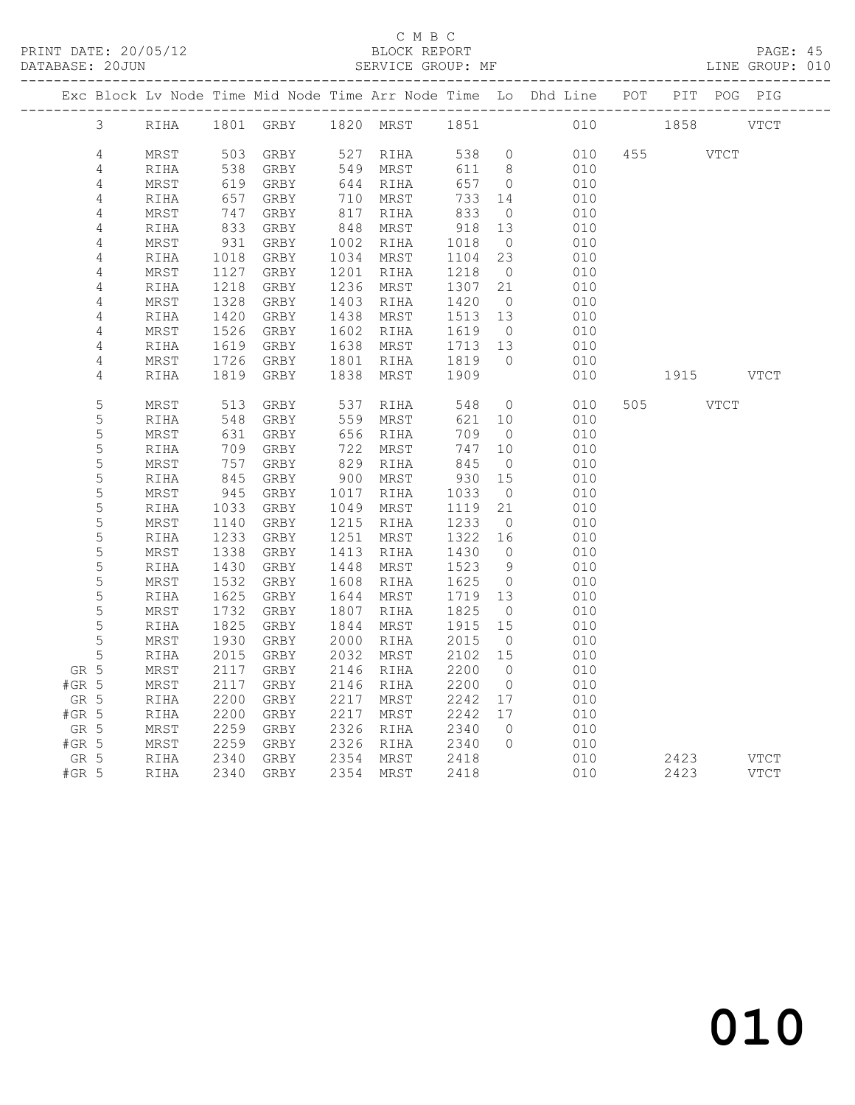#### C M B C N B C N B C N B C N B C N B C N B C SEPORT

| DATABASE: 20JUN |      |      |              |      | SERVICE GROUP: MF |      |                |                                                                    |     |      |             | LINE GROUP: 010 |
|-----------------|------|------|--------------|------|-------------------|------|----------------|--------------------------------------------------------------------|-----|------|-------------|-----------------|
|                 |      |      |              |      |                   |      |                | Exc Block Lv Node Time Mid Node Time Arr Node Time Lo Dhd Line POT |     |      | PIT POG PIG |                 |
| 3               | RIHA |      | 1801 GRBY    | 1820 | MRST              | 1851 |                | 010                                                                |     | 1858 |             | <b>VTCT</b>     |
| 4               | MRST | 503  | GRBY         | 527  | RIHA              | 538  | $\circ$        | 010                                                                | 455 |      | <b>VTCT</b> |                 |
| $\sqrt{4}$      | RIHA | 538  | GRBY         | 549  | MRST              | 611  | 8              | 010                                                                |     |      |             |                 |
| 4               | MRST | 619  | GRBY         | 644  | RIHA              | 657  | $\circ$        | 010                                                                |     |      |             |                 |
| 4               | RIHA | 657  | GRBY         | 710  | MRST              | 733  | 14             | 010                                                                |     |      |             |                 |
| 4               | MRST | 747  | GRBY         | 817  | RIHA              | 833  | $\overline{0}$ | 010                                                                |     |      |             |                 |
| 4               | RIHA | 833  | GRBY         | 848  | MRST              | 918  | 13             | 010                                                                |     |      |             |                 |
| 4               | MRST | 931  | GRBY         | 1002 | RIHA              | 1018 | $\overline{0}$ | 010                                                                |     |      |             |                 |
| $\sqrt{4}$      | RIHA | 1018 | GRBY         | 1034 | MRST              | 1104 | 23             | 010                                                                |     |      |             |                 |
| $\sqrt{4}$      | MRST | 1127 | GRBY         | 1201 | RIHA              | 1218 | $\overline{0}$ | 010                                                                |     |      |             |                 |
| $\sqrt{4}$      | RIHA | 1218 | GRBY         | 1236 | MRST              | 1307 | 21             | 010                                                                |     |      |             |                 |
| 4               | MRST | 1328 | GRBY         | 1403 | RIHA              | 1420 | $\overline{0}$ | 010                                                                |     |      |             |                 |
| 4               | RIHA | 1420 | GRBY         | 1438 | MRST              | 1513 | 13             | 010                                                                |     |      |             |                 |
| 4               | MRST | 1526 | GRBY         | 1602 | RIHA              | 1619 | $\overline{0}$ | 010                                                                |     |      |             |                 |
| 4               | RIHA | 1619 | GRBY         | 1638 | MRST              | 1713 | 13             | 010                                                                |     |      |             |                 |
| 4               | MRST | 1726 | GRBY         | 1801 | RIHA              | 1819 | $\circ$        | 010                                                                |     |      |             |                 |
| 4               | RIHA | 1819 | GRBY         | 1838 | MRST              | 1909 |                | 010                                                                |     | 1915 |             | <b>VTCT</b>     |
| 5               | MRST | 513  | GRBY         | 537  | RIHA              | 548  | $\circ$        | 010                                                                | 505 |      | <b>VTCT</b> |                 |
| 5               | RIHA | 548  | GRBY         | 559  | MRST              | 621  | 10             | 010                                                                |     |      |             |                 |
| 5               | MRST | 631  | ${\tt GRBY}$ | 656  | RIHA              | 709  | $\overline{0}$ | 010                                                                |     |      |             |                 |
| 5               | RIHA | 709  | GRBY         | 722  | MRST              | 747  | 10             | 010                                                                |     |      |             |                 |
| 5               | MRST | 757  | GRBY         | 829  | RIHA              | 845  | $\overline{0}$ | 010                                                                |     |      |             |                 |
| 5               | RIHA | 845  | GRBY         | 900  | MRST              | 930  | 15             | 010                                                                |     |      |             |                 |
| 5               | MRST | 945  | GRBY         | 1017 | RIHA              | 1033 | $\overline{0}$ | 010                                                                |     |      |             |                 |
| 5               | RIHA | 1033 | GRBY         | 1049 | MRST              | 1119 | 21             | 010                                                                |     |      |             |                 |
| 5               | MRST | 1140 | GRBY         | 1215 | RIHA              | 1233 | $\overline{0}$ | 010                                                                |     |      |             |                 |
| 5               | RIHA | 1233 | GRBY         | 1251 | MRST              | 1322 | 16             | 010                                                                |     |      |             |                 |
| 5               | MRST | 1338 | GRBY         | 1413 | RIHA              | 1430 | $\overline{0}$ | 010                                                                |     |      |             |                 |
| 5               | RIHA | 1430 | GRBY         | 1448 | MRST              | 1523 | $\overline{9}$ | 010                                                                |     |      |             |                 |
| 5               | MRST | 1532 | GRBY         | 1608 | RIHA              | 1625 | $\overline{0}$ | 010                                                                |     |      |             |                 |
| 5               | RIHA | 1625 | GRBY         | 1644 | MRST              | 1719 | 13             | 010                                                                |     |      |             |                 |
| 5               | MRST | 1732 | GRBY         | 1807 | RIHA              | 1825 | $\overline{0}$ | 010                                                                |     |      |             |                 |
| 5               | RIHA | 1825 | GRBY         | 1844 | MRST              | 1915 | 15             | 010                                                                |     |      |             |                 |
| 5               | MRST | 1930 | GRBY         | 2000 | RIHA              | 2015 | $\overline{0}$ | 010                                                                |     |      |             |                 |
| 5               | RIHA | 2015 | GRBY         | 2032 | MRST              | 2102 | 15             | 010                                                                |     |      |             |                 |
| GR 5            | MRST | 2117 | GRBY         | 2146 | RIHA              | 2200 | $\overline{0}$ | 010                                                                |     |      |             |                 |
| $#GR$ 5         | MRST | 2117 | GRBY         | 2146 | RIHA              | 2200 | $\overline{0}$ | 010                                                                |     |      |             |                 |
| GR 5            | RIHA | 2200 | GRBY         | 2217 | MRST              | 2242 | 17             | 010                                                                |     |      |             |                 |
| $#GR$ 5         | RIHA | 2200 | GRBY         | 2217 | MRST              | 2242 | 17             | 010                                                                |     |      |             |                 |
| GR 5            | MRST | 2259 | GRBY         | 2326 | RIHA              | 2340 | $\overline{0}$ | 010                                                                |     |      |             |                 |
| $#GR$ 5         | MRST | 2259 | GRBY         | 2326 | RIHA              | 2340 | $\circ$        | 010                                                                |     |      |             |                 |
| GR 5            | RIHA | 2340 | GRBY         | 2354 | MRST              | 2418 |                | 010                                                                |     | 2423 |             | <b>VTCT</b>     |
| $#GR$ 5         | RIHA | 2340 | GRBY         | 2354 | MRST              | 2418 |                | 010                                                                |     | 2423 |             | <b>VTCT</b>     |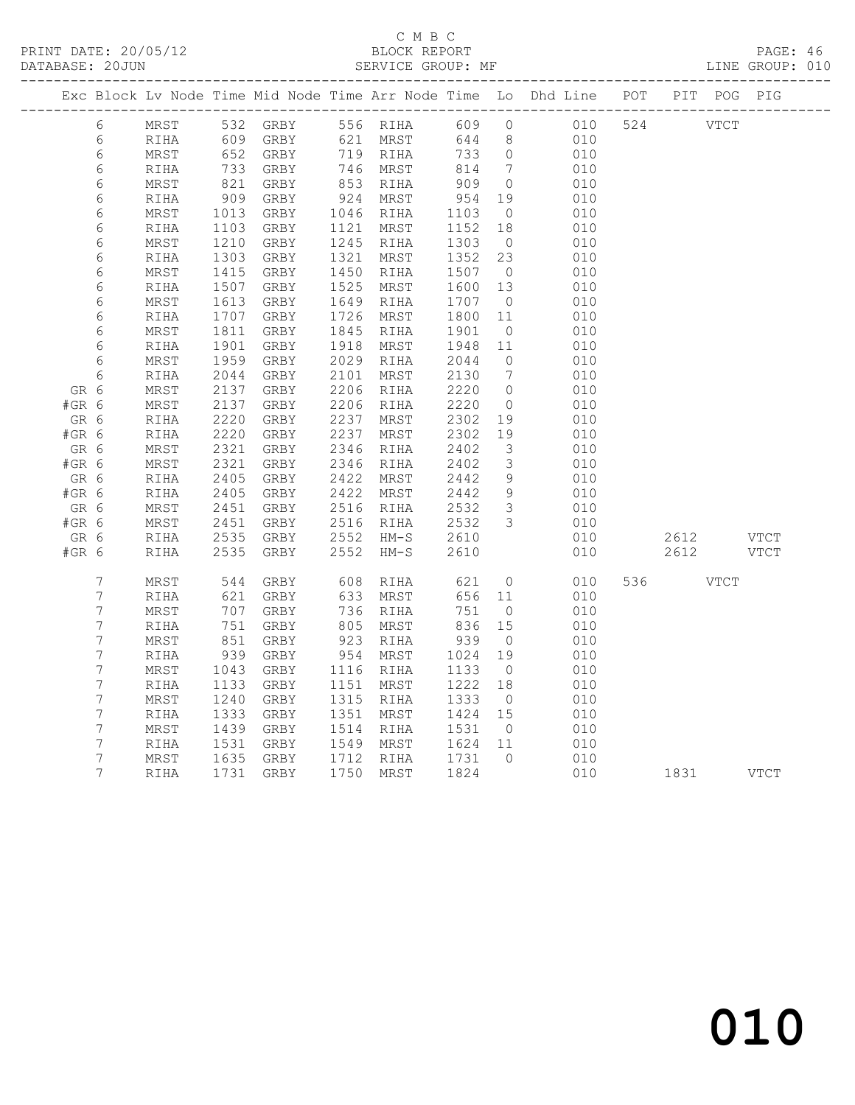#### C M B C<br>BLOCK REPORT SERVICE GROUP: MF

|         |                  |            |      |                   |      |          |      |                | Exc Block Lv Node Time Mid Node Time Arr Node Time Lo Dhd Line POT |           | PIT POG PIG |             |
|---------|------------------|------------|------|-------------------|------|----------|------|----------------|--------------------------------------------------------------------|-----------|-------------|-------------|
|         |                  |            |      |                   |      |          |      |                |                                                                    |           |             |             |
|         | 6                | MRST       |      | 532 GRBY 556 RIHA |      |          | 609  | $\overline{0}$ | 010                                                                | 524 VTCT  |             |             |
|         | 6                | RIHA       | 609  | GRBY 621 MRST     |      |          | 644  | 8 <sup>8</sup> | 010                                                                |           |             |             |
|         | $\epsilon$       | MRST       | 652  | GRBY              |      | 719 RIHA | 733  | $\overline{0}$ | 010                                                                |           |             |             |
|         | 6                | RIHA       | 733  | GRBY              |      | 746 MRST | 814  | $\overline{7}$ | 010                                                                |           |             |             |
|         | 6                | MRST       | 821  | GRBY              | 853  | RIHA     | 909  | $\overline{0}$ | 010                                                                |           |             |             |
|         | 6                | RIHA       | 909  | GRBY              | 924  | MRST     | 954  | 19             | 010                                                                |           |             |             |
|         | 6                | MRST       | 1013 | GRBY              | 1046 | RIHA     | 1103 | $\overline{0}$ | 010                                                                |           |             |             |
|         | $\epsilon$       | RIHA       | 1103 | GRBY              | 1121 | MRST     | 1152 | 18             | 010                                                                |           |             |             |
|         | $\epsilon$       | MRST       | 1210 | GRBY              | 1245 | RIHA     | 1303 | $\overline{0}$ | 010                                                                |           |             |             |
|         | $\epsilon$       | RIHA       | 1303 | GRBY              | 1321 | MRST     | 1352 | 23             | 010                                                                |           |             |             |
|         | $\epsilon$       | MRST       | 1415 | GRBY              | 1450 | RIHA     | 1507 | $\overline{0}$ | 010                                                                |           |             |             |
|         | $\epsilon$       | RIHA       | 1507 | GRBY              | 1525 | MRST     | 1600 | 13             | 010                                                                |           |             |             |
|         | $\epsilon$       | MRST       | 1613 | GRBY              | 1649 | RIHA     | 1707 | $\overline{0}$ | 010                                                                |           |             |             |
|         | 6                | RIHA       | 1707 | GRBY              | 1726 | MRST     | 1800 | 11             | 010                                                                |           |             |             |
|         | 6                | MRST       | 1811 | GRBY              | 1845 | RIHA     | 1901 | $\overline{0}$ | 010                                                                |           |             |             |
|         | $\epsilon$       | RIHA       | 1901 | GRBY              | 1918 | MRST     | 1948 | 11             | 010                                                                |           |             |             |
|         | 6                | MRST       | 1959 | GRBY              | 2029 | RIHA     | 2044 | $\overline{0}$ | 010                                                                |           |             |             |
|         | 6                | RIHA       | 2044 | GRBY              | 2101 | MRST     | 2130 | $\overline{7}$ | 010                                                                |           |             |             |
| GR 6    |                  | MRST       | 2137 | GRBY              | 2206 | RIHA     | 2220 | $\overline{0}$ | 010                                                                |           |             |             |
| #GR 6   |                  | MRST       | 2137 | GRBY              | 2206 | RIHA     | 2220 | $\overline{0}$ | 010                                                                |           |             |             |
| GR 6    |                  | RIHA       | 2220 | GRBY              | 2237 | MRST     | 2302 | 19             | 010                                                                |           |             |             |
| #GR 6   |                  | RIHA       | 2220 | GRBY              | 2237 | MRST     | 2302 | 19             | 010                                                                |           |             |             |
| GR 6    |                  | MRST       | 2321 | GRBY              | 2346 | RIHA     | 2402 | 3              | 010                                                                |           |             |             |
| $#GR$ 6 |                  | MRST       | 2321 | GRBY              | 2346 | RIHA     | 2402 | $\mathcal{S}$  | 010                                                                |           |             |             |
| GR 6    |                  | RIHA       | 2405 | GRBY              | 2422 | MRST     | 2442 | 9              | 010                                                                |           |             |             |
| $#GR$ 6 |                  | RIHA       | 2405 | GRBY              | 2422 | MRST     | 2442 | 9              | 010                                                                |           |             |             |
| GR 6    |                  | MRST       | 2451 | GRBY              | 2516 | RIHA     | 2532 | $\mathcal{S}$  | 010                                                                |           |             |             |
| #GR 6   |                  | $\tt MRST$ | 2451 | GRBY              | 2516 | RIHA     | 2532 | $\mathcal{S}$  | 010                                                                |           |             |             |
| GR 6    |                  | RIHA       | 2535 | GRBY              | 2552 | $HM-S$   | 2610 |                | 010                                                                | 2612 VTCT |             |             |
| #GR 6   |                  | RIHA       | 2535 | GRBY              | 2552 | $HM-S$   | 2610 |                | 010                                                                | 2612      |             | <b>VTCT</b> |
|         |                  |            |      |                   |      |          |      |                |                                                                    |           |             |             |
|         | $\overline{7}$   | MRST       | 544  | GRBY              | 608  | RIHA     | 621  | $\overline{0}$ | 010                                                                | 536 7     | VTCT        |             |
|         | $\boldsymbol{7}$ | RIHA       | 621  | GRBY              | 633  | MRST     | 656  | 11             | 010                                                                |           |             |             |
|         | 7                | MRST       | 707  | GRBY              | 736  | RIHA     | 751  | $\overline{0}$ | 010                                                                |           |             |             |
|         | 7                | RIHA       | 751  | GRBY              | 805  | MRST     | 836  | 15             | 010                                                                |           |             |             |
|         | 7                | MRST       | 851  | GRBY              | 923  | RIHA     | 939  | $\overline{0}$ | 010                                                                |           |             |             |
|         | 7                | RIHA       | 939  | GRBY              | 954  | MRST     | 1024 | 19             | 010                                                                |           |             |             |
|         | $\boldsymbol{7}$ | MRST       | 1043 | GRBY              | 1116 | RIHA     | 1133 | $\overline{0}$ | 010                                                                |           |             |             |
|         | 7                | RIHA       | 1133 | GRBY              | 1151 | MRST     | 1222 | 18             | 010                                                                |           |             |             |
|         | 7                | MRST       | 1240 | GRBY              | 1315 | RIHA     | 1333 | $\overline{0}$ | 010                                                                |           |             |             |
|         | $\boldsymbol{7}$ | RIHA       | 1333 | GRBY              | 1351 | MRST     | 1424 | 15             | 010                                                                |           |             |             |
|         | $\boldsymbol{7}$ | MRST       | 1439 | GRBY              | 1514 | RIHA     | 1531 | $\overline{0}$ | 010                                                                |           |             |             |
|         | 7                | RIHA       | 1531 | GRBY              | 1549 | MRST     | 1624 | 11             | 010                                                                |           |             |             |
|         |                  |            |      |                   |      |          |      |                |                                                                    |           |             |             |

7 MRST 1635 GRBY 1712 RIHA 1731 0 010

7 RIHA 1731 GRBY 1750 MRST 1824 010 1831 VTCT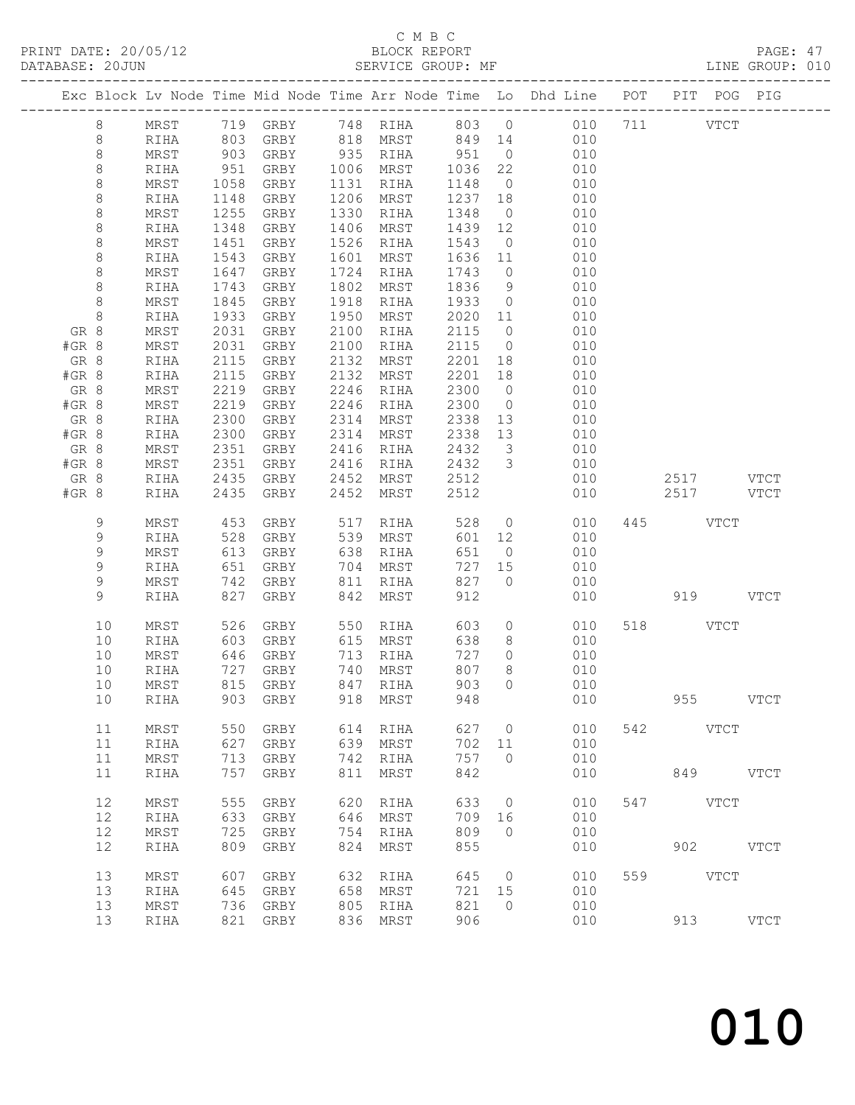#### C M B C<br>BLOCK REPORT

|               |              |     |                                                            |      |                                                                              |              |                         |                                                                                |     |               |          | PAGE: 47<br>LINE GROUP: 010 |  |
|---------------|--------------|-----|------------------------------------------------------------|------|------------------------------------------------------------------------------|--------------|-------------------------|--------------------------------------------------------------------------------|-----|---------------|----------|-----------------------------|--|
|               |              |     |                                                            |      |                                                                              |              |                         | Exc Block Lv Node Time Mid Node Time Arr Node Time Lo Dhd Line POT PIT POG PIG |     |               |          |                             |  |
| 8             |              |     |                                                            |      |                                                                              |              |                         | MRST 719 GRBY 748 RIHA 803 0 010 711 VTCT                                      |     |               |          |                             |  |
| $\,8\,$       |              |     |                                                            |      | RIHA 803 GRBY 818 MRST 849 14                                                |              |                         | 010                                                                            |     |               |          |                             |  |
| $\,8\,$       | MRST         |     |                                                            |      |                                                                              |              | $\overline{O}$          | 010                                                                            |     |               |          |                             |  |
| $\,8\,$       | RIHA         |     |                                                            |      |                                                                              |              | 22                      | 010                                                                            |     |               |          |                             |  |
| $\,8\,$       | MRST         |     | 1058 GRBY 1131 RIHA                                        |      | 903 GRBY 935 RIHA 951<br>951 GRBY 1006 MRST 1036<br>1058 GRBY 1131 RIHA 1148 |              |                         | $\overline{O}$<br>010                                                          |     |               |          |                             |  |
| $\,8\,$       | RIHA         |     | 1148 GRBY                                                  |      | 1206 MRST                                                                    | 1237         | 18                      | 010                                                                            |     |               |          |                             |  |
| $\,8\,$       | MRST         |     | 1255 GRBY                                                  |      | 1330 RIHA                                                                    | 1348         | $\overline{0}$          | 010                                                                            |     |               |          |                             |  |
| $\,8\,$       | RIHA         |     | 1348 GRBY                                                  |      | 1406 MRST                                                                    | 1348<br>1439 | 12                      | 010                                                                            |     |               |          |                             |  |
| $\,8\,$       | MRST         |     | 1451 GRBY                                                  |      | 1526 RIHA                                                                    | 1543         |                         | $\overline{O}$<br>010                                                          |     |               |          |                             |  |
| $\,8\,$       | RIHA         |     | 1543 GRBY                                                  |      | 1601 MRST                                                                    | 1636         | 11                      | 010                                                                            |     |               |          |                             |  |
| $\,8\,$       | MRST         |     | 1647 GRBY                                                  |      | 1724 RIHA                                                                    | 1743         | $\overline{0}$          | 010                                                                            |     |               |          |                             |  |
| $\,8\,$       | RIHA         |     | 1743 GRBY                                                  |      | 1802 MRST                                                                    | 1836         | 9                       | 010                                                                            |     |               |          |                             |  |
| $\,8\,$       | MRST         |     | 1845 GRBY                                                  |      | 1918 RIHA                                                                    | 1933         | $\overline{0}$          | 010                                                                            |     |               |          |                             |  |
| $\,8\,$       | RIHA         |     | 1933 GRBY                                                  |      | 1950 MRST                                                                    | 2020         |                         | 11<br>010                                                                      |     |               |          |                             |  |
| GR 8          | MRST         |     | 2031 GRBY                                                  | 2100 | RIHA                                                                         | 2115         | $\overline{0}$          | 010                                                                            |     |               |          |                             |  |
| #GR 8         | MRST         |     | 2031 GRBY                                                  | 2100 | RIHA                                                                         | 2115         | $\overline{0}$          | 010                                                                            |     |               |          |                             |  |
| GR 8          | RIHA         |     | 2115 GRBY                                                  |      | 2132 MRST                                                                    | 2201         | 18                      | 010                                                                            |     |               |          |                             |  |
| #GR 8         | RIHA         |     | 2115 GRBY                                                  |      | 2132 MRST                                                                    | 2201         | 18                      | 010                                                                            |     |               |          |                             |  |
| GR 8          | MRST         |     | 2219 GRBY                                                  | 2246 | RIHA                                                                         | 2300         | $\overline{0}$          | 010                                                                            |     |               |          |                             |  |
| #GR 8         | MRST         |     | 2219 GRBY                                                  |      | 2246 RIHA                                                                    | 2300         | $\overline{0}$          | 010                                                                            |     |               |          |                             |  |
| GR 8          | RIHA         |     | 2300 GRBY                                                  |      | 2314 MRST                                                                    | 2338         | 13                      | 010                                                                            |     |               |          |                             |  |
| #GR 8         | RIHA         |     | 2300 GRBY                                                  |      | 2314 MRST                                                                    | 2338         | 13                      | 010                                                                            |     |               |          |                             |  |
| GR 8          | MRST         |     | 2351 GRBY                                                  |      | 2416 RIHA                                                                    | 2432         | $\overline{\mathbf{3}}$ | 010                                                                            |     |               |          |                             |  |
| #GR 8         | MRST         |     | 2351 GRBY                                                  |      | 2416 RIHA                                                                    | 2432<br>2512 | 3 <sup>1</sup>          | 010                                                                            |     | 2517 VTCT     |          |                             |  |
| GR 8<br>#GR 8 | RIHA<br>RIHA |     | 2435 GRBY 2452 MRST<br>2435 GRBY 2452 MRST                 |      |                                                                              | 2512         |                         | 010                                                                            |     | 010 2517 VTCT |          |                             |  |
|               |              |     |                                                            |      |                                                                              |              |                         |                                                                                |     |               |          |                             |  |
| 9             | MRST         |     | 453 GRBY       517   RIHA<br>528   GRBY         539   MRST |      |                                                                              | 528<br>601   | $\overline{0}$          | 010                                                                            |     | 445 VTCT      |          |                             |  |
| 9             | RIHA         |     |                                                            |      |                                                                              |              | 12                      | 010                                                                            |     |               |          |                             |  |
| 9             | MRST         |     | 613 GRBY 638 RIHA                                          |      |                                                                              | 651          |                         | $\overline{O}$<br>010                                                          |     |               |          |                             |  |
| $\mathsf 9$   | RIHA         |     | 651 GRBY                                                   |      | 704 MRST                                                                     | 727          | 15                      | 010                                                                            |     |               |          |                             |  |
| 9             | MRST         |     | 742 GRBY 811 RIHA                                          |      |                                                                              | 827          | $\overline{0}$          | 010                                                                            |     |               |          |                             |  |
| 9             | RIHA         |     | 827 GRBY                                                   |      | 842 MRST                                                                     | 912          |                         |                                                                                | 010 |               | 919 VTCT |                             |  |
| 10            |              |     | MRST 526 GRBY                                              |      | 550 RIHA 603 0                                                               |              |                         | 010                                                                            |     | 518 VTCT      |          |                             |  |
| 10            | RIHA         |     |                                                            |      |                                                                              | 638<br>727   | 8 <sup>8</sup>          | 010                                                                            |     |               |          |                             |  |
| 10            | MRST         |     |                                                            |      |                                                                              | 727          | $\overline{0}$          | 010                                                                            |     |               |          |                             |  |
|               |              |     |                                                            |      | 10 RIHA 727 GRBY 740 MRST 807                                                |              |                         | 8<br>010                                                                       |     |               |          |                             |  |
| 10            | MRST         | 815 | GRBY                                                       | 847  | RIHA                                                                         | 903          | 0                       | 010                                                                            |     |               |          |                             |  |
| 10            | RIHA         | 903 | GRBY                                                       | 918  | MRST                                                                         | 948          |                         | 010                                                                            |     |               | 955 7    | <b>VTCT</b>                 |  |
| 11            | MRST         | 550 | GRBY                                                       | 614  | RIHA                                                                         | 627          | $\circ$                 | 010                                                                            |     | 542 VTCT      |          |                             |  |
| 11            | RIHA         | 627 | GRBY                                                       | 639  | MRST                                                                         | 702          | 11                      | 010                                                                            |     |               |          |                             |  |
| 11            | MRST         | 713 | GRBY                                                       | 742  | RIHA                                                                         | 757          | $\Omega$                | 010                                                                            |     |               |          |                             |  |
| 11            | RIHA         | 757 | GRBY                                                       | 811  | MRST                                                                         | 842          |                         | 010                                                                            |     |               | 849      | <b>VTCT</b>                 |  |
| 12            | MRST         | 555 | GRBY                                                       | 620  | RIHA                                                                         | 633          | $\circ$                 | 010                                                                            | 547 | <b>VTCT</b>   |          |                             |  |
| 12            | RIHA         | 633 | GRBY                                                       | 646  | MRST                                                                         | 709          | 16                      | 010                                                                            |     |               |          |                             |  |
| 12            | MRST         | 725 | GRBY                                                       | 754  | RIHA                                                                         | 809          | $\Omega$                | 010                                                                            |     |               |          |                             |  |
| 12            | RIHA         | 809 | GRBY                                                       | 824  | MRST                                                                         | 855          |                         | 010                                                                            |     | 902           |          | <b>VTCT</b>                 |  |
| 13            | <b>MRST</b>  | 607 | GRBY                                                       | 632  | RIHA                                                                         | 645          | $\circ$                 | 010                                                                            |     | 559 VTCT      |          |                             |  |
| 13            | RIHA         | 645 | GRBY                                                       | 658  | MRST                                                                         | 721          | 15                      | 010                                                                            |     |               |          |                             |  |
| 13            | MRST         |     | 736 GRBY                                                   |      | 805 RIHA                                                                     | 821          | $\circ$                 | 010                                                                            |     |               |          |                             |  |

13 RIHA 821 GRBY 836 MRST 906 010 913 VTCT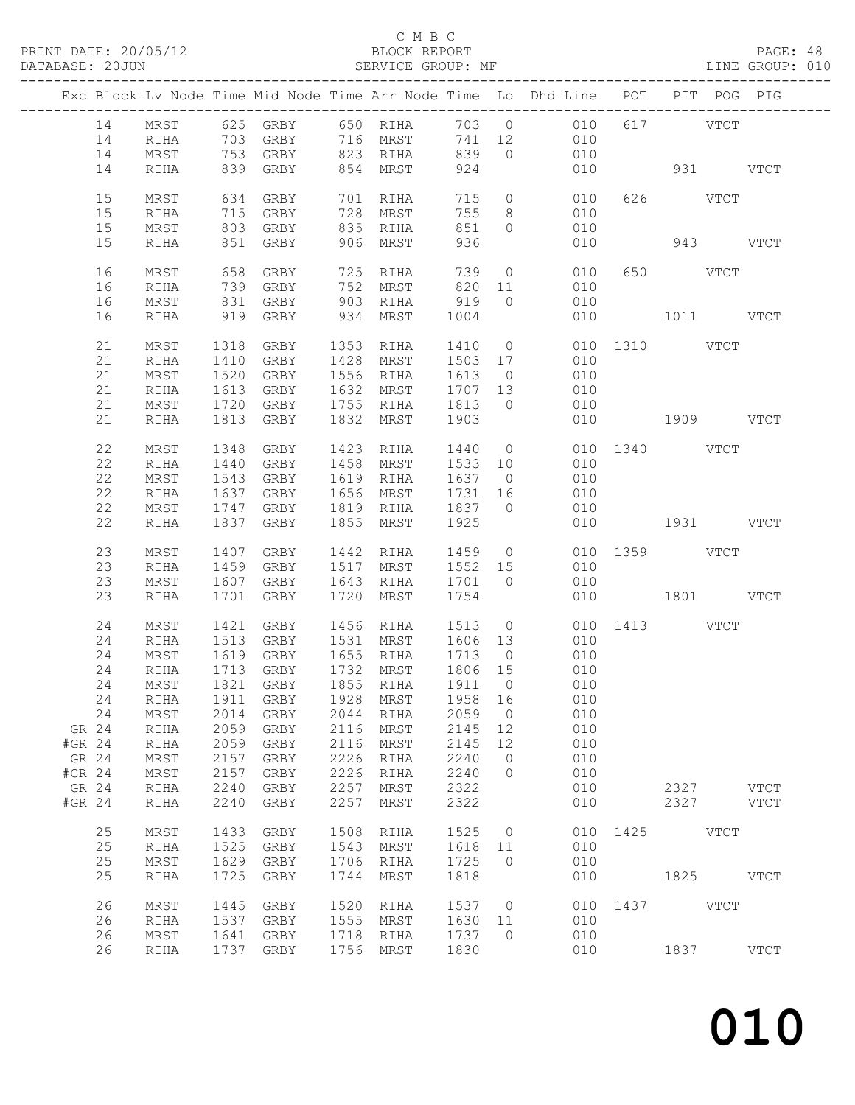#### C M B C<br>BLOCK REPORT

PAGE: 48<br>LINE GROUP: 010

|        |      |      |                        |      |                      |         |                | Exc Block Lv Node Time Mid Node Time Arr Node Time Lo Dhd Line POT PIT POG PIG |               |           |           |  |
|--------|------|------|------------------------|------|----------------------|---------|----------------|--------------------------------------------------------------------------------|---------------|-----------|-----------|--|
| 14     |      |      |                        |      |                      |         |                |                                                                                |               | 617 VTCT  |           |  |
| 14     |      |      |                        |      |                      |         |                | MRST 625 GRBY 650 RIHA 703 0 010<br>RIHA 703 GRBY 716 MRST 741 12 010          |               |           |           |  |
|        |      |      | 753 GRBY 823 RIHA      |      |                      | 839     | $\overline{0}$ |                                                                                |               |           |           |  |
| 14     | MRST |      |                        |      |                      |         |                | 010                                                                            |               |           |           |  |
| 14     | RIHA |      | 839 GRBY               |      | 854 MRST             | 924     |                | 010                                                                            | 931 VTCT      |           |           |  |
| 15     | MRST | 634  | GRBY                   |      | 701 RIHA             | 715     |                | $\overline{0}$<br>010                                                          |               | 626 VTCT  |           |  |
| 15     | RIHA | 715  | GRBY                   |      | 728 MRST             | 755     | 8 <sup>8</sup> | 010                                                                            |               |           |           |  |
| 15     | MRST | 803  | GRBY                   |      | 835 RIHA             | 851     | $\bigcirc$     | 010                                                                            |               |           |           |  |
| 15     | RIHA | 851  | GRBY                   |      | 906 MRST             | 936     |                | 010                                                                            |               |           | 943 VTCT  |  |
|        |      |      |                        |      |                      |         |                |                                                                                |               |           |           |  |
| 16     | MRST | 658  | GRBY                   |      | 725 RIHA             | 739     |                | $\overline{O}$<br>010                                                          |               | 650 VTCT  |           |  |
| 16     | RIHA | 739  | GRBY                   |      | 752 MRST             | 820     |                | 11 \,<br>010                                                                   |               |           |           |  |
| 16     | MRST | 831  | GRBY                   |      |                      | 919     | $\overline{0}$ | 010                                                                            |               |           |           |  |
| 16     | RIHA |      | 919 GRBY               |      | 903 RIHA<br>934 MRST | 1004    |                | 010                                                                            | 1011 VTCT     |           |           |  |
|        |      |      |                        |      |                      |         |                |                                                                                |               |           |           |  |
| 21     | MRST | 1318 | GRBY                   |      | 1353 RIHA            |         |                | 1410 0                                                                         | 010 1310 VTCT |           |           |  |
| 21     | RIHA | 1410 | GRBY                   |      | 1428 MRST            | 1503 17 |                | 010                                                                            |               |           |           |  |
| 21     | MRST | 1520 | GRBY                   |      | 1556 RIHA            | 1613 0  |                | 010                                                                            |               |           |           |  |
| 21     | RIHA | 1613 | GRBY                   |      | 1632 MRST            | 1707 13 |                | 010                                                                            |               |           |           |  |
| 21     | MRST | 1720 | GRBY                   |      | 1755 RIHA            | 1813    | $\overline{0}$ | 010                                                                            |               |           |           |  |
| 21     | RIHA | 1813 | GRBY                   | 1832 | MRST                 | 1903    |                |                                                                                | 010 1909 VTCT |           |           |  |
|        |      |      |                        |      |                      |         |                |                                                                                |               |           |           |  |
| 22     | MRST | 1348 | GRBY                   |      | 1423 RIHA            | 1440    |                | $\overline{0}$                                                                 | 010 1340 VTCT |           |           |  |
| 22     | RIHA | 1440 | GRBY                   |      | 1458 MRST            | 1533 10 |                | 010                                                                            |               |           |           |  |
| 22     | MRST | 1543 | GRBY                   |      | 1619 RIHA            | 1637 0  |                | 010                                                                            |               |           |           |  |
| 22     | RIHA | 1637 | GRBY                   |      | 1656 MRST            | 1731 16 |                | 010                                                                            |               |           |           |  |
|        |      |      |                        |      |                      |         |                |                                                                                |               |           |           |  |
| 22     | MRST | 1747 | GRBY                   |      | 1819 RIHA            | 1837 0  |                | 010                                                                            |               |           |           |  |
| 22     | RIHA | 1837 | GRBY                   | 1855 | MRST                 | 1925    |                |                                                                                | 010 1931 VTCT |           |           |  |
| 23     | MRST | 1407 | GRBY                   |      | 1442 RIHA            |         |                | 1459 0                                                                         | 010 1359 VTCT |           |           |  |
| 23     | RIHA | 1459 | GRBY                   |      | 1517 MRST            | 1552 15 |                | 010                                                                            |               |           |           |  |
| 23     | MRST | 1607 | GRBY                   |      | 1643 RIHA            | 1701 0  |                | 010                                                                            |               |           |           |  |
| 23     | RIHA | 1701 | GRBY                   | 1720 | MRST                 | 1754    |                |                                                                                | 010 1801 VTCT |           |           |  |
|        |      |      |                        |      |                      |         |                |                                                                                |               |           |           |  |
| 24     | MRST | 1421 | GRBY                   |      | 1456 RIHA            | 1513 0  |                |                                                                                | 010 1413 VTCT |           |           |  |
| 24     | RIHA | 1513 | GRBY                   |      | 1531 MRST 1606 13    |         |                | 010                                                                            |               |           |           |  |
| 24     | MRST | 1619 |                        |      | GRBY 1655 RIHA 1713  |         | $\overline{0}$ | 010                                                                            |               |           |           |  |
| 24     | RIHA |      | GRBY                   |      | 1732 MRST            | 1806 15 |                | 010                                                                            |               |           |           |  |
| 24     | MRST |      | 1713 GRBY<br>1821 GRBY |      | 1855 RIHA            | 1911 0  |                | 010                                                                            |               |           |           |  |
|        |      |      |                        |      |                      |         |                | 24 RIHA 1911 GRBY 1928 MRST 1958 16 010                                        |               |           |           |  |
|        |      |      |                        |      |                      |         |                |                                                                                |               |           |           |  |
| 24     | MRST | 2014 | GRBY                   | 2044 | RIHA                 | 2059    | $\overline{0}$ | 010                                                                            |               |           |           |  |
| GR 24  | RIHA | 2059 | GRBY                   | 2116 | MRST                 | 2145 12 |                | 010                                                                            |               |           |           |  |
| #GR 24 | RIHA | 2059 | GRBY                   | 2116 | MRST                 | 2145    | 12             | 010                                                                            |               |           |           |  |
| GR 24  | MRST | 2157 | GRBY                   | 2226 | RIHA                 | 2240    | $\overline{0}$ | 010                                                                            |               |           |           |  |
| #GR 24 | MRST | 2157 | GRBY                   | 2226 | RIHA                 | 2240    | $\overline{0}$ | 010                                                                            |               |           |           |  |
| GR 24  | RIHA | 2240 | GRBY                   | 2257 | MRST                 | 2322    |                | 010                                                                            |               |           | 2327 VTCT |  |
| #GR 24 | RIHA | 2240 | GRBY                   | 2257 | MRST                 | 2322    |                | 010                                                                            |               |           | 2327 VTCT |  |
|        |      |      |                        |      |                      |         |                |                                                                                |               |           |           |  |
| 25     | MRST | 1433 | GRBY                   | 1508 | RIHA                 | 1525    | $\overline{0}$ |                                                                                | 010 1425 VTCT |           |           |  |
| 25     | RIHA | 1525 | GRBY                   | 1543 | MRST                 | 1618 11 |                | 010                                                                            |               |           |           |  |
| 25     | MRST | 1629 | GRBY                   | 1706 | RIHA                 | 1725    | $\overline{0}$ | 010                                                                            |               |           |           |  |
| 25     | RIHA | 1725 | GRBY                   | 1744 | MRST                 | 1818    |                | 010                                                                            |               | 1825 VTCT |           |  |
| 26     | MRST | 1445 | GRBY                   | 1520 | RIHA                 | 1537 0  |                | 010                                                                            | 1437 VTCT     |           |           |  |
| 26     |      |      |                        |      | 1555 MRST            |         |                | 010                                                                            |               |           |           |  |
|        | RIHA | 1537 | GRBY                   |      | 1718 RIHA            | 1630 11 |                |                                                                                |               |           |           |  |
| 26     | MRST | 1641 | GRBY                   |      |                      | 1737    | $\overline{0}$ | 010                                                                            |               |           |           |  |
| 26     | RIHA |      | 1737 GRBY              | 1756 | MRST                 | 1830    |                | 010                                                                            |               |           | 1837 VTCT |  |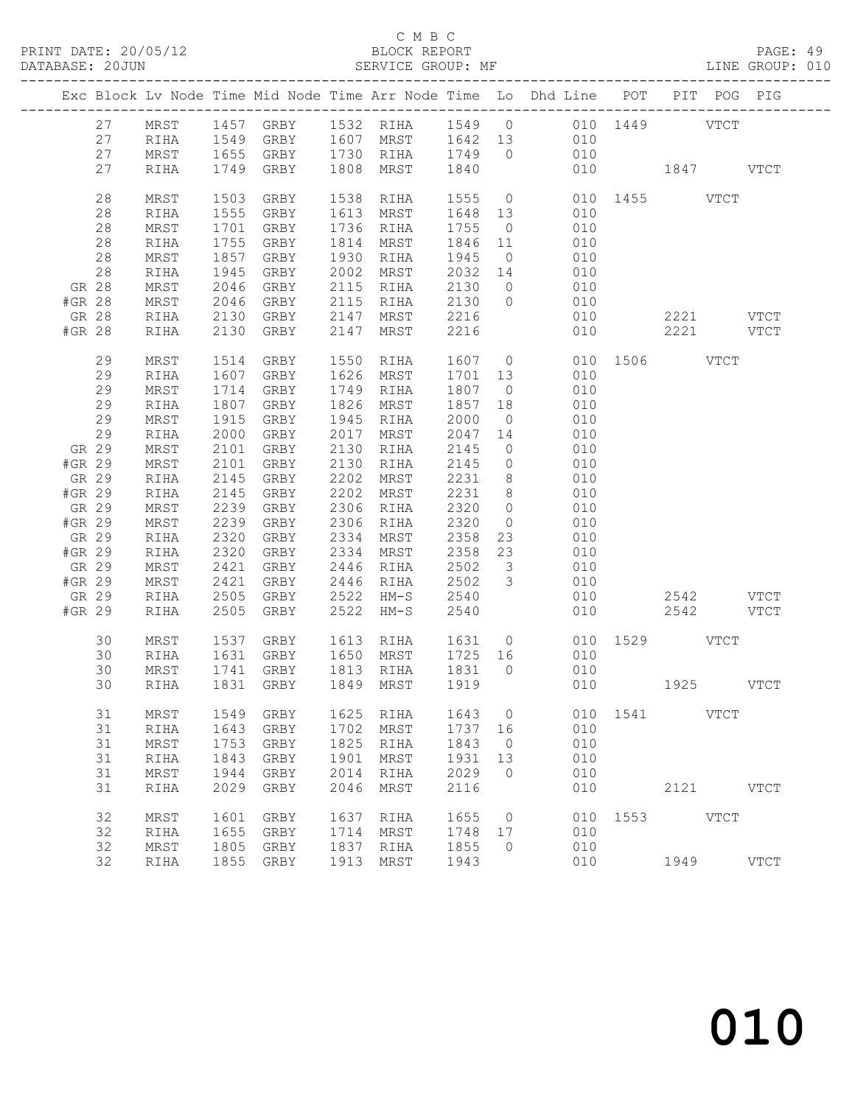#### C M B C<br>BLOCK REPORT

|                 | DATABASE: 20JUN |              |              |              |      | SERVICE GROUP: MF     |              |                                  |                                                                                |               |      |           | LINE GROUP: 010 |
|-----------------|-----------------|--------------|--------------|--------------|------|-----------------------|--------------|----------------------------------|--------------------------------------------------------------------------------|---------------|------|-----------|-----------------|
|                 |                 |              |              |              |      |                       |              |                                  | Exc Block Lv Node Time Mid Node Time Arr Node Time Lo Dhd Line POT PIT POG PIG |               |      |           |                 |
|                 | 27              |              |              |              |      |                       |              |                                  | MRST 1457 GRBY 1532 RIHA 1549 0 010 1449 VTCT                                  |               |      |           |                 |
|                 | 27              | RIHA         |              |              |      |                       |              |                                  | 1549 GRBY 1607 MRST 1642 13 010                                                |               |      |           |                 |
|                 | 27              | MRST         |              |              |      |                       |              |                                  | 1655 GRBY 1730 RIHA 1749 0 010                                                 |               |      |           |                 |
|                 | 27              | RIHA         |              | 1749 GRBY    |      | 1808 MRST 1840        |              |                                  |                                                                                | 010 1847 VTCT |      |           |                 |
|                 | 28              | MRST         | 1503         | GRBY         |      | 1538 RIHA             | 1555 0       |                                  |                                                                                | 010 1455 VTCT |      |           |                 |
|                 | 28              | RIHA         | 1555         | GRBY         |      | 1613 MRST             | 1648 13      |                                  | 010                                                                            |               |      |           |                 |
|                 | 28              | MRST         | 1701         | GRBY         |      | 1736 RIHA             | 1755 0       |                                  | 010                                                                            |               |      |           |                 |
|                 | 28              | RIHA         | 1755         | GRBY         |      | 1814 MRST             | 1846 11      |                                  | 010                                                                            |               |      |           |                 |
|                 | 28              | MRST         | 1857         | GRBY         |      | 1930 RIHA             | 1945         | $\overline{0}$                   | 010                                                                            |               |      |           |                 |
|                 | 28              | RIHA         | 1945         | GRBY         |      | 2002 MRST             | 2032 14      |                                  | 010                                                                            |               |      |           |                 |
| GR 28           |                 | MRST         | 2046         | GRBY         |      | 2115 RIHA             | 2130         | $\overline{0}$                   | 010                                                                            |               |      |           |                 |
| #GR 28          |                 | MRST         | 2046         | GRBY         |      | 2115 RIHA             | 2130 0       |                                  | 010                                                                            |               |      |           |                 |
| GR 28           |                 | RIHA         | 2130         | GRBY         | 2147 | MRST                  | 2216         |                                  | 010                                                                            |               |      | 2221 VTCT |                 |
| #GR 28          |                 | RIHA         | 2130         | GRBY         | 2147 | MRST                  | 2216         |                                  |                                                                                | 010           |      | 2221 VTCT |                 |
|                 | 29              | MRST         | 1514         | GRBY         |      | 1550 RIHA             | 1607 0       |                                  |                                                                                | 010 1506 VTCT |      |           |                 |
|                 | 29              | RIHA         | 1607         | GRBY         |      | 1626 MRST             | 1701 13      |                                  | 010                                                                            |               |      |           |                 |
|                 | 29              | MRST         | 1714         | GRBY         | 1749 | RIHA                  | 1807         | $\overline{0}$                   | 010                                                                            |               |      |           |                 |
|                 | 29              | RIHA         | 1807         | GRBY         | 1826 | MRST                  | 1857         | 18                               | 010                                                                            |               |      |           |                 |
|                 | 29              | MRST         | 1915         | GRBY         |      | 1945 RIHA             | 2000         | $\overline{0}$                   | 010                                                                            |               |      |           |                 |
|                 | 29              | RIHA         | 2000         | GRBY         |      | 2017 MRST             | 2047         | 14                               | 010                                                                            |               |      |           |                 |
| GR 29           |                 | MRST         | 2101         | GRBY         | 2130 | RIHA                  | 2145         | $\overline{0}$                   | 010                                                                            |               |      |           |                 |
| #GR 29          |                 | MRST         | 2101         | GRBY         | 2130 | RIHA                  | 2145         | $\overline{0}$                   | 010                                                                            |               |      |           |                 |
| GR 29           |                 | RIHA         | 2145         | GRBY         | 2202 | MRST                  | 2231 8       |                                  | 010                                                                            |               |      |           |                 |
| #GR 29          |                 | RIHA         | 2145<br>2239 | GRBY         | 2202 | MRST                  | 2231 8       |                                  | 010                                                                            |               |      |           |                 |
| GR 29<br>#GR 29 |                 | MRST         | 2239         | GRBY<br>GRBY | 2306 | RIHA<br>2306 RIHA     | 2320<br>2320 | $\overline{0}$<br>$\overline{0}$ | 010<br>010                                                                     |               |      |           |                 |
| GR 29           |                 | MRST<br>RIHA | 2320         | GRBY         | 2334 | MRST                  | 2358         | 23                               | 010                                                                            |               |      |           |                 |
| #GR 29          |                 | RIHA         | 2320         | GRBY         |      | 2334 MRST             | 2358         | 23                               | 010                                                                            |               |      |           |                 |
| GR 29           |                 | MRST         | 2421         | GRBY         |      | 2446 RIHA             | 2502         | $\overline{\mathbf{3}}$          | 010                                                                            |               |      |           |                 |
| #GR 29          |                 | MRST         | 2421         | GRBY         |      | 2446 RIHA             | 2502         | $\overline{\mathbf{3}}$          | 010                                                                            |               |      |           |                 |
| GR 29           |                 | RIHA         | 2505         | GRBY         |      | 2522 HM-S             | 2540         |                                  |                                                                                | 010           |      | 2542 VTCT |                 |
| #GR 29          |                 | RIHA         | 2505         | GRBY         | 2522 | HM-S                  | 2540         |                                  | 010                                                                            |               | 2542 |           | VTCT            |
|                 | 30              | MRST         | 1537         |              |      | GRBY 1613 RIHA 1631 0 |              |                                  |                                                                                | 010 1529 VTCT |      |           |                 |
|                 | 30              | RIHA         |              |              |      |                       |              |                                  | 1631 GRBY 1650 MRST 1725 16 010                                                |               |      |           |                 |
|                 | 30              | MRST         |              | 1741 GRBY    |      | 1813 RIHA             | 1831 0       |                                  | 010                                                                            |               |      |           |                 |
|                 |                 |              |              |              |      |                       |              |                                  | 30 RIHA 1831 GRBY 1849 MRST 1919 010 1925                                      |               |      |           | <b>VTCT</b>     |
|                 | 31              | MRST         | 1549         | GRBY         | 1625 | RIHA                  | 1643         | $\overline{0}$                   |                                                                                | 010 1541 VTCT |      |           |                 |
|                 | 31              | RIHA         | 1643         | GRBY         |      | 1702 MRST             | 1737 16      |                                  | 010                                                                            |               |      |           |                 |
|                 | 31              | MRST         | 1753         | GRBY         | 1825 | RIHA                  | 1843         | $\overline{0}$                   | 010                                                                            |               |      |           |                 |
|                 | 31              | RIHA         | 1843         | GRBY         | 1901 | MRST                  | 1931         | 13                               | 010                                                                            |               |      |           |                 |
|                 | 31              | $\tt MRST$   | 1944         | GRBY         | 2014 | RIHA                  | 2029         | $\bigcirc$                       | 010                                                                            |               |      |           |                 |
|                 | 31              | RIHA         | 2029         | GRBY         | 2046 | MRST                  | 2116         |                                  | 010                                                                            |               |      | 2121 VTCT |                 |
|                 | 32              | MRST         | 1601         | GRBY         | 1637 | RIHA                  | 1655         | $\overline{0}$                   |                                                                                | 010 1553 VTCT |      |           |                 |
|                 | 32              | RIHA         | 1655         | GRBY         | 1714 | MRST                  | 1748         | 17                               | 010                                                                            |               |      |           |                 |
|                 | 32              | MRST         | 1805         | GRBY         | 1837 | RIHA                  | 1855         | $\overline{0}$                   | 010                                                                            |               |      |           |                 |
|                 | 32              | RIHA         |              | 1855 GRBY    |      | 1913 MRST             | 1943         |                                  | 010                                                                            |               | 1949 |           | <b>VTCT</b>     |
|                 |                 |              |              |              |      |                       |              |                                  |                                                                                |               |      |           |                 |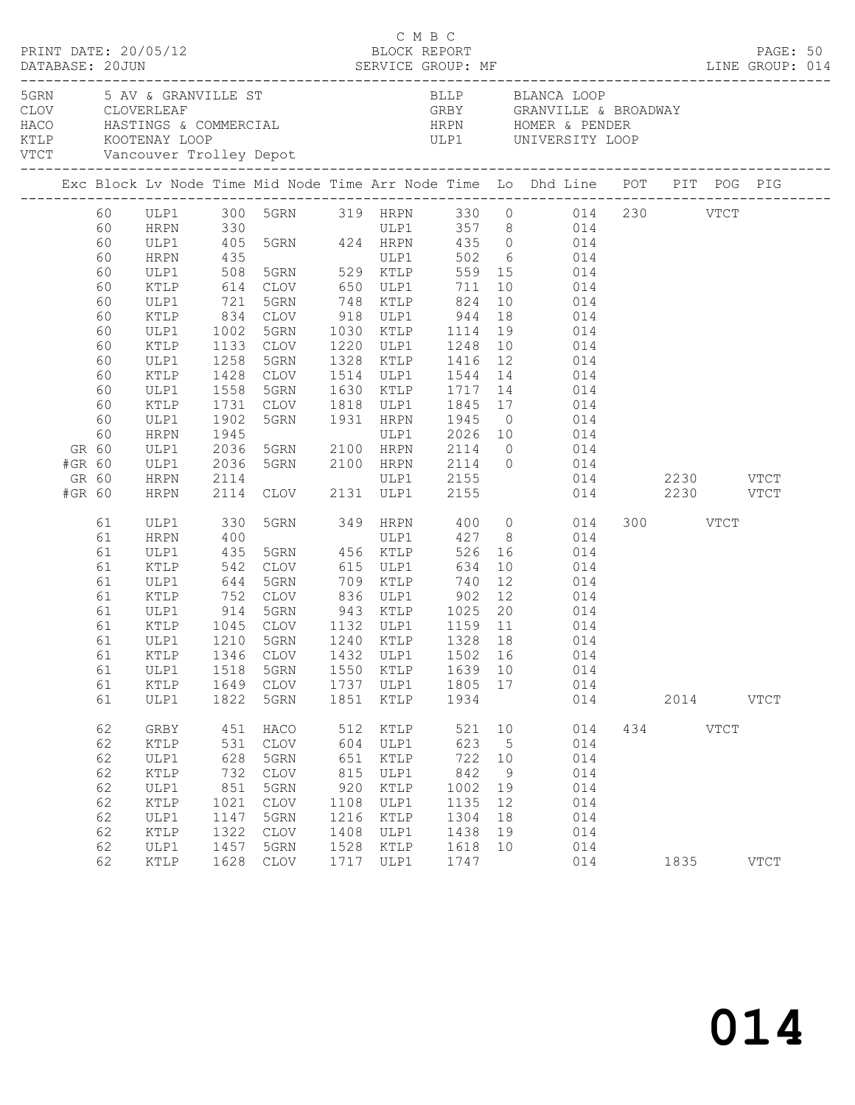| PRINT DATE: 20/05/12<br>DATABASE: 20JUN SERVICE GROUP: MF LINE GROUP: 014<br>DATABASE: 20JUN |          |                                             |              |                                            |      |           | C M B C<br>BLOCK REPORT |             |                                                                                                     |          |           | PAGE: 50      |
|----------------------------------------------------------------------------------------------|----------|---------------------------------------------|--------------|--------------------------------------------|------|-----------|-------------------------|-------------|-----------------------------------------------------------------------------------------------------|----------|-----------|---------------|
|                                                                                              |          | 5GRN 5 AV & GRANVILLE ST<br>CLOV CLOVERLEAF |              |                                            |      |           |                         |             | BLLP BLANCA LOOP<br>GRBY GRANVILLE & BROADWAY                                                       |          |           |               |
|                                                                                              |          |                                             |              |                                            |      |           |                         |             | Exc Block Lv Node Time Mid Node Time Arr Node Time Lo Dhd Line POT PIT POG PIG                      |          |           |               |
|                                                                                              |          |                                             |              |                                            |      |           |                         |             | 60 ULP1 300 5GRN 319 HRPN 330 0 014 230 VTCT                                                        |          |           |               |
|                                                                                              | 60       | HRPN 330                                    |              |                                            |      |           |                         |             |                                                                                                     |          |           |               |
|                                                                                              | 60       | ULP1                                        |              |                                            |      |           |                         |             | 330 ULP1 357 8 014<br>405 5GRN 424 HRPN 435 0 014                                                   |          |           |               |
|                                                                                              | 60       | HRPN                                        | 435<br>508   |                                            |      |           |                         |             | ULP1 502 6 014<br>5GRN 529 KTLP 559 15 014                                                          |          |           |               |
|                                                                                              | 60       | ULP1                                        |              |                                            |      |           |                         |             |                                                                                                     |          |           |               |
|                                                                                              | 60       | KTLP                                        |              |                                            |      |           |                         |             | 614 CLOV 650 ULP1 711 10 014                                                                        |          |           |               |
|                                                                                              | 60       | ULP1                                        | 721          | 5GRN 748 KTLP 824                          |      |           |                         |             | 10 014                                                                                              |          |           |               |
|                                                                                              | 60       | KTLP                                        |              |                                            |      |           |                         |             |                                                                                                     |          |           |               |
|                                                                                              | 60       | ULP1                                        |              |                                            |      |           |                         |             |                                                                                                     |          |           |               |
|                                                                                              | 60       | KTLP                                        |              |                                            |      |           |                         |             | 1133 CLOV 1220 ULP1 1248 10 014                                                                     |          |           |               |
|                                                                                              | 60       | ULP1                                        | 1258         | 5GRN                                       |      |           |                         |             | 1328 KTLP 1416 12 014                                                                               |          |           |               |
|                                                                                              | 60       | KTLP                                        | 1428<br>1558 |                                            |      |           |                         |             | CLOV 1514 ULP1 1544 14 014<br>5GRN 1630 KTLP 1717 14 014                                            |          |           |               |
|                                                                                              | 60<br>60 | ULP1<br>KTLP                                |              |                                            |      |           |                         |             | 1731 CLOV 1818 ULP1 1845 17 014                                                                     |          |           |               |
|                                                                                              | 60       | ULP1                                        | 1902         |                                            |      |           |                         |             | 5GRN 1931 HRPN 1945 0 014                                                                           |          |           |               |
|                                                                                              | 60       | HRPN                                        |              |                                            |      |           |                         |             |                                                                                                     |          |           |               |
| GR 60                                                                                        |          | ULP1                                        |              |                                            |      |           |                         |             |                                                                                                     |          |           |               |
| #GR 60                                                                                       |          | ULP1                                        |              |                                            |      |           |                         |             |                                                                                                     |          |           |               |
| GR 60                                                                                        |          | HRPN                                        |              |                                            |      |           |                         |             | ULP1 2155 014 2230 VTCT                                                                             |          |           |               |
| #GR 60                                                                                       |          | HRPN                                        |              | 2114 ULP1 2155<br>2114 CLOV 2131 ULP1 2155 |      |           |                         |             | 014 2230 VTCT                                                                                       |          |           |               |
|                                                                                              | 61       | ULP1                                        | 330          |                                            |      |           |                         |             | 5GRN 349 HRPN 400 0 014                                                                             | 300 VTCT |           |               |
|                                                                                              | 61       | HRPN                                        | 400          |                                            |      | ULP1      |                         |             | 427 8 014                                                                                           |          |           |               |
|                                                                                              | 61       | ULP1                                        |              |                                            |      |           |                         |             | 435 5GRN 456 KTLP 526 16 014<br>542 CLOV 615 ULP1 634 10 014<br>644 5GRN 709 KTLP 740 12 014        |          |           |               |
|                                                                                              | 61       | KTLP                                        |              |                                            |      |           |                         |             |                                                                                                     |          |           |               |
|                                                                                              | 61       | ULP1                                        |              |                                            |      |           |                         |             |                                                                                                     |          |           |               |
|                                                                                              | 61       | KTLP                                        |              |                                            |      |           |                         |             | 752 CLOV 836 ULP1 902 12 014                                                                        |          |           |               |
|                                                                                              | 61       | ULP1                                        | 914          |                                            |      |           |                         |             |                                                                                                     |          |           |               |
|                                                                                              | 61       | KTLP                                        |              |                                            |      |           |                         |             | 914 5GRN 943 KTLP 1025 20 014<br>1045 CLOV 1132 ULP1 1159 11 014<br>1210 5GRN 1240 KTLP 1328 18 014 |          |           |               |
|                                                                                              | 61       | ULP1                                        |              |                                            |      |           |                         |             |                                                                                                     |          |           |               |
|                                                                                              | 61       | ULP1                                        | 1518         | 5GRN                                       |      | 1550 KTLP | 1639 10                 |             | 61 KTLP 1346 CLOV 1432 ULP1 1502 16 014<br>014                                                      |          |           |               |
|                                                                                              | 61       | KTLP                                        | 1649         | CLOV                                       |      | 1737 ULP1 | 1805 17                 |             | 014                                                                                                 |          |           |               |
|                                                                                              | 61       | ULP1                                        | 1822         | 5GRN                                       | 1851 | KTLP      | 1934                    |             | 014                                                                                                 |          | 2014 VTCT |               |
|                                                                                              | 62       | GRBY                                        | 451          | HACO                                       | 512  | KTLP      | 521                     | 10          | 014                                                                                                 | 434 VTCT |           |               |
|                                                                                              | 62       | KTLP                                        | 531          | CLOV                                       | 604  | ULP1      | 623                     | $5^{\circ}$ | 014                                                                                                 |          |           |               |
|                                                                                              | 62       | ULP1                                        | 628          | 5GRN                                       | 651  | KTLP      | 722                     | 10          | 014                                                                                                 |          |           |               |
|                                                                                              | 62       | $\texttt{KTLP}$                             | 732          | CLOV                                       | 815  | ULP1      | 842                     | - 9         | 014                                                                                                 |          |           |               |
|                                                                                              | 62       | ULP1                                        | 851          | 5GRN                                       | 920  | KTLP      | 1002 19                 |             | 014                                                                                                 |          |           |               |
|                                                                                              | 62       | KTLP                                        | 1021         | CLOV                                       | 1108 | ULP1      | 1135                    | 12          | 014                                                                                                 |          |           |               |
|                                                                                              | 62       | ULP1                                        | 1147         | 5GRN                                       | 1216 | KTLP      | 1304                    | 18          | 014                                                                                                 |          |           |               |
|                                                                                              | 62       | KTLP                                        | 1322         | CLOV                                       | 1408 | ULP1      | 1438                    | 19          | 014                                                                                                 |          |           |               |
|                                                                                              | 62       | ULP1                                        | 1457         | 5GRN                                       | 1528 | KTLP      | 1618                    | 10          | 014                                                                                                 |          |           |               |
|                                                                                              | 62       | KTLP                                        | 1628         | CLOV                                       | 1717 | ULP1      | 1747                    |             | 014                                                                                                 | 1835     |           | $_{\rm VTCT}$ |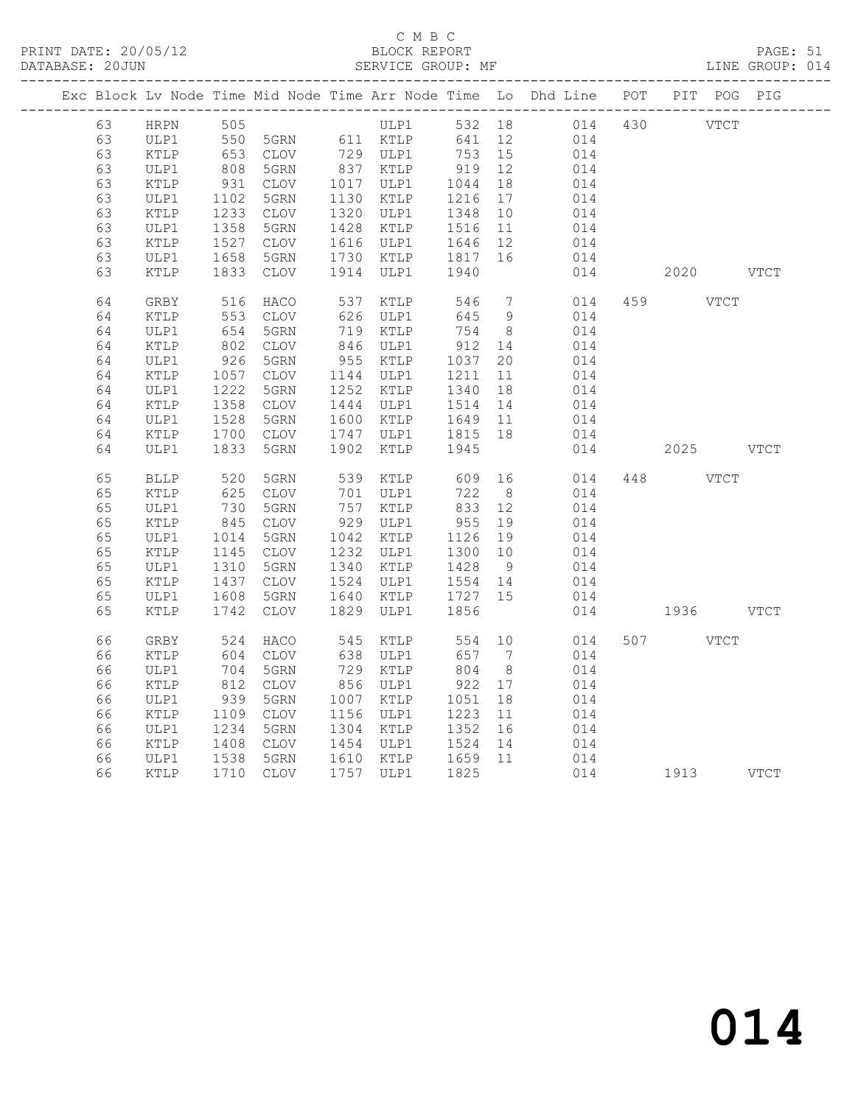#### C M B C<br>BLOCK REPORT

PAGE: 51<br>LINE GROUP: 014

|          |                         |                        |               |      |                                                     |                         |                | Exc Block Lv Node Time Mid Node Time Arr Node Time Lo Dhd Line POT PIT POG PIG |           |             |             |
|----------|-------------------------|------------------------|---------------|------|-----------------------------------------------------|-------------------------|----------------|--------------------------------------------------------------------------------|-----------|-------------|-------------|
| 63       | HRPN                    | 505                    |               |      | ULP1                                                |                         |                | 532 18 014                                                                     | 430 VTCT  |             |             |
| 63       | ULP1                    | $505$                  | 5GRN 611 KTLP |      |                                                     | 641                     | 12             | 014                                                                            |           |             |             |
| 63       | KTLP                    | 653<br>808             | CLOV          |      | 729 ULP1<br>837 KTLP                                | 753                     | 15             | 014                                                                            |           |             |             |
| 63       | ULP1                    |                        | 5GRN          |      |                                                     | 919                     | 12             | 014                                                                            |           |             |             |
| 63       | KTLP                    | 931                    | CLOV          |      | 1017 ULP1                                           | 1044                    | 18             | 014                                                                            |           |             |             |
| 63       | ULP1                    | 1102                   | 5GRN          |      | 1130 KTLP                                           | 1216                    | 17             | 014                                                                            |           |             |             |
| 63       | KTLP                    | 1233                   | CLOV          |      | 1320 ULP1                                           | 1348                    | 10             | 014                                                                            |           |             |             |
| 63       | ULP1                    | 1358                   | 5GRN          |      | 1428 KTLP                                           | 1516<br>1646            | 11             | 014                                                                            |           |             |             |
| 63       | KTLP                    | 1527                   | CLOV          |      | 1616 ULP1                                           |                         | 12             | 014                                                                            |           |             |             |
| 63       | ULP1                    | 1658                   | 5GRN          |      | 1730 KTLP                                           | 1817                    | 16             | 014                                                                            |           |             |             |
| 63       | KTLP                    | 1833                   | CLOV          |      | 1914 ULP1                                           | 1940                    |                | 014                                                                            | 2020      |             | <b>VTCT</b> |
| 64       | GRBY                    | 516                    | HACO          |      | 537 KTLP                                            | 546                     | $\overline{7}$ | 014                                                                            | 459 VTCT  |             |             |
| 64       | KTLP                    | 553                    | CLOV          |      | 626 ULP1                                            | 645                     | 9              | 014                                                                            |           |             |             |
| 64       | ULP1                    | 654                    | 5GRN          |      | 719 KTLP                                            | 754                     | 8 <sup>8</sup> | 014                                                                            |           |             |             |
| 64       | KTLP                    | 802                    | CLOV          |      | 846 ULP1                                            | 912                     | 14             | 014                                                                            |           |             |             |
| 64       | ULP1                    | 926                    | 5GRN          |      | 955 KTLP                                            | 1037                    | 20             | 014                                                                            |           |             |             |
| 64       | KTLP                    | 1057                   | CLOV          |      | 1144 ULP1                                           | 1211                    | 11             | 014                                                                            |           |             |             |
| 64<br>64 | ULP1<br>$\texttt{KTLP}$ | 1222<br>1358           | 5GRN<br>CLOV  |      | 1252 KTLP<br>1444 ULP1                              | 1340<br>1514            | 18<br>14       | 014<br>014                                                                     |           |             |             |
| 64       |                         | 1528                   |               |      |                                                     |                         |                | 014                                                                            |           |             |             |
| 64       | ULP1<br>KTLP            | 1700                   | 5GRN<br>CLOV  |      | 1600 KTLP<br>1747 ULP1                              | 1649<br>1815<br>1815 18 | 11             | 014                                                                            |           |             |             |
| 64       | ULP1                    | 1833                   | 5GRN          | 1902 | KTLP                                                | 1945                    |                | 014                                                                            | 2025 VTCT |             |             |
|          |                         |                        |               |      |                                                     |                         |                |                                                                                |           |             |             |
| 65       | <b>BLLP</b>             | 520                    | 5GRN          | 539  | KTLP                                                | 609                     | 16             | 014                                                                            | 448       | <b>VTCT</b> |             |
| 65       | KTLP                    | 625                    | CLOV          |      | 701 ULP1                                            | 722                     | 8 <sup>8</sup> | 014                                                                            |           |             |             |
| 65       | ULP1                    | 730                    | 5GRN          |      | 757 KTLP                                            | 833                     | 12             | 014                                                                            |           |             |             |
| 65       | KTLP                    | 845                    | CLOV          |      | 929 ULP1                                            | 955                     | 19             | 014                                                                            |           |             |             |
| 65       | ULP1                    | 1014                   | 5GRN          |      | 1042 KTLP                                           | 1126 19                 |                | 014                                                                            |           |             |             |
| 65       | KTLP                    | 1145<br>$11.7$<br>1310 | CLOV          |      | 1232 ULP1                                           | 1300 10                 |                | 014                                                                            |           |             |             |
| 65       | ULP1                    |                        | 5GRN          |      | 1340 KTLP                                           | 1428                    | 9              | 014                                                                            |           |             |             |
| 65       | KTLP                    | 1437                   | CLOV          |      | 1524 ULP1                                           | 1554 14                 |                | 014                                                                            |           |             |             |
| 65       | ULP1                    | 1608                   | 5GRN          |      | 1640 KTLP                                           | 1727                    | 15             | 014                                                                            |           |             |             |
| 65       | KTLP                    | 1742                   | <b>CLOV</b>   | 1829 | ULP1                                                | 1856                    |                | 014                                                                            | 1936      |             | <b>VTCT</b> |
| 66       | GRBY                    | 524                    | HACO          | 545  | KTLP                                                | 554                     | 10             | 014                                                                            | 507 VTCT  |             |             |
| 66       | KTLP                    | 604                    | CLOV          | 638  | ULP1                                                | 657                     | $\overline{7}$ | 014                                                                            |           |             |             |
| 66       | ULP1                    | 704                    | 5GRN          |      | 729 KTLP                                            | 804                     | 8 <sup>8</sup> | 014                                                                            |           |             |             |
| 66       | KTLP                    | 812                    | CLOV          |      | 856 ULP1                                            | $-922$                  | 17             | 014                                                                            |           |             |             |
| 66       | ULP1                    | 939                    | 5GRN          |      | 1007 KTLP                                           |                         | 18             | 014                                                                            |           |             |             |
| 66       | KTLP                    | $1112\n\n1234\n\n108$  | CLOV          |      | 1156 ULP1                                           | 1223                    | 11             | 014                                                                            |           |             |             |
| 66       | ULP1                    |                        | 5GRN          |      | 1304 KTLP                                           | 1352                    | 16             | 014                                                                            |           |             |             |
| 66       | KTLP                    |                        | CLOV          |      | 1454 ULP1 1524 14<br>1610 KTLP 1659 11<br>1454 ULP1 |                         |                | 014                                                                            |           |             |             |
| 66       | ULP1                    | $1408$<br>$1538$       | 5GRN          |      |                                                     |                         |                | 014                                                                            |           |             |             |
| 66       | KTLP                    |                        | 1710 CLOV     |      | 1757 ULP1                                           | 1825                    |                | 014                                                                            | 1913 VTCT |             |             |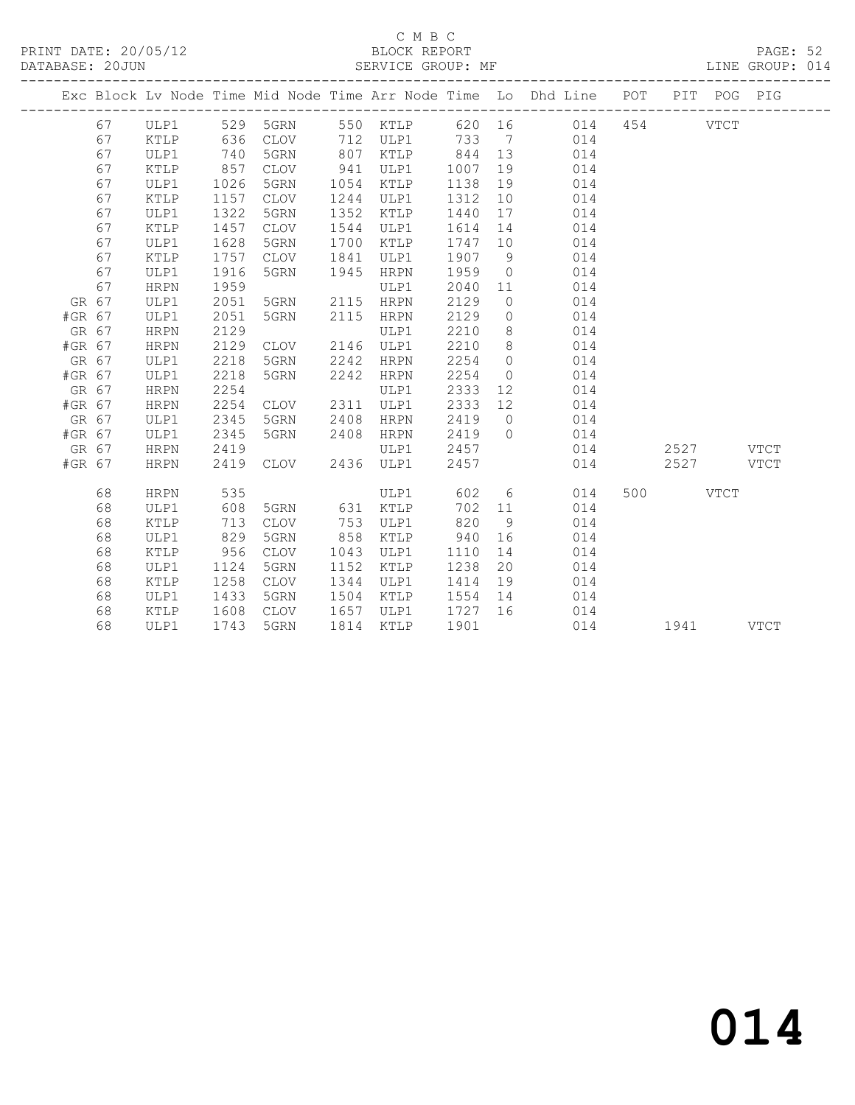#### C M B C<br>BLOCK REPORT

PAGE: 52<br>LINE GROUP: 014

|        |    |             |      |           |      |           |         |                | Exc Block Lv Node Time Mid Node Time Arr Node Time Lo Dhd Line POT PIT POG PIG |     |             |  |
|--------|----|-------------|------|-----------|------|-----------|---------|----------------|--------------------------------------------------------------------------------|-----|-------------|--|
|        | 67 |             |      |           |      |           |         |                | ULP1 529 5GRN 550 KTLP 620 16 014 454 VTCT                                     |     |             |  |
|        | 67 | KTLP        |      | 636 CLOV  |      | 712 ULP1  | 733 7   |                | 014                                                                            |     |             |  |
|        | 67 | ULP1        | 740  | 5GRN      | 807  | KTLP      | 844 13  |                | 014                                                                            |     |             |  |
|        | 67 | KTLP        | 857  | CLOV      | 941  | ULP1      | 1007    | 19             | 014                                                                            |     |             |  |
|        | 67 | ULP1        | 1026 | 5GRN      | 1054 | KTLP      | 1138    | 19             | 014                                                                            |     |             |  |
|        | 67 | KTLP        | 1157 | CLOV      | 1244 | ULP1      | 1312    | 10             | 014                                                                            |     |             |  |
|        | 67 | ULP1        | 1322 | 5GRN      | 1352 | KTLP      | 1440    | 17             | 014                                                                            |     |             |  |
|        | 67 | KTLP        | 1457 | CLOV      | 1544 | ULP1      | 1614    | 14             | 014                                                                            |     |             |  |
|        | 67 | ULP1        | 1628 | 5GRN      | 1700 | KTLP      | 1747    | 10             | 014                                                                            |     |             |  |
|        | 67 | KTLP        | 1757 | CLOV      | 1841 | ULP1      | 1907    | 9              | 014                                                                            |     |             |  |
|        | 67 | ULP1        | 1916 | 5GRN      | 1945 | HRPN      | 1959    | $\overline{0}$ | 014                                                                            |     |             |  |
|        | 67 | <b>HRPN</b> | 1959 |           |      | ULP1      | 2040    | 11             | 014                                                                            |     |             |  |
| GR 67  |    | ULP1        | 2051 | 5GRN      |      | 2115 HRPN | 2129    | $\overline{0}$ | 014                                                                            |     |             |  |
| #GR 67 |    | ULP1        | 2051 | 5GRN      |      | 2115 HRPN | 2129    | $\circ$        | 014                                                                            |     |             |  |
| GR 67  |    | <b>HRPN</b> | 2129 |           |      | ULP1      | 2210    | 8              | 014                                                                            |     |             |  |
| #GR 67 |    | HRPN        | 2129 | CLOV      |      | 2146 ULP1 | 2210    | 8              | 014                                                                            |     |             |  |
| GR 67  |    | ULP1        | 2218 | 5GRN      | 2242 | HRPN      | 2254    | $\overline{0}$ | 014                                                                            |     |             |  |
| #GR 67 |    | ULP1        | 2218 | 5GRN      | 2242 | HRPN      | 2254    | $\overline{0}$ | 014                                                                            |     |             |  |
| GR 67  |    | <b>HRPN</b> | 2254 |           |      | ULP1      | 2333    | 12             | 014                                                                            |     |             |  |
| #GR 67 |    | <b>HRPN</b> | 2254 | CLOV      |      | 2311 ULP1 | 2333    | 12             | 014                                                                            |     |             |  |
| GR 67  |    | ULP1        | 2345 | 5GRN      | 2408 | HRPN      | 2419    | $\overline{0}$ | 014                                                                            |     |             |  |
| #GR 67 |    | ULP1        | 2345 | 5GRN      |      | 2408 HRPN | 2419    | $\overline{0}$ | 014                                                                            |     |             |  |
| GR 67  |    | HRPN        | 2419 |           |      | ULP1 2457 |         |                | 014                                                                            |     | 2527 VTCT   |  |
| #GR 67 |    | HRPN        |      | 2419 CLOV |      | 2436 ULP1 | 2457    |                | 014                                                                            |     | 2527 VTCT   |  |
|        | 68 | HRPN        | 535  |           |      | ULP1      |         |                | 602 6<br>014                                                                   | 500 | <b>VTCT</b> |  |
|        | 68 | ULP1        | 608  | 5GRN      |      | 631 KTLP  | 702 11  |                | 014                                                                            |     |             |  |
|        | 68 | KTLP        | 713  | CLOV      | 753  | ULP1      | 820     | 9              | 014                                                                            |     |             |  |
|        | 68 | ULP1        | 829  | 5GRN      | 858  | KTLP      | 940     | 16             | 014                                                                            |     |             |  |
|        | 68 | KTLP        | 956  | CLOV      | 1043 | ULP1      | 1110    | 14             | 014                                                                            |     |             |  |
|        | 68 | ULP1        | 1124 | 5GRN      | 1152 | KTLP      | 1238    | 20             | 014                                                                            |     |             |  |
|        | 68 | KTLP        | 1258 | CLOV      | 1344 | ULP1      | 1414    | 19             | 014                                                                            |     |             |  |
|        | 68 | ULP1        | 1433 | 5GRN      | 1504 | KTLP      | 1554 14 |                | 014                                                                            |     |             |  |
|        | 68 | KTLP        | 1608 | CLOV      | 1657 | ULP1      | 1727 16 |                | 014                                                                            |     |             |  |
|        | 68 | ULP1        | 1743 | 5GRN      |      | 1814 KTLP | 1901    |                |                                                                                | 014 | 1941 VTCT   |  |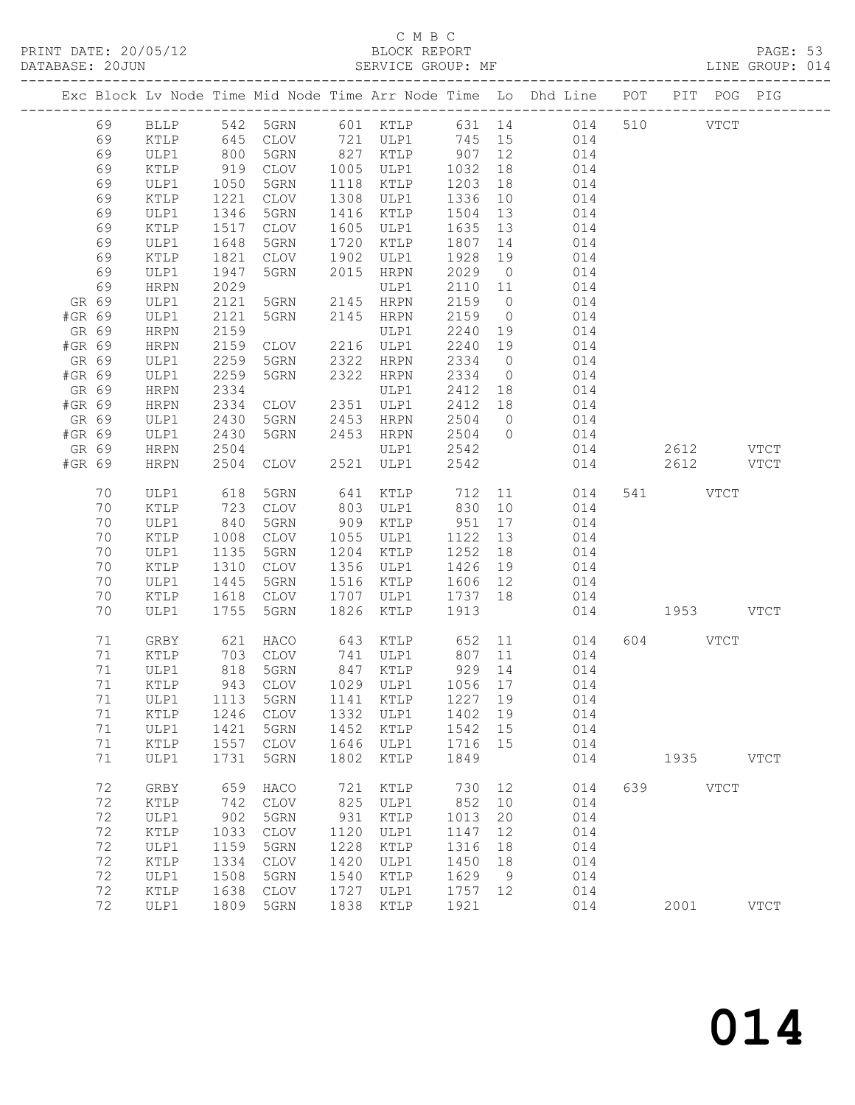### C M B C<br>BLOCK REPORT<br>SERVICE GROUP: MF

|                 | DATABASE: 20JUN |               |              |                        |      | SERVICE GROUP: MF                                                        |              |                | LINE GROUP: 014                                                                |               |          |           |             |  |
|-----------------|-----------------|---------------|--------------|------------------------|------|--------------------------------------------------------------------------|--------------|----------------|--------------------------------------------------------------------------------|---------------|----------|-----------|-------------|--|
|                 |                 |               |              |                        |      |                                                                          |              |                | Exc Block Lv Node Time Mid Node Time Arr Node Time Lo Dhd Line POT PIT POG PIG |               |          |           |             |  |
|                 | 69              |               |              |                        |      |                                                                          |              |                | BLLP 542 5GRN 601 KTLP 631 14 014 510 VTCT                                     |               |          |           |             |  |
|                 | 69              | KTLP          | 645          |                        |      |                                                                          |              |                | CLOV 721 ULP1 745 15 014                                                       |               |          |           |             |  |
|                 | 69              | ULP1          | 800<br>919   |                        |      | 5GRN 827 KTLP 907 12<br>CLOV 1005 ULP1 1032 18<br>5GRN 1118 KTLP 1203 18 |              |                | 014                                                                            |               |          |           |             |  |
|                 | 69              | KTLP          |              |                        |      |                                                                          |              |                | 014                                                                            |               |          |           |             |  |
|                 | 69              | ULP1          | 1050         | 5GRN                   |      | 1118 KTLP                                                                | 1203         | 18             | 014                                                                            |               |          |           |             |  |
|                 | 69              | KTLP          | 1221         | CLOV                   |      | 1308 ULP1                                                                | 1336         | 10             | 014                                                                            |               |          |           |             |  |
|                 | 69              | ULP1          | 1346         | 5GRN                   |      | 1416 KTLP                                                                | 1504         | 13             | 014                                                                            |               |          |           |             |  |
|                 | 69              | KTLP          | 1517         | CLOV                   |      | 1605 ULP1                                                                | 1635 13      |                | 014                                                                            |               |          |           |             |  |
|                 | 69              | ULP1          | 1648         | 5GRN                   |      | 1720 KTLP                                                                | 1807         | 14             | 014                                                                            |               |          |           |             |  |
|                 | 69              | KTLP          | 1821         | CLOV                   | 1902 | ULP1                                                                     | 1928         | 19             | 014                                                                            |               |          |           |             |  |
|                 | 69              | ULP1          | 1947         | 5GRN                   | 2015 | HRPN                                                                     | 2029         | $\overline{0}$ | 014                                                                            |               |          |           |             |  |
|                 | 69              | HRPN          | 2029         |                        |      | ULP1                                                                     | 2110 11      |                | 014                                                                            |               |          |           |             |  |
| GR 69           |                 | ULP1          | 2121         | 5GRN<br>5GRN 2145 HRPN |      | 2145 HRPN                                                                | 2159         | $\overline{0}$ | 014<br>$\overline{0}$                                                          |               |          |           |             |  |
| #GR 69          |                 | ULP1          | 2121         |                        |      |                                                                          | 2159         |                | 014                                                                            |               |          |           |             |  |
| GR 69<br>#GR 69 |                 | HRPN          | 2159         | CLOV 2216 ULP1         |      | ULP1                                                                     | 2240<br>2240 | 19<br>19       | 014<br>014                                                                     |               |          |           |             |  |
|                 |                 | HRPN          | 2159<br>2259 |                        |      | 2322 HRPN                                                                | 2334 0       |                |                                                                                |               |          |           |             |  |
| GR 69<br>#GR 69 |                 | ULP1<br>ULP1  | 2259         | 5GRN<br>5GRN           |      | 2322 HRPN                                                                | 2334 0       |                | 014<br>014                                                                     |               |          |           |             |  |
| GR 69           |                 | HRPN          | 2334         |                        |      | ULP1                                                                     | 2412         | 18             | 014                                                                            |               |          |           |             |  |
| #GR 69          |                 | HRPN          | 2334         | CLOV 2351 ULP1         |      |                                                                          | 2412 18      |                | 014                                                                            |               |          |           |             |  |
| GR 69           |                 | ULP1          | 2430         | 5GRN                   |      | 2453 HRPN                                                                | 2504         | $\overline{0}$ | 014                                                                            |               |          |           |             |  |
| #GR 69          |                 | ULP1          | 2430         | 5GRN                   |      | 2453 HRPN                                                                | 2504         | $\overline{0}$ | 014                                                                            |               |          |           |             |  |
| GR 69           |                 | HRPN          | 2504         |                        |      | ULP1                                                                     | 2542         |                | 014                                                                            |               |          | 2612 VTCT |             |  |
| #GR 69          |                 | HRPN          | 2504         | CLOV                   |      | 2521 ULP1                                                                | 2542         |                | 014                                                                            |               |          | 2612 VTCT |             |  |
|                 |                 |               |              |                        |      |                                                                          |              |                |                                                                                |               |          |           |             |  |
|                 | 70              | ULP1          | 618          | 5GRN                   |      | 641 KTLP                                                                 |              |                | 712 11<br>014                                                                  |               | 541 VTCT |           |             |  |
|                 | 70              | KTLP          | 723          | CLOV                   |      | 803 ULP1 830                                                             |              |                | 10<br>014                                                                      |               |          |           |             |  |
|                 | 70              | ULP1          | 840          | 5GRN                   |      | 909 KTLP                                                                 | 951          |                | 17<br>014                                                                      |               |          |           |             |  |
|                 | 70              | KTLP          | 1008         | CLOV                   |      | 1055 ULP1                                                                | 1122 13      |                | 014                                                                            |               |          |           |             |  |
|                 | 70              | ULP1          | 1135         | 5GRN                   |      | 1204 KTLP                                                                | 1252         | 18             | 014                                                                            |               |          |           |             |  |
|                 | 70              | KTLP          | 1310         | CLOV                   |      | 1356 ULP1                                                                | 1426         | 19             | 014                                                                            |               |          |           |             |  |
|                 | 70              | ULP1          | 1445         | 5GRN                   |      | 1516 KTLP                                                                | 1606 12      |                | 014                                                                            |               |          |           |             |  |
|                 | 70              | KTLP          | 1618         | CLOV                   |      | 1707 ULP1 1737 18                                                        |              |                | 014                                                                            |               |          |           |             |  |
|                 | 70              | ULP1          | 1755         | 5GRN                   | 1826 | KTLP                                                                     | 1913         |                |                                                                                | 014 1953 VTCT |          |           |             |  |
|                 |                 |               |              |                        |      |                                                                          |              |                |                                                                                |               |          |           |             |  |
|                 | 71              | GRBY          | 621          | HACO                   |      | 643 KTLP 652                                                             |              |                | 11<br>014                                                                      |               | 604 VTCT |           |             |  |
|                 | 71              | KTLP          | 703<br>818   | CLOV                   |      |                                                                          |              |                | 014                                                                            |               |          |           |             |  |
|                 | 71              | ULP1          |              | 5GRN                   |      |                                                                          |              |                | 014                                                                            |               |          |           |             |  |
|                 | 71 KTLP         |               |              |                        |      |                                                                          |              |                | 943 CLOV 1029 ULP1 1056 17 014                                                 |               |          |           |             |  |
|                 | 71              | ULP1          | 1113         | 5GRN                   | 1141 | KTLP                                                                     | 1227         | 19             | 014                                                                            |               |          |           |             |  |
|                 | 71              | KTLP          | 1246         | CLOV                   | 1332 | ULP1                                                                     | 1402         | 19             | 014                                                                            |               |          |           |             |  |
|                 | 71              | ULP1          | 1421         | 5GRN                   | 1452 | KTLP                                                                     | 1542         | 15             | 014                                                                            |               |          |           |             |  |
|                 | 71              | KTLP          | 1557         | CLOV                   | 1646 | ULP1                                                                     | 1716         | 15             | 014                                                                            |               |          |           |             |  |
|                 | 71              | ULP1          | 1731         | 5GRN                   | 1802 | KTLP                                                                     | 1849         |                | 014                                                                            |               |          | 1935 VTCT |             |  |
|                 | 72              | GRBY          | 659          | HACO                   | 721  | KTLP                                                                     | 730 12       |                | 014                                                                            |               | 639 8    | VTCT      |             |  |
|                 | 72              | KTLP          | 742          | CLOV                   | 825  | ULP1                                                                     | 852          | 10             | 014                                                                            |               |          |           |             |  |
|                 | 72              | ULP1          | 902          | 5GRN                   | 931  | KTLP                                                                     | 1013         | 20             | 014                                                                            |               |          |           |             |  |
|                 | 72              | KTLP          | 1033         | CLOV                   | 1120 | ULP1                                                                     | 1147         | 12             | 014                                                                            |               |          |           |             |  |
|                 | 72              | ULP1          | 1159         | 5GRN                   | 1228 | $\verb KTLP $                                                            | 1316         | 18             | 014                                                                            |               |          |           |             |  |
|                 | 72              | $\verb KTLP $ | 1334         | CLOV                   | 1420 | ULP1                                                                     | 1450         | 18             | 014                                                                            |               |          |           |             |  |
|                 | 72              | ULP1          | 1508         | 5GRN                   | 1540 | KTLP                                                                     | 1629         | 9              | 014                                                                            |               |          |           |             |  |
|                 | 72              | KTLP          | 1638         | CLOV                   | 1727 | ULP1                                                                     | 1757 12      |                | 014                                                                            |               |          |           |             |  |
|                 | 72              | ULP1          |              | 1809 5GRN              | 1838 | KTLP                                                                     | 1921         |                | 014                                                                            |               |          | 2001      | <b>VTCT</b> |  |
|                 |                 |               |              |                        |      |                                                                          |              |                |                                                                                |               |          |           |             |  |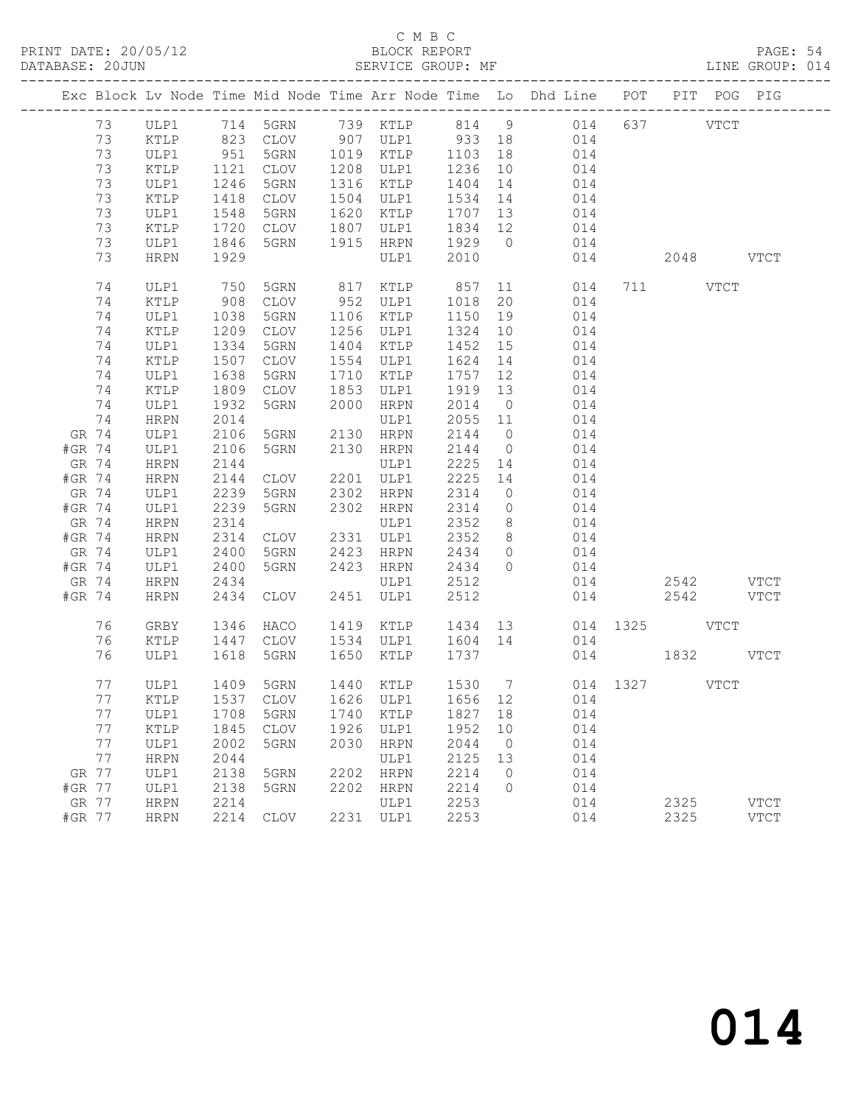#### C M B C<br>BLOCK REPORT

PAGE: 54<br>LINE GROUP: 014

|                 |    |                      |              |                      |      |                   |              |                                  | Exc Block Lv Node Time Mid Node Time Arr Node Time Lo Dhd Line POT PIT POG PIG |               |           |             |
|-----------------|----|----------------------|--------------|----------------------|------|-------------------|--------------|----------------------------------|--------------------------------------------------------------------------------|---------------|-----------|-------------|
|                 | 73 | ULP1                 |              |                      |      |                   |              |                                  | 714 5GRN 739 KTLP 814 9 014                                                    |               | 637 VTCT  |             |
|                 | 73 | KTLP                 |              | 823 CLOV<br>951 5GRN |      |                   |              |                                  | 014                                                                            |               |           |             |
|                 | 73 | ULP1                 |              |                      |      |                   |              |                                  | 014                                                                            |               |           |             |
|                 | 73 | KTLP                 | 1121         | CLOV                 | 1208 | ULP1              | 1236         | 10                               | 014                                                                            |               |           |             |
|                 | 73 | ULP1                 | 1246         | 5GRN                 | 1316 | KTLP              | 1404         | 14                               | 014                                                                            |               |           |             |
|                 | 73 | KTLP                 | 1418         | CLOV                 | 1504 | ULP1              | 1534         | 14                               | 014                                                                            |               |           |             |
|                 | 73 | ULP1                 | 1548         | 5GRN                 | 1620 | KTLP              | 1707         | 13                               | 014                                                                            |               |           |             |
|                 | 73 | KTLP                 | 1720         | CLOV                 | 1807 | ULP1              | 1834 12      |                                  | 014                                                                            |               |           |             |
|                 | 73 | ULP1                 | 1846         | 5GRN                 | 1915 | HRPN              | 1929 0       |                                  | 014                                                                            |               |           |             |
|                 | 73 | <b>HRPN</b>          | 1929         |                      |      | ULP1              | 2010         |                                  | 014                                                                            |               | 2048 VTCT |             |
|                 | 74 | ULP1                 | 750          | 5GRN                 |      | 817 KTLP          | 857          |                                  | 11<br>014                                                                      |               | 711 VTCT  |             |
|                 | 74 | KTLP                 | 908          | CLOV                 |      | 952 ULP1          | 1018         | 20                               | 014                                                                            |               |           |             |
|                 | 74 | ULP1                 | 1038         | 5GRN                 |      | 1106 KTLP         | 1150         | 19                               | 014                                                                            |               |           |             |
|                 | 74 | $\texttt{KTLP}$      | 1209         | CLOV                 |      | 1256 ULP1         | 1324         | 10                               | 014                                                                            |               |           |             |
|                 | 74 | ULP1                 | 1334         | 5GRN                 | 1404 | KTLP              | 1452         | 15                               | 014                                                                            |               |           |             |
|                 | 74 | KTLP                 | 1507         | CLOV                 | 1554 | ULP1              | 1624         | 14                               | 014                                                                            |               |           |             |
|                 | 74 | ULP1                 | 1638         | 5GRN                 | 1710 | KTLP              | 1757         | 12                               | 014                                                                            |               |           |             |
|                 | 74 | KTLP                 | 1809         | CLOV                 | 1853 | ULP1              | 1919         | 13                               | 014                                                                            |               |           |             |
|                 | 74 | ULP1                 | 1932         | 5GRN                 | 2000 | HRPN              | 2014         | $\overline{0}$                   | 014                                                                            |               |           |             |
|                 | 74 | HRPN                 | 2014         |                      |      | ULP1              | 2055 11      |                                  | 014                                                                            |               |           |             |
| GR 74<br>#GR 74 |    | ULP1                 | 2106<br>2106 | 5GRN<br>5GRN         | 2130 | HRPN<br>2130 HRPN | 2144<br>2144 | $\overline{0}$<br>$\overline{0}$ | 014<br>014                                                                     |               |           |             |
| GR 74           |    | ULP1<br>${\tt HRPN}$ | 2144         |                      |      | ULP1              | 2225         | 14                               | 014                                                                            |               |           |             |
| #GR 74          |    | HRPN                 | 2144         | CLOV                 |      | 2201 ULP1         | 2225         | 14                               | 014                                                                            |               |           |             |
| GR 74           |    | ULP1                 | 2239         | 5GRN                 | 2302 | HRPN              | 2314         | $\overline{0}$                   | 014                                                                            |               |           |             |
| #GR 74          |    | ULP1                 | 2239         | 5GRN                 |      | 2302 HRPN         | 2314         | $\overline{0}$                   | 014                                                                            |               |           |             |
| GR 74           |    | HRPN                 | 2314         |                      |      | ULP1              | 2352         | 8 <sup>8</sup>                   | 014                                                                            |               |           |             |
| #GR 74          |    | HRPN                 | 2314         | CLOV                 |      | 2331 ULP1         | 2352         | 8 <sup>8</sup>                   | 014                                                                            |               |           |             |
| GR 74           |    | ULP1                 | 2400         | 5GRN                 | 2423 | HRPN              | 2434         | $\overline{0}$                   | 014                                                                            |               |           |             |
| #GR 74          |    | ULP1                 | 2400         | 5GRN                 |      | 2423 HRPN         | 2434         | $\overline{0}$                   | 014                                                                            |               |           |             |
| GR 74           |    | HRPN                 | 2434         |                      |      | ULP1              | 2512         |                                  | 014                                                                            |               | 2542 VTCT |             |
| #GR 74          |    | HRPN                 | 2434         | CLOV                 |      | 2451 ULP1         | 2512         |                                  | 014                                                                            |               | 2542      | <b>VTCT</b> |
|                 | 76 | GRBY                 | 1346         | HACO                 |      | 1419 KTLP         |              |                                  | 1434 13                                                                        | 014 1325 VTCT |           |             |
|                 | 76 | KTLP                 | 1447         | CLOV                 |      | 1534 ULP1         | 1604 14      |                                  | 014                                                                            |               |           |             |
|                 | 76 | ULP1                 | 1618         | 5GRN                 |      | 1650 KTLP         | 1737         |                                  |                                                                                | 014           | 1832 VTCT |             |
|                 | 77 | ULP1                 |              | 1409 5GRN            |      | 1440 KTLP         |              |                                  | 1530 7 014 1327 VTCT                                                           |               |           |             |
|                 | 77 |                      |              |                      |      |                   |              |                                  | KTLP 1537 CLOV 1626 ULP1 1656 12 014                                           |               |           |             |
|                 | 77 | ULP1                 | 1708         | 5GRN                 | 1740 | KTLP              | 1827         | 18                               | 014                                                                            |               |           |             |
|                 | 77 | KTLP                 | 1845         | $\mathtt{CLOV}$      | 1926 | ULP1              | 1952         | 10                               | 014                                                                            |               |           |             |
|                 | 77 | ULP1                 | 2002         | 5GRN                 | 2030 | <b>HRPN</b>       | 2044         | $\overline{0}$                   | 014                                                                            |               |           |             |
|                 | 77 | <b>HRPN</b>          | 2044         |                      |      | ULP1              | 2125         | 13                               | 014                                                                            |               |           |             |
| GR 77           |    | ULP1                 | 2138         | 5GRN                 | 2202 | <b>HRPN</b>       | 2214         | $\circ$                          | 014                                                                            |               |           |             |
| #GR 77          |    | ULP1                 | 2138         | 5GRN                 | 2202 | <b>HRPN</b>       | 2214         | $\Omega$                         | 014                                                                            |               |           |             |
| GR 77           |    | <b>HRPN</b>          | 2214         |                      |      | ULP1              | 2253         |                                  | 014                                                                            |               | 2325      | <b>VTCT</b> |
| #GR 77          |    | <b>HRPN</b>          | 2214         | <b>CLOV</b>          | 2231 | ULP1              | 2253         |                                  | 014                                                                            |               | 2325      | <b>VTCT</b> |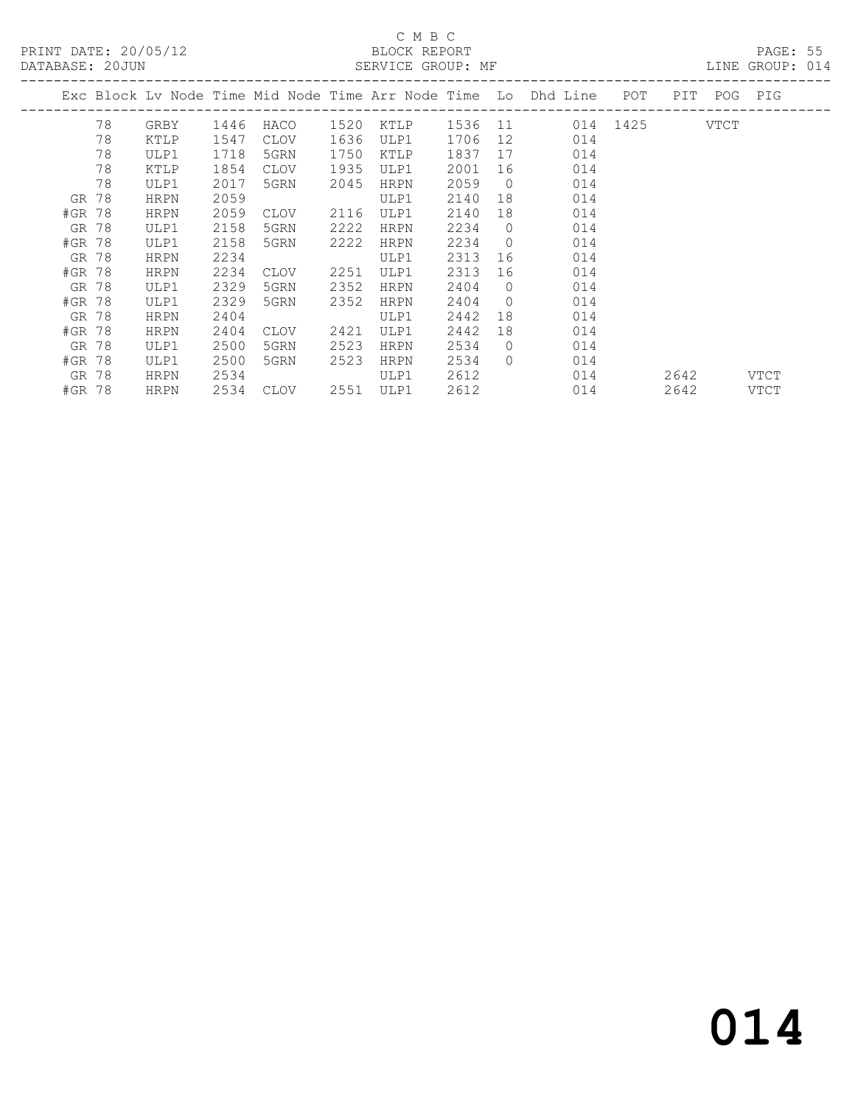PRINT DATE: 20/05/12 BLOCK REPORT<br>DATABASE: 20JUN SERVICE GROUP: MF

#### C M B C<br>BLOCK REPORT

PAGE: 55<br>LINE GROUP: 014

|        |       |             |      |      |      |             |         |                | Exc Block Lv Node Time Mid Node Time Arr Node Time Lo Dhd Line | POT      | PIT  |      | POG PIG     |
|--------|-------|-------------|------|------|------|-------------|---------|----------------|----------------------------------------------------------------|----------|------|------|-------------|
|        | 78    | GRBY        | 1446 | HACO | 1520 | KTLP        | 1536 11 |                |                                                                | 014 1425 |      | VTCT |             |
|        | 78    | KTLP        | 1547 | CLOV | 1636 | ULP1        | 1706    | 12             | 014                                                            |          |      |      |             |
|        | 78    | ULP1        | 1718 | 5GRN | 1750 | KTLP        | 1837    | 17             | 014                                                            |          |      |      |             |
|        | 78    | KTLP        | 1854 | CLOV | 1935 | ULP1        | 2001    | 16             | 014                                                            |          |      |      |             |
|        | 78    | ULP1        | 2017 | 5GRN | 2045 | HRPN        | 2059    | $\overline{0}$ | 014                                                            |          |      |      |             |
|        | GR 78 | HRPN        | 2059 |      |      | ULP1        | 2140    | 18             | 014                                                            |          |      |      |             |
| #GR 78 |       | <b>HRPN</b> | 2059 | CLOV | 2116 | ULP1        | 2140    | 18             | 014                                                            |          |      |      |             |
|        | GR 78 | ULP1        | 2158 | 5GRN | 2222 | HRPN        | 2234    | $\Omega$       | 014                                                            |          |      |      |             |
| #GR 78 |       | ULP1        | 2158 | 5GRN | 2222 | <b>HRPN</b> | 2234    | $\circ$        | 014                                                            |          |      |      |             |
| GR 78  |       | <b>HRPN</b> | 2234 |      |      | ULP1        | 2313    | 16             | 014                                                            |          |      |      |             |
| #GR 78 |       | <b>HRPN</b> | 2234 | CLOV | 2251 | ULP1        | 2313    | 16             | 014                                                            |          |      |      |             |
| GR 78  |       | ULP1        | 2329 | 5GRN | 2352 | <b>HRPN</b> | 2404    | $\Omega$       | 014                                                            |          |      |      |             |
| #GR 78 |       | ULP1        | 2329 | 5GRN | 2352 | HRPN        | 2404    | $\circ$        | 014                                                            |          |      |      |             |
| GR 78  |       | <b>HRPN</b> | 2404 |      |      | ULP1        | 2442    | 18             | 014                                                            |          |      |      |             |
| #GR 78 |       | <b>HRPN</b> | 2404 | CLOV | 2421 | ULP1        | 2442    | 18             | 014                                                            |          |      |      |             |
| GR 78  |       | ULP1        | 2500 | 5GRN | 2523 | HRPN        | 2534    | $\Omega$       | 014                                                            |          |      |      |             |
| #GR 78 |       | ULP1        | 2500 | 5GRN | 2523 | HRPN        | 2534    | $\Omega$       | 014                                                            |          |      |      |             |
| GR 78  |       | <b>HRPN</b> | 2534 |      |      | ULP1        | 2612    |                | 014                                                            |          | 2642 |      | VTCT        |
| #GR 78 |       | <b>HRPN</b> | 2534 | CLOV | 2551 | ULP1        | 2612    |                | 014                                                            |          | 2642 |      | <b>VTCT</b> |
|        |       |             |      |      |      |             |         |                |                                                                |          |      |      |             |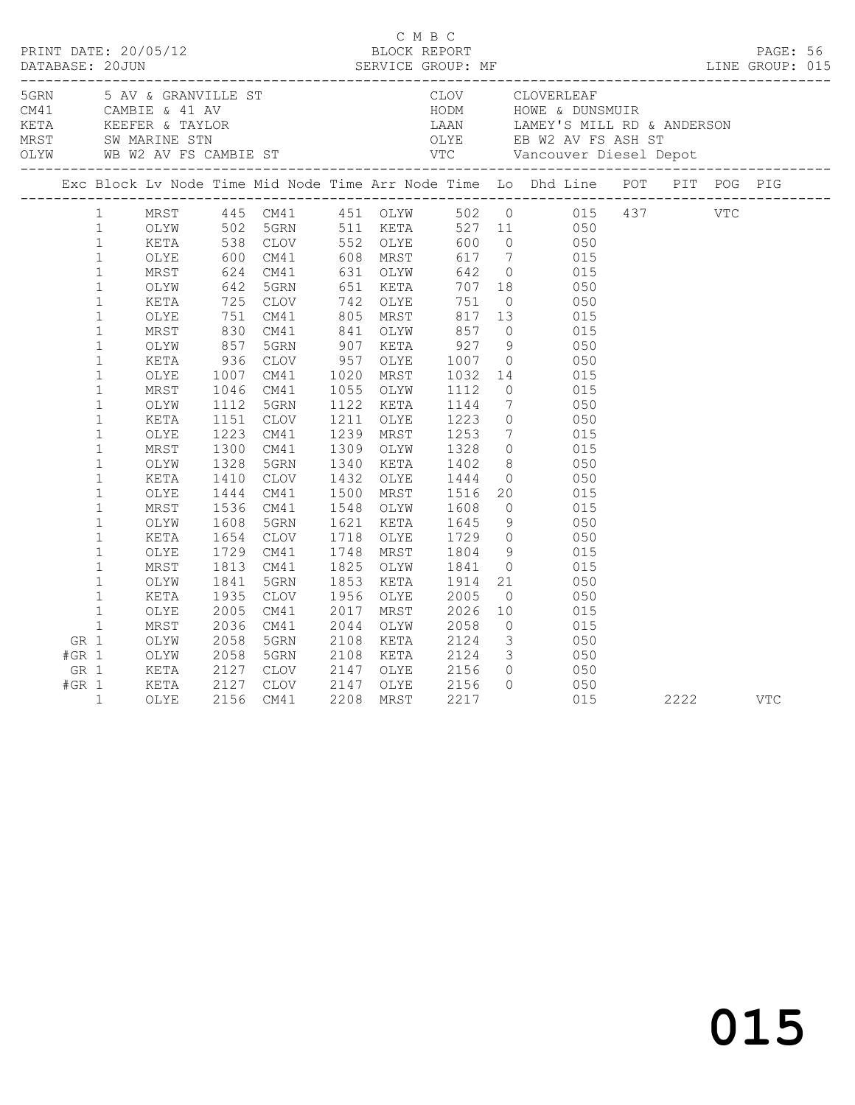|                                    |                                                                                                                                                                                                                                                                                                                                                                                                                             |                                                                                                                                                                                                              |                                                                                                                                                                                                            |                                                                                                                                                                                                              |                                              |                                                                                                                                                                                                                                                                                                          |                                                                                                                                                          |                 | Exc Block Lv Node Time Mid Node Time Arr Node Time Lo Dhd Line POT PIT POG PIG                                                                                                                                                                                                                                                                                                                                                                                                                                                                                                                                                   |      |            |            |  |
|------------------------------------|-----------------------------------------------------------------------------------------------------------------------------------------------------------------------------------------------------------------------------------------------------------------------------------------------------------------------------------------------------------------------------------------------------------------------------|--------------------------------------------------------------------------------------------------------------------------------------------------------------------------------------------------------------|------------------------------------------------------------------------------------------------------------------------------------------------------------------------------------------------------------|--------------------------------------------------------------------------------------------------------------------------------------------------------------------------------------------------------------|----------------------------------------------|----------------------------------------------------------------------------------------------------------------------------------------------------------------------------------------------------------------------------------------------------------------------------------------------------------|----------------------------------------------------------------------------------------------------------------------------------------------------------|-----------------|----------------------------------------------------------------------------------------------------------------------------------------------------------------------------------------------------------------------------------------------------------------------------------------------------------------------------------------------------------------------------------------------------------------------------------------------------------------------------------------------------------------------------------------------------------------------------------------------------------------------------------|------|------------|------------|--|
|                                    | $\mathbf{1}$<br>$\mathbf{1}$<br>$\mathbf{1}$<br>$\mathbf{1}$<br>$\mathbf{1}$<br>$\mathbf{1}$<br>$\mathbf{1}$<br>$\mathbf{1}$<br>$\mathbf{1}$<br>$\mathbf{1}$<br>$\mathbf{1}$<br>$\mathbf{1}$<br>$\mathbf 1$<br>$\mathbf{1}$<br>$\mathbf{1}$<br>$\mathbf{1}$<br>$\mathbf{1}$<br>$\mathbf{1}$<br>$\mathbf{1}$<br>$\mathbf{1}$<br>$\mathbf{1}$<br>$\mathbf{1}$<br>$\mathbf{1}$<br>$\mathbf{1}$<br>$\mathbf{1}$<br>$\mathbf{1}$ | OLYE<br>MRST<br>OLYW<br>KETA<br>OLYE<br>MRST<br>OLYW<br>KETA<br>OLYE<br>MRST<br>OLYW<br>KETA<br>OLYE<br>MRST<br>OLYW<br>KETA<br>OLYE<br>MRST<br>OLYW<br>KETA<br>OLYE<br>MRST<br>OLYW<br>KETA<br>OLYE<br>MRST | $600$<br>$624$<br>$642$<br>725<br>751<br>830<br>857<br>936<br>1007<br>1046<br>1112<br>1151<br>1223<br>1300<br>1328<br>1410<br>1444<br>1536<br>1608<br>1654<br>1729<br>1813<br>1841<br>1935<br>2005<br>2036 | CM41<br>CM41<br>5GRN<br>CLOV<br>CM41<br>CM41<br>5GRN<br>CLOV<br>CM41<br>CM41<br>5GRN<br>CLOV<br>CM41<br>CM41<br>5GRN<br>CLOV<br>CM41<br>CM41<br>5GRN<br>CLOV<br>CM41<br>CM41<br>5GRN<br>CLOV<br>CM41<br>CM41 | 1020<br>1211<br>1718<br>1825<br>2017<br>2044 | 608 MRST<br>631 OLYW<br>651 KETA<br>742 OLYE<br>805 MRST<br>841 OLYW<br>907 KETA<br>957 OLYE<br>MRST<br>1055 OLYW<br>1122 KETA<br>OLYE<br>1239 MRST<br>1309 OLYW<br>1340 KETA<br>1432 OLYE<br>1500 MRST<br>1548 OLYW<br>1621 KETA<br>OLYE<br>1748 MRST<br>OLYW<br>1853 KETA<br>1956 OLYE<br>MRST<br>OLYW | 857<br>$927$<br>1007<br>1032<br>1112<br>1144<br>$1223$<br>$1253$<br>1328<br>1402<br>1444<br>1516<br>1608<br>1645<br>1841<br>1914<br>2005<br>2026<br>2058 | 751 0<br>817 13 | 1 MRST 445 CM41 451 OLYW 502 0 015 437<br>1 OLYW 502 5GRN 511 KETA 527 11 050<br>1 KETA 538 CLOV 552 OLYE 600 0 050<br>617 7 015<br>642 0 015<br>707 18 050<br>050<br>015<br>$0$ 015<br>9 050<br>0 050<br>$\begin{array}{ccc} 14 & \quad & 015 \\ 0 & \quad & 015 \end{array}$<br>7 050<br>$\begin{array}{ccc} 0 & \quad & 050 \\ 7 & \quad & 015 \end{array}$<br>$0$ 015<br>8 050<br>0 050<br>$\begin{array}{ccc} 20 & \quad & 015 \\ 0 & \quad & 015 \end{array}$<br>$9$ 050<br>1729 0 050<br>1804 9 015<br>$0$ 015<br>21<br>050<br>$\overline{0}$ 050<br>$\begin{array}{ccc} 10 & \quad & 015 \\ 0 & \quad & 015 \end{array}$ |      | <b>VTC</b> |            |  |
| GR 1<br>$#GR$ 1<br>GR 1<br>$#GR$ 1 | $\mathbf{1}$                                                                                                                                                                                                                                                                                                                                                                                                                | OLYW<br>OLYW<br>KETA<br>KETA<br>OLYE                                                                                                                                                                         | 2058<br>2058<br>2127<br>2127<br>2156                                                                                                                                                                       | 5GRN<br>5GRN<br>CLOV<br>CLOV<br>CM41                                                                                                                                                                         | 2108<br>2147<br>2208                         | KETA<br>2108 KETA<br>2147 OLYE 2156<br>OLYE<br>MRST                                                                                                                                                                                                                                                      | 2124<br>2124<br>2156<br>2217                                                                                                                             |                 | $3 \t 050$<br>$\begin{array}{ccc} 3 & \hspace{1.5mm} 050 \\ 0 & \hspace{1.5mm} 0 \end{array}$<br>$0\qquad \qquad 050$<br>015                                                                                                                                                                                                                                                                                                                                                                                                                                                                                                     | 2222 |            | <b>VTC</b> |  |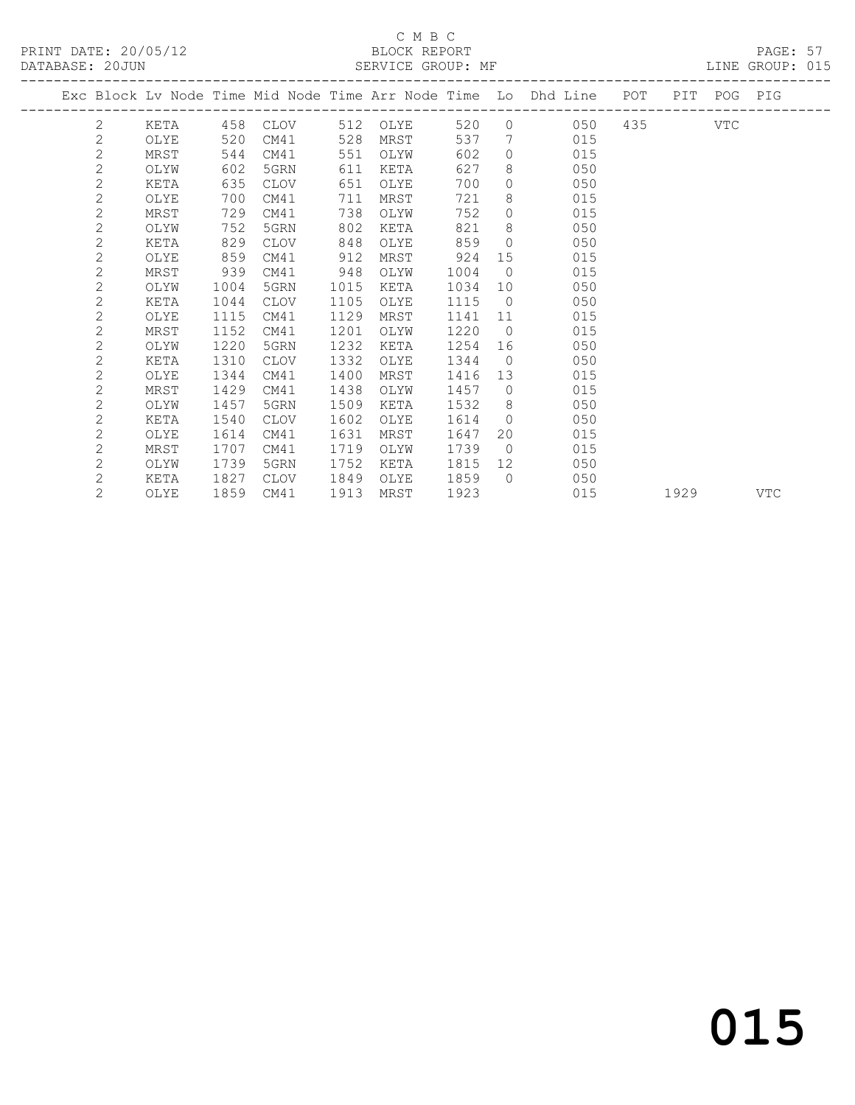#### C M B C<br>BLOCK REPORT

PRINT DATE: 20/05/12 BLOCK REPORT BATABASE: 20JUN

PAGE: 57<br>LINE GROUP: 015

|  |                       |      |      |             |      |          |      |                 | Exc Block Lv Node Time Mid Node Time Arr Node Time Lo Dhd Line POT |             |      | PIT POG PIG |            |
|--|-----------------------|------|------|-------------|------|----------|------|-----------------|--------------------------------------------------------------------|-------------|------|-------------|------------|
|  | $\mathbf{2}^{\prime}$ | KETA |      | 458 CLOV    |      | 512 OLYE | 520  |                 | $\Omega$                                                           | 050 435 VTC |      |             |            |
|  | $\mathbf{2}$          | OLYE | 520  | CM41        | 528  | MRST     | 537  | 7               | 015                                                                |             |      |             |            |
|  | $\overline{2}$        | MRST | 544  | CM41        | 551  | OLYW     | 602  | $\Omega$        | 015                                                                |             |      |             |            |
|  | $\mathbf{2}$          | OLYW | 602  | 5GRN        | 611  | KETA     | 627  | 8               | 050                                                                |             |      |             |            |
|  | $\mathbf{2}$          | KETA | 635  | CLOV        | 651  | OLYE     | 700  | $\circ$         | 050                                                                |             |      |             |            |
|  | $\mathbf{2}$          | OLYE | 700  | CM41        | 711  | MRST     | 721  | 8               | 015                                                                |             |      |             |            |
|  | $\overline{c}$        | MRST | 729  | CM41        | 738  | OLYW     | 752  | $\circ$         | 015                                                                |             |      |             |            |
|  | $\mathbf{2}$          | OLYW | 752  | 5GRN        | 802  | KETA     | 821  | 8               | 050                                                                |             |      |             |            |
|  | $\mathbf{2}$          | KETA | 829  | <b>CLOV</b> | 848  | OLYE     | 859  | $\bigcirc$      | 050                                                                |             |      |             |            |
|  | $\mathbf{2}$          | OLYE | 859  | CM41        | 912  | MRST     | 924  | 15              | 015                                                                |             |      |             |            |
|  | $\overline{2}$        | MRST | 939  | CM41        | 948  | OLYW     | 1004 | $\bigcirc$      | 015                                                                |             |      |             |            |
|  | $\mathbf{2}$          | OLYW | 1004 | 5GRN        | 1015 | KETA     | 1034 | 10              | 050                                                                |             |      |             |            |
|  | $\mathbf{2}$          | KETA | 1044 | CLOV        | 1105 | OLYE     | 1115 | $\bigcirc$      | 050                                                                |             |      |             |            |
|  | $\overline{c}$        | OLYE | 1115 | CM41        | 1129 | MRST     | 1141 | 11              | 015                                                                |             |      |             |            |
|  | $\mathbf{2}$          | MRST | 1152 | CM41        | 1201 | OLYW     | 1220 | $\overline{0}$  | 015                                                                |             |      |             |            |
|  | $\mathbf{2}$          | OLYW | 1220 | 5GRN        | 1232 | KETA     | 1254 | 16              | 050                                                                |             |      |             |            |
|  | $\overline{c}$        | KETA | 1310 | <b>CLOV</b> | 1332 | OLYE     | 1344 | $\bigcirc$      | 050                                                                |             |      |             |            |
|  | $\overline{c}$        | OLYE | 1344 | CM41        | 1400 | MRST     | 1416 | 13              | 015                                                                |             |      |             |            |
|  | $\mathbf{2}$          | MRST | 1429 | CM41        | 1438 | OLYW     | 1457 | $\overline{0}$  | 015                                                                |             |      |             |            |
|  | $\mathbf{2}$          | OLYW | 1457 | 5GRN        | 1509 | KETA     | 1532 | 8 <sup>8</sup>  | 050                                                                |             |      |             |            |
|  | $\mathbf{2}$          | KETA | 1540 | CLOV        | 1602 | OLYE     | 1614 | $\overline{0}$  | 050                                                                |             |      |             |            |
|  | $\mathbf{2}$          | OLYE | 1614 | CM41        | 1631 | MRST     | 1647 | 20              | 015                                                                |             |      |             |            |
|  | $\mathbf{2}$          | MRST | 1707 | CM41        | 1719 | OLYW     | 1739 | $\overline{0}$  | 015                                                                |             |      |             |            |
|  | $\mathbf{2}$          | OLYW | 1739 | 5GRN        | 1752 | KETA     | 1815 | 12 <sup>7</sup> | 050                                                                |             |      |             |            |
|  | $\mathbf{2}$          | KETA | 1827 | CLOV        | 1849 | OLYE     | 1859 | $\bigcirc$      | 050                                                                |             |      |             |            |
|  | $\overline{2}$        | OLYE | 1859 | CM41        | 1913 | MRST     | 1923 |                 | 015                                                                |             | 1929 |             | <b>VTC</b> |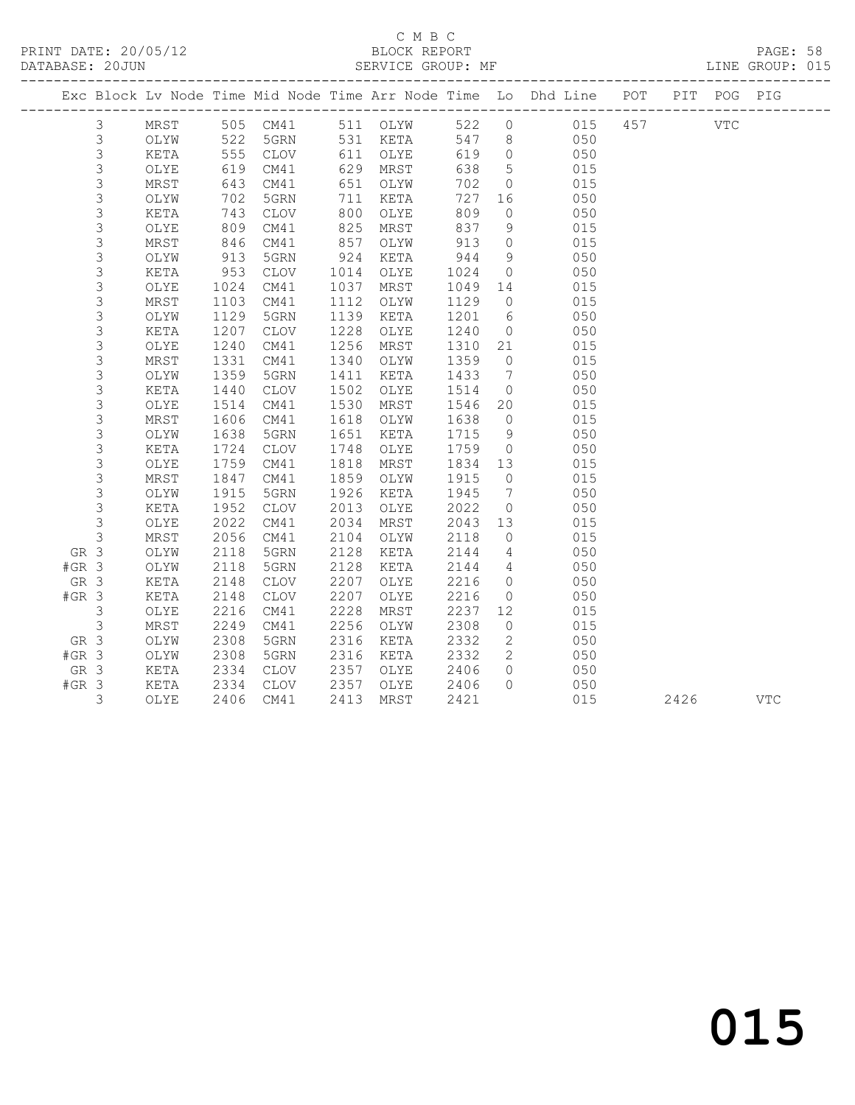#### C M B C<br>BLOCK REPORT

PAGE: 58<br>LINE GROUP: 015

|         |                |      |            |             |      |          |      |                 | Exc Block Lv Node Time Mid Node Time Arr Node Time Lo Dhd Line POT |     |      | PIT POG PIG |            |
|---------|----------------|------|------------|-------------|------|----------|------|-----------------|--------------------------------------------------------------------|-----|------|-------------|------------|
|         | $\mathfrak{Z}$ | MRST |            | 505 CM41    |      | 511 OLYW | 522  |                 | $0$ 015                                                            | 457 |      | <b>VTC</b>  |            |
|         | $\mathfrak{Z}$ | OLYW |            | 5GRN        |      | 531 KETA |      | 547 8           | 050                                                                |     |      |             |            |
|         | $\mathsf 3$    | KETA | 522<br>555 | CLOV        |      | 611 OLYE | 619  | $\overline{0}$  | 050                                                                |     |      |             |            |
|         | 3              | OLYE | 619        | CM41        | 629  | MRST     | 638  | $5\overline{)}$ | 015                                                                |     |      |             |            |
|         | 3              | MRST | 643        | CM41        | 651  | OLYW     | 702  | $\overline{0}$  | 015                                                                |     |      |             |            |
|         | 3              | OLYW | 702        | 5GRN        | 711  | KETA     | 727  | 16              | 050                                                                |     |      |             |            |
|         | $\mathsf S$    | KETA | 743        | <b>CLOV</b> | 800  | OLYE     | 809  | $\circ$         | 050                                                                |     |      |             |            |
|         | $\mathsf S$    | OLYE | 809        | CM41        | 825  | MRST     | 837  | 9               | 015                                                                |     |      |             |            |
|         | 3              | MRST | 846        | CM41        | 857  | OLYW     | 913  | $\overline{0}$  | 015                                                                |     |      |             |            |
|         | $\mathsf S$    | OLYW | 913        | 5GRN        | 924  | KETA     | 944  | 9               | 050                                                                |     |      |             |            |
|         | 3              | KETA | 953        | CLOV        | 1014 | OLYE     | 1024 | $\overline{0}$  | 050                                                                |     |      |             |            |
|         | 3              | OLYE | 1024       | CM41        | 1037 | MRST     | 1049 | 14              | 015                                                                |     |      |             |            |
|         | 3              | MRST | 1103       | CM41        | 1112 | OLYW     | 1129 | $\overline{0}$  | 015                                                                |     |      |             |            |
|         | 3              | OLYW | 1129       | 5GRN        | 1139 | KETA     | 1201 | $6\overline{6}$ | 050                                                                |     |      |             |            |
|         | 3              | KETA | 1207       | CLOV        | 1228 | OLYE     | 1240 | $\overline{0}$  | 050                                                                |     |      |             |            |
|         | 3              | OLYE | 1240       | CM41        | 1256 | MRST     | 1310 | 21              | 015                                                                |     |      |             |            |
|         | 3              | MRST | 1331       | CM41        | 1340 | OLYW     | 1359 | $\overline{0}$  | 015                                                                |     |      |             |            |
|         | 3              | OLYW | 1359       | 5GRN        | 1411 | KETA     | 1433 | $\overline{7}$  | 050                                                                |     |      |             |            |
|         | 3              | KETA | 1440       | CLOV        | 1502 | OLYE     | 1514 | $\overline{0}$  | 050                                                                |     |      |             |            |
|         | 3              | OLYE | 1514       | CM41        | 1530 | MRST     | 1546 | 20              | 015                                                                |     |      |             |            |
|         | $\mathsf S$    | MRST | 1606       | CM41        | 1618 | OLYW     | 1638 | $\overline{0}$  | 015                                                                |     |      |             |            |
|         | 3              | OLYW | 1638       | 5GRN        | 1651 | KETA     | 1715 | 9               | 050                                                                |     |      |             |            |
|         | $\mathsf S$    | KETA | 1724       | CLOV        | 1748 | OLYE     | 1759 | $\overline{0}$  | 050                                                                |     |      |             |            |
|         | 3              | OLYE | 1759       | CM41        | 1818 | MRST     | 1834 | 13              | 015                                                                |     |      |             |            |
|         | 3              | MRST | 1847       | CM41        | 1859 | OLYW     | 1915 | $\overline{0}$  | 015                                                                |     |      |             |            |
|         | 3              | OLYW | 1915       | 5GRN        | 1926 | KETA     | 1945 | $\overline{7}$  | 050                                                                |     |      |             |            |
|         | $\mathfrak{Z}$ | KETA | 1952       | <b>CLOV</b> | 2013 | OLYE     | 2022 | $\overline{0}$  | 050                                                                |     |      |             |            |
|         | $\mathfrak{Z}$ | OLYE | 2022       | CM41        | 2034 | MRST     | 2043 | 13              | 015                                                                |     |      |             |            |
|         | $\mathfrak{Z}$ | MRST | 2056       | CM41        | 2104 | OLYW     | 2118 | $\overline{0}$  | 015                                                                |     |      |             |            |
| GR 3    |                | OLYW | 2118       | 5GRN        | 2128 | KETA     | 2144 | $\overline{4}$  | 050                                                                |     |      |             |            |
| $#GR$ 3 |                | OLYW | 2118       | 5GRN        | 2128 | KETA     | 2144 | $\overline{4}$  | 050                                                                |     |      |             |            |
| GR 3    |                | KETA | 2148       | CLOV        | 2207 | OLYE     | 2216 | $\overline{0}$  | 050                                                                |     |      |             |            |
| $#GR$ 3 |                | KETA | 2148       | <b>CLOV</b> | 2207 | OLYE     | 2216 | $\overline{0}$  | 050                                                                |     |      |             |            |
|         | 3              | OLYE | 2216       | CM41        | 2228 | MRST     | 2237 | 12              | 015                                                                |     |      |             |            |
|         | 3              | MRST | 2249       | CM41        | 2256 | OLYW     | 2308 | $\circ$         | 015                                                                |     |      |             |            |
| GR 3    |                | OLYW | 2308       | 5GRN        | 2316 | KETA     | 2332 | 2               | 050                                                                |     |      |             |            |
| $#GR$ 3 |                | OLYW | 2308       | 5GRN        | 2316 | KETA     | 2332 | 2               | 050                                                                |     |      |             |            |
| GR 3    |                | KETA | 2334       | <b>CLOV</b> | 2357 | OLYE     | 2406 | $\Omega$        | 050                                                                |     |      |             |            |
| $#GR$ 3 |                | KETA | 2334       | CLOV        | 2357 | OLYE     | 2406 | $\Omega$        | 050                                                                |     |      |             |            |
|         | 3              | OLYE | 2406       | CM41        | 2413 | MRST     | 2421 |                 | 015                                                                |     | 2426 |             | <b>VTC</b> |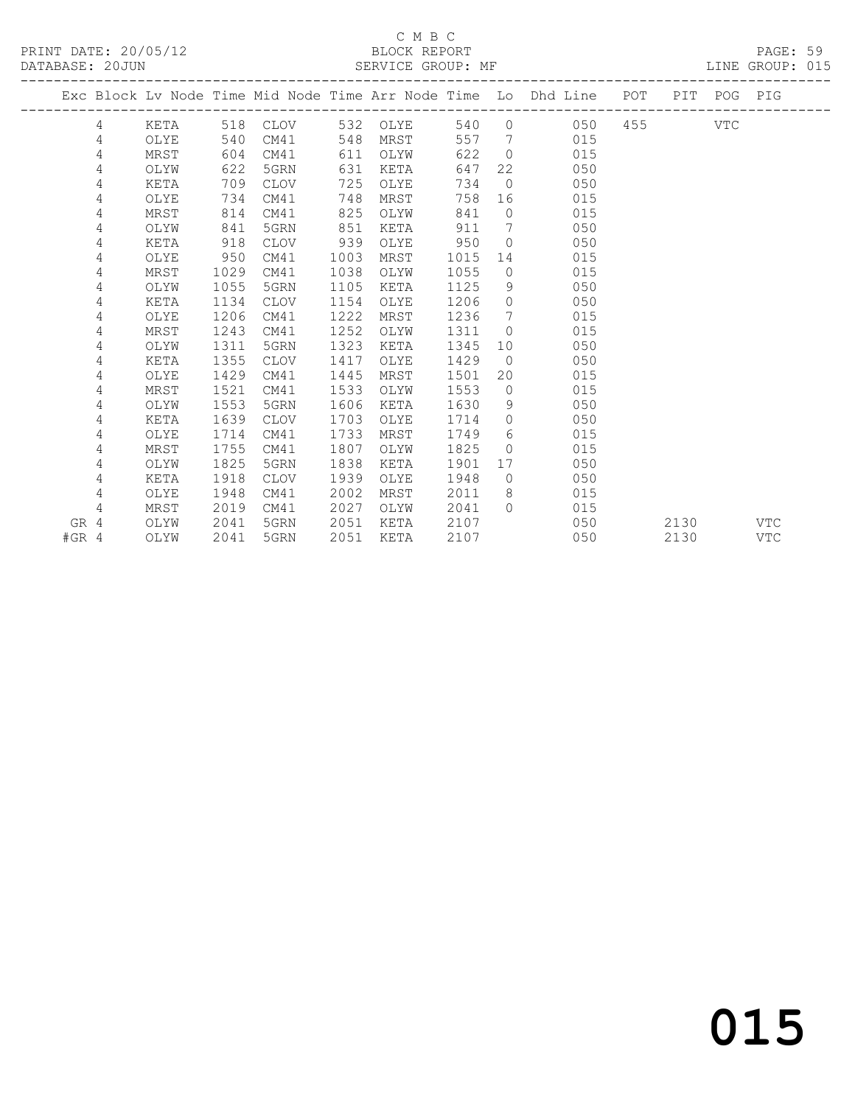#### C M B C<br>BLOCK REPORT SERVICE GROUP: MF

|         |   |      |      |             |      |          |      |                              | Exc Block Lv Node Time Mid Node Time Arr Node Time Lo Dhd Line POT |         |      | PIT POG PIG |     |
|---------|---|------|------|-------------|------|----------|------|------------------------------|--------------------------------------------------------------------|---------|------|-------------|-----|
|         | 4 | KETA | 518  | CLOV        |      | 532 OLYE | 540  |                              | $\overline{0}$<br>050                                              | 455 VTC |      |             |     |
|         | 4 | OLYE | 540  | CM41        | 548  | MRST     | 557  | $7\phantom{0}$               | 015                                                                |         |      |             |     |
|         | 4 | MRST | 604  | CM41        | 611  | OLYW     | 622  | $\overline{0}$               | 015                                                                |         |      |             |     |
|         | 4 | OLYW | 622  | 5GRN        | 631  | KETA     | 647  |                              | 22<br>050                                                          |         |      |             |     |
|         | 4 | KETA | 709  | CLOV        | 725  | OLYE     | 734  | $\overline{0}$               | 050                                                                |         |      |             |     |
|         | 4 | OLYE | 734  | CM41        | 748  | MRST     | 758  | 16                           | 015                                                                |         |      |             |     |
|         | 4 | MRST | 814  | CM41        | 825  | OLYW     | 841  | $\circ$                      | 015                                                                |         |      |             |     |
|         | 4 | OLYW | 841  | 5GRN        | 851  | KETA     | 911  | $7\phantom{.0}\phantom{.0}7$ | 050                                                                |         |      |             |     |
|         | 4 | KETA | 918  | <b>CLOV</b> | 939  | OLYE     | 950  | $\Omega$                     | 050                                                                |         |      |             |     |
|         | 4 | OLYE | 950  | CM41        | 1003 | MRST     | 1015 | 14                           | 015                                                                |         |      |             |     |
|         | 4 | MRST | 1029 | CM41        | 1038 | OLYW     | 1055 | $\overline{0}$               | 015                                                                |         |      |             |     |
|         | 4 | OLYW | 1055 | 5GRN        | 1105 | KETA     | 1125 | 9                            | 050                                                                |         |      |             |     |
|         | 4 | KETA | 1134 | CLOV        | 1154 | OLYE     | 1206 | $\overline{0}$               | 050                                                                |         |      |             |     |
|         | 4 | OLYE | 1206 | CM41        | 1222 | MRST     | 1236 | $7\phantom{.0}\,$            | 015                                                                |         |      |             |     |
|         | 4 | MRST | 1243 | CM41        | 1252 | OLYW     | 1311 | $\overline{0}$               | 015                                                                |         |      |             |     |
|         | 4 | OLYW | 1311 | 5GRN        | 1323 | KETA     | 1345 |                              | 050<br>10                                                          |         |      |             |     |
|         | 4 | KETA | 1355 | CLOV        | 1417 | OLYE     | 1429 |                              | 050<br>$\overline{0}$                                              |         |      |             |     |
|         | 4 | OLYE | 1429 | CM41        | 1445 | MRST     | 1501 | 20                           | 015                                                                |         |      |             |     |
|         | 4 | MRST | 1521 | CM41        | 1533 | OLYW     | 1553 | $\overline{0}$               | 015                                                                |         |      |             |     |
|         | 4 | OLYW | 1553 | 5GRN        | 1606 | KETA     | 1630 | - 9                          | 050                                                                |         |      |             |     |
|         | 4 | KETA | 1639 | CLOV        | 1703 | OLYE     | 1714 | $\overline{0}$               | 050                                                                |         |      |             |     |
|         | 4 | OLYE | 1714 | CM41        | 1733 | MRST     | 1749 | 6                            | 015                                                                |         |      |             |     |
|         | 4 | MRST | 1755 | CM41        | 1807 | OLYW     | 1825 | $\Omega$                     | 015                                                                |         |      |             |     |
|         | 4 | OLYW | 1825 | 5GRN        | 1838 | KETA     | 1901 | 17                           | 050                                                                |         |      |             |     |
|         | 4 | KETA | 1918 | CLOV        | 1939 | OLYE     | 1948 | $\overline{0}$               | 050                                                                |         |      |             |     |
|         | 4 | OLYE | 1948 | CM41        | 2002 | MRST     | 2011 | 8                            | 015                                                                |         |      |             |     |
|         | 4 | MRST | 2019 | CM41        | 2027 | OLYW     | 2041 | $\bigcap$                    | 015                                                                |         |      |             |     |
| GR 4    |   | OLYW | 2041 | 5GRN        | 2051 | KETA     | 2107 |                              | 050                                                                |         | 2130 |             | VTC |
| $#GR$ 4 |   | OLYW | 2041 | 5GRN        | 2051 | KETA     | 2107 |                              | 050                                                                |         | 2130 |             | VTC |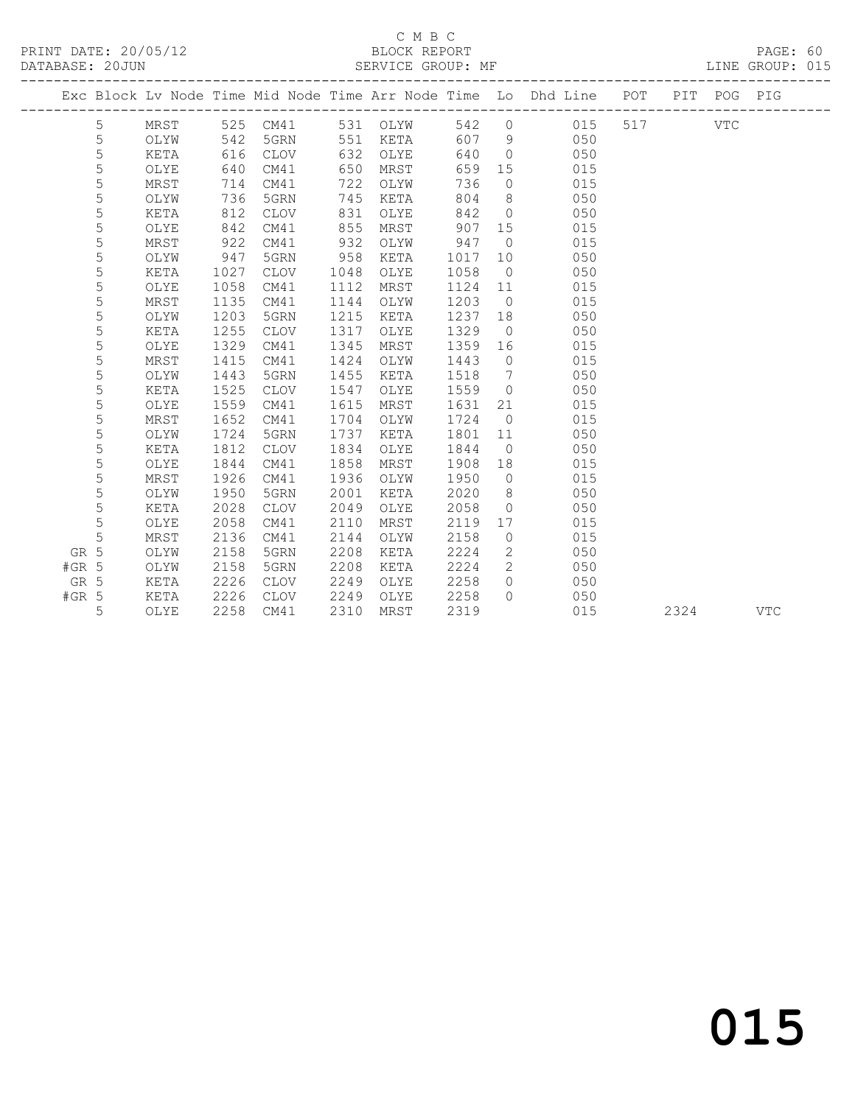#### C M B C<br>BLOCK REPORT

| DATABASE: 20JUN |      |          | SERVICE GROUP: MF |       |                                                                                |  |      | LINE GROUP: 015 |  |
|-----------------|------|----------|-------------------|-------|--------------------------------------------------------------------------------|--|------|-----------------|--|
|                 |      |          |                   |       | Exc Block Ly Node Time Mid Node Time Arr Node Time Lo Dhd Line POT PIT POG PIG |  |      |                 |  |
|                 | MRST | 525 CM41 | 531 OLYW          | 542 0 | 015 517                                                                        |  | VTC. |                 |  |
|                 | OLYW | 542 5GRN | 551 KETA          | 607 9 | 050                                                                            |  |      |                 |  |
|                 | KETA | 616 CLOV | 632 OLYE          | 640   | 050                                                                            |  |      |                 |  |

5 MRST 1926 CM41 1936 OLYW 1950 0 015<br>5 OLYW 1950 5GRN 2001 KETA 2020 8 050<br>5 KETA 2028 CLOV 2049 OLYE 2058 0 050<br>5 OLYE 2058 CM41 2110 MRST 2119 17 015<br>5 MRST 2136 CM41 2144 OLYW 2158 0 015

 5 OLYE 2058 CM41 2110 MRST 2119 17 015 5 MRST 2136 CM41 2144 OLYW 2158 0 015 GR 5 OLYW 2158 5GRN 2208 KETA 2224 2 050 #GR 5 OLYW 2158 5GRN 2208 KETA 2224 2 050 GR 5 KETA 2226 CLOV 2249 OLYE 2258 0 050 #GR 5 KETA 2226 CLOV 2249 OLYE 2258 0 050

 5 OLYE 640 CM41 650 MRST 659 15 015 5 MRST 714 CM41 722 OLYW 736 0 015 5 OLYW 736 5GRN 745 KETA 804 8 050 5 KETA 812 CLOV 831 OLYE 842 0 050 5 OLYE 842 CM41 855 MRST 907 15 015 5 MRST 922 CM41 932 OLYW 947 0 015 5 OLYW 947 5GRN 958 KETA 1017 10 050 5 KETA 1027 CLOV 1048 OLYE 1058 0 050 5 OLYE 1058 CM41 1112 MRST 1124 11 015 5 MRST 1135 CM41 1144 OLYW 1203 0 015 5 OLYW 1203 5GRN 1215 KETA 1237 18 050 5 KETA 1255 CLOV 1317 OLYE 1329 0 050 5 OLYE 1329 CM41 1345 MRST 1359 16 015 5 MRST 1415 CM41 1424 OLYW 1443 0 015 5 OLYW 1443 5GRN 1455 KETA 1518 7 050 5 KETA 1525 CLOV 1547 OLYE 1559 0 050 5 OLYE 1559 CM41 1615 MRST 1631 21 015 5 MRST 1652 CM41 1704 OLYW 1724 0 015 5 OLYW 1724 5GRN 1737 KETA 1801 11 050 5 KETA 1812 CLOV 1834 OLYE 1844 0 050 5 OLYE 1844 CM41 1858 MRST 1908 18 015 5 MRST 1926 CM41 1936 OLYW 1950 0 015 5 OLYW 1950 5GRN 2001 KETA 2020 8 050

5 OLYE 2258 CM41 2310 MRST 2319 015 2324 VTC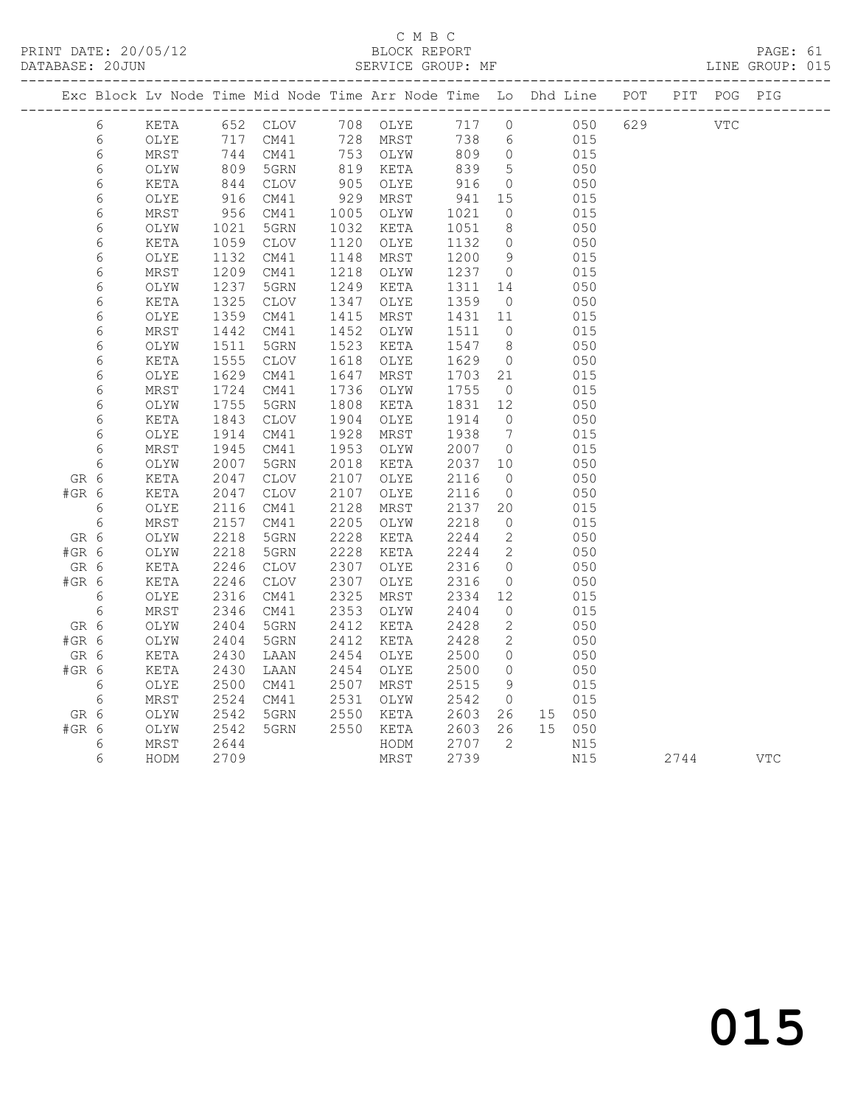PRINT DATE: 20/05/12 BLOCK REPORT<br>DATABASE: 20JUN BATABASE: 2010

#### C M B C<br>BLOCK REPORT

PAGE: 61<br>LINE GROUP: 015

|         |            |      |                  |                 |      | Exc Block Lv Node Time Mid Node Time Arr Node Time Lo Dhd Line POT |            |                 |        |     |                   |      | PIT POG PIG |            |
|---------|------------|------|------------------|-----------------|------|--------------------------------------------------------------------|------------|-----------------|--------|-----|-------------------|------|-------------|------------|
|         | 6          | KETA |                  |                 |      | 652 CLOV 708 OLYE                                                  |            |                 |        |     | 717 0 050 629 VTC |      |             |            |
|         | 6          | OLYE | 717              | CM41            |      | 728 MRST                                                           | 738        | 6               | 015    |     |                   |      |             |            |
|         | 6          | MRST | 744<br>809       | 744 CM41        |      | 753 OLYW<br>819 KETA                                               | 809        | $\overline{0}$  |        | 015 |                   |      |             |            |
|         | $\epsilon$ | OLYW |                  | 5GRN            |      |                                                                    | 839        | $5\overline{)}$ |        | 050 |                   |      |             |            |
|         | 6          | KETA |                  | CLOV            | 905  | OLYE                                                               |            | $\overline{0}$  |        | 050 |                   |      |             |            |
|         | 6          | OLYE | 844<br>916       | CM41            | 929  | MRST                                                               | 916<br>941 | 15              |        | 015 |                   |      |             |            |
|         | 6          | MRST | 956              | CM41            | 1005 | OLYW                                                               | 1021       | $\overline{0}$  |        | 015 |                   |      |             |            |
|         | 6          | OLYW | 1021             | 5GRN            | 1032 | KETA                                                               | 1051       | 8 <sup>8</sup>  |        | 050 |                   |      |             |            |
|         | $\epsilon$ | KETA | 1059             | CLOV            | 1120 | OLYE                                                               | 1132       | $\overline{0}$  |        | 050 |                   |      |             |            |
|         | 6          | OLYE | 1132             | CM41            | 1148 | MRST                                                               | 1200       | 9               |        | 015 |                   |      |             |            |
|         | 6          | MRST | 1209             | CM41            | 1218 | OLYW                                                               | 1237 0     |                 |        | 015 |                   |      |             |            |
|         | 6          | OLYW | 1237             | 5GRN            | 1249 | KETA                                                               | 1311       | 14              |        | 050 |                   |      |             |            |
|         | $\epsilon$ | KETA | 1325             | CLOV            | 1347 | OLYE                                                               | 1359       | $\overline{0}$  |        | 050 |                   |      |             |            |
|         | 6          | OLYE | 1359             | CM41            | 1415 | MRST                                                               | 1431       | 11              |        | 015 |                   |      |             |            |
|         | $\epsilon$ | MRST | 1442             | CM41            | 1452 | OLYW                                                               | 1511       | $\overline{0}$  |        | 015 |                   |      |             |            |
|         | $\epsilon$ | OLYW | 1511             | 5GRN            | 1523 | KETA                                                               | 1547       | 8 <sup>8</sup>  |        | 050 |                   |      |             |            |
|         | 6          | KETA | 1555             | CLOV            | 1618 | OLYE                                                               | 1629       | $\overline{0}$  |        | 050 |                   |      |             |            |
|         | $\epsilon$ | OLYE | 1629             | CM41            | 1647 | MRST                                                               | 1703 21    |                 |        | 015 |                   |      |             |            |
|         | 6          | MRST | 1724             | CM41            | 1736 | OLYW                                                               | 1755       | $\overline{0}$  |        | 015 |                   |      |             |            |
|         | 6          | OLYW | 1755             | 5GRN            | 1808 | KETA                                                               | 1831       | 12              |        | 050 |                   |      |             |            |
|         | $\epsilon$ | KETA | 1843             | CLOV            | 1904 | OLYE                                                               | 1914       | $\overline{0}$  |        | 050 |                   |      |             |            |
|         | 6          | OLYE | 1914             | CM41            | 1928 | MRST                                                               | 1938       | $\overline{7}$  |        | 015 |                   |      |             |            |
|         | 6          | MRST | $15 - 7$<br>1945 | CM41            | 1953 | OLYW                                                               | 2007       | $\overline{0}$  |        | 015 |                   |      |             |            |
|         | 6          | OLYW | 2007             | 5GRN            | 2018 | KETA                                                               | 2037       | 10              |        | 050 |                   |      |             |            |
| GR 6    |            | KETA | 2047             | $\mathtt{CLOV}$ | 2107 | OLYE                                                               | 2116       | $\overline{0}$  |        | 050 |                   |      |             |            |
| #GR 6   |            | KETA | 2047             | CLOV            | 2107 | OLYE                                                               | 2116       | $\overline{0}$  |        | 050 |                   |      |             |            |
|         | 6          | OLYE | 2116             | CM41            | 2128 | MRST                                                               | 2137       | 20              |        | 015 |                   |      |             |            |
|         | 6          | MRST | 2157             | CM41            | 2205 | OLYW                                                               | 2218       | $\overline{0}$  |        | 015 |                   |      |             |            |
| GR 6    |            | OLYW | 2218             | 5GRN            | 2228 | KETA                                                               | 2244       | $\overline{2}$  |        | 050 |                   |      |             |            |
| #GR 6   |            | OLYW | 2218             | 5GRN            | 2228 | KETA                                                               | 2244       | $\overline{2}$  |        | 050 |                   |      |             |            |
| GR 6    |            | KETA | 2246             | $\mathtt{CLOV}$ | 2307 | OLYE                                                               | 2316       | $\overline{0}$  |        | 050 |                   |      |             |            |
| $#GR$ 6 |            | KETA | 2246             | $\mathtt{CLOV}$ | 2307 | OLYE                                                               | 2316       | $\overline{0}$  |        | 050 |                   |      |             |            |
|         | 6          | OLYE | 2316             | CM41            | 2325 | MRST                                                               | 2334       | 12              |        | 015 |                   |      |             |            |
|         | $\epsilon$ | MRST | 2346             | CM41            | 2353 | OLYW                                                               | 2404       | $\overline{0}$  |        | 015 |                   |      |             |            |
| GR 6    |            | OLYW | 2404             | 5GRN            | 2412 | KETA                                                               | 2428       | 2               |        | 050 |                   |      |             |            |
| #GR 6   |            | OLYW | 2404             | 5GRN            | 2412 | KETA                                                               | 2428       | 2               |        | 050 |                   |      |             |            |
| GR 6    |            | KETA | 2430             | LAAN            | 2454 | OLYE                                                               | 2500       | $\overline{0}$  |        | 050 |                   |      |             |            |
| #GR 6   |            | KETA | 2430             | LAAN            | 2454 | OLYE                                                               | 2500       | $\overline{0}$  |        | 050 |                   |      |             |            |
|         | $6\,$      | OLYE | 2500             | CM41            | 2507 | MRST                                                               | 2515       | 9               |        | 015 |                   |      |             |            |
|         | $\sqrt{6}$ | MRST | 2524             | CM41            | 2531 | OLYW                                                               | 2542       | $\overline{0}$  |        | 015 |                   |      |             |            |
| GR 6    |            | OLYW | 2542             | 5GRN            | 2550 | KETA                                                               | 2603       | 26              | 15 050 |     |                   |      |             |            |
| #GR 6   |            | OLYW | 2542             | 5GRN            |      | 2550 KETA                                                          | 2603       | 26              | 15 050 |     |                   |      |             |            |
|         | 6          | MRST | 2644             |                 |      | HODM                                                               | 2707       | $\overline{2}$  |        | N15 |                   |      |             |            |
|         | 6          | HODM | 2709             |                 |      | MRST                                                               | 2739       |                 |        | N15 |                   | 2744 |             | <b>VTC</b> |
|         |            |      |                  |                 |      |                                                                    |            |                 |        |     |                   |      |             |            |

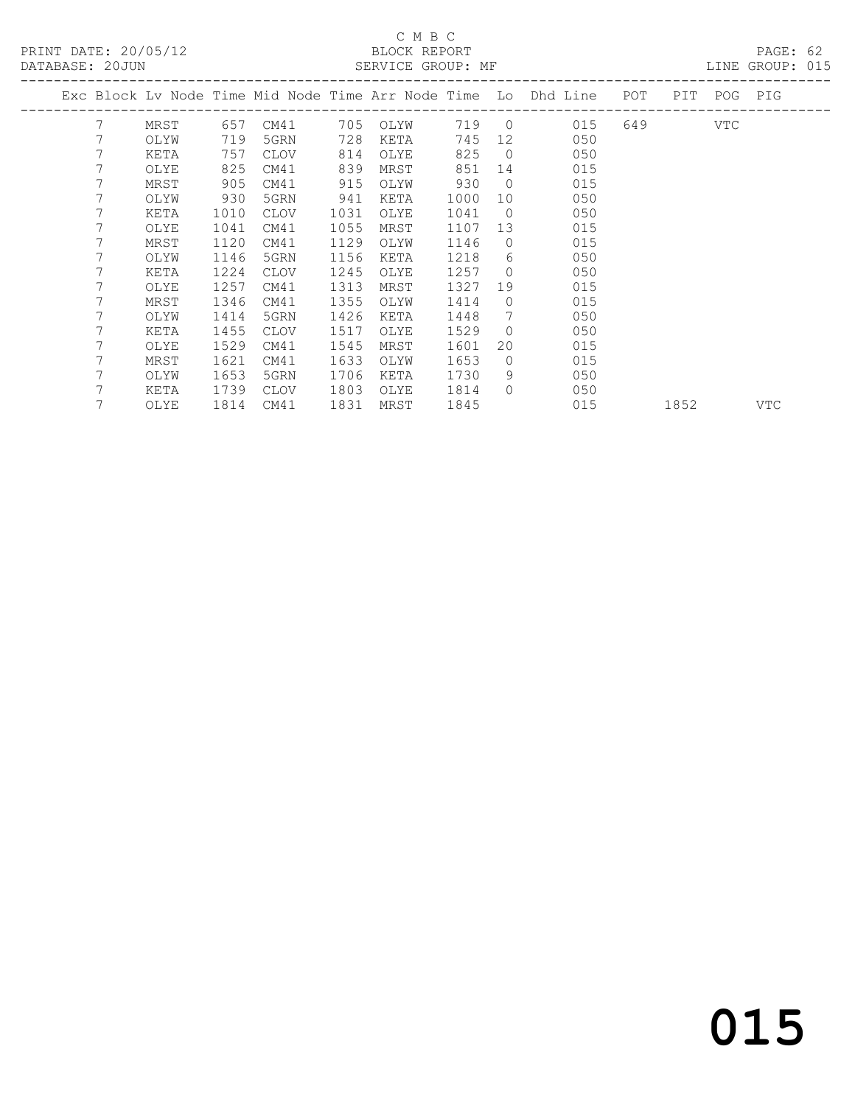PRINT DATE: 20/05/12 BLOCK REPORT BATABASE: 2000 BLOCK REPORT

#### C M B C

PAGE: 62<br>LINE GROUP: 015

|   |      |                 |             |      |      |             |                |                    |       |                                                                       |     | LIND GROOF. UIJ         |
|---|------|-----------------|-------------|------|------|-------------|----------------|--------------------|-------|-----------------------------------------------------------------------|-----|-------------------------|
|   |      |                 |             |      |      |             |                |                    | POT   |                                                                       |     |                         |
| 7 | MRST |                 | CM41        |      | OLYW |             |                |                    |       |                                                                       | VTC |                         |
| 7 | OLYW | 719             | 5GRN        | 728  | KETA | 745         | 12             | 050                |       |                                                                       |     |                         |
| 7 | KETA | 757             | CLOV        | 814  | OLYE | 825         | $\overline{0}$ | 050                |       |                                                                       |     |                         |
|   | OLYE | 825             | CM41        | 839  | MRST | 851         | 14             | 015                |       |                                                                       |     |                         |
| 7 | MRST | 905             | CM41        | 915  | OLYW | 930         | $\Omega$       | 015                |       |                                                                       |     |                         |
|   | OLYW | 930             | 5GRN        | 941  | KETA | 1000        | 10             | 050                |       |                                                                       |     |                         |
|   | KETA | 1010            | <b>CLOV</b> | 1031 | OLYE | 1041        | $\overline{0}$ | 050                |       |                                                                       |     |                         |
| 7 | OLYE | 1041            | CM41        | 1055 | MRST | 1107        | 13             | 015                |       |                                                                       |     |                         |
|   | MRST | 1120            | CM41        | 1129 | OLYW | 1146        | $\Omega$       | 015                |       |                                                                       |     |                         |
| 7 | OLYW | 1146            | 5GRN        | 1156 | KETA | 1218        | 6              | 050                |       |                                                                       |     |                         |
|   | KETA | 1224            | <b>CLOV</b> | 1245 | OLYE | 1257        | $\mathbf 0$    | 050                |       |                                                                       |     |                         |
|   | OLYE | 1257            | CM41        | 1313 | MRST | 1327        | 19             | 015                |       |                                                                       |     |                         |
|   | MRST | 1346            | CM41        | 1355 | OLYW | 1414        | $\mathbf 0$    | 015                |       |                                                                       |     |                         |
| 7 | OLYW | 1414            | 5GRN        | 1426 | KETA | 1448        | 7              | 050                |       |                                                                       |     |                         |
| 7 | KETA | 1455            | <b>CLOV</b> | 1517 | OLYE | 1529        | $\circ$        | 050                |       |                                                                       |     |                         |
| 7 | OLYE | 1529            | CM41        | 1545 | MRST | 1601        | 20             | 015                |       |                                                                       |     |                         |
|   | MRST | 1621            | CM41        | 1633 | OLYW | 1653        | $\Omega$       | 015                |       |                                                                       |     |                         |
|   | OLYW | 1653            | 5GRN        | 1706 | KETA | 1730        | 9              | 050                |       |                                                                       |     |                         |
|   | KETA | 1739            | CLOV        | 1803 | OLYE | 1814        | $\Omega$       | 050                |       |                                                                       |     |                         |
|   | OLYE | 1814            | CM41        |      | MRST | 1845        |                | 015                |       | 1852                                                                  |     | VTC                     |
|   |      | DAIADAOL. ZUUUN |             | 657  |      | 705<br>1831 |                | ULINIUL UNUUL. III | 719 0 | Exc Block Lv Node Time Mid Node Time Arr Node Time Lo Dhd Line<br>015 |     | PIT POG PIG<br>649 — 10 |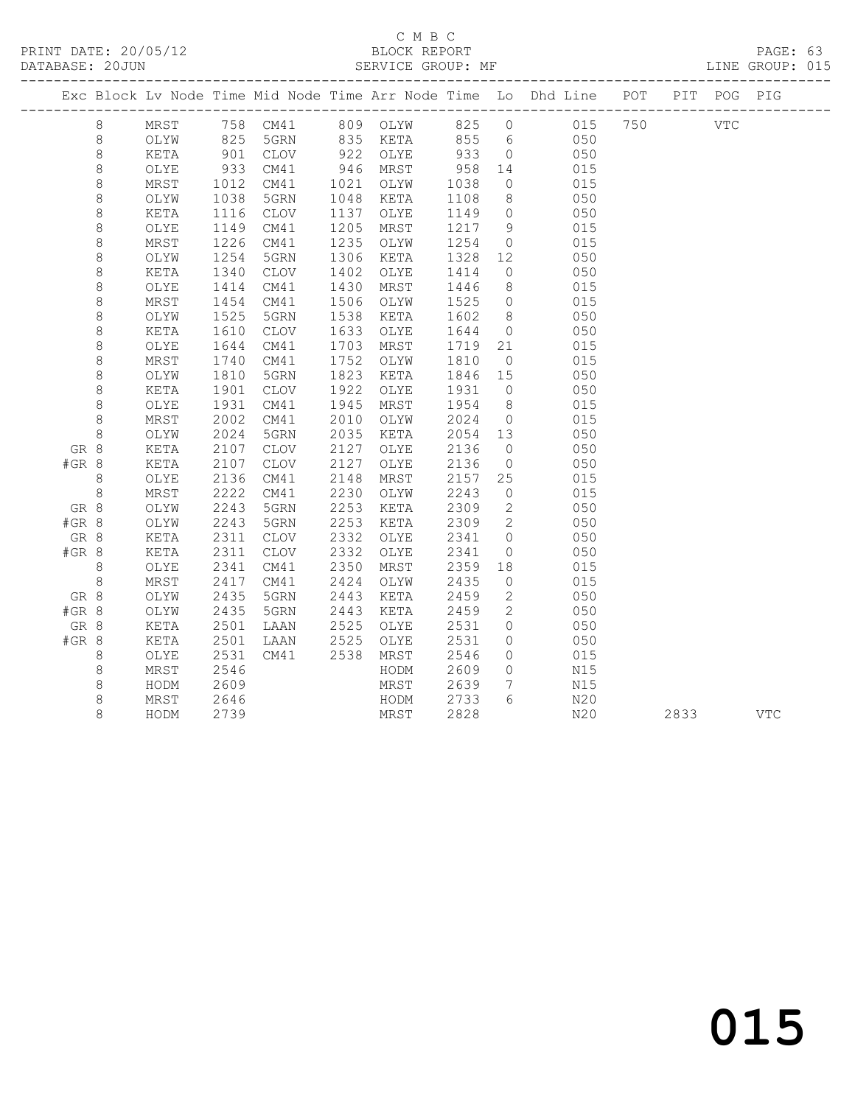#### C M B C<br>BLOCK REPORT

PAGE: 63<br>LINE GROUP: 015

|         |         |      |                |      |      |                      |            |                 | Exc Block Lv Node Time Mid Node Time Arr Node Time Lo Dhd Line POT PIT POG PIG |      |            |
|---------|---------|------|----------------|------|------|----------------------|------------|-----------------|--------------------------------------------------------------------------------|------|------------|
|         | 8       | MRST |                |      |      |                      |            |                 | 758 CM41 809 OLYW 825 0 015 750 VTC                                            |      |            |
|         | 8       | OLYW | 825            |      |      |                      |            |                 | 5GRN 835 KETA 855 6 050                                                        |      |            |
|         | $\,8\,$ | KETA |                | CLOV |      |                      |            | $\overline{0}$  | 050                                                                            |      |            |
|         | $\,8\,$ | OLYE | 901<br>933     | CM41 |      | 922 OLYE<br>946 MRST | 933<br>958 | 14              | 015                                                                            |      |            |
|         | $\,8\,$ | MRST | 1012           | CM41 |      | 1021 OLYW            | 1038       | $\overline{0}$  | 015                                                                            |      |            |
|         | $\,8\,$ | OLYW | 1038           | 5GRN |      | 1048 KETA            | 1108       | 8 <sup>8</sup>  | 050                                                                            |      |            |
|         | $\,8\,$ | KETA | 1116           | CLOV | 1137 | OLYE                 | 1149       | $\overline{0}$  | 050                                                                            |      |            |
|         | 8       | OLYE | 1149           | CM41 | 1205 | MRST                 | 1217       | 9               | 015                                                                            |      |            |
|         | $\,8\,$ | MRST | 1226           | CM41 | 1235 | OLYW                 | 1254       | $\overline{0}$  | 015                                                                            |      |            |
|         | $\,8\,$ | OLYW | 1254           | 5GRN | 1306 | KETA                 | 1328       | 12              | 050                                                                            |      |            |
|         | $\,8\,$ | KETA | 1340           | CLOV | 1402 | OLYE                 | 1414       | $\overline{0}$  | 050                                                                            |      |            |
|         | $\,8\,$ | OLYE | 1414           | CM41 | 1430 | MRST                 | 1446       | 8 <sup>8</sup>  | 015                                                                            |      |            |
|         | $\,8\,$ | MRST | $143.$<br>1525 | CM41 | 1506 | OLYW                 | 1525       | $\overline{0}$  | 015                                                                            |      |            |
|         | $\,8\,$ | OLYW |                | 5GRN | 1538 | KETA                 | 1602       | 8 <sup>8</sup>  | 050                                                                            |      |            |
|         | $\,8\,$ | KETA | 1610           | CLOV | 1633 | OLYE                 | 1644       | $\overline{0}$  | 050                                                                            |      |            |
|         | $\,8\,$ | OLYE | 1644           | CM41 | 1703 | MRST                 | 1719       | 21              | 015                                                                            |      |            |
|         | $\,8\,$ | MRST | 1740           | CM41 | 1752 | OLYW                 | 1810       | $\overline{0}$  | 015                                                                            |      |            |
|         | 8       | OLYW | 1810           | 5GRN | 1823 | KETA                 | 1846       | 15              | 050                                                                            |      |            |
|         | $\,8\,$ | KETA | 1901           | CLOV | 1922 | OLYE                 | 1931       | $\overline{0}$  | 050                                                                            |      |            |
|         | $\,8\,$ | OLYE | 1931           | CM41 | 1945 | MRST                 | 1954       | 8 <sup>8</sup>  | 015                                                                            |      |            |
|         | $\,8\,$ | MRST | 2002           | CM41 | 2010 | OLYW                 | 2024       | $\overline{0}$  | 015                                                                            |      |            |
|         | $\,8\,$ | OLYW | 2024           | 5GRN | 2035 | KETA                 | 2054       | 13              | 050                                                                            |      |            |
| GR 8    |         | KETA | 2107           | CLOV | 2127 | OLYE                 | 2136       | $\overline{0}$  | 050                                                                            |      |            |
| $#GR$ 8 |         | KETA | 2107           | CLOV | 2127 | OLYE                 | 2136       | $\overline{0}$  | 050                                                                            |      |            |
|         | 8       | OLYE | 2136           | CM41 | 2148 | MRST                 | 2157       | 25              | 015                                                                            |      |            |
|         | $\,8\,$ | MRST | 2222           | CM41 | 2230 | OLYW                 | 2243       | $\overline{0}$  | 015                                                                            |      |            |
| GR 8    |         | OLYW | 2243           | 5GRN | 2253 | KETA                 | 2309       | $\overline{2}$  | 050                                                                            |      |            |
| #GR 8   |         | OLYW | 2243           | 5GRN | 2253 | KETA                 | 2309       | $\overline{2}$  | 050                                                                            |      |            |
| GR 8    |         | KETA | 2311           | CLOV | 2332 | OLYE                 | 2341       | $\overline{0}$  | 050                                                                            |      |            |
| #GR 8   |         | KETA | 2311           | CLOV | 2332 | OLYE                 | 2341       | $\overline{0}$  | 050                                                                            |      |            |
|         | $8\,$   | OLYE | 2341           | CM41 | 2350 | MRST                 | 2359       | 18              | 015                                                                            |      |            |
|         | $\,8\,$ | MRST | 2417           | CM41 | 2424 | OLYW                 | 2435       | $\overline{0}$  | 015                                                                            |      |            |
| GR 8    |         | OLYW | 2435           | 5GRN | 2443 | KETA                 | 2459       | $\overline{2}$  | 050                                                                            |      |            |
| #GR 8   |         | OLYW | 2435           | 5GRN | 2443 | KETA                 | 2459       | $\overline{2}$  | 050                                                                            |      |            |
| GR 8    |         | KETA | 2501           | LAAN | 2525 | OLYE                 | 2531       | $\circ$         | 050                                                                            |      |            |
| #GR 8   |         | KETA | 2501           | LAAN | 2525 | OLYE                 | 2531       | $\circ$         | 050                                                                            |      |            |
|         | 8       | OLYE | 2531           | CM41 | 2538 | MRST                 | 2546       | $\circ$         | 015                                                                            |      |            |
|         | $\,8\,$ | MRST | 2546           |      |      | HODM                 | 2609       | $\circ$         | N15                                                                            |      |            |
|         | 8       | HODM | 2609           |      |      | MRST                 | 2639       | $7\overline{ }$ | N15                                                                            |      |            |
|         | $\,8\,$ | MRST | 2646           |      |      | HODM                 | 2733       | 6               | N20                                                                            |      |            |
|         | 8       | HODM | 2739           |      |      | MRST                 | 2828       |                 | N20                                                                            | 2833 | <b>VTC</b> |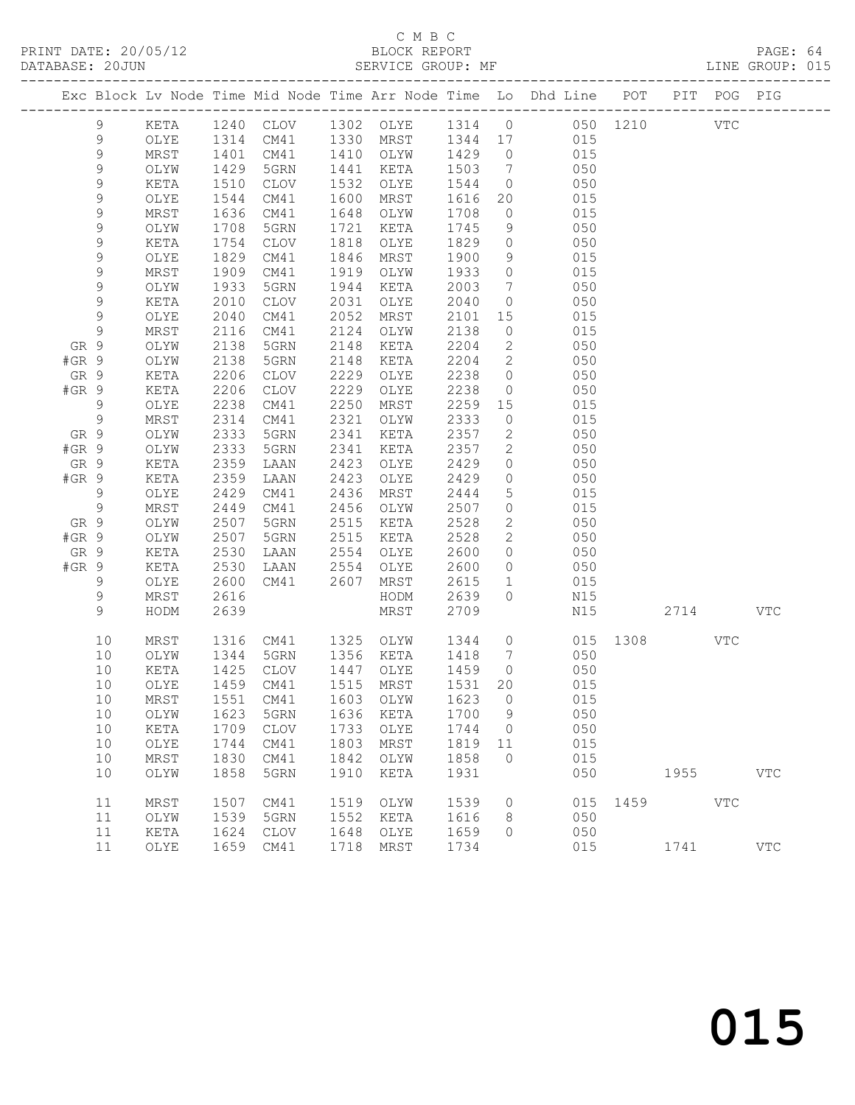### C M B C<br>BLOCK REPORT<br>SERVICE GROUP: MF

|               | DATABASE: 20JUN  |              |                          | SERVICE GROUP: MF      |              |                                                        |              |                                  | LINE GROUP: 015                                                                |              |           |     |            |  |
|---------------|------------------|--------------|--------------------------|------------------------|--------------|--------------------------------------------------------|--------------|----------------------------------|--------------------------------------------------------------------------------|--------------|-----------|-----|------------|--|
|               |                  |              |                          |                        |              |                                                        |              |                                  | Exc Block Lv Node Time Mid Node Time Arr Node Time Lo Dhd Line POT PIT POG PIG |              |           |     |            |  |
|               | 9                | KETA         |                          |                        |              |                                                        |              |                                  | 1240 CLOV 1302 OLYE 1314 0 050 1210 VTC                                        |              |           |     |            |  |
|               | 9                | OLYE         |                          |                        |              |                                                        |              |                                  | 1314 CM41 1330 MRST 1344 17 015                                                |              |           |     |            |  |
|               | $\mathsf 9$      | MRST         | 1401<br>1429<br>1510     | CM41                   |              | 1410 OLYW 1429 0                                       |              |                                  | 015                                                                            |              |           |     |            |  |
|               | 9                | OLYW         |                          | 5GRN                   |              | 1441 KETA                                              | 1503 7       |                                  | 050                                                                            |              |           |     |            |  |
|               | 9                | KETA         |                          | CLOV                   |              | 1532 OLYE                                              | 1544         |                                  | $\overline{O}$<br>050                                                          |              |           |     |            |  |
|               | 9                | OLYE         | 1544                     | CM41                   |              | 1600 MRST                                              | 1616         |                                  | 20 015                                                                         |              |           |     |            |  |
|               | 9                | MRST         | 1636                     | CM41                   |              | 1648 OLYW                                              | 1708         | $\overline{0}$                   | 015                                                                            |              |           |     |            |  |
|               | 9<br>$\mathsf 9$ | OLYW<br>KETA | 1708<br>$\frac{1}{1754}$ | 5GRN<br>CLOV           | 1818         | 1721 KETA<br>OLYE                                      | 1745<br>1829 | 9<br>$\overline{0}$              | 050<br>050                                                                     |              |           |     |            |  |
|               | 9                | OLYE         | 1829                     | CM41                   |              | 1846 MRST                                              | 1900         | 9                                | 015                                                                            |              |           |     |            |  |
|               | 9                | MRST         | 1909                     | CM41                   | 1919         | OLYW                                                   | 1933         | $\overline{0}$                   | 015                                                                            |              |           |     |            |  |
|               | 9                | OLYW         | 1933                     | 5GRN                   |              | 1944 KETA                                              | 2003         | $7\overline{ }$                  | 050                                                                            |              |           |     |            |  |
|               | $\mathsf 9$      | KETA         | 2010                     | CLOV                   |              | 2031 OLYE                                              | 2040         | $\overline{0}$                   | 050                                                                            |              |           |     |            |  |
|               | 9                | OLYE         | 2040                     | CM41                   | 2052         | MRST                                                   | 2101         |                                  | 15 (1)<br>015                                                                  |              |           |     |            |  |
|               | 9                | MRST         | 2116                     | CM41                   |              | 2124 OLYW                                              | 2138         | $\overline{0}$                   | 015                                                                            |              |           |     |            |  |
| GR 9          |                  | OLYW         | 2138                     | 5GRN                   | 2148         | KETA                                                   | 2204         | $\overline{2}$                   | 050                                                                            |              |           |     |            |  |
| $#GR$ 9       |                  | OLYW         | 2138                     | 5GRN                   | 2148         | KETA                                                   | 2204         | $\overline{2}$                   | 050                                                                            |              |           |     |            |  |
| GR 9          |                  | KETA         | 2206                     | CLOV                   | 2229         | OLYE                                                   | 2238         | $\overline{0}$                   | 050                                                                            |              |           |     |            |  |
| $#GR$ 9       |                  | KETA         | 2206                     | CLOV                   | 2229         | OLYE                                                   | 2238         | $\overline{0}$                   | 050                                                                            |              |           |     |            |  |
|               | 9                | OLYE         | 2238                     | CM41                   | 2250         | MRST                                                   | 2259         | 15                               | 015                                                                            |              |           |     |            |  |
|               | 9                | MRST         | 2314                     | CM41                   |              | 2321 OLYW                                              | 2333         | $\overline{0}$                   | 015                                                                            |              |           |     |            |  |
| GR 9          |                  | OLYW         | 2333                     | 5GRN                   | 2341         | KETA                                                   | 2357         |                                  | 2 050                                                                          |              |           |     |            |  |
| $#GR$ 9       |                  | OLYW         | 2333                     | 5GRN                   | 2341         | KETA                                                   | 2357         |                                  | 2 050                                                                          |              |           |     |            |  |
| GR 9<br>#GR 9 |                  | KETA<br>KETA | 2359<br>2359             | LAAN<br>LAAN           | 2423<br>2423 | OLYE<br>OLYE                                           | 2429<br>2429 | $\overline{0}$<br>$\overline{0}$ | 050<br>050                                                                     |              |           |     |            |  |
|               | 9                | OLYE         | 2429                     | CM41                   | 2436         | MRST                                                   | 2444         | $5\overline{)}$                  | 015                                                                            |              |           |     |            |  |
|               | 9                | MRST         | 2449                     | CM41                   |              | 2456 OLYW                                              | 2507         | $\overline{0}$                   | 015                                                                            |              |           |     |            |  |
| GR 9          |                  | OLYW         | 2507                     | 5GRN                   | 2515         | KETA                                                   | 2528         | $2 \overline{2}$                 | 050                                                                            |              |           |     |            |  |
| $#GR$ 9       |                  | OLYW         |                          | 5GRN                   |              | 2515 KETA                                              | 2528         | $\overline{2}$                   | 050                                                                            |              |           |     |            |  |
| GR 9          |                  | KETA         | 2507<br>2530             | LAAN                   |              | 2554 OLYE                                              | 2600         | $\overline{0}$                   | 050                                                                            |              |           |     |            |  |
| $#GR$ 9       |                  | KETA         | 2530                     | LAAN 2554 OLYE         |              |                                                        | 2600         |                                  | $0 \qquad 050$                                                                 |              |           |     |            |  |
|               | 9                | OLYE         | 2600                     | CM41 2607              |              | MRST                                                   | 2615         | 1                                | 015                                                                            |              |           |     |            |  |
|               | 9                | MRST         | 2616                     |                        |              | HODM                                                   | 2639         | $\overline{0}$                   | N15                                                                            |              |           |     |            |  |
|               | 9                | HODM         | 2639                     |                        |              | MRST                                                   | 2709         |                                  | N15                                                                            |              | 2714 VTC  |     |            |  |
|               | 10               | MRST         |                          | 1316 CM41 1325 OLYW    |              |                                                        |              |                                  | 1344 0 015 1308                                                                |              |           | VTC |            |  |
|               | 10               | OLYW         |                          | 1344 5GRN<br>1425 CLOV |              | 1356 KETA     1418    7<br>1447   OLYE      1459     0 |              |                                  | 050                                                                            |              |           |     |            |  |
|               | 10               | KETA         |                          |                        |              |                                                        |              |                                  | 050                                                                            |              |           |     |            |  |
|               | 10               | MRST         | 1551                     | CM41                   | 1603         | OLYW                                                   | 1623         | $\overline{0}$                   | 10 OLYE 1459 CM41 1515 MRST 1531 20 015<br>015                                 |              |           |     |            |  |
|               | 10               | OLYW         | 1623                     | 5GRN                   | 1636         | KETA                                                   | 1700         | 9                                | 050                                                                            |              |           |     |            |  |
|               | 10               | KETA         | 1709                     | CLOV                   | 1733         | OLYE                                                   | 1744         | $\overline{0}$                   | 050                                                                            |              |           |     |            |  |
|               | 10               | OLYE         | 1744                     | CM41                   | 1803         | MRST                                                   | 1819         | 11                               | 015                                                                            |              |           |     |            |  |
|               | 10               | MRST         | 1830                     | CM41                   | 1842         | OLYW                                                   | 1858         | $\overline{0}$                   | 015                                                                            |              |           |     |            |  |
|               | 10               | OLYW         | 1858                     | 5GRN                   | 1910         | KETA                                                   | 1931         |                                  | 050                                                                            |              | 1955 1990 |     | <b>VTC</b> |  |
|               | 11               | $\tt MRST$   | 1507                     | CM41                   | 1519         | OLYW                                                   | 1539         | $\overline{0}$                   |                                                                                | 015 1459 VTC |           |     |            |  |
|               | 11               | OLYW         | 1539                     | 5GRN                   | 1552         | KETA                                                   | 1616         | 8                                | 050                                                                            |              |           |     |            |  |
|               | 11               | KETA         | 1624                     | CLOV                   | 1648         | OLYE                                                   | 1659         | $\Omega$                         | 050                                                                            |              |           |     |            |  |
|               | 11               | OLYE         |                          | 1659 CM41              |              | 1718 MRST                                              | 1734         |                                  | 015                                                                            |              | 1741      |     | <b>VTC</b> |  |
|               |                  |              |                          |                        |              |                                                        |              |                                  |                                                                                |              |           |     |            |  |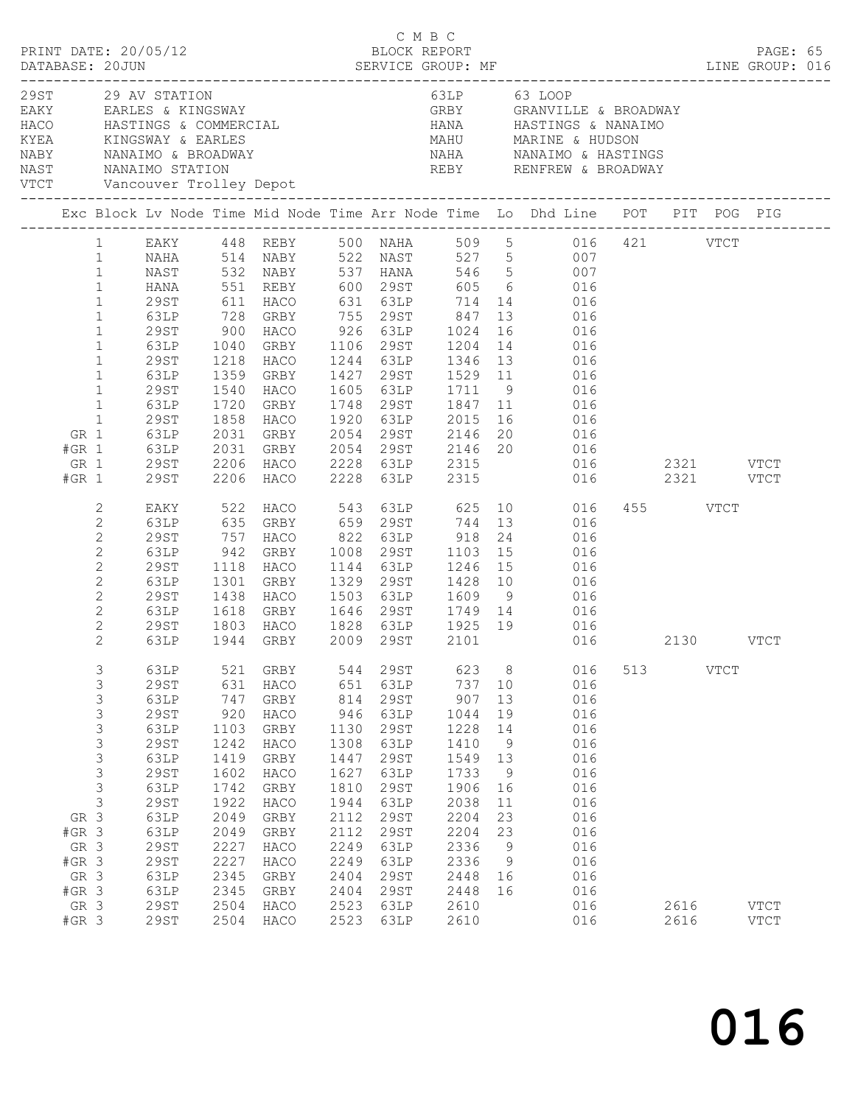|      |                                                                        | PRINT DATE: 20/05/12<br>DATABASE: 20JUN                                                                                                                                                                                      |                                                                                                                                                                                        |                                                                                                                                          |                                                                                                                                                                                                                   |                                                                                                                                          |                                                                                                                                                                                                      | C M B C<br>BLOCK REPORT                                                                                                                                        |                                                                                         |                                                                                                                                                                                                                                             |     |              |             | PAGE: 65                     |  |
|------|------------------------------------------------------------------------|------------------------------------------------------------------------------------------------------------------------------------------------------------------------------------------------------------------------------|----------------------------------------------------------------------------------------------------------------------------------------------------------------------------------------|------------------------------------------------------------------------------------------------------------------------------------------|-------------------------------------------------------------------------------------------------------------------------------------------------------------------------------------------------------------------|------------------------------------------------------------------------------------------------------------------------------------------|------------------------------------------------------------------------------------------------------------------------------------------------------------------------------------------------------|----------------------------------------------------------------------------------------------------------------------------------------------------------------|-----------------------------------------------------------------------------------------|---------------------------------------------------------------------------------------------------------------------------------------------------------------------------------------------------------------------------------------------|-----|--------------|-------------|------------------------------|--|
| VTCT |                                                                        |                                                                                                                                                                                                                              | 29ST 29 AV STATION                                                                                                                                                                     |                                                                                                                                          | EAKY EARLES & KINGSWAY<br>Vancouver Trolley Depot<br>---------------------------                                                                                                                                  |                                                                                                                                          |                                                                                                                                                                                                      | 63LP 63 LOOP                                                                                                                                                   |                                                                                         | GRBY GRANVILLE & BROADWAY                                                                                                                                                                                                                   |     |              |             |                              |  |
|      |                                                                        |                                                                                                                                                                                                                              |                                                                                                                                                                                        |                                                                                                                                          |                                                                                                                                                                                                                   |                                                                                                                                          |                                                                                                                                                                                                      |                                                                                                                                                                |                                                                                         |                                                                                                                                                                                                                                             |     |              |             |                              |  |
|      | GR 1<br>$#GR$ 1<br>GR 1<br>$#GR$ 1                                     | $\mathbf{1}$<br>$\mathbf{1}$<br>$\mathbf{1}$<br>$\mathbf{1}$<br>$\mathbf{1}$<br>$\mathbf{1}$<br>$\mathbf{1}$<br>$\mathbf{1}$<br>$\mathbf{1}$<br>$\mathbf{1}$<br>$\mathbf{1}$<br>$\mathbf{1}$<br>$\mathbf{1}$<br>29ST<br>29ST | NAST<br><b>HANA</b><br>29ST<br>63LP<br>29ST<br>63LP<br>29ST<br>63LP<br>29ST<br>63LP<br>29ST<br>63LP<br>63LP                                                                            | 551<br>611<br>728<br>900<br>1040<br>1218<br>1359<br>1540<br>1720<br>1858                                                                 | REBY 600 29ST<br>HACO<br>GRBY<br>HACO<br>HACO<br>GRBY<br>HACO<br>GRBY<br>HACO<br>2031 GRBY 2054 29ST 2146<br>2031 GRBY 2054 29ST 2146<br>2206 HACO 2228 63LP 2315<br>2206 HACO 2228 63LP 2315                     |                                                                                                                                          |                                                                                                                                                                                                      | 631 63LP 714<br>GRBY 1106 29ST 1204<br>1244 63LP 1346 13<br>1748 29ST 1847 11<br>1920 63LP 2015<br>2054 29ST 2146 20<br>2054 29ST 2146 20<br>2054 29ST 2146 20 | 13<br>16                                                                                | EAKY 448 REBY 500 NAHA 509 5 016 421 VTCT<br>1 12 13 14 NABY 522 NAST 527 5<br>1971 - 132 NABY 537 HANA 546 5<br>605 6 016<br>14 016<br>016<br>016<br>14 016<br>016<br>016<br>016<br>016<br>16 016<br>20 016<br>016<br>016 2321 VTCT<br>016 |     | 2321 VTCT    |             |                              |  |
|      |                                                                        | 2<br>$\mathbf{2}$<br>$\mathbf{2}$<br>$\mathbf{2}$<br>$\mathbf{2}$<br>$\mathbf{2}$<br>$\mathbf{2}$<br>$\mathbf{2}$<br>$\overline{c}$<br>2                                                                                     | EAKY<br>63LP<br>29ST<br>63LP<br>29ST<br>63LP<br>29ST<br>63LP<br>29ST<br>63LP                                                                                                           | 757<br>942<br>1118<br>$\frac{1}{1301}$<br>1438<br>1618                                                                                   | 522 HACO<br>635 GRBY<br>HACO<br>GRBY<br>HACO<br>GRBY<br>HACO<br>GRBY<br>1803 HACO<br>1944 GRBY<br>HACO                                                                                                            | 1503                                                                                                                                     | 1144 63LP<br>1329 29ST                                                                                                                                                                               | 822 63LP 918<br>1008 29ST 1103 15<br>1246 15<br>1428 10<br>63LP 1609 9<br>1646 29ST 1749 14<br>1828 63LP 1925 19<br>2009 29ST 2101                             | 24                                                                                      | HACO 543 63LP 625 10 016<br>GRBY 659 29ST 744 13 016<br>016<br>016<br>016<br>016<br>016<br>016<br>016<br>016                                                                                                                                |     | 455 VTCT     | 2130 VTCT   |                              |  |
|      | GR 3<br>$#GR$ 3<br>GR 3<br>#GR 3<br>GR 3<br>$#GR$ 3<br>GR 3<br>$#GR$ 3 | 3<br>3<br>3<br>3<br>3<br>$\mathsf 3$<br>3<br>3<br>$\mathfrak{Z}$<br>$\mathsf S$                                                                                                                                              | 63LP<br>29ST<br>63LP<br><b>29ST</b><br>63LP<br>29ST<br>63LP<br>29ST<br>63LP<br><b>29ST</b><br>63LP<br>63LP<br><b>29ST</b><br><b>29ST</b><br>63LP<br>63LP<br><b>29ST</b><br><b>29ST</b> | 521<br>631<br>747<br>920<br>1103<br>1242<br>1419<br>1602<br>1742<br>1922<br>2049<br>2049<br>2227<br>2227<br>2345<br>2345<br>2504<br>2504 | GRBY<br>$_{\rm HACO}$<br>GRBY<br>HACO<br>GRBY<br>$_{\rm HACO}$<br>GRBY<br>$_{\rm HACO}$<br>GRBY<br>$_{\rm HACO}$<br>GRBY<br>${\tt GRBY}$<br>HACO<br>$_{\rm HACO}$<br>${\tt GRBY}$<br>${\tt GRBY}$<br>HACO<br>HACO | 544<br>651<br>814<br>946<br>1130<br>1308<br>1447<br>1627<br>1810<br>1944<br>2112<br>2112<br>2249<br>2249<br>2404<br>2404<br>2523<br>2523 | 29ST<br>63LP<br><b>29ST</b><br>63LP<br><b>29ST</b><br>63LP<br><b>29ST</b><br>63LP<br><b>29ST</b><br>63LP<br><b>29ST</b><br><b>29ST</b><br>63LP<br>63LP<br><b>29ST</b><br><b>29ST</b><br>63LP<br>63LP | 623<br>737<br>907<br>1044<br>1228<br>1410<br>1549<br>1733<br>1906<br>2038<br>2204<br>2204<br>2336<br>2336<br>2448<br>2448<br>2610<br>2610                      | 8<br>10<br>13<br>19<br>14<br>9<br>13<br>9<br>16<br>11<br>23<br>23<br>9<br>9<br>16<br>16 | 016<br>016<br>016<br>016<br>016<br>016<br>016<br>016<br>016<br>016<br>016<br>016<br>016<br>016<br>016<br>016<br>016<br>016                                                                                                                  | 513 | 2616<br>2616 | <b>VTCT</b> | <b>VTCT</b><br>$_{\rm VTCT}$ |  |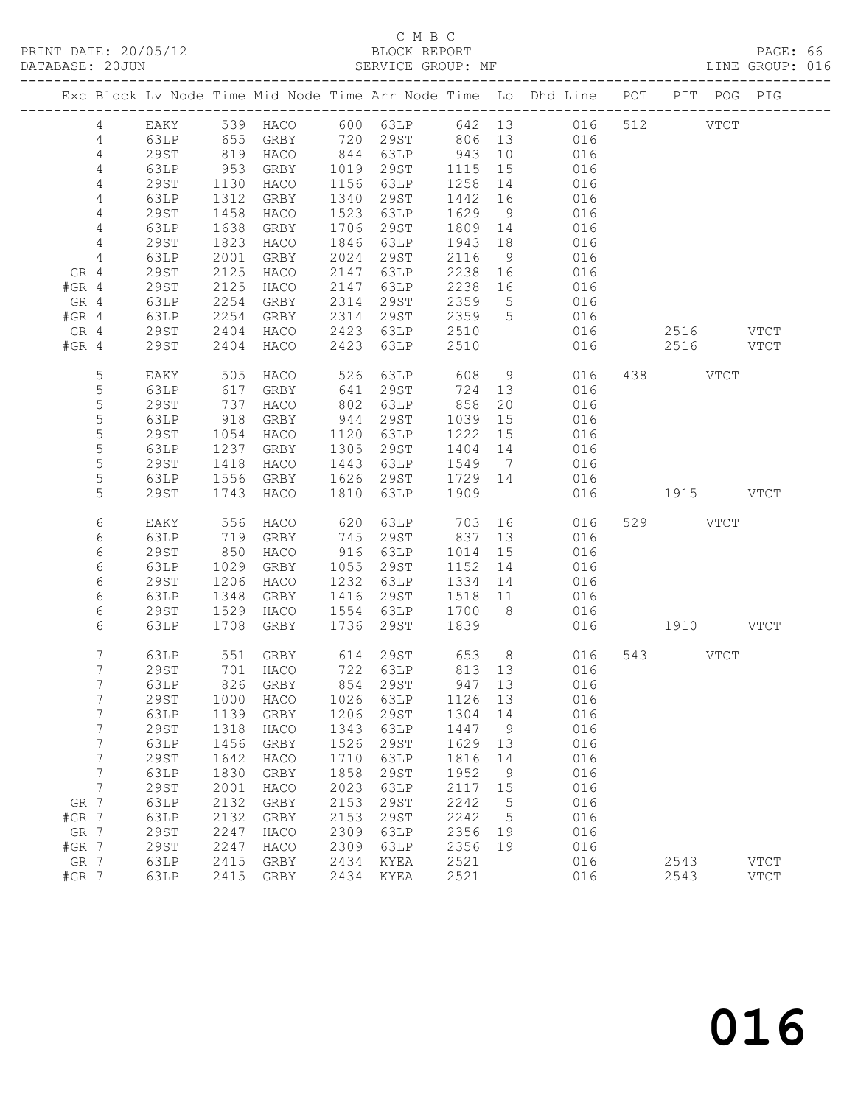#### C M B C<br>BLOCK REPORT

PAGE: 66<br>LINE GROUP: 016

|                 |             |            |          |            |                     |         |             | Exc Block Lv Node Time Mid Node Time Arr Node Time Lo Dhd Line POT              |           |           | PIT POG PIG |             |
|-----------------|-------------|------------|----------|------------|---------------------|---------|-------------|---------------------------------------------------------------------------------|-----------|-----------|-------------|-------------|
| $\overline{4}$  |             |            |          |            |                     |         |             |                                                                                 |           |           |             |             |
| 4               |             |            |          |            |                     |         |             | EAKY 539 HACO 600 63LP 642 13 016 512 VTCT<br>63LP 655 GRBY 720 29ST 806 13 016 |           |           |             |             |
| 4               | 29ST        | 819        | HACO     |            | $844$ $63LP$ 943    |         | 10          | 016                                                                             |           |           |             |             |
| 4               | 63LP        | 953        | GRBY     |            | 1019 29ST 1115 15   |         |             | 016                                                                             |           |           |             |             |
| 4               | 29ST        | 1130       | HACO     |            | 1156 63LP           | 1258    | 14          | 016                                                                             |           |           |             |             |
| $\overline{4}$  | 63LP        | 1312       | GRBY     |            | 1340 29ST           | 1442 16 |             | 016                                                                             |           |           |             |             |
| 4               | 29ST        | 1458       | HACO     |            | 1523 63LP           | 1629    | 9           | 016                                                                             |           |           |             |             |
| 4               | 63LP        | 1638       | GRBY     |            | 1706 29ST           | 1809 14 |             | 016                                                                             |           |           |             |             |
| $\overline{4}$  | 29ST        | 1823       | HACO     |            | 1846 63LP           | 1943    | 18          | 016                                                                             |           |           |             |             |
| $\overline{4}$  | 63LP        | 2001       | GRBY     |            | 2024 29ST           | 2116    | 9           | 016                                                                             |           |           |             |             |
| GR 4            | 29ST        | 2125       | HACO     |            | 2147 63LP           | 2238 16 |             | 016                                                                             |           |           |             |             |
| $#GR$ 4         | 29ST        | 2125       | HACO     | 2147       | 63LP                | 2238 16 |             | 016                                                                             |           |           |             |             |
| GR 4            | 63LP        | 2254       | GRBY     | 2314       | 29ST                | 2359    | $5^{\circ}$ | 016                                                                             |           |           |             |             |
| $#GR$ 4         | 63LP        | 2254       | GRBY     |            | 2314 29ST           | 2359 5  |             | 016                                                                             |           |           |             |             |
| GR 4            | 29ST        | 2404       | HACO     |            | 2423 63LP           | 2510    |             | 016                                                                             |           | 2516 VTCT |             |             |
| $#GR$ 4         | 29ST        | 2404       | HACO     | 2423       | 63LP                | 2510    |             | 016                                                                             |           | 2516 VTCT |             |             |
|                 |             |            |          |            |                     |         |             |                                                                                 |           |           |             |             |
| 5               | EAKY        | 505<br>617 | HACO     | 526<br>641 | 63LP<br>29ST        | 608     | 9           | 016                                                                             |           | 438 VTCT  |             |             |
| 5               | 63LP        |            | GRBY     |            | 29ST                | 724 13  |             | 016                                                                             |           |           |             |             |
| 5               | 29ST        | 737        | HACO     | 802        | 63LP                | 858     | 20          | 016                                                                             |           |           |             |             |
| 5               | 63LP        | 918        | GRBY     | 944        | 29ST                | 1039    | 15          | 016                                                                             |           |           |             |             |
| 5               | 29ST        | 1054       | HACO     |            | 1120 63LP           | 1222 15 |             | 016                                                                             |           |           |             |             |
| $\mathsf S$     | 63LP        | 1237       | GRBY     |            | 1305 29ST           | 1404 14 |             | 016                                                                             |           |           |             |             |
| 5               | 29ST        | 1418       | HACO     |            | 1443 63LP           | 1549 7  |             | 016                                                                             |           |           |             |             |
| 5               | 63LP        | 1556       | GRBY     |            | 1626 29ST           | 1729 14 |             | 016                                                                             |           |           |             |             |
| 5               | 29ST        | 1743       | HACO     | 1810       | 63LP                | 1909    |             | 016                                                                             | 1915 VTCT |           |             |             |
| 6               | EAKY        | 556        | HACO     | 620        | 63LP                | 703     |             | 016                                                                             |           | 529 VTCT  |             |             |
| 6               | 63LP        | 719        | GRBY     |            | 745 29ST            | 837     |             | 13 016                                                                          |           |           |             |             |
| 6               | 29ST        | 850        | HACO     |            | 916 63LP            | 1014    | 15          | 016                                                                             |           |           |             |             |
| 6               | 63LP        | 1029       | GRBY     |            | 1055 29ST           | 1152 14 |             | 016                                                                             |           |           |             |             |
| 6               | 29ST        | 1206       | HACO     |            | 1232 63LP           | 1334 14 |             | 016                                                                             |           |           |             |             |
| 6               | 63LP        | 1348       | GRBY     |            | 1416 29ST           | 1518 11 |             | 016                                                                             |           |           |             |             |
| 6               | 29ST        | 1529       | HACO     |            | 1554 63LP           | 1700 8  |             | 016                                                                             |           |           |             |             |
| 6               | 63LP        | 1708       | GRBY     | 1736       | 29ST                | 1839    |             | 016                                                                             | 1910 VTCT |           |             |             |
|                 |             |            |          |            |                     |         |             |                                                                                 |           |           |             |             |
| 7               | 63LP        | 551        |          |            | GRBY 614 29ST 653 8 |         |             | 016                                                                             |           | 543 VTCT  |             |             |
| 7               | 29ST        | 701        | HACO     |            |                     |         |             | 016                                                                             |           |           |             |             |
| $7\phantom{.}$  | 63LP        |            | 826 GRBY |            |                     |         |             | 016                                                                             |           |           |             |             |
| $7\overline{ }$ |             |            |          |            |                     |         |             | 29ST 1000 HACO 1026 63LP 1126 13 016                                            |           |           |             |             |
| 7               | 63LP        | 1139       | GRBY     | 1206       | 29ST                | 1304    | 14          | 016                                                                             |           |           |             |             |
| 7               | 29ST        | 1318       | HACO     | 1343       | 63LP                | 1447    | 9           | 016                                                                             |           |           |             |             |
| 7               | 63LP        | 1456       | GRBY     | 1526       | 29ST                | 1629    | 13          | 016                                                                             |           |           |             |             |
| 7               | <b>29ST</b> | 1642       | HACO     | 1710       | 63LP                | 1816    | 14          | 016                                                                             |           |           |             |             |
| 7               | 63LP        | 1830       | GRBY     | 1858       | 29ST                | 1952    | 9           | 016                                                                             |           |           |             |             |
| 7               | <b>29ST</b> | 2001       | HACO     | 2023       | 63LP                | 2117    | 15          | 016                                                                             |           |           |             |             |
| GR 7            | 63LP        | 2132       | GRBY     | 2153       | 29ST                | 2242    | 5           | 016                                                                             |           |           |             |             |
| $#GR$ 7         | 63LP        | 2132       | GRBY     | 2153       | 29ST                | 2242    | 5           | 016                                                                             |           |           |             |             |
| GR 7            | 29ST        | 2247       | HACO     | 2309       | 63LP                | 2356    | 19          | 016                                                                             |           |           |             |             |
| $#GR$ 7         | 29ST        | 2247       | HACO     | 2309       | 63LP                | 2356    | 19          | 016                                                                             |           |           |             |             |
| GR 7            | 63LP        | 2415       | GRBY     | 2434       | KYEA                | 2521    |             | 016                                                                             |           | 2543      |             | <b>VTCT</b> |
| $#GR$ 7         | 63LP        | 2415       | GRBY     | 2434       | KYEA                | 2521    |             | 016                                                                             |           | 2543      |             | <b>VTCT</b> |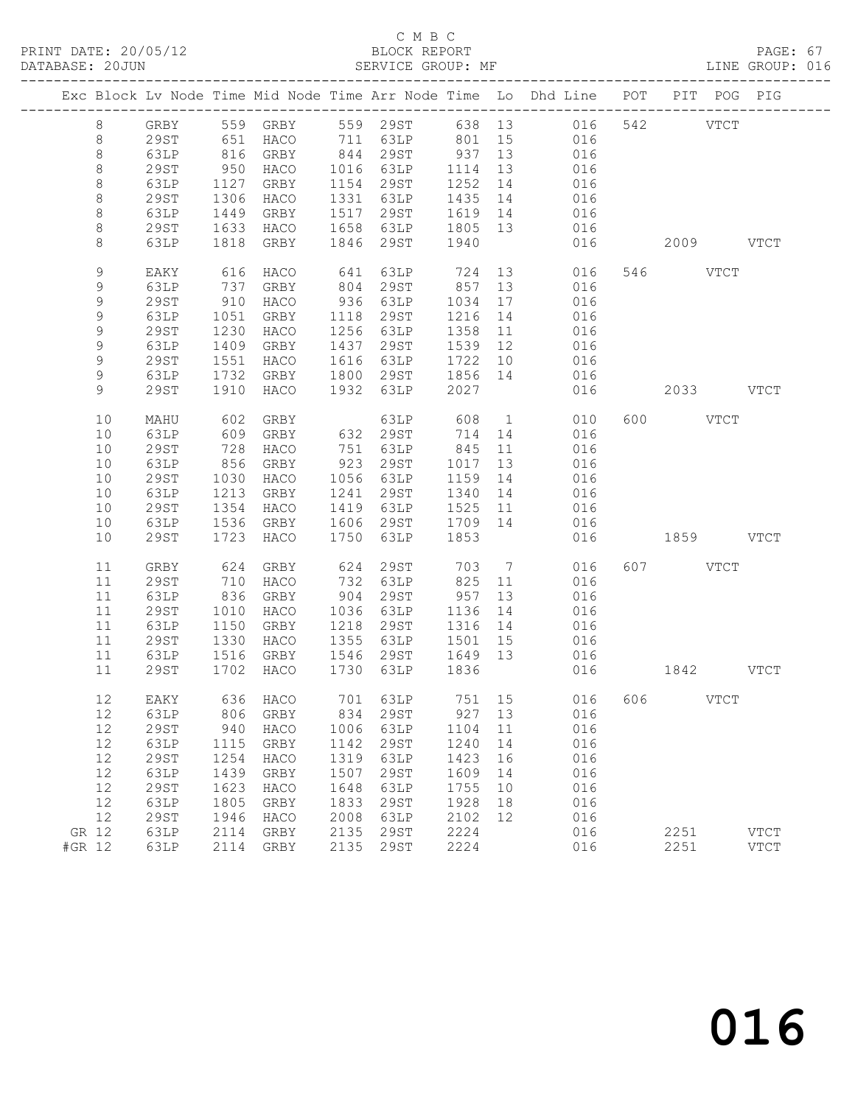### C M B C<br>BLOCK REPORT<br>SERVICE GROUP: MF

| DATABASE: 20JUN |             |             |            | SERVICE GROUP: MF                                                        |      |                             |                 |                |                                                                                |                 |          |             | LINE GROUP: 016 |  |
|-----------------|-------------|-------------|------------|--------------------------------------------------------------------------|------|-----------------------------|-----------------|----------------|--------------------------------------------------------------------------------|-----------------|----------|-------------|-----------------|--|
|                 |             |             |            |                                                                          |      |                             |                 |                | Exc Block Lv Node Time Mid Node Time Arr Node Time Lo Dhd Line POT PIT POG PIG |                 |          |             |                 |  |
|                 | 8           |             |            |                                                                          |      |                             |                 |                | GRBY 559 GRBY 559 29ST 638 13 016 542 VTCT                                     |                 |          |             |                 |  |
|                 | 8           | 29ST        |            |                                                                          |      |                             |                 |                | 651 HACO 711 63LP 801 15 016                                                   |                 |          |             |                 |  |
|                 | $\,8\,$     | 63LP        | 816        | GRBY 844 29ST 937 13<br>HACO 1016 63LP 1114 13<br>GRBY 1154 29ST 1252 14 |      |                             |                 |                | 016                                                                            |                 |          |             |                 |  |
|                 | $\,8\,$     | <b>29ST</b> |            | 950 HACO                                                                 |      |                             |                 |                | 016                                                                            |                 |          |             |                 |  |
|                 | $\,8\,$     | 63LP        |            | 1127 GRBY                                                                |      | 1154 29ST                   |                 |                | 016                                                                            |                 |          |             |                 |  |
|                 | $\,8\,$     | 29ST        | 1306       | HACO                                                                     |      | 1331 63LP                   | 1435            | 14             | 016                                                                            |                 |          |             |                 |  |
|                 | $\,8\,$     | 63LP        | 1449       | GRBY                                                                     |      | 1517 29ST                   | 1619 14         |                | 016                                                                            |                 |          |             |                 |  |
|                 | $\,8\,$     | 29ST        |            | 1633 HACO                                                                |      | 1658 63LP                   | 1805 13<br>1940 |                | 016                                                                            |                 |          |             |                 |  |
|                 | 8           | 63LP        |            | 1818 GRBY                                                                |      | 1846 29ST                   |                 |                |                                                                                | 016  2009  VTCT |          |             |                 |  |
|                 | $\mathsf 9$ | EAKY        | 616        | HACO                                                                     | 641  | 63LP                        |                 |                | 724 13 016                                                                     |                 | 546 VTCT |             |                 |  |
|                 | $\mathsf 9$ | 63LP        | 737<br>910 | GRBY                                                                     | 804  | 29ST                        | 857             | 13             | 016                                                                            |                 |          |             |                 |  |
|                 | $\mathsf 9$ | 29ST        |            | HACO                                                                     |      | 936 63LP                    | 1034            | 17             | 016                                                                            |                 |          |             |                 |  |
|                 | $\mathsf 9$ | 63LP        | 1051       | GRBY                                                                     | 1118 | 29ST                        | 1216            | 14             | 016                                                                            |                 |          |             |                 |  |
|                 | $\mathsf 9$ | <b>29ST</b> | 1230       | HACO                                                                     |      | 1256 63LP                   | 1358            | 11             | 016                                                                            |                 |          |             |                 |  |
|                 | $\mathsf 9$ | 63LP        | 1409       | GRBY                                                                     |      | 1437 29ST                   | 1539 12         |                | 016                                                                            |                 |          |             |                 |  |
|                 | $\mathsf 9$ | <b>29ST</b> |            | 1551 HACO                                                                |      | 1616 63LP                   | 1722 10         |                | 016                                                                            |                 |          |             |                 |  |
|                 | $\mathsf 9$ | 63LP        |            | 1732 GRBY                                                                |      | 1800 29ST 1856 14           |                 |                | 016                                                                            |                 |          |             |                 |  |
|                 | 9           | 29ST        | 1910       | HACO                                                                     |      | 1932 63LP 2027              |                 |                |                                                                                | 016 2033 VTCT   |          |             |                 |  |
|                 | 10          | MAHU        | 602        | GRBY                                                                     |      | 63LP                        | 608             |                | $1 \qquad \qquad$<br>010                                                       |                 | 600 VTCT |             |                 |  |
|                 | 10          | 63LP        |            | 609 GRBY                                                                 |      | 632 29ST                    | 714 14          |                | 016                                                                            |                 |          |             |                 |  |
|                 | 10          | 29ST        | 728        | HACO                                                                     |      | 751 63LP                    | 845             | 11             | 016                                                                            |                 |          |             |                 |  |
|                 | 10          | 63LP        | 856        | GRBY                                                                     |      | 923 29ST                    | 1017            | 13             | 016                                                                            |                 |          |             |                 |  |
|                 | 10          | <b>29ST</b> |            | 1030 HACO                                                                |      | 1056 63LP                   | 1159 14         |                | 016                                                                            |                 |          |             |                 |  |
|                 | 10          | 63LP        | 1213       | GRBY                                                                     | 1241 | 29ST                        | 1340            | 14             | 016                                                                            |                 |          |             |                 |  |
|                 | 10          | 29ST        | 1354       | HACO                                                                     |      | 1419 63LP                   | 1525            | 11             | 016                                                                            |                 |          |             |                 |  |
|                 | 10          | 63LP        | 1536       | GRBY                                                                     |      | 1606 29ST                   | 1709 14         |                | 016                                                                            |                 |          |             |                 |  |
|                 | 10          | <b>29ST</b> |            | 1723 HACO                                                                |      | 1750 63LP                   | 1853            |                | 016                                                                            |                 |          | 1859 VTCT   |                 |  |
|                 | 11          | GRBY        | 624        | GRBY                                                                     | 624  | 29ST                        | 703             | $\overline{7}$ | 016                                                                            |                 | 607 VTCT |             |                 |  |
|                 | 11          | <b>29ST</b> | 710        | HACO                                                                     |      | 732 63LP                    | 825             | 11             | 016                                                                            |                 |          |             |                 |  |
|                 | 11          | 63LP        | 836        | GRBY                                                                     | 904  | 29ST                        | 957             | 13             | 016                                                                            |                 |          |             |                 |  |
|                 | 11          | 29ST        | 1010       | HACO                                                                     |      | 1036 63LP                   | 1136            | 14             | 016                                                                            |                 |          |             |                 |  |
|                 | 11          | 63LP        | 1150       | GRBY                                                                     | 1218 | 29ST                        | 1316            | 14             | 016                                                                            |                 |          |             |                 |  |
|                 | 11          | 29ST        | 1330       | HACO                                                                     |      | 1355 63LP                   | 1501            | 15             | 016                                                                            |                 |          |             |                 |  |
|                 | 11          | 63LP        |            | 1516 GRBY<br>1702 HACO                                                   |      | 1546 29ST<br>1730 63LP 1836 | 1649 13         |                | 016                                                                            |                 |          |             |                 |  |
|                 | 11          | 29ST        |            |                                                                          |      |                             |                 |                | 016                                                                            |                 |          | 1842 VTCT   |                 |  |
|                 | 12          | EAKY        | 636        | HACO                                                                     | 701  | 63LP                        | 751             | 15             | 016                                                                            | 606             |          | <b>VTCT</b> |                 |  |
|                 | $12\,$      | 63LP        | 806        | GRBY                                                                     | 834  | <b>29ST</b>                 | 927             | 13             | 016                                                                            |                 |          |             |                 |  |
|                 | 12          | <b>29ST</b> | 940        | HACO                                                                     | 1006 | 63LP                        | 1104            | 11             | 016                                                                            |                 |          |             |                 |  |
|                 | 12          | 63LP        | 1115       | GRBY                                                                     | 1142 | <b>29ST</b>                 | 1240            | 14             | 016                                                                            |                 |          |             |                 |  |
|                 | 12          | <b>29ST</b> | 1254       | HACO                                                                     | 1319 | 63LP                        | 1423            | 16             | 016                                                                            |                 |          |             |                 |  |
|                 | 12          | 63LP        | 1439       | GRBY                                                                     | 1507 | 29ST                        | 1609            | 14             | 016                                                                            |                 |          |             |                 |  |
|                 | 12          | <b>29ST</b> | 1623       | HACO                                                                     | 1648 | 63LP                        | 1755            | 10             | 016                                                                            |                 |          |             |                 |  |
|                 | 12          | 63LP        | 1805       | GRBY                                                                     | 1833 | <b>29ST</b>                 | 1928            | 18             | 016                                                                            |                 |          |             |                 |  |
|                 | 12          | <b>29ST</b> | 1946       | HACO                                                                     | 2008 | 63LP                        | 2102            | 12             | 016                                                                            |                 |          |             |                 |  |
| GR 12           |             | 63LP        | 2114       | GRBY                                                                     | 2135 | <b>29ST</b>                 | 2224            |                | 016                                                                            |                 | 2251     |             | <b>VTCT</b>     |  |
| #GR 12          |             | 63LP        | 2114       | GRBY                                                                     | 2135 | <b>29ST</b>                 | 2224            |                | 016                                                                            |                 | 2251     |             | <b>VTCT</b>     |  |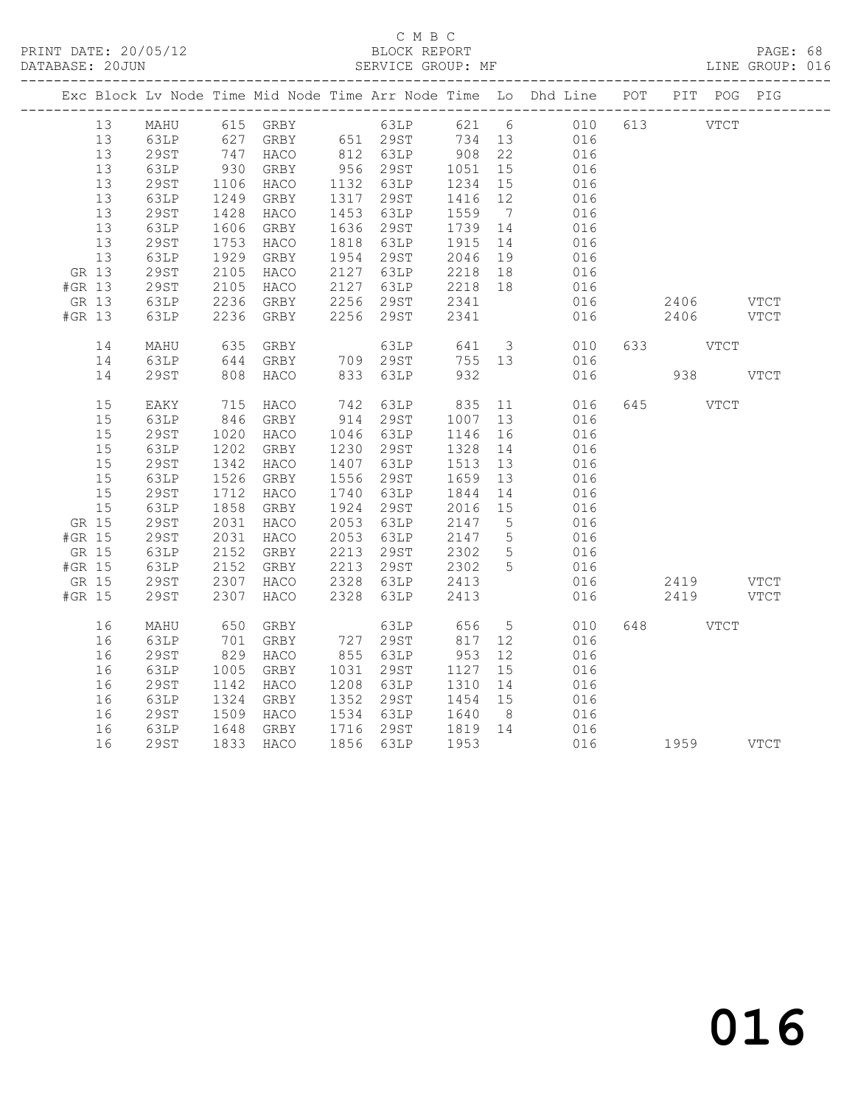#### C M B C<br>BLOCK REPORT

PAGE: 68<br>LINE GROUP: 016

|        |    |              |                                                                                  |           |      |                                                              |                       |                 | Exc Block Lv Node Time Mid Node Time Arr Node Time Lo Dhd Line POT PIT POG PIG |           |               |      |
|--------|----|--------------|----------------------------------------------------------------------------------|-----------|------|--------------------------------------------------------------|-----------------------|-----------------|--------------------------------------------------------------------------------|-----------|---------------|------|
|        | 13 |              |                                                                                  |           |      |                                                              |                       |                 | MAHU 615 GRBY 63LP 621 6 010 613 VTCT                                          |           |               |      |
|        | 13 | 63LP         |                                                                                  |           |      |                                                              |                       |                 | 016<br>016                                                                     |           |               |      |
|        | 13 | 29ST         |                                                                                  |           |      |                                                              |                       |                 |                                                                                |           |               |      |
|        | 13 | 63LP         | 930<br>1106                                                                      | GRBY      |      | 956 29ST                                                     | 1051 15<br>1234 15    |                 | 016                                                                            |           |               |      |
|        | 13 | 29ST         |                                                                                  | HACO      |      | 1132 63LP                                                    |                       |                 | 016                                                                            |           |               |      |
|        | 13 | 63LP         | 1249                                                                             | GRBY      |      | 1317 29ST                                                    | 1416 12               |                 | 016                                                                            |           |               |      |
|        | 13 | 29ST         | $1420$<br>$1606$                                                                 | HACO      |      | 1453 63LP                                                    | 1559<br>1739 14<br>14 |                 | $016$<br>$016$                                                                 |           |               |      |
|        | 13 | 63LP         |                                                                                  | GRBY      |      | 1636 29ST                                                    |                       |                 |                                                                                |           |               |      |
|        | 13 | 29ST         | 1753                                                                             | HACO      |      | 1818 63LP                                                    | 1915                  | 14              | 016                                                                            |           |               |      |
|        | 13 | 63LP         | 1929<br>2105                                                                     | GRBY      |      |                                                              |                       |                 | 016                                                                            |           |               |      |
| GR 13  |    | 29ST         |                                                                                  | HACO      |      |                                                              |                       |                 | 016                                                                            |           |               |      |
| #GR 13 |    | 29ST         | 2105                                                                             | HACO      |      | 2127 63LP 2218 18<br>2256 29ST 2341                          |                       |                 | 016                                                                            |           |               |      |
| GR 13  |    | 63LP         | 2236                                                                             | GRBY      |      |                                                              |                       |                 | 016                                                                            | 2406 VTCT |               |      |
| #GR 13 |    | 63LP         |                                                                                  | 2236 GRBY |      | 2256 29ST                                                    | 2341                  |                 | 016                                                                            | 2406 VTCT |               |      |
|        | 14 | MAHU         | 635                                                                              | GRBY      |      | 63LP                                                         |                       |                 | 641 3<br>010                                                                   | 633 VTCT  |               |      |
|        | 14 | 63LP         | 644                                                                              | GRBY      |      | 709 29ST                                                     | 755 13                |                 | 016                                                                            |           |               |      |
|        | 14 | <b>29ST</b>  | 808                                                                              | HACO      |      | 833 63LP                                                     | 932                   |                 | 016                                                                            | 938       |               | VTCT |
|        | 15 | EAKY         | 715                                                                              | HACO      |      |                                                              |                       | 11              | 016                                                                            | 645       | $_{\rm VTCT}$ |      |
|        | 15 | 63LP         |                                                                                  | 846 GRBY  |      |                                                              |                       | 13              | 016                                                                            |           |               |      |
|        | 15 | 29ST         | 1020                                                                             | HACO      |      | 1046 63LP                                                    | 1146                  | 16              | 016                                                                            |           |               |      |
|        | 15 | 63LP         | 1202                                                                             | GRBY      |      | 1230 29ST                                                    | 1328                  | 14              |                                                                                |           |               |      |
|        | 15 | 29ST         | $1202$<br>$1342$                                                                 | HACO      |      | 1407 63LP                                                    | 1513 13               |                 | $016$<br>$016$                                                                 |           |               |      |
|        | 15 | 63LP         | 1526                                                                             | GRBY      |      | 1556 29ST                                                    |                       |                 | 016                                                                            |           |               |      |
|        | 15 | <b>29ST</b>  | 1712                                                                             | HACO      |      | 1740 63LP                                                    | 1659 13<br>1844 14    |                 | 016                                                                            |           |               |      |
|        | 15 | 63LP         | 1858                                                                             | GRBY      |      | 1924 29ST                                                    | 2016 15               |                 | 016                                                                            |           |               |      |
| GR 15  |    | 29ST<br>29ST | 2031                                                                             | HACO      |      | 2053 63LP                                                    | 2147 5<br>2147 5      |                 | 016<br>016                                                                     |           |               |      |
| #GR 15 |    |              | 2031                                                                             | HACO      |      | 2053 63LP                                                    |                       |                 |                                                                                |           |               |      |
| GR 15  |    | 63LP         | 2152                                                                             | GRBY      |      | 2213 29ST                                                    | 2302                  | 5               | 016                                                                            |           |               |      |
| #GR 15 |    | 63LP         |                                                                                  | GRBY      |      | 2213    29ST         2302      5<br>2328    63LP        2413 |                       |                 | 016                                                                            |           |               |      |
| GR 15  |    | 29ST         | 2152<br>2307                                                                     | HACO      |      |                                                              |                       |                 | 016                                                                            | 2419 VTCT |               |      |
| #GR 15 |    | 29ST         | 2307                                                                             | HACO      | 2328 | 63LP                                                         | 2413                  |                 | 016                                                                            | 2419 VTCT |               |      |
|        | 16 | MAHU         | 650                                                                              | GRBY      |      | 63LP 656                                                     |                       | $5\overline{)}$ | 010                                                                            | 648 — 100 | VTCT          |      |
|        | 16 | 63LP         | 701                                                                              | GRBY      |      |                                                              |                       |                 | 016                                                                            |           |               |      |
|        | 16 | 29ST         | $\begin{array}{c} \n \stackrel{\cdot}{\cancel{0}} & 29 \\  \hline\n \end{array}$ | HACO      |      | 727 29ST<br>855 63LP                                         | 817 12<br>953 12      |                 | 016                                                                            |           |               |      |
|        | 16 | 63LP         | 1005                                                                             | GRBY      |      | 1031 29ST                                                    | 1127                  | 15              | 016                                                                            |           |               |      |
|        | 16 | 29ST         | 1142                                                                             | HACO      |      | 1208 63LP                                                    | 1310 14               |                 | 016                                                                            |           |               |      |
|        | 16 | 63LP         | 1324                                                                             | GRBY      |      | 1352 29ST                                                    | 1454 15               |                 | 016                                                                            |           |               |      |
|        | 16 | <b>29ST</b>  | 1509<br>1648                                                                     | HACO      |      | 1534 63LP 1640 8<br>1716 29ST 1819 14                        |                       |                 | 016                                                                            |           |               |      |
|        | 16 | 63LP         |                                                                                  | GRBY      |      |                                                              |                       |                 | 016                                                                            |           |               |      |
|        | 16 | <b>29ST</b>  |                                                                                  | 1833 HACO |      | 1856 63LP 1953                                               |                       |                 |                                                                                |           |               |      |
|        |    |              |                                                                                  |           |      |                                                              |                       |                 |                                                                                |           |               |      |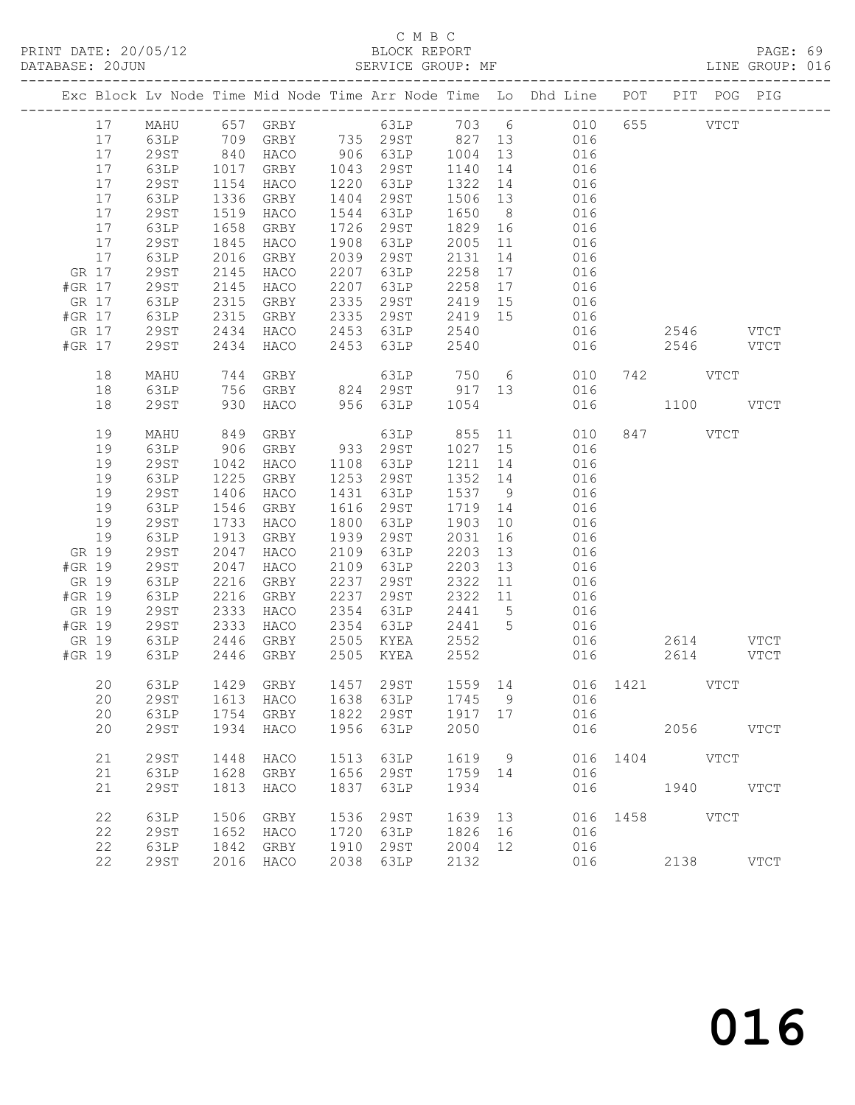#### C M B C<br>BLOCK REPORT

PAGE: 69<br>LINE GROUP: 016

|        |       |             |      |                                                                                                          |      |                                                            |         |                 | Exc Block Lv Node Time Mid Node Time Arr Node Time Lo Dhd Line POT PIT POG PIG |             |               |               |             |
|--------|-------|-------------|------|----------------------------------------------------------------------------------------------------------|------|------------------------------------------------------------|---------|-----------------|--------------------------------------------------------------------------------|-------------|---------------|---------------|-------------|
|        | 17    | MAHU        |      | 657 GRBY                                                                                                 |      |                                                            |         |                 | 63LP 703 6 010                                                                 |             | 655 000       | $_{\rm VTCT}$ |             |
|        | 17    | 63LP        |      | 709   GRBY          735    29ST          827    13<br>840    HACO          906    63LP        1004    13 |      |                                                            |         |                 | 016                                                                            |             |               |               |             |
|        | 17    | 29ST        |      |                                                                                                          |      |                                                            |         |                 | 016                                                                            |             |               |               |             |
|        | 17    | 63LP        | 1017 | GRBY                                                                                                     | 1043 | 29ST                                                       | 1140    | 14              | 016                                                                            |             |               |               |             |
|        | 17    | 29ST        | 1154 | HACO                                                                                                     | 1220 | 63LP                                                       | 1322    | 14              | 016                                                                            |             |               |               |             |
|        | 17    | 63LP        | 1336 | GRBY                                                                                                     | 1404 | 29ST                                                       | 1506    | 13              | 016                                                                            |             |               |               |             |
|        | 17    | <b>29ST</b> | 1519 | HACO                                                                                                     | 1544 | 63LP                                                       | 1650    | 8 <sup>8</sup>  | 016                                                                            |             |               |               |             |
|        | 17    | 63LP        | 1658 | GRBY                                                                                                     | 1726 | 29ST                                                       | 1829    | 16              | 016                                                                            |             |               |               |             |
|        | 17    | <b>29ST</b> | 1845 | HACO                                                                                                     | 1908 | 63LP                                                       | 2005    | 11              | 016                                                                            |             |               |               |             |
|        | 17    | 63LP        | 2016 | GRBY                                                                                                     | 2039 | 29ST                                                       | 2131    | 14              | 016                                                                            |             |               |               |             |
|        | GR 17 | 29ST        | 2145 | HACO                                                                                                     | 2207 | 63LP                                                       | 2258    | 17              | 016                                                                            |             |               |               |             |
| #GR 17 |       | 29ST        | 2145 | HACO                                                                                                     | 2207 | 63LP                                                       | 2258    | 17              | 016                                                                            |             |               |               |             |
|        | GR 17 | 63LP        | 2315 | GRBY                                                                                                     | 2335 | 29ST                                                       | 2419    | 15              | 016                                                                            |             |               |               |             |
| #GR 17 |       | 63LP        | 2315 | GRBY                                                                                                     | 2335 | 29ST                                                       | 2419 15 |                 | 016                                                                            |             |               |               |             |
|        | GR 17 | 29ST        | 2434 | HACO                                                                                                     | 2453 | 63LP                                                       | 2540    |                 | 016                                                                            |             | 2546 VTCT     |               |             |
| #GR 17 |       | 29ST        | 2434 | HACO                                                                                                     | 2453 | 63LP                                                       | 2540    |                 | 016                                                                            |             | $2546$ $VTCT$ |               |             |
|        |       |             |      |                                                                                                          |      |                                                            |         |                 |                                                                                |             |               |               |             |
|        | 18    | MAHU        | 744  | GRBY                                                                                                     |      | 63LP                                                       | 750     |                 | $6\degree$<br>010                                                              |             | 742 VTCT      |               |             |
|        | 18    | 63LP        | 756  | GRBY                                                                                                     |      | 824    29ST           917    13<br>956    63LP        1054 |         |                 | 016                                                                            |             |               |               |             |
|        | 18    | <b>29ST</b> | 930  | HACO                                                                                                     |      |                                                            |         |                 | 016                                                                            |             | 1100 VTCT     |               |             |
|        | 19    | MAHU        | 849  | GRBY                                                                                                     |      | 63LP                                                       | 855     |                 | 11<br>010                                                                      |             | 847 VTCT      |               |             |
|        | 19    | 63LP        | 906  | GRBY                                                                                                     |      | 933 29ST                                                   | 1027 15 |                 | 016                                                                            |             |               |               |             |
|        | 19    | <b>29ST</b> | 1042 | HACO                                                                                                     |      | 1108 63LP                                                  | 1211    | 14              | 016                                                                            |             |               |               |             |
|        | 19    | 63LP        | 1225 | GRBY                                                                                                     | 1253 | 29ST                                                       | 1352 14 |                 | 016                                                                            |             |               |               |             |
|        | 19    | 29ST        | 1406 | HACO                                                                                                     | 1431 | 63LP                                                       | 1537    | 9               | 016                                                                            |             |               |               |             |
|        | 19    | 63LP        | 1546 | GRBY                                                                                                     | 1616 | 29ST                                                       | 1719    | 14              | 016                                                                            |             |               |               |             |
|        | 19    | <b>29ST</b> | 1733 | HACO                                                                                                     | 1800 | 63LP                                                       | 1903    | 10              | 016                                                                            |             |               |               |             |
|        | 19    | 63LP        | 1913 | GRBY                                                                                                     | 1939 | 29ST                                                       | 2031    | 16              | 016                                                                            |             |               |               |             |
|        | GR 19 | 29ST        | 2047 | HACO                                                                                                     | 2109 | 63LP                                                       | 2203    | 13              | 016                                                                            |             |               |               |             |
| #GR 19 |       | 29ST        | 2047 | HACO                                                                                                     | 2109 | 63LP                                                       | 2203    | 13              | 016                                                                            |             |               |               |             |
|        | GR 19 | 63LP        | 2216 | GRBY                                                                                                     | 2237 | 29ST                                                       | 2322    | 11              | 016                                                                            |             |               |               |             |
| #GR 19 |       | 63LP        | 2216 | GRBY                                                                                                     | 2237 | 29ST                                                       | 2322 11 |                 | 016                                                                            |             |               |               |             |
| GR 19  |       | 29ST        | 2333 | HACO                                                                                                     | 2354 | 63LP                                                       | 2441    | $5\overline{)}$ | 016                                                                            |             |               |               |             |
| #GR 19 |       | 29ST        | 2333 | HACO                                                                                                     | 2354 | 63LP                                                       | 2441 5  |                 | 016                                                                            |             |               |               |             |
|        | GR 19 | 63LP        | 2446 | GRBY                                                                                                     | 2505 | KYEA                                                       | 2552    |                 | 016                                                                            |             | 2614 VTCT     |               |             |
| #GR 19 |       | 63LP        | 2446 | GRBY                                                                                                     | 2505 | KYEA                                                       | 2552    |                 | 016                                                                            |             | 2614 VTCT     |               |             |
|        |       |             |      |                                                                                                          |      |                                                            |         |                 |                                                                                |             |               |               |             |
|        | 20    | 63LP        |      | 1429 GRBY                                                                                                |      |                                                            |         |                 | 1457 29ST 1559 14 016 1421 VTCT                                                |             |               |               |             |
|        |       |             |      | 20  29ST  1613  HACO  1638  63LP  1745  9                                                                |      |                                                            |         |                 | 016                                                                            |             |               |               |             |
|        | 20    | 63LP        | 1754 | GRBY                                                                                                     | 1822 | 29ST                                                       | 1917 17 |                 | 016                                                                            |             |               |               |             |
|        | 20    | 29ST        | 1934 | HACO                                                                                                     | 1956 | 63LP                                                       | 2050    |                 | 016                                                                            |             | 2056 VTCT     |               |             |
|        | 21    | 29ST        | 1448 | HACO                                                                                                     | 1513 | 63LP                                                       | 1619    | 9               | 016                                                                            | $1404$ VTCT |               |               |             |
|        | 21    | 63LP        | 1628 | GRBY                                                                                                     | 1656 | 29ST                                                       | 1759    | 14              | 016                                                                            |             |               |               |             |
|        | 21    | 29ST        | 1813 | HACO                                                                                                     | 1837 | 63LP                                                       | 1934    |                 | 016                                                                            |             | 1940 VTCT     |               |             |
|        |       |             |      |                                                                                                          |      |                                                            |         |                 |                                                                                |             |               |               |             |
|        | 22    | 63LP        | 1506 | GRBY                                                                                                     | 1536 | 29ST                                                       | 1639    | 13              | 016                                                                            | 1458        | VTCT          |               |             |
|        | 22    | 29ST        | 1652 | HACO                                                                                                     | 1720 | 63LP                                                       | 1826    | 16              | 016                                                                            |             |               |               |             |
|        | 22    | 63LP        | 1842 | GRBY                                                                                                     | 1910 | 29ST                                                       | 2004    | 12              | 016                                                                            |             |               |               |             |
|        | 22    | <b>29ST</b> | 2016 | HACO                                                                                                     | 2038 | 63LP                                                       | 2132    |                 | 016                                                                            |             | 2138          |               | <b>VTCT</b> |
|        |       |             |      |                                                                                                          |      |                                                            |         |                 |                                                                                |             |               |               |             |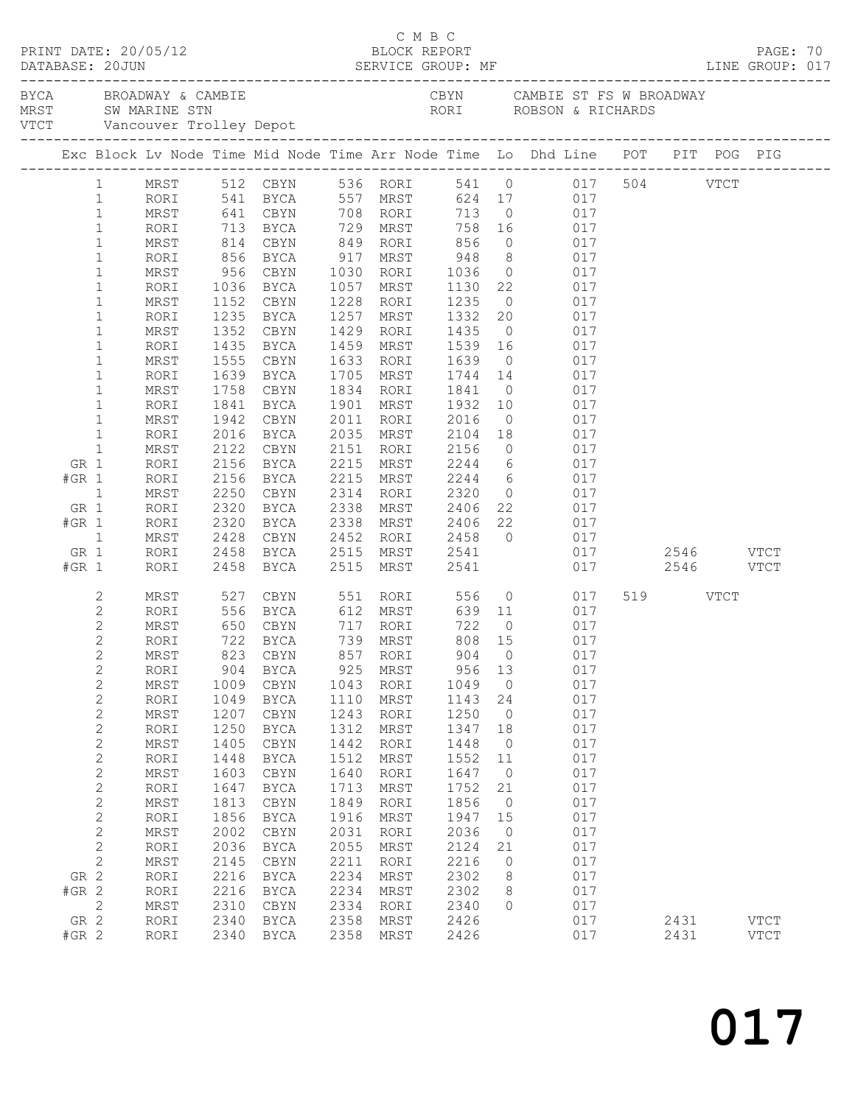|         |                              |              | PRINT DATE: 20/05/12   |                            |              | BLOCK REPORT                                                                   |                                            |                      |                      |                         |     |           | PAGE: 70    |  |
|---------|------------------------------|--------------|------------------------|----------------------------|--------------|--------------------------------------------------------------------------------|--------------------------------------------|----------------------|----------------------|-------------------------|-----|-----------|-------------|--|
|         |                              |              | BYCA BROADWAY & CAMBIE |                            |              | CBYN CAMBIE ST FS W BROADWAY                                                   |                                            |                      |                      |                         |     |           |             |  |
|         |                              |              |                        |                            |              | Exc Block Lv Node Time Mid Node Time Arr Node Time Lo Dhd Line POT PIT POG PIG |                                            |                      |                      |                         |     |           |             |  |
|         |                              |              |                        |                            |              |                                                                                |                                            |                      |                      |                         |     |           |             |  |
|         | 1                            |              |                        |                            |              | MRST 512 CBYN 536 RORI 541 0 017 504 VTCT                                      |                                            |                      |                      |                         |     |           |             |  |
|         | $\mathbf{1}$<br>$\mathbf{1}$ |              |                        |                            |              | RORI 541 BYCA 557 MRST 624 17<br>MRST 641 CBYN 708 RORI 713 0                  |                                            |                      |                      | 624 17 017<br>713 0 017 |     |           |             |  |
|         | $\mathbf{1}$                 | RORI         |                        |                            |              | 713 BYCA 729 MRST                                                              |                                            |                      | 758 16 017           |                         |     |           |             |  |
|         | $\mathbf{1}$                 | MRST         | 814                    | CBYN                       |              | 849 RORI 856                                                                   |                                            |                      | $0\qquad \qquad 017$ |                         |     |           |             |  |
|         | $\mathbf{1}$                 | RORI         |                        |                            |              |                                                                                |                                            |                      |                      | 017                     |     |           |             |  |
|         | $\mathbf{1}$                 | MRST         |                        | 856 BYCA<br>956 CBYN       |              |                                                                                |                                            |                      |                      | $017$                   |     |           |             |  |
|         | $\mathbf 1$                  | RORI         | 1036                   | BYCA                       |              | 1057 MRST                                                                      | 1130  22  017                              |                      |                      |                         |     |           |             |  |
|         | $\mathbf 1$                  | MRST         | 1152                   | CBYN                       |              | 1228 RORI                                                                      | 1235 0                                     |                      |                      | 017                     |     |           |             |  |
|         | $\mathbf 1$                  | RORI         | 1235<br>1352           | BYCA                       |              | 1257 MRST                                                                      | 1332 20                                    |                      |                      | 017                     |     |           |             |  |
|         | $\mathbf{1}$                 | MRST         |                        | CBYN                       |              | 1429 RORI                                                                      | $\begin{array}{c}\n1435 \\ 0\n\end{array}$ |                      |                      | 017                     |     |           |             |  |
|         | $\mathbf 1$                  | RORI         | 1435                   | BYCA                       | 1459         | MRST                                                                           | 1539 16                                    |                      |                      | 017                     |     |           |             |  |
|         | $\mathbf 1$                  | MRST         | 1555                   | CBYN                       | 1633         | RORI                                                                           | 1639 0                                     |                      |                      | 017                     |     |           |             |  |
|         | $\mathbf 1$<br>$\mathbf{1}$  | RORI<br>MRST | 1639<br>1758           | BYCA<br>CBYN               |              | 1705 MRST<br>1834 RORI                                                         | 1744 14<br>1841 0                          |                      |                      | 017<br>017              |     |           |             |  |
|         | $\mathbf 1$                  | RORI         | 1841                   | BYCA                       |              | 1901 MRST 1932 10 017                                                          |                                            |                      |                      |                         |     |           |             |  |
|         | $\mathbf{1}$                 | MRST         | 1942                   | CBYN                       |              | 2011 RORI                                                                      | 2016                                       |                      | 0 017                |                         |     |           |             |  |
|         | $\mathbf{1}$                 | RORI         | 2016                   | BYCA                       |              | 2035 MRST                                                                      | 2104 18                                    |                      |                      | 017                     |     |           |             |  |
|         | $\mathbf{1}$                 | MRST         | 2122                   | CBYN                       |              | 2151 RORI                                                                      | 2156 0                                     |                      |                      | 017                     |     |           |             |  |
| GR 1    |                              | RORI         | 2156                   | BYCA                       |              | 2215 MRST                                                                      | $2244$ 6 017                               |                      |                      |                         |     |           |             |  |
| $#GR$ 1 |                              | RORI         | 2156                   | BYCA                       |              | 2215 MRST                                                                      | 2244 6 017                                 |                      |                      |                         |     |           |             |  |
|         | 1                            | MRST         | 2250<br>2320<br>2320   | CBYN                       |              | 2314 RORI                                                                      | 2320 0                                     |                      |                      | 017                     |     |           |             |  |
| GR 1    |                              | RORI         |                        | BYCA                       |              |                                                                                |                                            |                      |                      |                         |     |           |             |  |
| $#GR$ 1 |                              | RORI         |                        | BYCA                       |              |                                                                                |                                            |                      |                      |                         |     |           |             |  |
| GR 1    | $\mathbf{1}$                 | MRST<br>RORI | 2428                   | BYCA                       |              | CBYN 2452 RORI 2458 0 017<br>2515 MRST 2541                                    |                                            |                      |                      | 017  2546  VTCT         |     |           |             |  |
| $#GR$ 1 |                              | RORI         | 2458<br>2458           | BYCA                       |              | 2515 MRST                                                                      | 2541                                       |                      |                      |                         | 017 | 2546 VTCT |             |  |
|         |                              |              |                        |                            |              |                                                                                |                                            |                      |                      |                         |     |           |             |  |
|         | 2                            | MRST         |                        |                            |              | 527 CBYN 551 RORI                                                              |                                            |                      | 556 0                | 017                     |     | 519 VTCT  |             |  |
|         | 2                            | RORI         | 556                    | BYCA                       |              | 612 MRST 639 11 017                                                            |                                            |                      |                      |                         |     |           |             |  |
|         | $\mathbf{2}$                 | MRST         |                        | 650 CBYN<br>722 BYCA       |              | 717 RORI<br>739 MRST                                                           | 722 0                                      |                      |                      | 017                     |     |           |             |  |
|         | $\overline{c}$               | RORI         |                        |                            |              |                                                                                | 808 15                                     |                      |                      | 017                     |     |           |             |  |
|         | $\overline{2}$               |              |                        |                            |              | MRST 823 CBYN 857 RORI                                                         |                                            |                      | 904 0 017            |                         |     |           |             |  |
|         | $\mathbf{2}$                 | RORI         | 904                    | BYCA                       | 925          | MRST<br>RORI                                                                   | 956                                        | 13                   |                      | 017<br>017              |     |           |             |  |
|         | $\mathbf{2}$<br>$\mathbf{2}$ | MRST<br>RORI | 1009<br>1049           | CBYN<br><b>BYCA</b>        | 1043<br>1110 | MRST                                                                           | 1049<br>1143                               | $\overline{0}$<br>24 |                      | 017                     |     |           |             |  |
|         | $\mathbf{2}$                 | MRST         | 1207                   | CBYN                       | 1243         | RORI                                                                           | 1250                                       | $\overline{0}$       |                      | 017                     |     |           |             |  |
|         | $\mathbf{2}$                 | RORI         | 1250                   | <b>BYCA</b>                | 1312         | MRST                                                                           | 1347                                       | 18                   |                      | 017                     |     |           |             |  |
|         | $\mathbf{2}$                 | MRST         | 1405                   | CBYN                       | 1442         | RORI                                                                           | 1448                                       | $\overline{0}$       |                      | 017                     |     |           |             |  |
|         | $\sqrt{2}$                   | RORI         | 1448                   | <b>BYCA</b>                | 1512         | MRST                                                                           | 1552                                       | 11                   |                      | 017                     |     |           |             |  |
|         | $\mathbf{2}$                 | MRST         | 1603                   | CBYN                       | 1640         | RORI                                                                           | 1647                                       | $\overline{0}$       |                      | 017                     |     |           |             |  |
|         | $\sqrt{2}$                   | RORI         | 1647                   | BYCA                       | 1713         | MRST                                                                           | 1752                                       | 21                   |                      | 017                     |     |           |             |  |
|         | $\mathbf{2}$                 | MRST         | 1813                   | CBYN                       | 1849         | RORI                                                                           | 1856                                       | $\overline{0}$       |                      | 017                     |     |           |             |  |
|         | $\overline{c}$               | RORI         | 1856                   | BYCA                       | 1916         | MRST                                                                           | 1947                                       | 15                   |                      | 017                     |     |           |             |  |
|         | $\sqrt{2}$                   | $\tt MRST$   | 2002                   | CBYN                       | 2031         | RORI                                                                           | 2036                                       | $\overline{0}$       |                      | 017                     |     |           |             |  |
|         | $\mathbf{2}$                 | RORI         | 2036                   | BYCA                       | 2055         | MRST                                                                           | 2124                                       | 21                   |                      | 017                     |     |           |             |  |
| GR 2    | $\mathbf{2}$                 | $\tt MRST$   | 2145<br>2216           | CBYN                       | 2211<br>2234 | RORI                                                                           | 2216<br>2302                               | $\circ$<br>8         |                      | 017<br>017              |     |           |             |  |
| $#GR$ 2 |                              | RORI<br>RORI | 2216                   | <b>BYCA</b><br><b>BYCA</b> | 2234         | MRST<br>MRST                                                                   | 2302                                       | 8                    |                      | 017                     |     |           |             |  |
|         | 2                            | MRST         | 2310                   | CBYN                       | 2334         | RORI                                                                           | 2340                                       | $\circ$              |                      | 017                     |     |           |             |  |
| GR 2    |                              | RORI         | 2340                   | <b>BYCA</b>                | 2358         | MRST                                                                           | 2426                                       |                      |                      | 017                     |     | 2431      | <b>VTCT</b> |  |
| $#GR$ 2 |                              | RORI         | 2340                   | BYCA                       | 2358         | MRST                                                                           | 2426                                       |                      |                      | 017                     |     | 2431      | <b>VTCT</b> |  |
|         |                              |              |                        |                            |              |                                                                                |                                            |                      |                      |                         |     |           |             |  |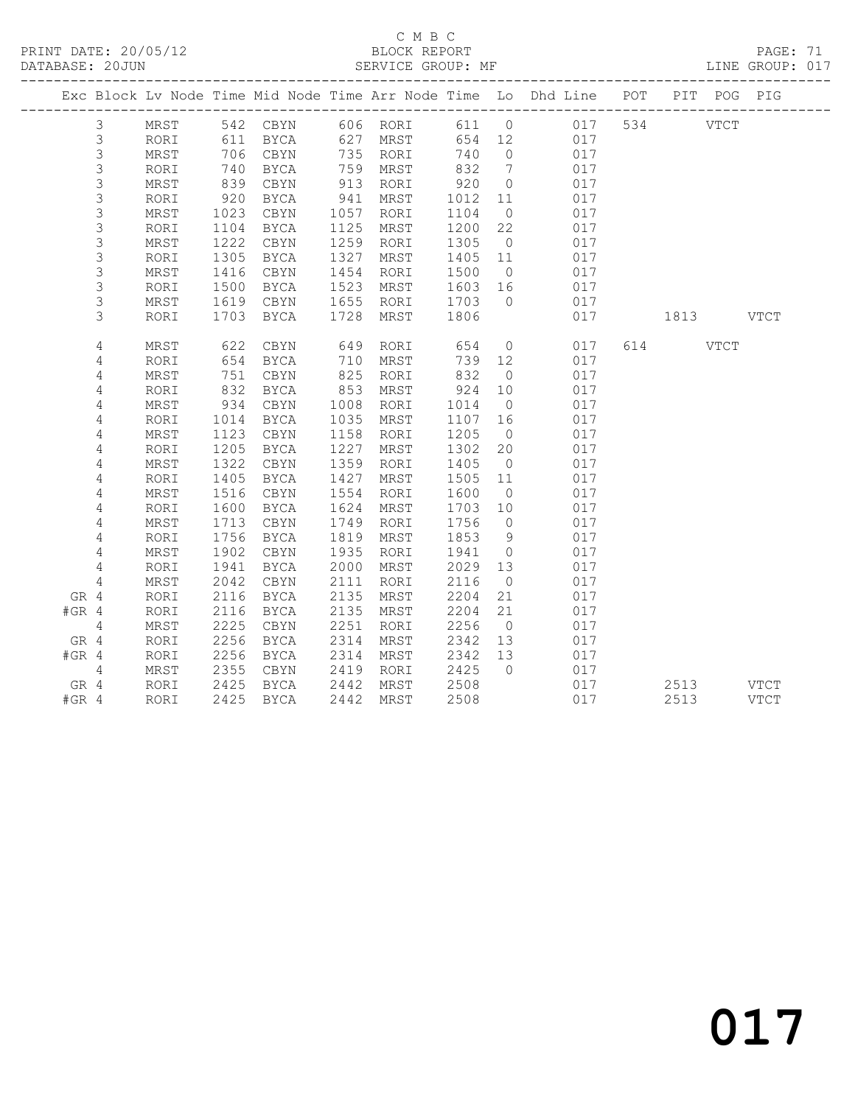#### C M B C<br>BLOCK REPORT

PAGE: 71<br>LINE GROUP: 017

|                |      |            |      |      |          |         |                | Exc Block Lv Node Time Mid Node Time Arr Node Time Lo Dhd Line POT PIT POG PIG |           |             |
|----------------|------|------------|------|------|----------|---------|----------------|--------------------------------------------------------------------------------|-----------|-------------|
| $\mathfrak{Z}$ | MRST |            |      |      |          |         |                | 542 CBYN 606 RORI 611 0 017                                                    | 534 VTCT  |             |
| $\mathsf 3$    | RORI | 611        | BYCA |      | 627 MRST | 654 12  |                | 017                                                                            |           |             |
| $\mathsf S$    | MRST | 706        | CBYN |      | 735 RORI | 740     | $\overline{0}$ | 017                                                                            |           |             |
| 3              | RORI | 740        | BYCA |      | 759 MRST | 832     | $\overline{7}$ | 017                                                                            |           |             |
| $\mathsf S$    | MRST | 839        | CBYN | 913  | RORI     | 920     | $\overline{0}$ | 017                                                                            |           |             |
| $\mathsf 3$    | RORI | 920        | BYCA | 941  | MRST     | 1012    | 11             | 017                                                                            |           |             |
| $\mathsf S$    | MRST | 1023       | CBYN | 1057 | RORI     | 1104    | $\overline{0}$ | 017                                                                            |           |             |
| $\mathsf 3$    | RORI | 1104       | BYCA | 1125 | MRST     | 1200    | 22             | 017                                                                            |           |             |
| $\mathsf S$    | MRST | 1222       | CBYN | 1259 | RORI     | 1305    | $\overline{0}$ | 017                                                                            |           |             |
| 3              | RORI | 1305       | BYCA | 1327 | MRST     | 1405 11 |                | 017                                                                            |           |             |
| 3              | MRST | 1416       | CBYN | 1454 | RORI     | 1500    | $\overline{0}$ | 017                                                                            |           |             |
| 3              | RORI | 1500       | BYCA | 1523 | MRST     | 1603 16 |                | 017                                                                            |           |             |
| 3              | MRST | 1619       | CBYN | 1655 | RORI     | 1703    | $\bigcirc$     | 017                                                                            |           |             |
| 3              | RORI | 1703       | BYCA | 1728 | MRST     | 1806    |                | 017                                                                            | 1813 VTCT |             |
| 4              | MRST |            | CBYN | 649  | RORI     | 654     | $\overline{0}$ | 017                                                                            | 614 VTCT  |             |
| 4              | RORI | 622<br>654 | BYCA | 710  | MRST     | 739 12  |                | 017                                                                            |           |             |
| 4              | MRST | 751        | CBYN | 825  | RORI     | 832     | $\overline{0}$ | 017                                                                            |           |             |
| 4              | RORI | 832        | BYCA | 853  | MRST     | 924     | 10             | 017                                                                            |           |             |
| 4              | MRST | 934        | CBYN | 1008 | RORI     | 1014    | $\overline{0}$ | 017                                                                            |           |             |
| 4              | RORI | 1014       | BYCA | 1035 | MRST     | 1107    | 16             | 017                                                                            |           |             |
| 4              | MRST | 1123       | CBYN | 1158 | RORI     | 1205    | $\overline{0}$ | 017                                                                            |           |             |
| 4              | RORI | 1205       | BYCA | 1227 | MRST     | 1302    | 20             | 017                                                                            |           |             |
| 4              | MRST | 1322       | CBYN | 1359 | RORI     | 1405    | $\overline{0}$ | 017                                                                            |           |             |
| 4              | RORI | 1405       | BYCA | 1427 | MRST     | 1505 11 |                | 017                                                                            |           |             |
| 4              | MRST | 1516       | CBYN | 1554 | RORI     | 1600    | $\overline{0}$ | 017                                                                            |           |             |
| 4              | RORI | 1600       | BYCA | 1624 | MRST     | 1703    | 10             | 017                                                                            |           |             |
| 4              | MRST | 1713       | CBYN | 1749 | RORI     | 1756    | $\overline{0}$ | 017                                                                            |           |             |
| 4              | RORI | 1756       | BYCA | 1819 | MRST     | 1853    | 9              | 017                                                                            |           |             |
| 4              | MRST | 1902       | CBYN | 1935 | RORI     | 1941    | $\overline{0}$ | 017                                                                            |           |             |
| 4              | RORI | 1941       | BYCA | 2000 | MRST     | 2029    | 13             | 017                                                                            |           |             |
| $\overline{4}$ | MRST | 2042       | CBYN | 2111 | RORI     | 2116    | $\overline{0}$ | 017                                                                            |           |             |
| GR 4           | RORI | 2116       | BYCA | 2135 | MRST     | 2204    | 21             | 017                                                                            |           |             |
| $#GR$ 4        | RORI | 2116       | BYCA | 2135 | MRST     | 2204    | 21             | 017                                                                            |           |             |
| 4              | MRST | 2225       | CBYN | 2251 | RORI     | 2256    | $\overline{0}$ | 017                                                                            |           |             |
| GR 4           | RORI | 2256       | BYCA | 2314 | MRST     | 2342    | 13             | 017                                                                            |           |             |
| $#GR$ 4        | RORI | 2256       | BYCA | 2314 | MRST     | 2342    | 13             | 017                                                                            |           |             |
| 4              | MRST | 2355       | CBYN | 2419 | RORI     | 2425    | $\overline{0}$ | 017                                                                            |           |             |
| GR 4           | RORI | 2425       | BYCA | 2442 | MRST     | 2508    |                | 017                                                                            | 2513      | <b>VTCT</b> |
| $#GR$ 4        | RORI | 2425       | BYCA | 2442 | MRST     | 2508    |                | 017                                                                            | 2513      | <b>VTCT</b> |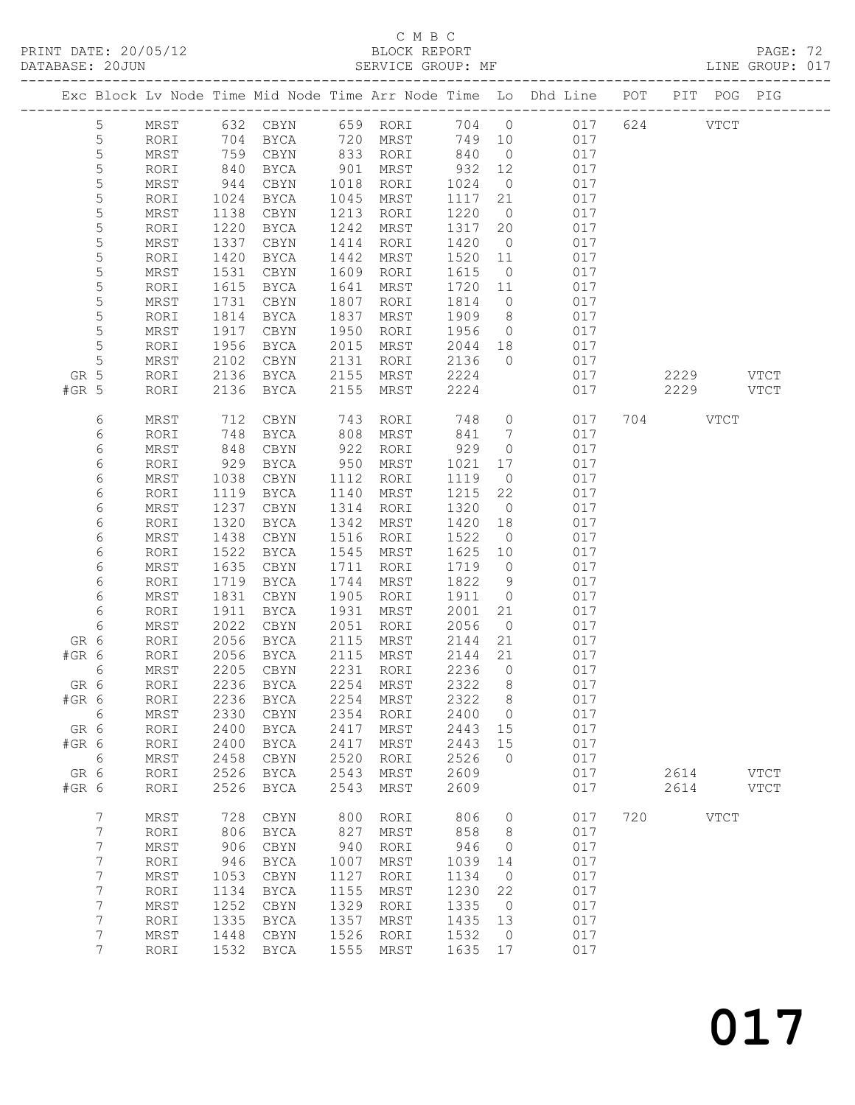### C M B C<br>BLOCK REPORT<br>SERVICE GROUP: MF

|                                                         |                                                                                                                                                                                 |                                                                                                                                                                                                      |                                                                                                                                                                                          |                                                                                                                                                                                                                                              |                                                                                                                                                                                           |                                                                                                                                                                                                          |                                                                                                                                                                                                      |                                                                                                                                                                                                                | PRINT DATE: 20/05/12<br>BLOCK REPORT BLOCK PERE ME<br>DATABASE: 20JUN SERVICE GROUP: MF LINE GROUP: 017                                                                                                                            |     |                   |             |             |  |
|---------------------------------------------------------|---------------------------------------------------------------------------------------------------------------------------------------------------------------------------------|------------------------------------------------------------------------------------------------------------------------------------------------------------------------------------------------------|------------------------------------------------------------------------------------------------------------------------------------------------------------------------------------------|----------------------------------------------------------------------------------------------------------------------------------------------------------------------------------------------------------------------------------------------|-------------------------------------------------------------------------------------------------------------------------------------------------------------------------------------------|----------------------------------------------------------------------------------------------------------------------------------------------------------------------------------------------------------|------------------------------------------------------------------------------------------------------------------------------------------------------------------------------------------------------|----------------------------------------------------------------------------------------------------------------------------------------------------------------------------------------------------------------|------------------------------------------------------------------------------------------------------------------------------------------------------------------------------------------------------------------------------------|-----|-------------------|-------------|-------------|--|
|                                                         |                                                                                                                                                                                 |                                                                                                                                                                                                      |                                                                                                                                                                                          |                                                                                                                                                                                                                                              |                                                                                                                                                                                           |                                                                                                                                                                                                          |                                                                                                                                                                                                      |                                                                                                                                                                                                                | Exc Block Lv Node Time Mid Node Time Arr Node Time Lo Dhd Line POT PIT POG PIG                                                                                                                                                     |     |                   |             |             |  |
| GR 5<br>$#GR$ 5                                         | $5\phantom{.0}$<br>5<br>$\mathsf S$<br>$\mathsf S$<br>5<br>5<br>$\mathsf S$<br>$\mathsf S$<br>$\mathsf S$<br>5<br>$\mathsf S$<br>5<br>5<br>5<br>$\mathsf S$<br>$\mathsf S$<br>5 | MRST<br>RORI<br>MRST<br>RORI<br>MRST<br>RORI<br>MRST<br>RORI<br>MRST<br>RORI<br>MRST<br>RORI<br>MRST<br>RORI<br>MRST<br>RORI<br>MRST<br>RORI<br>RORI                                                 | 944<br>1024<br>1138<br>1220<br>1337<br>1420<br>1531<br>1615<br>1731<br>1814<br>1917<br>1956<br>2102<br>2136<br>2136                                                                      | 632 CBYN 659 RORI<br>704 BYCA<br>759 CBYN<br>840 BYCA<br>CBYN<br>BYCA<br>CBYN<br>BYCA<br>CBYN<br>BYCA<br>CBYN<br>BYCA<br>CBYN<br>BYCA<br>CBYN<br>BYCA<br>CBYN<br>BYCA<br>BYCA                                                                | 901<br>1018<br>1045<br>1213<br>1242<br>1414<br>1442<br>1609<br>1641<br>1807<br>1837<br>1950<br>2015<br>2131<br>2155<br>2155                                                               | 720 MRST<br>833 RORI<br>MRST<br>RORI<br>MRST<br>RORI<br>MRST<br>RORI<br>MRST<br>RORI<br>MRST<br>RORI<br>MRST<br>RORI<br>MRST<br>RORI<br>MRST<br>MRST                                                     | 840 0<br>1024<br>1117<br>1220<br>1317<br>1420<br>1520<br>1615<br>1720 11<br>1814<br>1909<br>2136<br>2224<br>2224                                                                                     | 21<br>$\overline{0}$<br>$\overline{0}$<br>11<br>$\overline{0}$<br>$\overline{0}$                                                                                                                               | 704 0 017 624 VTCT<br>749 10 017<br>017<br>932 12 017<br>0 017<br>017<br>017<br>20 017<br>017<br>017<br>017<br>017<br>017<br>8 017<br>$\begin{array}{cccc} 1956 & 0 & 017 \\ 2044 & 18 & 017 \end{array}$<br>$0$ 017<br>017<br>017 |     | 2229 VTCT<br>2229 |             | VTCT        |  |
| GR 6<br>#GR 6<br>GR 6<br>#GR 6<br>GR 6<br>#GR 6<br>GR 6 | 6<br>6<br>6<br>6<br>6<br>6<br>6<br>6<br>6<br>6<br>6<br>6<br>6<br>6<br>6<br>6<br>6<br>6                                                                                          | MRST<br>RORI<br>MRST<br>RORI<br>MRST<br>RORI<br>MRST<br>RORI<br>MRST<br>RORI<br>MRST<br>RORI<br>MRST<br>RORI<br>MRST<br>RORI<br>RORI<br>MRST<br>RORI<br>RORI<br>MRST<br>RORI<br>RORI<br>MRST<br>RORI | 712<br>748<br>848<br>929<br>1038<br>1119<br>1237<br>1320<br>1438<br>1522<br>1635<br>1719<br>1831<br>1911<br>2022<br>2056<br>2205<br>2236<br>2236<br>2330<br>2400<br>2400<br>2458<br>2526 | CBYN<br>BYCA<br>CBYN<br>BYCA<br>CBYN<br>BYCA<br>CBYN<br>BYCA<br>CBYN<br>BYCA<br>CBYN<br>BYCA<br>CBYN<br>BYCA<br>CBYN<br>BYCA<br>2056 BYCA<br>CBYN<br><b>BYCA</b><br><b>BYCA</b><br>CBYN<br><b>BYCA</b><br><b>BYCA</b><br>CBYN<br><b>BYCA</b> | 743<br>808<br>950<br>1112<br>1140<br>1314<br>1342<br>1516<br>1545<br>1711<br>1744<br>1905<br>1931<br>2051<br>2115<br>2115<br>2231<br>2254<br>2254<br>2354<br>2417<br>2417<br>2520<br>2543 | RORI<br>MRST<br>922 RORI<br>MRST<br>RORI<br>MRST<br>RORI<br>MRST<br>RORI<br>MRST<br>RORI<br>MRST<br>RORI<br>MRST<br>RORI<br>MRST<br>MRST<br>RORI<br>MRST<br>MRST<br>RORI<br>MRST<br>MRST<br>RORI<br>MRST | 748<br>841<br>929<br>1021<br>1119<br>1215<br>1320<br>1420<br>1522<br>1625 10<br>1719<br>1822<br>1911<br>2001<br>2056<br>2144<br>2144<br>2236<br>2322<br>2322<br>2400<br>2443<br>2443<br>2526<br>2609 | $\overline{0}$<br>17<br>$\overline{0}$<br>22<br>$\overline{0}$<br>18<br>$\overline{0}$<br>$\overline{0}$<br>9<br>$\overline{0}$<br>21<br>$\overline{0}$<br>21<br>21<br>0<br>8<br>8<br>0<br>15<br>15<br>$\circ$ | $\overline{0}$<br>017<br>$7\overline{ }$<br>017<br>017<br>017<br>017<br>017<br>017<br>017<br>017<br>017<br>017<br>017<br>017<br>017<br>017<br>017<br>017<br>017<br>017<br>017<br>017<br>017<br>017<br>017<br>017                   |     | 704 VTCT<br>2614  |             | <b>VTCT</b> |  |
| #GR 6                                                   | $\boldsymbol{7}$<br>$\boldsymbol{7}$<br>$\boldsymbol{7}$<br>$\boldsymbol{7}$<br>$\boldsymbol{7}$<br>$\boldsymbol{7}$<br>7<br>7<br>7<br>7                                        | RORI<br>MRST<br>RORI<br>MRST<br>RORI<br>$\mbox{MRST}$<br>RORI<br>$\mbox{MRST}$<br>RORI<br>$\mbox{MRST}$<br>RORI                                                                                      | 2526<br>728<br>806<br>906<br>946<br>1053<br>1134<br>1252<br>1335<br>1448<br>1532                                                                                                         | <b>BYCA</b><br>$\tt CBYN$<br>BYCA<br>CBYN<br><b>BYCA</b><br>$\tt CBYN$<br><b>BYCA</b><br>$\tt CBYN$<br><b>BYCA</b><br>$\tt CBYN$<br><b>BYCA</b>                                                                                              | 2543<br>800<br>827<br>940<br>1007<br>1127<br>1155<br>1329<br>1357<br>1526<br>1555                                                                                                         | MRST<br>RORI<br>MRST<br>RORI<br>MRST<br>RORI<br>MRST<br>RORI<br>MRST<br>RORI<br>MRST                                                                                                                     | 2609<br>806<br>858<br>946<br>1039<br>1134<br>1230<br>1335<br>1435<br>1532<br>1635                                                                                                                    | 0<br>8<br>0<br>14<br>$\circ$<br>22<br>$\circ$<br>13<br>0<br>17                                                                                                                                                 | 017<br>017<br>017<br>017<br>017<br>017<br>017<br>017<br>017<br>017<br>017                                                                                                                                                          | 720 | 2614              | <b>VTCT</b> | <b>VTCT</b> |  |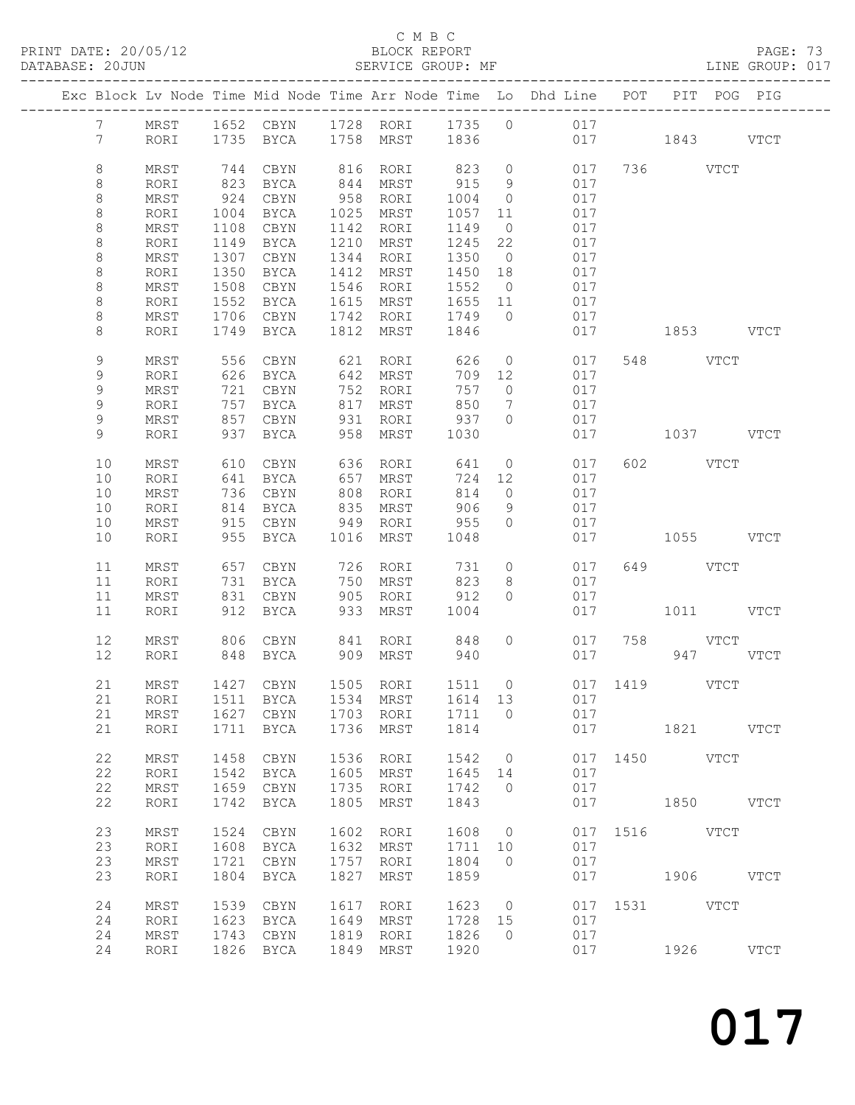PRINT DATE: 20/05/12 BLOCK REPORT<br>DATABASE: 20JUN SERVICE GROUP: MF

### C M B C<br>BLOCK REPORT

PAGE: 73<br>LINE GROUP: 017

|                 |      |      |                            |      |           |         |                 | Exc Block Lv Node Time Mid Node Time Arr Node Time Lo Dhd Line POT PIT POG PIG |               |           |      |
|-----------------|------|------|----------------------------|------|-----------|---------|-----------------|--------------------------------------------------------------------------------|---------------|-----------|------|
| $7\phantom{.}$  | MRST |      | 1652 CBYN 1728 RORI 1735 0 |      |           |         |                 | 017                                                                            |               |           |      |
| $7\phantom{.0}$ | RORI |      | 1735 BYCA 1758 MRST 1836   |      |           |         |                 |                                                                                | 017 1843 VTCT |           |      |
|                 |      |      |                            |      |           |         |                 |                                                                                |               |           |      |
| 8               | MRST | 744  | CBYN                       | 816  | RORI      | 823     | $\overline{0}$  | 017                                                                            |               | 736 VTCT  |      |
| 8               | RORI | 823  | BYCA                       | 844  | MRST      | 915     | 9               | 017                                                                            |               |           |      |
| $\,8\,$         | MRST | 924  | CBYN                       | 958  | RORI      | 1004    | $\overline{0}$  | 017                                                                            |               |           |      |
| $\,8\,$         | RORI | 1004 | BYCA                       | 1025 | MRST      | 1057    | 11              | 017                                                                            |               |           |      |
| 8               | MRST | 1108 | CBYN                       | 1142 | RORI      | 1149    | $\overline{0}$  | 017                                                                            |               |           |      |
| $\,8\,$         | RORI | 1149 | BYCA                       | 1210 | MRST      | 1245    | 22              | 017                                                                            |               |           |      |
| $\,8\,$         | MRST | 1307 | CBYN                       | 1344 | RORI      | 1350    | $\overline{0}$  | 017                                                                            |               |           |      |
| $\,8\,$         | RORI | 1350 | BYCA                       | 1412 | MRST      | 1450 18 |                 | 017                                                                            |               |           |      |
| 8               | MRST | 1508 | CBYN                       | 1546 | RORI      | 1552    | $\overline{0}$  | 017                                                                            |               |           |      |
| $\,8\,$         | RORI | 1552 | BYCA                       | 1615 | MRST      | 1655 11 |                 | 017                                                                            |               |           |      |
| $\,8\,$         | MRST | 1706 | CBYN                       | 1742 | RORI      | 1749    | $\bigcirc$      | 017                                                                            |               |           |      |
| 8               | RORI | 1749 | BYCA                       | 1812 | MRST      | 1846    |                 | 017                                                                            |               | 1853 VTCT |      |
|                 |      |      |                            |      |           |         |                 |                                                                                |               |           |      |
| 9               | MRST | 556  | CBYN                       | 621  | RORI      | 626     | $\circ$         | 017                                                                            |               | 548 VTCT  |      |
| 9               | RORI | 626  | BYCA                       | 642  | MRST      | 709     | 12              | 017                                                                            |               |           |      |
| 9               | MRST | 721  | CBYN                       | 752  | RORI      | 757     | $\overline{0}$  | 017                                                                            |               |           |      |
| $\mathsf 9$     | RORI | 757  | BYCA                       | 817  | MRST      | 850     | $7\phantom{.0}$ | 017                                                                            |               |           |      |
| 9               | MRST | 857  | CBYN                       | 931  | RORI      | 937     | $\overline{0}$  | 017                                                                            |               |           |      |
| 9               | RORI | 937  | BYCA                       | 958  | MRST      | 1030    |                 | 017                                                                            |               | 1037 VTCT |      |
|                 |      |      |                            |      |           |         |                 |                                                                                |               |           |      |
| 10              | MRST | 610  | CBYN                       | 636  | RORI      | 641     | $\overline{0}$  | 017                                                                            |               | 602 VTCT  |      |
| 10              | RORI | 641  | BYCA                       | 657  | MRST      | 724     | 12              | 017                                                                            |               |           |      |
| 10              | MRST | 736  | CBYN                       | 808  | RORI      | 814     | $\overline{0}$  | 017                                                                            |               |           |      |
| 10              | RORI | 814  | BYCA                       | 835  | MRST      | 906     | 9               | 017                                                                            |               |           |      |
| 10              | MRST | 915  | CBYN                       | 949  | RORI      | 955     | $\circ$         | 017                                                                            |               |           |      |
| 10              | RORI | 955  | BYCA                       | 1016 | MRST      | 1048    |                 | 017                                                                            |               | 1055 VTCT |      |
|                 |      |      |                            |      |           |         |                 |                                                                                |               |           |      |
| 11              | MRST | 657  | CBYN                       | 726  | RORI      | 731     | $\circ$         | 017                                                                            |               | 649 VTCT  |      |
| 11              | RORI | 731  | BYCA                       | 750  | MRST      | 823     | 8               | 017                                                                            |               |           |      |
| 11              | MRST | 831  | CBYN                       | 905  | RORI      | 912     | $\circ$         | 017                                                                            |               |           |      |
| 11              | RORI | 912  | BYCA                       | 933  | MRST      | 1004    |                 | 017                                                                            |               | 1011 VTCT |      |
| 12              | MRST | 806  | CBYN                       | 841  | RORI      | 848     | $\circ$         | 017                                                                            |               | 758 VTCT  |      |
| 12              | RORI | 848  | BYCA                       |      | 909 MRST  | 940     |                 | 017                                                                            |               | 947 VTCT  |      |
|                 |      |      |                            |      |           |         |                 |                                                                                |               |           |      |
| 21              | MRST |      | 1427 CBYN                  |      | 1505 RORI | 1511 0  |                 |                                                                                | 017 1419 VTCT |           |      |
|                 |      |      |                            |      |           |         |                 | 21 RORI 1511 BYCA 1534 MRST 1614 13 017                                        |               |           |      |
| 21              | MRST | 1627 | CBYN                       | 1703 | RORI      | 1711    | $\overline{0}$  | 017                                                                            |               |           |      |
| 21              | RORI | 1711 | BYCA                       | 1736 | MRST      | 1814    |                 | 017                                                                            |               | 1821 VTCT |      |
|                 |      |      |                            |      |           |         |                 |                                                                                |               |           |      |
| 22              | MRST | 1458 | CBYN                       | 1536 | RORI      | 1542    | $\overline{0}$  |                                                                                | 017 1450 VTCT |           |      |
| 22              | RORI | 1542 | BYCA                       | 1605 | MRST      | 1645    | 14              | 017                                                                            |               |           |      |
| 22              | MRST | 1659 | CBYN                       | 1735 | RORI      | 1742    | $\circ$         | 017                                                                            |               |           |      |
| 22              | RORI | 1742 | BYCA                       | 1805 | MRST      | 1843    |                 | 017                                                                            |               | 1850 VTCT |      |
|                 |      |      |                            |      |           |         |                 |                                                                                |               |           |      |
| 23              | MRST | 1524 | CBYN                       | 1602 | RORI      | 1608    | $\overline{0}$  |                                                                                | 017 1516 VTCT |           |      |
| 23              | RORI | 1608 | BYCA                       | 1632 | MRST      | 1711    | 10              | 017                                                                            |               |           |      |
| 23              | MRST | 1721 | CBYN                       | 1757 | RORI      | 1804    | $\Omega$        | 017                                                                            |               |           |      |
| 23              | RORI | 1804 | BYCA                       | 1827 | MRST      | 1859    |                 | 017                                                                            |               | 1906 VTCT |      |
| 24              | MRST | 1539 | CBYN                       | 1617 | RORI      | 1623    | $\overline{0}$  | 017                                                                            |               | 1531 VTCT |      |
| 24              | RORI | 1623 | BYCA                       | 1649 | MRST      | 1728    | 15              | 017                                                                            |               |           |      |
| 24              | MRST | 1743 | CBYN                       | 1819 | RORI      | 1826    | $\overline{0}$  | 017                                                                            |               |           |      |
| 24              | RORI | 1826 | BYCA                       | 1849 | MRST      | 1920    |                 | 017                                                                            |               | 1926      | VTCT |
|                 |      |      |                            |      |           |         |                 |                                                                                |               |           |      |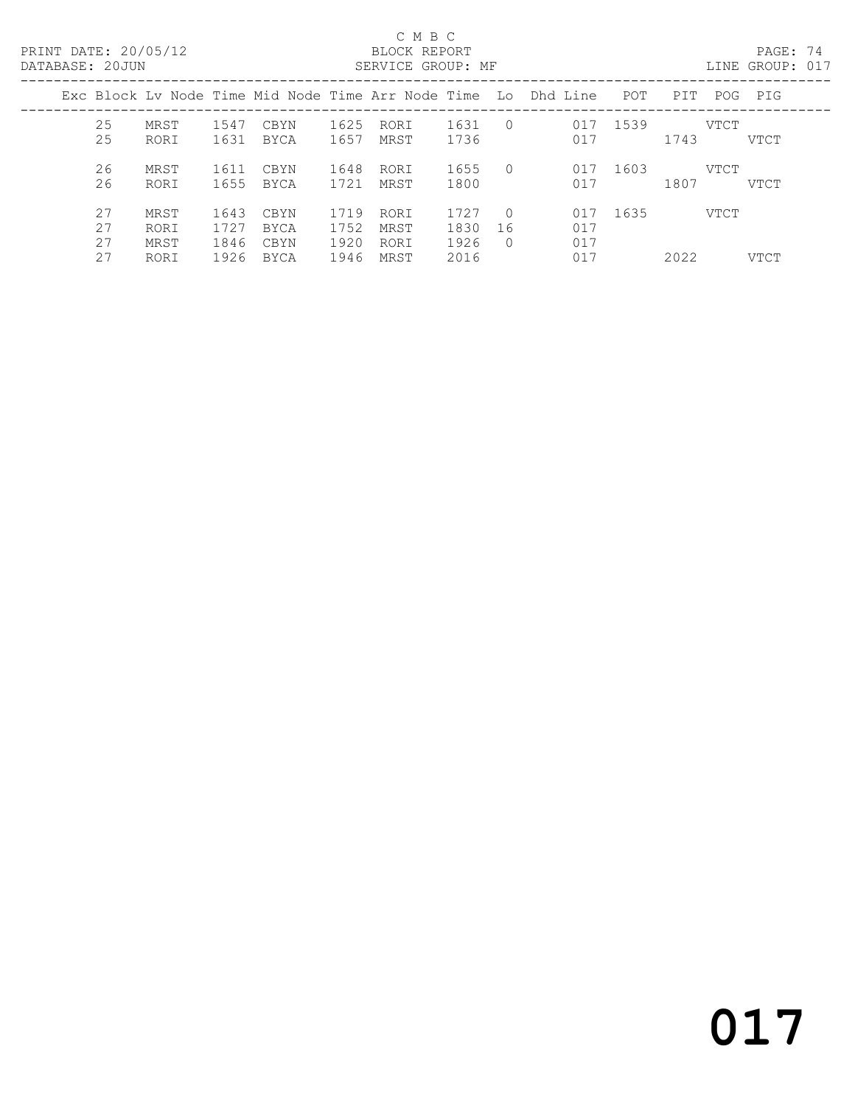### C M B C<br>BLOCK REPORT

| DATABASE: 20JUN |                      |                              |                              |                              |                              | SERVICE GROUP: MF            |                              |                               |                                                                |      |              | LINE GROUP: 017 |  |
|-----------------|----------------------|------------------------------|------------------------------|------------------------------|------------------------------|------------------------------|------------------------------|-------------------------------|----------------------------------------------------------------|------|--------------|-----------------|--|
|                 |                      |                              |                              |                              |                              |                              |                              |                               | Exc Block Ly Node Time Mid Node Time Arr Node Time Lo Dhd Line | POT  | PIT<br>POG   | PIG             |  |
|                 | 25<br>25             | MRST<br>RORI                 | 1547<br>1631                 | CBYN<br>BYCA                 | 1625<br>1657                 | RORI<br>MRST                 | 1631<br>1736                 | $\bigcirc$                    | 017<br>017                                                     | 1539 | VTCT<br>1743 | VTCT            |  |
|                 | 26<br>26             | MRST<br>RORI                 | 1611<br>1655                 | CBYN<br>BYCA                 | 1648<br>1721                 | RORI<br>MRST                 | 1655<br>1800                 | $\bigcap$                     | 017<br>017                                                     | 1603 | VTCT<br>1807 | VTCT            |  |
|                 | 27<br>27<br>27<br>27 | MRST<br>RORI<br>MRST<br>RORI | 1643<br>1727<br>1846<br>1926 | CBYN<br>BYCA<br>CBYN<br>BYCA | 1719<br>1752<br>1920<br>1946 | RORI<br>MRST<br>RORI<br>MRST | 1727<br>1830<br>1926<br>2016 | $\bigcirc$<br>16<br>$\bigcap$ | 017<br>017<br>017<br>017                                       | 1635 | VTCT<br>2022 | VTCT            |  |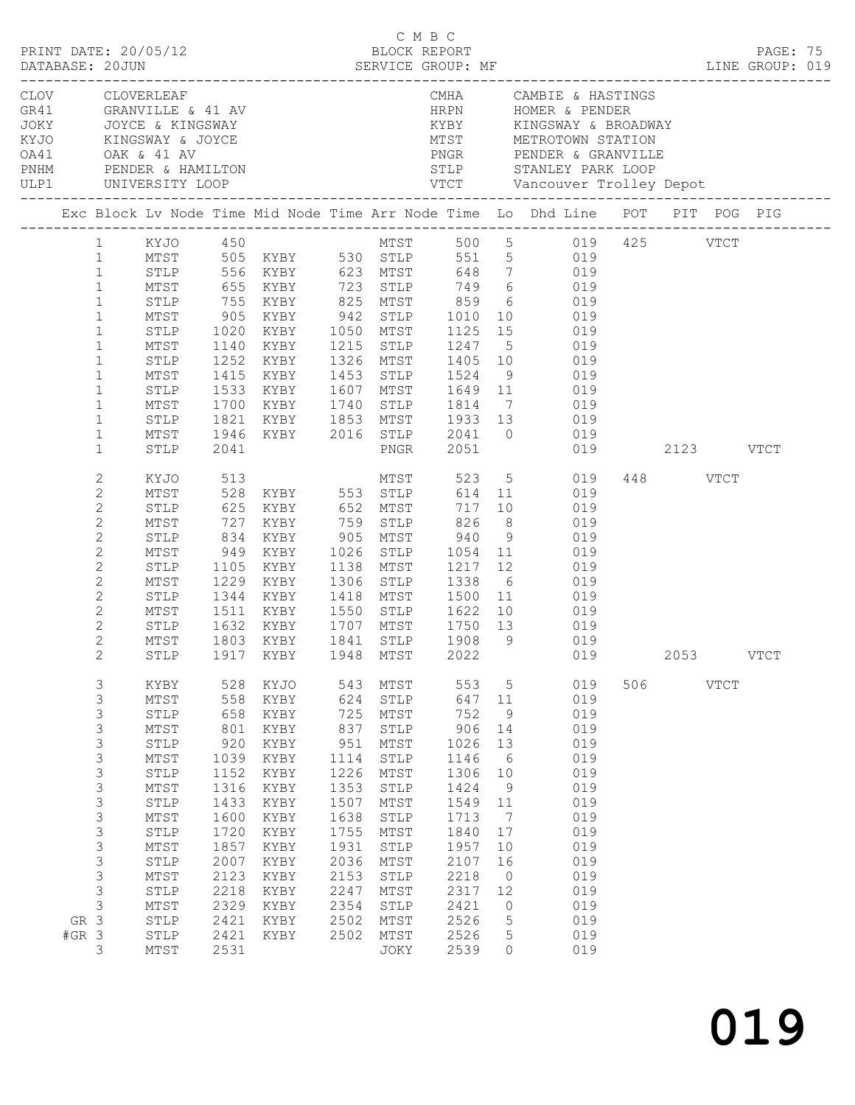|                 | PRINT DATE: 20/05/12                                                                                                                                                                                         |                                                                                                                                                                                                            |                                                                                                                                                 |                                                                                                                                              |                                                                                                                                         | C M B C<br>BLOCK REPORT                                                                                                                                                            |                                                                                                                                                  |                                                                                                                  | DATABASE: 20JUN SERVICE GROUP: MF LINE GROUP: 019<br>LINE GROUP: 019                                                                                                                                                                                                                                                                                                                                                                                                                                                            |     |                       |             | PAGE: 75 |  |
|-----------------|--------------------------------------------------------------------------------------------------------------------------------------------------------------------------------------------------------------|------------------------------------------------------------------------------------------------------------------------------------------------------------------------------------------------------------|-------------------------------------------------------------------------------------------------------------------------------------------------|----------------------------------------------------------------------------------------------------------------------------------------------|-----------------------------------------------------------------------------------------------------------------------------------------|------------------------------------------------------------------------------------------------------------------------------------------------------------------------------------|--------------------------------------------------------------------------------------------------------------------------------------------------|------------------------------------------------------------------------------------------------------------------|---------------------------------------------------------------------------------------------------------------------------------------------------------------------------------------------------------------------------------------------------------------------------------------------------------------------------------------------------------------------------------------------------------------------------------------------------------------------------------------------------------------------------------|-----|-----------------------|-------------|----------|--|
|                 |                                                                                                                                                                                                              | OA41 OAK & 41 AV<br>PNHM PENDER & HAMILTON<br>ULP1 UNIVERSITY LOOP                                                                                                                                         |                                                                                                                                                 | CLOV CLOVERLEAF<br>GR41 GRANVILLE & 41 AV<br>JOKY JOYCE & KINGSWAY<br>KYJO KINGSWAY & JOYCE                                                  |                                                                                                                                         |                                                                                                                                                                                    | HRPN                                                                                                                                             |                                                                                                                  | CMHA CAMBIE & HASTINGS<br>HRPN HOMER & PENDER<br>KYBY KINGSWAY & BROADWAY<br>MTST METROTOWN STATION                                                                                                                                                                                                                                                                                                                                                                                                                             |     |                       |             |          |  |
|                 |                                                                                                                                                                                                              |                                                                                                                                                                                                            |                                                                                                                                                 |                                                                                                                                              |                                                                                                                                         |                                                                                                                                                                                    |                                                                                                                                                  |                                                                                                                  | Exc Block Lv Node Time Mid Node Time Arr Node Time Lo Dhd Line POT PIT POG PIG                                                                                                                                                                                                                                                                                                                                                                                                                                                  |     |                       |             |          |  |
|                 | $\mathbf{1}$<br>$\mathbf{1}$<br>$\mathbf{1}$<br>$\mathbf{1}$<br>$\mathbf{1}$<br>$\mathbf{1}$<br>$\mathbf{1}$<br>$\mathbf{1}$<br>$\mathbf{1}$<br>$\mathbf{1}$<br>$\mathbf{1}$<br>$\mathbf{1}$<br>$\mathbf{1}$ | STLP<br>MTST<br>STLP<br>MTST<br>STLP<br>MTST<br>STLP<br>MTST<br>STLP<br>MTST<br>STLP                                                                                                                       | 1020<br>2041                                                                                                                                    |                                                                                                                                              |                                                                                                                                         |                                                                                                                                                                                    |                                                                                                                                                  |                                                                                                                  | 1 KYJO 450 MTST 500 5 019 425 VTCT<br>1 MTST 505 KYBY 530 STLP 551 5 019<br>STLP 556 KYBY 623 MTST 648 7 019<br>MTST 655 KYBY 723 STLP 749 6 019<br>STLP 755 KYBY 825 MTST 859 6 019<br>905 KYBY 942 STLP 1010 10 019<br>KYBY 1050 MTST 1125 15 019<br>1140 KYBY 1215 STLP 1247 5 019<br>1252 KYBY 1326 MTST 1405 10 019<br>1415 KYBY 1453 STLP 1524 9 019<br>1533 KYBY 1607 MTST 1649 11 019<br>1700 KYBY 1740 STLP 1814 7 019<br>1821 KYBY 1853 MTST 1933 13 019<br>1946 KYBY 2016 STLP 2041 0 019<br>PNGR 2051 019 2123 VTCT |     |                       |             |          |  |
|                 |                                                                                                                                                                                                              |                                                                                                                                                                                                            |                                                                                                                                                 |                                                                                                                                              |                                                                                                                                         |                                                                                                                                                                                    |                                                                                                                                                  |                                                                                                                  |                                                                                                                                                                                                                                                                                                                                                                                                                                                                                                                                 |     |                       |             |          |  |
|                 | $\mathbf{2}$<br>$\mathbf{2}$<br>$\overline{c}$<br>$\mathbf{2}$<br>$\mathbf{2}$<br>$\mathbf{2}$<br>$\mathbf{2}$<br>$\overline{c}$<br>$\overline{c}$<br>2<br>$\overline{2}$<br>$\overline{2}$<br>$2^{\circ}$   | KYJO<br>MTST<br>STLP<br>MTST<br>STLP<br>MTST<br>STLP<br>MTST<br>STLP<br>MTST<br>MTST                                                                                                                       | 513                                                                                                                                             | 625 KYBY 652 MTST<br>1105 KYBY 1138 MTST 1217 12<br>STLP 1632 KYBY 1707 MTST 1750 13<br>1803 KYBY<br>STLP 1917 KYBY 1948 MTST 2022           |                                                                                                                                         | 1841 STLP                                                                                                                                                                          |                                                                                                                                                  |                                                                                                                  | MTST 523 5 019<br>717 10 019<br>019<br>1229 KYBY 1306 STLP 1338 6 019<br>1344 KYBY 1418 MTST 1500 11 019<br>1511 KYBY 1550 STLP 1622 10 019<br>019<br>019<br>1908 9 019<br>019                                                                                                                                                                                                                                                                                                                                                  |     | 448 VTCT<br>2053 VTCT |             |          |  |
| GR 3<br>$#GR$ 3 | 3<br>3<br>3<br>3<br>$\mathfrak{Z}$<br>3<br>3<br>3<br>3<br>3<br>$\mathsf S$<br>3<br>3<br>3<br>$\mathsf S$<br>$\mathsf 3$<br>3                                                                                 | KYBY<br>MTST<br>STLP<br>$\mathtt{MTST}$<br>STLP<br>$\mathtt{MTST}$<br>${\tt STLP}$<br>MTST<br>STLP<br>MTST<br>${\tt STLP}$<br>MTST<br>${\tt STLP}$<br>MTST<br>${\tt STLP}$<br>MTST<br>STLP<br>STLP<br>MTST | 528<br>558<br>658<br>801<br>920<br>1039<br>1152<br>1316<br>1433<br>1600<br>1720<br>1857<br>2007<br>2123<br>2218<br>2329<br>2421<br>2421<br>2531 | KYJO<br>KYBY<br>KYBY<br>KYBY<br>KYBY<br>KYBY<br>KYBY<br>KYBY<br>KYBY<br>KYBY<br>KYBY<br>KYBY<br>KYBY<br>KYBY<br>KYBY<br>KYBY<br>KYBY<br>KYBY | 543<br>624<br>725<br>837<br>951<br>1114<br>1226<br>1353<br>1507<br>1638<br>1755<br>1931<br>2036<br>2153<br>2247<br>2354<br>2502<br>2502 | MTST<br>${\tt STLP}$<br>MTST<br>STLP<br>MTST<br>${\tt STLP}$<br>MTST<br>STLP<br>MTST<br>${\tt STLP}$<br>$MTST$<br>STLP<br>$MTST$<br>STLP<br>$MTST$<br>STLP<br>MTST<br>MTST<br>JOKY | 553<br>647<br>752<br>906<br>1026<br>1146<br>1306<br>1424<br>1549<br>1713<br>1840<br>1957<br>2107<br>2218<br>2317<br>2421<br>2526<br>2526<br>2539 | 5<br>11<br>9<br>14<br>13<br>6<br>10<br>9<br>11<br>7<br>17<br>10<br>16<br>$\circ$<br>12<br>0<br>5<br>5<br>$\circ$ | 019<br>019<br>019<br>019<br>019<br>019<br>019<br>019<br>019<br>019<br>019<br>019<br>019<br>019<br>019<br>019<br>019<br>019<br>019                                                                                                                                                                                                                                                                                                                                                                                               | 506 |                       | <b>VTCT</b> |          |  |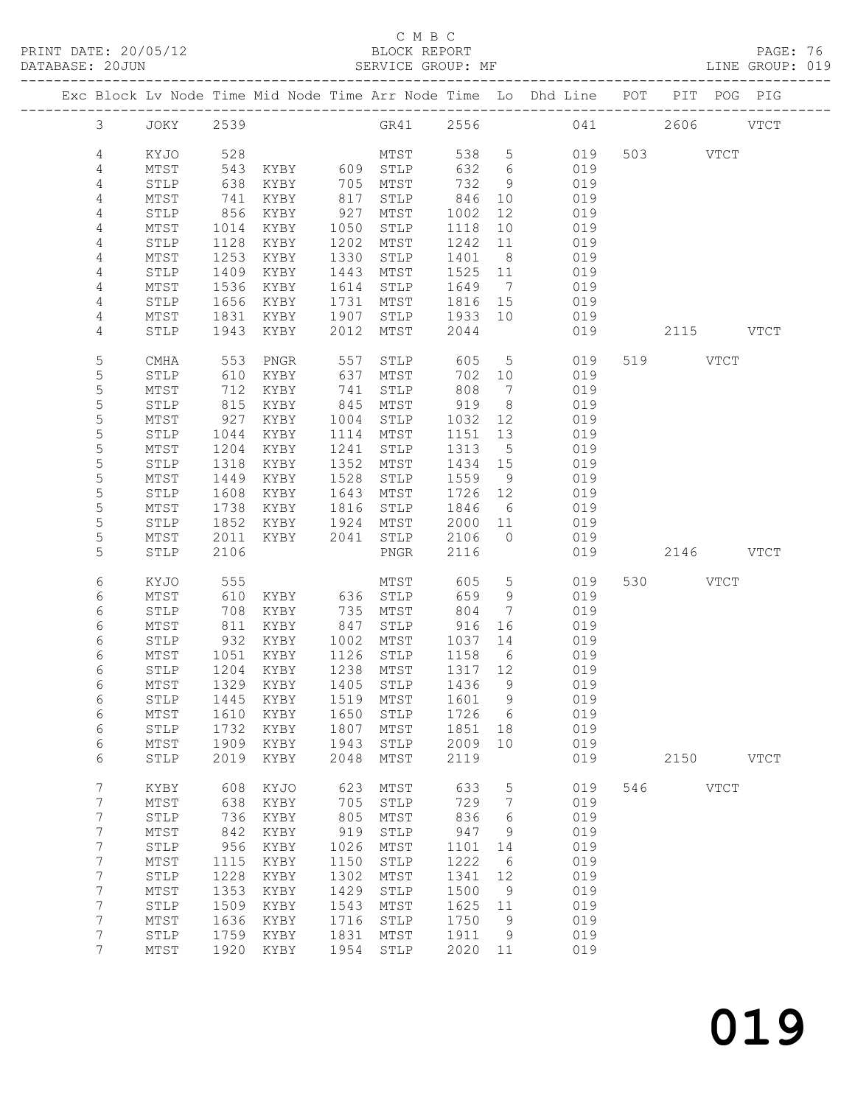### C M B C<br>BLOCK REPORT

| DATABASE: 20JUN |                |                 |                  | SERVICE GROUP: MF                      |      |              |         |                 | LINE GROUP: 019                                                                |     |          |             |  |
|-----------------|----------------|-----------------|------------------|----------------------------------------|------|--------------|---------|-----------------|--------------------------------------------------------------------------------|-----|----------|-------------|--|
|                 |                |                 |                  |                                        |      |              |         |                 | Exc Block Lv Node Time Mid Node Time Arr Node Time Lo Dhd Line POT PIT POG PIG |     |          |             |  |
|                 | $\mathcal{S}$  | JOKY 2539       |                  |                                        |      |              |         |                 | GR41 2556 041 2606 VTCT                                                        |     |          |             |  |
|                 | 4              | KYJO            | 528              |                                        |      | MTST         |         | 538 5           | 019                                                                            |     | 503 VTCT |             |  |
|                 | 4              | MTST            | 543              | KYBY 609 STLP                          |      |              | 632 6   |                 | 019                                                                            |     |          |             |  |
|                 | 4              | STLP            | 638              | KYBY                                   |      | 705 MTST     | 732     | 9               | 019                                                                            |     |          |             |  |
|                 | 4              | MTST            | 741              | KYBY                                   |      | 817 STLP     | 846     | 10              | 019                                                                            |     |          |             |  |
|                 | 4              | STLP            | 856              | KYBY                                   | 927  | MTST         | 1002    | 12              | 019                                                                            |     |          |             |  |
|                 | 4              | MTST            | 1014             | KYBY                                   | 1050 | STLP         | 1118    | 10              | 019                                                                            |     |          |             |  |
|                 | $\overline{4}$ | STLP            | 1128             | KYBY                                   | 1202 | MTST         | 1242    | 11              | 019                                                                            |     |          |             |  |
|                 | 4              | MTST            | 1253             | KYBY                                   | 1330 | STLP         | 1401    | 8 <sup>8</sup>  | 019                                                                            |     |          |             |  |
|                 | 4              | STLP            | 1409             | KYBY                                   | 1443 | MTST         | 1525 11 |                 | 019                                                                            |     |          |             |  |
|                 | 4              | MTST            | 1536             | KYBY                                   |      | 1614 STLP    | 1649    | $\overline{7}$  | 019                                                                            |     |          |             |  |
|                 | 4              | STLP            | 1656             | KYBY                                   | 1731 | MTST         | 1816 15 |                 | 019                                                                            |     |          |             |  |
|                 | 4              | MTST            | 1831             | KYBY                                   | 1907 | STLP         | 1933 10 |                 | 019                                                                            |     |          |             |  |
|                 | 4              | STLP            | 1943             | KYBY                                   | 2012 | MTST         | 2044    |                 | 019                                                                            |     |          | 2115 VTCT   |  |
|                 | 5              | CMHA            | 553              | PNGR                                   | 557  | STLP         | 605     | $5\overline{)}$ | 019                                                                            |     | 519 VTCT |             |  |
|                 | 5              | STLP            | 610              | KYBY                                   |      | 637 MTST     | 702 10  |                 | 019                                                                            |     |          |             |  |
|                 | 5              | MTST            | 712              | KYBY                                   | 741  | STLP         | 808     | $\overline{7}$  | 019                                                                            |     |          |             |  |
|                 | 5              | STLP            | 815              | KYBY                                   |      | 845 MTST     | 919     | 8 <sup>8</sup>  | 019                                                                            |     |          |             |  |
|                 | 5              | MTST            | 927              | KYBY                                   |      | 1004 STLP    | 1032 12 |                 | 019                                                                            |     |          |             |  |
|                 | 5              | ${\tt STLP}$    | 1044             | KYBY                                   | 1114 | MTST         | 1151    | 13              | 019                                                                            |     |          |             |  |
|                 | 5              | MTST            | 1204             | KYBY                                   | 1241 | STLP         | 1313    | $5^{\circ}$     | 019                                                                            |     |          |             |  |
|                 | 5              | STLP            | 1318             | KYBY                                   | 1352 | MTST         | 1434 15 |                 | 019                                                                            |     |          |             |  |
|                 | 5              | MTST            | 1449             | KYBY                                   | 1528 | STLP         | 1559 9  |                 | 019                                                                            |     |          |             |  |
|                 | 5              | ${\tt STLP}$    | 1608             | KYBY                                   |      | 1643 MTST    | 1726 12 |                 | 019                                                                            |     |          |             |  |
|                 | 5              | MTST            | 1738             | KYBY                                   | 1816 | STLP         | 1846    | 6               | 019                                                                            |     |          |             |  |
|                 | 5              | STLP            | 1852             | KYBY                                   | 1924 | MTST         | 2000 11 |                 | 019                                                                            |     |          |             |  |
|                 | 5              | MTST            | 2011             | KYBY 2041 STLP                         |      |              | 2106    | $\overline{0}$  | 019                                                                            |     |          |             |  |
|                 | 5              | STLP            | 2106             |                                        |      | PNGR         | 2116    |                 | 019                                                                            |     |          | 2146 VTCT   |  |
|                 | 6              | KYJO            | 555              | MTST<br>KYBY 636 STLP<br>KYBY 735 MTST |      |              | 605     | $5\overline{)}$ | 019                                                                            |     | 530 VTCT |             |  |
|                 | 6              | MTST            | 610              |                                        |      |              | 659     | 9               | 019                                                                            |     |          |             |  |
|                 | 6              | STLP            | 708              |                                        |      |              | 804     | $7\overline{ }$ | 019                                                                            |     |          |             |  |
|                 | 6              | MTST            | 811              | KYBY                                   | 847  | STLP         | 916     | 16              | 019                                                                            |     |          |             |  |
|                 | 6              | STLP            | 932              | KYBY 1002 MTST                         |      |              | 1037    | 14              | 019                                                                            |     |          |             |  |
|                 | 6              | MTST            | 1051             | KYBY                                   |      | 1126 STLP    | 1158    | 6               | 019                                                                            |     |          |             |  |
|                 | 6              | STLP            | $\frac{1}{1204}$ | KYBY                                   |      | 1238 MTST    | 1317 12 |                 | 019                                                                            |     |          |             |  |
|                 | 6              |                 |                  |                                        |      |              |         |                 | MTST 1329 KYBY 1405 STLP 1436 9 019                                            |     |          |             |  |
|                 | 6              | STLP            | 1445             | KYBY                                   | 1519 | MTST         | 1601    | $\overline{9}$  | 019                                                                            |     |          |             |  |
|                 | 6              | MTST            | 1610             | KYBY                                   | 1650 | STLP         | 1726    | $6\overline{6}$ | 019                                                                            |     |          |             |  |
|                 | 6              | STLP            | 1732             | KYBY                                   | 1807 | MTST         | 1851    | 18              | 019                                                                            |     |          |             |  |
|                 | 6              | MTST            | 1909             | KYBY                                   | 1943 | STLP         | 2009    | 10              | 019                                                                            |     |          |             |  |
|                 | 6              | STLP            | 2019             | KYBY                                   | 2048 | MTST         | 2119    |                 | 019                                                                            |     |          | 2150 VTCT   |  |
|                 | 7              | KYBY            | 608              | KYJO                                   | 623  | MTST         | 633     | $5\phantom{.0}$ | 019                                                                            | 546 |          | <b>VTCT</b> |  |
|                 | $7\phantom{.}$ | MTST            | 638              | KYBY                                   | 705  | STLP         | 729     | 7               | 019                                                                            |     |          |             |  |
|                 | 7              | ${\tt STLP}$    | 736              | KYBY                                   | 805  | MTST         | 836     | 6               | 019                                                                            |     |          |             |  |
|                 | 7              | $\mathtt{MTST}$ | 842              | KYBY                                   | 919  | ${\tt STLP}$ | 947     | 9               | 019                                                                            |     |          |             |  |
|                 | $\overline{7}$ | STLP            | 956              | KYBY                                   | 1026 | MTST         | 1101    | 14              | 019                                                                            |     |          |             |  |
|                 | 7              | ${\tt MTST}$    | 1115             | KYBY                                   | 1150 | ${\tt STLP}$ | 1222    | $6\overline{6}$ | 019                                                                            |     |          |             |  |
|                 | 7              | STLP            | 1228             | KYBY                                   | 1302 | MTST         | 1341    | 12              | 019                                                                            |     |          |             |  |
|                 | 7              | MTST            | 1353             | KYBY                                   | 1429 | STLP         | 1500    | - 9             | 019                                                                            |     |          |             |  |
|                 | 7              | STLP            | 1509             | KYBY                                   | 1543 | MTST         | 1625    | 11              | 019                                                                            |     |          |             |  |
|                 | 7              | MTST            | 1636             | KYBY                                   | 1716 | STLP         | 1750    | 9               | 019                                                                            |     |          |             |  |
|                 | 7              | STLP            | 1759             | KYBY                                   | 1831 | MTST         | 1911    | 9               | 019                                                                            |     |          |             |  |
|                 | 7              | MTST            | 1920             | KYBY                                   | 1954 | STLP         | 2020    | 11              | 019                                                                            |     |          |             |  |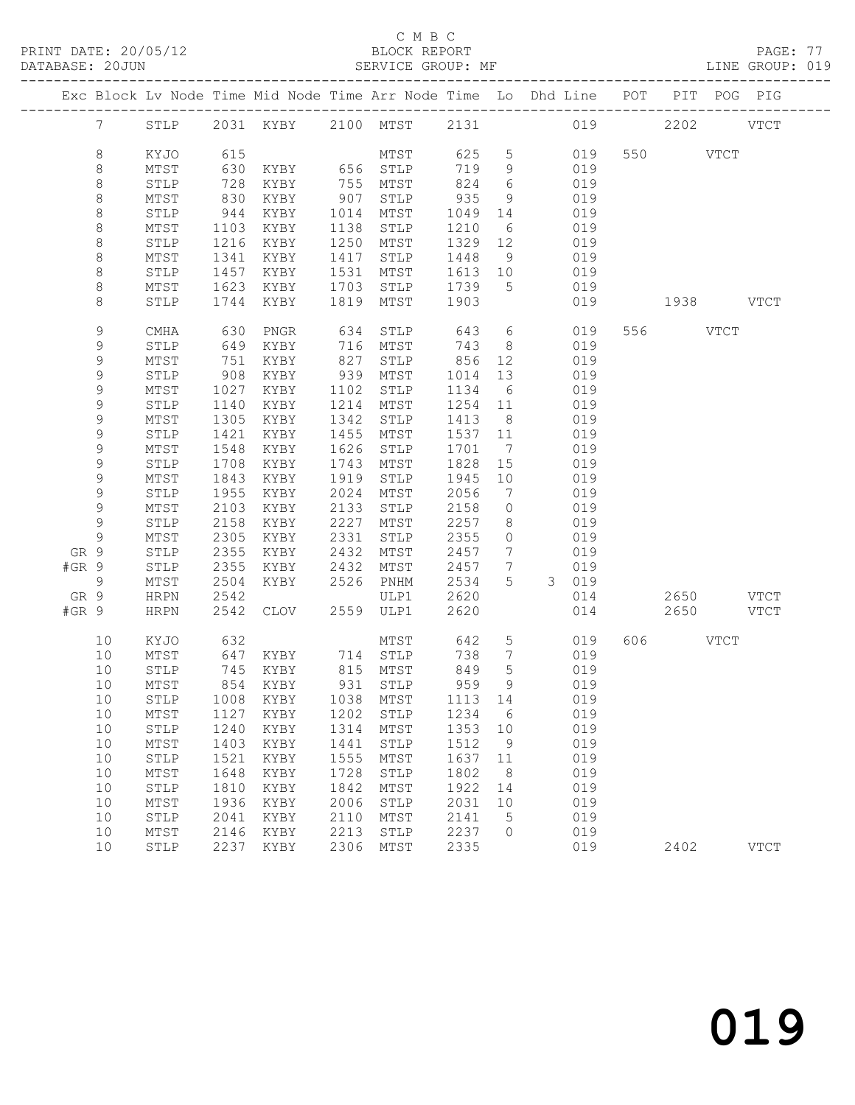PRINT DATE: 20/05/12 BLOCK REPORT BATABASE: 20JUN

### C M B C<br>BLOCK REPORT

PAGE: 77<br>LINE GROUP: 019

|       |                 |                      |            |                                     |            |              |            |                     | Exc Block Lv Node Time Mid Node Time Arr Node Time Lo Dhd Line POT PIT POG PIG |           |             |
|-------|-----------------|----------------------|------------|-------------------------------------|------------|--------------|------------|---------------------|--------------------------------------------------------------------------------|-----------|-------------|
|       | $7\overline{ }$ | STLP                 |            |                                     |            |              |            |                     | 2031 KYBY 2100 MTST 2131 019 2202 VTCT                                         |           |             |
|       | 8               | KYJO                 | 615        |                                     |            | MTST         | 625 5      |                     | 019                                                                            | 550 VTCT  |             |
|       | 8               | MTST                 | 630        | KYBY 656 STLP                       |            |              | 719        | 9                   | 019                                                                            |           |             |
|       | $\,8\,$         | STLP                 | 728        | KYBY                                | 755        | MTST         | 824        | 6                   | 019                                                                            |           |             |
|       | $\,8\,$         | MTST                 | 830        | KYBY                                | 907        | STLP         | 935        | 9                   | 019                                                                            |           |             |
|       | $\,8\,$         | STLP                 | 944        | KYBY                                | 1014       | MTST         | 1049       | 14                  | 019                                                                            |           |             |
|       | 8               | MTST                 | 1103       | KYBY                                | 1138       | STLP         | 1210       | 6                   | 019                                                                            |           |             |
|       | $\,8\,$         | STLP                 | 1216       | KYBY                                | 1250       | MTST         | 1329       | 12                  | 019                                                                            |           |             |
|       | $\,8\,$         | MTST                 | 1341       | KYBY                                | 1417       | STLP         | 1448       | 9                   | 019                                                                            |           |             |
|       | $\,8\,$         | STLP                 | 1457       | KYBY                                | 1531       | MTST         | 1613 10    |                     | 019                                                                            |           |             |
|       | 8               | MTST                 | 1623       | KYBY                                | 1703       | STLP         | 1739       | $5^{\circ}$         | 019                                                                            |           |             |
|       | 8               | STLP                 | 1744       | KYBY                                | 1819       | MTST         | 1903       |                     | 019                                                                            | 1938 VTCT |             |
|       | 9<br>9          | CMHA<br>${\tt STLP}$ | 630<br>649 | PNGR                                | 634<br>716 | STLP         | 643<br>743 | 6<br>8 <sup>8</sup> | 019<br>019                                                                     | 556 VTCT  |             |
|       | 9               | MTST                 | 751        | KYBY<br>KYBY                        | 827        | MTST<br>STLP | 856        | 12                  | 019                                                                            |           |             |
|       | $\mathsf 9$     | STLP                 | 908        | KYBY                                | 939        | MTST         | 1014       | 13                  | 019                                                                            |           |             |
|       | 9               | MTST                 | 1027       | KYBY                                | 1102       | STLP         | 1134       | 6                   | 019                                                                            |           |             |
|       | 9               | STLP                 | 1140       | KYBY                                | 1214       | MTST         | 1254       | 11                  | 019                                                                            |           |             |
|       | 9               | MTST                 | 1305       | KYBY                                | 1342       | STLP         | 1413       | 8 <sup>8</sup>      | 019                                                                            |           |             |
|       | 9               | STLP                 | 1421       | KYBY                                | 1455       | MTST         | 1537       | 11                  | 019                                                                            |           |             |
|       | 9               | MTST                 | 1548       | KYBY                                | 1626       | STLP         | 1701       | $\overline{7}$      | 019                                                                            |           |             |
|       | 9               | STLP                 | 1708       | KYBY                                | 1743       | MTST         | 1828       | 15                  | 019                                                                            |           |             |
|       | 9               | MTST                 | 1843       | KYBY                                | 1919       | STLP         | 1945       | 10                  | 019                                                                            |           |             |
|       | 9               | STLP                 | 1955       | KYBY                                | 2024       | MTST         | 2056       | $\overline{7}$      | 019                                                                            |           |             |
|       | $\mathsf 9$     | MTST                 | 2103       | KYBY                                | 2133       | STLP         | 2158       | $\circ$             | 019                                                                            |           |             |
|       | $\mathsf 9$     | STLP                 | 2158       | KYBY                                | 2227       | MTST         | 2257       | 8                   | 019                                                                            |           |             |
|       | 9               | MTST                 | 2305       | KYBY                                | 2331       | STLP         | 2355       | $\circ$             | 019                                                                            |           |             |
| GR 9  |                 | STLP                 | 2355       | KYBY                                | 2432       | MTST         | 2457       | $7\phantom{.0}$     | 019                                                                            |           |             |
| #GR 9 |                 | STLP                 | 2355       | KYBY                                | 2432       | MTST         | 2457       | $7\phantom{.0}$     | 019                                                                            |           |             |
|       | 9               | MTST                 | 2504       | KYBY                                |            | 2526 PNHM    | 2534       | 5                   | 3 019                                                                          |           |             |
| GR 9  |                 | HRPN                 | 2542       |                                     |            | ULP1         | 2620       |                     | 014                                                                            | 2650 VTCT |             |
| #GR 9 |                 | <b>HRPN</b>          | 2542       | CLOV                                | 2559       | ULP1         | 2620       |                     | 014                                                                            | 2650 VTCT |             |
|       | 10              | KYJO                 | 632        |                                     |            | MTST         | 642        | $5\overline{)}$     | 019                                                                            | 606 VTCT  |             |
|       | 10              | MTST                 | 647        | KYBY 714 STLP                       |            |              | 738        | $\overline{7}$      | 019                                                                            |           |             |
|       | 10              | STLP                 | 745        | KYBY                                |            | 815 MTST     | 849        | $5\phantom{.0}$     | 019                                                                            |           |             |
|       | 10              | MTST                 |            | 854 KYBY                            |            | 931 STLP     | 959        | 9                   | 019                                                                            |           |             |
|       |                 |                      |            | 10 STLP 1008 KYBY 1038 MTST 1113 14 |            |              |            |                     | 019                                                                            |           |             |
|       | 10              | MTST                 | 1127       | KYBY                                | 1202       | STLP         | 1234       | 6                   | 019                                                                            |           |             |
|       | 10              | $\texttt{STLP}$      | 1240       | KYBY                                | 1314       | MTST         | 1353       | 10                  | 019                                                                            |           |             |
|       | 10              | MTST                 | 1403       | KYBY                                | 1441       | STLP         | 1512       | 9                   | 019                                                                            |           |             |
|       | 10              | STLP                 | 1521       | KYBY                                | 1555       | MTST         | 1637       | 11                  | 019                                                                            |           |             |
|       | 10              | MTST                 | 1648       | KYBY                                | 1728       | STLP         | 1802       | 8                   | 019                                                                            |           |             |
|       | 10              | STLP                 | 1810       | KYBY                                | 1842       | MTST         | 1922       | 14                  | 019                                                                            |           |             |
|       | 10              | MTST                 | 1936       | KYBY                                | 2006       | STLP         | 2031       | 10                  | 019                                                                            |           |             |
|       | 10              | STLP                 | 2041       | KYBY                                | 2110       | MTST         | 2141       | 5                   | 019                                                                            |           |             |
|       | 10              | MTST                 | 2146       | KYBY                                | 2213       | STLP         | 2237       | $\mathbf 0$         | 019                                                                            |           |             |
|       | 10              | ${\tt STLP}$         | 2237       | KYBY                                | 2306       | MTST         | 2335       |                     | 019                                                                            | 2402      | <b>VTCT</b> |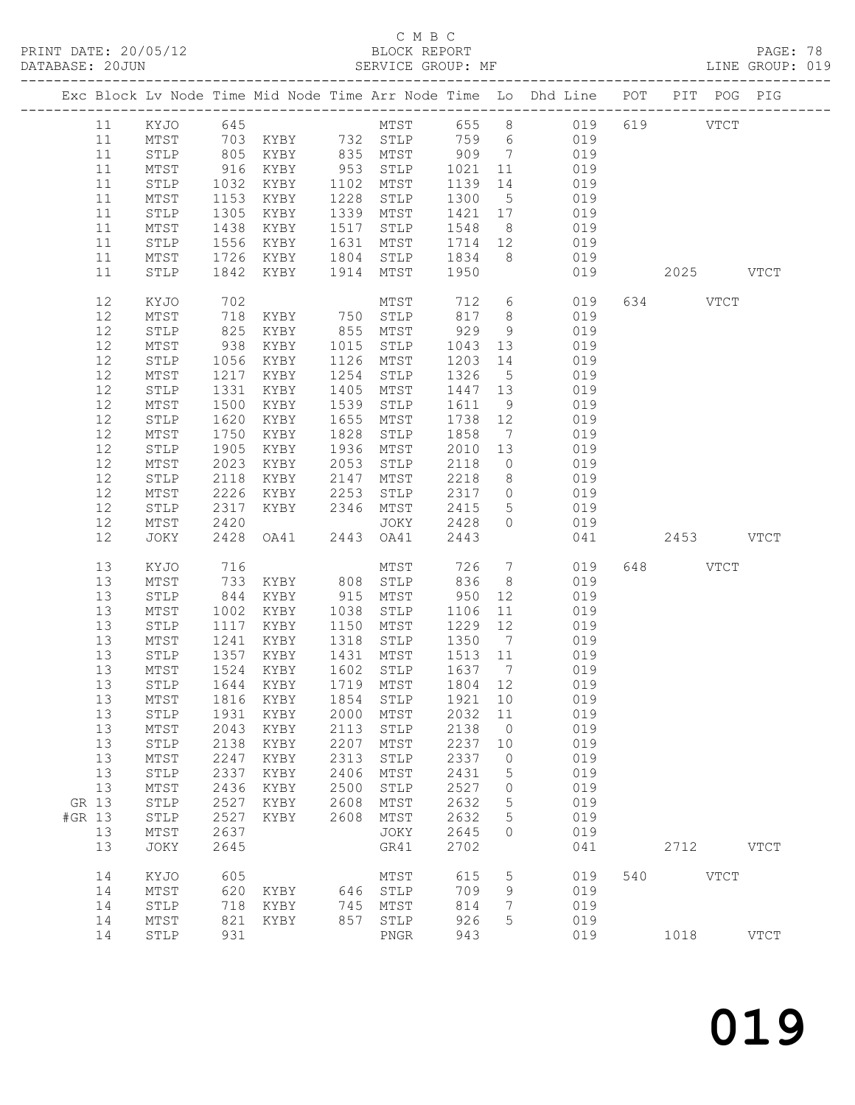## C M B C

| PRINT DATE: 20/05/12<br>DATABASE: 20JUN |          |                 |                |                   |      | 5/12 BLOCK REPORT<br>SERVICE GROUP:       |                    |                                                |                                                                                |     |           |             |             |  |
|-----------------------------------------|----------|-----------------|----------------|-------------------|------|-------------------------------------------|--------------------|------------------------------------------------|--------------------------------------------------------------------------------|-----|-----------|-------------|-------------|--|
|                                         |          |                 |                |                   |      |                                           |                    |                                                | Exc Block Lv Node Time Mid Node Time Arr Node Time Lo Dhd Line POT PIT POG PIG |     |           |             |             |  |
|                                         |          |                 |                |                   |      |                                           |                    |                                                |                                                                                |     |           |             |             |  |
|                                         |          |                 |                |                   |      |                                           |                    |                                                |                                                                                |     |           |             |             |  |
|                                         |          |                 |                |                   |      |                                           |                    |                                                |                                                                                |     |           |             |             |  |
|                                         | 11       | MTST            |                | 916 KYBY          |      |                                           |                    |                                                | 953 STLP 1021 11 019                                                           |     |           |             |             |  |
|                                         | 11       | STLP            |                | KYBY 1102 MTST    |      |                                           |                    |                                                |                                                                                |     |           |             |             |  |
|                                         | 11       | MTST            | $1032$<br>1153 | 1153 KYBY         |      | $1228$ STLP                               |                    |                                                | 1139 14 019<br>1300 5 019                                                      |     |           |             |             |  |
|                                         | 11       | STLP            | 1305           | KYBY              |      | 1339 MTST                                 |                    |                                                | 1421 17 019                                                                    |     |           |             |             |  |
|                                         | 11       | MTST            | 1438           | KYBY              | 1517 | STLP 1548                                 |                    |                                                | 8 019                                                                          |     |           |             |             |  |
|                                         | 11       | STLP            | 1556           | KYBY              |      |                                           |                    |                                                | 019                                                                            |     |           |             |             |  |
|                                         | 11       | MTST            |                | 1726 KYBY         |      | 1631 MTST 1714 12<br>1804 STLP 1834 8     |                    |                                                | 019                                                                            |     |           |             |             |  |
|                                         | 11       | STLP            |                | 1842 KYBY         |      | 1914 MTST 1950                            |                    |                                                | 019                                                                            |     | 2025 VTCT |             |             |  |
|                                         | 12       | KYJO            |                |                   |      |                                           |                    |                                                | 712 6 019 634 VTCT<br>817 8 019                                                |     |           |             |             |  |
|                                         | 12       | MTST            |                |                   |      |                                           |                    |                                                |                                                                                |     |           |             |             |  |
|                                         | 12       | STLP            |                |                   |      |                                           | 929                |                                                | 9 019                                                                          |     |           |             |             |  |
|                                         | 12       | MTST            | 938            | KYBY 1015 STLP    |      |                                           | 1043               |                                                | 13 019                                                                         |     |           |             |             |  |
|                                         | 12       | STLP            | 1056           | KYBY              |      | 1126 MTST                                 | 1203               |                                                | 14 019                                                                         |     |           |             |             |  |
|                                         | 12       | MTST            |                | 1217 KYBY         |      | 1254 STLP                                 | 1326               | 5 <sup>5</sup>                                 | 019                                                                            |     |           |             |             |  |
|                                         | 12       | STLP            | 1331           | KYBY              | 1405 | MTST                                      | 1447 13            |                                                | 019                                                                            |     |           |             |             |  |
|                                         | 12       | MTST            | 1500           | KYBY              | 1539 | STLP                                      | 1611               | 9                                              | 019                                                                            |     |           |             |             |  |
|                                         | 12       | STLP            | 1620           | KYBY              | 1655 | MTST                                      | 1738               | 12                                             | 019                                                                            |     |           |             |             |  |
|                                         | 12       | MTST            | 1750           | KYBY              | 1828 | STLP                                      | 1858               | $7\overline{ }$                                | 019                                                                            |     |           |             |             |  |
|                                         | 12       | STLP            | 1905           | KYBY              |      | 1936 MTST                                 | 2010               | 13                                             | 019                                                                            |     |           |             |             |  |
|                                         | 12       | MTST            | 2023           | KYBY              | 2053 | STLP                                      | 2118               |                                                | $0$ 019                                                                        |     |           |             |             |  |
|                                         | $12$     | STLP            | 2118           | KYBY              | 2147 | MTST 2218 b<br>STLP 2317 0<br>MTST 2415 5 |                    |                                                | 8 019                                                                          |     |           |             |             |  |
|                                         | 12       | MTST            | 2226           | KYBY              | 2253 |                                           |                    |                                                | 019                                                                            |     |           |             |             |  |
|                                         | 12       | STLP            |                | 2317 KYBY         |      | 2346 MTST                                 |                    |                                                | 5 019                                                                          |     |           |             |             |  |
|                                         | 12       | MTST            | 2420           |                   |      | JOKY 2428                                 |                    | $\overline{0}$                                 | 019                                                                            |     |           |             |             |  |
|                                         | 12       | JOKY            | 2428           |                   |      | OA41 2443 OA41 2443                       |                    |                                                | 041                                                                            |     | 2453 VTCT |             |             |  |
|                                         | 13       | KYJO            | 716            |                   |      | MTST                                      | 726                |                                                | $7\overline{ }$<br>019                                                         |     | 648 VTCT  |             |             |  |
|                                         | 13       | MTST            |                | 733 KYBY 808 STLP |      |                                           | 836                | 8 <sup>8</sup>                                 | 019                                                                            |     |           |             |             |  |
|                                         | 13       | STLP            | 844            | KYBY              |      | 915 MTST                                  | 950                |                                                | 12<br>019                                                                      |     |           |             |             |  |
|                                         | 13       | MTST            | 1002           | KYBY              |      | 1038 STLP                                 | 1106 11<br>1229 12 | $\begin{array}{c}\n12 \\ 11 \\ 2\n\end{array}$ | 019                                                                            |     |           |             |             |  |
|                                         | 13       | STLP            |                | 1117 KYBY         |      | 1150 MTST                                 |                    |                                                | 019                                                                            |     |           |             |             |  |
|                                         | 13       | MTST            |                | 1241 KYBY         |      | 1318 STLP 1350                            |                    | $\overline{7}$                                 | 019                                                                            |     |           |             |             |  |
|                                         | 13       | STLP            |                | 1357 KYBY         |      | 1431 MTST                                 | 1513 11            |                                                | 019                                                                            |     |           |             |             |  |
|                                         |          |                 |                |                   |      | 13 MTST 1524 KYBY 1602 STLP 1637 7        |                    |                                                | 019                                                                            |     |           |             |             |  |
|                                         | 13       | STLP            | 1644           | KYBY              | 1719 | MTST                                      | 1804               | 12                                             | 019                                                                            |     |           |             |             |  |
|                                         | 13       | $MTST$          | 1816           | KYBY              | 1854 | STLP                                      | 1921               | 10                                             | 019                                                                            |     |           |             |             |  |
|                                         | 13       | STLP            | 1931           | KYBY              | 2000 | MTST                                      | 2032               | 11                                             | 019                                                                            |     |           |             |             |  |
|                                         | 13       | $\mathtt{MTST}$ | 2043           | KYBY              | 2113 | STLP                                      | 2138               | 0                                              | 019                                                                            |     |           |             |             |  |
|                                         | 13       | STLP            | 2138           | KYBY              | 2207 | MTST                                      | 2237               | 10                                             | 019                                                                            |     |           |             |             |  |
|                                         | 13       | MTST            | 2247           | KYBY              | 2313 | STLP                                      | 2337               | 0                                              | 019                                                                            |     |           |             |             |  |
|                                         | 13       | STLP            | 2337           | KYBY              | 2406 | MTST                                      | 2431               | 5                                              | 019                                                                            |     |           |             |             |  |
|                                         | 13       | MTST            | 2436           | KYBY              | 2500 | STLP                                      | 2527               | 0                                              | 019                                                                            |     |           |             |             |  |
|                                         | GR 13    | STLP            | 2527           | KYBY              | 2608 | MTST                                      | 2632               | 5                                              | 019                                                                            |     |           |             |             |  |
| #GR 13                                  |          | STLP            | 2527           | KYBY              | 2608 | MTST                                      | 2632               | 5                                              | 019                                                                            |     |           |             |             |  |
|                                         | 13<br>13 | MTST<br>JOKY    | 2637<br>2645   |                   |      | JOKY<br>GR41                              | 2645<br>2702       | $\circ$                                        | 019<br>041                                                                     |     | 2712      |             | <b>VTCT</b> |  |
|                                         |          |                 |                |                   |      |                                           |                    |                                                |                                                                                |     |           |             |             |  |
|                                         | 14       | KYJO            | 605            |                   |      | MTST                                      | 615                | 5                                              | 019                                                                            | 540 |           | <b>VTCT</b> |             |  |
|                                         | 14       | MTST            | 620            | KYBY              | 646  | STLP                                      | 709                | 9                                              | 019                                                                            |     |           |             |             |  |
|                                         | 14       | STLP            | 718            | KYBY              | 745  | MTST                                      | 814                | 7                                              | 019                                                                            |     |           |             |             |  |
|                                         | 14       | MTST            | 821            | KYBY              | 857  | STLP                                      | 926                | 5                                              | 019                                                                            |     |           |             |             |  |
|                                         | 14       | STLP            | 931            |                   |      | ${\tt PNGR}$                              | 943                |                                                | 019                                                                            |     | 1018      |             | <b>VTCT</b> |  |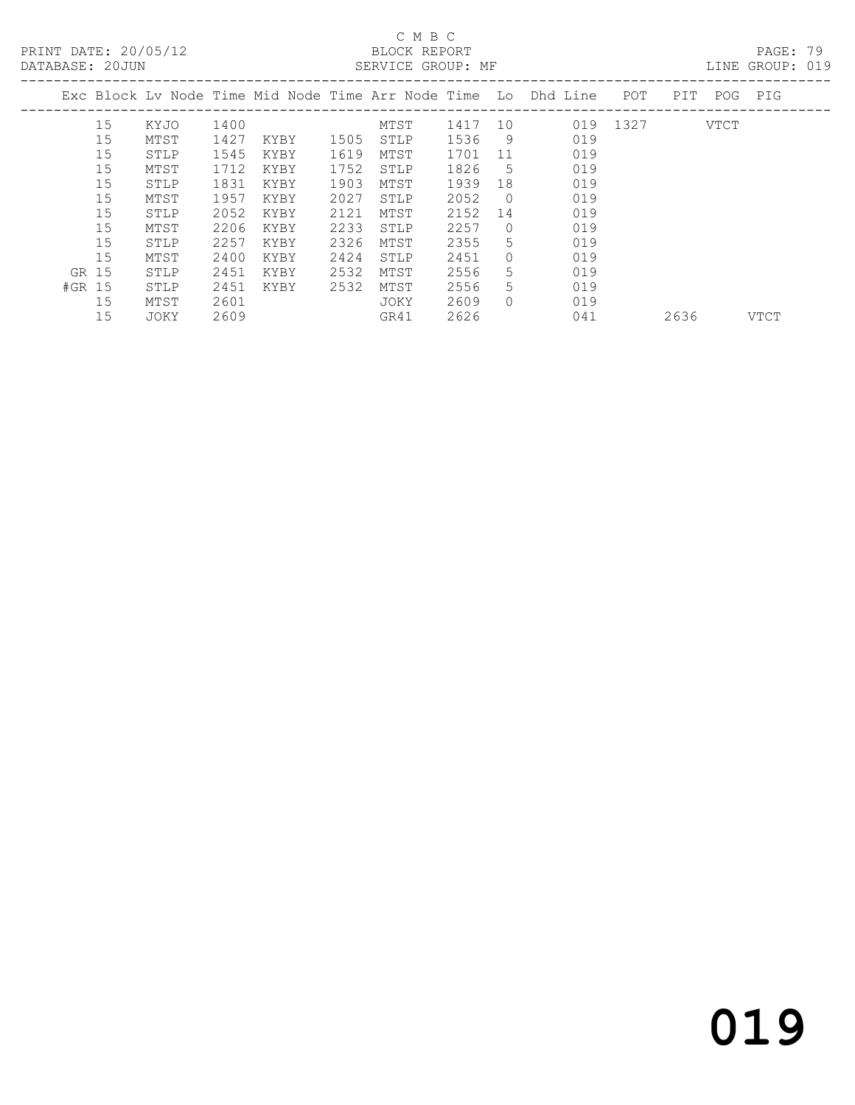PRINT DATE: 20/05/12 BLOCK REPORT BATABASE: 20JUN

## C M B C<br>BLOCK REPORT

PAGE: 79<br>LINE GROUP: 019

|        |    |      |      |      |      |      |      |          | Exc Block Ly Node Time Mid Node Time Arr Node Time Lo Dhd Line | POT  | <b>PIT</b> | POG  | PIG         |
|--------|----|------|------|------|------|------|------|----------|----------------------------------------------------------------|------|------------|------|-------------|
|        | 15 | KYJO | 1400 |      |      | MTST | 1417 | 10       | 019                                                            | 1327 |            | VTCT |             |
|        | 15 | MTST | 1427 | KYBY | 1505 | STLP | 1536 | 9        | 019                                                            |      |            |      |             |
|        | 15 | STLP | 1545 | KYBY | 1619 | MTST | 1701 | 11       | 019                                                            |      |            |      |             |
|        | 15 | MTST | 1712 | KYBY | 1752 | STLP | 1826 | 5        | 019                                                            |      |            |      |             |
|        | 15 | STLP | 1831 | KYBY | 1903 | MTST | 1939 | 18       | 019                                                            |      |            |      |             |
|        | 15 | MTST | 1957 | KYBY | 2027 | STLP | 2052 | $\Omega$ | 019                                                            |      |            |      |             |
|        | 15 | STLP | 2052 | KYBY | 2121 | MTST | 2152 | 14       | 019                                                            |      |            |      |             |
|        | 15 | MTST | 2206 | KYBY | 2233 | STLP | 2257 | $\Omega$ | 019                                                            |      |            |      |             |
|        | 15 | STLP | 2257 | KYBY | 2326 | MTST | 2355 | 5        | 019                                                            |      |            |      |             |
|        | 15 | MTST | 2400 | KYBY | 2424 | STLP | 2451 | 0        | 019                                                            |      |            |      |             |
| GR 15  |    | STLP | 2451 | KYBY | 2532 | MTST | 2556 | 5.       | 019                                                            |      |            |      |             |
| #GR 15 |    | STLP | 2451 | KYBY | 2532 | MTST | 2556 | 5.       | 019                                                            |      |            |      |             |
|        | 15 | MTST | 2601 |      |      | JOKY | 2609 | $\Omega$ | 019                                                            |      |            |      |             |
|        | 15 | JOKY | 2609 |      |      | GR41 | 2626 |          | 041                                                            |      | 2636       |      | <b>VTCT</b> |
|        |    |      |      |      |      |      |      |          |                                                                |      |            |      |             |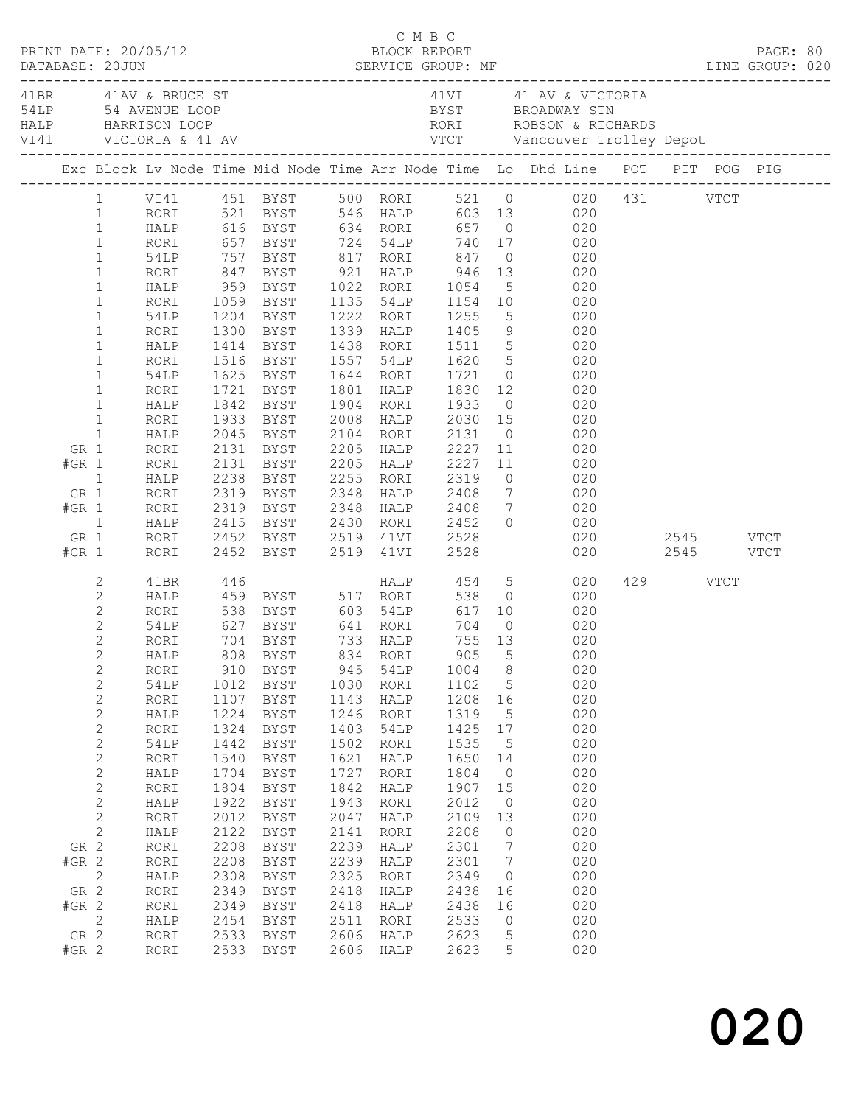|                |                |             |      |                                                           |      |           |              |                | C M B C<br>PRINT DATE: 20/05/12<br>DATABASE: 20JUN SERVICE GROUP: MF LINE GROUP: 020<br>TABASE: 20JUN SERVICE GROUP: MF LINE GROUP: 020        |                                |          |  |  |
|----------------|----------------|-------------|------|-----------------------------------------------------------|------|-----------|--------------|----------------|------------------------------------------------------------------------------------------------------------------------------------------------|--------------------------------|----------|--|--|
|                |                |             |      |                                                           |      |           |              |                |                                                                                                                                                |                                |          |  |  |
|                |                |             |      |                                                           |      |           |              |                | Exc Block Lv Node Time Mid Node Time Arr Node Time Lo Dhd Line POT PIT POG PIG                                                                 |                                |          |  |  |
|                | $\mathbf{1}$   |             |      |                                                           |      |           |              |                | RORI 521 BYST 546 HALP 603 13 020<br>HALP 616 BYST 634 RORI 657 0 020<br>RORI 657 BYST 724 54LP 740 17 020<br>54LP 757 BYST 817 RORI 847 0 020 |                                |          |  |  |
|                | $\mathbf{1}$   |             |      |                                                           |      |           |              |                |                                                                                                                                                |                                |          |  |  |
|                | $1\,$          |             |      |                                                           |      |           |              |                |                                                                                                                                                |                                |          |  |  |
|                | $\mathbf{1}$   |             |      |                                                           |      |           |              |                |                                                                                                                                                |                                |          |  |  |
|                | $\mathbf{1}$   | RORI        |      | 847 BYST 921 HALP 946                                     |      |           |              |                | 13 020                                                                                                                                         |                                |          |  |  |
|                | $\mathbf 1$    | HALP        |      |                                                           |      |           | 1054<br>1154 |                |                                                                                                                                                |                                |          |  |  |
|                | $\,1$          | RORI        |      | 959 BYST      1022   RORI<br>1059   BYST      1135   54LP |      |           |              |                |                                                                                                                                                |                                |          |  |  |
|                | $\mathbf 1$    | 54LP        |      | 1204 BYST 1222 RORI                                       |      |           | 1255         |                | $\begin{array}{ccc} & 5 & & 020 \\ 10 & & 020 \\ & 5 & & 020 \end{array}$                                                                      |                                |          |  |  |
|                | $\mathbf 1$    | RORI        |      | 1300 BYST                                                 |      | 1339 HALP | 1405         |                | 9 020                                                                                                                                          |                                |          |  |  |
|                | $\mathbf 1$    | HALP        |      | 1414 BYST 1438 RORI                                       |      |           |              |                |                                                                                                                                                |                                |          |  |  |
|                | $\,1$          | RORI        |      | 1516 BYST                                                 |      | 1557 54LP | 1511<br>1620 |                | $\begin{bmatrix} 5 & 020 \\ 5 & 020 \\ 0 & 020 \end{bmatrix}$                                                                                  |                                |          |  |  |
|                | $\mathbf 1$    | 54LP        |      | 1625 BYST 1644 RORI                                       |      |           | 1721         |                |                                                                                                                                                |                                |          |  |  |
|                | $\mathbf 1$    | RORI        |      | 1721 BYST                                                 |      | 1801 HALP | 1830         |                | 12 and $\overline{a}$<br>020                                                                                                                   |                                |          |  |  |
|                | $\mathbf{1}$   | HALP        | 1842 | BYST                                                      |      | 1904 RORI | 1933         |                | $0 \qquad \qquad 020$                                                                                                                          |                                |          |  |  |
|                | $\mathbf{1}$   | RORI        |      | 1933 BYST                                                 |      | 2008 HALP | 2030         |                |                                                                                                                                                |                                |          |  |  |
|                | $\mathbf{1}$   | HALP        |      | 2045 BYST                                                 |      | 2104 RORI | 2131         |                | $\begin{array}{ccc} 15 & \hspace{1.5cm} 020 \\ \hspace{1.5cm} 0 & \hspace{1.5cm} 020 \end{array}$                                              |                                |          |  |  |
| GR 1           |                | RORI        |      | 2131 BYST                                                 |      | 2205 HALP | 2227         |                | 11<br>020                                                                                                                                      |                                |          |  |  |
| $#GR$ 1        |                | RORI        |      | 2131 BYST                                                 |      | 2205 HALP | 2227         |                | 11 020                                                                                                                                         |                                |          |  |  |
| $\overline{1}$ |                | HALP        |      | 2238 BYST     2255   RORI<br>2319   BYST     2348   HALP  |      |           | 2319<br>2408 |                | $\begin{array}{ccc} 0 & \hspace{1.5cm} & 020 \\ 7 & \hspace{1.5cm} & 020 \end{array}$                                                          |                                |          |  |  |
| GR 1           |                | RORI        |      |                                                           |      |           |              |                |                                                                                                                                                |                                |          |  |  |
| $#GR$ 1        |                | RORI        |      | 2319 BYST 2348 HALP                                       |      |           | 2408 7       |                | 020                                                                                                                                            |                                |          |  |  |
|                | $\overline{1}$ | HALP        |      | 2415 BYST                                                 | 2430 | RORI      | 2452         |                | $0 \qquad \qquad 020$                                                                                                                          |                                |          |  |  |
| GR 1           |                | RORI        |      | 2452 BYST     2519   41VI<br>2452   BYST      2519   41VI |      |           | 2528<br>2528 |                |                                                                                                                                                | 020 2545 VTCT<br>020 2545 VTCT |          |  |  |
| $#GR$ 1        |                | RORI        |      |                                                           |      |           |              |                |                                                                                                                                                |                                |          |  |  |
|                | 2              | 41BR        | 446  |                                                           |      |           |              |                | HALP 454 5 020                                                                                                                                 |                                | 429 VTCT |  |  |
|                | $\mathbf{2}$   | HALP        |      |                                                           |      |           |              |                |                                                                                                                                                |                                |          |  |  |
|                | $\mathbf{2}$   | RORI        |      |                                                           |      |           |              |                | 459 BYST 517 RORI 538 0 020<br>538 BYST 603 54LP 617 10 020<br>627 BYST 641 RORI 704 0 020                                                     |                                |          |  |  |
|                | $\mathbf{2}$   | 54LP        |      |                                                           |      |           |              |                |                                                                                                                                                |                                |          |  |  |
|                | $\overline{2}$ | RORI        |      | 704 BYST 733 HALP                                         |      |           | 755 13       |                | 020                                                                                                                                            |                                |          |  |  |
|                | $\overline{2}$ | HALP        |      | 808 BYST 834 RORI 905 5                                   |      |           |              |                | 020                                                                                                                                            |                                |          |  |  |
|                | $\sqrt{2}$     | RORI        | 910  | <b>BYST</b>                                               | 945  | 54LP      | 1004         | 8              | 020                                                                                                                                            |                                |          |  |  |
|                | $\sqrt{2}$     | 54LP        | 1012 | <b>BYST</b>                                               | 1030 | RORI      | 1102         | 5              | 020                                                                                                                                            |                                |          |  |  |
|                | $\sqrt{2}$     | RORI        | 1107 | BYST                                                      | 1143 | HALP      | 1208         | 16             | 020                                                                                                                                            |                                |          |  |  |
|                | $\sqrt{2}$     | HALP        | 1224 | BYST                                                      | 1246 | RORI      | 1319         | 5              | 020                                                                                                                                            |                                |          |  |  |
|                | $\sqrt{2}$     | RORI        | 1324 | <b>BYST</b>                                               | 1403 | 54LP      | 1425         | $17$           | 020                                                                                                                                            |                                |          |  |  |
|                | $\sqrt{2}$     | <b>54LP</b> | 1442 | ${\tt BYST}$                                              | 1502 | RORI      | 1535         | 5              | 020                                                                                                                                            |                                |          |  |  |
|                | $\mathbf{2}$   | RORI        | 1540 | <b>BYST</b>                                               | 1621 | HALP      | 1650         | 14             | 020                                                                                                                                            |                                |          |  |  |
|                | $\sqrt{2}$     | HALP        | 1704 | BYST                                                      | 1727 | RORI      | 1804         | $\circ$        | 020                                                                                                                                            |                                |          |  |  |
|                | $\sqrt{2}$     | RORI        | 1804 | BYST                                                      | 1842 | HALP      | 1907         | 15             | 020                                                                                                                                            |                                |          |  |  |
|                | $\sqrt{2}$     | HALP        | 1922 | BYST                                                      | 1943 | RORI      | 2012         | $\circledcirc$ | 020                                                                                                                                            |                                |          |  |  |
|                | $\sqrt{2}$     | RORI        | 2012 | BYST                                                      | 2047 | HALP      | 2109         | 13             | 020                                                                                                                                            |                                |          |  |  |
|                | $\mathbf{2}$   | HALP        | 2122 | BYST                                                      | 2141 | RORI      | 2208         | 0              | 020                                                                                                                                            |                                |          |  |  |
| GR 2           |                | RORI        | 2208 | BYST                                                      | 2239 | HALP      | 2301         | 7              | 020                                                                                                                                            |                                |          |  |  |
| $#GR$ 2        |                | RORI        | 2208 | BYST                                                      | 2239 | HALP      | 2301         | 7              | 020                                                                                                                                            |                                |          |  |  |
|                | $\mathbf{2}$   | HALP        | 2308 | BYST                                                      | 2325 | RORI      | 2349         | 0              | 020                                                                                                                                            |                                |          |  |  |
| GR 2           |                | RORI        | 2349 | BYST                                                      | 2418 | HALP      | 2438         | 16             | 020                                                                                                                                            |                                |          |  |  |
| $#GR$ 2        |                | RORI        | 2349 | <b>BYST</b>                                               | 2418 | HALP      | 2438         | 16             | 020                                                                                                                                            |                                |          |  |  |
|                | $\mathbf{2}$   | HALP        | 2454 | BYST                                                      | 2511 | RORI      | 2533         | 0              | 020                                                                                                                                            |                                |          |  |  |
| GR 2           |                | RORI        | 2533 | BYST                                                      | 2606 | HALP      | 2623         | 5              | 020                                                                                                                                            |                                |          |  |  |
| $#GR$ 2        |                | RORI        | 2533 | <b>BYST</b>                                               | 2606 | HALP      | 2623         | 5              | 020                                                                                                                                            |                                |          |  |  |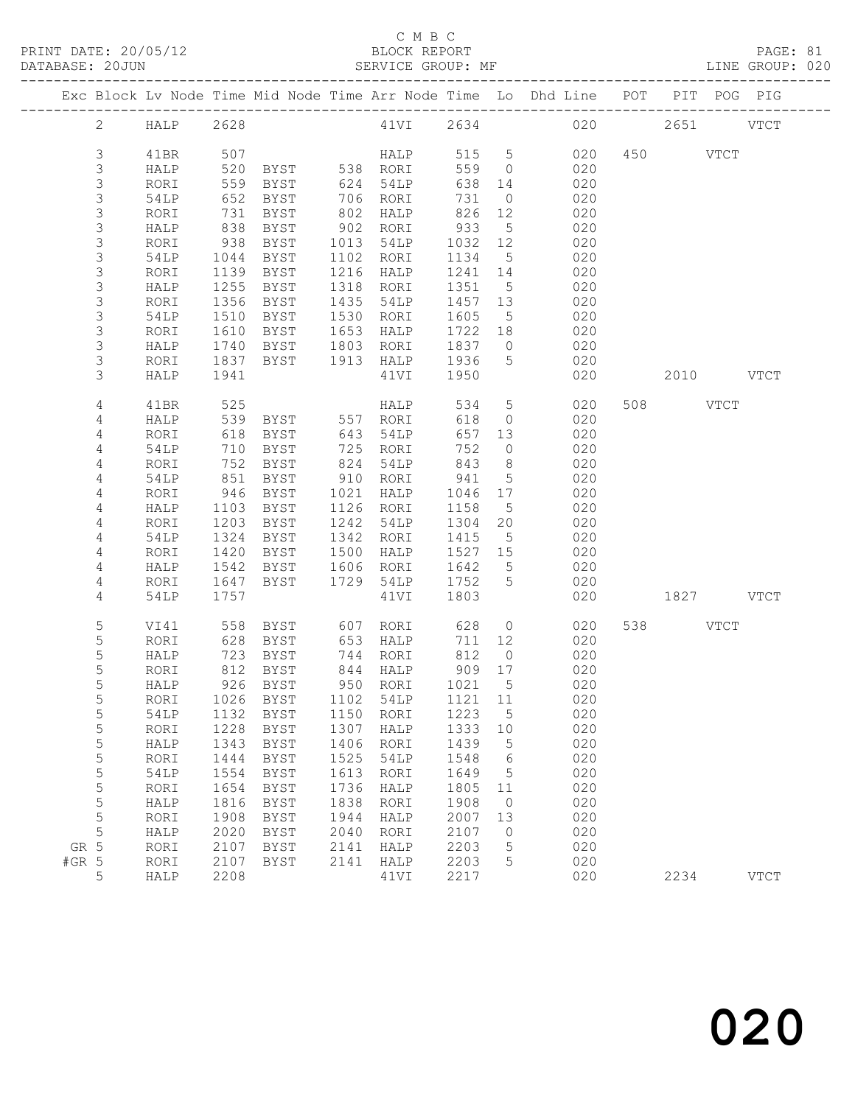|         |                     |              |              |                                  |              |                   |              |                  | Exc Block Lv Node Time Mid Node Time Arr Node Time Lo Dhd Line POT |     | PIT POG PIG |             |
|---------|---------------------|--------------|--------------|----------------------------------|--------------|-------------------|--------------|------------------|--------------------------------------------------------------------|-----|-------------|-------------|
|         | $\overline{2}$      | <b>HALP</b>  | 2628         |                                  |              | 41VI 2634         |              |                  |                                                                    | 020 | 2651 VTCT   |             |
|         | $\mathfrak{Z}$      | 41BR         | 507          |                                  |              | <b>HALP</b>       | 515 5        |                  | 020                                                                |     | 450 VTCT    |             |
|         | $\mathfrak{Z}$      | HALP         | 520          | BYST 538 RORI                    |              |                   | 559          | $\overline{0}$   | 020                                                                |     |             |             |
|         | $\mathfrak{Z}$      | RORI         | 559          | BYST                             | 624          | 54LP              | 638          | 14               | 020                                                                |     |             |             |
|         | $\mathsf 3$         | 54LP         | 652          | BYST                             | 706          | RORI              | 731          | $\overline{0}$   | 020                                                                |     |             |             |
|         | 3                   | RORI         | 731          | BYST                             | 802          | HALP              | 826          | 12               | 020                                                                |     |             |             |
|         | 3                   | HALP         | 838          | BYST                             | 902          | RORI              | 933          | $5^{\circ}$      | 020                                                                |     |             |             |
|         | 3                   | RORI         | 938          | BYST                             | 1013         | 54LP              | 1032         | 12               | 020                                                                |     |             |             |
|         | $\mathsf 3$         | 54LP         | 1044         | BYST                             | 1102         | RORI              | 1134         | $5\phantom{.0}$  | 020                                                                |     |             |             |
|         | 3                   | RORI         | 1139         | BYST                             | 1216         | HALP              | 1241         | 14               | 020                                                                |     |             |             |
|         | 3                   | HALP         | 1255         | BYST                             | 1318         | RORI              | 1351         | $5^{\circ}$      | 020                                                                |     |             |             |
|         | 3                   | RORI         | 1356         | BYST                             | 1435         | 54LP              | 1457         | 13               | 020                                                                |     |             |             |
|         | 3                   | 54LP         | 1510         | BYST                             | 1530         | RORI              | 1605         | $5\phantom{.0}$  | 020                                                                |     |             |             |
|         | 3                   | RORI         | 1610         | BYST                             | 1653         | HALP              | 1722         | 18               | 020                                                                |     |             |             |
|         | 3                   | HALP         | 1740         | BYST                             | 1803         | RORI              | 1837         | $\overline{0}$   | 020                                                                |     |             |             |
|         | 3                   | RORI         | 1837         | BYST                             | 1913         | HALP              | 1936         | 5 <sup>5</sup>   | 020                                                                |     |             |             |
|         | 3                   | HALP         | 1941         |                                  |              | 41VI              | 1950         |                  | 020                                                                |     | 2010 VTCT   |             |
|         | $\overline{4}$      | 41BR         | 525          |                                  |              | <b>HALP</b>       | 534          | 5 <sup>5</sup>   | 020                                                                |     | 508 VTCT    |             |
|         | 4                   | HALP         | 539          | BYST 557 RORI                    |              |                   | 618          | $\overline{0}$   | 020                                                                |     |             |             |
|         | 4                   | RORI         | 618          | BYST                             | 643          | 54LP              | 657          | 13               | 020                                                                |     |             |             |
|         | 4                   | 54LP         | 710          | BYST                             | 725          | RORI              | 752          | $\overline{0}$   | 020                                                                |     |             |             |
|         | 4                   | RORI         | 752          | BYST                             | 824          | 54LP              | 843          | 8                | 020                                                                |     |             |             |
|         | 4                   | 54LP         | 851          | BYST                             | 910          | RORI              | 941          | 5                | 020                                                                |     |             |             |
|         | 4                   | RORI         | 946          | BYST                             | 1021         | HALP              | 1046         | 17               | 020                                                                |     |             |             |
|         | 4                   | HALP         | 1103         | BYST                             | 1126         | RORI              | 1158         | 5                | 020                                                                |     |             |             |
|         | 4                   | RORI         | 1203         | BYST                             | 1242         | 54LP              | 1304         | 20               | 020                                                                |     |             |             |
|         | 4                   | 54LP         | 1324         | BYST                             | 1342         | RORI              | 1415         | $5\overline{)}$  | 020                                                                |     |             |             |
|         | 4                   | RORI         | 1420         | BYST                             | 1500         | HALP              | 1527         | 15               | 020                                                                |     |             |             |
|         | 4                   | HALP         | 1542         | BYST                             | 1606         | RORI              | 1642         | $5^{\circ}$<br>5 | 020                                                                |     |             |             |
|         | $\overline{4}$<br>4 | RORI<br>54LP | 1647<br>1757 | BYST                             |              | 1729 54LP<br>41VI | 1752<br>1803 |                  | 020<br>020                                                         |     | 1827 VTCT   |             |
|         |                     |              |              |                                  |              |                   |              |                  |                                                                    |     |             |             |
|         | $\mathsf S$         | VI41         | 558          | BYST                             | 607          | RORI              | 628          | $\overline{0}$   | 020                                                                |     | 538 VTCT    |             |
|         | 5                   | RORI         | 628          | BYST                             | 653          | HALP              | 711          | 12               | 020                                                                |     |             |             |
|         | 5                   | HALP         | 723          | BYST                             | 744          | RORI              | 812          | $\overline{0}$   | 020                                                                |     |             |             |
|         | 5                   | RORI         | 812          | BYST                             | 844          | HALP              | 909          | 17               | 020                                                                |     |             |             |
|         | 5                   | HALP         |              | 926 BYST                         |              | 950 RORI          | 1021         | $5^{\circ}$      | 020                                                                |     |             |             |
|         | 5                   |              |              | RORI 1026 BYST 1102 54LP 1121 11 |              |                   |              |                  | 020                                                                |     |             |             |
|         | 5                   | 54LP         | 1132         | BYST                             | 1150         | RORI              | 1223         | 5                | 020                                                                |     |             |             |
|         | 5                   | RORI         | 1228         | BYST                             | 1307         | HALP              | 1333         | 10               | 020                                                                |     |             |             |
|         | $\mathsf S$         | HALP         | 1343         | BYST                             | 1406         | RORI              | 1439         | 5                | 020                                                                |     |             |             |
|         | 5                   | RORI         | 1444         | <b>BYST</b>                      | 1525         | 54LP              | 1548         | 6                | 020                                                                |     |             |             |
|         | 5                   | 54LP         | 1554         | BYST                             | 1613         | RORI              | 1649         | 5                | 020                                                                |     |             |             |
|         | $\mathsf S$         | RORI         | 1654         | <b>BYST</b>                      | 1736         | HALP              | 1805         | 11               | 020                                                                |     |             |             |
|         | $\mathsf S$         | HALP         | 1816         | BYST                             | 1838         | RORI              | 1908         | $\circ$          | 020                                                                |     |             |             |
|         | $\mathsf S$<br>5    | RORI         | 1908         | BYST                             | 1944         | HALP              | 2007         | 13<br>0          | 020<br>020                                                         |     |             |             |
| GR 5    |                     | HALP<br>RORI | 2020<br>2107 | <b>BYST</b><br>BYST              | 2040<br>2141 | RORI<br>HALP      | 2107<br>2203 | 5                | 020                                                                |     |             |             |
| $#GR$ 5 |                     | RORI         | 2107         | <b>BYST</b>                      | 2141         | HALP              | 2203         | 5                | 020                                                                |     |             |             |
|         | 5                   | HALP         | 2208         |                                  |              | 41VI              | 2217         |                  | 020                                                                |     | 2234        | <b>VTCT</b> |
|         |                     |              |              |                                  |              |                   |              |                  |                                                                    |     |             |             |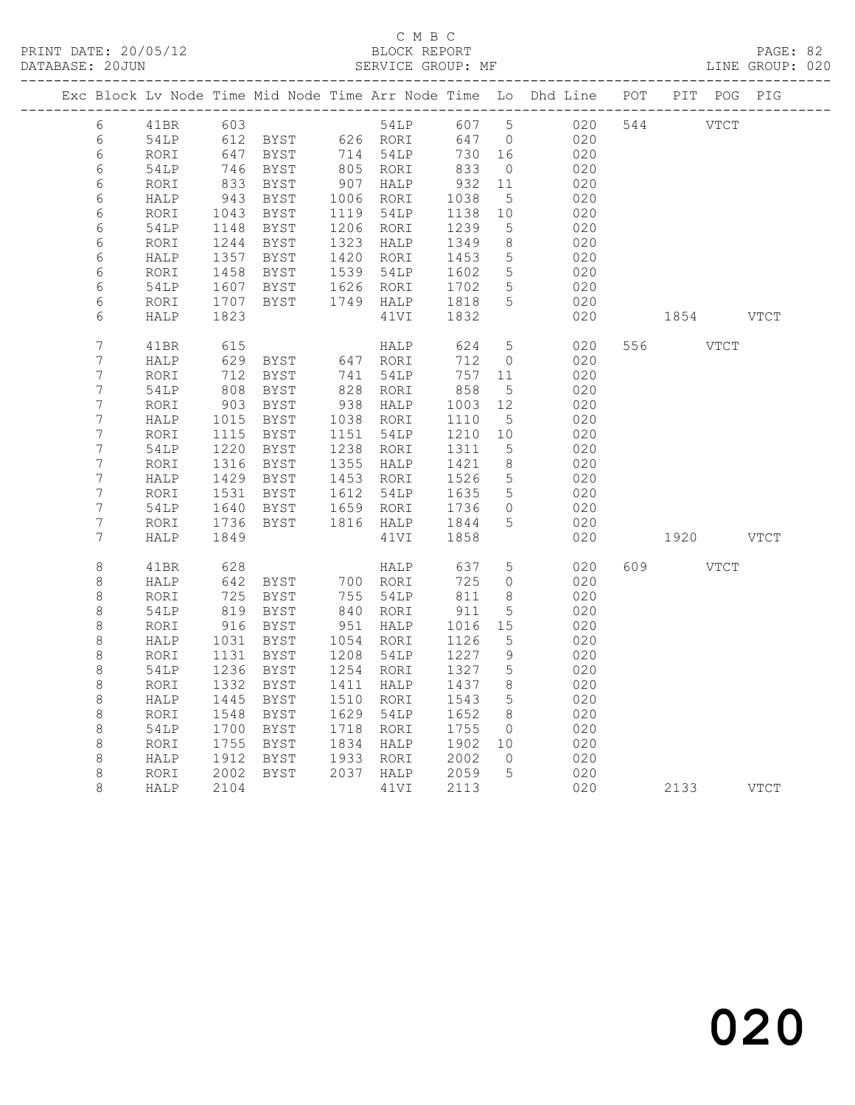|                  |      |              |                                    |                                                     |                           |                 | Exc Block Lv Node Time Mid Node Time Arr Node Time Lo Dhd Line POT PIT POG PIG |           |           |  |
|------------------|------|--------------|------------------------------------|-----------------------------------------------------|---------------------------|-----------------|--------------------------------------------------------------------------------|-----------|-----------|--|
| 6                |      |              | 41BR 603<br>54LP 612 BYST 626 RORI | 54LP                                                | 607 5                     |                 | 020                                                                            | 544 VTCT  |           |  |
| 6                |      |              |                                    |                                                     | 647 0                     |                 | 020                                                                            |           |           |  |
| 6                | RORI |              | 647 BYST<br>746 BYST               |                                                     | 730 16<br>$\frac{1}{833}$ |                 | 020                                                                            |           |           |  |
| $\epsilon$       | 54LP |              |                                    |                                                     |                           | $\overline{0}$  | 020                                                                            |           |           |  |
| 6                | RORI | 833          | BYST                               | $907$ HALP                                          | 932                       | 11              | 020                                                                            |           |           |  |
| $\epsilon$       | HALP | 943          | BYST                               | 1006 RORI                                           | 1038                      | $5\overline{)}$ | 020                                                                            |           |           |  |
| 6                | RORI | 1043         | BYST                               | 1119 54LP                                           | 1138                      | 10              | 020                                                                            |           |           |  |
| 6                | 54LP | 1148         | BYST                               | 1206 RORI                                           | 1239                      | 5               | 020                                                                            |           |           |  |
| 6                | RORI | 1244         | BYST                               | 1323 HALP                                           | 1349<br>1453              | 8 <sup>8</sup>  | 020                                                                            |           |           |  |
| 6                | HALP | 1357         | BYST                               | 1420 RORI                                           |                           | $5\phantom{.0}$ | 020                                                                            |           |           |  |
| 6                | RORI | 1458         | BYST                               | 1720 ------<br>1539 54LP - 1602<br>1626 RORI - 1702 |                           | $5\overline{)}$ | 020                                                                            |           |           |  |
| 6                | 54LP | 1607<br>1707 | BYST                               | 1749 HALP 1818                                      |                           | $5\overline{)}$ | 020                                                                            |           |           |  |
| 6                | RORI | 1823         | BYST                               |                                                     | 1832                      | $5^{\circ}$     | 020                                                                            |           |           |  |
| 6                | HALP |              |                                    | 41VI                                                |                           |                 | 020                                                                            |           | 1854 VTCT |  |
| $\boldsymbol{7}$ | 41BR | 615          |                                    | HALP                                                | 624                       | $5\overline{)}$ | 020                                                                            | 556 VTCT  |           |  |
| $\boldsymbol{7}$ | HALP | 629          | BYST 647 RORI                      |                                                     | 712                       | $\overline{0}$  | 020                                                                            |           |           |  |
| $\overline{7}$   | RORI | 712          | BYST                               | 741 54LP                                            | 757 11                    |                 | 020                                                                            |           |           |  |
| $\boldsymbol{7}$ | 54LP | 808          | BYST                               | 828 RORI                                            | 858                       | 5               | 020                                                                            |           |           |  |
| $\boldsymbol{7}$ | RORI | 903          | BYST                               | 938 HALP                                            | 1003                      | 12              | 020                                                                            |           |           |  |
| $\boldsymbol{7}$ | HALP | 1015         | BYST                               | 1038 RORI                                           | 1110                      | 5               | 020                                                                            |           |           |  |
| $\overline{7}$   | RORI | 1115         | BYST                               | 1151 54LP                                           | 1210                      | 10              | 020                                                                            |           |           |  |
| $\boldsymbol{7}$ | 54LP | 1220         | BYST                               | 1238 RORI                                           | 1311                      | 5               | 020                                                                            |           |           |  |
| $\overline{7}$   | RORI | 1316         | BYST                               | 1355 HALP                                           | 1421                      | 8 <sup>8</sup>  | 020                                                                            |           |           |  |
| $\boldsymbol{7}$ | HALP | 1429         | BYST                               | 1453 RORI                                           | 1526                      | $5\overline{)}$ | 020                                                                            |           |           |  |
| $\overline{7}$   | RORI | 1531         | BYST                               | 1612 54LP                                           | 1635<br>1736              | 5               | 020                                                                            |           |           |  |
| $\overline{7}$   | 54LP | 1640         | BYST                               | 1659 RORI                                           |                           | $\circ$         | 020                                                                            |           |           |  |
| $\overline{7}$   | RORI | 1736         | BYST                               | 1816 HALP 1844                                      |                           | 5               | 020                                                                            |           |           |  |
| 7                | HALP | 1849         |                                    | 41VI                                                | 1858                      |                 | 020                                                                            | 1920 VTCT |           |  |
| $\,8\,$          | 41BR | 628          |                                    | HALP                                                | 637                       | $5\overline{)}$ | 020                                                                            | 609 VTCT  |           |  |
| $\,8\,$          | HALP | 642          | BYST 700 RORI<br>BYST 755 54LP     |                                                     | 725                       | $\overline{0}$  | 020                                                                            |           |           |  |
| $\,8\,$          | RORI | 725          |                                    |                                                     | 811                       | 8 <sup>8</sup>  | 020                                                                            |           |           |  |
| $\,8\,$          | 54LP | 819          | BYST                               |                                                     | 911                       | 5               | 020                                                                            |           |           |  |
| $\,8\,$          | RORI | 916          | BYST                               | 840 RORI<br>951 HALP                                | 1016                      | 15              | 020                                                                            |           |           |  |
| 8                | HALP | 1031         | BYST                               | 1054 RORI                                           | 1126                      | 5               | 020                                                                            |           |           |  |
| $\,8\,$          | RORI | 1131         | BYST                               | 1208 54LP                                           | 1227                      | 9               | 020                                                                            |           |           |  |
| $\,8\,$          | 54LP | 1236         | BYST                               | 1254 RORI                                           | 1327                      | 5               | 020                                                                            |           |           |  |
| $\,8\,$          | RORI | 1332         | BYST                               | 1411 HALP                                           | 1437                      | 8               | 020                                                                            |           |           |  |
| $\,8\,$          | HALP | 1445         | BYST                               | 1510 RORI                                           | 1543                      | 5               | 020                                                                            |           |           |  |
| $\,8\,$          | RORI | 1548         | BYST                               | 1629 54LP                                           | 1652                      | 8 <sup>8</sup>  | 020                                                                            |           |           |  |
| $\,8\,$          | 54LP | 1700         | BYST                               | 1718 RORI                                           | 1755                      | $\overline{0}$  | 020                                                                            |           |           |  |
| $\,8\,$          | RORI | 1755         | BYST                               | 1834 HALP                                           | 1902 10                   |                 | 020                                                                            |           |           |  |
| 8                | HALP | 1912         | BYST                               | 1933 RORI                                           | 2002                      | $\bigcirc$      | 020                                                                            |           |           |  |
| $\,8\,$          | RORI | 2002         | <b>BYST</b>                        | 2037 HALP                                           | 2059                      | $5\overline{)}$ | 020                                                                            |           |           |  |
| 8                | HALP | 2104         |                                    | 41VI                                                | 2113                      |                 | 020                                                                            |           | 2133 VTCT |  |
|                  |      |              |                                    |                                                     |                           |                 |                                                                                |           |           |  |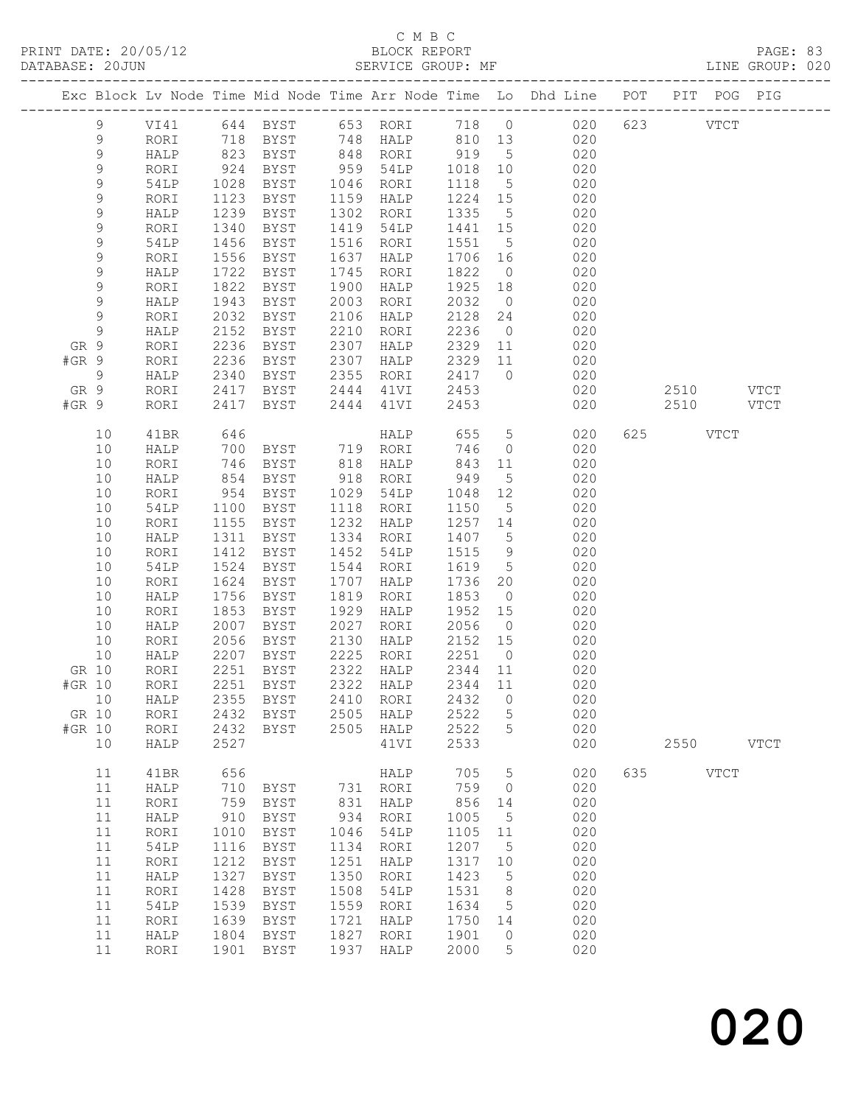PRINT DATE: 20/05/12<br>DATABASE: 20JUN

## C M B C<br>BLOCK REPORT<br>SERVICE GROUP: MF

|                |             |              |                 |                                        |              |                        |                     |                | Exc Block Lv Node Time Mid Node Time Arr Node Time Lo Dhd Line POT PIT POG PIG |           |          |             |             |  |
|----------------|-------------|--------------|-----------------|----------------------------------------|--------------|------------------------|---------------------|----------------|--------------------------------------------------------------------------------|-----------|----------|-------------|-------------|--|
|                | 9           |              |                 |                                        |              |                        |                     |                | VI41 644 BYST 653 RORI 718 0 020 623 VTCT                                      |           |          |             |             |  |
|                | 9           | RORI         |                 |                                        |              |                        |                     |                | 718 BYST 748 HALP 810 13 020                                                   |           |          |             |             |  |
|                | 9           | HALP         |                 |                                        |              |                        |                     |                | 823 BYST 848 RORI 919 5 020                                                    |           |          |             |             |  |
|                | 9           | RORI         | $924$<br>$1028$ | BYST                                   |              | 959 54LP               |                     |                | 1018 10 020<br>1118 5 020                                                      |           |          |             |             |  |
|                | 9           | 54LP         | 1123            | BYST<br><b>BYST</b>                    |              | 1046 RORI              |                     |                | $1224$ $15$ 020                                                                |           |          |             |             |  |
|                | 9<br>9      | RORI         | 1239            | BYST                                   |              | 1159 HALP<br>1302 RORI |                     |                | 1335 5 020                                                                     |           |          |             |             |  |
|                | 9           | HALP<br>RORI | 1340            | BYST                                   |              | 1419 54LP              |                     |                |                                                                                |           |          |             |             |  |
|                | 9           | 54LP         | 1456            | BYST                                   |              | 1516 RORI              |                     |                | 1441 15 020                                                                    |           |          |             |             |  |
|                | 9           | RORI         | 1556            | BYST                                   | 1637         | HALP                   |                     |                | 1551 5 020<br>1706 16 020                                                      |           |          |             |             |  |
|                | 9           | HALP         | 1722            | BYST                                   | 1745         | RORI                   | 1822                |                | $0 \qquad 020$                                                                 |           |          |             |             |  |
|                | 9           | RORI         | 1822            | BYST                                   | 1900         | HALP                   |                     |                | 1925 18 020                                                                    |           |          |             |             |  |
|                | $\mathsf 9$ | HALP         | 1943            | BYST                                   | 2003         | RORI                   | 2032                | $\overline{0}$ | 020                                                                            |           |          |             |             |  |
|                | $\,9$       | RORI         | 2032            | BYST                                   |              | 2106 HALP              |                     |                | $2128$ $24$ 020                                                                |           |          |             |             |  |
|                | 9           | HALP         | 2152            | BYST                                   | 2210         | RORI                   |                     |                | 2236 0 020                                                                     |           |          |             |             |  |
| GR 9           |             | RORI         | 2236            | BYST                                   | 2307         | HALP                   |                     |                | 2329 11 020                                                                    |           |          |             |             |  |
| $#GR$ 9        |             | RORI         |                 |                                        |              | 2307 HALP              |                     |                |                                                                                |           |          |             |             |  |
| $\overline{9}$ |             | HALP         | 2236<br>2340    | BYST<br>BYST                           |              | 2355 RORI              | $2329$ 11<br>2417 0 |                | 2329 11 020<br>2417 0 020                                                      |           |          |             |             |  |
| GR 9           |             | RORI         | 2417            |                                        |              | BYST 2444 41VI 2453    |                     |                | 020                                                                            | 2510 VTCT |          |             |             |  |
| #GR 9          |             | RORI         | 2417            |                                        |              | BYST 2444 41VI 2453    |                     |                | 020                                                                            | 2510 VTCT |          |             |             |  |
|                | 10          | 41BR         | 646             |                                        |              |                        |                     |                | HALP 655 5 020                                                                 |           | 625 VTCT |             |             |  |
|                | 10          | HALP         | 700             | BYST 719 RORI                          |              |                        | 746                 |                | $\overline{0}$<br>020                                                          |           |          |             |             |  |
|                | 10          | RORI         | 746             | BYST                                   |              | 818 HALP               |                     |                | 843 11 020                                                                     |           |          |             |             |  |
|                | 10          | HALP         | 854<br>954      | BYST                                   |              | 918 RORI               |                     |                | 949 5 020<br>1048 12 020                                                       |           |          |             |             |  |
|                | 10          | RORI         |                 | BYST                                   |              | 1029 54LP              |                     |                |                                                                                |           |          |             |             |  |
|                | 10          | 54LP         | 1100            | <b>BYST</b>                            |              | 1118 RORI              | 1150                |                | 5 020                                                                          |           |          |             |             |  |
|                | 10          | RORI         | 1155            | BYST                                   | 1232         | HALP                   |                     |                | 1257 14 020                                                                    |           |          |             |             |  |
|                | 10          | HALP         | 1311            | BYST                                   | 1334         | RORI                   | 1407 5              |                | $\begin{array}{c} 020 \\ 020 \end{array}$                                      |           |          |             |             |  |
|                | 10<br>10    | RORI<br>54LP | 1412<br>1524    | BYST<br>BYST                           | 1452         | 54LP<br>1544 RORI      | 1515                | 9              | 1619 5 020                                                                     |           |          |             |             |  |
|                | 10          | RORI         | 1624            | BYST                                   | 1707         | HALP                   |                     |                | 1736 20 020                                                                    |           |          |             |             |  |
|                | 10          | HALP         | 1756            | BYST                                   | 1819         | RORI                   | 1853                |                | $0 \qquad \qquad 020$                                                          |           |          |             |             |  |
|                | 10          | RORI         | 1853            | BYST                                   |              | 1929 HALP              |                     |                |                                                                                |           |          |             |             |  |
|                | 10          | HALP         | 2007            | <b>BYST</b>                            |              | 2027 RORI              |                     |                | 1952 15 020<br>2056 0 020                                                      |           |          |             |             |  |
|                | 10          | RORI         | 2056            | BYST                                   |              | 2130 HALP              | 2152 15             |                | 020                                                                            |           |          |             |             |  |
|                | 10          | HALP         | 2207            | BYST                                   |              | 2225 RORI              | 2251                | $\overline{0}$ | 020                                                                            |           |          |             |             |  |
|                |             |              |                 | GR 10 RORI 2251 BYST 2322 HALP 2344 11 |              |                        |                     |                | 020                                                                            |           |          |             |             |  |
| #GR 10         |             | RORI         | 2251            | BYST                                   | 2322         | HALP                   | 2344                | 11             | 020                                                                            |           |          |             |             |  |
|                | 10          | HALP         | 2355            | BYST                                   | 2410         | RORI                   | 2432                | $\circ$        | 020                                                                            |           |          |             |             |  |
| GR 10          |             | RORI         | 2432            | BYST                                   | 2505         | HALP                   | 2522                | 5              | 020                                                                            |           |          |             |             |  |
| #GR 10         |             | RORI         | 2432            | <b>BYST</b>                            | 2505         | HALP                   | 2522                | 5              | 020                                                                            |           |          |             |             |  |
|                | 10          | HALP         | 2527            |                                        |              | 41VI                   | 2533                |                | 020                                                                            |           | 2550     |             | <b>VTCT</b> |  |
|                | 11          | 41BR         | 656             |                                        |              | HALP                   | 705                 | 5              | 020                                                                            | 635       |          | <b>VTCT</b> |             |  |
|                | 11          | HALP         | 710             | BYST                                   | 731          | RORI                   | 759                 | $\circ$        | 020                                                                            |           |          |             |             |  |
|                | 11          | RORI         | 759             | <b>BYST</b>                            | 831          | HALP                   | 856                 | 14             | 020                                                                            |           |          |             |             |  |
|                | 11          | HALP         | 910             | <b>BYST</b>                            | 934          | RORI                   | 1005                | 5              | 020                                                                            |           |          |             |             |  |
|                | 11          | RORI         | 1010            | <b>BYST</b>                            | 1046         | 54LP                   | 1105                | 11             | 020                                                                            |           |          |             |             |  |
|                | 11          | 54LP         | 1116            | <b>BYST</b>                            | 1134         | RORI                   | 1207                | 5              | 020                                                                            |           |          |             |             |  |
|                | 11          | RORI         | 1212            | <b>BYST</b>                            | 1251         | HALP                   | 1317                | 10             | 020                                                                            |           |          |             |             |  |
|                | 11          | HALP         | 1327            | BYST                                   | 1350         | RORI                   | 1423                | 5              | 020                                                                            |           |          |             |             |  |
|                | 11<br>11    | RORI         | 1428            | BYST                                   | 1508         | 54LP                   | 1531                | 8              | 020<br>020                                                                     |           |          |             |             |  |
|                | 11          | 54LP<br>RORI | 1539<br>1639    | <b>BYST</b><br>BYST                    | 1559<br>1721 | RORI<br>HALP           | 1634<br>1750        | 5<br>14        | 020                                                                            |           |          |             |             |  |
|                | 11          | HALP         | 1804            | <b>BYST</b>                            | 1827         | RORI                   | 1901                | 0              | 020                                                                            |           |          |             |             |  |
|                | 11          | RORI         | 1901            | <b>BYST</b>                            | 1937         | HALP                   | 2000                | 5              | 020                                                                            |           |          |             |             |  |
|                |             |              |                 |                                        |              |                        |                     |                |                                                                                |           |          |             |             |  |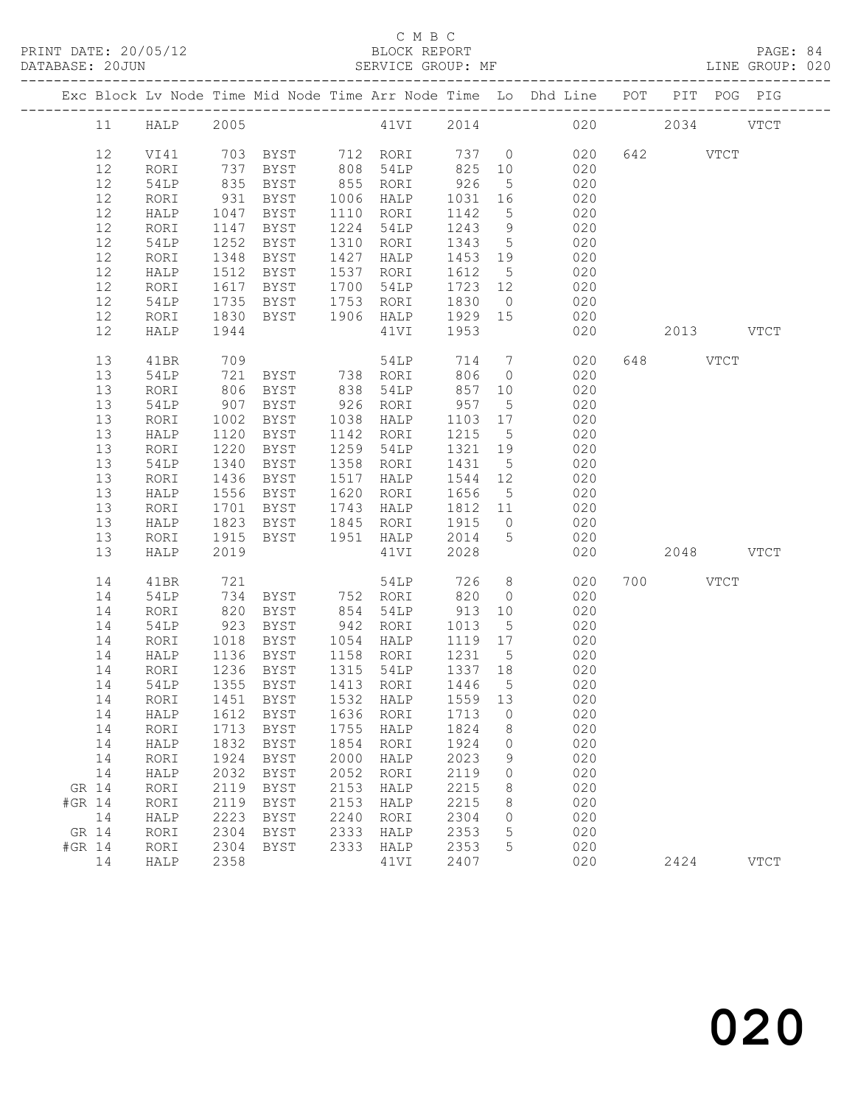### C M B C<br>
C M B C<br>
BLOCK REPOR

| DATABASE: 20JUN |              |              | SERVICE GROUP: MF |              |              |              |          |                                                                                |     |      |             | LINE GROUP: 020 |
|-----------------|--------------|--------------|-------------------|--------------|--------------|--------------|----------|--------------------------------------------------------------------------------|-----|------|-------------|-----------------|
|                 |              |              |                   |              |              |              |          | Exc Block Lv Node Time Mid Node Time Arr Node Time Lo Dhd Line POT PIT POG PIG |     |      |             |                 |
| 11              | HALP         | 2005         |                   |              | 41VI 2014    |              |          | 020                                                                            |     | 2034 |             | <b>VTCT</b>     |
| 12              | VI41         |              | 703 BYST          | 712          | RORI         | 737          | $\circ$  | 020                                                                            | 642 |      | <b>VTCT</b> |                 |
| 12              | RORI         | 737          | <b>BYST</b>       | 808          | 54LP         | 825          | 10       | 020                                                                            |     |      |             |                 |
| 12              | 54LP         | 835          | BYST              | 855          | RORI         | 926          | 5        | 020                                                                            |     |      |             |                 |
| 12              | RORI         | 931          | BYST              | 1006         | HALP         | 1031         | 16       | 020                                                                            |     |      |             |                 |
| 12              | HALP         | 1047         | BYST              | 1110         | RORI         | 1142         | 5        | 020                                                                            |     |      |             |                 |
| 12              | RORI         | 1147         | BYST              | 1224         | 54LP         | 1243         | 9        | 020                                                                            |     |      |             |                 |
| 12              | 54LP         | 1252         | BYST              | 1310         | RORI         | 1343         | 5        | 020                                                                            |     |      |             |                 |
| 12              | RORI         | 1348         | BYST              | 1427         | HALP         | 1453         | 19       | 020                                                                            |     |      |             |                 |
| 12              | HALP         | 1512         | BYST              | 1537         | RORI         | 1612         | 5        | 020                                                                            |     |      |             |                 |
| 12              | RORI         | 1617         | BYST              | 1700         | 54LP         | 1723         | 12       | 020                                                                            |     |      |             |                 |
| 12              | 54LP         | 1735         | BYST              | 1753         | RORI         | 1830         | $\circ$  | 020                                                                            |     |      |             |                 |
| 12              | RORI         | 1830         | BYST              | 1906         | HALP         | 1929         | 15       | 020                                                                            |     |      |             |                 |
| 12              | HALP         | 1944         |                   |              | 41VI         | 1953         |          | 020                                                                            |     | 2013 |             | VTCT            |
|                 |              |              |                   |              |              |              |          |                                                                                |     |      |             |                 |
| 13              | 41BR         | 709          |                   |              | 54LP         | 714          | 7        | 020                                                                            | 648 |      | VTCT        |                 |
| 13              | 54LP         | 721          | BYST              | 738          | RORI         | 806          | $\circ$  | 020                                                                            |     |      |             |                 |
| 13              | RORI         | 806          | BYST              | 838          | 54LP         | 857          | 10       | 020                                                                            |     |      |             |                 |
| 13              | 54LP         | 907          | BYST              | 926          | RORI         | 957          | 5        | 020                                                                            |     |      |             |                 |
| 13<br>13        | RORI<br>HALP | 1002<br>1120 | BYST<br>BYST      | 1038<br>1142 | HALP<br>RORI | 1103<br>1215 | 17<br>-5 | 020<br>020                                                                     |     |      |             |                 |
| 13              |              | 1220         |                   | 1259         | 54LP         | 1321         | 19       | 020                                                                            |     |      |             |                 |
| 13              | RORI<br>54LP | 1340         | BYST<br>BYST      | 1358         | RORI         | 1431         | 5        | 020                                                                            |     |      |             |                 |
| 13              | RORI         | 1436         | BYST              | 1517         | HALP         | 1544         | 12       | 020                                                                            |     |      |             |                 |
| 13              | HALP         | 1556         | BYST              | 1620         | RORI         | 1656         | 5        | 020                                                                            |     |      |             |                 |
| 13              | RORI         | 1701         | BYST              | 1743         | HALP         | 1812         | 11       | 020                                                                            |     |      |             |                 |
| 13              | HALP         | 1823         | BYST              | 1845         | RORI         | 1915         | $\circ$  | 020                                                                            |     |      |             |                 |
| 13              | RORI         | 1915         | BYST              | 1951         | HALP         | 2014         | 5        | 020                                                                            |     |      |             |                 |
| 13              | HALP         | 2019         |                   |              | 41VI         | 2028         |          | 020                                                                            |     | 2048 |             | <b>VTCT</b>     |
| 14              | 41 RR        | 721          |                   |              | 54T.P        |              |          | 726 8 020 700                                                                  |     |      | バアベア        |                 |

|        | IJ | <b>KOKT</b> | 1915 | BYST.       | T A 2 T | HATF | 2014 | C.           | UZU |      |             |
|--------|----|-------------|------|-------------|---------|------|------|--------------|-----|------|-------------|
|        | 13 | HALP        | 2019 |             |         | 41VI | 2028 |              | 020 | 2048 | <b>VTCT</b> |
|        | 14 | 41BR        | 721  |             |         | 54LP | 726  | 8            | 020 | 700  | <b>VTCT</b> |
|        | 14 | 54LP        | 734  | BYST        | 752     | RORI | 820  | 0            | 020 |      |             |
|        | 14 | RORI        | 820  | <b>BYST</b> | 854     | 54LP | 913  | 10           | 020 |      |             |
|        | 14 | 54LP        | 923  | BYST        | 942     | RORI | 1013 | 5            | 020 |      |             |
|        | 14 | RORI        | 1018 | BYST        | 1054    | HALP | 1119 | 17           | 020 |      |             |
|        | 14 | HALP        | 1136 | BYST        | 1158    | RORI | 1231 | 5            | 020 |      |             |
|        | 14 | RORI        | 1236 | <b>BYST</b> | 1315    | 54LP | 1337 | 18           | 020 |      |             |
|        | 14 | 54LP        | 1355 | BYST        | 1413    | RORI | 1446 | 5            | 020 |      |             |
|        | 14 | RORI        | 1451 | BYST        | 1532    | HALP | 1559 | 13           | 020 |      |             |
|        | 14 | HALP        | 1612 | BYST        | 1636    | RORI | 1713 | 0            | 020 |      |             |
|        | 14 | RORI        | 1713 | <b>BYST</b> | 1755    | HALP | 1824 | 8            | 020 |      |             |
|        | 14 | HALP        | 1832 | <b>BYST</b> | 1854    | RORI | 1924 | 0            | 020 |      |             |
|        | 14 | RORI        | 1924 | BYST        | 2000    | HALP | 2023 | 9            | 020 |      |             |
|        | 14 | HALP        | 2032 | BYST        | 2052    | RORI | 2119 | $\mathbf{0}$ | 020 |      |             |
| GR 14  |    | RORI        | 2119 | BYST        | 2153    | HALP | 2215 | 8            | 020 |      |             |
| #GR 14 |    | RORI        | 2119 | BYST        | 2153    | HALP | 2215 | 8            | 020 |      |             |
|        | 14 | HALP        | 2223 | BYST        | 2240    | RORI | 2304 | 0            | 020 |      |             |
| GR 14  |    | RORI        | 2304 | BYST        | 2333    | HALP | 2353 | 5            | 020 |      |             |
| #GR 14 |    | RORI        | 2304 | BYST        | 2333    | HALP | 2353 | 5            | 020 |      |             |
|        | 14 | HALP        | 2358 |             |         | 41VI | 2407 |              | 020 | 2424 | <b>VTCT</b> |
|        |    |             |      |             |         |      |      |              |     |      |             |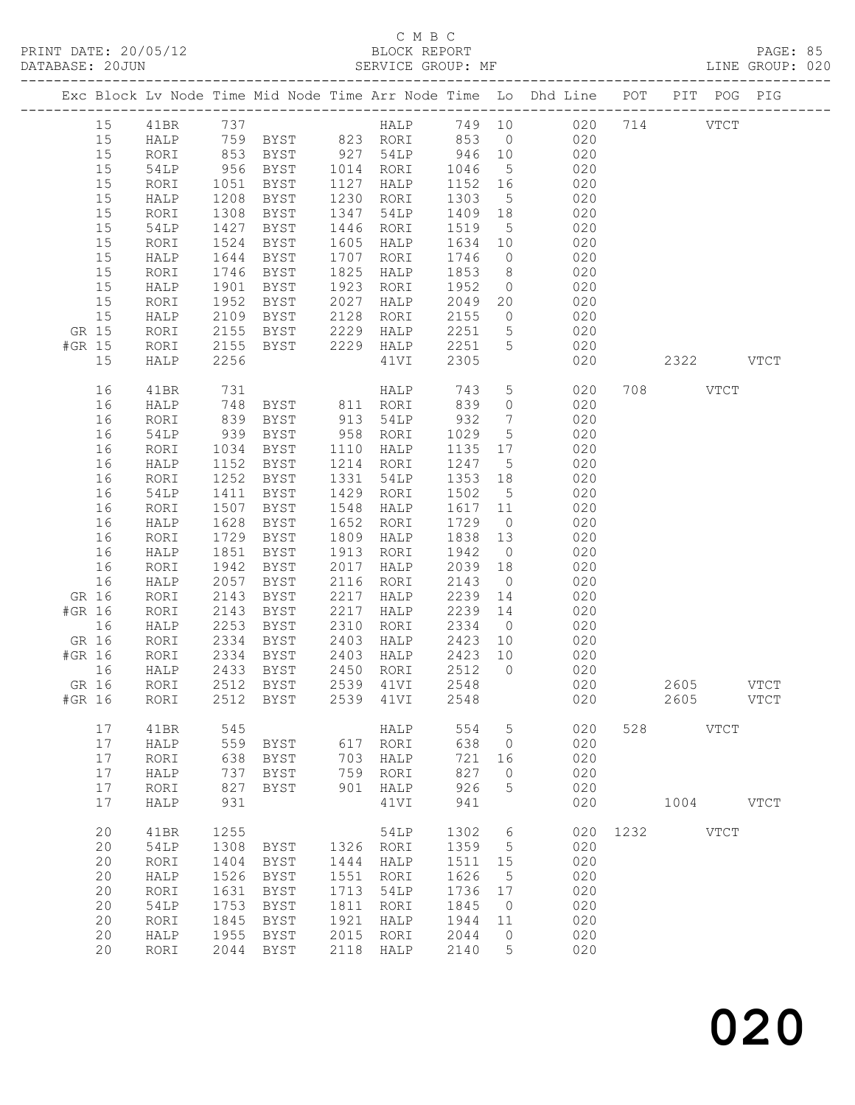|        |                      |      |                                      |      |                  |                   |                 | Exc Block Lv Node Time Mid Node Time Arr Node Time Lo Dhd Line POT PIT POG PIG               |      |           |               |               |
|--------|----------------------|------|--------------------------------------|------|------------------|-------------------|-----------------|----------------------------------------------------------------------------------------------|------|-----------|---------------|---------------|
| 15     | 41BR                 | 737  |                                      |      |                  |                   |                 | HALP 749 10 020 714                                                                          |      |           | $_{\rm VTCT}$ |               |
| 15     | HALP                 |      |                                      |      |                  |                   |                 |                                                                                              |      |           |               |               |
| 15     | RORI                 |      |                                      |      |                  |                   |                 | $0\frac{1}{2}0$                                                                              |      |           |               |               |
| 15     | 54LP                 |      |                                      |      |                  |                   |                 | 759 BYST 823 RORI 853 0 020<br>853 BYST 927 54LP 946 10 020<br>956 BYST 1014 RORI 1046 5 020 |      |           |               |               |
| 15     | RORI                 | 1051 | BYST                                 |      | 1127 HALP        | 1152 16           |                 | 020                                                                                          |      |           |               |               |
| 15     | HALP                 | 1208 | BYST                                 | 1230 | RORI             | 1303              | $5\overline{)}$ | 020                                                                                          |      |           |               |               |
| 15     | RORI                 | 1308 | BYST                                 | 1347 | 54LP             | 1409 18           |                 | 020                                                                                          |      |           |               |               |
| 15     | 54LP                 | 1427 | BYST                                 | 1446 | RORI             | 1519              | 5 <sup>5</sup>  | 020                                                                                          |      |           |               |               |
| 15     | RORI                 | 1524 | BYST                                 | 1605 | HALP             | 1634 10           |                 | 020                                                                                          |      |           |               |               |
| 15     | HALP                 | 1644 | BYST                                 | 1707 | RORI             | 1746              | $\overline{0}$  | 020                                                                                          |      |           |               |               |
| 15     | RORI                 | 1746 | BYST                                 | 1825 | HALP             | 1853              | 8 <sup>8</sup>  | 020                                                                                          |      |           |               |               |
| 15     | HALP                 | 1901 | BYST                                 | 1923 | RORI             | 1952              | $\overline{0}$  | 020                                                                                          |      |           |               |               |
| 15     | RORI                 | 1952 | BYST                                 | 2027 | HALP             | 2049 20           |                 | 020                                                                                          |      |           |               |               |
| 15     | HALP                 | 2109 | BYST                                 | 2128 | RORI             | 2155              |                 | $0 \qquad 020$                                                                               |      |           |               |               |
| GR 15  | RORI                 | 2155 | BYST                                 | 2229 | HALP             | 2251              | $5\overline{)}$ | 020                                                                                          |      |           |               |               |
| #GR 15 | RORI                 | 2155 | BYST                                 | 2229 | HALP             | 2251              | $5\overline{)}$ | 020                                                                                          |      |           |               |               |
| 15     | HALP                 | 2256 |                                      |      | 41VI             | 2305              |                 | 020                                                                                          |      | 2322 VTCT |               |               |
|        |                      |      |                                      |      |                  |                   |                 |                                                                                              |      |           |               |               |
| 16     | 41BR                 | 731  |                                      |      | HALP             |                   | 5 <sup>5</sup>  | 020                                                                                          |      | 708 VTCT  |               |               |
| 16     | HALP                 | 748  |                                      |      |                  | 743<br>839        | $\overline{0}$  | 020                                                                                          |      |           |               |               |
| 16     | RORI                 | 839  | BYST                                 |      | 913 54LP         | 932               | $7\overline{ }$ | 020                                                                                          |      |           |               |               |
| 16     | 54LP                 | 939  | BYST                                 |      | 958 RORI         | 1029              | $5\overline{)}$ | 020                                                                                          |      |           |               |               |
| 16     | RORI                 | 1034 | BYST                                 | 1110 | HALP             | 1135              | 17              | 020                                                                                          |      |           |               |               |
| 16     | HALP                 | 1152 | BYST                                 |      | 1214 RORI        | 1247              | $5\overline{)}$ | 020                                                                                          |      |           |               |               |
| 16     | RORI                 | 1252 | BYST                                 | 1331 | 54LP             | 1353              | 18              | 020                                                                                          |      |           |               |               |
| 16     | 54LP                 | 1411 | BYST                                 | 1429 | RORI             | 1502              | $5\overline{)}$ | 020                                                                                          |      |           |               |               |
| 16     | RORI                 | 1507 | BYST                                 | 1548 | HALP             | 1617              | 11              | 020                                                                                          |      |           |               |               |
| 16     | HALP                 | 1628 | BYST                                 | 1652 | RORI             | 1729              | $\overline{0}$  | 020                                                                                          |      |           |               |               |
| 16     | RORI                 | 1729 | BYST                                 | 1809 | HALP             | 1838 13           |                 | 020                                                                                          |      |           |               |               |
| 16     | HALP                 | 1851 | BYST                                 | 1913 | RORI             | 1942              | $\overline{0}$  | 020                                                                                          |      |           |               |               |
| 16     | RORI                 | 1942 | BYST                                 | 2017 | HALP             | 2039              | 18              | 020                                                                                          |      |           |               |               |
| 16     | HALP                 | 2057 | BYST                                 | 2116 | RORI             | 2143              | $\overline{0}$  | 020                                                                                          |      |           |               |               |
|        |                      | 2143 |                                      | 2217 |                  | 2239              |                 | 020                                                                                          |      |           |               |               |
| GR 16  | RORI                 |      | BYST                                 |      | HALP             |                   | 14              |                                                                                              |      |           |               |               |
| #GR 16 | RORI                 | 2143 | BYST                                 | 2217 | HALP             | 2239 14           |                 | 020                                                                                          |      |           |               |               |
| 16     | HALP                 | 2253 | BYST                                 | 2310 | RORI             | 2334              | $\overline{0}$  | 020                                                                                          |      |           |               |               |
| GR 16  | RORI                 | 2334 | BYST                                 | 2403 | HALP             | 2423<br>$2423$ 10 | 10              | 020                                                                                          |      |           |               |               |
| #GR 16 | RORI                 | 2334 | BYST                                 |      | 2403 HALP        |                   |                 | 020<br>020                                                                                   |      |           |               |               |
| 16     | HALP                 | 2433 | BYST                                 |      | 2450 RORI 2512 0 |                   |                 |                                                                                              |      |           |               |               |
| GR 16  | RORI                 |      | 2512 BYST                            |      | 2539 41VI        | 2548              |                 | 020                                                                                          |      | 2605 VTCT |               |               |
|        |                      |      | #GR 16 RORI 2512 BYST 2539 41VI 2548 |      |                  |                   |                 | 020                                                                                          |      | 2605      |               | $_{\rm VTCT}$ |
| 17     | 41BR                 | 545  |                                      |      | HALP             | 554               | 5               | 020                                                                                          | 528  |           | $_{\rm VTCT}$ |               |
| 17     | HALP                 | 559  | BYST                                 | 617  | RORI             | 638               | $\circ$         | 020                                                                                          |      |           |               |               |
| 17     | RORI                 | 638  | <b>BYST</b>                          | 703  | HALP             | 721               | 16              | 020                                                                                          |      |           |               |               |
| 17     |                      | 737  |                                      | 759  |                  | 827               |                 | 020                                                                                          |      |           |               |               |
|        | HALP                 |      | <b>BYST</b>                          |      | RORI             |                   | 0               |                                                                                              |      |           |               |               |
| 17     | RORI                 | 827  | BYST                                 | 901  | HALP             | 926               | 5               | 020                                                                                          |      |           |               |               |
| 17     | HALP                 | 931  |                                      |      | 41VI             | 941               |                 | 020                                                                                          |      | 1004      |               | <b>VTCT</b>   |
| 20     | 41BR                 | 1255 |                                      |      | 54LP             | 1302              | 6               | 020                                                                                          | 1232 |           | VTCT          |               |
| 20     | 54LP                 | 1308 | <b>BYST</b>                          | 1326 | RORI             | 1359              | 5               | 020                                                                                          |      |           |               |               |
| 20     | RORI                 | 1404 | <b>BYST</b>                          | 1444 | HALP             | 1511              | 15              | 020                                                                                          |      |           |               |               |
| 20     | HALP                 | 1526 | <b>BYST</b>                          | 1551 | RORI             | 1626              | 5               | 020                                                                                          |      |           |               |               |
| 20     | RORI                 | 1631 | <b>BYST</b>                          | 1713 | 54LP             | 1736              | 17              | 020                                                                                          |      |           |               |               |
| 20     | 54LP                 | 1753 | <b>BYST</b>                          | 1811 | RORI             | 1845              | $\mathbf{0}$    | 020                                                                                          |      |           |               |               |
| 20     | RORI                 | 1845 | <b>BYST</b>                          | 1921 | HALP             | 1944              | 11              | 020                                                                                          |      |           |               |               |
| 20     |                      | 1955 |                                      | 2015 |                  |                   | $\circ$         | 020                                                                                          |      |           |               |               |
| 20     | ${\tt HALP}$<br>RORI | 2044 | <b>BYST</b><br><b>BYST</b>           | 2118 | RORI<br>HALP     | 2044<br>2140      | 5               | 020                                                                                          |      |           |               |               |
|        |                      |      |                                      |      |                  |                   |                 |                                                                                              |      |           |               |               |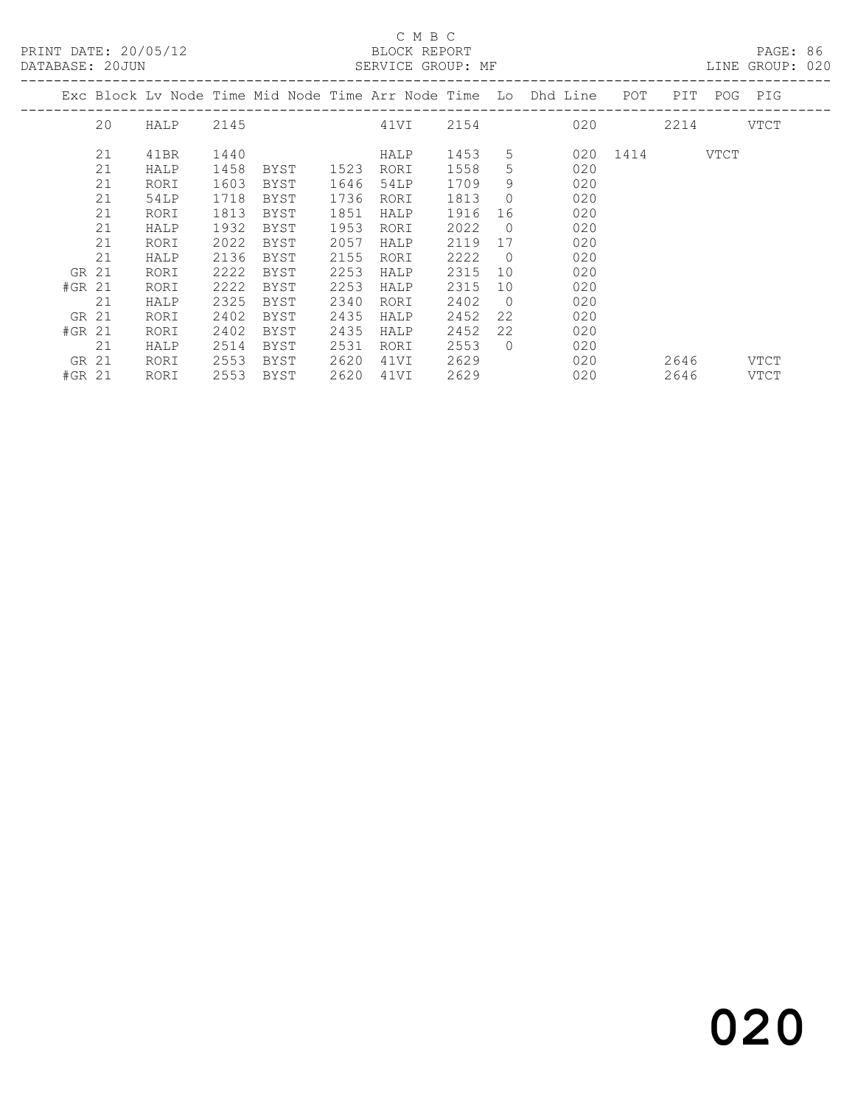|          | DATABASE: 20JUN |      |      |      |      |      |      |                | SERVICE GROUP: MF                                                                  |               |             |             | LINE GROUP: 020 |  |
|----------|-----------------|------|------|------|------|------|------|----------------|------------------------------------------------------------------------------------|---------------|-------------|-------------|-----------------|--|
|          |                 |      |      |      |      |      |      |                | Exc Block Lv Node Time Mid Node Time Arr Node Time Lo Dhd Line POT                 |               |             | PIT POG PIG |                 |  |
|          | 20              | HALP | 2145 |      |      |      |      |                | 4 1 VI 2 1 5 4 2 1 5 4 2 1 5 4 2 1 5 4 2 1 5 4 2 1 5 4 2 1 5 4 2 6 2 0 2 0 2 0 2 0 |               | $2214$ VTCT |             |                 |  |
|          | 21              | 41BR | 1440 |      |      | HALP | 1453 |                | $5 \quad \overline{\phantom{1}}$                                                   | 020 1414 VTCT |             |             |                 |  |
|          | 21              | HALP | 1458 | BYST | 1523 | RORI | 1558 | 5 <sup>1</sup> | 020                                                                                |               |             |             |                 |  |
|          | 21              | RORI | 1603 | BYST | 1646 | 54LP | 1709 | 9              | 020                                                                                |               |             |             |                 |  |
|          | 21              | 54LP | 1718 | BYST | 1736 | RORI | 1813 | $\bigcirc$     | 020                                                                                |               |             |             |                 |  |
|          | 21              | RORI | 1813 | BYST | 1851 | HALP | 1916 | 16             | 020                                                                                |               |             |             |                 |  |
|          | 21              | HALP | 1932 | BYST | 1953 | RORI | 2022 | $\overline{0}$ | 020                                                                                |               |             |             |                 |  |
|          | 21              | RORI | 2022 | BYST | 2057 | HALP | 2119 | 17             | 020                                                                                |               |             |             |                 |  |
|          | 21              | HALP | 2136 | BYST | 2155 | RORI | 2222 | $\bigcirc$     | 020                                                                                |               |             |             |                 |  |
| GR 21    |                 | RORI | 2222 | BYST | 2253 | HALP | 2315 | 10             | 020                                                                                |               |             |             |                 |  |
| $#GR$ 21 |                 | RORI | 2222 | BYST | 2253 | HALP | 2315 | 10             | 020                                                                                |               |             |             |                 |  |
|          | 21              | HALP | 2325 | BYST | 2340 | RORI | 2402 | $\bigcirc$     | 020                                                                                |               |             |             |                 |  |
| GR 21    |                 | RORI | 2402 | BYST | 2435 | HALP | 2452 | 22             | 020                                                                                |               |             |             |                 |  |
| $#GR$ 21 |                 | RORI | 2402 | BYST | 2435 | HALP | 2452 | 22             | 020                                                                                |               |             |             |                 |  |
|          | 21              | HALP | 2514 | BYST | 2531 | RORI | 2553 | $\bigcirc$     | 020                                                                                |               |             |             |                 |  |
| GR 21    |                 | RORI | 2553 | BYST | 2620 | 41VI | 2629 |                | 020                                                                                |               | 2646        |             | VTCT            |  |
| #GR 21   |                 | RORI | 2553 | BYST | 2620 | 41VI | 2629 |                | 020                                                                                |               | 2646        |             | VTCT            |  |
|          |                 |      |      |      |      |      |      |                |                                                                                    |               |             |             |                 |  |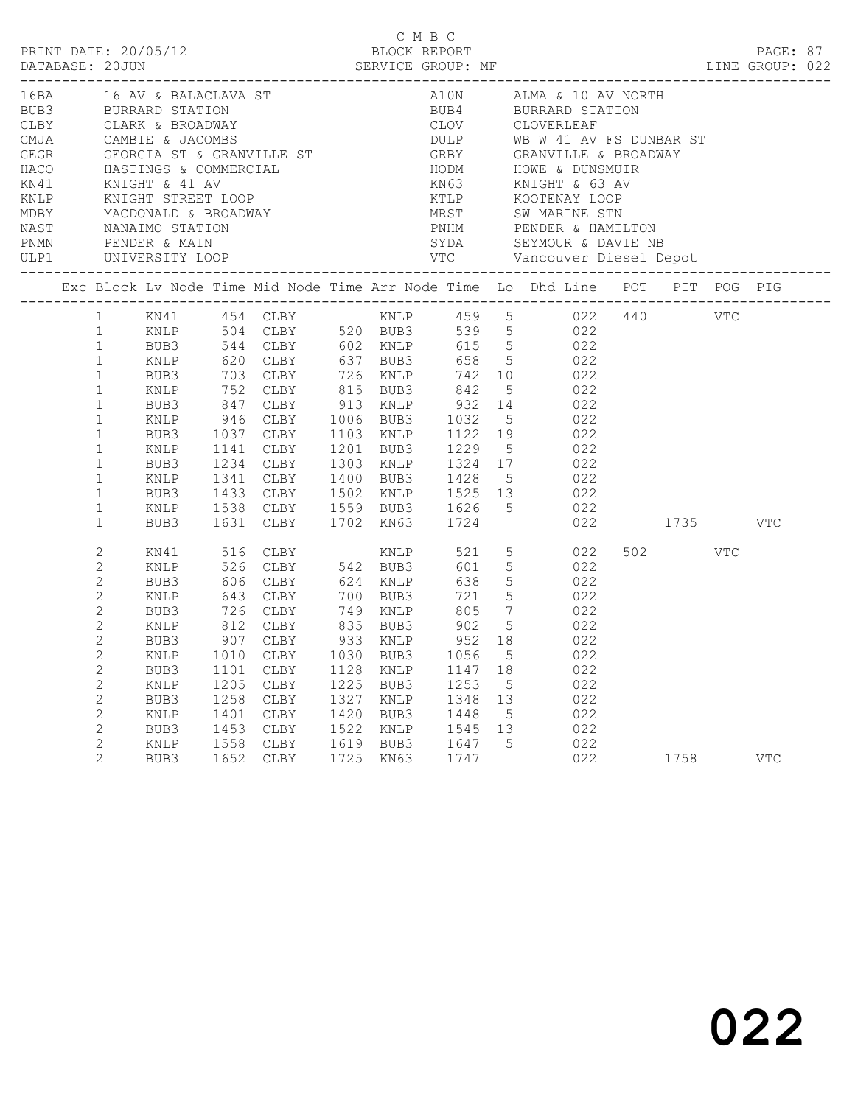|                                                                                                                                                                                                                       |                                                                                      |                                                      |                                                                                                                                                                                                                                                                                                                                                                                                                        |                                                      |                                                      | C M B C                                              |                          |                                                |                                               |                 |            |  |
|-----------------------------------------------------------------------------------------------------------------------------------------------------------------------------------------------------------------------|--------------------------------------------------------------------------------------|------------------------------------------------------|------------------------------------------------------------------------------------------------------------------------------------------------------------------------------------------------------------------------------------------------------------------------------------------------------------------------------------------------------------------------------------------------------------------------|------------------------------------------------------|------------------------------------------------------|------------------------------------------------------|--------------------------|------------------------------------------------|-----------------------------------------------|-----------------|------------|--|
| Exc Block Lv Node Time Mid Node Time Arr Node Time Lo Dhd Line POT PIT POG PIG                                                                                                                                        |                                                                                      |                                                      |                                                                                                                                                                                                                                                                                                                                                                                                                        |                                                      |                                                      |                                                      |                          |                                                |                                               |                 |            |  |
|                                                                                                                                                                                                                       |                                                                                      |                                                      |                                                                                                                                                                                                                                                                                                                                                                                                                        |                                                      |                                                      |                                                      |                          |                                                |                                               |                 |            |  |
| $\mathbf{1}$<br>$\mathbf{1}$<br>$\mathbf{1}$<br>$\mathbf{1}$<br>$\mathbf{1}$<br>$\mathbf{1}$<br>$\mathbf{1}$<br>$\mathbf{1}$<br>$\mathbf{1}$<br>$\mathbf{1}$<br>$\mathbf{1}$                                          | BUB3<br>BUB3<br>KNLP<br>BUB3                                                         |                                                      | BUB3 703 CLBY 726 KNLP 742 10 022<br>KNLP 752 CLBY 815 BUB3 842<br>BUB3 847 CLBY 913 KNLP 932 14 022<br>KNLP 946 CLBY 1006 BUB3 1032 5 022<br>1037 CLBY 1103 KNLP 1122 19 022<br>1141 CLBY 1201 BUB3 1229 5 022<br>BUB3 1234 CLBY 1303 KNLP 1324 17 022<br>KNLP 1341 CLBY 1400 BUB3 1428 5 022<br>BUB3 1433 CLBY 1502 KNLP 1525 13 022<br>KNLP 1538 CLBY 1559 BUB3 1626 5 022<br>1631 CLBY 1702 KN63 1724 022 1735 VTC |                                                      |                                                      |                                                      |                          | 5 022                                          |                                               |                 |            |  |
| 2<br>$\mathbf{2}$<br>$\mathbf{2}$<br>$\mathbf{2}$<br>$\mathbf{2}$<br>$\mathbf{2}$<br>$\overline{2}$<br>$\overline{c}$<br>$\mathbf{2}$<br>2<br>$\mathbf 2$<br>$\mathbf 2$<br>$\mathbf 2$<br>2<br>$\mathbf{2}^{\prime}$ | KN41<br>KNLP<br>KNLP<br>BUB3<br>BUB3<br>KNLP<br>BUB3<br>KNLP<br>BUB3<br>KNLP<br>BUB3 | 1101<br>1205<br>1258<br>1401<br>1453<br>1558<br>1652 | 516 CLBY<br>526 CLBY 542 BUB3<br>BUB3 606 CLBY 624 KNLP 638 5 022<br>KNLP 643 CLBY 700 BUB3 721 5 022<br>BUB3 726 CLBY 749 KNLP 805 7 022<br>812 CLBY 835 BUB3 902 5 022<br>907 CLBY 933 KNLP<br>KNLP 1010 CLBY 1030 BUB3 1056 5 022<br>CLBY<br>${\tt CLBY}$<br>CLBY<br>CLBY<br>CLBY<br><b>CLBY</b><br>CLBY                                                                                                            | 1128<br>1225<br>1327<br>1420<br>1522<br>1619<br>1725 | KNLP<br>BUB3<br>KNLP<br>BUB3<br>KNLP<br>BUB3<br>KN63 | 1147<br>1253<br>1348<br>1448<br>1545<br>1647<br>1747 | 18<br>5<br>13<br>5<br>13 | KNLP 521 5 022<br>601 5 022<br>952 18 022<br>5 | 022<br>022<br>022<br>022<br>022<br>022<br>022 | 502 VTC<br>1758 | <b>VTC</b> |  |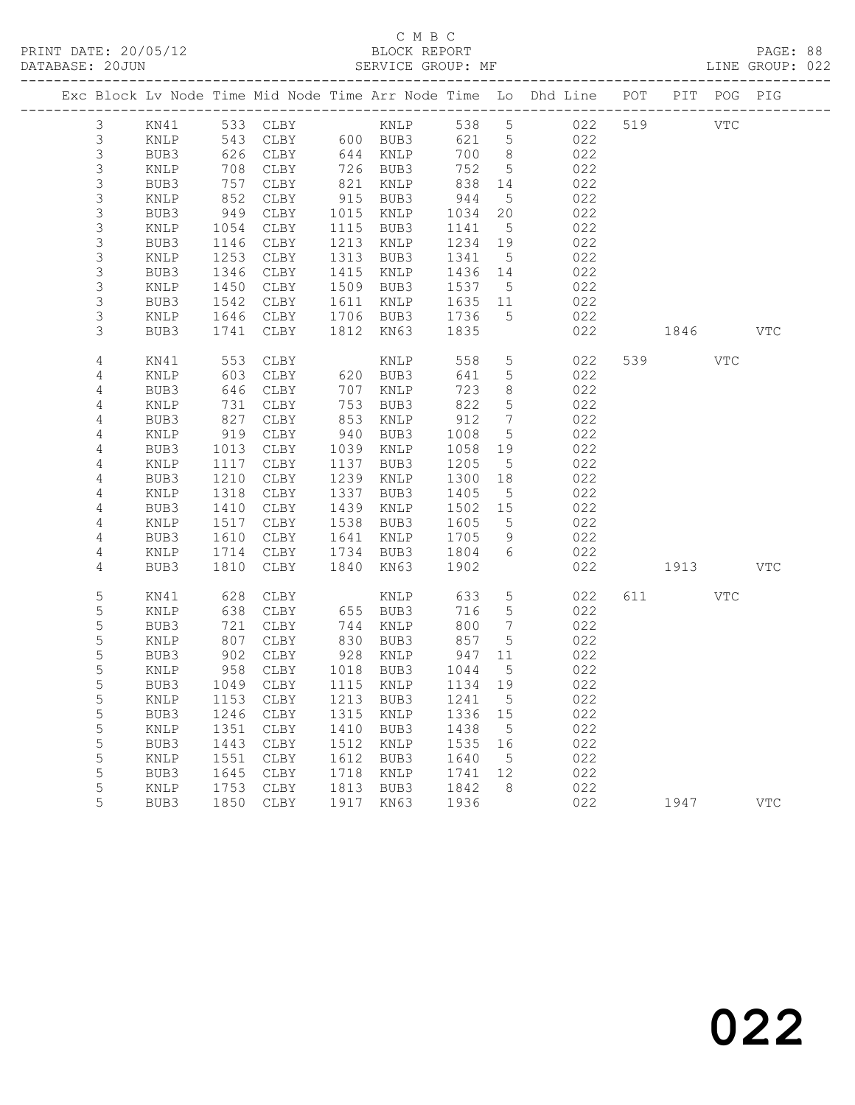|                  |                 |              |                            |              |                   |                 |                              | Exc Block Lv Node Time Mid Node Time Arr Node Time Lo Dhd Line POT |           | PIT POG PIG |            |
|------------------|-----------------|--------------|----------------------------|--------------|-------------------|-----------------|------------------------------|--------------------------------------------------------------------|-----------|-------------|------------|
| $\mathfrak{Z}$   | KN41            |              |                            |              |                   |                 |                              | 022                                                                | 519 VTC   |             |            |
| $\mathsf 3$      | KNLP            |              | 543 CLBY 600 BUB3          |              |                   | 621 5           |                              | 022                                                                |           |             |            |
| $\mathsf S$      | BUB3            | 626          | CLBY                       |              | 644 KNLP          | 700 8           |                              | 022                                                                |           |             |            |
| $\mathsf S$      | KNLP            | 708          | CLBY                       |              | 726 BUB3          | 752             | $5^{\circ}$                  | 022                                                                |           |             |            |
| $\mathsf S$      | BUB3            | 757          | CLBY                       |              | 821 KNLP          | 838             | 14                           | 022                                                                |           |             |            |
| $\mathsf 3$      | KNLP            | 852          | CLBY                       |              | 915 BUB3          | 944             | $5\overline{)}$              | 022                                                                |           |             |            |
| $\mathsf 3$      | BUB3            | 949          | CLBY                       |              | 1015 KNLP         | 1034            | 20                           | 022                                                                |           |             |            |
| $\mathsf S$      | KNLP            | 1054         | CLBY                       |              | 1115 BUB3         | 1141            | $5^{\circ}$                  | 022                                                                |           |             |            |
| $\mathsf 3$      | BUB3            | 1146<br>1253 | CLBY                       |              | 1213 KNLP         | 1234 19         |                              | 022                                                                |           |             |            |
| $\mathsf 3$<br>3 | KNLP<br>BUB3    | 1346         | CLBY<br>CLBY               | 1415         | 1313 BUB3<br>KNLP | 1341<br>1436 14 | $5^{\circ}$                  | 022<br>022                                                         |           |             |            |
| 3                | KNLP            | 1450         | CLBY                       | 1509         | BUB3              | 1537            | $5^{\circ}$                  | 022                                                                |           |             |            |
| $\mathsf 3$      | BUB3            | 1542         | CLBY                       | 1611         | KNLP              | 1635 11         |                              | 022                                                                |           |             |            |
| 3                | KNLP            |              | 1646 CLBY                  |              | 1706 BUB3         | 1736            | $5^{\circ}$                  | 022                                                                |           |             |            |
| 3                | BUB3            | 1741         | CLBY                       | 1812         | KN63              | 1835            |                              | 022                                                                | 1846      |             | <b>VTC</b> |
|                  |                 |              |                            |              |                   |                 |                              |                                                                    |           |             |            |
| 4                | KN41            | 553          | CLBY                       |              | KNLP              | 558             | $5\overline{)}$              | 022                                                                | 539 VTC   |             |            |
| 4                | KNLP            | 603          | CLBY                       |              | $620$ BUB3        | 641             | $5\phantom{.0}$              | 022                                                                |           |             |            |
| 4                | BUB3            | 646          | CLBY                       | 707          | KNLP              | 723             | 8 <sup>8</sup>               | 022                                                                |           |             |            |
| 4                | KNLP            | 731          | CLBY                       | 753          | BUB3              | 822             | $5^{\circ}$                  | 022                                                                |           |             |            |
| 4                | BUB3            | 827          | CLBY                       | 853          | KNLP              | 912             | $7\phantom{.0}\phantom{.0}7$ | 022                                                                |           |             |            |
| $\overline{4}$   | $\texttt{KNLP}$ | 919          | CLBY                       | 940          | BUB3              | 1008            | $5\overline{)}$              | 022                                                                |           |             |            |
| 4                | BUB3            | 1013         | CLBY                       | 1039         | KNLP              | 1058 19         |                              | 022                                                                |           |             |            |
| 4                | KNLP            | 1117         | CLBY                       | 1137         | BUB3              | 1205            | $5^{\circ}$                  | 022                                                                |           |             |            |
| $\overline{4}$   | BUB3            | 1210         | CLBY                       | 1239         | KNLP              | 1300            | 18                           | 022                                                                |           |             |            |
| 4                | KNLP            | 1318         | CLBY                       | 1337         | BUB3              | 1405<br>1502 15 | $5^{\circ}$                  | 022<br>022                                                         |           |             |            |
| 4<br>4           | BUB3<br>KNLP    | 1410<br>1517 | CLBY<br>CLBY               | 1439<br>1538 | KNLP<br>BUB3      | 1605            | $5^{\circ}$                  | 022                                                                |           |             |            |
| 4                | BUB3            | 1610         | CLBY                       | 1641         | KNLP              | 1705            | 9                            | 022                                                                |           |             |            |
| 4                | KNLP            | 1714         | CLBY                       | 1734         | BUB3              | 1804            | 6                            | 022                                                                |           |             |            |
| 4                | BUB3            | 1810         | CLBY                       | 1840         | KN 63             | 1902            |                              | 022                                                                | 1913      |             | <b>VTC</b> |
|                  |                 |              |                            |              |                   |                 |                              |                                                                    |           |             |            |
| 5                | KN41            | 628          | CLBY                       |              | KNLP              | 633             | 5                            | 022                                                                | 611 — 100 | VTC         |            |
| 5                | KNLP            | 638          | CLBY                       |              | 655 BUB3          | 716             | $5\overline{)}$              | 022                                                                |           |             |            |
| 5                | BUB3            | 721          | CLBY                       | 744          | KNLP              | 800             | $7\phantom{.0}\phantom{.0}7$ | 022                                                                |           |             |            |
| 5                | KNLP            | 807          | CLBY                       | 830          | BUB3              | 857             | $5\overline{)}$              | 022                                                                |           |             |            |
| 5                | BUB3            | 902          | CLBY                       |              | 928 KNLP          | 947             | 11                           | 022                                                                |           |             |            |
| 5                | KNLP            | 958          | CLBY                       |              | 1018 BUB3         | 1044            | $5^{\circ}$                  | 022                                                                |           |             |            |
| 5                | BUB3            |              | 1049 CLBY                  |              | 1115 KNLP         | 1134 19         |                              | 022                                                                |           |             |            |
| 5                | KNLP            |              | 1153 CLBY 1213 BUB3 1241 5 |              |                   |                 |                              | 022                                                                |           |             |            |
| 5<br>5           | BUB3<br>KNLP    | 1246<br>1351 | CLBY<br>CLBY               | 1315<br>1410 | KNLP<br>BUB3      | 1336<br>1438    | 15<br>$5^{\circ}$            | 022<br>022                                                         |           |             |            |
| 5                | BUB3            | 1443         | CLBY                       | 1512         | KNLP              | 1535            | 16                           | 022                                                                |           |             |            |
| 5                | KNLP            | 1551         | CLBY                       | 1612         | BUB3              | 1640            | $5\phantom{0}$               | 022                                                                |           |             |            |
| $\mathsf S$      | BUB3            | 1645         | CLBY                       | 1718         | KNLP              | 1741            | 12                           | 022                                                                |           |             |            |
| 5                | KNLP            | 1753         | CLBY                       | 1813         | BUB3              | 1842            | - 8                          | 022                                                                |           |             |            |
| 5                | BUB3            | 1850         | CLBY                       | 1917         | KN63              | 1936            |                              | 022                                                                | 1947      |             | <b>VTC</b> |
|                  |                 |              |                            |              |                   |                 |                              |                                                                    |           |             |            |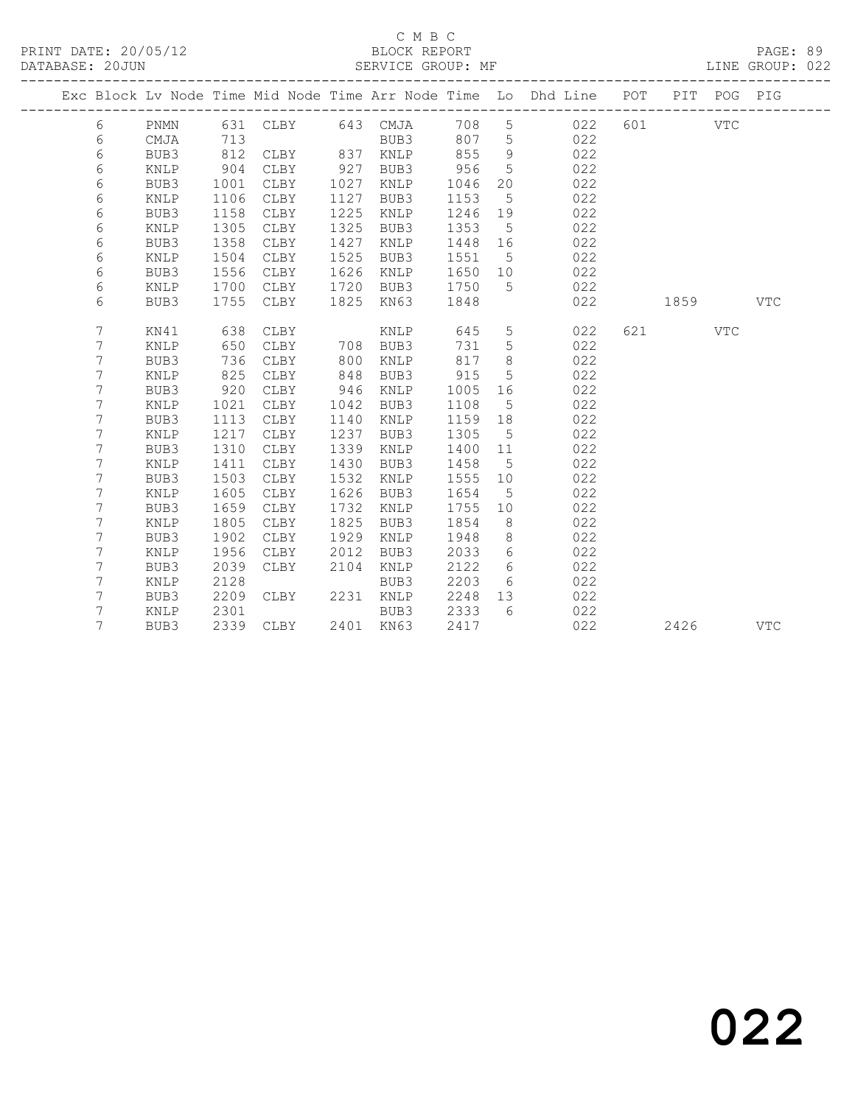### C M B C<br>BLOCK REPORT

LINE GROUP: 022

|  |   |      |      |      |      |                   |      |                 | Exc Block Lv Node Time Mid Node Time Arr Node Time Lo Dhd Line POT PIT POG PIG |     |      |            |            |
|--|---|------|------|------|------|-------------------|------|-----------------|--------------------------------------------------------------------------------|-----|------|------------|------------|
|  | 6 | PNMN |      |      |      | 631 CLBY 643 CMJA | 708  | 5               | 022                                                                            | 601 |      | <b>VTC</b> |            |
|  | 6 | CMJA | 713  |      |      | BUB3              | 807  | 5               | 022                                                                            |     |      |            |            |
|  | 6 | BUB3 | 812  | CLBY | 837  | KNLP              | 855  | 9               | 022                                                                            |     |      |            |            |
|  | 6 | KNLP | 904  | CLBY | 927  | BUB3              | 956  | 5               | 022                                                                            |     |      |            |            |
|  | 6 | BUB3 | 1001 | CLBY | 1027 | KNLP              | 1046 | 20              | 022                                                                            |     |      |            |            |
|  | 6 | KNLP | 1106 | CLBY | 1127 | BUB3              | 1153 | $5\phantom{.0}$ | 022                                                                            |     |      |            |            |
|  | 6 | BUB3 | 1158 | CLBY | 1225 | KNLP              | 1246 | 19              | 022                                                                            |     |      |            |            |
|  | 6 | KNLP | 1305 | CLBY | 1325 | BUB3              | 1353 | $-5$            | 022                                                                            |     |      |            |            |
|  | 6 | BUB3 | 1358 | CLBY | 1427 | KNLP              | 1448 | 16              | 022                                                                            |     |      |            |            |
|  | 6 | KNLP | 1504 | CLBY | 1525 | BUB3              | 1551 | $5^{\circ}$     | 022                                                                            |     |      |            |            |
|  | 6 | BUB3 | 1556 | CLBY | 1626 | KNLP              | 1650 | 10              | 022                                                                            |     |      |            |            |
|  | 6 | KNLP | 1700 | CLBY | 1720 | BUB3              | 1750 | 5               | 022                                                                            |     |      |            |            |
|  | 6 | BUB3 | 1755 | CLBY | 1825 | KN63              | 1848 |                 | 022                                                                            |     | 1859 |            | <b>VTC</b> |
|  |   |      |      |      |      |                   |      |                 |                                                                                |     |      |            |            |
|  | 7 | KN41 | 638  | CLBY |      | KNLP              | 645  | 5               | 022                                                                            | 621 |      | <b>VTC</b> |            |
|  | 7 | KNLP | 650  | CLBY | 708  | BUB3              | 731  | 5               | 022                                                                            |     |      |            |            |
|  | 7 | BUB3 | 736  | CLBY | 800  | KNLP              | 817  | 8               | 022                                                                            |     |      |            |            |
|  | 7 | KNLP | 825  | CLBY | 848  | BUB3              | 915  | 5               | 022                                                                            |     |      |            |            |
|  | 7 | BUB3 | 920  | CLBY | 946  | KNLP              | 1005 | 16              | 022                                                                            |     |      |            |            |
|  | 7 | KNLP | 1021 | CLBY | 1042 | BUB3              | 1108 | 5               | 022                                                                            |     |      |            |            |
|  | 7 | BUB3 | 1113 | CLBY | 1140 | KNLP              | 1159 | 18              | 022                                                                            |     |      |            |            |
|  | 7 | KNLP | 1217 | CLBY | 1237 | BUB3              | 1305 | $5\overline{)}$ | 022                                                                            |     |      |            |            |
|  | 7 | BUB3 | 1310 | CLBY | 1339 | KNLP              | 1400 | 11              | 022                                                                            |     |      |            |            |
|  | 7 | KNLP | 1411 | CLBY | 1430 | BUB3              | 1458 | $5\phantom{0}$  | 022                                                                            |     |      |            |            |
|  | 7 | BUB3 | 1503 | CLBY | 1532 | KNLP              | 1555 | 10              | 022                                                                            |     |      |            |            |
|  | 7 | KNLP | 1605 | CLBY | 1626 | BUB3              | 1654 | $5^{\circ}$     | 022                                                                            |     |      |            |            |
|  | 7 | BUB3 | 1659 | CLBY | 1732 | <b>KNLP</b>       | 1755 | 10              | 022                                                                            |     |      |            |            |
|  | 7 | KNLP | 1805 | CLBY | 1825 | BUB3              | 1854 | - 8             | 022                                                                            |     |      |            |            |
|  | 7 | BUB3 | 1902 | CLBY | 1929 | KNLP              | 1948 | 8               | 022                                                                            |     |      |            |            |
|  | 7 | KNLP | 1956 | CLBY | 2012 | BUB3              | 2033 | 6               | 022                                                                            |     |      |            |            |
|  | 7 | BUB3 | 2039 | CLBY | 2104 | KNLP              | 2122 | 6               | 022                                                                            |     |      |            |            |
|  | 7 | KNLP | 2128 |      |      | BUB3              | 2203 | 6               | 022                                                                            |     |      |            |            |
|  | 7 | BUB3 | 2209 | CLBY | 2231 | KNLP              | 2248 | 13              | 022                                                                            |     |      |            |            |
|  | 7 | KNLP | 2301 |      |      | BUB3              | 2333 | - 6             | 022                                                                            |     |      |            |            |
|  | 7 | BUB3 | 2339 | CLBY |      | 2401 KN63         | 2417 |                 | 022                                                                            |     | 2426 |            | <b>VTC</b> |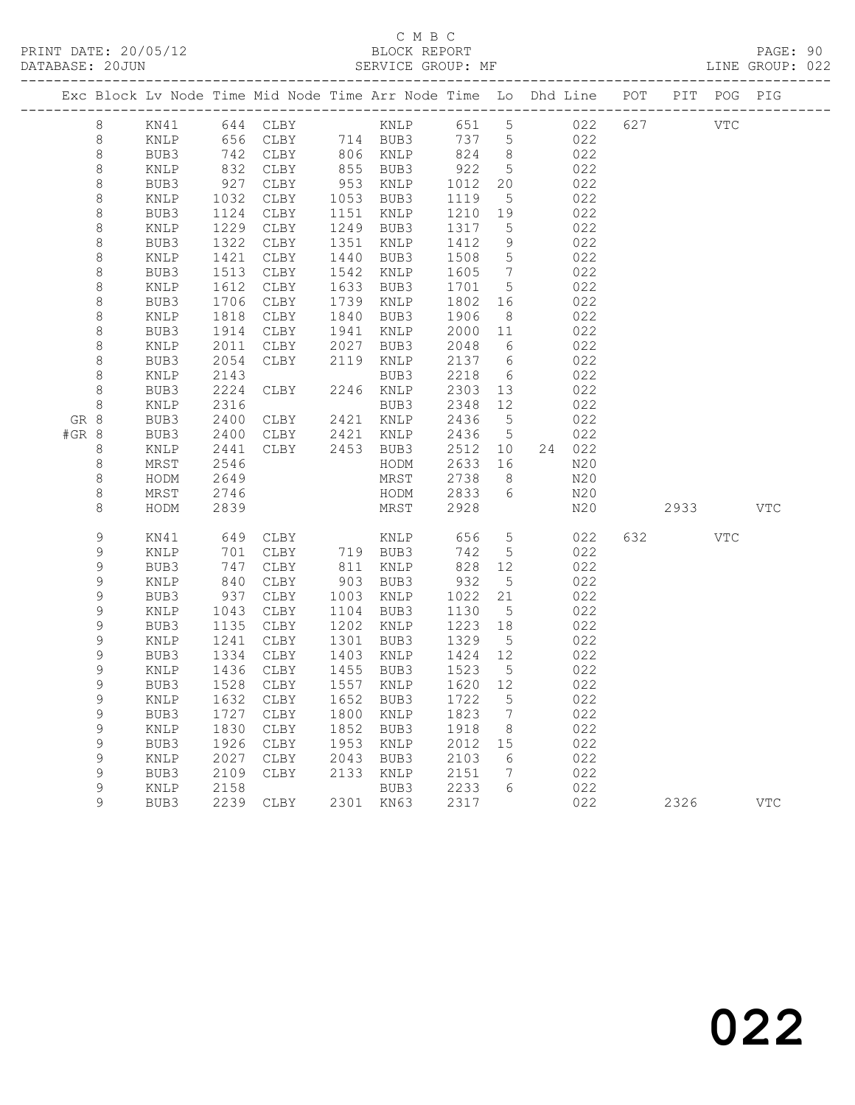## C M B C

|       | DATABASE: 20JUN             |              |              |                                |              | SERVICE GROUP: MF                                                              |                                                                |                      |            |          | LINE GROUP: 022 |  |
|-------|-----------------------------|--------------|--------------|--------------------------------|--------------|--------------------------------------------------------------------------------|----------------------------------------------------------------|----------------------|------------|----------|-----------------|--|
|       |                             |              |              |                                |              | Exc Block Lv Node Time Mid Node Time Arr Node Time Lo Dhd Line POT PIT POG PIG |                                                                |                      |            |          |                 |  |
|       | 8                           |              |              |                                |              |                                                                                |                                                                |                      |            |          |                 |  |
|       | 8                           | KNLP         |              |                                |              | 656 CLBY 714 BUB3 737 5 022                                                    |                                                                |                      |            |          |                 |  |
|       | 8                           | BUB3         | 742<br>832   |                                |              | CLBY 806 KNLP 824 8                                                            |                                                                |                      | 022        |          |                 |  |
|       | $\,8\,$                     | KNLP         |              | CLBY                           |              | 855 BUB3                                                                       | $\begin{array}{c} 22 \\  -922 \\  \hline\n 1012\n \end{array}$ | 5 <sup>5</sup>       | 022        |          |                 |  |
|       | 8                           | BUB3         | 927          | CLBY                           |              | 953 KNLP                                                                       | 1012                                                           | 20                   | 022        |          |                 |  |
|       | 8                           | KNLP         | 1032         | CLBY                           |              | 1053 BUB3                                                                      | 1119                                                           | $5^{\circ}$          | 022        |          |                 |  |
|       | 8                           | BUB3         | 1124         | CLBY                           |              | 1151 KNLP                                                                      | 1210                                                           | 19                   | 022        |          |                 |  |
|       | 8                           | KNLP         | 1229         | CLBY                           |              | 1249 BUB3                                                                      | 1317 5                                                         |                      | 022        |          |                 |  |
|       | 8                           | BUB3         | 1322         | CLBY                           |              | 1351 KNLP                                                                      | 1412                                                           | 9                    | 022        |          |                 |  |
|       | 8                           | KNLP         | 1421         | CLBY                           | 1440         | BUB3                                                                           | 1508                                                           | $5\overline{)}$      | 022        |          |                 |  |
|       | 8                           | BUB3         | 1513         | CLBY                           | 1542         | KNLP                                                                           | 1605                                                           | $\overline{7}$       | 022        |          |                 |  |
|       | 8                           | KNLP         | 1612<br>1706 | CLBY                           |              | 1633 BUB3<br>1739 KNLP                                                         | 1701 5                                                         |                      | 022<br>022 |          |                 |  |
|       | 8<br>8                      | BUB3<br>KNLP | 1818         | CLBY<br>CLBY                   |              | 1840 BUB3                                                                      | 1802<br>1906                                                   | 16<br>8 <sup>8</sup> | 022        |          |                 |  |
|       | 8                           | BUB3         | 1914         | CLBY                           |              | 1941 KNLP                                                                      | 2000                                                           | 11                   | 022        |          |                 |  |
|       | 8                           | KNLP         | 2011         | CLBY                           |              | 2027 BUB3                                                                      | 2048                                                           | 6                    | 022        |          |                 |  |
|       | 8                           | BUB3         | 2054         | CLBY                           |              | 2027 DUDU<br>2119 KNLP                                                         | 2137 6                                                         |                      | 022        |          |                 |  |
|       | 8                           | KNLP         | 2143         |                                |              | BUB3                                                                           | 2218                                                           | 6                    | 022        |          |                 |  |
|       | 8                           | BUB3         | 2224         | CLBY 2246 KNLP                 |              |                                                                                | 2303                                                           | 13                   | 022        |          |                 |  |
|       | 8                           | KNLP         | 2316         |                                |              | BUB3                                                                           | 2348                                                           | 12                   | 022        |          |                 |  |
| GR 8  |                             | BUB3         | 2400         | CLBY 2421 KNLP                 |              |                                                                                | 2436 5                                                         |                      | 022        |          |                 |  |
| #GR 8 |                             | BUB3         | 2400         | CLBY                           |              | 2421 KNLP                                                                      | 2436                                                           | $5\overline{)}$      | 022        |          |                 |  |
|       | 8                           | KNLP         | 2441         | CLBY 2453 BUB3                 |              |                                                                                | 2512                                                           | 10                   | 24 022     |          |                 |  |
|       | 8                           | MRST         | 2546         |                                |              | HODM                                                                           | 2633                                                           | 16                   | N20        |          |                 |  |
|       | 8                           | HODM         | 2649         |                                |              | MRST                                                                           | 2738                                                           | 8                    | N20        |          |                 |  |
|       | 8                           | MRST         | 2746         |                                |              | HODM 2833 6                                                                    |                                                                |                      | N20        |          |                 |  |
|       | 8                           | HODM         | 2839         |                                |              | MRST                                                                           | 2928                                                           |                      | N20        | 2933 VTC |                 |  |
|       | 9                           | KN41         |              | 649 CLBY                       |              | KNLP                                                                           | 656                                                            | $5\overline{)}$      | 022        | 632 VTC  |                 |  |
|       | 9                           | KNLP         | 701          | CLBY                           |              | 719 BUB3                                                                       | 742                                                            | $5\overline{)}$      | 022        |          |                 |  |
|       | 9                           | BUB3         | 747          | CLBY                           |              | 811 KNLP                                                                       | 828 12                                                         |                      | 022        |          |                 |  |
|       | 9                           | KNLP         | 840          | CLBY                           |              | 903 BUB3                                                                       | 932                                                            | $5\overline{)}$      | 022        |          |                 |  |
|       | 9                           | BUB3         | 937          | CLBY                           |              | 1003 KNLP                                                                      | 1022 21                                                        |                      | 022        |          |                 |  |
|       | $\mathsf 9$                 | KNLP         | 1043         | CLBY                           |              | 1104 BUB3                                                                      | 1130                                                           | $5\overline{)}$      | 022        |          |                 |  |
|       | 9                           | BUB3         | 1135         | CLBY                           |              | 1202 KNLP                                                                      | 1223 18                                                        |                      | 022        |          |                 |  |
|       | 9                           | KNLP         | 1241         | CLBY                           |              | 1301 BUB3                                                                      | 1329                                                           | $5\overline{)}$      | 022        |          |                 |  |
|       | 9                           | BUB3         |              | 1334 CLBY<br>1436 CLBY<br>CLBY |              | 1403 KNLP                                                                      | 1424 12                                                        |                      | 022        |          |                 |  |
|       | $\mathsf 9$<br>$\mathsf{Q}$ | KNLP         |              |                                |              | 1455 BUB3                                                                      | 1523 5                                                         |                      | 022        |          |                 |  |
|       |                             |              |              |                                |              | BUB3 1528 CLBY 1557 KNLP 1620 12                                               |                                                                |                      | 022        |          |                 |  |
|       | 9<br>9                      | KNLP<br>BUB3 | 1632<br>1727 | CLBY<br>CLBY                   | 1652<br>1800 | BUB3<br>KNLP                                                                   | 1722<br>1823                                                   | 5<br>$\overline{7}$  | 022<br>022 |          |                 |  |
|       | 9                           | KNLP         | 1830         | CLBY                           | 1852         | BUB3                                                                           | 1918                                                           | 8 <sup>8</sup>       | 022        |          |                 |  |
|       | 9                           | BUB3         | 1926         | CLBY                           | 1953         | KNLP                                                                           | 2012                                                           | 15                   | 022        |          |                 |  |
|       | 9                           | KNLP         | 2027         | CLBY                           | 2043         | BUB3                                                                           | 2103                                                           | 6                    | 022        |          |                 |  |
|       | 9                           | BUB3         | 2109         | CLBY                           | 2133         | KNLP                                                                           | 2151                                                           | 7                    | 022        |          |                 |  |
|       | $\mathsf 9$                 | KNLP         | 2158         |                                |              | BUB3                                                                           | 2233                                                           | 6                    | 022        |          |                 |  |
|       | 9                           | BUB3         |              | 2239 CLBY                      |              | 2301 KN63                                                                      | 2317                                                           |                      | 022        | 2326     | <b>VTC</b>      |  |
|       |                             |              |              |                                |              |                                                                                |                                                                |                      |            |          |                 |  |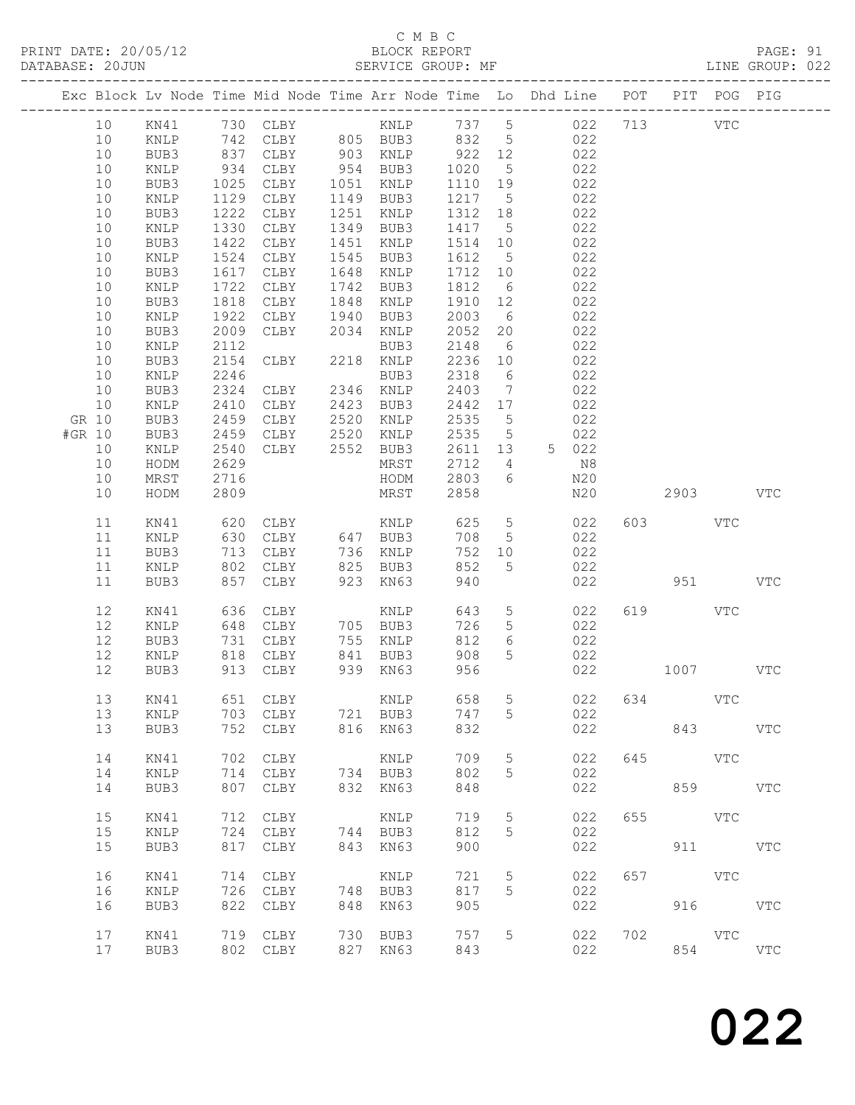## C M B C<br>BLOCK REPORT

|        |          |              |                      | Exc Block Lv Node Time Mid Node Time Arr Node Time Lo Dhd Line POT PIT POG PIG      |     |                        |                  |                           |                                                                                       |            |     |            |            |              |  |
|--------|----------|--------------|----------------------|-------------------------------------------------------------------------------------|-----|------------------------|------------------|---------------------------|---------------------------------------------------------------------------------------|------------|-----|------------|------------|--------------|--|
|        | 10       |              |                      | 10 KN41 730 CLBY KNLP 737 5 022 713 VTC<br>KNLP 742 CLBY 805 BUB3 832 5 022         |     |                        |                  |                           |                                                                                       |            |     |            |            |              |  |
|        | 10       | BUB3         |                      | 837 CLBY 903 KNLP 922 12 022                                                        |     |                        |                  |                           |                                                                                       |            |     |            |            |              |  |
|        | 10       | KNLP         | 934<br>1025          | CLBY 954 BUB3 1020 5 022<br>CLBY 1051 KNLP 1110 19 022<br>CLBY 1149 BUB3 1217 5 022 |     |                        |                  |                           |                                                                                       |            |     |            |            |              |  |
|        | 10       | BUB3         |                      |                                                                                     |     |                        |                  |                           |                                                                                       |            |     |            |            |              |  |
|        | 10       | KNLP         | 1129                 | CLBY                                                                                |     |                        |                  |                           |                                                                                       |            |     |            |            |              |  |
|        | 10       | BUB3         | 1222                 | CLBY                                                                                |     | 1251 KNLP              |                  |                           | 1312 18 022                                                                           |            |     |            |            |              |  |
|        | 10       | KNLP         | 1330                 | CLBY                                                                                |     | 1349 BUB3              |                  |                           |                                                                                       |            |     |            |            |              |  |
|        | 10<br>10 | BUB3         | 1422<br>1524         | CLBY<br>CLBY                                                                        |     | 1451 KNLP<br>1545 BUB3 |                  |                           | $\begin{array}{cccc} 1417 & 5 & 022 \\ 1514 & 10 & 022 \\ 1612 & 5 & 022 \end{array}$ |            |     |            |            |              |  |
|        | 10       | KNLP<br>BUB3 | 1617                 | CLBY                                                                                |     | 1648 KNLP              |                  |                           | 1712 10 022                                                                           |            |     |            |            |              |  |
|        | 10       | KNLP         | 1722                 | CLBY                                                                                |     | 1742 BUB3              |                  |                           |                                                                                       |            |     |            |            |              |  |
|        | 10       | BUB3         | 1818                 | CLBY                                                                                |     | 1848 KNLP              |                  |                           |                                                                                       |            |     |            |            |              |  |
|        | 10       | KNLP         | 1922                 | CLBY                                                                                |     | 1940 BUB3              |                  |                           | $\begin{array}{cccc} 1812 & 6 & 022 \\ 1910 & 12 & 022 \\ 2003 & 6 & 022 \end{array}$ |            |     |            |            |              |  |
|        | 10       | BUB3         | 2009                 | CLBY                                                                                |     | 2034 KNLP              |                  |                           | 2052 20 022                                                                           |            |     |            |            |              |  |
|        | 10       | KNLP         | 2112                 |                                                                                     |     | BUB3                   |                  |                           |                                                                                       |            |     |            |            |              |  |
|        | 10       | BUB3         | 2154<br>2246         | CLBY                                                                                |     | 2218 KNLP              |                  |                           | $\begin{array}{cccc} 2148 & 6 & 022 \\ 2236 & 10 & 022 \\ 2318 & 6 & 022 \end{array}$ |            |     |            |            |              |  |
|        | 10       | KNLP         |                      | BUB3<br>CLBY 2346 KNLP                                                              |     |                        |                  |                           |                                                                                       |            |     |            |            |              |  |
|        | 10       | BUB3         | 2324                 |                                                                                     |     |                        |                  |                           | 2403 7 022                                                                            |            |     |            |            |              |  |
|        | 10       | KNLP         | 2410                 | CLBY 2423 BUB3                                                                      |     |                        |                  |                           | 2442 17 022                                                                           |            |     |            |            |              |  |
|        | GR 10    | BUB3         | 2459<br>2459         | CLBY 2520 KNLP<br>CLBY 2520 KNLP                                                    |     |                        |                  |                           | 2535 5 022<br>2535 5 022                                                              |            |     |            |            |              |  |
| #GR 10 |          | BUB3         |                      | CLBY 2552 BUB3                                                                      |     |                        |                  |                           |                                                                                       |            |     |            |            |              |  |
|        | 10<br>10 | KNLP         | 2540<br>2629         |                                                                                     |     |                        | 2611 13          |                           | 5 022                                                                                 |            |     |            |            |              |  |
|        | 10       | HODM<br>MRST |                      |                                                                                     |     | MRST<br>HODM           |                  |                           | 2712 4 N8                                                                             | N20        |     |            |            |              |  |
|        | 10       | HODM         | 2716<br>2809<br>2809 |                                                                                     |     | MRST                   | $2803$ 6<br>2858 |                           |                                                                                       | N20        |     | 2903 VTC   |            |              |  |
|        | 11       | KN41         |                      |                                                                                     |     |                        |                  |                           |                                                                                       |            |     | 603 VTC    |            |              |  |
|        | 11       | KNLP         |                      |                                                                                     |     |                        | 708<br>752       |                           | $\begin{array}{ccc} 5 & 022 \\ 10 & 022 \end{array}$                                  |            |     |            |            |              |  |
|        | 11<br>11 | BUB3         |                      | 630 CLBY 647 BUB3<br>713 CLBY 736 KNLP<br>802 CLBY 825 BUB3                         |     |                        | 852              | 752 10<br>$5\phantom{.0}$ |                                                                                       | 022        |     |            |            |              |  |
|        | 11       | KNLP<br>BUB3 | 857                  | CLBY                                                                                |     | 923 KN63               | 940              |                           |                                                                                       | 022        |     |            | 951 VTC    |              |  |
|        |          |              |                      |                                                                                     |     |                        |                  |                           |                                                                                       |            |     |            |            |              |  |
|        | 12       | KN41         |                      |                                                                                     |     |                        |                  |                           | 643 5 022                                                                             |            |     | 619 VTC    |            |              |  |
|        | 12       | KNLP         |                      |                                                                                     |     |                        |                  |                           | $726$ 5 022                                                                           |            |     |            |            |              |  |
|        | 12<br>12 | BUB3<br>KNLP |                      | 731 CLBY<br>818 CLBY                                                                |     | 755 KNLP<br>841 BUB3   |                  | 908 5                     | 812 6 022<br>022                                                                      |            |     |            |            |              |  |
|        |          |              |                      | 12 BUB3 913 CLBY 939 KN63 956                                                       |     |                        |                  |                           |                                                                                       | 022        |     | 1007       |            | VTC          |  |
|        |          |              |                      |                                                                                     |     |                        |                  |                           |                                                                                       |            |     |            |            |              |  |
|        | 13       | KN41         |                      | 651 CLBY                                                                            |     | KNLP                   | 658              | 5                         |                                                                                       | 022        | 634 | <b>VTC</b> |            |              |  |
|        | 13<br>13 | KNLP<br>BUB3 |                      | 703 CLBY<br>752 CLBY                                                                |     | 721 BUB3<br>816 KN63   | 747<br>832       | 5                         |                                                                                       | 022<br>022 |     |            | 843 VTC    |              |  |
|        |          |              |                      |                                                                                     |     |                        |                  |                           |                                                                                       |            |     |            |            |              |  |
|        | 14       | KN41         | 702                  | CLBY                                                                                |     | KNLP                   | 709              | 5                         |                                                                                       | 022        | 645 | <b>VTC</b> |            |              |  |
|        | 14       | KNLP         | 714                  | CLBY                                                                                |     | 734 BUB3               | 802              | 5                         |                                                                                       | 022        |     |            |            |              |  |
|        | 14       | BUB3         | 807                  | CLBY                                                                                |     | 832 KN63               | 848              |                           |                                                                                       | 022        |     |            | 859 VTC    |              |  |
|        | 15       | KN41         | 712                  | CLBY                                                                                |     | KNLP                   | 719              | $5\phantom{.0}$           |                                                                                       | 022        | 655 | <b>VTC</b> |            |              |  |
|        | 15       | KNLP         | 724                  | CLBY                                                                                |     | 744 BUB3               | 812              | 5                         |                                                                                       | 022        |     |            |            |              |  |
|        | 15       | BUB3         | 817                  | CLBY                                                                                |     | 843 KN63               | 900              |                           |                                                                                       | 022        |     |            | 911 VTC    |              |  |
|        | 16       | KN41         | 714                  | CLBY                                                                                |     | KNLP                   | 721              | $\overline{5}$            |                                                                                       | 022        | 657 | <b>VTC</b> |            |              |  |
|        | 16       | KNLP         | 726                  | CLBY                                                                                |     | 748 BUB3               | 817              | 5                         |                                                                                       | 022        |     |            |            |              |  |
|        | 16       | BUB3         | 822                  | CLBY                                                                                | 848 | KN63                   | 905              |                           |                                                                                       | 022        |     |            | 916 VTC    |              |  |
|        | 17       | KN41         |                      | 719 CLBY                                                                            |     | 730 BUB3               | 757              | 5                         |                                                                                       | 022        | 702 |            | <b>VTC</b> |              |  |
|        | 17       | BUB3         |                      | 802 CLBY                                                                            |     | 827 KN63               | 843              |                           |                                                                                       | 022        |     | 854        |            | $_{\rm VTC}$ |  |
|        |          |              |                      |                                                                                     |     |                        |                  |                           |                                                                                       |            |     |            |            |              |  |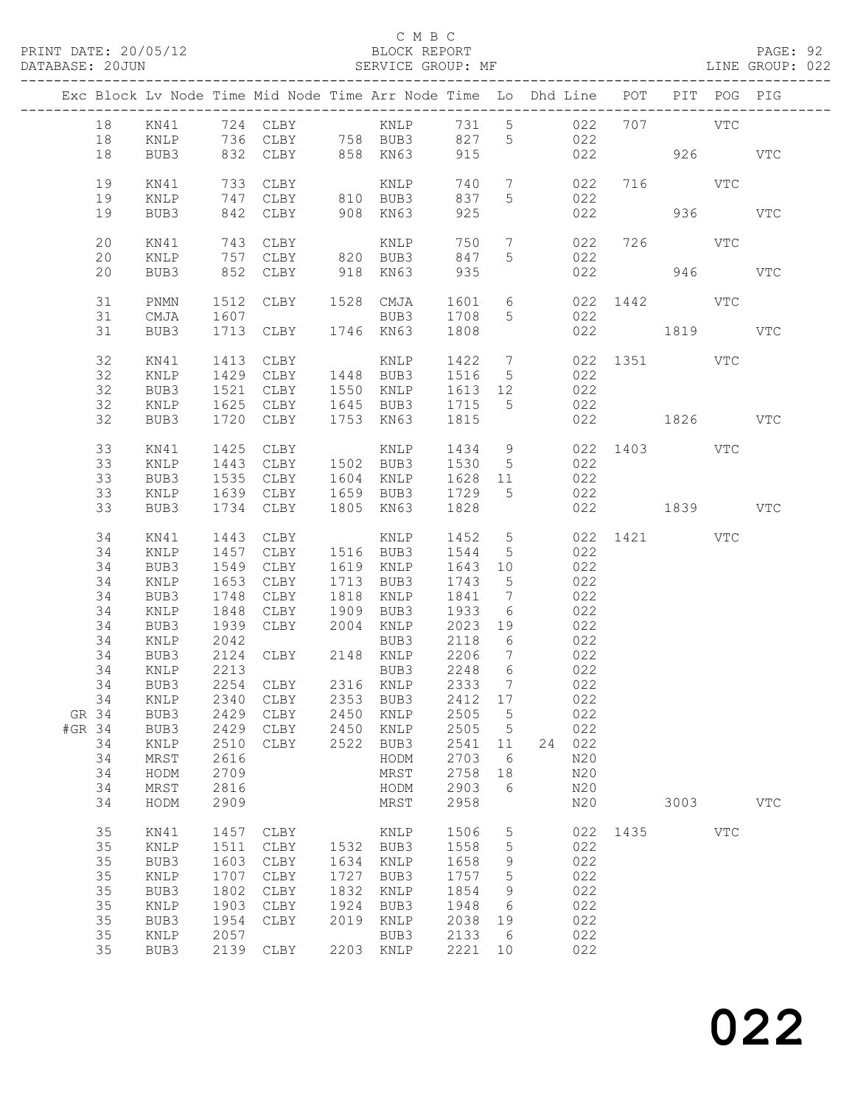### C M B C

DATABASE: 20JUN SERVICE GROUP: MF LINE GROUP: 022

| 18<br>736 CLBY 758 BUB3 827 5<br>022<br>18<br>KNLP<br>832 CLBY 858 KN63<br>915<br>926 VTC<br>18<br>BUB3<br>022<br>19<br>733 CLBY<br>740<br>$7\overline{ }$<br>022 716 VTC<br>KN41<br>KNLP<br>747 CLBY 810 BUB3<br>19<br>837<br>$5\overline{)}$<br>022<br>KNLP<br>908 KN63<br>936 000<br>19<br>842 CLBY<br>925<br>022<br>BUB3<br><b>VTC</b><br>20<br>750<br>726 VTC<br>KN41<br>$7\overline{ }$<br>022<br>20<br>847<br>$5\overline{)}$<br>022<br>KNLP<br>852 CLBY<br>918 KN63<br>946<br>20<br>935<br>022<br>VTC<br>BUB3<br>1601 6<br>022 1442 VTC<br>31<br>PNMN<br>1512 CLBY 1528 CMJA<br>1708<br>31<br>1607<br>022<br>CMJA<br>BUB3<br>5 <sup>5</sup><br>1819<br>31<br>1713 CLBY<br>1746 KN63<br>1808<br>022<br>BUB3<br>VTC<br>32<br>022 1351 VTC<br>KN41<br>32<br>022<br>KNLP<br>1550 KNLP 1613 12<br>022<br>32<br>1521<br>CLBY<br>BUB3<br>32<br>1625 CLBY 1645 BUB3 1715<br>5 <sup>5</sup><br>022<br>KNLP<br>32<br>1720 CLBY<br>1753 KN63<br>1815<br>022 1826 VTC<br>BUB3<br>022 1403 VTC<br>33<br>1425<br>CLBY<br>1434 9<br>KN41<br>KNLP<br>33<br>1443 CLBY 1502 BUB3 1530 5<br>022<br>KNLP<br>33<br>1535 CLBY 1604 KNLP<br>1639 CLBY 1659 BUB3<br>1628 11<br>022<br>BUB3<br>33<br>1729 5<br>022<br>KNLP<br>022 1839 VTC<br>1828<br>33<br>1734 CLBY<br>1805 KN63<br>BUB3<br>022 1421 VTC<br>34<br>1443 CLBY<br>1452 5<br>KN41<br>KNLP<br>34<br>1457 CLBY<br>1516 BUB3<br>1544<br>022<br>KNLP<br>$5\overline{)}$<br>022<br>34<br>1549<br>CLBY<br>1619 KNLP<br>1643 10<br>BUB3<br>34<br>1653<br>CLBY<br>1713 BUB3<br>1743<br>022<br>KNLP<br>$5^{\circ}$<br>34<br>1748<br>1818 KNLP<br>1841<br>$7\overline{ }$<br>BUB3<br>CLBY<br>022<br>34<br>1848<br>1933<br>022<br>KNLP<br>CLBY 1909 BUB3<br>CLBY 2004 KNLP<br>6<br>34<br>1939<br>2023 19<br>022<br>BUB3<br>34<br>2042<br>2118<br>022<br>KNLP<br>BUB3<br>6<br>CLBY 2148 KNLP<br>34<br>2206<br>BUB3<br>2124<br>$7\overline{ }$<br>022<br>2213<br>34<br>2248<br>6<br>022<br>022<br>KNLP<br>BUB3<br>2254 CLBY 2316 KNLP<br>34<br>BUB3<br>2333<br>$7\overline{ }$<br>34 KNLP 2340 CLBY 2353 BUB3 2412 17 022<br>GR 34<br>2429 CLBY<br>2450<br>2505<br>$-5$<br>022<br>BUB3<br>KNLP<br>#GR 34<br>2429<br>2505 5<br>022<br>BUB3<br>CLBY 2450 KNLP<br>34<br>2510<br>2522 BUB3<br>2541<br>24 022<br>KNLP<br>CLBY<br>11<br>34<br>2703<br>N20<br>MRST<br>2616<br>HODM<br>6<br>34<br>HODM<br>2709<br>MRST<br>2758<br>18<br>N20<br>34<br>2816<br>2903<br>MRST<br>HODM<br>- 6<br>N20<br>34<br>MRST<br>2958<br>N20<br>3003<br>HODM<br>2909<br><b>VTC</b><br>35<br>1506<br>022 1435 VTC<br>KN41<br>1457<br>CLBY<br>KNLP<br>5<br>35<br>1511<br>1532 BUB3<br>1558<br>$5\phantom{.0}$<br>022<br>KNLP<br>CLBY<br>022<br>35<br>1603<br>1634<br>1658<br>BUB3<br>CLBY<br>KNLP<br>9<br>35<br>022<br>1707<br>CLBY<br>1727<br>1757<br>5<br>KNLP<br>BUB3<br>022<br>35<br>1802<br>CLBY<br>1832<br>1854<br>BUB3<br>9<br>KNLP<br>35<br>1903<br>1924<br>022<br>KNLP<br>CLBY<br>BUB3<br>1948<br>$6\overline{6}$<br>35<br>1954<br>2019<br>2038<br>022<br>BUB3<br>CLBY<br>KNLP<br>19<br>35<br>2057<br>2133<br>022<br>KNLP<br>BUB3<br>6<br>35<br>BUB3<br>2139 CLBY<br>2203 KNLP<br>2221 10<br>022 | Exc Block Lv Node Time Mid Node Time Arr Node Time Lo Dhd Line POT PIT POG PIG |  |  |  |  |  |  |  |
|-----------------------------------------------------------------------------------------------------------------------------------------------------------------------------------------------------------------------------------------------------------------------------------------------------------------------------------------------------------------------------------------------------------------------------------------------------------------------------------------------------------------------------------------------------------------------------------------------------------------------------------------------------------------------------------------------------------------------------------------------------------------------------------------------------------------------------------------------------------------------------------------------------------------------------------------------------------------------------------------------------------------------------------------------------------------------------------------------------------------------------------------------------------------------------------------------------------------------------------------------------------------------------------------------------------------------------------------------------------------------------------------------------------------------------------------------------------------------------------------------------------------------------------------------------------------------------------------------------------------------------------------------------------------------------------------------------------------------------------------------------------------------------------------------------------------------------------------------------------------------------------------------------------------------------------------------------------------------------------------------------------------------------------------------------------------------------------------------------------------------------------------------------------------------------------------------------------------------------------------------------------------------------------------------------------------------------------------------------------------------------------------------------------------------------------------------------------------------------------------------------------------------------------------------------------------------------------------------------------------------------------------------------------------------------------------------------------------------------------------------------------------------------------------------------------------------------------------------------------------------------------------------------------------------------------------------------------------------------------------------------------------------------------------------------------------------------------------------------------------|--------------------------------------------------------------------------------|--|--|--|--|--|--|--|
|                                                                                                                                                                                                                                                                                                                                                                                                                                                                                                                                                                                                                                                                                                                                                                                                                                                                                                                                                                                                                                                                                                                                                                                                                                                                                                                                                                                                                                                                                                                                                                                                                                                                                                                                                                                                                                                                                                                                                                                                                                                                                                                                                                                                                                                                                                                                                                                                                                                                                                                                                                                                                                                                                                                                                                                                                                                                                                                                                                                                                                                                                                                 |                                                                                |  |  |  |  |  |  |  |
|                                                                                                                                                                                                                                                                                                                                                                                                                                                                                                                                                                                                                                                                                                                                                                                                                                                                                                                                                                                                                                                                                                                                                                                                                                                                                                                                                                                                                                                                                                                                                                                                                                                                                                                                                                                                                                                                                                                                                                                                                                                                                                                                                                                                                                                                                                                                                                                                                                                                                                                                                                                                                                                                                                                                                                                                                                                                                                                                                                                                                                                                                                                 |                                                                                |  |  |  |  |  |  |  |
|                                                                                                                                                                                                                                                                                                                                                                                                                                                                                                                                                                                                                                                                                                                                                                                                                                                                                                                                                                                                                                                                                                                                                                                                                                                                                                                                                                                                                                                                                                                                                                                                                                                                                                                                                                                                                                                                                                                                                                                                                                                                                                                                                                                                                                                                                                                                                                                                                                                                                                                                                                                                                                                                                                                                                                                                                                                                                                                                                                                                                                                                                                                 |                                                                                |  |  |  |  |  |  |  |
|                                                                                                                                                                                                                                                                                                                                                                                                                                                                                                                                                                                                                                                                                                                                                                                                                                                                                                                                                                                                                                                                                                                                                                                                                                                                                                                                                                                                                                                                                                                                                                                                                                                                                                                                                                                                                                                                                                                                                                                                                                                                                                                                                                                                                                                                                                                                                                                                                                                                                                                                                                                                                                                                                                                                                                                                                                                                                                                                                                                                                                                                                                                 |                                                                                |  |  |  |  |  |  |  |
|                                                                                                                                                                                                                                                                                                                                                                                                                                                                                                                                                                                                                                                                                                                                                                                                                                                                                                                                                                                                                                                                                                                                                                                                                                                                                                                                                                                                                                                                                                                                                                                                                                                                                                                                                                                                                                                                                                                                                                                                                                                                                                                                                                                                                                                                                                                                                                                                                                                                                                                                                                                                                                                                                                                                                                                                                                                                                                                                                                                                                                                                                                                 |                                                                                |  |  |  |  |  |  |  |
|                                                                                                                                                                                                                                                                                                                                                                                                                                                                                                                                                                                                                                                                                                                                                                                                                                                                                                                                                                                                                                                                                                                                                                                                                                                                                                                                                                                                                                                                                                                                                                                                                                                                                                                                                                                                                                                                                                                                                                                                                                                                                                                                                                                                                                                                                                                                                                                                                                                                                                                                                                                                                                                                                                                                                                                                                                                                                                                                                                                                                                                                                                                 |                                                                                |  |  |  |  |  |  |  |
|                                                                                                                                                                                                                                                                                                                                                                                                                                                                                                                                                                                                                                                                                                                                                                                                                                                                                                                                                                                                                                                                                                                                                                                                                                                                                                                                                                                                                                                                                                                                                                                                                                                                                                                                                                                                                                                                                                                                                                                                                                                                                                                                                                                                                                                                                                                                                                                                                                                                                                                                                                                                                                                                                                                                                                                                                                                                                                                                                                                                                                                                                                                 |                                                                                |  |  |  |  |  |  |  |
|                                                                                                                                                                                                                                                                                                                                                                                                                                                                                                                                                                                                                                                                                                                                                                                                                                                                                                                                                                                                                                                                                                                                                                                                                                                                                                                                                                                                                                                                                                                                                                                                                                                                                                                                                                                                                                                                                                                                                                                                                                                                                                                                                                                                                                                                                                                                                                                                                                                                                                                                                                                                                                                                                                                                                                                                                                                                                                                                                                                                                                                                                                                 |                                                                                |  |  |  |  |  |  |  |
|                                                                                                                                                                                                                                                                                                                                                                                                                                                                                                                                                                                                                                                                                                                                                                                                                                                                                                                                                                                                                                                                                                                                                                                                                                                                                                                                                                                                                                                                                                                                                                                                                                                                                                                                                                                                                                                                                                                                                                                                                                                                                                                                                                                                                                                                                                                                                                                                                                                                                                                                                                                                                                                                                                                                                                                                                                                                                                                                                                                                                                                                                                                 |                                                                                |  |  |  |  |  |  |  |
|                                                                                                                                                                                                                                                                                                                                                                                                                                                                                                                                                                                                                                                                                                                                                                                                                                                                                                                                                                                                                                                                                                                                                                                                                                                                                                                                                                                                                                                                                                                                                                                                                                                                                                                                                                                                                                                                                                                                                                                                                                                                                                                                                                                                                                                                                                                                                                                                                                                                                                                                                                                                                                                                                                                                                                                                                                                                                                                                                                                                                                                                                                                 |                                                                                |  |  |  |  |  |  |  |
|                                                                                                                                                                                                                                                                                                                                                                                                                                                                                                                                                                                                                                                                                                                                                                                                                                                                                                                                                                                                                                                                                                                                                                                                                                                                                                                                                                                                                                                                                                                                                                                                                                                                                                                                                                                                                                                                                                                                                                                                                                                                                                                                                                                                                                                                                                                                                                                                                                                                                                                                                                                                                                                                                                                                                                                                                                                                                                                                                                                                                                                                                                                 |                                                                                |  |  |  |  |  |  |  |
|                                                                                                                                                                                                                                                                                                                                                                                                                                                                                                                                                                                                                                                                                                                                                                                                                                                                                                                                                                                                                                                                                                                                                                                                                                                                                                                                                                                                                                                                                                                                                                                                                                                                                                                                                                                                                                                                                                                                                                                                                                                                                                                                                                                                                                                                                                                                                                                                                                                                                                                                                                                                                                                                                                                                                                                                                                                                                                                                                                                                                                                                                                                 |                                                                                |  |  |  |  |  |  |  |
|                                                                                                                                                                                                                                                                                                                                                                                                                                                                                                                                                                                                                                                                                                                                                                                                                                                                                                                                                                                                                                                                                                                                                                                                                                                                                                                                                                                                                                                                                                                                                                                                                                                                                                                                                                                                                                                                                                                                                                                                                                                                                                                                                                                                                                                                                                                                                                                                                                                                                                                                                                                                                                                                                                                                                                                                                                                                                                                                                                                                                                                                                                                 |                                                                                |  |  |  |  |  |  |  |
|                                                                                                                                                                                                                                                                                                                                                                                                                                                                                                                                                                                                                                                                                                                                                                                                                                                                                                                                                                                                                                                                                                                                                                                                                                                                                                                                                                                                                                                                                                                                                                                                                                                                                                                                                                                                                                                                                                                                                                                                                                                                                                                                                                                                                                                                                                                                                                                                                                                                                                                                                                                                                                                                                                                                                                                                                                                                                                                                                                                                                                                                                                                 |                                                                                |  |  |  |  |  |  |  |
|                                                                                                                                                                                                                                                                                                                                                                                                                                                                                                                                                                                                                                                                                                                                                                                                                                                                                                                                                                                                                                                                                                                                                                                                                                                                                                                                                                                                                                                                                                                                                                                                                                                                                                                                                                                                                                                                                                                                                                                                                                                                                                                                                                                                                                                                                                                                                                                                                                                                                                                                                                                                                                                                                                                                                                                                                                                                                                                                                                                                                                                                                                                 |                                                                                |  |  |  |  |  |  |  |
|                                                                                                                                                                                                                                                                                                                                                                                                                                                                                                                                                                                                                                                                                                                                                                                                                                                                                                                                                                                                                                                                                                                                                                                                                                                                                                                                                                                                                                                                                                                                                                                                                                                                                                                                                                                                                                                                                                                                                                                                                                                                                                                                                                                                                                                                                                                                                                                                                                                                                                                                                                                                                                                                                                                                                                                                                                                                                                                                                                                                                                                                                                                 |                                                                                |  |  |  |  |  |  |  |
|                                                                                                                                                                                                                                                                                                                                                                                                                                                                                                                                                                                                                                                                                                                                                                                                                                                                                                                                                                                                                                                                                                                                                                                                                                                                                                                                                                                                                                                                                                                                                                                                                                                                                                                                                                                                                                                                                                                                                                                                                                                                                                                                                                                                                                                                                                                                                                                                                                                                                                                                                                                                                                                                                                                                                                                                                                                                                                                                                                                                                                                                                                                 |                                                                                |  |  |  |  |  |  |  |
|                                                                                                                                                                                                                                                                                                                                                                                                                                                                                                                                                                                                                                                                                                                                                                                                                                                                                                                                                                                                                                                                                                                                                                                                                                                                                                                                                                                                                                                                                                                                                                                                                                                                                                                                                                                                                                                                                                                                                                                                                                                                                                                                                                                                                                                                                                                                                                                                                                                                                                                                                                                                                                                                                                                                                                                                                                                                                                                                                                                                                                                                                                                 |                                                                                |  |  |  |  |  |  |  |
|                                                                                                                                                                                                                                                                                                                                                                                                                                                                                                                                                                                                                                                                                                                                                                                                                                                                                                                                                                                                                                                                                                                                                                                                                                                                                                                                                                                                                                                                                                                                                                                                                                                                                                                                                                                                                                                                                                                                                                                                                                                                                                                                                                                                                                                                                                                                                                                                                                                                                                                                                                                                                                                                                                                                                                                                                                                                                                                                                                                                                                                                                                                 |                                                                                |  |  |  |  |  |  |  |
|                                                                                                                                                                                                                                                                                                                                                                                                                                                                                                                                                                                                                                                                                                                                                                                                                                                                                                                                                                                                                                                                                                                                                                                                                                                                                                                                                                                                                                                                                                                                                                                                                                                                                                                                                                                                                                                                                                                                                                                                                                                                                                                                                                                                                                                                                                                                                                                                                                                                                                                                                                                                                                                                                                                                                                                                                                                                                                                                                                                                                                                                                                                 |                                                                                |  |  |  |  |  |  |  |
|                                                                                                                                                                                                                                                                                                                                                                                                                                                                                                                                                                                                                                                                                                                                                                                                                                                                                                                                                                                                                                                                                                                                                                                                                                                                                                                                                                                                                                                                                                                                                                                                                                                                                                                                                                                                                                                                                                                                                                                                                                                                                                                                                                                                                                                                                                                                                                                                                                                                                                                                                                                                                                                                                                                                                                                                                                                                                                                                                                                                                                                                                                                 |                                                                                |  |  |  |  |  |  |  |
|                                                                                                                                                                                                                                                                                                                                                                                                                                                                                                                                                                                                                                                                                                                                                                                                                                                                                                                                                                                                                                                                                                                                                                                                                                                                                                                                                                                                                                                                                                                                                                                                                                                                                                                                                                                                                                                                                                                                                                                                                                                                                                                                                                                                                                                                                                                                                                                                                                                                                                                                                                                                                                                                                                                                                                                                                                                                                                                                                                                                                                                                                                                 |                                                                                |  |  |  |  |  |  |  |
|                                                                                                                                                                                                                                                                                                                                                                                                                                                                                                                                                                                                                                                                                                                                                                                                                                                                                                                                                                                                                                                                                                                                                                                                                                                                                                                                                                                                                                                                                                                                                                                                                                                                                                                                                                                                                                                                                                                                                                                                                                                                                                                                                                                                                                                                                                                                                                                                                                                                                                                                                                                                                                                                                                                                                                                                                                                                                                                                                                                                                                                                                                                 |                                                                                |  |  |  |  |  |  |  |
|                                                                                                                                                                                                                                                                                                                                                                                                                                                                                                                                                                                                                                                                                                                                                                                                                                                                                                                                                                                                                                                                                                                                                                                                                                                                                                                                                                                                                                                                                                                                                                                                                                                                                                                                                                                                                                                                                                                                                                                                                                                                                                                                                                                                                                                                                                                                                                                                                                                                                                                                                                                                                                                                                                                                                                                                                                                                                                                                                                                                                                                                                                                 |                                                                                |  |  |  |  |  |  |  |
|                                                                                                                                                                                                                                                                                                                                                                                                                                                                                                                                                                                                                                                                                                                                                                                                                                                                                                                                                                                                                                                                                                                                                                                                                                                                                                                                                                                                                                                                                                                                                                                                                                                                                                                                                                                                                                                                                                                                                                                                                                                                                                                                                                                                                                                                                                                                                                                                                                                                                                                                                                                                                                                                                                                                                                                                                                                                                                                                                                                                                                                                                                                 |                                                                                |  |  |  |  |  |  |  |
|                                                                                                                                                                                                                                                                                                                                                                                                                                                                                                                                                                                                                                                                                                                                                                                                                                                                                                                                                                                                                                                                                                                                                                                                                                                                                                                                                                                                                                                                                                                                                                                                                                                                                                                                                                                                                                                                                                                                                                                                                                                                                                                                                                                                                                                                                                                                                                                                                                                                                                                                                                                                                                                                                                                                                                                                                                                                                                                                                                                                                                                                                                                 |                                                                                |  |  |  |  |  |  |  |
|                                                                                                                                                                                                                                                                                                                                                                                                                                                                                                                                                                                                                                                                                                                                                                                                                                                                                                                                                                                                                                                                                                                                                                                                                                                                                                                                                                                                                                                                                                                                                                                                                                                                                                                                                                                                                                                                                                                                                                                                                                                                                                                                                                                                                                                                                                                                                                                                                                                                                                                                                                                                                                                                                                                                                                                                                                                                                                                                                                                                                                                                                                                 |                                                                                |  |  |  |  |  |  |  |
|                                                                                                                                                                                                                                                                                                                                                                                                                                                                                                                                                                                                                                                                                                                                                                                                                                                                                                                                                                                                                                                                                                                                                                                                                                                                                                                                                                                                                                                                                                                                                                                                                                                                                                                                                                                                                                                                                                                                                                                                                                                                                                                                                                                                                                                                                                                                                                                                                                                                                                                                                                                                                                                                                                                                                                                                                                                                                                                                                                                                                                                                                                                 |                                                                                |  |  |  |  |  |  |  |
|                                                                                                                                                                                                                                                                                                                                                                                                                                                                                                                                                                                                                                                                                                                                                                                                                                                                                                                                                                                                                                                                                                                                                                                                                                                                                                                                                                                                                                                                                                                                                                                                                                                                                                                                                                                                                                                                                                                                                                                                                                                                                                                                                                                                                                                                                                                                                                                                                                                                                                                                                                                                                                                                                                                                                                                                                                                                                                                                                                                                                                                                                                                 |                                                                                |  |  |  |  |  |  |  |
|                                                                                                                                                                                                                                                                                                                                                                                                                                                                                                                                                                                                                                                                                                                                                                                                                                                                                                                                                                                                                                                                                                                                                                                                                                                                                                                                                                                                                                                                                                                                                                                                                                                                                                                                                                                                                                                                                                                                                                                                                                                                                                                                                                                                                                                                                                                                                                                                                                                                                                                                                                                                                                                                                                                                                                                                                                                                                                                                                                                                                                                                                                                 |                                                                                |  |  |  |  |  |  |  |
|                                                                                                                                                                                                                                                                                                                                                                                                                                                                                                                                                                                                                                                                                                                                                                                                                                                                                                                                                                                                                                                                                                                                                                                                                                                                                                                                                                                                                                                                                                                                                                                                                                                                                                                                                                                                                                                                                                                                                                                                                                                                                                                                                                                                                                                                                                                                                                                                                                                                                                                                                                                                                                                                                                                                                                                                                                                                                                                                                                                                                                                                                                                 |                                                                                |  |  |  |  |  |  |  |
|                                                                                                                                                                                                                                                                                                                                                                                                                                                                                                                                                                                                                                                                                                                                                                                                                                                                                                                                                                                                                                                                                                                                                                                                                                                                                                                                                                                                                                                                                                                                                                                                                                                                                                                                                                                                                                                                                                                                                                                                                                                                                                                                                                                                                                                                                                                                                                                                                                                                                                                                                                                                                                                                                                                                                                                                                                                                                                                                                                                                                                                                                                                 |                                                                                |  |  |  |  |  |  |  |
|                                                                                                                                                                                                                                                                                                                                                                                                                                                                                                                                                                                                                                                                                                                                                                                                                                                                                                                                                                                                                                                                                                                                                                                                                                                                                                                                                                                                                                                                                                                                                                                                                                                                                                                                                                                                                                                                                                                                                                                                                                                                                                                                                                                                                                                                                                                                                                                                                                                                                                                                                                                                                                                                                                                                                                                                                                                                                                                                                                                                                                                                                                                 |                                                                                |  |  |  |  |  |  |  |
|                                                                                                                                                                                                                                                                                                                                                                                                                                                                                                                                                                                                                                                                                                                                                                                                                                                                                                                                                                                                                                                                                                                                                                                                                                                                                                                                                                                                                                                                                                                                                                                                                                                                                                                                                                                                                                                                                                                                                                                                                                                                                                                                                                                                                                                                                                                                                                                                                                                                                                                                                                                                                                                                                                                                                                                                                                                                                                                                                                                                                                                                                                                 |                                                                                |  |  |  |  |  |  |  |
|                                                                                                                                                                                                                                                                                                                                                                                                                                                                                                                                                                                                                                                                                                                                                                                                                                                                                                                                                                                                                                                                                                                                                                                                                                                                                                                                                                                                                                                                                                                                                                                                                                                                                                                                                                                                                                                                                                                                                                                                                                                                                                                                                                                                                                                                                                                                                                                                                                                                                                                                                                                                                                                                                                                                                                                                                                                                                                                                                                                                                                                                                                                 |                                                                                |  |  |  |  |  |  |  |
|                                                                                                                                                                                                                                                                                                                                                                                                                                                                                                                                                                                                                                                                                                                                                                                                                                                                                                                                                                                                                                                                                                                                                                                                                                                                                                                                                                                                                                                                                                                                                                                                                                                                                                                                                                                                                                                                                                                                                                                                                                                                                                                                                                                                                                                                                                                                                                                                                                                                                                                                                                                                                                                                                                                                                                                                                                                                                                                                                                                                                                                                                                                 |                                                                                |  |  |  |  |  |  |  |
|                                                                                                                                                                                                                                                                                                                                                                                                                                                                                                                                                                                                                                                                                                                                                                                                                                                                                                                                                                                                                                                                                                                                                                                                                                                                                                                                                                                                                                                                                                                                                                                                                                                                                                                                                                                                                                                                                                                                                                                                                                                                                                                                                                                                                                                                                                                                                                                                                                                                                                                                                                                                                                                                                                                                                                                                                                                                                                                                                                                                                                                                                                                 |                                                                                |  |  |  |  |  |  |  |
|                                                                                                                                                                                                                                                                                                                                                                                                                                                                                                                                                                                                                                                                                                                                                                                                                                                                                                                                                                                                                                                                                                                                                                                                                                                                                                                                                                                                                                                                                                                                                                                                                                                                                                                                                                                                                                                                                                                                                                                                                                                                                                                                                                                                                                                                                                                                                                                                                                                                                                                                                                                                                                                                                                                                                                                                                                                                                                                                                                                                                                                                                                                 |                                                                                |  |  |  |  |  |  |  |
|                                                                                                                                                                                                                                                                                                                                                                                                                                                                                                                                                                                                                                                                                                                                                                                                                                                                                                                                                                                                                                                                                                                                                                                                                                                                                                                                                                                                                                                                                                                                                                                                                                                                                                                                                                                                                                                                                                                                                                                                                                                                                                                                                                                                                                                                                                                                                                                                                                                                                                                                                                                                                                                                                                                                                                                                                                                                                                                                                                                                                                                                                                                 |                                                                                |  |  |  |  |  |  |  |
|                                                                                                                                                                                                                                                                                                                                                                                                                                                                                                                                                                                                                                                                                                                                                                                                                                                                                                                                                                                                                                                                                                                                                                                                                                                                                                                                                                                                                                                                                                                                                                                                                                                                                                                                                                                                                                                                                                                                                                                                                                                                                                                                                                                                                                                                                                                                                                                                                                                                                                                                                                                                                                                                                                                                                                                                                                                                                                                                                                                                                                                                                                                 |                                                                                |  |  |  |  |  |  |  |
|                                                                                                                                                                                                                                                                                                                                                                                                                                                                                                                                                                                                                                                                                                                                                                                                                                                                                                                                                                                                                                                                                                                                                                                                                                                                                                                                                                                                                                                                                                                                                                                                                                                                                                                                                                                                                                                                                                                                                                                                                                                                                                                                                                                                                                                                                                                                                                                                                                                                                                                                                                                                                                                                                                                                                                                                                                                                                                                                                                                                                                                                                                                 |                                                                                |  |  |  |  |  |  |  |
|                                                                                                                                                                                                                                                                                                                                                                                                                                                                                                                                                                                                                                                                                                                                                                                                                                                                                                                                                                                                                                                                                                                                                                                                                                                                                                                                                                                                                                                                                                                                                                                                                                                                                                                                                                                                                                                                                                                                                                                                                                                                                                                                                                                                                                                                                                                                                                                                                                                                                                                                                                                                                                                                                                                                                                                                                                                                                                                                                                                                                                                                                                                 |                                                                                |  |  |  |  |  |  |  |
|                                                                                                                                                                                                                                                                                                                                                                                                                                                                                                                                                                                                                                                                                                                                                                                                                                                                                                                                                                                                                                                                                                                                                                                                                                                                                                                                                                                                                                                                                                                                                                                                                                                                                                                                                                                                                                                                                                                                                                                                                                                                                                                                                                                                                                                                                                                                                                                                                                                                                                                                                                                                                                                                                                                                                                                                                                                                                                                                                                                                                                                                                                                 |                                                                                |  |  |  |  |  |  |  |
|                                                                                                                                                                                                                                                                                                                                                                                                                                                                                                                                                                                                                                                                                                                                                                                                                                                                                                                                                                                                                                                                                                                                                                                                                                                                                                                                                                                                                                                                                                                                                                                                                                                                                                                                                                                                                                                                                                                                                                                                                                                                                                                                                                                                                                                                                                                                                                                                                                                                                                                                                                                                                                                                                                                                                                                                                                                                                                                                                                                                                                                                                                                 |                                                                                |  |  |  |  |  |  |  |
|                                                                                                                                                                                                                                                                                                                                                                                                                                                                                                                                                                                                                                                                                                                                                                                                                                                                                                                                                                                                                                                                                                                                                                                                                                                                                                                                                                                                                                                                                                                                                                                                                                                                                                                                                                                                                                                                                                                                                                                                                                                                                                                                                                                                                                                                                                                                                                                                                                                                                                                                                                                                                                                                                                                                                                                                                                                                                                                                                                                                                                                                                                                 |                                                                                |  |  |  |  |  |  |  |
|                                                                                                                                                                                                                                                                                                                                                                                                                                                                                                                                                                                                                                                                                                                                                                                                                                                                                                                                                                                                                                                                                                                                                                                                                                                                                                                                                                                                                                                                                                                                                                                                                                                                                                                                                                                                                                                                                                                                                                                                                                                                                                                                                                                                                                                                                                                                                                                                                                                                                                                                                                                                                                                                                                                                                                                                                                                                                                                                                                                                                                                                                                                 |                                                                                |  |  |  |  |  |  |  |
|                                                                                                                                                                                                                                                                                                                                                                                                                                                                                                                                                                                                                                                                                                                                                                                                                                                                                                                                                                                                                                                                                                                                                                                                                                                                                                                                                                                                                                                                                                                                                                                                                                                                                                                                                                                                                                                                                                                                                                                                                                                                                                                                                                                                                                                                                                                                                                                                                                                                                                                                                                                                                                                                                                                                                                                                                                                                                                                                                                                                                                                                                                                 |                                                                                |  |  |  |  |  |  |  |
|                                                                                                                                                                                                                                                                                                                                                                                                                                                                                                                                                                                                                                                                                                                                                                                                                                                                                                                                                                                                                                                                                                                                                                                                                                                                                                                                                                                                                                                                                                                                                                                                                                                                                                                                                                                                                                                                                                                                                                                                                                                                                                                                                                                                                                                                                                                                                                                                                                                                                                                                                                                                                                                                                                                                                                                                                                                                                                                                                                                                                                                                                                                 |                                                                                |  |  |  |  |  |  |  |
|                                                                                                                                                                                                                                                                                                                                                                                                                                                                                                                                                                                                                                                                                                                                                                                                                                                                                                                                                                                                                                                                                                                                                                                                                                                                                                                                                                                                                                                                                                                                                                                                                                                                                                                                                                                                                                                                                                                                                                                                                                                                                                                                                                                                                                                                                                                                                                                                                                                                                                                                                                                                                                                                                                                                                                                                                                                                                                                                                                                                                                                                                                                 |                                                                                |  |  |  |  |  |  |  |
|                                                                                                                                                                                                                                                                                                                                                                                                                                                                                                                                                                                                                                                                                                                                                                                                                                                                                                                                                                                                                                                                                                                                                                                                                                                                                                                                                                                                                                                                                                                                                                                                                                                                                                                                                                                                                                                                                                                                                                                                                                                                                                                                                                                                                                                                                                                                                                                                                                                                                                                                                                                                                                                                                                                                                                                                                                                                                                                                                                                                                                                                                                                 |                                                                                |  |  |  |  |  |  |  |
|                                                                                                                                                                                                                                                                                                                                                                                                                                                                                                                                                                                                                                                                                                                                                                                                                                                                                                                                                                                                                                                                                                                                                                                                                                                                                                                                                                                                                                                                                                                                                                                                                                                                                                                                                                                                                                                                                                                                                                                                                                                                                                                                                                                                                                                                                                                                                                                                                                                                                                                                                                                                                                                                                                                                                                                                                                                                                                                                                                                                                                                                                                                 |                                                                                |  |  |  |  |  |  |  |
|                                                                                                                                                                                                                                                                                                                                                                                                                                                                                                                                                                                                                                                                                                                                                                                                                                                                                                                                                                                                                                                                                                                                                                                                                                                                                                                                                                                                                                                                                                                                                                                                                                                                                                                                                                                                                                                                                                                                                                                                                                                                                                                                                                                                                                                                                                                                                                                                                                                                                                                                                                                                                                                                                                                                                                                                                                                                                                                                                                                                                                                                                                                 |                                                                                |  |  |  |  |  |  |  |
|                                                                                                                                                                                                                                                                                                                                                                                                                                                                                                                                                                                                                                                                                                                                                                                                                                                                                                                                                                                                                                                                                                                                                                                                                                                                                                                                                                                                                                                                                                                                                                                                                                                                                                                                                                                                                                                                                                                                                                                                                                                                                                                                                                                                                                                                                                                                                                                                                                                                                                                                                                                                                                                                                                                                                                                                                                                                                                                                                                                                                                                                                                                 |                                                                                |  |  |  |  |  |  |  |
|                                                                                                                                                                                                                                                                                                                                                                                                                                                                                                                                                                                                                                                                                                                                                                                                                                                                                                                                                                                                                                                                                                                                                                                                                                                                                                                                                                                                                                                                                                                                                                                                                                                                                                                                                                                                                                                                                                                                                                                                                                                                                                                                                                                                                                                                                                                                                                                                                                                                                                                                                                                                                                                                                                                                                                                                                                                                                                                                                                                                                                                                                                                 |                                                                                |  |  |  |  |  |  |  |
|                                                                                                                                                                                                                                                                                                                                                                                                                                                                                                                                                                                                                                                                                                                                                                                                                                                                                                                                                                                                                                                                                                                                                                                                                                                                                                                                                                                                                                                                                                                                                                                                                                                                                                                                                                                                                                                                                                                                                                                                                                                                                                                                                                                                                                                                                                                                                                                                                                                                                                                                                                                                                                                                                                                                                                                                                                                                                                                                                                                                                                                                                                                 |                                                                                |  |  |  |  |  |  |  |
|                                                                                                                                                                                                                                                                                                                                                                                                                                                                                                                                                                                                                                                                                                                                                                                                                                                                                                                                                                                                                                                                                                                                                                                                                                                                                                                                                                                                                                                                                                                                                                                                                                                                                                                                                                                                                                                                                                                                                                                                                                                                                                                                                                                                                                                                                                                                                                                                                                                                                                                                                                                                                                                                                                                                                                                                                                                                                                                                                                                                                                                                                                                 |                                                                                |  |  |  |  |  |  |  |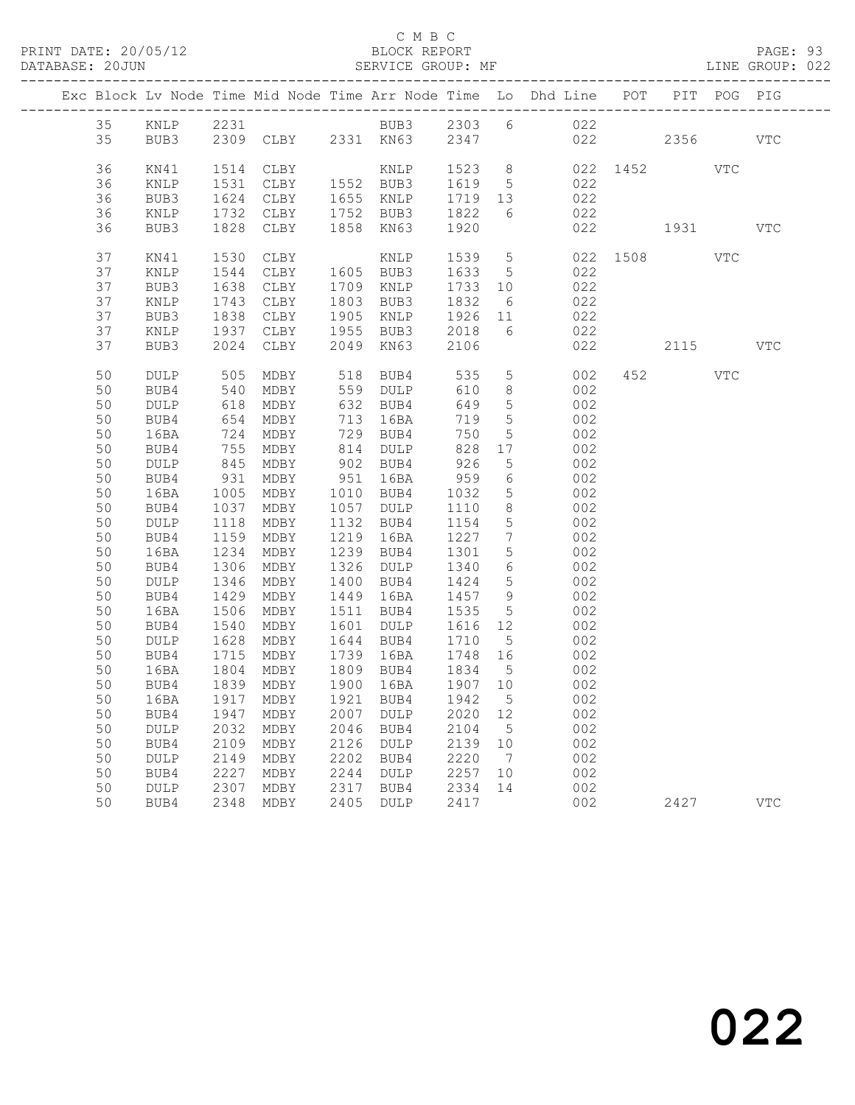### C M B C C M B C C M B C C M B C C M B C C M B C C M B C C M B C C M B C C M B C C M B C C M B C C M B C C M B C C M B C C M B C C M B C C M B C C M B C C M B C C M B C C M B C C M B C C M B C C M B C C M B C C M B C C M B

|  | DATABASE: 20JUN |                 |                  | SERVICE GROUP: MF      |      |                                       |           |                 |                                                                                |              |         | LINE GROUP: 022 |
|--|-----------------|-----------------|------------------|------------------------|------|---------------------------------------|-----------|-----------------|--------------------------------------------------------------------------------|--------------|---------|-----------------|
|  |                 |                 |                  |                        |      |                                       |           |                 | Exc Block Lv Node Time Mid Node Time Arr Node Time Lo Dhd Line POT PIT POG PIG |              |         |                 |
|  | 35              |                 |                  |                        |      |                                       |           |                 | KNLP 2231 BUB3 2303 6 022                                                      |              |         |                 |
|  | 35              |                 |                  |                        |      |                                       |           |                 | BUB3 2309 CLBY 2331 KN63 2347 022 2356 VTC                                     |              |         |                 |
|  | 36              | KN41            | 1514             | CLBY                   |      |                                       |           |                 | KNLP 1523 8 022 1452 VTC                                                       |              |         |                 |
|  | 36              | KNLP            | 1531             | CLBY 1552 BUB3         |      |                                       | 1619 5    |                 | 022                                                                            |              |         |                 |
|  | 36              | BUB3            | 1624             |                        |      |                                       |           |                 | CLBY 1655 KNLP 1719 13 022                                                     |              |         |                 |
|  | 36              | KNLP            | 1732             | CLBY                   |      | 1752 BUB3                             |           |                 | 1822 6 022                                                                     |              |         |                 |
|  | 36              | BUB3            | 1828             | CLBY                   |      | 1858 KN63                             | 1920      |                 |                                                                                | 022 1931     |         | VTC             |
|  | 37              | KN41            | 1530             | CLBY                   |      | KNLP                                  |           |                 | 1539 5                                                                         | 022 1508 VTC |         |                 |
|  | 37              | KNLP            | 1544             | CLBY                   |      | 1605 BUB3                             |           |                 | 1633 5 022                                                                     |              |         |                 |
|  | 37              | BUB3            | 1638             | CLBY                   |      | 1709 KNLP                             | $1733$ 10 |                 | 022                                                                            |              |         |                 |
|  | 37              | $\texttt{KNLP}$ | $\frac{1743}{6}$ | CLBY                   |      | 1803 BUB3                             | 1832      | $6\overline{6}$ | 022                                                                            |              |         |                 |
|  | 37              | BUB3            | 1838             | CLBY                   |      | 1905 KNLP                             |           |                 | 1926 11 022                                                                    |              |         |                 |
|  | 37              | KNLP            | 1937             | CLBY                   |      | 1955 BUB3                             | 2018      |                 | 6 022                                                                          |              |         |                 |
|  | 37              | BUB3            | 2024             | CLBY                   |      | 2049 KN63                             | 2106      |                 | 022                                                                            |              | 2115    | VTC             |
|  | 50              | DULP            | 505              |                        |      | MDBY 518 BUB4                         | 535       |                 | 5 <sub>5</sub><br>002                                                          |              | 452 VTC |                 |
|  | 50              | BUB4            | 540              | MDBY                   |      | 559 DULP                              | 610       | 8 <sup>8</sup>  | 002                                                                            |              |         |                 |
|  | 50              | DULP            |                  | MDBY                   |      | 632 BUB4<br>713 16RA                  | 649       | 5 <sup>5</sup>  | 002                                                                            |              |         |                 |
|  | 50              | BUB4            | 618<br>654       | MDBY                   |      | 713 16BA                              | 719       | 5 <sup>5</sup>  | 002                                                                            |              |         |                 |
|  | 50              | 16BA            | 724              | MDBY                   |      | 729 BUB4                              | 750       | 5 <sup>5</sup>  | $002$                                                                          |              |         |                 |
|  | 50              | BUB4            | 755              | MDBY                   |      | 814 DULP                              | 828       | 17              | 002                                                                            |              |         |                 |
|  | 50              | DULP            |                  | MDBY                   |      | 902 BUB4                              | 926       | 5 <sup>5</sup>  | 002                                                                            |              |         |                 |
|  | 50              | BUB4            | 845<br>931       | MDBY                   |      | 951 16BA                              | 959       | $6\overline{6}$ | 002                                                                            |              |         |                 |
|  | 50              | 16BA            | 1005             | MDBY                   |      | 1010 BUB4                             | 1032      | $5\overline{)}$ | 002                                                                            |              |         |                 |
|  | 50              | BUB4            | 1037             | MDBY                   |      | 1057 DULP                             | 1110      | 8 <sup>8</sup>  | 002                                                                            |              |         |                 |
|  | 50              | DULP            | 1118             | MDBY                   |      | 1132 BUB4                             | 1154      | $5\overline{)}$ | 002                                                                            |              |         |                 |
|  | 50              | BUB4            | 1159             | MDBY                   |      | 1219 16BA                             | 1227      | $7\overline{ }$ | 002                                                                            |              |         |                 |
|  | 50              | 16BA            | 1234             | MDBY                   |      | 1239 BUB4                             | 1301      | 5 <sup>5</sup>  | 002                                                                            |              |         |                 |
|  | 50              | BUB4            | 1306             | MDBY                   |      | 1326 DULP                             | 1340      | $6\overline{6}$ | 002                                                                            |              |         |                 |
|  | 50              | DULP            | 1346             | MDBY                   |      | 1400 BUB4                             | 1424      | $5\overline{)}$ | 002                                                                            |              |         |                 |
|  | 50              | BUB4            | 1429             | MDBY                   |      | 1449 16BA                             | 1457 9    |                 | 002                                                                            |              |         |                 |
|  | 50              | 16BA            | 1506             | MDBY                   |      | 1511 BUB4                             | 1535      | $5\overline{)}$ | 002                                                                            |              |         |                 |
|  | 50              | BUB4            | 1540             | MDBY                   |      | 1601 DULP                             | 1616 12   |                 | 002                                                                            |              |         |                 |
|  | 50              | DULP            | 1628             | MDBY                   |      | 1644 BUB4 1710                        |           | $5\overline{)}$ | 002                                                                            |              |         |                 |
|  | 50              | BUB4            |                  | 1715 MDBY<br>1804 MDBY |      | 1739 16BA 1748 16<br>1809 BUB4 1834 5 |           |                 | 002                                                                            |              |         |                 |
|  | 50              | 16BA            |                  |                        |      |                                       |           |                 | 002                                                                            |              |         |                 |
|  |                 |                 |                  |                        |      |                                       |           |                 | 50 BUB4 1839 MDBY 1900 16BA 1907 10 002                                        |              |         |                 |
|  | 50              | 16BA            | 1917             | MDBY                   | 1921 | BUB4                                  | 1942      | $5^{\circ}$     | 002                                                                            |              |         |                 |
|  | 50              | BUB4            | 1947             | MDBY                   | 2007 | DULP                                  | 2020      | 12              | 002                                                                            |              |         |                 |
|  | 50              | DULP            | 2032             | MDBY                   | 2046 | BUB4                                  | 2104      | $5^{\circ}$     | 002                                                                            |              |         |                 |
|  | 50              | BUB4            | 2109             | MDBY                   | 2126 | DULP                                  | 2139      | 10              | 002                                                                            |              |         |                 |
|  | 50              | DULP            | 2149             | MDBY                   | 2202 | BUB4                                  | 2220      | $\overline{7}$  | 002                                                                            |              |         |                 |
|  | 50              | BUB4            | 2227             | MDBY                   | 2244 | $\texttt{DULP}$                       | 2257      | 10              | 002                                                                            |              |         |                 |
|  | 50              | DULP            | 2307             | MDBY                   | 2317 | BUB4                                  | 2334      | 14              | 002                                                                            |              |         |                 |
|  | 50              | BUB4            | 2348             | MDBY                   | 2405 | DULP                                  | 2417      |                 | 002                                                                            |              | 2427    | <b>VTC</b>      |
|  |                 |                 |                  |                        |      |                                       |           |                 |                                                                                |              |         |                 |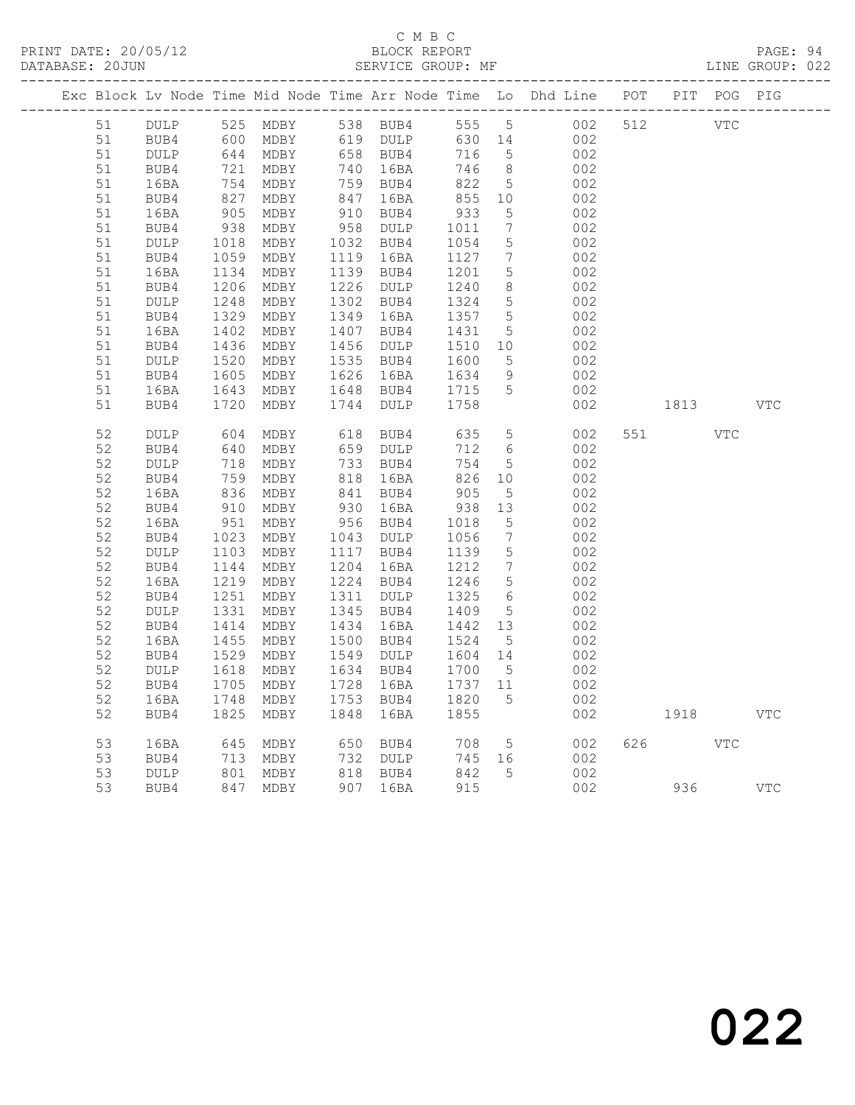PRINT DATE: 20/05/12 BLOCK REPORT<br>DATABASE: 20JUN BATABASE: 2010

## C M B C<br>BLOCK REPORT

PAGE: 94<br>LINE GROUP: 022

|          |              |                   |              |              |              |              |                                     | Exc Block Lv Node Time Mid Node Time Arr Node Time Lo Dhd Line POT |     |      | PIT POG PIG |              |
|----------|--------------|-------------------|--------------|--------------|--------------|--------------|-------------------------------------|--------------------------------------------------------------------|-----|------|-------------|--------------|
| 51       |              |                   |              |              |              |              |                                     | DULP 525 MDBY 538 BUB4 555 5 002                                   | 512 |      | VTC         |              |
| 51       | BUB4         |                   | 600 MDBY     |              | 619 DULP     |              |                                     | 630 14 002                                                         |     |      |             |              |
| 51       | DULP         |                   | MDBY         |              | 658 BUB4     | 716          | 5 <sup>5</sup>                      | 002                                                                |     |      |             |              |
| 51       | BUB4         |                   | MDBY         |              | 740 16BA     | 746          | 8 <sup>8</sup>                      | 002                                                                |     |      |             |              |
| 51       | 16BA         | 644<br>721<br>754 | MDBY         |              | 759 BUB4     | 822          | $5\overline{)}$                     | 002                                                                |     |      |             |              |
| 51       | BUB4         | 827               | MDBY         | 847          | 16BA         | 855          | 10                                  | 002                                                                |     |      |             |              |
| 51       | 16BA         | 905               | MDBY         | 910          | BUB4         | 933          | 5 <sup>5</sup>                      | 002                                                                |     |      |             |              |
| 51       | BUB4         | 938               | MDBY         | 958          | DULP         | 1011         | $7\overline{ }$                     | 002                                                                |     |      |             |              |
| 51       | DULP         | 1018              | MDBY         |              | 1032 BUB4    | 1054         | 5                                   | 002                                                                |     |      |             |              |
| 51       | BUB4         | 1059              | MDBY         |              | 1119 16BA    | 1127         | $7\phantom{.0}\phantom{.0}7$        | 002                                                                |     |      |             |              |
| 51       | 16BA         | 1134              | MDBY         | 1139         | BUB4         | 1201         | $5\overline{)}$                     | 002                                                                |     |      |             |              |
| 51       | BUB4         | 1206              | MDBY         | 1226         | DULP         | 1240         | 8                                   | 002                                                                |     |      |             |              |
| 51       | DULP         | 1248              | MDBY         | 1302         | BUB4         | 1324         | $5\overline{)}$                     | 002                                                                |     |      |             |              |
| 51       | BUB4         | 1329              | MDBY         | 1349         | 16BA         | 1357         | $5\overline{)}$                     | 002                                                                |     |      |             |              |
| 51       | 16BA         | 1402              | MDBY         | 1407         | BUB4         | 1431         | 5 <sup>5</sup>                      | 002                                                                |     |      |             |              |
| 51       | BUB4         | 1436              | MDBY         | 1456         | DULP         | 1510         | 10                                  | 002                                                                |     |      |             |              |
| 51       | DULP         | 1520              | MDBY         | 1535         | BUB4         | 1600         | 5 <sup>5</sup>                      | 002                                                                |     |      |             |              |
| 51       | BUB4         | 1605              | MDBY         | 1626         | 16BA         | 1634         | 9                                   | 002                                                                |     |      |             |              |
| 51       | 16BA         | 1643              | MDBY         |              | 1648 BUB4    | 1715         | 5 <sup>5</sup>                      | 002                                                                |     |      |             |              |
| 51       | BUB4         | 1720              | MDBY         |              | 1744 DULP    | 1758         |                                     | 002                                                                |     | 1813 |             | <b>VTC</b>   |
|          |              |                   |              |              |              |              |                                     |                                                                    |     |      |             |              |
| 52       | DULP         | 604               | MDBY         |              | 618 BUB4     | 635          |                                     | 5 <sub>1</sub><br>002                                              | 551 |      | VTC         |              |
| 52       | BUB4         | 640               | MDBY         |              | 659 DULP     | 712          | $6\overline{6}$                     | 002                                                                |     |      |             |              |
| 52       | DULP         | 718               | MDBY         |              | 733 BUB4     | 754          | 5 <sup>5</sup>                      | 002                                                                |     |      |             |              |
| 52       | BUB4         | 759               | MDBY         | 818          | 16BA         | 826          | 10                                  | 002                                                                |     |      |             |              |
| 52       | 16BA         | 836               | MDBY         | 841          | BUB4         | 905          | $5\overline{)}$                     | 002                                                                |     |      |             |              |
| 52       | BUB4         | 910               | MDBY         | 930          | 16BA         | 938          | 13                                  | 002                                                                |     |      |             |              |
| 52       | 16BA         | $-951$            | MDBY         | 956          | BUB4         | 1018         | $5\overline{)}$                     | 002                                                                |     |      |             |              |
| 52       | BUB4         | 1023              | MDBY         | 1043         | DULP         | 1056         | $7\overline{ }$                     | 002                                                                |     |      |             |              |
| 52       | DULP         | 1103              | MDBY         | 1117         | BUB4         | 1139         | $5\overline{)}$                     | 002                                                                |     |      |             |              |
| 52<br>52 | BUB4         | 1144<br>1219      | MDBY         | 1204<br>1224 | 16BA         | 1212<br>1246 | $7\phantom{.0}\,$<br>5 <sup>5</sup> | 002<br>002                                                         |     |      |             |              |
| 52       | 16BA<br>BUB4 | 1251              | MDBY<br>MDBY | 1311         | BUB4<br>DULP | 1325         | 6                                   | 002                                                                |     |      |             |              |
| 52       | DULP         | 1331              | MDBY         | 1345         | BUB4         | 1409         | $5\overline{)}$                     | 002                                                                |     |      |             |              |
| 52       | BUB4         | 1414              | MDBY         | 1434         | 16BA         | 1442         | 13                                  | 002                                                                |     |      |             |              |
| 52       | 16BA         | 1455              | MDBY         | 1500         | BUB4         | 1524         | $5^{\circ}$                         | 002                                                                |     |      |             |              |
| 52       | BUB4         | 1529              | MDBY         | 1549         | DULP         | 1604 14      |                                     | 002                                                                |     |      |             |              |
| 52       | DULP         | 1618              | MDBY         |              | 1634 BUB4    | 1700         | $5\overline{)}$                     | 002                                                                |     |      |             |              |
| 52       | BUB4         |                   | 1705 MDBY    |              | 1728 16BA    | 1737 11      |                                     | 002                                                                |     |      |             |              |
| 52       | 16BA         | 1748              | MDBY         | 1753         | BUB4         | 1820         | 5                                   | 002                                                                |     |      |             |              |
| 52       | BUB4         | 1825              | MDBY         | 1848         | 16BA         | 1855         |                                     | 002                                                                |     | 1918 |             | $_{\rm VTC}$ |
|          |              |                   |              |              |              |              |                                     |                                                                    |     |      |             |              |
| 53       | 16BA         | 645               | MDBY         | 650          | BUB4         | 708          | 5                                   | 002                                                                | 626 |      | <b>VTC</b>  |              |
| 53       | BUB4         | 713               | MDBY         | 732          | DULP         | 745          | 16                                  | 002                                                                |     |      |             |              |
| 53       | DULP         | 801               | MDBY         | 818          | BUB4         | 842          | 5                                   | 002                                                                |     |      |             |              |
| 53       | BUB4         | 847               | MDBY         | 907          | 16BA         | 915          |                                     | 002                                                                |     | 936  |             | $_{\rm VTC}$ |
|          |              |                   |              |              |              |              |                                     |                                                                    |     |      |             |              |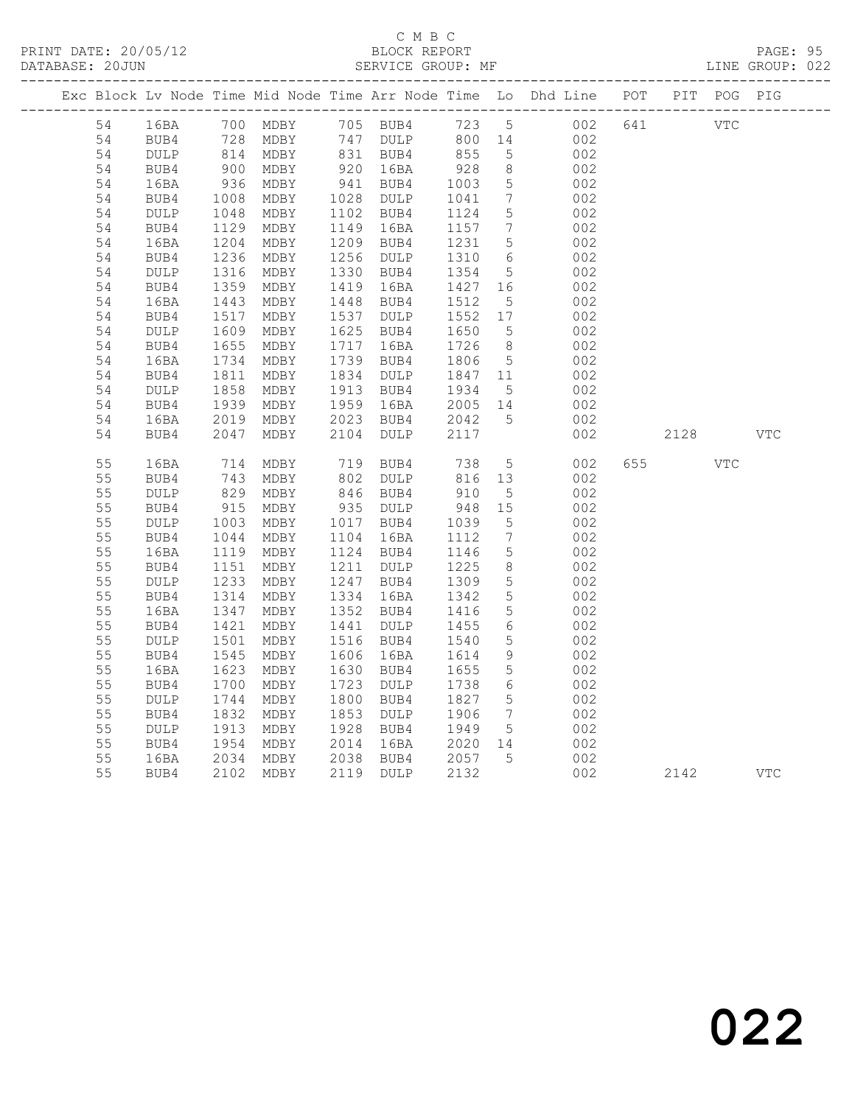### C M B C DATABASE: 20JUN SERVICE GROUP: MF LINE GROUP: 022

|          |                 |                            |                        |      |                        |                               |                              | Exc Block Lv Node Time Mid Node Time Arr Node Time Lo Dhd Line POT PIT POG PIG |     |      |            |              |
|----------|-----------------|----------------------------|------------------------|------|------------------------|-------------------------------|------------------------------|--------------------------------------------------------------------------------|-----|------|------------|--------------|
| 54       | 16BA            |                            | 700 MDBY               |      |                        |                               |                              | 105 BUB4 123 5 002<br>147 DULP 800 14 002                                      | 641 | VTC  |            |              |
| 54       | BUB4            |                            | 728 MDBY               |      | 747 DULP               | 800 14                        |                              | 002                                                                            |     |      |            |              |
| 54       | DULP            |                            | 814 MDBY<br>900 MDBY   |      | 831 BUB4<br>920 16BA   | 855                           | 5                            | 002                                                                            |     |      |            |              |
| 54       | BUB4            |                            |                        |      |                        | $928$<br>$1003$               | 8 <sup>8</sup>               | 002                                                                            |     |      |            |              |
| 54       | 16BA            | $936$<br>$1008$            | MDBY                   |      | 941 BUB4               |                               | $5\overline{)}$              | 002                                                                            |     |      |            |              |
| 54       | BUB4            |                            | MDBY                   |      | 1028 DULP              | 1041                          | $7\overline{ }$              | 002                                                                            |     |      |            |              |
| 54       | DULP            | $1048$<br>$1129$<br>$1204$ | MDBY                   |      | 1102 BUB4              | 1124                          | $5\overline{)}$              | 002                                                                            |     |      |            |              |
| 54       | BUB4            |                            | MDBY                   |      | 1149 16BA              | 1157<br>1231                  | $\overline{7}$               | 002                                                                            |     |      |            |              |
| 54<br>54 | 16BA<br>BUB4    | 1236                       | MDBY<br>MDBY           |      | 1209 BUB4<br>1256 DULP |                               | 5<br>$6\overline{6}$         | 002<br>002                                                                     |     |      |            |              |
| 54       | $\texttt{DULP}$ | $1230$<br>$1316$           | MDBY                   |      | 1330 BUB4              | 1310<br>1354                  | $5\overline{)}$              | 002                                                                            |     |      |            |              |
| 54       | BUB4            |                            | MDBY                   |      | 1419 16BA              |                               |                              | 002                                                                            |     |      |            |              |
| 54       | 16BA            | 1359<br>1443               | MDBY                   |      | 1448 BUB4              | $1427$ $16$<br>1512 =<br>1512 | $5\overline{)}$              | 002                                                                            |     |      |            |              |
| 54       | BUB4            |                            | MDBY                   |      | 1537 DULP              | 1552 17                       |                              | 002                                                                            |     |      |            |              |
| 54       | DULP            | 1517<br>1609               | MDBY                   |      | 1625 BUB4              | 1650                          | $5\overline{)}$              | 002                                                                            |     |      |            |              |
| 54       | BUB4            |                            | MDBY                   |      | 1717 16BA              | 1726                          | 8 <sup>8</sup>               | 002                                                                            |     |      |            |              |
| 54       | 16BA            | 1655<br>1734               | MDBY                   |      | 1739 BUB4              | 1806                          | $5\overline{)}$              | 002                                                                            |     |      |            |              |
| 54       | BUB4            | 1811                       | MDBY                   |      | 1834 DULP              | 1847 11                       |                              | 002                                                                            |     |      |            |              |
| 54       | DULP            |                            |                        |      | 1913 BUB4              |                               | $5\overline{)}$              | 002                                                                            |     |      |            |              |
| 54       | BUB4            |                            | 1858 MDBY<br>1939 MDBY |      | 1959 16BA              | 1934 5<br>2005 14             |                              | 002                                                                            |     |      |            |              |
| 54       | 16BA            | 2019                       | MDBY                   |      | 2023 BUB4              | 2042<br>2117                  | $5^{\circ}$                  | 002                                                                            |     |      |            |              |
| 54       | BUB4            | 2047                       | MDBY                   | 2104 | DULP                   |                               |                              | 002                                                                            |     | 2128 |            | <b>VTC</b>   |
| 55       | 16BA            | 714                        | MDBY                   |      | 719 BUB4               | 738                           | 5 <sup>5</sup>               | 002                                                                            | 655 |      | <b>VTC</b> |              |
| 55       | BUB4            | $\frac{1}{829}$            | MDBY                   |      | $802$ DULP             |                               |                              | 002                                                                            |     |      |            |              |
| 55       | DULP            |                            | MDBY                   |      | 846 BUB4               | 816 13<br>910 5               |                              | 002                                                                            |     |      |            |              |
| 55       | BUB4            | 915                        | MDBY                   |      | 935 DULP               | 948 15                        |                              | 002                                                                            |     |      |            |              |
| 55       | $\texttt{DULP}$ | 1003                       | MDBY                   |      | 1017 BUB4              | 1039                          | $5\overline{)}$              | 002                                                                            |     |      |            |              |
| 55       | BUB4            |                            | MDBY                   |      | 1104 16BA              | 1112                          | $7\phantom{.0}\phantom{.0}7$ | 002                                                                            |     |      |            |              |
| 55       | 16BA            | 1119                       | MDBY                   |      | 1124 BUB4              | 1146<br>1225                  | $5\overline{)}$              | 002                                                                            |     |      |            |              |
| 55       | BUB4            | $\frac{1044}{1119}$        | MDBY                   |      | 1211 DULP              |                               | 8 <sup>8</sup>               | 002                                                                            |     |      |            |              |
| 55       | DULP            |                            | MDBY                   |      | 1247 BUB4              | 1309<br>1342                  | $5\overline{)}$              | 002                                                                            |     |      |            |              |
| 55       | BUB4            | $1233$<br>$1314$           | MDBY                   |      | 1334 16BA              |                               | $5\overline{)}$              | 002                                                                            |     |      |            |              |
| 55       | 16BA            | 1347<br>134/1421           | MDBY                   |      | 1352 BUB4              | 1416<br>1455                  | $5\overline{)}$              | 002                                                                            |     |      |            |              |
| 55       | BUB4            |                            | MDBY                   |      | 1441 DULP              | 1455                          | $6\overline{6}$              | 002                                                                            |     |      |            |              |
| 55       | DULP            | 1501<br>1545               | MDBY                   |      | 1516 BUB4              | 1540                          | $5\phantom{.0}$              | 002                                                                            |     |      |            |              |
| 55       | BUB4            |                            | MDBY                   |      | 1606 16BA<br>1630 BUB4 | 1614<br>1655                  | 9<br>$5\overline{)}$         | 002                                                                            |     |      |            |              |
| 55<br>55 | 16BA<br>BUB4    | 1623<br>1700               | MDBY<br>MDBY           |      | 1723 DULP              | 1738                          | $6\overline{6}$              | 002<br>002                                                                     |     |      |            |              |
| 55       | DULP            | 1744                       | MDBY                   |      | 1800 BUB4              | 1827                          | $5\overline{)}$              | 002                                                                            |     |      |            |              |
| 55       | BUB4            | 1832                       | MDBY                   |      | 1853 DULP              | 1906                          | $7\overline{ }$              | 002                                                                            |     |      |            |              |
| 55       | DULP            | 1992<br>1913               | MDBY                   |      | 1928 BUB4              | 1949                          | $5\overline{)}$              | 002                                                                            |     |      |            |              |
| 55       | BUB4            |                            | MDBY                   |      |                        |                               |                              | 002                                                                            |     |      |            |              |
| 55       | 16BA            | 1954<br>2034               | MDBY                   |      | 2014 16BA<br>2038 BUB4 | 2020 14<br>2057 5             |                              | 002                                                                            |     |      |            |              |
| 55       | BUB4            |                            | 2102 MDBY              |      | 2119 DULP              | 2132                          |                              | 002                                                                            |     | 2142 |            | $_{\rm VTC}$ |
|          |                 |                            |                        |      |                        |                               |                              |                                                                                |     |      |            |              |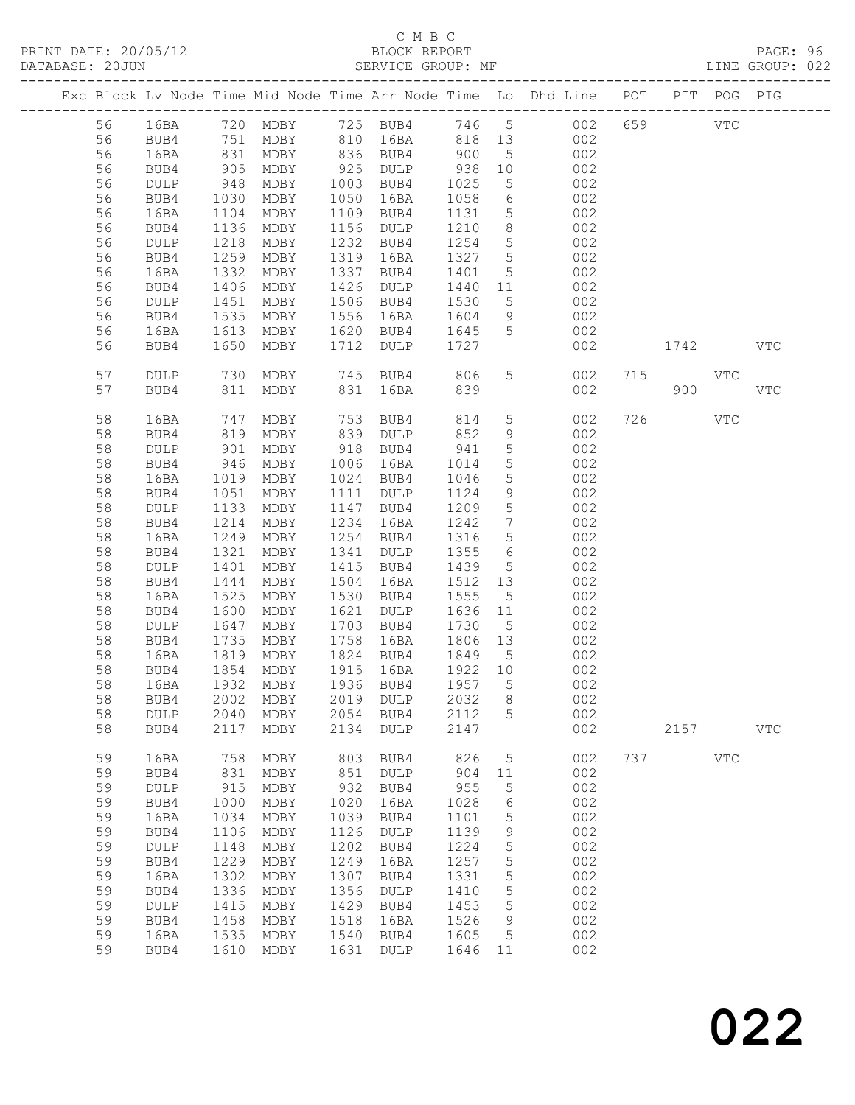## C M B C

| DATABASE: 20JUN |    |                 |                   | SERVICE GROUP: MF        |      |                                             |         |                 |                                                                                |     |            |            | LINE GROUP: 022 |  |
|-----------------|----|-----------------|-------------------|--------------------------|------|---------------------------------------------|---------|-----------------|--------------------------------------------------------------------------------|-----|------------|------------|-----------------|--|
|                 |    |                 |                   |                          |      |                                             |         |                 | Exc Block Lv Node Time Mid Node Time Arr Node Time Lo Dhd Line POT PIT POG PIG |     |            |            |                 |  |
|                 | 56 |                 |                   |                          |      |                                             |         |                 | 16BA 720 MDBY 725 BUB4 746 5 002 659 VTC                                       |     |            |            |                 |  |
|                 | 56 | BUB4            |                   | 751 MDBY 810 16BA 818 13 |      |                                             |         |                 | 002                                                                            |     |            |            |                 |  |
|                 | 56 | 16BA            |                   |                          |      | MDBY 836 BUB4 900                           |         | 5 <sup>5</sup>  | 002                                                                            |     |            |            |                 |  |
|                 | 56 | BUB4            | 831<br>905<br>948 | MDBY                     |      |                                             |         | 10              | 002                                                                            |     |            |            |                 |  |
|                 | 56 | DULP            |                   | MDBY                     |      | 925 DULP 938<br>1003 BUB4 1025<br>1003 BUB4 | 1025    |                 | $\begin{array}{ccc} -5 & 002 \end{array}$                                      |     |            |            |                 |  |
|                 | 56 | BUB4            | 1030              | MDBY                     |      | 1050 16BA                                   | 1058    |                 | 6 002                                                                          |     |            |            |                 |  |
|                 | 56 | 16BA            | 1104              | MDBY                     |      | 1109 BUB4                                   | 1131    | 5 <sup>5</sup>  | 002                                                                            |     |            |            |                 |  |
|                 | 56 | BUB4            | 1136              | MDBY                     |      | 1156 DULP                                   | 1210    | 8 <sup>8</sup>  | 002                                                                            |     |            |            |                 |  |
|                 | 56 | DULP            | 1218              | MDBY                     |      | 1232 BUB4                                   | 1254 5  |                 | 002                                                                            |     |            |            |                 |  |
|                 | 56 | BUB4            | 1259              | MDBY                     | 1319 | 16BA                                        | 1327 5  |                 | 002                                                                            |     |            |            |                 |  |
|                 | 56 | 16BA            | 1332              | MDBY                     |      | 1337 BUB4                                   | 1401    | 5 <sup>5</sup>  | 002                                                                            |     |            |            |                 |  |
|                 | 56 | BUB4            | 1406              | MDBY                     |      | 1426 DULP                                   | 1440 11 |                 | 002                                                                            |     |            |            |                 |  |
|                 | 56 | DULP            | $\frac{1}{1}$ 451 | MDBY                     |      | 1506 BUB4                                   | 1530    | 5 <sup>5</sup>  | 002                                                                            |     |            |            |                 |  |
|                 | 56 | BUB4            | 1535              | MDBY                     |      | 1556 16BA                                   | 1604    |                 | $9 \left( \frac{1}{2} \right)$<br>002                                          |     |            |            |                 |  |
|                 |    |                 |                   |                          |      |                                             |         |                 |                                                                                |     |            |            |                 |  |
|                 | 56 | 16BA            | 1613              | MDBY                     |      | 1620 BUB4 1645                              |         | 5 <sup>5</sup>  | 002                                                                            |     |            |            |                 |  |
|                 | 56 | BUB4            | 1650              | MDBY                     |      | 1712 DULP                                   | 1727    |                 | 002                                                                            |     | 1742       |            | VTC             |  |
|                 | 57 | DULP            | 730               |                          |      | MDBY 745 BUB4 806                           |         |                 | $5^{\circ}$<br>002                                                             | 715 | <b>VTC</b> |            |                 |  |
|                 | 57 | BUB4            | 811               |                          |      | MDBY 831 16BA 839                           |         |                 | 002                                                                            |     | 900        |            | <b>VTC</b>      |  |
|                 | 58 | 16BA            | 747               | MDBY                     |      | 753 BUB4                                    | 814     |                 | $5 - 5$<br>002                                                                 |     | 726        | VTC        |                 |  |
|                 | 58 | BUB4            | 819               | MDBY                     |      | 839 DULP                                    | 852     | 9               | 002                                                                            |     |            |            |                 |  |
|                 | 58 | DULP            | 901               | MDBY                     |      | 918 BUB4                                    | 941     | $5\overline{)}$ | 002                                                                            |     |            |            |                 |  |
|                 | 58 | BUB4            | 946<br>1019       | MDBY                     |      | 1006 16BA                                   | 1014    | 5 <sup>5</sup>  | 002                                                                            |     |            |            |                 |  |
|                 | 58 | 16BA            |                   | MDBY                     |      | 1024 BUB4                                   | 1046    | 5 <sup>5</sup>  | 002                                                                            |     |            |            |                 |  |
|                 | 58 | BUB4            | 1051              | MDBY                     | 1111 | DULP                                        | 1124    | 9               | 002                                                                            |     |            |            |                 |  |
|                 | 58 | DULP            | 1133              | MDBY                     |      | 1147 BUB4                                   | 1209    | $5\overline{)}$ | 002                                                                            |     |            |            |                 |  |
|                 | 58 | BUB4            | 1214              | MDBY                     |      | 1234 16BA                                   | 1242    | $7\overline{ }$ | 002                                                                            |     |            |            |                 |  |
|                 | 58 | 16BA            | 1249              | MDBY                     |      | 1254 BUB4                                   | 1316    | $5\overline{)}$ | 002                                                                            |     |            |            |                 |  |
|                 | 58 | BUB4            | 1321              | MDBY                     |      | 1341 DULP                                   | 1355    | $6\overline{6}$ | 002                                                                            |     |            |            |                 |  |
|                 | 58 | DULP            | 1401              | MDBY                     |      | 1415 BUB4                                   | 1439    | 5 <sup>5</sup>  | 002                                                                            |     |            |            |                 |  |
|                 | 58 | BUB4            | 1444              | MDBY                     | 1504 | 16BA                                        | 1512    | 13              | 002                                                                            |     |            |            |                 |  |
|                 | 58 | 16BA            | 1525              | MDBY                     |      | 1530 BUB4                                   | 1555    | 5 <sup>5</sup>  | 002                                                                            |     |            |            |                 |  |
|                 | 58 | BUB4            | 1600              | MDBY                     | 1621 | DULP                                        | 1636 11 |                 | 002                                                                            |     |            |            |                 |  |
|                 | 58 | DULP            | 1647              | MDBY                     |      | 1703 BUB4                                   | 1730    | $5\overline{)}$ | 002                                                                            |     |            |            |                 |  |
|                 | 58 | BUB4            | 1735              | MDBY                     |      | 1758 16BA                                   | 1806 13 |                 | 002                                                                            |     |            |            |                 |  |
|                 | 58 | 16BA            |                   | MDBY                     |      | 1824 BUB4                                   | 1849    | $5\overline{)}$ | 002                                                                            |     |            |            |                 |  |
|                 | 58 | BUB4            |                   | 1819 MDBY<br>1854 MDBY   |      | 1915 16BA                                   | 1922 10 |                 | 002                                                                            |     |            |            |                 |  |
|                 |    |                 |                   |                          |      |                                             |         |                 | 58 16BA 1932 MDBY 1936 BUB4 1957 5 002                                         |     |            |            |                 |  |
|                 | 58 | BUB4            | 2002              | MDBY                     | 2019 | DULP                                        | 2032    | 8               | 002                                                                            |     |            |            |                 |  |
|                 | 58 | DULP            | 2040              | MDBY                     | 2054 | BUB4                                        | 2112    | 5               | 002                                                                            |     |            |            |                 |  |
|                 | 58 | BUB4            | 2117              | MDBY                     | 2134 | DULP                                        | 2147    |                 | 002                                                                            |     | 2157       |            | $_{\rm VTC}$    |  |
|                 | 59 | 16BA            | 758               | MDBY                     | 803  | BUB4                                        | 826     | 5               | 002                                                                            |     | 737        | <b>VTC</b> |                 |  |
|                 | 59 | BUB4            | 831               | MDBY                     | 851  | DULP                                        | 904     | 11              | 002                                                                            |     |            |            |                 |  |
|                 | 59 | $\texttt{DULP}$ | 915               | MDBY                     | 932  | BUB4                                        | 955     | $\overline{5}$  | 002                                                                            |     |            |            |                 |  |
|                 | 59 | BUB4            | 1000              | MDBY                     | 1020 | 16BA                                        | 1028    | 6               | 002                                                                            |     |            |            |                 |  |
|                 | 59 | 16BA            | 1034              | MDBY                     | 1039 | BUB4                                        | 1101    | 5               | 002                                                                            |     |            |            |                 |  |
|                 | 59 | BUB4            | 1106              | MDBY                     | 1126 | DULP                                        | 1139    | 9               | 002                                                                            |     |            |            |                 |  |
|                 | 59 | DULP            | 1148              | MDBY                     | 1202 | BUB4                                        | 1224    | 5               | 002                                                                            |     |            |            |                 |  |
|                 | 59 | BUB4            | 1229              | MDBY                     | 1249 | 16BA                                        | 1257    | 5               | 002                                                                            |     |            |            |                 |  |
|                 | 59 | 16BA            | 1302              | MDBY                     | 1307 | BUB4                                        | 1331    | 5               | 002                                                                            |     |            |            |                 |  |
|                 | 59 | BUB4            | 1336              | MDBY                     | 1356 | DULP                                        | 1410    | 5               | 002                                                                            |     |            |            |                 |  |
|                 | 59 | DULP            | 1415              | MDBY                     | 1429 | BUB4                                        | 1453    | $\overline{5}$  | 002                                                                            |     |            |            |                 |  |
|                 | 59 | BUB4            | 1458              | MDBY                     | 1518 | 16BA                                        | 1526    | 9               | 002                                                                            |     |            |            |                 |  |
|                 | 59 | 16BA            | 1535              | MDBY                     | 1540 | BUB4                                        | 1605    | $5\phantom{.0}$ | 002                                                                            |     |            |            |                 |  |
|                 | 59 | BUB4            | 1610              | MDBY                     | 1631 | DULP                                        | 1646    | 11              | 002                                                                            |     |            |            |                 |  |
|                 |    |                 |                   |                          |      |                                             |         |                 |                                                                                |     |            |            |                 |  |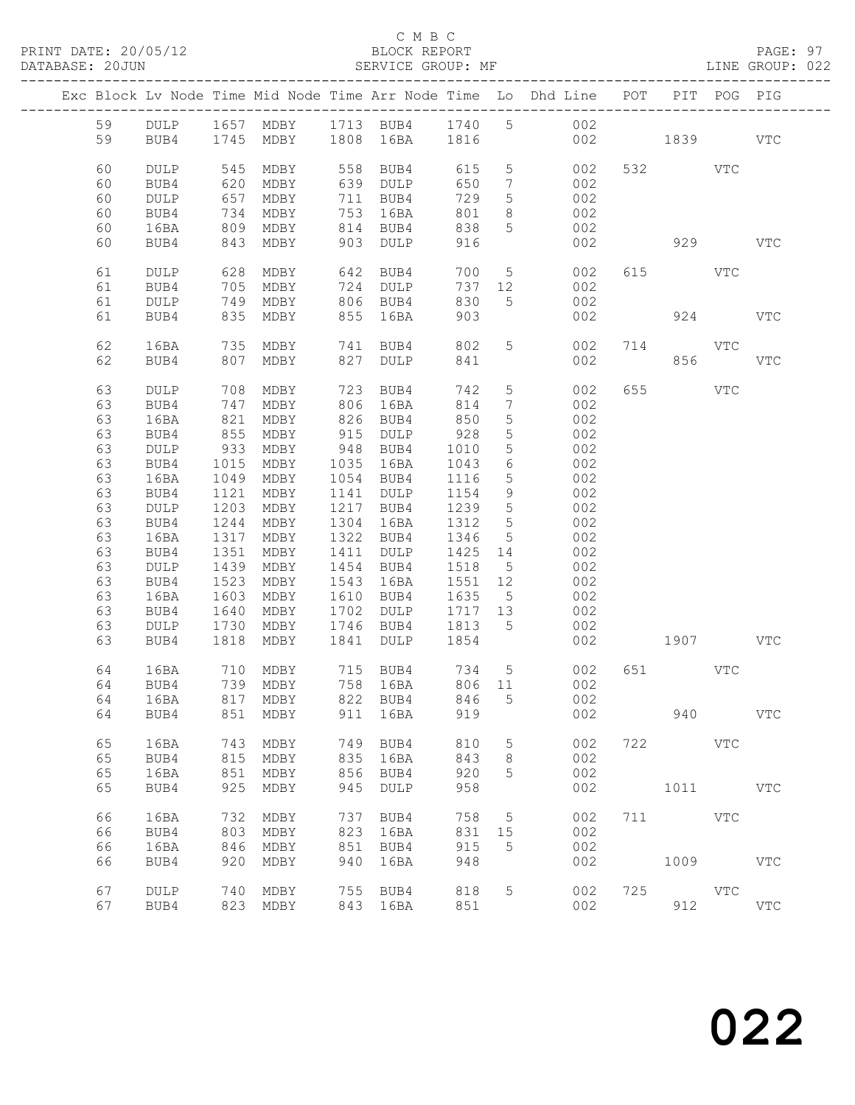PRINT DATE: 20/05/12 BLOCK REPORT PAGE: 97 DATABASE: 20JUN SERVICE GROUP: MF LINE GROUP: 022

### C M B C

|    |                 |      |                          |      |                                                                       |         |                              | Exc Block Lv Node Time Mid Node Time Arr Node Time Lo Dhd Line POT |          |            | PIT POG PIG |            |
|----|-----------------|------|--------------------------|------|-----------------------------------------------------------------------|---------|------------------------------|--------------------------------------------------------------------|----------|------------|-------------|------------|
| 59 |                 |      |                          |      |                                                                       |         |                              | DULP 1657 MDBY 1713 BUB4 1740 5 002                                |          |            |             |            |
| 59 | BUB4            |      | 1745 MDBY 1808 16BA 1816 |      |                                                                       |         |                              |                                                                    | 002 1839 |            |             | VTC        |
|    |                 |      |                          |      |                                                                       |         |                              |                                                                    |          |            |             |            |
|    |                 |      |                          |      |                                                                       |         |                              |                                                                    |          |            |             |            |
| 60 | <b>DULP</b>     | 545  | MDBY                     |      | 558 BUB4                                                              | 615     | 5 <sup>5</sup>               | 002                                                                |          | 532 VTC    |             |            |
| 60 | BUB4            | 620  | MDBY                     |      | 639 DULP                                                              | 650     | $7\phantom{.0}\phantom{.0}7$ | 002                                                                |          |            |             |            |
| 60 | $\texttt{DULP}$ | 657  | MDBY                     |      | 711 BUB4                                                              | 729     | $5\phantom{.0}$              | 002                                                                |          |            |             |            |
| 60 | BUB4            | 734  | MDBY                     |      | 753 16BA                                                              | 801     | 8                            | 002                                                                |          |            |             |            |
| 60 | 16BA            | 809  | MDBY                     |      | 814 BUB4                                                              | 838     | 5 <sup>5</sup>               | 002                                                                |          |            |             |            |
| 60 | BUB4            | 843  | MDBY                     |      | 903 DULP                                                              | 916     |                              | 002                                                                |          | 929        |             | <b>VTC</b> |
|    |                 |      |                          |      |                                                                       |         |                              |                                                                    |          |            |             |            |
| 61 | DULP            |      | 628 MDBY                 |      | 642 BUB4                                                              | 700     |                              | 5 <sub>1</sub><br>002                                              |          | 615 VTC    |             |            |
| 61 | BUB4            | 705  | MDBY                     |      | 724 DULP                                                              | 737     | 12                           | 002                                                                |          |            |             |            |
| 61 | DULP            | 749  | MDBY                     |      | 806 BUB4                                                              | 830     | 5 <sup>5</sup>               | 002                                                                |          |            |             |            |
| 61 | BUB4            |      | 835 MDBY                 |      | 855 16BA                                                              | 903     |                              | 002                                                                |          | 924        |             | <b>VTC</b> |
|    |                 |      |                          |      |                                                                       |         |                              |                                                                    |          |            |             |            |
| 62 | 16BA            | 735  | MDBY                     |      | 741 BUB4                                                              | 802     | 5 <sup>5</sup>               | 002                                                                |          | 714 VTC    |             |            |
|    |                 |      |                          |      |                                                                       |         |                              |                                                                    |          |            |             |            |
| 62 | BUB4            | 807  | MDBY                     | 827  | DULP                                                                  | 841     |                              | 002                                                                |          | 856        |             | <b>VTC</b> |
|    |                 |      |                          |      |                                                                       |         |                              |                                                                    |          |            |             |            |
| 63 | DULP            | 708  | MDBY                     | 723  | BUB4                                                                  | 742     | $5\phantom{.0}$              | 002                                                                | 655      | <b>VTC</b> |             |            |
| 63 | BUB4            | 747  | MDBY                     |      | 806 16BA                                                              | 814     | $7\phantom{.0}$              | 002                                                                |          |            |             |            |
| 63 | 16BA            | 821  | MDBY                     |      | 826 BUB4                                                              | 850     | $5\phantom{.}$               | 002                                                                |          |            |             |            |
| 63 | BUB4            | 855  | MDBY                     |      | 915 DULP                                                              | 928     | $5\phantom{.0}$              | 002                                                                |          |            |             |            |
| 63 | DULP            | 933  | MDBY                     |      | 948 BUB4                                                              | 1010    | $5\phantom{.0}$              | 002                                                                |          |            |             |            |
| 63 | BUB4            | 1015 | MDBY                     |      | 1035 16BA                                                             | 1043    | 6                            | 002                                                                |          |            |             |            |
| 63 | 16BA            | 1049 | MDBY                     |      | 1054 BUB4                                                             | 1116    | $5\phantom{.}$               | 002                                                                |          |            |             |            |
| 63 | BUB4            | 1121 | MDBY                     |      | 1141 DULP                                                             | 1154    | 9                            | 002                                                                |          |            |             |            |
| 63 | DULP            | 1203 | MDBY                     |      | 1217 BUB4                                                             | 1239    | $5\overline{)}$              | 002                                                                |          |            |             |            |
| 63 | BUB4            | 1244 | MDBY                     |      | 1304 16BA                                                             | 1312    | 5                            | 002                                                                |          |            |             |            |
| 63 | 16BA            | 1317 | MDBY                     |      | 1322 BUB4                                                             | 1346    | $5\overline{)}$              | 002                                                                |          |            |             |            |
| 63 | BUB4            | 1351 | MDBY                     |      | 1411 DULP                                                             | 1425 14 |                              | 002                                                                |          |            |             |            |
| 63 |                 |      |                          |      |                                                                       |         |                              |                                                                    |          |            |             |            |
|    | DULP            | 1439 | MDBY                     |      | 1454 BUB4                                                             | 1518    | 5 <sup>5</sup>               | 002                                                                |          |            |             |            |
| 63 | BUB4            | 1523 | MDBY                     |      | 1543 16BA                                                             | 1551 12 |                              | 002                                                                |          |            |             |            |
| 63 | 16BA            | 1603 | MDBY                     |      | 1610 BUB4                                                             | 1635 5  |                              | 002                                                                |          |            |             |            |
| 63 | BUB4            | 1640 | MDBY                     |      | 1702 DULP                                                             | 1717 13 |                              | 002                                                                |          |            |             |            |
| 63 | DULP            | 1730 | MDBY                     |      | 1746 BUB4                                                             | 1813 5  |                              | 002                                                                |          |            |             |            |
| 63 | BUB4            |      | 1818 MDBY                | 1841 | <b>DULP</b>                                                           | 1854    |                              | 002                                                                |          | 1907 VTC   |             |            |
|    |                 |      |                          |      |                                                                       |         |                              |                                                                    |          |            |             |            |
| 64 | 16BA            | 710  | MDBY                     |      | 715    BUB4            734       5<br>758    16BA           806    11 |         |                              | 002                                                                |          | 651 VTC    |             |            |
| 64 | BUB4            |      | 739 MDBY                 |      |                                                                       |         |                              | 002                                                                |          |            |             |            |
|    |                 |      |                          |      |                                                                       |         |                              | 64 16BA 817 MDBY 822 BUB4 846 5 002                                |          |            |             |            |
| 64 | BUB4            | 851  | MDBY                     | 911  | 16BA                                                                  | 919     |                              | 002                                                                |          | 940        |             | <b>VTC</b> |
|    |                 |      |                          |      |                                                                       |         |                              |                                                                    |          |            |             |            |
| 65 | 16BA            | 743  | MDBY                     | 749  | BUB4                                                                  | 810     | $5\phantom{.0}$              | 002                                                                |          | 722 VTC    |             |            |
| 65 | BUB4            | 815  | MDBY                     | 835  | 16BA                                                                  | 843     | 8                            | 002                                                                |          |            |             |            |
| 65 | 16BA            | 851  | MDBY                     | 856  | BUB4                                                                  | 920     | 5                            | 002                                                                |          |            |             |            |
| 65 | BUB4            | 925  | MDBY                     | 945  | DULP                                                                  | 958     |                              | 002                                                                |          | 1011 \     |             | <b>VTC</b> |
|    |                 |      |                          |      |                                                                       |         |                              |                                                                    |          |            |             |            |
| 66 | 16BA            | 732  |                          | 737  |                                                                       | 758     |                              | 002                                                                | 711      | <b>VTC</b> |             |            |
|    |                 |      | MDBY                     |      | BUB4                                                                  |         | 5                            |                                                                    |          |            |             |            |
| 66 | BUB4            | 803  | MDBY                     | 823  | 16BA                                                                  | 831     | 15                           | 002                                                                |          |            |             |            |
| 66 | 16BA            | 846  | MDBY                     | 851  | BUB4                                                                  | 915     | 5                            | 002                                                                |          |            |             |            |
| 66 | BUB4            | 920  | MDBY                     | 940  | 16BA                                                                  | 948     |                              | 002                                                                |          | 1009       |             | <b>VTC</b> |
|    |                 |      |                          |      |                                                                       |         |                              |                                                                    |          |            |             |            |
| 67 | <b>DULP</b>     | 740  | MDBY                     | 755  | BUB4                                                                  | 818     | 5                            | 002                                                                |          | 725 VTC    |             |            |
| 67 | BUB4            |      | 823 MDBY                 |      | 843 16BA                                                              | 851     |                              | 002                                                                |          | 912        |             | <b>VTC</b> |
|    |                 |      |                          |      |                                                                       |         |                              |                                                                    |          |            |             |            |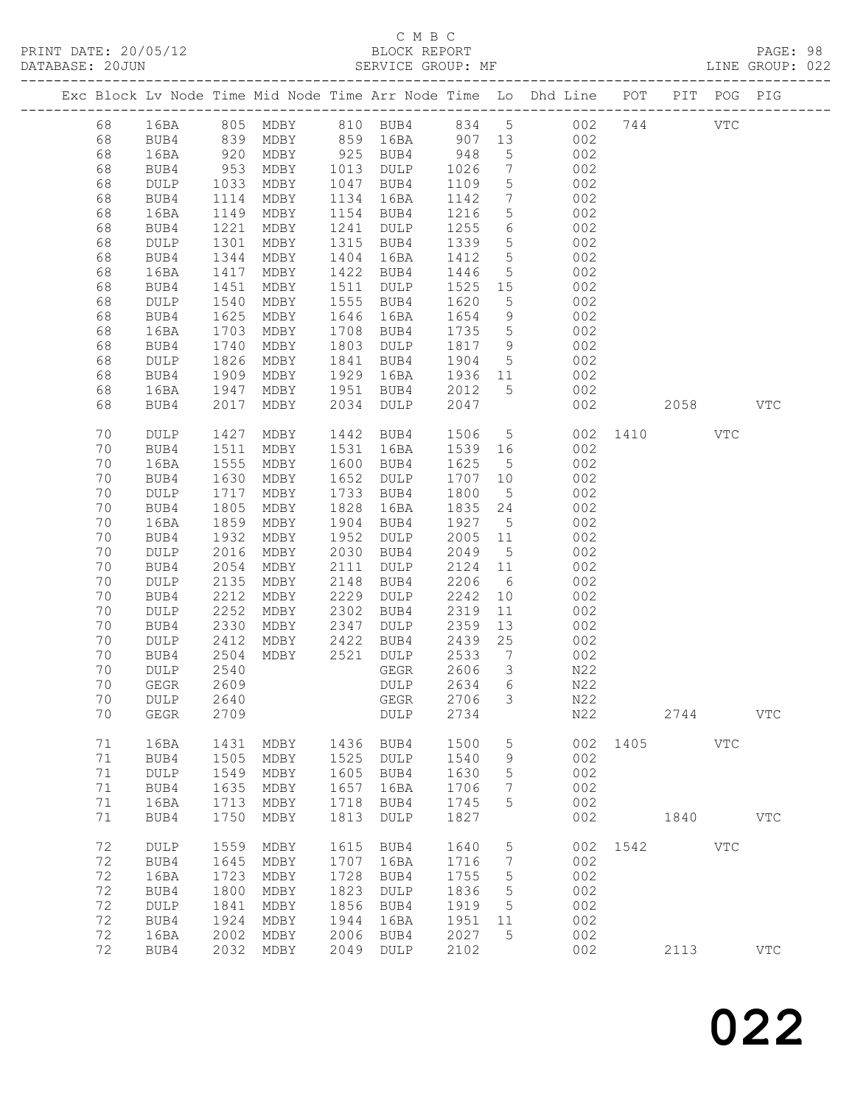| DATABASE: 20JUN |    |                       |                    |                |      | SERVICE GROUP: MF                        |         |                              |                                                                                |              |         |            | LINE GROUP: 022 |  |
|-----------------|----|-----------------------|--------------------|----------------|------|------------------------------------------|---------|------------------------------|--------------------------------------------------------------------------------|--------------|---------|------------|-----------------|--|
|                 |    | --------------------- |                    |                |      |                                          |         |                              | Exc Block Lv Node Time Mid Node Time Arr Node Time Lo Dhd Line POT PIT POG PIG |              |         |            |                 |  |
|                 | 68 |                       |                    |                |      |                                          |         |                              | 16BA 805 MDBY 810 BUB4 834 5 002 744 VTC                                       |              |         |            |                 |  |
|                 | 68 | BUB4                  |                    |                |      | 839 MDBY 859 16BA 907 13                 |         |                              | 002                                                                            |              |         |            |                 |  |
|                 | 68 | 16BA                  | 920<br>953<br>1033 |                |      | MDBY 925 BUB4 948<br>MDBY 1013 DULP 1026 |         | 5 <sup>5</sup>               | 002                                                                            |              |         |            |                 |  |
|                 | 68 | BUB4                  |                    |                |      |                                          |         | $7\overline{ }$              | 002                                                                            |              |         |            |                 |  |
|                 | 68 | DULP                  |                    | MDBY           |      | 1047 BUB4                                | 1109    | 5 <sup>5</sup>               | 002                                                                            |              |         |            |                 |  |
|                 | 68 | BUB4                  | 1114               | MDBY           |      | 1134 16BA                                | 1142    | $7\phantom{.0}\phantom{.0}7$ | 002                                                                            |              |         |            |                 |  |
|                 | 68 | 16BA                  | 1149               | MDBY           |      | 1154 BUB4                                | 1216    | 5 <sup>5</sup>               | 002                                                                            |              |         |            |                 |  |
|                 | 68 | BUB4                  | 1221               | MDBY           |      | 1241 DULP                                | 1255    | $6\overline{6}$              | 002                                                                            |              |         |            |                 |  |
|                 | 68 | DULP                  | 1301               | MDBY           |      | 1315 BUB4                                | 1339    | 5 <sup>5</sup>               | 002                                                                            |              |         |            |                 |  |
|                 | 68 | BUB4                  | 1344               | MDBY           | 1404 | 16BA                                     | 1412    | $5\overline{)}$              | 002                                                                            |              |         |            |                 |  |
|                 | 68 | 16BA                  | 1417               | MDBY           |      | 1422 BUB4                                | 1446    | 5 <sup>5</sup>               | 002                                                                            |              |         |            |                 |  |
|                 | 68 | BUB4                  | 1451               | MDBY           |      | 1511 DULP                                | 1525 15 |                              | 002                                                                            |              |         |            |                 |  |
|                 | 68 | DULP                  | 1540               | MDBY           |      | 1555 BUB4                                | 1620    | $5\overline{)}$              | 002                                                                            |              |         |            |                 |  |
|                 | 68 | BUB4                  | 1625               | MDBY           | 1646 | 16BA                                     | 1654    | 9                            | 002                                                                            |              |         |            |                 |  |
|                 | 68 | 16BA                  | 1703               | MDBY           |      | 1708 BUB4                                | 1735    | $5\overline{)}$              | 002                                                                            |              |         |            |                 |  |
|                 | 68 | BUB4                  |                    | MDBY           |      | 1803 DULP                                | 1817 9  |                              | 002                                                                            |              |         |            |                 |  |
|                 | 68 | DULP                  | $1/7$<br>1826      | MDBY           |      | 1841 BUB4                                | 1904    | $5\overline{)}$              | 002                                                                            |              |         |            |                 |  |
|                 | 68 | BUB4                  | 1909               | MDBY           |      | 1929 16BA                                | 1936 11 |                              | 002                                                                            |              |         |            |                 |  |
|                 | 68 | 16BA                  | 1947               | MDBY           |      | 1951 BUB4                                | 2012    | 5 <sup>5</sup>               | 002                                                                            |              |         |            |                 |  |
|                 | 68 | BUB4                  | 2017               | MDBY           |      | 2034 DULP                                | 2047    |                              | 002                                                                            |              | 2058 70 |            | VTC             |  |
|                 | 70 | DULP                  | 1427               | MDBY           |      | 1442 BUB4                                | 1506    |                              | 5 <sub>5</sub>                                                                 | 002 1410     |         | <b>VTC</b> |                 |  |
|                 | 70 | BUB4                  | 1511               | MDBY           |      | 1531 16BA                                | 1539 16 |                              | 002                                                                            |              |         |            |                 |  |
|                 | 70 | 16BA                  | 1555               | MDBY           |      | 1600 BUB4                                | 1625    | 5 <sup>5</sup>               | 002                                                                            |              |         |            |                 |  |
|                 | 70 | BUB4                  | 1630               | MDBY           | 1652 | DULP                                     | 1707 10 |                              | 002                                                                            |              |         |            |                 |  |
|                 | 70 | DULP                  | 1717               | MDBY           | 1733 | BUB4                                     | 1800    | $5\overline{)}$              | 002                                                                            |              |         |            |                 |  |
|                 | 70 | BUB4                  | 1805               | MDBY           | 1828 | 16BA                                     | 1835 24 |                              | 002                                                                            |              |         |            |                 |  |
|                 | 70 | 16BA                  | 1859               | MDBY           | 1904 | BUB4                                     | 1927    | $5\overline{)}$              | 002                                                                            |              |         |            |                 |  |
|                 | 70 | BUB4                  | 1932               | MDBY           |      | 1952 DULP                                | 2005 11 |                              | 002                                                                            |              |         |            |                 |  |
|                 | 70 | DULP                  | 2016               | MDBY           |      | 2030 BUB4                                | 2049    | 5 <sup>5</sup>               | 002                                                                            |              |         |            |                 |  |
|                 | 70 | BUB4                  | 2054               | MDBY           | 2111 | DULP                                     | 2124 11 |                              | 002                                                                            |              |         |            |                 |  |
|                 | 70 | DULP                  | 2135               | MDBY           | 2148 | BUB4                                     | 2206    | $6\overline{6}$              | 002                                                                            |              |         |            |                 |  |
|                 | 70 | BUB4                  | 2212               | MDBY           | 2229 | DULP                                     | 2242    | 10                           | 002                                                                            |              |         |            |                 |  |
|                 | 70 | DULP                  | 2252               | MDBY           | 2302 | BUB4                                     | 2319    | $11$                         | 002                                                                            |              |         |            |                 |  |
|                 | 70 | BUB4                  | 2330               | MDBY           | 2347 | DULP                                     | 2359    | 13                           | 002                                                                            |              |         |            |                 |  |
|                 | 70 | DULP                  | 2412               | $MDBY$ 2422    |      | BUB4                                     | 2439    | 25                           | 002                                                                            |              |         |            |                 |  |
|                 | 70 | BUB4                  | 2504               | MDBY 2521 DULP |      |                                          | 2533    | $\overline{7}$               | 002                                                                            |              |         |            |                 |  |
|                 | 70 | <b>DULP</b>           | 2540               |                |      | GEGR                                     | 2606    | $\mathcal{S}$                | N22                                                                            |              |         |            |                 |  |
|                 | 70 | GEGR 2609             |                    |                |      | DULP 2634 6                              |         |                              | N22                                                                            |              |         |            |                 |  |
|                 | 70 | DULP                  | 2640               |                |      | GEGR                                     | 2706    | $\mathcal{S}$                | N22                                                                            |              |         |            |                 |  |
|                 | 70 | ${\tt GEGR}$          | 2709               |                |      | DULP                                     | 2734    |                              | N22                                                                            |              | 2744    |            | <b>VTC</b>      |  |
|                 | 71 | 16BA                  | 1431               | MDBY           | 1436 | BUB4                                     | 1500    | 5                            |                                                                                | 002 1405     |         | <b>VTC</b> |                 |  |
|                 | 71 | BUB4                  | 1505               | MDBY           |      | 1525 DULP                                | 1540    | 9                            | 002                                                                            |              |         |            |                 |  |
|                 | 71 | DULP                  | 1549               | MDBY           |      | 1605 BUB4                                | 1630    | 5                            | 002                                                                            |              |         |            |                 |  |
|                 | 71 | BUB4                  | 1635               | MDBY           | 1657 | 16BA                                     | 1706    | $7\phantom{.0}$              | 002                                                                            |              |         |            |                 |  |
|                 | 71 | 16BA                  | 1713               | MDBY           | 1718 | BUB4                                     | 1745    | 5                            | 002                                                                            |              |         |            |                 |  |
|                 | 71 | BUB4                  | 1750               | MDBY           | 1813 | DULP                                     | 1827    |                              | 002                                                                            |              | 1840    |            | VTC             |  |
|                 | 72 | DULP                  | 1559               | MDBY           |      | 1615 BUB4                                | 1640    | $5\overline{)}$              |                                                                                | 002 1542 VTC |         |            |                 |  |
|                 | 72 | BUB4                  | 1645               | MDBY           | 1707 | 16BA                                     | 1716    | $7\phantom{.0}$              | 002                                                                            |              |         |            |                 |  |
|                 | 72 | 16BA                  | 1723               | MDBY           | 1728 | BUB4                                     | 1755    | 5                            | 002                                                                            |              |         |            |                 |  |
|                 | 72 | BUB4                  | 1800               | MDBY           | 1823 | DULP                                     | 1836    | 5                            | 002                                                                            |              |         |            |                 |  |
|                 | 72 | DULP                  | 1841               | MDBY           | 1856 | BUB4                                     | 1919    | $5^{\circ}$                  | 002                                                                            |              |         |            |                 |  |
|                 | 72 | BUB4                  | 1924               | MDBY           | 1944 | 16BA                                     | 1951    | 11                           | 002                                                                            |              |         |            |                 |  |
|                 | 72 | 16BA                  | 2002               | MDBY           | 2006 | BUB4                                     | 2027    | $5\phantom{.0}$              | 002                                                                            |              |         |            |                 |  |
|                 | 72 | BUB4                  | 2032               | MDBY           |      | 2049 DULP                                | 2102    |                              | 002                                                                            |              | 2113    |            | <b>VTC</b>      |  |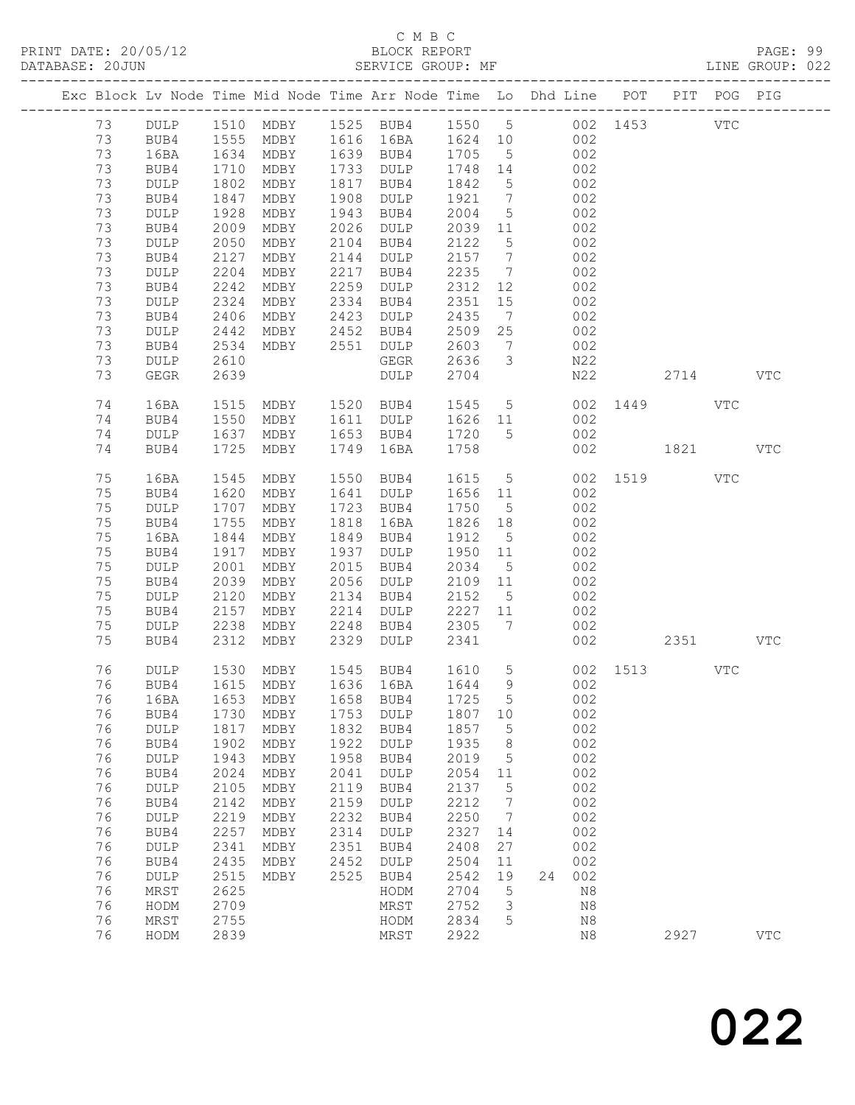PRINT DATE: 20/05/12 BLOCK REPORT<br>DATABASE: 20JUN BATABASE: 9990

## C M B C<br>BLOCK REPORT

PAGE: 99<br>LINE GROUP: 022

|    |                 |      |           |      | Exc Block Lv Node Time Mid Node Time Arr Node Time Lo Dhd Line POT PIT POG PIG |         |                              |                   |             |          |      |            |              |
|----|-----------------|------|-----------|------|--------------------------------------------------------------------------------|---------|------------------------------|-------------------|-------------|----------|------|------------|--------------|
| 73 | DULP            |      |           |      | 1510 MDBY 1525 BUB4 1550 5 002 1453                                            |         |                              |                   |             |          |      | <b>VTC</b> |              |
| 73 | BUB4            | 1555 | MDBY      |      | 1616 16BA                                                                      | 1624 10 |                              |                   | 002         |          |      |            |              |
| 73 | 16BA            | 1634 | MDBY      |      | 1639 BUB4                                                                      | 1705    | $5^{\circ}$                  |                   | 002         |          |      |            |              |
| 73 | BUB4            | 1710 | MDBY      | 1733 | DULP                                                                           | 1748 14 |                              |                   | 002         |          |      |            |              |
| 73 | DULP            | 1802 | MDBY      | 1817 | BUB4                                                                           | 1842    | $5\overline{)}$              |                   | 002         |          |      |            |              |
| 73 | BUB4            | 1847 | MDBY      | 1908 | DULP                                                                           | 1921    | $7\phantom{.0}\phantom{.0}7$ |                   | 002         |          |      |            |              |
| 73 | DULP            | 1928 | MDBY      | 1943 | BUB4                                                                           | 2004    | $5\overline{)}$              |                   | 002         |          |      |            |              |
| 73 | BUB4            | 2009 | MDBY      | 2026 | DULP                                                                           | 2039    | 11                           |                   | 002         |          |      |            |              |
| 73 | $\texttt{DULP}$ | 2050 | MDBY      | 2104 | BUB4                                                                           | 2122    | $5\phantom{.0}$              |                   | 002         |          |      |            |              |
| 73 | BUB4            | 2127 | MDBY      | 2144 | $\texttt{DULP}$                                                                | 2157    | $7\phantom{.0}\phantom{.0}7$ |                   | 002         |          |      |            |              |
| 73 |                 | 2204 | MDBY      | 2217 |                                                                                | 2235    | $7\phantom{.0}\phantom{.0}7$ |                   | 002         |          |      |            |              |
| 73 | DULP            | 2242 | MDBY      | 2259 | BUB4<br>$\texttt{DULP}$                                                        | 2312    | 12                           |                   | 002         |          |      |            |              |
| 73 | BUB4            | 2324 |           | 2334 |                                                                                | 2351    | 15                           |                   | 002         |          |      |            |              |
| 73 | DULP            | 2406 | MDBY      | 2423 | BUB4                                                                           | 2435    |                              |                   | 002         |          |      |            |              |
|    | BUB4            |      | MDBY      |      | DULP                                                                           |         | $7\phantom{.0}$              |                   |             |          |      |            |              |
| 73 | $\texttt{DULP}$ | 2442 | MDBY      | 2452 | BUB4                                                                           | 2509    | 25                           |                   | 002         |          |      |            |              |
| 73 | BUB4            | 2534 | MDBY      | 2551 | DULP                                                                           | 2603    | $7\phantom{.0}$              |                   | 002         |          |      |            |              |
| 73 | DULP            | 2610 |           |      | GEGR                                                                           | 2636    | $\mathcal{S}$                |                   | N22         |          |      |            |              |
| 73 | GEGR            | 2639 |           |      | DULP                                                                           | 2704    |                              |                   | N22         |          | 2714 |            | <b>VTC</b>   |
| 74 | 16BA            | 1515 | MDBY      |      | 1520 BUB4                                                                      | 1545 5  |                              |                   | 002         | 1449 VTC |      |            |              |
| 74 | BUB4            | 1550 | MDBY      | 1611 | DULP                                                                           | 1626 11 |                              |                   | 002         |          |      |            |              |
| 74 | <b>DULP</b>     | 1637 | MDBY      | 1653 | BUB4                                                                           | 1720    | 5                            |                   | 002         |          |      |            |              |
| 74 | BUB4            | 1725 | MDBY      | 1749 | 16BA                                                                           | 1758    |                              |                   | 002         | 1821     |      |            | VTC          |
|    |                 |      |           |      |                                                                                |         |                              |                   |             |          |      |            |              |
| 75 | 16BA            | 1545 | MDBY      | 1550 | BUB4                                                                           | 1615    | $5\overline{)}$              |                   |             | 002 1519 |      | VTC        |              |
| 75 | BUB4            | 1620 | MDBY      | 1641 | DULP                                                                           | 1656 11 |                              |                   | 002         |          |      |            |              |
| 75 | DULP            | 1707 | MDBY      | 1723 | BUB4                                                                           | 1750    | $5^{\circ}$                  |                   | 002         |          |      |            |              |
| 75 | BUB4            | 1755 | MDBY      | 1818 | 16BA                                                                           | 1826    | 18                           |                   | 002         |          |      |            |              |
| 75 | 16BA            | 1844 | MDBY      | 1849 | BUB4                                                                           | 1912    | $5^{\circ}$                  |                   | 002         |          |      |            |              |
| 75 | BUB4            | 1917 | MDBY      | 1937 | DULP                                                                           | 1950    | 11                           |                   | 002         |          |      |            |              |
| 75 | DULP            | 2001 | MDBY      | 2015 | BUB4                                                                           | 2034    | $5^{\circ}$                  |                   | 002         |          |      |            |              |
| 75 | BUB4            | 2039 | MDBY      | 2056 | DULP                                                                           | 2109    | 11                           |                   | 002         |          |      |            |              |
| 75 | DULP            | 2120 | MDBY      | 2134 | BUB4                                                                           | 2152    | $5\overline{)}$              |                   | 002         |          |      |            |              |
| 75 | BUB4            | 2157 | MDBY      | 2214 | <b>DULP</b>                                                                    | 2227    | 11                           |                   | 002         |          |      |            |              |
| 75 | DULP            | 2238 | MDBY      | 2248 | BUB4                                                                           | 2305    | 7                            |                   | 002         |          |      |            |              |
| 75 | BUB4            | 2312 | MDBY      | 2329 | DULP                                                                           | 2341    |                              |                   | 002         |          | 2351 |            | <b>VTC</b>   |
|    |                 |      |           |      |                                                                                |         |                              |                   |             |          |      |            |              |
| 76 | DULP            | 1530 | MDBY      |      | 1545 BUB4                                                                      | 1610    | 5 <sup>5</sup>               |                   |             | 002 1513 |      | VTC        |              |
| 76 | BUB4            |      | 1615 MDBY |      | 1636 16BA                                                                      | 1644    |                              | $9 \quad \bullet$ | 002         |          |      |            |              |
| 76 | 16BA            | 1653 | MDBY      | 1658 | BUB4                                                                           | 1725 5  |                              |                   | 002         |          |      |            |              |
| 76 | BUB4            | 1730 | MDBY      | 1753 | <b>DULP</b>                                                                    | 1807    | 10                           |                   | 002         |          |      |            |              |
| 76 | DULP            | 1817 | MDBY      | 1832 | BUB4                                                                           | 1857    | 5                            |                   | 002         |          |      |            |              |
| 76 | BUB4            | 1902 | MDBY      | 1922 | <b>DULP</b>                                                                    | 1935    | 8                            |                   | 002         |          |      |            |              |
| 76 | DULP            | 1943 | MDBY      | 1958 | BUB4                                                                           | 2019    | 5                            |                   | 002         |          |      |            |              |
| 76 | BUB4            | 2024 | MDBY      | 2041 | <b>DULP</b>                                                                    | 2054    | 11                           |                   | 002         |          |      |            |              |
| 76 | DULP            | 2105 | MDBY      | 2119 | BUB4                                                                           | 2137    | 5                            |                   | 002         |          |      |            |              |
| 76 | BUB4            | 2142 | MDBY      | 2159 | <b>DULP</b>                                                                    | 2212    | 7                            |                   | 002         |          |      |            |              |
| 76 | DULP            | 2219 | MDBY      | 2232 | BUB4                                                                           | 2250    | 7                            |                   | 002         |          |      |            |              |
| 76 | BUB4            | 2257 | MDBY      | 2314 | <b>DULP</b>                                                                    | 2327    | 14                           |                   | 002         |          |      |            |              |
| 76 | DULP            | 2341 | MDBY      | 2351 | BUB4                                                                           | 2408    | 27                           |                   | 002         |          |      |            |              |
| 76 | BUB4            | 2435 | MDBY      | 2452 | DULP                                                                           | 2504    | 11                           |                   | 002         |          |      |            |              |
| 76 | DULP            | 2515 | MDBY      | 2525 | BUB4                                                                           | 2542    | 19                           | 24                | 002         |          |      |            |              |
| 76 | $\tt MRST$      | 2625 |           |      | HODM                                                                           | 2704    | 5                            |                   | $_{\rm N8}$ |          |      |            |              |
| 76 | HODM            | 2709 |           |      | MRST                                                                           | 2752    | 3                            |                   | $\rm N8$    |          |      |            |              |
| 76 | MRST            | 2755 |           |      | HODM                                                                           | 2834    | 5                            |                   | N8          |          |      |            |              |
| 76 | HODM            | 2839 |           |      | MRST                                                                           | 2922    |                              |                   | N8          |          | 2927 |            | $_{\rm VTC}$ |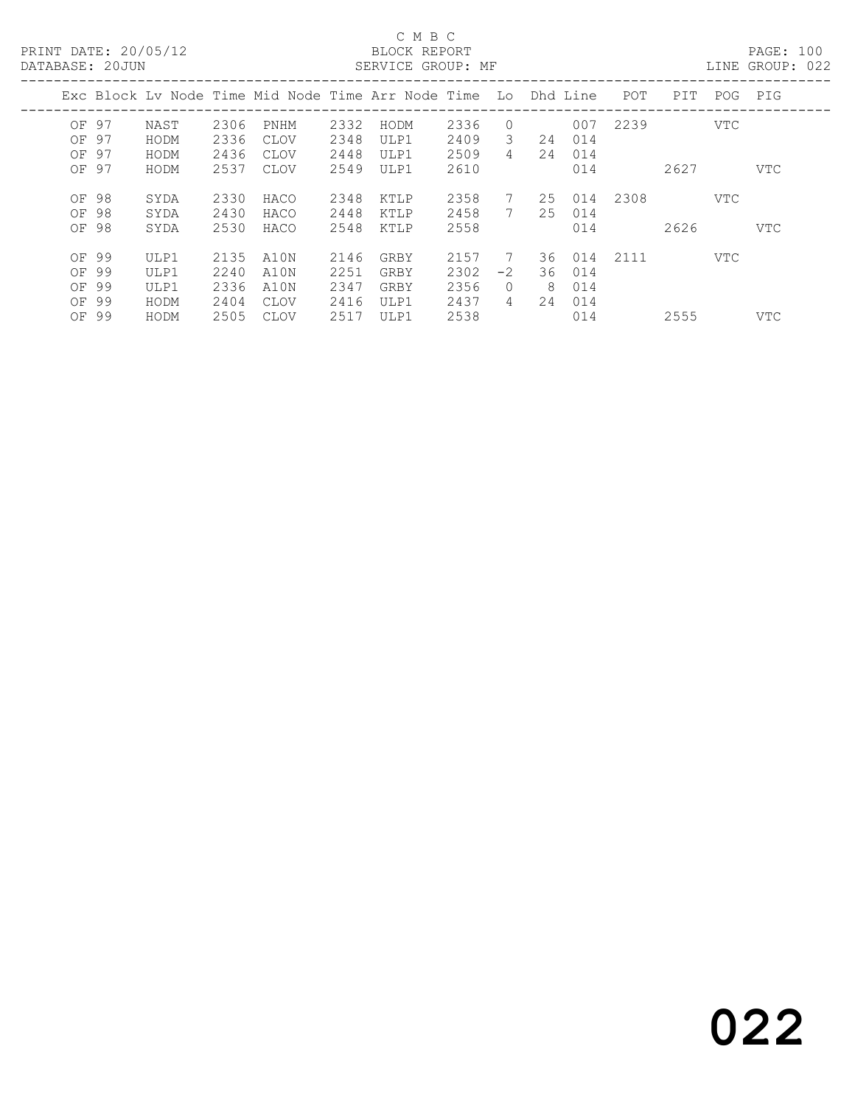PRINT DATE: 20/05/12<br>DATABASE: 20JUN

## C M B C<br>BLOCK REPORT<br>SERVICE GROUP: MF

PAGE: 100<br>LINE GROUP: 022

| PAIAPASE. 2000N                           |                                      |                                      |                                             |                                      | ULIVATOL GIVOUT . PIE                                          |                                      |                                 |                |                                    |      |              |     | LIND GIVOOL. VAA |
|-------------------------------------------|--------------------------------------|--------------------------------------|---------------------------------------------|--------------------------------------|----------------------------------------------------------------|--------------------------------------|---------------------------------|----------------|------------------------------------|------|--------------|-----|------------------|
|                                           |                                      |                                      |                                             |                                      | Exc Block Ly Node Time Mid Node Time Arr Node Time Lo Dhd Line |                                      |                                 |                |                                    | POT  | PIT          | POG | PIG              |
| OF 97<br>OF 97<br>OF 97                   | NAST<br>HODM<br>HODM                 | 2306<br>2336<br>2436                 | PNHM<br>CLOV<br>CLOV                        | 2332<br>2348<br>2448                 | HODM<br>ULP1<br>ULP1                                           | 2336<br>2409<br>2509                 | $\Omega$<br>3<br>$\overline{4}$ | 24<br>24       | 007<br>014<br>014                  | 2239 |              | VTC |                  |
| OF 97<br>OF 98<br>OF 98<br>OF 98          | HODM<br>SYDA<br>SYDA<br>SYDA         | 2537<br>2330<br>2430<br>2530         | <b>CLOV</b><br>HACO<br>HACO<br>HACO         | 2549<br>2348<br>2448<br>2548         | ULP1<br>KTLP<br>KTLP<br>KTLP                                   | 2610<br>2358<br>2458<br>2558         | $7\phantom{0}$                  | 25             | 014<br>25 014<br>014<br>014        | 2308 | 2627<br>2626 | VTC | VTC<br>VTC       |
| OF 99<br>OF 99<br>OF 99<br>OF 99<br>OF 99 | ULP1<br>ULP1<br>ULP1<br>HODM<br>HODM | 2135<br>2240<br>2336<br>2404<br>2505 | A10N<br>A10N<br>A10N<br>CLOV<br><b>CLOV</b> | 2146<br>2251<br>2347<br>2416<br>2517 | GRBY<br>GRBY<br>GRBY<br>ULP1<br>ULP1                           | 2157<br>2302<br>2356<br>2437<br>2538 | $-2$<br>$\Omega$<br>4           | 36<br>-8<br>24 | 36 014<br>014<br>014<br>014<br>014 | 2111 | 2555         | VTC | <b>VTC</b>       |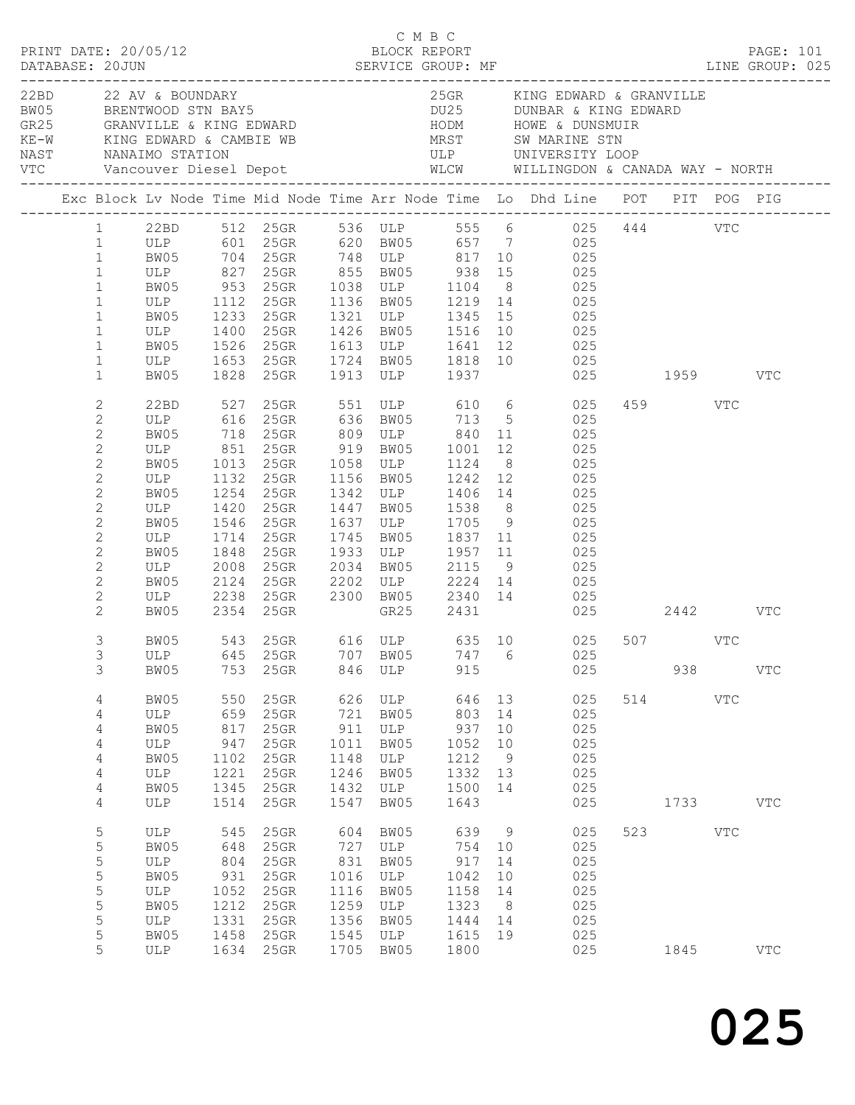| PRINT DATE: 20/05/12<br>DATABASE: 20JUN |                |                                 |              | U M B C<br>BLOCK REPORT<br>SERVICE GROUP: |      |              | C M B C<br>SERVICE GROUP: MF |    | FAGE. 101<br>LINE GROUP: 025                                                                                                                                                                                                                                    |     |         |              | PAGE: 101    |  |
|-----------------------------------------|----------------|---------------------------------|--------------|-------------------------------------------|------|--------------|------------------------------|----|-----------------------------------------------------------------------------------------------------------------------------------------------------------------------------------------------------------------------------------------------------------------|-----|---------|--------------|--------------|--|
| 22BD 22 AV & BOUNDARY                   |                |                                 |              |                                           |      |              |                              |    | 25GR KING EDWARD & GRANVILLE<br>22BD 22 AV & BOUNDARY 25GR KING EDWARD & GRANVII BW05<br>BRENTWOOD STN BAY5<br>GR25 GRANVILLE & KING EDWARD HODM HOWE & DUNSMUIR<br>KE-W KING EDWARD & CAMBIE WB MRST SW MARINE STN<br>NAST NANAIMO STATION ULP UNIVERSITY LOOP |     |         |              |              |  |
|                                         |                |                                 |              |                                           |      |              |                              |    | NAST MANAIMO STATION WELL WELL DEPOTE THE MANAIMO STATION WELL WELL MELLINGDON & CANADA WAY - NORTH<br>VTC Vancouver Diesel Depot MECW WILLINGDON & CANADA WAY - NORTH                                                                                          |     |         |              |              |  |
|                                         |                |                                 |              |                                           |      |              |                              |    | Exc Block Lv Node Time Mid Node Time Arr Node Time Lo Dhd Line POT PIT POG PIG                                                                                                                                                                                  |     |         |              |              |  |
|                                         |                |                                 |              |                                           |      |              |                              |    | 1 22BD 512 25GR 536 ULP 555 6 025 444 VTC                                                                                                                                                                                                                       |     |         |              |              |  |
|                                         | 1              |                                 |              |                                           |      |              |                              |    | ULP 601 25GR 620 BW05 657 7 025<br>BW05 704 25GR 748 ULP 817 10 025<br>ULP 827 25GR 855 BW05 938 15 025                                                                                                                                                         |     |         |              |              |  |
|                                         | $\mathbf{1}$   |                                 |              |                                           |      |              |                              |    |                                                                                                                                                                                                                                                                 |     |         |              |              |  |
|                                         | $\mathbf{1}$   |                                 |              |                                           |      |              |                              |    |                                                                                                                                                                                                                                                                 |     |         |              |              |  |
|                                         | $\mathbf{1}$   |                                 |              | BW05 953 25GR 1038 ULP 1104               |      |              |                              |    | 8 025                                                                                                                                                                                                                                                           |     |         |              |              |  |
|                                         | $\mathbf{1}$   | ULP 1112 25GR<br>BW05 1233 25GR |              |                                           |      |              |                              |    | 25GR 1136 BW05 1219 14 025<br>25GR 1321 ULP 1345 15 025                                                                                                                                                                                                         |     |         |              |              |  |
|                                         | $\mathbf{1}$   |                                 |              |                                           |      |              |                              |    |                                                                                                                                                                                                                                                                 |     |         |              |              |  |
|                                         | $\mathbf{1}$   | ULP 1400                        |              | $25$ GR                                   |      |              |                              |    | 1426 BW05 1516 10 025                                                                                                                                                                                                                                           |     |         |              |              |  |
|                                         | $\mathbf{1}$   | BW05                            | 1526         | $25$ GR                                   |      |              |                              |    | 1613 ULP 1641 12 025                                                                                                                                                                                                                                            |     |         |              |              |  |
|                                         | $\mathbf{1}$   |                                 |              |                                           |      |              |                              |    |                                                                                                                                                                                                                                                                 |     |         |              |              |  |
|                                         | $\mathbf{1}$   |                                 |              |                                           |      |              |                              |    | ULP 1653 25GR 1724 BW05 1818 10 025<br>BW05 1828 25GR 1913 ULP 1937 025<br>025 1959 VTC                                                                                                                                                                         |     |         |              |              |  |
|                                         | 2              |                                 |              |                                           |      |              |                              |    | 22BD 527 25GR 551 ULP 610 6 025                                                                                                                                                                                                                                 |     | 459 VTC |              |              |  |
|                                         | $\mathbf{2}$   |                                 |              |                                           |      |              |                              |    | ULP 616 25GR 636 BW05 713 5 025<br>BW05 718 25GR 809 ULP 840 11 025<br>ULP 851 25GR 919 BW05 1001 12 025                                                                                                                                                        |     |         |              |              |  |
|                                         | $\mathbf{2}$   |                                 |              |                                           |      |              |                              |    |                                                                                                                                                                                                                                                                 |     |         |              |              |  |
|                                         | $\mathbf{2}$   |                                 |              |                                           |      |              |                              |    |                                                                                                                                                                                                                                                                 |     |         |              |              |  |
|                                         | $\mathbf{2}$   | BW05                            |              | 1013  25GR  1058  ULP  1124               |      |              |                              |    | 8 025                                                                                                                                                                                                                                                           |     |         |              |              |  |
|                                         | $\mathbf{2}$   | ULP 1132                        |              | $25$ GR                                   |      |              | 1156 BW05 1242               |    | 12 025                                                                                                                                                                                                                                                          |     |         |              |              |  |
|                                         | $\mathbf{2}$   | BW05 1254<br>ULP 1420           |              | 25GR                                      |      |              |                              |    |                                                                                                                                                                                                                                                                 |     |         |              |              |  |
|                                         | $\mathbf{2}$   |                                 |              | $25$ GR                                   |      | 1447 BW05    |                              |    | 1342 ULP 1406 14 025<br>1447 BW05 1538 8 025                                                                                                                                                                                                                    |     |         |              |              |  |
|                                         | $\mathbf{2}$   | BW05                            | 1546         | 25GR                                      |      |              |                              |    | 1637 ULP 1705 9 025                                                                                                                                                                                                                                             |     |         |              |              |  |
|                                         | 2              | ULP                             | 1714         | 25GR                                      | 1745 | BW05         |                              |    | 1837 11 025                                                                                                                                                                                                                                                     |     |         |              |              |  |
|                                         | $\mathbf{2}$   | BW05                            | 1848<br>2008 | 25GR                                      |      |              |                              |    |                                                                                                                                                                                                                                                                 |     |         |              |              |  |
|                                         | $\mathbf{2}$   | ULP                             | 2008         | $25$ GR                                   |      |              |                              |    | 1933 ULP 1957 11 025<br>2034 BW05 2115 9 025                                                                                                                                                                                                                    |     |         |              |              |  |
|                                         | $\mathbf{2}$   | BW05 2124                       |              | 25GR                                      |      |              |                              |    | 2202 ULP 2224 14 025                                                                                                                                                                                                                                            |     |         |              |              |  |
|                                         | $\mathbf{2}$   | ULP 2238                        |              |                                           |      |              |                              |    | 25GR 2300 BW05 2340 14 025                                                                                                                                                                                                                                      |     |         |              |              |  |
|                                         | 2              | BW05                            |              | 2354 25GR                                 |      |              | GR25 2431                    |    | 025 2442 VTC                                                                                                                                                                                                                                                    |     |         |              |              |  |
|                                         | 3              | BW05                            |              |                                           |      |              |                              |    | 543 25GR 616 ULP 635 10 025                                                                                                                                                                                                                                     |     | 507 VTC |              |              |  |
|                                         | 3              | ULP                             | 645          | 25GR                                      | 707  | BW05         | 747                          | 6  | 025                                                                                                                                                                                                                                                             |     |         |              |              |  |
|                                         | 3              | BW05                            | 753          | 25GR                                      | 846  | ULP          | 915                          |    | 025                                                                                                                                                                                                                                                             |     | 938     |              | $_{\rm VTC}$ |  |
|                                         | 4              | BW05                            | 550          | 25GR                                      | 626  | ULP          | 646                          | 13 | 025                                                                                                                                                                                                                                                             | 514 |         | $_{\rm VTC}$ |              |  |
|                                         | 4              | ULP                             | 659          | 25GR                                      | 721  | BW05         | 803                          | 14 | 025                                                                                                                                                                                                                                                             |     |         |              |              |  |
|                                         | 4              | BW05                            | 817          | 25GR                                      | 911  | $_{\rm ULP}$ | 937                          | 10 | 025                                                                                                                                                                                                                                                             |     |         |              |              |  |
|                                         | $\overline{4}$ | $_{\rm ULP}$                    | 947          | 25GR                                      | 1011 | BW05         | 1052                         | 10 | 025                                                                                                                                                                                                                                                             |     |         |              |              |  |
|                                         | 4              | BW05                            | 1102         | 25GR                                      | 1148 | ULP          | 1212                         | 9  | 025                                                                                                                                                                                                                                                             |     |         |              |              |  |
|                                         | 4              | ULP                             | 1221         | 25GR                                      | 1246 | BW05         | 1332                         | 13 | 025                                                                                                                                                                                                                                                             |     |         |              |              |  |
|                                         | 4              | BW05                            | 1345         | 25GR                                      | 1432 | ULP          | 1500                         | 14 | 025                                                                                                                                                                                                                                                             |     |         |              |              |  |
|                                         | 4              | ULP                             | 1514         | 25GR                                      | 1547 | BW05         | 1643                         |    | 025                                                                                                                                                                                                                                                             |     | 1733    |              | $_{\rm VTC}$ |  |
|                                         | 5              | <b>ULP</b>                      | 545          | 25GR                                      | 604  | BW05         | 639                          | 9  | 025                                                                                                                                                                                                                                                             | 523 |         | $_{\rm VTC}$ |              |  |
|                                         | 5              | BW05                            | 648          | 25GR                                      | 727  | ULP          | 754                          | 10 | 025                                                                                                                                                                                                                                                             |     |         |              |              |  |
|                                         | $\mathsf S$    | ULP                             | 804          | 25GR                                      | 831  | BW05         | 917                          | 14 | 025                                                                                                                                                                                                                                                             |     |         |              |              |  |
|                                         | 5              | BW05                            | 931          | 25GR                                      | 1016 | $_{\rm ULP}$ | 1042                         | 10 | 025                                                                                                                                                                                                                                                             |     |         |              |              |  |
|                                         | 5              | ULP                             | 1052         | 25GR                                      | 1116 | BW05         | 1158                         | 14 | 025                                                                                                                                                                                                                                                             |     |         |              |              |  |
|                                         | 5              | BW05                            | 1212         | 25GR                                      | 1259 | ULP          | 1323                         | 8  | 025                                                                                                                                                                                                                                                             |     |         |              |              |  |
|                                         | 5              | ULP                             | 1331         | 25GR                                      | 1356 | BW05         | 1444                         | 14 | 025                                                                                                                                                                                                                                                             |     |         |              |              |  |
|                                         | 5              | BW05                            | 1458         | 25GR                                      | 1545 | ULP          | 1615                         | 19 | 025                                                                                                                                                                                                                                                             |     |         |              |              |  |
|                                         | 5              | ULP                             | 1634         | 25GR                                      | 1705 | BW05         | 1800                         |    | 025                                                                                                                                                                                                                                                             |     | 1845    |              | <b>VTC</b>   |  |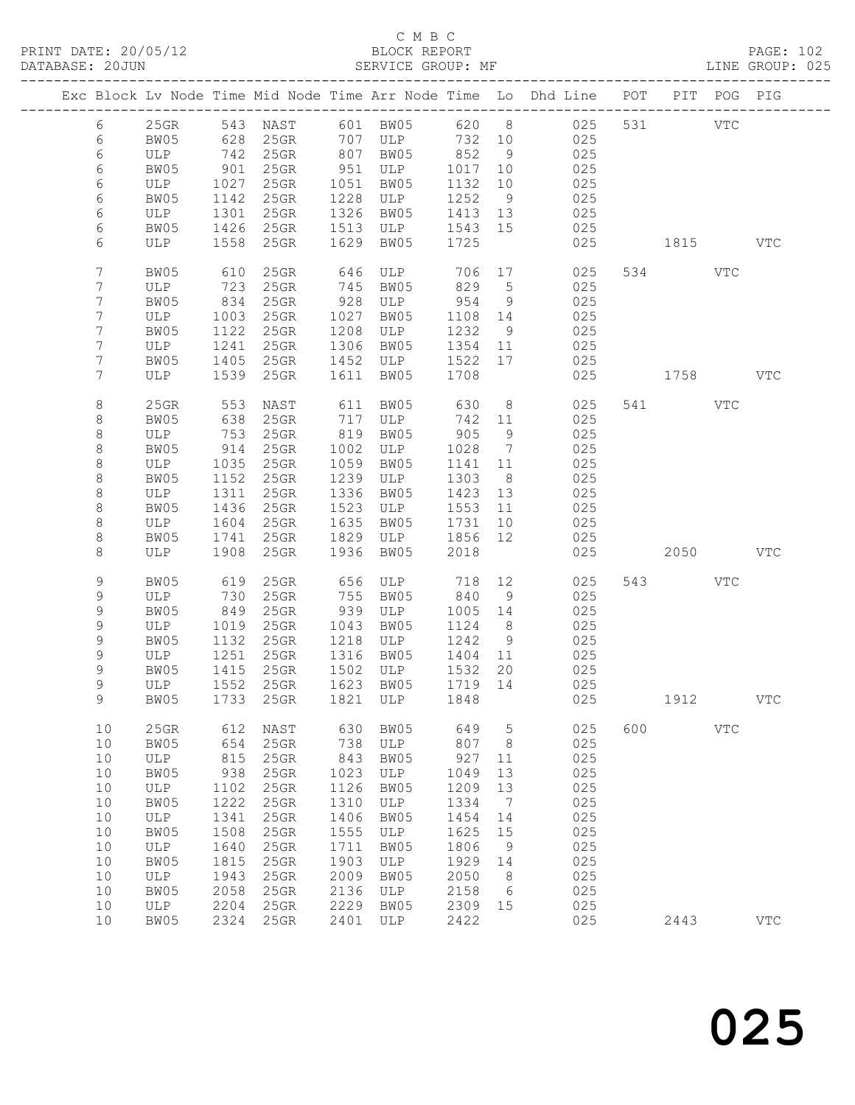|            |              |      | Exc Block Lv Node Time Mid Node Time Arr Node Time Lo Dhd Line POT PIT POG PIG |      |           |         |                 |     |     |     |         |            |              |
|------------|--------------|------|--------------------------------------------------------------------------------|------|-----------|---------|-----------------|-----|-----|-----|---------|------------|--------------|
| 6          | 25GR         |      | 543 NAST                                                                       |      | 601 BW05  | 620 8   |                 |     | 025 | 531 |         | VTC        |              |
| 6          | BW05         | 628  | $25$ GR                                                                        |      | 707 ULP   | 732 10  |                 |     | 025 |     |         |            |              |
| $\epsilon$ | ULP          | 742  | 25GR                                                                           | 807  | BW05      | 852     | 9               |     | 025 |     |         |            |              |
| 6          | BW05         | 901  | 25GR                                                                           | 951  | ULP       | 1017    | 10              |     | 025 |     |         |            |              |
| 6          | ULP          | 1027 | 25GR                                                                           | 1051 | BW05      | 1132    | 10              |     | 025 |     |         |            |              |
| 6          | BW05         | 1142 | 25GR                                                                           | 1228 | ULP       | 1252    | 9               |     | 025 |     |         |            |              |
| 6          | ULP          | 1301 | 25GR                                                                           | 1326 | BW05      | 1413    | 13              |     | 025 |     |         |            |              |
| 6          | BW05         | 1426 | $25$ GR                                                                        | 1513 | ULP       | 1543    | 15              |     | 025 |     |         |            |              |
| 6          | ULP          | 1558 | 25GR                                                                           | 1629 | BW05      | 1725    |                 |     | 025 |     | 1815    |            | <b>VTC</b>   |
| 7          | BW05         | 610  | 25GR                                                                           | 646  | ULP       | 706     | 17              |     | 025 |     | 534 VTC |            |              |
| 7          | ULP          | 723  | 25GR                                                                           | 745  | BW05      | 829     | $5\overline{)}$ |     | 025 |     |         |            |              |
| 7          | BW05         | 834  | 25GR                                                                           | 928  | ULP       | 954     | 9               |     | 025 |     |         |            |              |
| 7          | ULP          | 1003 | 25GR                                                                           | 1027 | BW05      | 1108    | 14              |     | 025 |     |         |            |              |
| 7          | BW05         | 1122 | 25GR                                                                           | 1208 | ULP       | 1232    | 9               |     | 025 |     |         |            |              |
| 7          | ULP          | 1241 | 25GR                                                                           | 1306 | BW05      | 1354    | 11              |     | 025 |     |         |            |              |
| 7          | BW05         | 1405 | 25GR                                                                           | 1452 | ULP       | 1522    | 17              |     | 025 |     |         |            |              |
| 7          | ULP          | 1539 | 25GR                                                                           | 1611 | BW05      | 1708    |                 |     | 025 |     | 1758 31 |            | <b>VTC</b>   |
| 8          | 25GR         | 553  | NAST                                                                           | 611  | BW05      | 630     | 8 <sup>8</sup>  |     | 025 |     | 541 VTC |            |              |
| 8          | BW05         | 638  | 25GR                                                                           | 717  | ULP       | 742     | 11              |     | 025 |     |         |            |              |
| $\,8\,$    | ULP          | 753  | 25GR                                                                           | 819  | BW05      | 905     | 9               |     | 025 |     |         |            |              |
| $\,8\,$    | BW05         | 914  | 25GR                                                                           | 1002 | ULP       | 1028    | $\overline{7}$  |     | 025 |     |         |            |              |
| $\,8\,$    | ULP          | 1035 | 25GR                                                                           | 1059 | BW05      | 1141    | 11              |     | 025 |     |         |            |              |
| $\,8\,$    | BW05         | 1152 | 25GR                                                                           | 1239 | ULP       | 1303    | 8 <sup>8</sup>  |     | 025 |     |         |            |              |
| $\,8\,$    | ULP          | 1311 | 25GR                                                                           | 1336 | BW05      | 1423    | 13              |     | 025 |     |         |            |              |
| $\,8\,$    | BW05         | 1436 | 25GR                                                                           | 1523 | ULP       | 1553    | 11              |     | 025 |     |         |            |              |
| $\,8\,$    | ULP          | 1604 | 25GR                                                                           | 1635 | BW05      | 1731    | 10              |     | 025 |     |         |            |              |
| 8          | BW05         | 1741 | 25GR                                                                           | 1829 | ULP       | 1856    | 12              |     | 025 |     |         |            |              |
| 8          | ULP          | 1908 | 25GR                                                                           | 1936 | BW05      | 2018    |                 |     | 025 |     | 2050    |            | VTC          |
| 9          | BW05         | 619  | 25GR                                                                           | 656  | ULP       | 718     | 12              |     | 025 | 543 |         | VTC        |              |
| 9          | ULP          | 730  | 25GR                                                                           | 755  | BW05      | 840     | 9               |     | 025 |     |         |            |              |
| 9          | BW05         | 849  | 25GR                                                                           | 939  | ULP       | 1005    | 14              |     | 025 |     |         |            |              |
| 9          | ULP          | 1019 | 25GR                                                                           | 1043 | BW05      | 1124    | 8               |     | 025 |     |         |            |              |
| 9          | BW05         | 1132 | 25GR                                                                           | 1218 | ULP       | 1242    | 9               |     | 025 |     |         |            |              |
| 9          | ULP          | 1251 | 25GR                                                                           | 1316 | BW05      | 1404    | 11              |     | 025 |     |         |            |              |
| 9          | BW05         | 1415 | $25$ GR                                                                        | 1502 | ULP       | 1532    | 20              |     | 025 |     |         |            |              |
| 9          | ULP          | 1552 | 25GR                                                                           |      | 1623 BW05 | 1719 14 |                 | 025 |     |     |         |            |              |
| 9          |              |      | BW05 1733 25GR 1821 ULP 1848                                                   |      |           |         |                 |     | 025 |     | 1912    |            | ${\tt VTC}$  |
| 10         | 25GR         | 612  | NAST                                                                           | 630  | BW05      | 649     | 5               |     | 025 | 600 |         | <b>VTC</b> |              |
| 10         | BW05         | 654  | 25GR                                                                           | 738  | ULP       | 807     | 8               |     | 025 |     |         |            |              |
| 10         | ULP          | 815  | 25GR                                                                           | 843  | BW05      | 927     | 11              |     | 025 |     |         |            |              |
| 10         | BW05         | 938  | 25GR                                                                           | 1023 | ULP       | 1049    | 13              |     | 025 |     |         |            |              |
| $10$       | $_{\rm ULP}$ | 1102 | 25GR                                                                           | 1126 | BW05      | 1209    | 13              |     | 025 |     |         |            |              |
| 10         | BW05         | 1222 | 25GR                                                                           | 1310 | ULP       | 1334    | 7               |     | 025 |     |         |            |              |
| $10$       | $_{\rm ULP}$ | 1341 | 25GR                                                                           | 1406 | BW05      | 1454    | 14              |     | 025 |     |         |            |              |
| 10         | BW05         | 1508 | 25GR                                                                           | 1555 | ULP       | 1625    | 15              |     | 025 |     |         |            |              |
| 10         | $_{\rm ULP}$ | 1640 | 25GR                                                                           | 1711 | BW05      | 1806    | 9               |     | 025 |     |         |            |              |
| 10         | BW05         | 1815 | 25GR                                                                           | 1903 | ULP       | 1929    | 14              |     | 025 |     |         |            |              |
| 10         | $_{\rm ULP}$ | 1943 | 25GR                                                                           | 2009 | BW05      | 2050    | 8               |     | 025 |     |         |            |              |
| 10         | BW05         | 2058 | 25GR                                                                           | 2136 | ULP       | 2158    | 6               |     | 025 |     |         |            |              |
| 10         | $_{\rm ULP}$ | 2204 | 25GR                                                                           | 2229 | BW05      | 2309    | 15              |     | 025 |     |         |            |              |
| 10         | BW05         | 2324 | $25{\rm GR}$                                                                   | 2401 | ULP       | 2422    |                 |     | 025 |     | 2443    |            | $_{\rm VTC}$ |
|            |              |      |                                                                                |      |           |         |                 |     |     |     |         |            |              |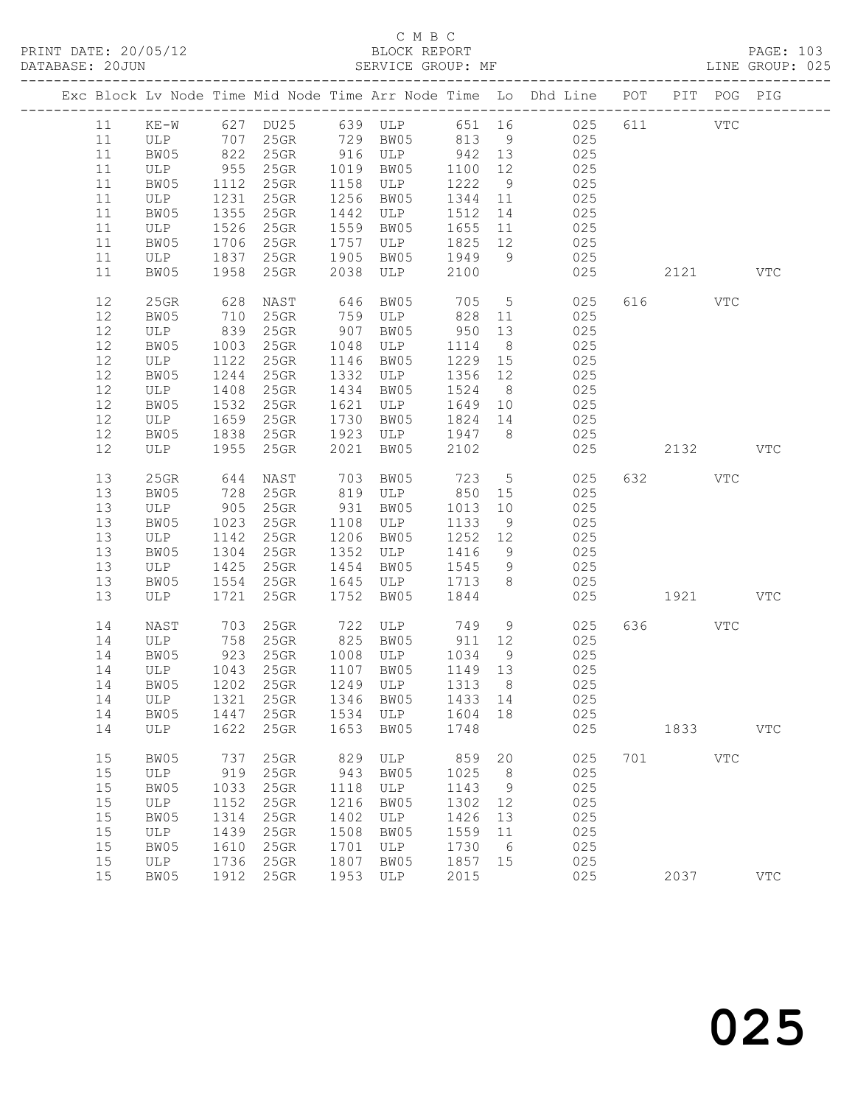|      |              |      |                      |      |                                    |         |                 | Exc Block Lv Node Time Mid Node Time Arr Node Time Lo Dhd Line POT PIT POG PIG |     |             |              |              |
|------|--------------|------|----------------------|------|------------------------------------|---------|-----------------|--------------------------------------------------------------------------------|-----|-------------|--------------|--------------|
|      |              |      |                      |      |                                    |         |                 |                                                                                |     |             |              |              |
| 11   |              |      |                      |      |                                    |         |                 | KE-W 627 DU25 639 ULP 651 16 025                                               | 611 | <b>VTC</b>  |              |              |
| 11   | ULP 707 25GR |      |                      |      | 729 BW05 813 9                     |         |                 | 025                                                                            |     |             |              |              |
| 11   | BW05         |      | 822 25GR             |      | 916 ULP                            | 942 13  |                 | 025                                                                            |     |             |              |              |
| 11   | ULP          | 955  | 25GR                 |      | 1019 BW05                          | 1100    | 12              | 025                                                                            |     |             |              |              |
| 11   | BW05         | 1112 | $25$ GR              |      | 1158 ULP                           | 1222    | 9               | 025                                                                            |     |             |              |              |
| 11   | ULP          | 1231 | $25$ GR              |      | 1256 BW05                          | 1344 11 |                 | 025                                                                            |     |             |              |              |
| 11   | BW05         | 1355 | $25$ GR              |      | 1442 ULP                           | 1512    | 14              | 025                                                                            |     |             |              |              |
| 11   | ULP          | 1526 | $25$ GR              |      | 1559 BW05                          | 1655    | 11              | 025                                                                            |     |             |              |              |
| 11   | BW05         | 1706 | $25$ GR              |      |                                    | 1825 12 |                 | 025                                                                            |     |             |              |              |
| 11   | ULP          |      | 1837 25GR            | 1905 | 1999<br>1757 ULP 1829<br>1005 1949 |         | 9               | 025                                                                            |     |             |              |              |
| 11   | BW05         |      | 1958 25GR            | 2038 | ULP                                | 2100    |                 | 025                                                                            |     | 2121 VTC    |              |              |
| 12   | 25GR         | 628  | NAST                 | 646  | BW05                               | 705     | $5\overline{)}$ | 025                                                                            |     | 616 VTC     |              |              |
| 12   | BW05         | 710  | 25GR                 | 759  | ULP                                | 828     | 11              | 025                                                                            |     |             |              |              |
| 12   | ULP          |      | 839 25GR             | 907  | BW05                               | 950     | 13              | 025                                                                            |     |             |              |              |
| 12   | BW05         | 1003 | $25$ GR              |      | 1048 ULP                           | 1114    | 8 <sup>8</sup>  | 025                                                                            |     |             |              |              |
| $12$ | ULP          | 1122 | $25$ GR              |      | 1146 BW05                          | 1229 15 |                 | 025                                                                            |     |             |              |              |
| 12   | BW05         |      | 1244 25GR            |      | 1332 ULP                           | 1356 12 |                 | 025                                                                            |     |             |              |              |
| 12   | ULP          | 1408 | $25$ GR              |      | 1434 BW05                          | 1524    | 8 <sup>8</sup>  | 025                                                                            |     |             |              |              |
| 12   | BW05         | 1532 | $25$ GR              | 1621 | ULP                                | 1649 10 |                 | 025                                                                            |     |             |              |              |
| 12   | ULP          | 1659 | $25$ GR              | 1730 | BW05                               | 1824    | 14              | 025                                                                            |     |             |              |              |
| 12   | BW05         | 1838 | $25$ GR              | 1923 | ULP                                | 1947 8  |                 | 025                                                                            |     |             |              |              |
| 12   | ULP          |      | 1955 25GR            | 2021 | BW05                               | 2102    |                 | 025                                                                            |     | 2132        |              | <b>VTC</b>   |
|      |              |      |                      |      |                                    |         |                 |                                                                                |     |             | VTC          |              |
| 13   | $25$ GR      |      | 644 NAST<br>728 25GR |      | 703 BW05<br>819 ULP                | 723     | $5\overline{)}$ | 025                                                                            |     | 632         |              |              |
| 13   | BW05         |      |                      |      |                                    | 850     | 15              | 025                                                                            |     |             |              |              |
| 13   | ULP          | 905  | $25$ GR              | 931  | BW05                               | 1013    | 10              | 025                                                                            |     |             |              |              |
| 13   | BW05         | 1023 | $25$ GR              | 1108 | ULP                                | 1133    | 9               | 025                                                                            |     |             |              |              |
| 13   | ULP          | 1142 | 25GR                 | 1206 | BW05                               | 1252    | 12              | 025                                                                            |     |             |              |              |
| 13   | BW05         | 1304 | 25GR                 |      | 1352 ULP                           | 1416    | 9               | 025                                                                            |     |             |              |              |
| 13   | ULP          | 1425 | $25$ GR              | 1454 | BW05                               | 1545    | 9               | 025                                                                            |     |             |              |              |
| 13   | BW05         | 1554 | $25$ GR              |      | 1645 ULP                           | 1713    | 8 <sup>8</sup>  | 025                                                                            |     |             |              |              |
| 13   | ULP          | 1721 | $25$ GR              | 1752 | BW05                               | 1844    |                 | 025                                                                            |     | 1921 / 1921 |              | $_{\rm VTC}$ |
| 14   | NAST         | 703  | 25GR                 | 722  | ULP 749                            |         | 9               | 025                                                                            |     | 636 VTC     |              |              |
| 14   | ULP          | 758  | 25GR                 |      | 825 BW05                           | 911 12  |                 | 025                                                                            |     |             |              |              |
| 14   | BW05         | 923  | $25$ GR              |      | 1008 ULP                           | 1034    | 9               | 025                                                                            |     |             |              |              |
| 14   | ULP          | 1043 | $25$ GR              |      | 1107 BW05                          | 1149 13 |                 | 025                                                                            |     |             |              |              |
| 14   | BW05         |      | 1202 25GR            |      | 1249 ULP                           | 1313    | 8 <sup>8</sup>  | 025                                                                            |     |             |              |              |
|      |              |      |                      |      |                                    |         |                 | 14 ULP 1321 25GR 1346 BW05 1433 14 025                                         |     |             |              |              |
| 14   | BW05         | 1447 | 25GR                 |      | 1534 ULP                           | 1604 18 |                 | 025                                                                            |     |             |              |              |
| 14   | ULP          | 1622 | $25$ GR              | 1653 | BW05                               | 1748    |                 | 025                                                                            |     | 1833        |              | <b>VTC</b>   |
| 15   | BW05         | 737  | 25GR                 | 829  | ULP                                | 859     | 20              | 025                                                                            |     | 701         | $_{\rm VTC}$ |              |
| 15   | ULP          | 919  | 25GR                 | 943  | BW05                               | 1025    | 8 <sup>8</sup>  | 025                                                                            |     |             |              |              |
| 15   | BW05         | 1033 | 25GR                 | 1118 | ULP                                | 1143    | 9               | 025                                                                            |     |             |              |              |
| 15   | ULP          | 1152 | 25GR                 | 1216 | BW05                               | 1302    | 12              | 025                                                                            |     |             |              |              |
| 15   | BW05         | 1314 | 25GR                 | 1402 | ULP                                | 1426    | 13              | 025                                                                            |     |             |              |              |
| 15   | ULP          | 1439 | 25GR                 | 1508 | BW05                               | 1559    | 11              | 025                                                                            |     |             |              |              |
| 15   | BW05         | 1610 | 25GR                 | 1701 | ULP                                | 1730    | 6               | 025                                                                            |     |             |              |              |
| 15   | ULP          | 1736 | $25$ GR              | 1807 | BW05                               | 1857 15 |                 | 025                                                                            |     |             |              |              |
| 15   | BW05         | 1912 | $25$ GR              | 1953 | ULP                                | 2015    |                 | 025                                                                            |     | 2037        |              | <b>VTC</b>   |
|      |              |      |                      |      |                                    |         |                 |                                                                                |     |             |              |              |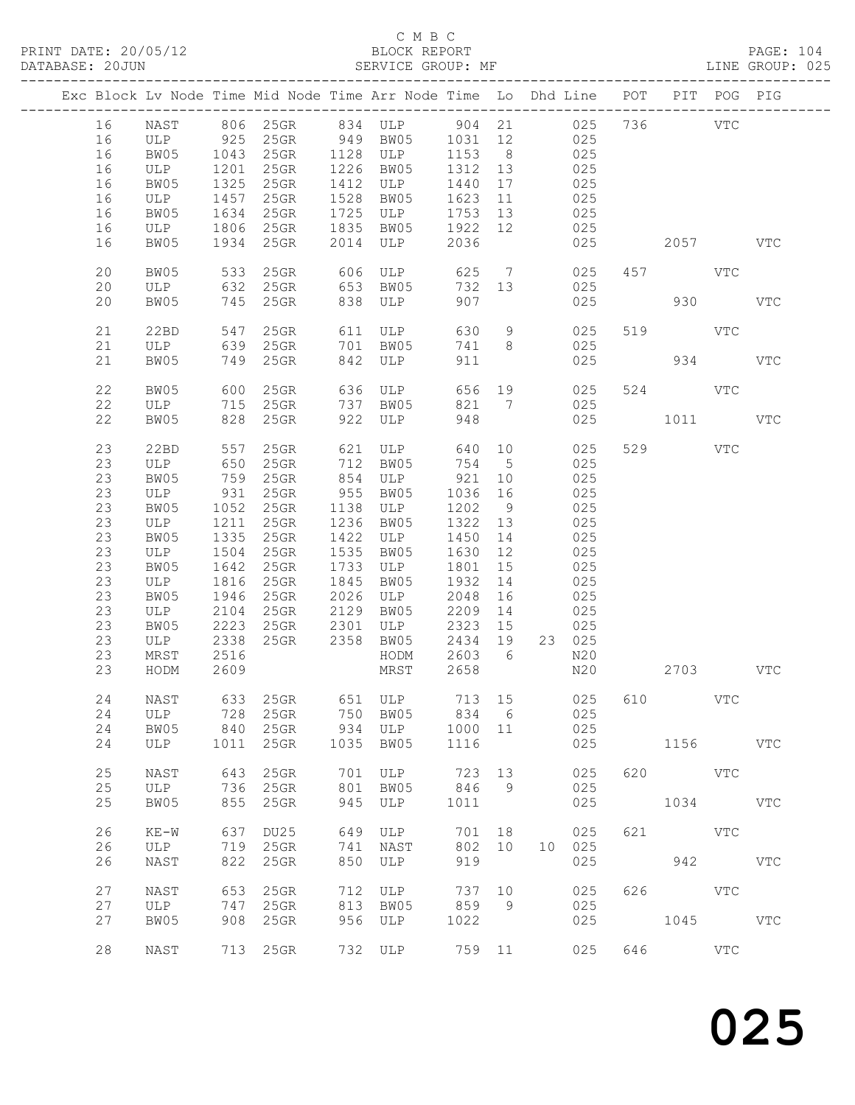|  |    |        |      |          |      | Exc Block Lv Node Time Mid Node Time Arr Node Time Lo Dhd Line POT PIT POG PIG |         |                 |     |           |     |          |     |              |
|--|----|--------|------|----------|------|--------------------------------------------------------------------------------|---------|-----------------|-----|-----------|-----|----------|-----|--------------|
|  | 16 | NAST   |      |          |      | 806 25GR 834 ULP 904 21 025                                                    |         |                 |     |           |     | 736      | VTC |              |
|  | 16 |        |      |          |      |                                                                                |         |                 |     | 025       |     |          |     |              |
|  | 16 |        |      |          |      | ULP 925 25GR 949 BW05 1031 12<br>BW05 1043 25GR 1128 ULP 1153 8                |         |                 |     | 025       |     |          |     |              |
|  |    |        |      |          |      |                                                                                |         |                 | 025 |           |     |          |     |              |
|  | 16 | ULP    | 1201 | 25GR     |      | 1226 BW05                                                                      | 1312 13 |                 |     |           |     |          |     |              |
|  | 16 | BW05   | 1325 | 25GR     |      | 1412 ULP                                                                       | 1440    | 17              |     | 025       |     |          |     |              |
|  | 16 | ULP    | 1457 | $25$ GR  | 1528 | BW05                                                                           | 1623    | 11              |     | 025       |     |          |     |              |
|  | 16 | BW05   | 1634 | 25GR     | 1725 | ULP                                                                            | 1753 13 |                 |     | 025       |     |          |     |              |
|  | 16 | ULP    | 1806 | 25GR     | 1835 | BW05                                                                           | 1922 12 |                 | 025 |           |     |          |     |              |
|  | 16 | BW05   | 1934 | $25$ GR  | 2014 | ULP                                                                            | 2036    |                 |     | 025       |     | 2057     |     | <b>VTC</b>   |
|  |    |        |      |          |      |                                                                                |         |                 |     |           |     |          |     |              |
|  | 20 | BW05   |      | 533 25GR | 606  | ULP                                                                            |         |                 |     | 625 7 025 |     | 457 VTC  |     |              |
|  | 20 | ULP    |      | 632 25GR | 653  | BW05                                                                           | 732 13  |                 |     | 025       |     |          |     |              |
|  | 20 | BW05   |      | 745 25GR | 838  | ULP                                                                            | 907     |                 |     | 025       |     | 930      |     | <b>VTC</b>   |
|  |    |        |      |          |      |                                                                                |         |                 |     |           |     |          |     |              |
|  |    |        |      |          |      |                                                                                |         |                 |     |           |     |          |     |              |
|  | 21 | 22BD   | 547  | 25GR     |      | 611 ULP                                                                        | 630     | 9               |     | 025       |     | 519 VTC  |     |              |
|  | 21 | ULP    | 639  | 25GR     | 701  | BW05                                                                           | 741     | 8               |     | 025       |     |          |     |              |
|  | 21 | BW05   |      | 749 25GR | 842  | ULP                                                                            | 911     |                 |     | 025       |     | 934      |     | <b>VTC</b>   |
|  |    |        |      |          |      |                                                                                |         |                 |     |           |     |          |     |              |
|  | 22 | BW05   | 600  | 25GR     | 636  | ULP<br>BW05                                                                    | 656 19  |                 |     | 025       |     | 524 VTC  |     |              |
|  | 22 | ULP    |      | 715 25GR | 737  | BW05                                                                           | 821 7   |                 |     | 025       |     |          |     |              |
|  | 22 | BW05   |      | 828 25GR | 922  | ULP                                                                            | 948     |                 |     | 025       |     | 1011 \,  |     | VTC          |
|  |    |        |      |          |      |                                                                                |         |                 |     |           |     |          |     |              |
|  | 23 | 22BD   | 557  | 25GR     |      | 621 ULP                                                                        | 640 10  |                 |     | 025       |     | 529 VTC  |     |              |
|  |    |        |      | 25GR     |      |                                                                                | 754     |                 |     |           |     |          |     |              |
|  | 23 | ULP    | 650  |          |      | 712 BW05                                                                       |         | $5\overline{)}$ |     | 025       |     |          |     |              |
|  | 23 | BW05   | 759  | 25GR     | 854  | ULP                                                                            | 921 10  |                 |     | 025       |     |          |     |              |
|  | 23 | ULP    | 931  | $25$ GR  |      | 955 BW05                                                                       | 1036    | 16              |     | 025       |     |          |     |              |
|  | 23 | BW05   | 1052 | $25$ GR  | 1138 | ULP                                                                            | 1202    | 9               |     | 025       |     |          |     |              |
|  | 23 | ULP    | 1211 | $25$ GR  | 1236 | BW05                                                                           | 1322 13 |                 |     | 025       |     |          |     |              |
|  | 23 | BW05   | 1335 | 25GR     | 1422 | ULP                                                                            | 1450    | 14              |     | 025       |     |          |     |              |
|  | 23 | ULP    | 1504 | $25$ GR  | 1535 | BW05                                                                           | 1630    | 12              |     | 025       |     |          |     |              |
|  | 23 | BW05   | 1642 | 25GR     | 1733 | ULP                                                                            | 1801    | 15              |     | 025       |     |          |     |              |
|  | 23 | ULP    | 1816 | $25$ GR  | 1845 | BW05                                                                           | 1932    | 14              |     | 025       |     |          |     |              |
|  | 23 | BW05   | 1946 | 25GR     | 2026 | ULP                                                                            | 2048    | 16              | 025 |           |     |          |     |              |
|  |    |        |      |          |      |                                                                                |         |                 |     |           |     |          |     |              |
|  | 23 | ULP    | 2104 | $25$ GR  | 2129 | BW05                                                                           | 2209    | 14              | 025 |           |     |          |     |              |
|  | 23 | BW05   | 2223 | 25GR     | 2301 | ULP                                                                            | 2323    | 15              |     | 025       |     |          |     |              |
|  | 23 | ULP    | 2338 | 25GR     |      | 2358 BW05                                                                      | 2434 19 |                 |     | 23 025    |     |          |     |              |
|  | 23 | MRST   | 2516 |          |      | HODM                                                                           | 2603 6  |                 |     | N20       |     |          |     |              |
|  | 23 | HODM   | 2609 |          |      | MRST                                                                           | 2658    |                 |     | N20       |     | 2703 VTC |     |              |
|  |    |        |      |          |      |                                                                                |         |                 |     |           |     |          |     |              |
|  | 24 |        |      |          |      | NAST 633 25GR 651 ULP 713 15 025 610 VTC                                       |         |                 |     |           |     |          |     |              |
|  | 24 | ULP    | 728  | 25GR     | 750  | BW05                                                                           | 834     | $6\overline{6}$ |     | 025       |     |          |     |              |
|  | 24 | BW05   | 840  | $25$ GR  | 934  | ULP                                                                            | 1000 11 |                 |     | 025       |     |          |     |              |
|  | 24 | ULP    | 1011 | 25GR     | 1035 | BW05                                                                           | 1116    |                 |     | 025       |     | 1156     |     | <b>VTC</b>   |
|  |    |        |      |          |      |                                                                                |         |                 |     |           |     |          |     |              |
|  |    |        |      |          |      |                                                                                |         |                 |     |           |     |          |     |              |
|  | 25 | NAST   | 643  | 25GR     | 701  | ULP                                                                            | 723     | 13              |     | 025       | 620 |          | VTC |              |
|  | 25 | ULP    | 736  | $25$ GR  | 801  | BW05                                                                           | 846     | 9               |     | 025       |     |          |     |              |
|  | 25 | BW05   | 855  | 25GR     | 945  | ULP                                                                            | 1011    |                 |     | 025       |     | 1034     |     | <b>VTC</b>   |
|  |    |        |      |          |      |                                                                                |         |                 |     |           |     |          |     |              |
|  | 26 | $KE-W$ | 637  | DU25     | 649  | ULP                                                                            | 701 18  |                 |     | 025       | 621 |          | VTC |              |
|  | 26 | ULP    | 719  | 25GR     | 741  | NAST                                                                           | 802     | 10              | 10  | 025       |     |          |     |              |
|  | 26 | NAST   | 822  | 25GR     | 850  | ULP                                                                            | 919     |                 |     | 025       |     | 942      |     | $_{\rm VTC}$ |
|  |    |        |      |          |      |                                                                                |         |                 |     |           |     |          |     |              |
|  | 27 | NAST   | 653  | 25GR     | 712  | ULP                                                                            | 737     | 10              |     | 025       | 626 |          | VTC |              |
|  | 27 | ULP    | 747  | $25$ GR  | 813  | BW05                                                                           | 859     | 9               |     | 025       |     |          |     |              |
|  | 27 |        |      |          |      |                                                                                |         |                 |     |           |     |          |     |              |
|  |    | BW05   | 908  | 25GR     | 956  | ULP                                                                            | 1022    |                 |     | 025       |     | 1045     |     | <b>VTC</b>   |
|  |    |        |      |          |      |                                                                                |         |                 |     |           |     |          |     |              |
|  | 28 | NAST   |      | 713 25GR |      | 732 ULP                                                                        | 759 11  |                 |     | 025       | 646 |          | VTC |              |
|  |    |        |      |          |      |                                                                                |         |                 |     |           |     |          |     |              |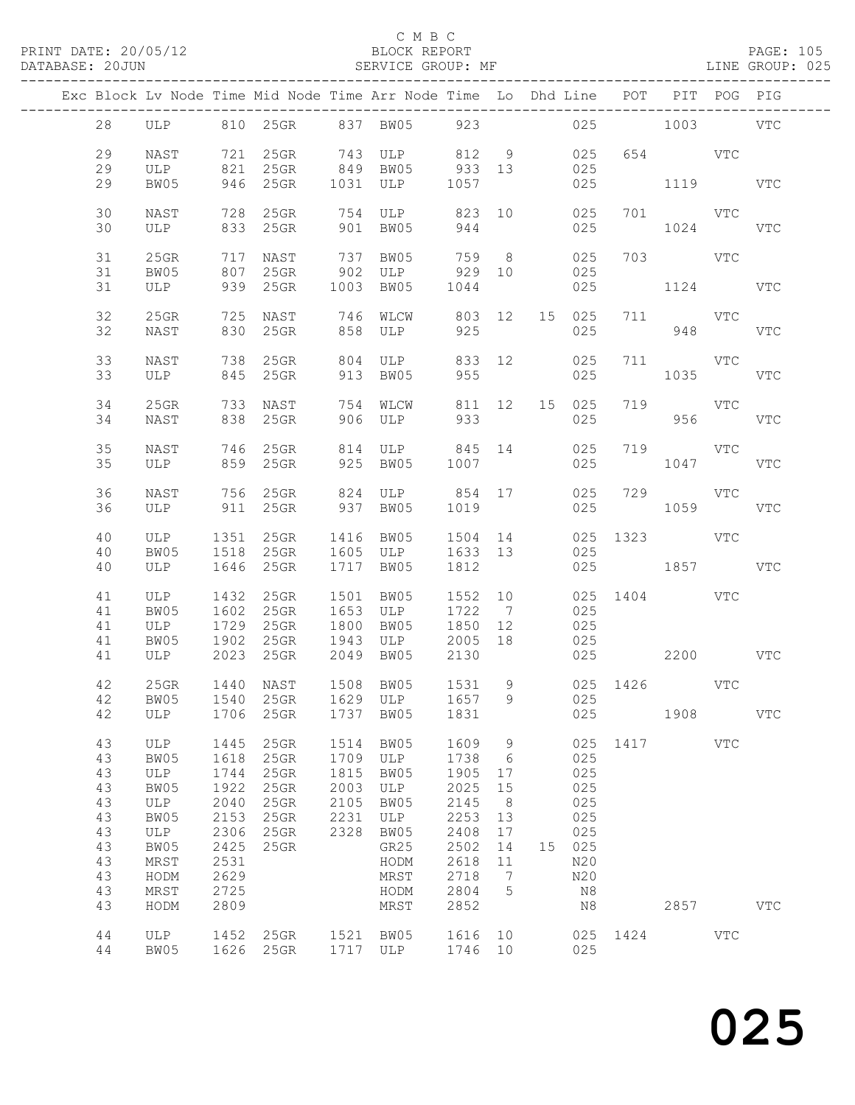### C M B C<br>BLOCK REPORT

### SERVICE GROUP: MF

|    |         |      | Exc Block Lv Node Time Mid Node Time Arr Node Time Lo Dhd Line POT PIT POG PIG |      |                   |         |                 |               |        |          |                     |          |              |
|----|---------|------|--------------------------------------------------------------------------------|------|-------------------|---------|-----------------|---------------|--------|----------|---------------------|----------|--------------|
| 28 |         |      | ULP 810 25GR 837 BW05 923                                                      |      |                   |         |                 |               |        |          | 025 1003 VTC        |          |              |
| 29 | NAST    |      | 721 25GR 743 ULP 812 9                                                         |      |                   |         |                 |               | 025    |          | 654 VTC             |          |              |
| 29 | ULP     |      | 821 25GR 849 BW05 933 13                                                       |      |                   |         |                 |               | 025    |          |                     |          |              |
| 29 | BW05    |      | 946 25GR                                                                       |      | 1031 ULP 1057     |         |                 |               | 025    |          | 1119                |          | VTC          |
| 30 | NAST    | 728  | $25$ GR                                                                        | 754  | ULP               |         |                 | 823 10        | 025    |          | 701 VTC             |          |              |
| 30 | ULP     |      | 833 25GR                                                                       |      | 901 BW05          | 944     |                 |               | 025    |          | 1024                |          | <b>VTC</b>   |
|    |         |      |                                                                                |      |                   |         |                 |               |        |          |                     |          |              |
| 31 | 25GR    |      | 717 NAST     737 BW05<br>807 25GR    902 ULP                                   |      | ULP 929 10        | 759 8   |                 |               | 025    |          | 703 VTC             |          |              |
| 31 | BW05    |      |                                                                                | 902  |                   |         |                 |               | 025    |          |                     |          |              |
| 31 | ULP     |      | 939 25GR                                                                       |      | 1003 BW05 1044    |         |                 |               | 025    |          | 1124 VTC            |          |              |
| 32 | $25$ GR |      | 725 NAST                                                                       |      | 746 WLCW          | 803 12  |                 |               | 15 025 |          | 711 VTC             |          |              |
| 32 | NAST    |      | 830 25GR                                                                       |      | 858 ULP           | 925     |                 |               | 025    |          | 948                 |          | <b>VTC</b>   |
|    |         |      |                                                                                |      |                   |         |                 |               |        |          |                     |          |              |
| 33 | NAST    | 738  | $25$ GR                                                                        | 804  | ULP               | 833 12  |                 |               | 025    |          | 711 VTC             |          |              |
| 33 | ULP     |      | 845 25GR                                                                       | 913  | BW05              | 955     |                 |               | 025    |          | 1035                |          | VTC          |
| 34 | 25GR    |      | 733 NAST                                                                       |      | 754 WLCW          |         |                 | 811 12 15 025 |        |          | 719 VTC             |          |              |
| 34 | NAST    |      | 838 25GR                                                                       |      | 906 ULP           | 933     |                 |               | 025    |          |                     | 956 1990 | VTC          |
|    |         |      |                                                                                |      |                   |         |                 |               |        |          |                     |          |              |
| 35 | NAST    |      | 746 25GR                                                                       |      | 814 ULP 845 14    |         |                 |               | 025    |          | 719 VTC             |          |              |
| 35 | ULP     |      | 859 25GR                                                                       |      | 925 BW05          | 1007    |                 |               | 025    |          | 1047                |          | VTC          |
| 36 | NAST    |      | 756 25GR 824                                                                   |      | ULP 854 17        |         |                 |               | 025    |          | 729 VTC             |          |              |
| 36 | ULP     |      | 911 25GR                                                                       |      | 937 BW05          | 1019    |                 |               | 025    |          | 1059                |          | VTC          |
|    |         |      |                                                                                |      |                   |         |                 |               |        |          |                     |          |              |
| 40 | ULP     |      | 1351 25GR                                                                      |      | 1416 BW05 1504 14 |         |                 |               | 025    |          | 1323 VTC            |          |              |
| 40 | BW05    | 1518 | 25GR                                                                           |      | 1605 ULP          | 1633 13 |                 |               | 025    |          |                     |          |              |
| 40 | ULP     |      | 1646 25GR                                                                      |      | 1717 BW05         | 1812    |                 |               | 025    |          | 1857                |          | VTC          |
| 41 | ULP     | 1432 | 25GR                                                                           | 1501 | BW05              | 1552 10 |                 |               |        |          | 025 1404 VTC        |          |              |
| 41 | BW05    | 1602 | 25GR                                                                           | 1653 | ULP               | 1722    | 7               |               | 025    |          |                     |          |              |
| 41 | ULP     |      | 1729 25GR                                                                      | 1800 | BW05              | 1850    | 12              |               | 025    |          |                     |          |              |
| 41 | BW05    |      | 1902 25GR                                                                      | 1943 | ULP 2005 18       |         |                 |               | 025    |          |                     |          |              |
| 41 | ULP     |      | 2023 25GR                                                                      |      | 2049 BW05 2130    |         |                 |               |        |          | 025 2200 VTC        |          |              |
|    | $25$ GR |      |                                                                                |      | 1508 BW05         |         |                 |               |        |          | 1531 9 025 1426 VTC |          |              |
| 42 |         |      | 1440 NAST                                                                      |      |                   |         |                 |               |        |          |                     |          |              |
| 42 | ULP     | 1706 | 42 BW05 1540 25GR 1629 ULP 1657 9 025<br>25GR                                  |      | 1737 BW05         | 1831    |                 |               | 025    |          | 1908                |          | VTC          |
|    |         |      |                                                                                |      |                   |         |                 |               |        |          |                     |          |              |
| 43 | ULP     | 1445 | 25GR                                                                           |      | 1514 BW05         | 1609    | 9               |               | 025    |          | 1417                | VTC      |              |
| 43 | BW05    | 1618 | 25GR                                                                           | 1709 | ULP               | 1738    | $6\overline{6}$ |               | 025    |          |                     |          |              |
| 43 | ULP     | 1744 | 25GR                                                                           | 1815 | BW05              | 1905    | 17              |               | 025    |          |                     |          |              |
| 43 | BW05    | 1922 | 25GR                                                                           | 2003 | ULP               | 2025    | 15              |               | 025    |          |                     |          |              |
| 43 | ULP     | 2040 | 25GR                                                                           | 2105 | BW05              | 2145    | 8 <sup>8</sup>  |               | 025    |          |                     |          |              |
| 43 | BW05    | 2153 | 25GR                                                                           | 2231 | ULP               | 2253    | 13              |               | 025    |          |                     |          |              |
| 43 | ULP     | 2306 | 25GR                                                                           | 2328 | BW05              | 2408    | 17              |               | 025    |          |                     |          |              |
| 43 | BW05    | 2425 | 25GR                                                                           |      | GR25              | 2502    | 14              |               | 15 025 |          |                     |          |              |
| 43 | MRST    | 2531 |                                                                                |      | HODM              | 2618    | 11              |               | N20    |          |                     |          |              |
| 43 | HODM    | 2629 |                                                                                |      | MRST              | 2718    | $\overline{7}$  |               | N20    |          |                     |          |              |
| 43 | MRST    | 2725 |                                                                                |      | HODM              | 2804    | 5               |               | N8     |          |                     |          |              |
| 43 | HODM    | 2809 |                                                                                |      | MRST              | 2852    |                 |               | N8     |          | 2857                |          | $_{\rm VTC}$ |
| 44 | ULP     |      | 1452 25GR                                                                      |      | 1521 BW05         | 1616 10 |                 |               |        | 025 1424 |                     | VTC      |              |
| 44 | BW05    |      | 1626 25GR                                                                      |      | 1717 ULP          | 1746 10 |                 |               | 025    |          |                     |          |              |
|    |         |      |                                                                                |      |                   |         |                 |               |        |          |                     |          |              |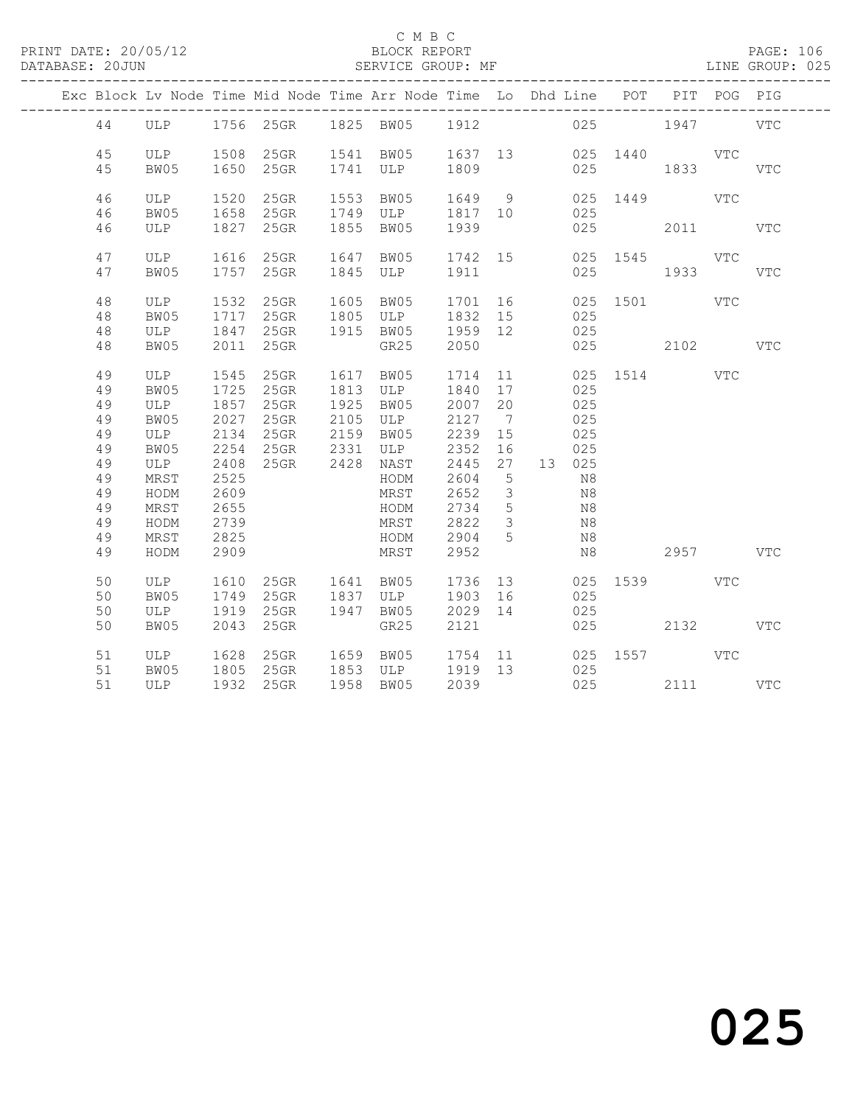PRINT DATE: 20/05/12 BLOCK REPORT PAGE: 106 DATABASE: 20JUN

### C M B C<br>BLOCK REPORT

| DAIADASE. ZUUUN |          |              |              |                                                                    |      | OLNVICE GROUP. MP                      |              |                     |    |          |                   |      |             |              |
|-----------------|----------|--------------|--------------|--------------------------------------------------------------------|------|----------------------------------------|--------------|---------------------|----|----------|-------------------|------|-------------|--------------|
|                 |          |              |              | Exc Block Lv Node Time Mid Node Time Arr Node Time Lo Dhd Line POT |      | -------------------------------------- |              |                     |    |          | _________________ |      | PIT POG PIG |              |
|                 | 44       |              |              | ULP 1756 25GR 1825 BW05 1912                                       |      |                                        |              |                     |    |          | 025               | 1947 |             | <b>VTC</b>   |
|                 | 45       | ULP 1508     |              | 25GR                                                               |      | 1541 BW05                              | 1637 13      |                     |    |          | 025 1440          | VTC  |             |              |
|                 | 45       | BW05         | 1650         | 25GR                                                               |      | 1741 ULP                               | 1809         |                     |    | 025      |                   | 1833 |             | <b>VTC</b>   |
|                 | 46       | ULP          | 1520         | 25GR                                                               |      | 1553 BW05                              | 1649 9       |                     |    | 025      | 1449              |      | VTC         |              |
|                 | 46       | BW05         | 1658         | $25$ GR                                                            |      | 1749 ULP                               | 1817 10      |                     |    | 025      |                   |      |             |              |
|                 | 46       | ULP          | 1827         | 25GR                                                               |      | 1855 BW05                              | 1939         |                     |    | 025      |                   | 2011 |             | <b>VTC</b>   |
|                 | 47       | ULP          | 1616         | $25$ GR                                                            | 1647 | BW05                                   | 1742 15      |                     |    |          | 025 1545          |      | VTC         |              |
|                 | 47       | BW05         | 1757         | $25$ GR                                                            |      | 1845 ULP                               | 1911         |                     |    | 025      |                   | 1933 |             | $_{\rm VTC}$ |
|                 | 48       | ULP          | 1532         | 25GR                                                               | 1605 | BW05                                   | 1701         | 16                  |    | 025      | 1501 1501 160     |      | VTC         |              |
|                 | 48       | BW05         | 1717         | 25GR                                                               | 1805 | ULP                                    | 1832 15      |                     |    | 025      |                   |      |             |              |
|                 | 48       | ULP          | 1847         | 25GR                                                               |      | 1915 BW05                              | 1959 12      |                     |    | 025      |                   |      |             |              |
|                 | 48       | BW05         | 2011         | $25$ GR                                                            |      | GR25                                   | 2050         |                     |    | 025      |                   | 2102 |             | <b>VTC</b>   |
|                 | 49       | ULP          | 1545         | $25$ GR                                                            | 1617 | BW05                                   | 1714         |                     | 11 |          | 025 1514          |      | <b>VTC</b>  |              |
|                 | 49       | BW05         | 1725         | 25GR                                                               | 1813 | ULP                                    | 1840         | 17                  |    | 025      |                   |      |             |              |
|                 | 49       | ULP          | 1857         | $25$ GR                                                            | 1925 | BW05                                   | 2007         | 20                  |    | 025      |                   |      |             |              |
|                 | 49       | BW05         | 2027         | $25$ GR                                                            | 2105 | ULP                                    | 2127         | $\overline{7}$      |    | 025      |                   |      |             |              |
|                 | 49       | ULP          | 2134         | $25$ GR                                                            | 2159 | BW05                                   | 2239         | 15                  |    | 025      |                   |      |             |              |
|                 | 49       | BW05         | 2254         | 25GR 2331                                                          |      | ULP                                    | 2352         | 16                  |    | 025      |                   |      |             |              |
|                 | 49       | ULP          | 2408         | 25GR 2428 NAST                                                     |      |                                        | 2445         | 27                  |    | 13 025   |                   |      |             |              |
|                 | 49       | MRST         | 2525         |                                                                    |      | HODM                                   | 2604         | $5\phantom{.0}$     |    | N8       |                   |      |             |              |
|                 | 49<br>49 | HODM         | 2609<br>2655 |                                                                    |      | MRST                                   | 2652<br>2734 | $\mathfrak{Z}$<br>5 |    | N8       |                   |      |             |              |
|                 | 49       | MRST<br>HODM | 2739         |                                                                    |      | HODM<br>MRST                           | 2822         | $\mathcal{S}$       |    | N8<br>N8 |                   |      |             |              |
|                 | 49       | MRST         | 2825         |                                                                    |      | HODM                                   | 2904         | $5^{\circ}$         |    | N8       |                   |      |             |              |
|                 | 49       | HODM         | 2909         |                                                                    |      | MRST                                   | 2952         |                     |    | N8       |                   |      | 2957        | <b>VTC</b>   |
|                 |          |              |              |                                                                    |      |                                        |              |                     |    |          |                   |      |             |              |
|                 | 50       | ULP          | 1610         | 25GR                                                               |      | 1641 BW05                              | 1736         |                     | 13 | 025      | 1539 154          |      | <b>VTC</b>  |              |
|                 | 50       | BW05         | 1749         | 25GR                                                               |      | 1837 ULP                               | 1903         | 16                  |    | 025      |                   |      |             |              |
|                 | 50       | ULP          | 1919         | 25GR                                                               |      | 1947 BW05                              | 2029 14      |                     |    | 025      |                   |      |             |              |
|                 | 50       | BW05         | 2043         | $25$ GR                                                            |      | GR25                                   | 2121         |                     |    | 025      |                   | 2132 |             | VTC          |

51 ULP 1628 25GR 1659 BW05 1754 11 025 1557 VTC

51 ULP 1932 25GR 1958 BW05 2039 025 2111 VTC

51 BW05 1805 25GR 1853 ULP 1919 13 025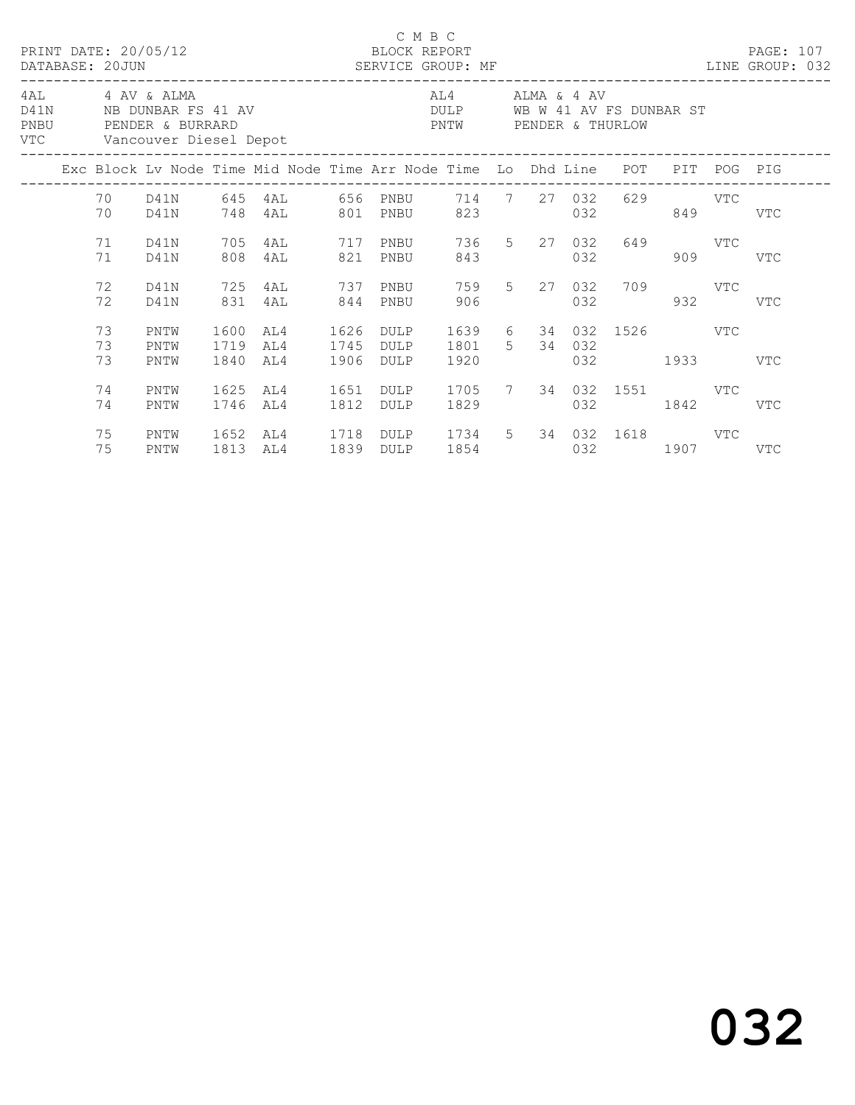|      | 4AL 4 AV & ALMA |                |                            |                      |                                                                                |              | C M B C                                               |                        |                             |     |                                    |     |     |  |
|------|-----------------|----------------|----------------------------|----------------------|--------------------------------------------------------------------------------|--------------|-------------------------------------------------------|------------------------|-----------------------------|-----|------------------------------------|-----|-----|--|
| PNBU |                 |                | VTC Vancouver Diesel Depot |                      | D41N NB DUNBAR FS 41 AV<br>PENDER & BURRARD                                    |              | DULP WB W 41 AV FS DUNBAR ST<br>PNTW PENDER & THURLOW | AL4 ALMA & 4 AV        |                             |     |                                    |     |     |  |
|      |                 |                |                            |                      | Exc Block Lv Node Time Mid Node Time Arr Node Time Lo Dhd Line POT PIT POG PIG |              |                                                       |                        |                             |     |                                    |     |     |  |
|      |                 | 70             | D41N                       |                      | 70 D41N 645 4AL 656 PNBU 714 7 27 032 629 VTC<br>748 4AL 801 PNBU              |              |                                                       |                        | 823 and the state of $\sim$ |     | 032 849 VTC                        |     |     |  |
|      |                 | 71<br>71       | D41N<br>D41N               | 705<br>808           | 4AL 717 PNBU 736 5 27 032 649 VTC<br>4AL                                       |              | 821 PNBU                                              | 843                    |                             | 032 |                                    | 909 | VTC |  |
|      |                 | 72<br>72       | D41N<br>D41N               | 725<br>831           | 4AL 737 PNBU<br>4AL 844 PNBU                                                   |              |                                                       | 906                    |                             |     | 759 5 27 032 709 VTC<br>032        | 932 | VTC |  |
|      |                 | 73<br>73<br>73 | PNTW<br>PNTW<br>PNTW       | 1600<br>1719<br>1840 | AL4<br>AL4<br>AL4                                                              | 1745<br>1906 | 1626 DULP<br>DULP<br>DULP                             | 1801 5 34 032<br>1920  |                             |     | 1639 6 34 032 1526 VTC<br>032 1933 |     | VTC |  |
|      |                 | 74<br>74       | PNTW<br>PNTW               | 1625<br>1746         | AL4<br>AL4                                                                     | 1651<br>1812 | DULP<br>DULP                                          | 1705 7 34 032 1551 VTC |                             |     | 032 1842                           |     | VTC |  |
|      |                 | 75<br>75       | PNTW<br>PNTW               | 1652                 | AL4 1718 DULP 1734 5 34 032 1618 VTC<br>1813 AL4                               |              | 1839 DULP                                             |                        |                             |     | 1854 032 1907 VTC                  |     |     |  |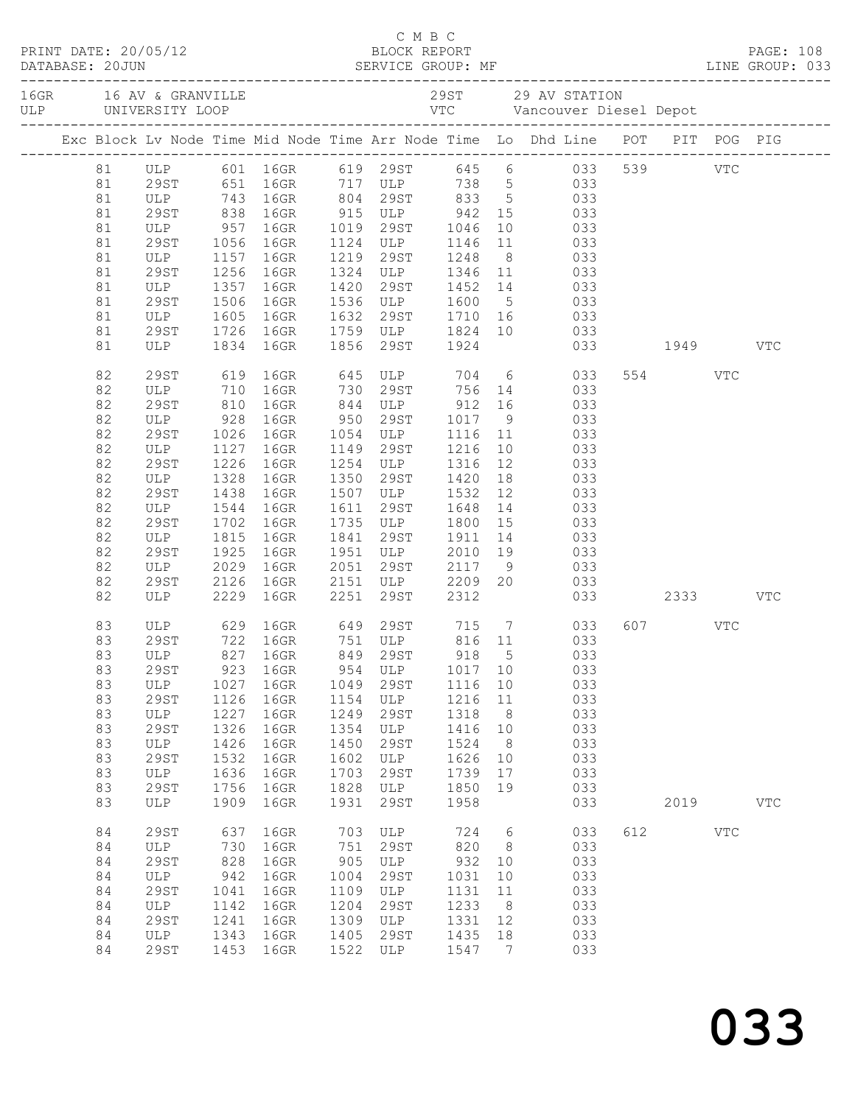|  |  |          |                                                                 |              |                         |              | C M B C                                          |              |          |                                                                                  |     |          |            |              |
|--|--|----------|-----------------------------------------------------------------|--------------|-------------------------|--------------|--------------------------------------------------|--------------|----------|----------------------------------------------------------------------------------|-----|----------|------------|--------------|
|  |  |          |                                                                 |              |                         |              |                                                  |              |          |                                                                                  |     |          |            |              |
|  |  |          |                                                                 |              |                         |              |                                                  |              |          | Exc Block Lv Node Time Mid Node Time Arr Node Time Lo Dhd Line POT PIT POG PIG   |     |          |            |              |
|  |  |          |                                                                 |              |                         |              |                                                  |              |          | 81 ULP 601 16GR 619 29ST 645 6 033 539 VTC<br>81 29ST 651 16GR 717 ULP 738 5 033 |     |          |            |              |
|  |  |          |                                                                 |              |                         |              |                                                  |              |          |                                                                                  |     |          |            |              |
|  |  | 81       |                                                                 |              |                         |              |                                                  |              |          | ULP 743 16GR 804 29ST 833 5 033                                                  |     |          |            |              |
|  |  | 81       |                                                                 |              |                         |              |                                                  |              |          |                                                                                  |     |          |            |              |
|  |  | 81       |                                                                 |              |                         |              |                                                  |              |          |                                                                                  |     |          |            |              |
|  |  | 81       |                                                                 |              |                         |              |                                                  |              |          |                                                                                  |     |          |            |              |
|  |  | 81       | ULP 1157 16GR                                                   |              |                         |              | 1219 29ST 1248                                   |              |          | 8 033                                                                            |     |          |            |              |
|  |  | 81       | 29ST                                                            | 1256         | 16GR                    |              |                                                  |              |          | 1324 ULP 1346 11 033                                                             |     |          |            |              |
|  |  | 81       | ULP                                                             |              | 1357 16GR<br>1506 16GR  |              |                                                  |              |          | 1420 29ST 1452 14 033<br>1536 ULP 1600 5 033                                     |     |          |            |              |
|  |  | 81       | 29ST                                                            |              |                         |              |                                                  |              |          |                                                                                  |     |          |            |              |
|  |  | 81       | ULP 1605 16GR                                                   |              |                         |              |                                                  |              |          | 1632 29ST 1710 16 033                                                            |     |          |            |              |
|  |  | 81       | 29ST                                                            | 1726         | 16GR                    |              |                                                  |              |          | 1759 ULP 1824 10 033                                                             |     |          |            |              |
|  |  | 81       | ULP                                                             |              | 1834 16GR               |              | 1856 29ST 1924                                   |              |          | 033 1949                                                                         |     |          |            | <b>VTC</b>   |
|  |  | 82       |                                                                 |              |                         |              |                                                  |              |          | 29ST 619 16GR 645 ULP 704 6 033                                                  |     | 554 VTC  |            |              |
|  |  | 82       |                                                                 |              | 16GR 730 29ST 756 14    |              |                                                  |              |          | 033                                                                              |     |          |            |              |
|  |  | 82       |                                                                 |              |                         |              |                                                  |              |          |                                                                                  |     |          |            |              |
|  |  | 82       |                                                                 |              |                         |              |                                                  |              |          |                                                                                  |     |          |            |              |
|  |  | 82       | ULP 710 16GR<br>29ST 810 16GR<br>ULP 928 16GR<br>29ST 1026 16GR |              |                         |              |                                                  |              |          | 844 ULP 912 16 033<br>950 29ST 1017 9 033<br>1054 ULP 1116 11 033                |     |          |            |              |
|  |  | 82       | ULP                                                             |              | 1127 16GR               |              | 1149 29ST 1216                                   |              | 10       | 033                                                                              |     |          |            |              |
|  |  | 82       | 29ST                                                            | 1226         | 16GR                    |              |                                                  |              | 12       | 033                                                                              |     |          |            |              |
|  |  | 82       | ULP 1328 16GR<br>29ST 1438 16GR                                 |              |                         |              | 1254 ULP 1316<br>1350 29ST 1420<br>1507 ULP 1532 |              | 18       | 033                                                                              |     |          |            |              |
|  |  | 82       |                                                                 |              |                         |              |                                                  |              | 12       | 033                                                                              |     |          |            |              |
|  |  | 82       | ULP                                                             | 1544         | 16GR                    | 1611         | 29ST 1648                                        |              | 14       | 033                                                                              |     |          |            |              |
|  |  | 82       | 29ST                                                            | 1702         | 16GR                    |              |                                                  |              |          |                                                                                  |     |          |            |              |
|  |  | 82       | ULP                                                             | 1815<br>1925 | 16GR                    |              |                                                  |              |          | 1735 ULP 1800 15 033<br>1841 29ST 1911 14 033<br>1951 ULP 2010 19 033            |     |          |            |              |
|  |  | 82       | 29ST                                                            |              | 16GR                    |              |                                                  |              |          |                                                                                  |     |          |            |              |
|  |  | 82       | ULP                                                             | 2029         | 16GR                    | 2051         | 29ST 2117                                        |              |          | 9 033                                                                            |     |          |            |              |
|  |  | 82       | 29ST                                                            | 2126         | 16GR                    |              |                                                  |              |          | 2151 ULP 2209 20 033                                                             |     |          |            |              |
|  |  | 82       | ULP                                                             | 2229         | 16GR                    | 2251         | 29ST                                             | 2312         |          |                                                                                  |     | 033 2333 |            | VTC          |
|  |  | 83       |                                                                 |              |                         |              |                                                  |              |          | ULP 629 16GR 649 29ST 715 7 033                                                  |     | 607 VTC  |            |              |
|  |  | 83       | 29ST 722 16GR                                                   |              |                         |              | 751 ULP                                          |              |          | 816 11 033                                                                       |     |          |            |              |
|  |  |          | 83 ULP                                                          |              | 827 16GR 849 29ST 918 5 |              |                                                  |              |          | 033                                                                              |     |          |            |              |
|  |  | 83       | 29ST                                                            | 923          | 16GR                    | 954          | ULP                                              | 1017         | 10       | 033                                                                              |     |          |            |              |
|  |  | 83       | ULP                                                             | 1027         | 16GR                    | 1049         | 29ST                                             | 1116         | 10       | 033                                                                              |     |          |            |              |
|  |  | 83       | 29ST                                                            | 1126         | 16GR                    | 1154         | ULP                                              | 1216         | 11       | 033                                                                              |     |          |            |              |
|  |  | 83       | ULP                                                             | 1227         | 16GR                    | 1249         | 29ST                                             | 1318         | 8        | 033                                                                              |     |          |            |              |
|  |  | 83       | <b>29ST</b>                                                     | 1326         | 16GR                    | 1354         | ULP                                              | 1416         | 10       | 033                                                                              |     |          |            |              |
|  |  | 83       | ULP                                                             | 1426         | 16GR                    | 1450         | 29ST                                             | 1524         | 8        | 033                                                                              |     |          |            |              |
|  |  | 83       | <b>29ST</b>                                                     | 1532         | 16GR                    | 1602         | ULP                                              | 1626         | 10       | 033                                                                              |     |          |            |              |
|  |  | 83       | $_{\rm ULP}$                                                    | 1636         | 16GR                    | 1703         | 29ST                                             | 1739         | 17       | 033                                                                              |     |          |            |              |
|  |  | 83       | <b>29ST</b>                                                     | 1756         | 16GR                    | 1828         | ULP                                              | 1850         | 19       | 033                                                                              |     |          |            |              |
|  |  | 83       | ULP                                                             | 1909         | 16GR                    | 1931         | 29ST                                             | 1958         |          | 033                                                                              |     | 2019     |            | $_{\rm VTC}$ |
|  |  | 84       | <b>29ST</b>                                                     | 637          | 16GR                    | 703          | ULP                                              | 724          | 6        | 033                                                                              | 612 |          | <b>VTC</b> |              |
|  |  | 84       | ULP                                                             | 730          | 16GR                    | 751          | 29ST                                             | 820          | 8        | 033                                                                              |     |          |            |              |
|  |  | 84       | <b>29ST</b>                                                     | 828          | 16GR                    | 905          | ULP                                              | 932          | 10       | 033                                                                              |     |          |            |              |
|  |  | 84       | ULP                                                             | 942          | 16GR                    | 1004         | <b>29ST</b>                                      | 1031         | 10       | 033                                                                              |     |          |            |              |
|  |  | 84       | 29ST                                                            | 1041         | 16GR                    | 1109         | ULP                                              | 1131         | 11       | 033                                                                              |     |          |            |              |
|  |  | 84       | ULP                                                             | 1142         | 16GR                    | 1204         | 29ST                                             | 1233         | 8        | 033                                                                              |     |          |            |              |
|  |  | 84<br>84 | <b>29ST</b><br>ULP                                              | 1241<br>1343 | 16GR<br>16GR            | 1309<br>1405 | ULP<br>29ST                                      | 1331<br>1435 | 12<br>18 | 033<br>033                                                                       |     |          |            |              |
|  |  | 84       | 29ST                                                            | 1453         | 16GR                    | 1522         | ULP                                              | 1547         | 7        | 033                                                                              |     |          |            |              |
|  |  |          |                                                                 |              |                         |              |                                                  |              |          |                                                                                  |     |          |            |              |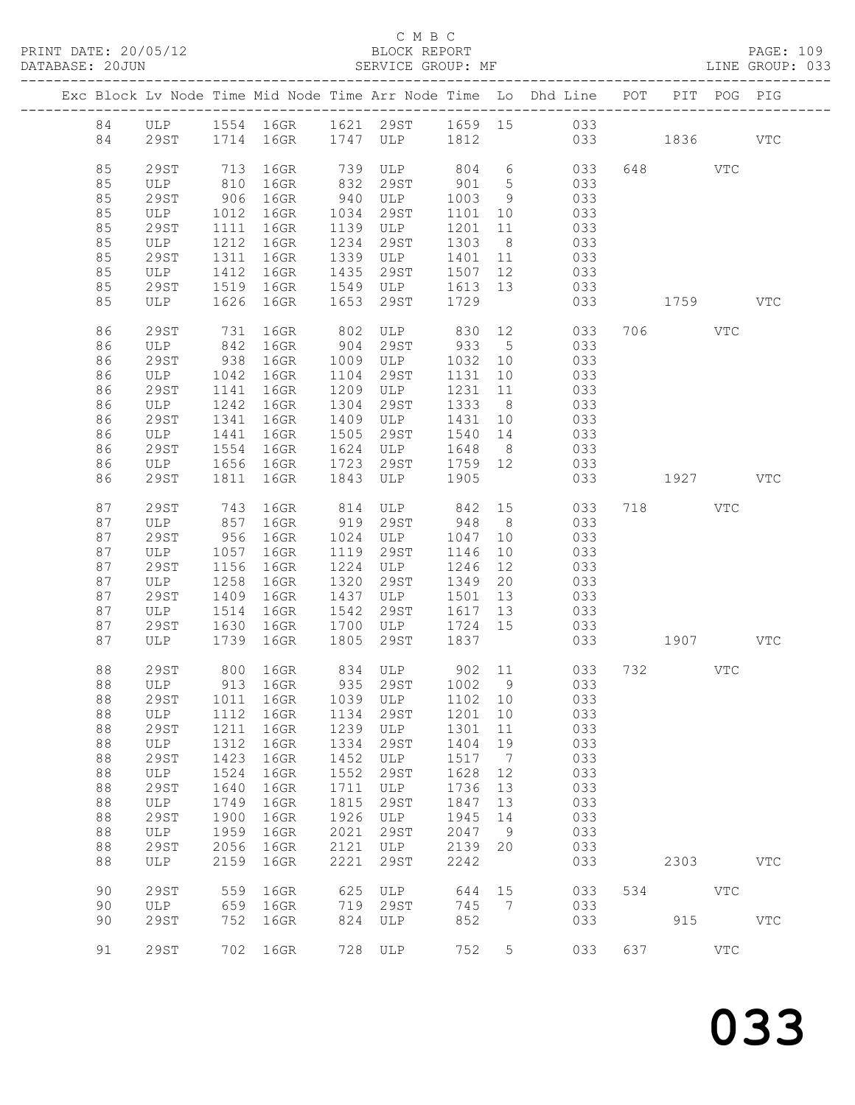## C M B C<br>BLOCK REPORT SERVICE GROUP: MF

|  |          |             |              |                         |              |                     |              |                      | Exc Block Lv Node Time Mid Node Time Arr Node Time Lo Dhd Line POT PIT POG PIG |     |          |              |            |
|--|----------|-------------|--------------|-------------------------|--------------|---------------------|--------------|----------------------|--------------------------------------------------------------------------------|-----|----------|--------------|------------|
|  | 84       |             |              |                         |              |                     |              |                      | ULP 1554 16GR 1621 29ST 1659 15 033                                            |     |          |              |            |
|  | 84       | 29ST        |              | 1714 16GR 1747 ULP 1812 |              |                     |              |                      | 033 1836                                                                       |     |          |              | <b>VTC</b> |
|  |          |             |              |                         |              |                     |              |                      |                                                                                |     |          |              |            |
|  | 85       | 29ST        | 713          | 16GR                    | 739          | ULP 804 6           |              |                      | 033                                                                            |     | 648 VTC  |              |            |
|  | 85       | ULP         | 810          | 16GR                    | 832          | 29ST                | 901          | $5\overline{)}$      | 033                                                                            |     |          |              |            |
|  | 85       | 29ST        | 906          | 16GR                    | 940          | ULP                 | 1003         | 9                    | 033                                                                            |     |          |              |            |
|  | 85       | ULP         | 1012         | 16GR                    | 1034         | 29ST                | 1101         | 10                   | 033                                                                            |     |          |              |            |
|  | 85       | 29ST        | 1111         | 16GR                    | 1139         | ULP                 | 1201         | 11                   | 033                                                                            |     |          |              |            |
|  | 85       | ULP         | 1212         | 16GR                    | 1234         | 29ST                | 1303         | 8 <sup>8</sup>       | 033                                                                            |     |          |              |            |
|  | 85       | 29ST        | 1311         | 16GR                    | 1339         | ULP                 | 1401         | 11                   | 033                                                                            |     |          |              |            |
|  | 85       | ULP         | 1412         | 16GR                    | 1435         | 29ST                | 1507         | 12                   | 033                                                                            |     |          |              |            |
|  | 85       | 29ST        | 1519         | 16GR                    | 1549         | ULP                 | 1613 13      |                      | 033                                                                            |     |          |              |            |
|  | 85       | ULP         | 1626         | 16GR                    | 1653         | 29ST                | 1729         |                      | 033                                                                            |     | 1759 VTC |              |            |
|  |          |             |              |                         |              |                     |              |                      |                                                                                |     |          |              |            |
|  | 86       | 29ST        | 731          | 16GR                    | 802          | ULP 830 12          |              |                      | 033                                                                            |     | 706      | VTC          |            |
|  | 86       | ULP         | 842          | 16GR                    |              | 904 29ST            | 933          | $5\overline{)}$      | 033                                                                            |     |          |              |            |
|  | 86       | 29ST        | 938          | 16GR                    | 1009         | ULP                 | 1032         | 10                   | 033                                                                            |     |          |              |            |
|  | 86       | ULP         | 1042         | 16GR                    | 1104         | 29ST                | 1131         | 10                   | 033                                                                            |     |          |              |            |
|  | 86       | 29ST        | 1141         | 16GR                    | 1209         | ULP                 | 1231         | 11                   | 033                                                                            |     |          |              |            |
|  | 86       | ULP         | 1242         | 16GR                    | 1304         | 29ST                | 1333         | 8 <sup>8</sup>       | 033                                                                            |     |          |              |            |
|  | 86       | 29ST        | 1341         | 16GR                    | 1409         | ULP                 | 1431         | 10                   | 033                                                                            |     |          |              |            |
|  | 86<br>86 | ULP<br>29ST | 1441<br>1554 | 16GR<br>16GR            | 1505<br>1624 | 29ST<br>ULP         | 1540<br>1648 | 14<br>8 <sup>8</sup> | 033<br>033                                                                     |     |          |              |            |
|  | 86       |             | 1656         |                         | 1723         | 29ST                | 1759 12      |                      | 033                                                                            |     |          |              |            |
|  | 86       | ULP<br>29ST | 1811         | 16GR<br>16GR            | 1843         | ULP                 | 1905         |                      | 033                                                                            |     | 1927     |              | <b>VTC</b> |
|  |          |             |              |                         |              |                     |              |                      |                                                                                |     |          |              |            |
|  | 87       | 29ST        |              | 16GR                    |              | ULP 842 15          |              |                      | 033                                                                            |     | 718 VTC  |              |            |
|  | 87       | ULP         | 743<br>857   | 16GR                    |              | 814 ULP<br>919 29ST | 948          | 8 <sup>8</sup>       | 033                                                                            |     |          |              |            |
|  | 87       | 29ST        | 956          | 16GR                    | 1024         | ULP                 | 1047         | 10                   | 033                                                                            |     |          |              |            |
|  | 87       | ULP         | 1057         | 16GR                    | 1119         | 29ST                | 1146         | 10                   | 033                                                                            |     |          |              |            |
|  | 87       | 29ST        | 1156         | 16GR                    | 1224         | ULP                 | 1246         | 12                   | 033                                                                            |     |          |              |            |
|  | 87       | ULP         | 1258         | 16GR                    | 1320         | 29ST                | 1349         | 20                   | 033                                                                            |     |          |              |            |
|  | 87       | 29ST        | 1409         | 16GR                    | 1437         | <b>ULP</b>          | 1501         | 13                   | 033                                                                            |     |          |              |            |
|  | 87       | ULP         | 1514         | 16GR                    | 1542         | 29ST                | 1617         | 13                   | 033                                                                            |     |          |              |            |
|  | 87       | 29ST        | 1630         | 16GR                    | 1700         | <b>ULP</b>          | 1724 15      |                      | 033                                                                            |     |          |              |            |
|  | 87       | ULP         | 1739         | 16GR                    | 1805         | 29ST                | 1837         |                      | 033                                                                            |     | 1907 VTC |              |            |
|  |          |             |              |                         |              |                     |              |                      |                                                                                |     |          |              |            |
|  | 88       | 29ST        |              | 800 16GR                |              |                     |              |                      | 834 ULP 902 11 033                                                             |     | 732 VTC  |              |            |
|  | 88       | ULP         |              | 913 16GR                |              | 935 29ST 1002 9     |              |                      | 033                                                                            |     |          |              |            |
|  | 88       |             |              |                         |              |                     |              |                      | 29ST 1011 16GR 1039 ULP 1102 10 033                                            |     |          |              |            |
|  | 88       | ULP         | 1112         | 16GR                    | 1134         | 29ST                | 1201         | 10                   | 033                                                                            |     |          |              |            |
|  | 88       | 29ST        | 1211         | 16GR                    | 1239         | ULP                 | 1301         | 11                   | 033                                                                            |     |          |              |            |
|  | 88       | ULP         | 1312         | 16GR                    | 1334         | 29ST                | 1404         | 19                   | 033                                                                            |     |          |              |            |
|  | 88<br>88 | <b>29ST</b> | 1423<br>1524 | 16GR                    | 1452<br>1552 | ULP<br>29ST         | 1517<br>1628 | $\overline{7}$       | 033<br>033                                                                     |     |          |              |            |
|  |          | ULP         | 1640         | 16GR<br>16GR            |              |                     |              | 12                   |                                                                                |     |          |              |            |
|  | 88<br>88 | 29ST<br>ULP | 1749         | 16GR                    | 1711<br>1815 | ULP<br>29ST         | 1736<br>1847 | 13<br>13             | 033<br>033                                                                     |     |          |              |            |
|  | 88       | <b>29ST</b> | 1900         | 16GR                    | 1926         | ULP                 | 1945         | 14                   | 033                                                                            |     |          |              |            |
|  | 88       | ULP         | 1959         | 16GR                    | 2021         | 29ST                | 2047         | 9                    | 033                                                                            |     |          |              |            |
|  | 88       | 29ST        | 2056         | 16GR                    | 2121         | ULP                 | 2139         | 20                   | 033                                                                            |     |          |              |            |
|  | 88       | ULP         | 2159         | 16GR                    | 2221         | 29ST                | 2242         |                      | 033                                                                            |     | 2303     |              | <b>VTC</b> |
|  |          |             |              |                         |              |                     |              |                      |                                                                                |     |          |              |            |
|  | 90       | <b>29ST</b> | 559          | 16GR                    | 625          | ULP                 | 644          | 15                   | 033                                                                            | 534 |          | <b>VTC</b>   |            |
|  | 90       | ULP         | 659          | 16GR                    | 719          | 29ST                | 745          | 7                    | 033                                                                            |     |          |              |            |
|  | 90       | 29ST        | 752          | 16GR                    | 824          | ULP                 | 852          |                      | 033                                                                            |     | 915      |              | <b>VTC</b> |
|  |          |             |              |                         |              |                     |              |                      |                                                                                |     |          |              |            |
|  | 91       | <b>29ST</b> | 702          | 16GR                    | 728          | ULP                 | 752          | 5                    | 033                                                                            | 637 |          | $_{\rm VTC}$ |            |
|  |          |             |              |                         |              |                     |              |                      |                                                                                |     |          |              |            |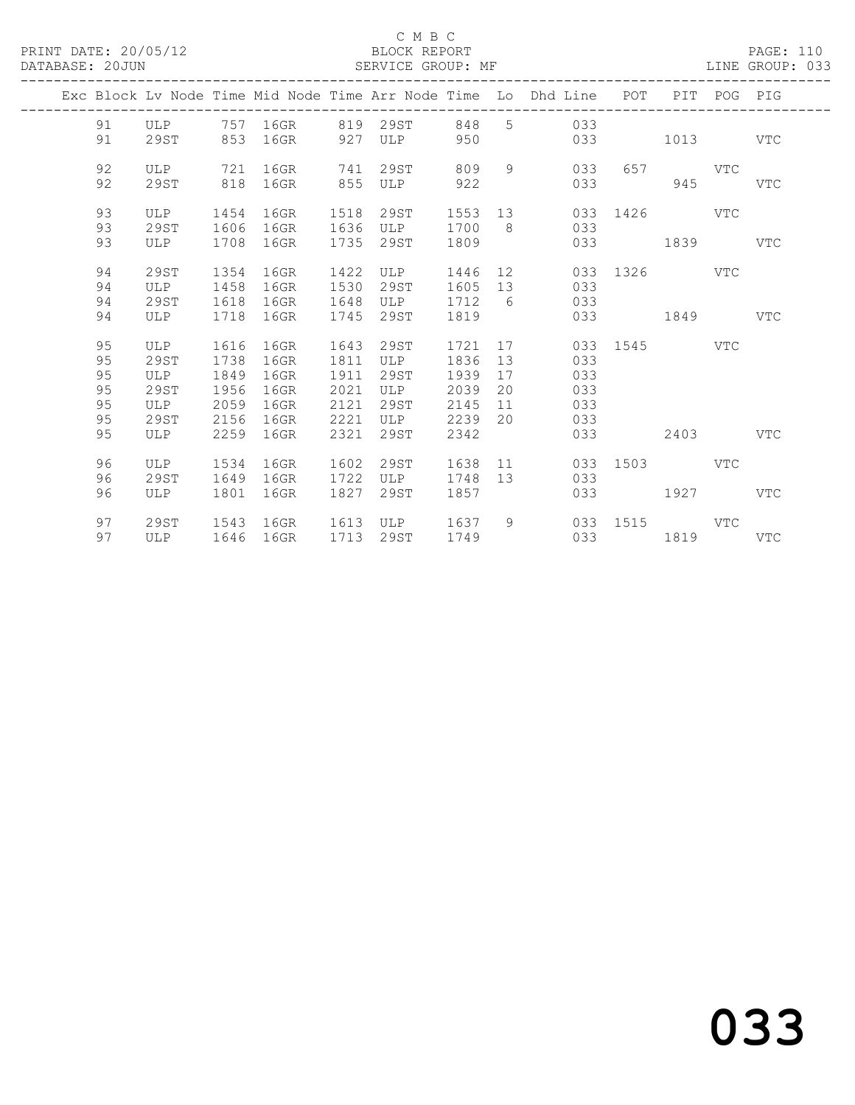## C M B C<br>BLOCK REPORT SERVICE GROUP: MF

|  |          |             |              |              |              |             |                 |                | Exc Block Lv Node Time Mid Node Time Arr Node Time Lo Dhd Line POT |               |          | PIT POG PIG |            |
|--|----------|-------------|--------------|--------------|--------------|-------------|-----------------|----------------|--------------------------------------------------------------------|---------------|----------|-------------|------------|
|  | 91       | ULP         |              | 757 16GR     | 819          | 29ST        | 848             |                | 5 033                                                              |               |          |             |            |
|  | 91       | 29ST        | 853          | 16GR         | 927          | <b>ULP</b>  | 950             |                | 033                                                                |               | 1013     |             | <b>VTC</b> |
|  |          |             |              |              |              |             |                 |                |                                                                    |               |          |             |            |
|  | 92       | ULP         | 721          | 16GR         | 741          | 29ST        | 809             | 9              | 033                                                                | 657           |          | VTC         |            |
|  | 92       | 29ST        | 818          | 16GR         | 855          | ULP         | 922             |                | 033                                                                |               | 945      |             | <b>VTC</b> |
|  |          |             |              |              |              |             |                 |                |                                                                    |               |          |             |            |
|  | 93<br>93 | ULP<br>29ST | 1454<br>1606 | 16GR<br>16GR | 1518<br>1636 | 29ST<br>ULP | 1553 13<br>1700 | 8 <sup>8</sup> | 033<br>033                                                         |               | 1426 VTC |             |            |
|  | 93       | ULP         | 1708         | 16GR         | 1735         | 29ST        | 1809            |                | 033                                                                |               | 1839     |             | <b>VTC</b> |
|  |          |             |              |              |              |             |                 |                |                                                                    |               |          |             |            |
|  | 94       | 29ST        | 1354         | 16GR         | 1422         | ULP         | 1446 12         |                |                                                                    | 033 1326 VTC  |          |             |            |
|  | 94       | ULP         | 1458         | 16GR         | 1530         | 29ST        | 1605            | 13             | 033                                                                |               |          |             |            |
|  | 94       | 29ST        | 1618         | 16GR         | 1648         | ULP         | 1712            | 6              | 033                                                                |               |          |             |            |
|  | 94       | ULP         | 1718         | 16GR         | 1745         | 29ST        | 1819            |                |                                                                    | 033 03        | 1849     |             | VTC        |
|  |          |             |              |              |              |             |                 |                |                                                                    |               |          |             |            |
|  | 95       | ULP         | 1616         | 16GR         | 1643         | 29ST        | 1721            | 17             |                                                                    | 033 1545 VTC  |          |             |            |
|  | 95       | 29ST        | 1738         | 16GR         | 1811         | ULP         | 1836            | 13             | 033                                                                |               |          |             |            |
|  | 95       | ULP         | 1849         | 16GR         | 1911         | 29ST        | 1939            | 17             | 033                                                                |               |          |             |            |
|  | 95       | 29ST        | 1956         | 16GR         | 2021         | ULP         | 2039            | 20             | 033                                                                |               |          |             |            |
|  | 95       | ULP         | 2059         | 16GR         | 2121         | 29ST        | 2145            | 11             | 033                                                                |               |          |             |            |
|  | 95       | 29ST        | 2156         | 16GR         | 2221         | ULP         | 2239            | 20             | 033                                                                |               |          |             |            |
|  | 95       | ULP         | 2259         | 16GR         | 2321         | 29ST        | 2342            |                | 033                                                                |               | 2403     |             | <b>VTC</b> |
|  | 96       | ULP         | 1534         | 16GR         | 1602         | 29ST        | 1638            | 11             | 033                                                                | 1503 and 1503 |          | VTC         |            |
|  | 96       | 29ST        | 1649         | 16GR         | 1722         | ULP         | 1748            | 13             | 033                                                                |               |          |             |            |
|  | 96       | ULP         | 1801         | 16GR         | 1827         | 29ST        | 1857            |                | 033                                                                |               | 1927     |             | <b>VTC</b> |
|  |          |             |              |              |              |             |                 |                |                                                                    |               |          |             |            |
|  | 97       | 29ST        | 1543         | 16GR         | 1613         | ULP         | 1637            |                | $9 \left( \frac{1}{2} \right)$                                     | 033 1515      |          | VTC         |            |
|  | 97       | ULP         | 1646         | 16GR         | 1713         | 29ST        | 1749            |                |                                                                    | 033           | 1819     |             | VTC        |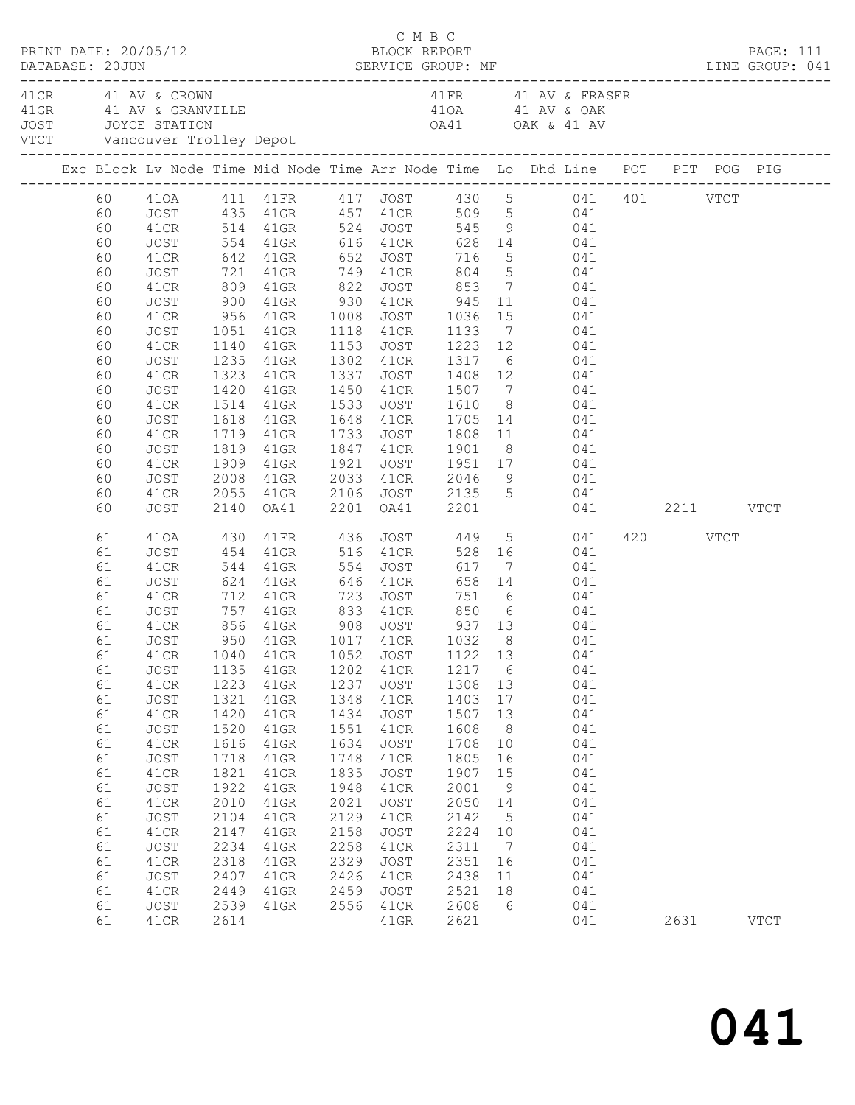| PRINT DATE: 20/05/12<br>DATABASE: 20JUN                                                                                                                  |                                                                                                                                                                                                      |                                                                                                                                              |                                                                                                                                                                                                                       |                                                                                                                                      | C M B C<br>BLOCK REPORT                                                                                                                                                      |                                                                                                                                                   |                                                                                                                           |                                                                                                                                                                                                                                                                                                                                                                                                  |                  | PAGE: 111   |
|----------------------------------------------------------------------------------------------------------------------------------------------------------|------------------------------------------------------------------------------------------------------------------------------------------------------------------------------------------------------|----------------------------------------------------------------------------------------------------------------------------------------------|-----------------------------------------------------------------------------------------------------------------------------------------------------------------------------------------------------------------------|--------------------------------------------------------------------------------------------------------------------------------------|------------------------------------------------------------------------------------------------------------------------------------------------------------------------------|---------------------------------------------------------------------------------------------------------------------------------------------------|---------------------------------------------------------------------------------------------------------------------------|--------------------------------------------------------------------------------------------------------------------------------------------------------------------------------------------------------------------------------------------------------------------------------------------------------------------------------------------------------------------------------------------------|------------------|-------------|
|                                                                                                                                                          | 41 CR 41 AV & CROWN<br>JOST JOYCE STATION                                                                                                                                                            |                                                                                                                                              | VTCT Vancouver Trolley Depot                                                                                                                                                                                          |                                                                                                                                      |                                                                                                                                                                              |                                                                                                                                                   |                                                                                                                           | DATABASE: 20JUN SERVICE GROUP: MF LINE GROUP: 041<br>41 FR 41 AV & FRASER<br>41 GRAD AND A SUBSIDER A SUBSIDER A SUBSIDERED A SUBSIDERED A SUBSIDERED A SUBSIDERED A SUBSIDERED AND A SUBSIDERED AND SOLUTION OF A SUBSIDERED AND SUBSIDERED ASSESS ON A SUBSIDERED AND A SUBSIDERED AND A SUBSIDERED AND A                                                                                      |                  |             |
|                                                                                                                                                          |                                                                                                                                                                                                      |                                                                                                                                              |                                                                                                                                                                                                                       |                                                                                                                                      |                                                                                                                                                                              |                                                                                                                                                   |                                                                                                                           | Exc Block Lv Node Time Mid Node Time Arr Node Time Lo Dhd Line POT PIT POG PIG                                                                                                                                                                                                                                                                                                                   |                  |             |
| 60<br>60<br>60<br>60<br>60<br>60<br>60<br>60<br>60<br>60                                                                                                 | JOST<br>41CR<br>JOST<br>41CR<br>JOST<br>41CR<br>JOST<br>41CR<br>JOST<br>41CR                                                                                                                         | 1323                                                                                                                                         | 900 41GR 930 41CR 945<br>1235 41GR<br>41GR                                                                                                                                                                            |                                                                                                                                      |                                                                                                                                                                              |                                                                                                                                                   |                                                                                                                           | 60 410A 411 41FR 417 JOST 430 5 041 401 VTCT<br>60 JOST 435 41GR 457 41CR 509 5 041<br>60 41CR 514 41GR 524 JOST 545 9 041<br>554 41GR 616 41CR 628 14 041<br>642 41GR 652 JOST 716 5 041<br>721 41GR 749 41CR 804 5 041<br>809 41GR 822 JOST 853 7 041<br>11 041<br>956 41GR 1008 JOST 1036 15 041<br>1051 41GR 1118 41CR 1133 7 041<br>1140 41GR 1153 JOST 1223 12 041<br>1302 41CR 1317 6 041 |                  |             |
| 60<br>60<br>60<br>60<br>60<br>60<br>60<br>60<br>60                                                                                                       | JOST<br>41CR<br>JOST<br>41CR<br>JOST<br>41CR<br>JOST<br>41CR<br>JOST                                                                                                                                 |                                                                                                                                              | 1420 41GR<br>1514 41GR<br>1618 41GR<br>1719 41GR<br>1819 41GR<br>1909 41GR<br>2055 41GR<br>2140 OA41                                                                                                                  |                                                                                                                                      | 2201   0A41   2201                                                                                                                                                           |                                                                                                                                                   |                                                                                                                           | 1337 JOST 1408 12 041<br>1450 41CR 1507 7 041<br>1533 JOST 1610 8 041<br>1648 41CR 1705 14 041<br>1733 JOST 1808 11 041<br>1847 41CR 1901 8 041<br>1921 JOST 1951 17 041<br>2008 41GR 2033 41CR 2046 9 041<br>2106 JOST 2135 5 041<br>041 2211 VTCT                                                                                                                                              |                  |             |
| 61<br>61<br>61<br>61<br>61<br>61<br>61<br>61<br>61<br>61<br>61<br>61<br>61<br>61<br>61<br>61<br>61<br>61<br>61<br>61<br>61<br>61<br>61<br>61<br>61<br>61 | JOST<br>41CR<br>JOST<br>41CR<br>JOST<br>41CR<br>JOST<br>JOST<br>41CR<br>JOST<br>41CR<br>JOST<br>41CR<br>JOST<br>41CR<br>JOST<br>41CR<br>JOST<br>41CR<br>JOST<br>41CR<br>JOST<br>41CR<br>JOST<br>41CR | 1135<br>1223<br>1321<br>1420<br>1520<br>1616<br>1718<br>1821<br>1922<br>2010<br>2104<br>2147<br>2234<br>2318<br>2407<br>2449<br>2539<br>2614 | 454 41GR 516 41CR<br>544 41GR 554<br>624 41GR 646<br>712 41GR 723<br>41GR<br>41GR<br>41GR<br>41GR<br>41GR<br>$41$ GR<br>41GR<br>$41$ GR<br>41GR<br>$41$ GR<br>41GR<br>$41$ GR<br>41GR<br>41GR<br>41GR<br>41GR<br>41GR | 1202<br>1237<br>1348<br>1434<br>1551<br>1634<br>1748<br>1835<br>1948<br>2021<br>2129<br>2158<br>2258<br>2329<br>2426<br>2459<br>2556 | JOST 617 7<br>41CR 658 14<br>41CR<br>JOST<br>41CR<br>JOST<br>41CR<br>JOST<br>41CR<br>JOST<br>41CR<br>JOST<br>41CR<br>JOST<br>41CR<br>JOST<br>41CR<br>JOST<br>41CR<br>$41$ GR | 1217 6<br>1308 13<br>1403<br>1507<br>1608<br>1708<br>1805<br>1907<br>2001<br>2050<br>2142<br>2224<br>2311<br>2351<br>2438<br>2521<br>2608<br>2621 | 17<br>13<br>8 <sup>8</sup><br>10<br>16<br>15<br>9<br>14<br>$5\overline{)}$<br>10<br>$\overline{7}$<br>16<br>11<br>18<br>6 | 410A 430 41FR 436 JOST 449 5 041<br>528 16 041<br>617 7 041<br>041<br>JOST 751 6 041<br>757 41GR 833 41CR 850 6 041<br>041<br>041<br>041<br>041<br>041<br>041<br>041<br>041<br>041<br>041<br>041<br>041<br>041<br>041<br>041<br>041<br>041<br>041<br>041<br>041                                                                                                                                  | 420 VTCT<br>2631 | <b>VTCT</b> |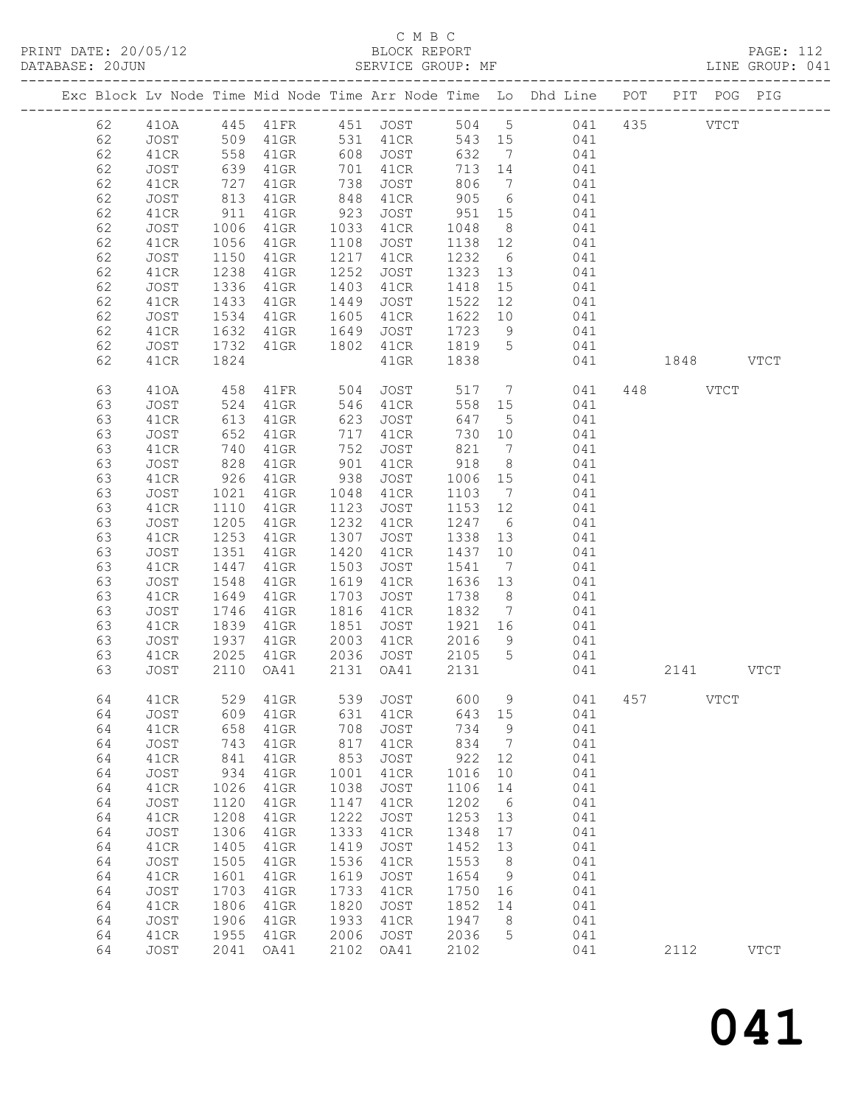PRINT DATE: 20/05/12 BLOCK REPORT<br>DATABASE: 20JUN BATABASE: 2010

# C M B C<br>BLOCK REPORT

PAGE: 112<br>LINE GROUP: 041

|  |    |      |            |          |      |             |         |                 | Exc Block Lv Node Time Mid Node Time Arr Node Time Lo Dhd Line POT PIT POG PIG |      |               |             |
|--|----|------|------------|----------|------|-------------|---------|-----------------|--------------------------------------------------------------------------------|------|---------------|-------------|
|  | 62 | 410A |            |          |      |             |         |                 | 445 41FR 451 JOST 504 5 041 435                                                |      | $_{\rm VTCT}$ |             |
|  | 62 | JOST | 509        | 41GR     |      | 531 41CR    | 543 15  |                 | 041                                                                            |      |               |             |
|  | 62 | 41CR |            | $41$ GR  |      | 608 JOST    | 632     | $\overline{7}$  | 041                                                                            |      |               |             |
|  | 62 | JOST | 558<br>639 | 41GR     | 701  | 41CR        | 713 14  |                 | 041                                                                            |      |               |             |
|  | 62 | 41CR | 727        | 41GR     | 738  | JOST        | 806     | $\overline{7}$  | 041                                                                            |      |               |             |
|  | 62 | JOST | 813        | 41GR     | 848  | 41CR        | 905     | 6               | 041                                                                            |      |               |             |
|  | 62 | 41CR | 911        | $41$ GR  | 923  | JOST        | 951     | 15              | 041                                                                            |      |               |             |
|  | 62 | JOST | 1006       | 41GR     | 1033 | 41CR        | 1048    | 8 <sup>8</sup>  | 041                                                                            |      |               |             |
|  | 62 | 41CR | 1056       | $41$ GR  | 1108 | JOST        | 1138 12 |                 | 041                                                                            |      |               |             |
|  | 62 | JOST | 1150       | 41GR     | 1217 | 41CR        | 1232    | 6               | 041                                                                            |      |               |             |
|  | 62 | 41CR | 1238       | $41$ GR  | 1252 | JOST        | 1323    | 13              | 041                                                                            |      |               |             |
|  | 62 | JOST | 1336       | 41GR     | 1403 | 41CR        | 1418    | 15              | 041                                                                            |      |               |             |
|  | 62 | 41CR | 1433       | 41GR     | 1449 | JOST        | 1522    | 12              | 041                                                                            |      |               |             |
|  | 62 | JOST | 1534       | 41GR     | 1605 | 41CR        | 1622    | 10              | 041                                                                            |      |               |             |
|  | 62 | 41CR | 1632       | $41$ GR  | 1649 | JOST        | 1723    | 9               | 041                                                                            |      |               |             |
|  | 62 | JOST | 1732       | 41GR     | 1802 | 41CR        | 1819    | $5\overline{)}$ | 041                                                                            |      |               |             |
|  | 62 | 41CR | 1824       |          |      | $41$ GR     | 1838    |                 | 041                                                                            |      | 1848 VTCT     |             |
|  |    |      |            |          |      |             |         |                 |                                                                                |      |               |             |
|  | 63 | 410A | 458        | 41FR     | 504  | JOST        | 517     | $\overline{7}$  | 041                                                                            | 448  | VTCT          |             |
|  | 63 | JOST | 524        | 41GR     | 546  | 41CR        | 558     | 15              | 041                                                                            |      |               |             |
|  | 63 | 41CR | 613        | 41GR     | 623  | JOST        | 647     | $5\overline{)}$ | 041                                                                            |      |               |             |
|  | 63 | JOST | 652        | 41GR     | 717  | 41CR        | 730 10  |                 | 041                                                                            |      |               |             |
|  | 63 | 41CR | 740        | 41GR     | 752  | JOST        | 821     | $\overline{7}$  | 041                                                                            |      |               |             |
|  | 63 | JOST | 828        | $41$ GR  | 901  | 41CR        | 918     | 8 <sup>8</sup>  | 041                                                                            |      |               |             |
|  | 63 | 41CR | 926        | 41GR     | 938  | JOST        | 1006    | 15              | 041                                                                            |      |               |             |
|  | 63 | JOST | 1021       | 41GR     | 1048 | 41CR        | 1103    | $\overline{7}$  | 041                                                                            |      |               |             |
|  | 63 | 41CR | 1110       | 41GR     | 1123 | JOST        | 1153    | 12              | 041                                                                            |      |               |             |
|  | 63 | JOST | 1205       | $41$ GR  | 1232 | 41CR        | 1247    | 6               | 041                                                                            |      |               |             |
|  | 63 | 41CR | 1253       | 41GR     | 1307 | JOST        | 1338    | 13              | 041                                                                            |      |               |             |
|  | 63 | JOST | 1351       | 41GR     | 1420 | 41CR        | 1437 10 |                 | 041                                                                            |      |               |             |
|  | 63 | 41CR | 1447       | 41GR     | 1503 | JOST        | 1541    | $\overline{7}$  | 041                                                                            |      |               |             |
|  | 63 | JOST | 1548       | $41$ GR  | 1619 | 41CR        | 1636    | 13              | 041                                                                            |      |               |             |
|  | 63 | 41CR | 1649       | 41GR     | 1703 | JOST        | 1738    | 8 <sup>8</sup>  | 041                                                                            |      |               |             |
|  | 63 | JOST | 1746       | $41$ GR  | 1816 | 41CR        | 1832    | $\overline{7}$  | 041                                                                            |      |               |             |
|  | 63 | 41CR | 1839       | 41GR     | 1851 | JOST        | 1921 16 |                 | 041                                                                            |      |               |             |
|  | 63 | JOST | 1937       | $41$ GR  | 2003 | 41CR        | 2016    | 9               | 041                                                                            |      |               |             |
|  | 63 | 41CR | 2025       | 41GR     |      | 2036 JOST   | 2105 5  |                 | 041                                                                            |      |               |             |
|  | 63 | JOST | 2110       | OA41     | 2131 | OA41        | 2131    |                 | 041                                                                            |      | 2141 VTCT     |             |
|  | 64 | 41CR |            | 529 41GR |      | 539 JOST    | 600 9   |                 | 041 457                                                                        |      | $_{\rm VTCT}$ |             |
|  | 64 | JOST | 609        | 41GR     | 631  | 41CR        | 643     | 15              | 041                                                                            |      |               |             |
|  | 64 | 41CR | 658        | 41GR     | 708  | JOST        | 734     | 9               | 041                                                                            |      |               |             |
|  | 64 | JOST | 743        | 41GR     | 817  | 41CR        | 834     | 7               | 041                                                                            |      |               |             |
|  | 64 | 41CR | 841        | 41GR     | 853  | <b>JOST</b> | 922     | 12              | 041                                                                            |      |               |             |
|  | 64 | JOST | 934        | 41GR     | 1001 | 41CR        | 1016    | $10$            | 041                                                                            |      |               |             |
|  | 64 | 41CR | 1026       | 41GR     | 1038 | JOST        | 1106    | 14              | 041                                                                            |      |               |             |
|  | 64 | JOST | 1120       | 41GR     | 1147 | 41CR        | 1202    | 6               | 041                                                                            |      |               |             |
|  | 64 | 41CR | 1208       | 41GR     | 1222 | JOST        | 1253    | 13              | 041                                                                            |      |               |             |
|  | 64 | JOST | 1306       | $41$ GR  | 1333 | 41CR        | 1348    | 17              | 041                                                                            |      |               |             |
|  | 64 | 41CR | 1405       | $41$ GR  | 1419 | JOST        | 1452    | 13              | 041                                                                            |      |               |             |
|  | 64 | JOST | 1505       | 41GR     | 1536 | 41CR        | 1553    | 8               | 041                                                                            |      |               |             |
|  | 64 | 41CR | 1601       | 41GR     | 1619 | JOST        | 1654    | 9               | 041                                                                            |      |               |             |
|  | 64 | JOST | 1703       | 41GR     | 1733 | 41CR        | 1750    | 16              | 041                                                                            |      |               |             |
|  | 64 | 41CR | 1806       | 41GR     | 1820 | JOST        | 1852    | 14              | 041                                                                            |      |               |             |
|  | 64 | JOST | 1906       | 41GR     | 1933 | 41CR        | 1947    | 8               | 041                                                                            |      |               |             |
|  | 64 | 41CR | 1955       | 41GR     | 2006 | JOST        | 2036    | 5               | 041                                                                            |      |               |             |
|  | 64 | JOST | 2041       | OA41     | 2102 | OA41        | 2102    |                 | 041                                                                            | 2112 |               | <b>VTCT</b> |
|  |    |      |            |          |      |             |         |                 |                                                                                |      |               |             |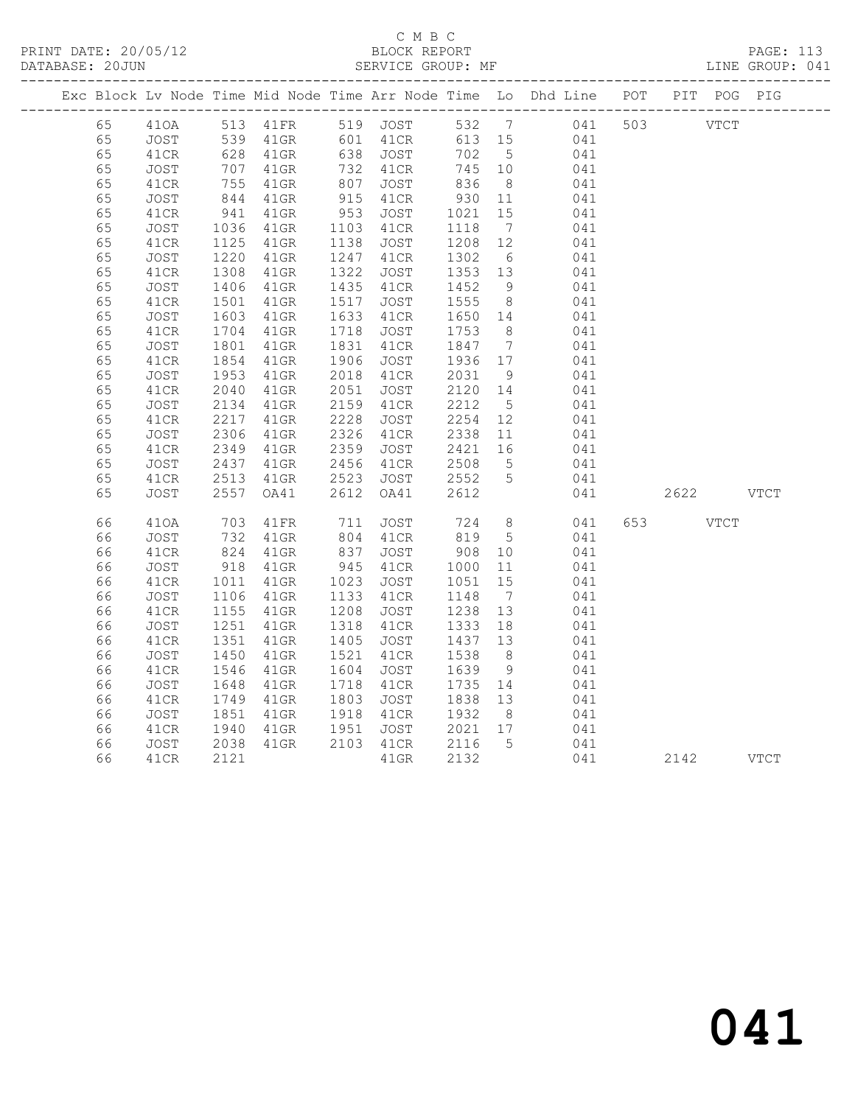#### C M B C<br>BLOCK REPORT SERVICE GROUP: MF

|    |      |                           |         |      |                      |         |                 | Exc Block Lv Node Time Mid Node Time Arr Node Time Lo Dhd Line POT                                            |          | PIT POG PIG   |  |
|----|------|---------------------------|---------|------|----------------------|---------|-----------------|---------------------------------------------------------------------------------------------------------------|----------|---------------|--|
| 65 |      |                           |         |      |                      |         |                 | 410A 513 41FR 519 JOST 532 7 041 503<br>JOST 539 41GR 601 41CR 613 15 041<br>41CR 628 41GR 638 JOST 702 5 041 |          | $_{\rm VTCT}$ |  |
| 65 |      |                           |         |      |                      |         |                 |                                                                                                               |          |               |  |
| 65 |      |                           |         |      |                      |         |                 |                                                                                                               |          |               |  |
| 65 | JOST | $707$<br>$755$<br>$844$   | $41$ GR |      | 732 41CR             | 745 10  |                 | 041                                                                                                           |          |               |  |
| 65 | 41CR |                           | $41$ GR |      |                      |         |                 | 836 8 041<br>930 11 041                                                                                       |          |               |  |
| 65 | JOST |                           | $41$ GR |      | 807 JOST<br>915 41CR |         |                 |                                                                                                               |          |               |  |
| 65 | 41CR | 941                       | $41$ GR | 953  | JOST                 | 1021    | 15              | 041                                                                                                           |          |               |  |
| 65 | JOST | $1036$<br>$1125$          | 41GR    |      | 1103 41CR            | 1118    | $7\overline{)}$ | 041                                                                                                           |          |               |  |
| 65 | 41CR |                           | 41GR    | 1138 | JOST                 | 1208 12 |                 | 041                                                                                                           |          |               |  |
| 65 | JOST | 1220                      | $41$ GR | 1247 | 41CR                 | 1302    |                 | 6 041                                                                                                         |          |               |  |
| 65 | 41CR | 1308                      | $41$ GR | 1322 | JOST                 |         |                 | 1353 13 041                                                                                                   |          |               |  |
| 65 | JOST | 1406                      | $41$ GR | 1435 | 41CR                 | 1452    | 9               | 041                                                                                                           |          |               |  |
| 65 | 41CR | 1501                      | $41$ GR | 1517 | JOST                 | 1555    |                 | 8 041                                                                                                         |          |               |  |
| 65 | JOST | 1603                      | $41$ GR | 1633 | 41CR                 |         |                 | 1650 14 041                                                                                                   |          |               |  |
| 65 | 41CR | 1704                      | $41$ GR | 1718 | JOST                 | 1753 8  |                 | 041                                                                                                           |          |               |  |
| 65 | JOST | $\frac{1801}{1801}$       | $41$ GR | 1831 | 41CR                 |         |                 | $1847$ 7 041                                                                                                  |          |               |  |
| 65 | 41CR | 1854                      | $41$ GR | 1906 | JOST                 | 1936 17 |                 | 041                                                                                                           |          |               |  |
| 65 | JOST | $1955$<br>$2040$          | $41$ GR |      | 2018 41CR            | 2031    | 9               | 041                                                                                                           |          |               |  |
| 65 | 41CR |                           | $41$ GR | 2051 | JOST                 | 2120 14 |                 | 041                                                                                                           |          |               |  |
| 65 | JOST | 2134                      | $41$ GR | 2159 | 41CR                 | 2212    | 5 <sup>5</sup>  | 041                                                                                                           |          |               |  |
| 65 | 41CR | 2217                      | $41$ GR | 2228 | JOST                 | 2254    |                 | $\begin{array}{cc} 12 & 041 \\ 11 & 041 \end{array}$                                                          |          |               |  |
| 65 | JOST | 2306                      | $41$ GR |      | 2326 41CR            | 2338 11 |                 | 041                                                                                                           |          |               |  |
| 65 | 41CR | 2349                      | $41$ GR | 2359 | JOST                 |         |                 | 2421 16 041                                                                                                   |          |               |  |
| 65 | JOST | 2437                      | 41GR    | 2456 | 41CR                 | 2508    | $5\overline{)}$ | $\frac{041}{011}$                                                                                             |          |               |  |
| 65 | 41CR | 2513                      | 41GR    | 2523 | JOST                 | 2552 5  |                 | 041                                                                                                           |          |               |  |
| 65 | JOST | 2557                      | OA41    | 2612 | OA41                 | 2612    |                 | 041                                                                                                           |          | 2622 VTCT     |  |
| 66 | 410A | 703<br>732                | 41FR    |      | 711 JOST<br>804 41CR |         |                 | JOST 724 8 041<br>41CR 819 5 041                                                                              | 653 VTCT |               |  |
| 66 | JOST |                           | $41$ GR |      |                      |         |                 |                                                                                                               |          |               |  |
| 66 | 41CR | 824                       | $41$ GR | 837  | JOST                 | 908     |                 | 10 041                                                                                                        |          |               |  |
| 66 | JOST | 918                       | $41$ GR | 945  | 41CR                 | 1000    | 11              | 041<br>041                                                                                                    |          |               |  |
| 66 | 41CR | 1011                      | 41GR    | 1023 | JOST                 | 1051    | 15              |                                                                                                               |          |               |  |
| 66 | JOST | 1106                      | $41$ GR | 1133 | 41CR                 | 1148    | $7\overline{ }$ | 041                                                                                                           |          |               |  |
| 66 | 41CR | 1155<br>$11251$<br>$-251$ | $41$ GR | 1208 | JOST                 | 1238    | 13              | $041$                                                                                                         |          |               |  |
| 66 | JOST |                           | $41$ GR | 1318 | 41CR                 | 1333 18 |                 | 041                                                                                                           |          |               |  |
| 66 | 41CR | 1351                      | $41$ GR | 1405 | JOST                 | 1437 13 |                 | 041                                                                                                           |          |               |  |
| 66 | JOST | 1450                      | $41$ GR | 1521 | 41CR                 | 1538    | 8 <sup>8</sup>  | 041                                                                                                           |          |               |  |
| 66 | 41CR | 1546                      | $41$ GR | 1604 | JOST                 | 1639    | 9               | 041                                                                                                           |          |               |  |
| 66 | JOST | 1648                      | $41$ GR |      | 1718 41CR            | 1735 14 |                 | 041                                                                                                           |          |               |  |
| 66 | 41CR | 1749                      | 41GR    | 1803 | JOST                 | 1838 13 |                 | 041                                                                                                           |          |               |  |
| 66 | JOST | 1851                      | $41$ GR | 1918 | 41CR                 | 1932    | 8 <sup>8</sup>  | 041                                                                                                           |          |               |  |

 66 41CR 1940 41GR 1951 JOST 2021 17 041 66 JOST 2038 41GR 2103 41CR 2116 5 041

66 41CR 2121 41GR 2132 041 2142 VTCT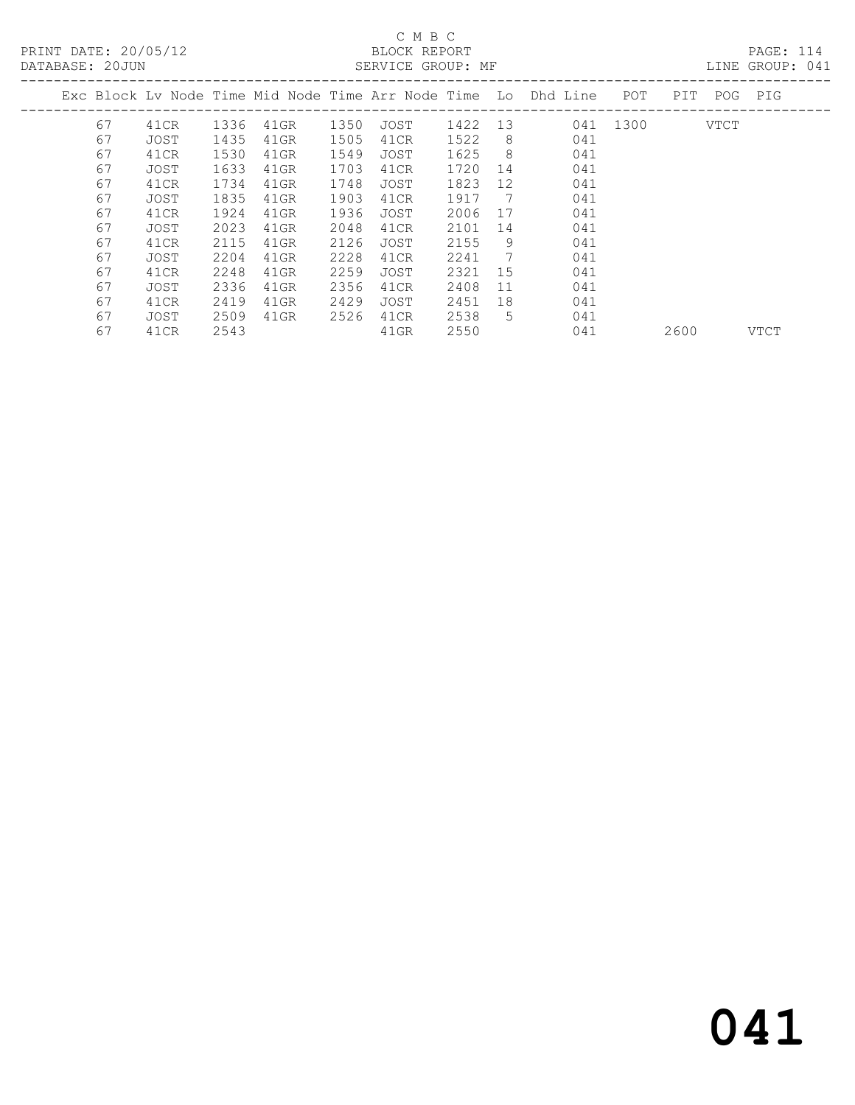# C M B C<br>BLOCK REPORT

LINE GROUP: 041

|  |    |      |      |         |      |      |         |    | Exc Block Lv Node Time Mid Node Time Arr Node Time Lo Dhd Line | POT      | PIT  | POG  | PIG  |
|--|----|------|------|---------|------|------|---------|----|----------------------------------------------------------------|----------|------|------|------|
|  | 67 | 41CR | 1336 | 41GR    | 1350 | JOST | 1422 13 |    |                                                                | 041 1300 |      | VTCT |      |
|  | 67 | JOST | 1435 | 41GR    | 1505 | 41CR | 1522    | 8  | 041                                                            |          |      |      |      |
|  | 67 | 41CR | 1530 | 41GR    | 1549 | JOST | 1625    | 8  | 041                                                            |          |      |      |      |
|  | 67 | JOST | 1633 | 41GR    | 1703 | 41CR | 1720    | 14 | 041                                                            |          |      |      |      |
|  | 67 | 41CR | 1734 | 41GR    | 1748 | JOST | 1823    | 12 | 041                                                            |          |      |      |      |
|  | 67 | JOST | 1835 | $41$ GR | 1903 | 41CR | 1917    | 7  | 041                                                            |          |      |      |      |
|  | 67 | 41CR | 1924 | 41GR    | 1936 | JOST | 2006    | 17 | 041                                                            |          |      |      |      |
|  | 67 | JOST | 2023 | 41GR    | 2048 | 41CR | 2101    | 14 | 041                                                            |          |      |      |      |
|  | 67 | 41CR | 2115 | $41$ GR | 2126 | JOST | 2155    | 9  | 041                                                            |          |      |      |      |
|  | 67 | JOST | 2204 | 41GR    | 2228 | 41CR | 2241    | 7  | 041                                                            |          |      |      |      |
|  | 67 | 41CR | 2248 | 41GR    | 2259 | JOST | 2321    | 15 | 041                                                            |          |      |      |      |
|  | 67 | JOST | 2336 | 41GR    | 2356 | 41CR | 2408    | 11 | 041                                                            |          |      |      |      |
|  | 67 | 41CR | 2419 | 41GR    | 2429 | JOST | 2451    | 18 | 041                                                            |          |      |      |      |
|  | 67 | JOST | 2509 | $41$ GR | 2526 | 41CR | 2538    | 5  | 041                                                            |          |      |      |      |
|  | 67 | 41CR | 2543 |         |      | 41GR | 2550    |    | 041                                                            |          | 2600 |      | VTCT |
|  |    |      |      |         |      |      |         |    |                                                                |          |      |      |      |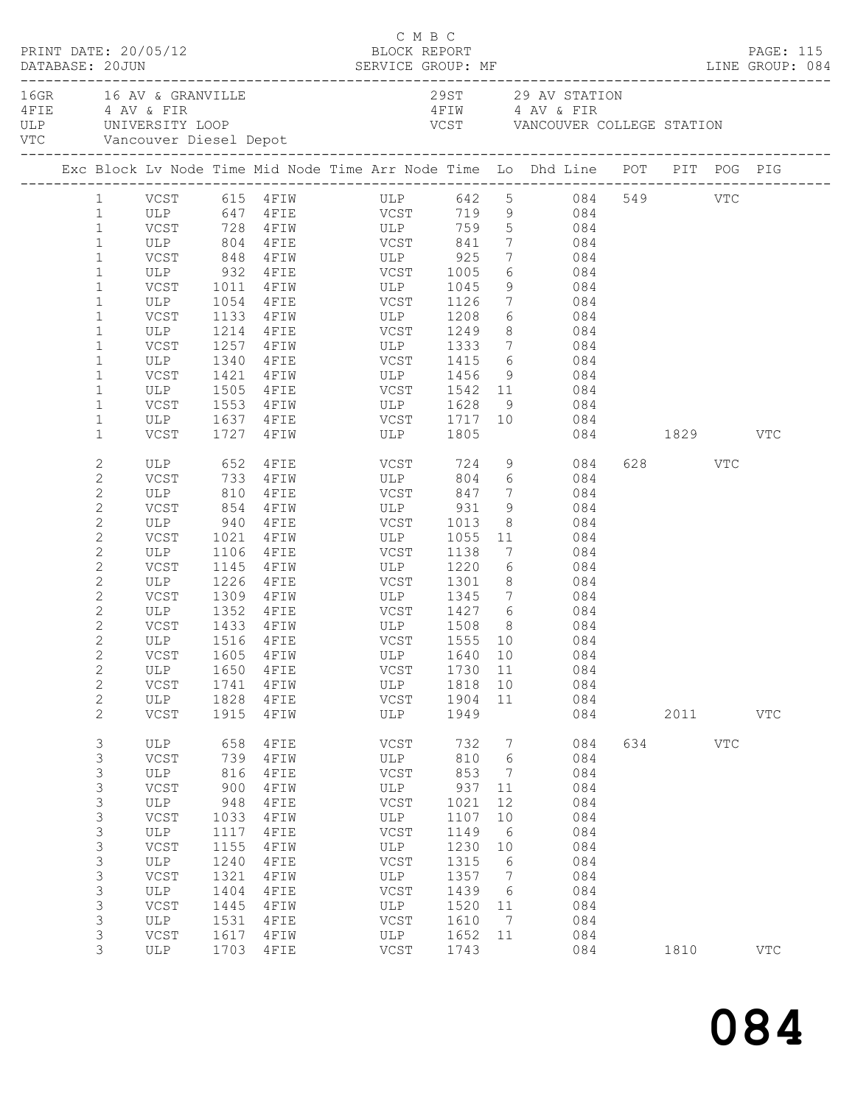|  |                                                                                                                                                                                                                                                                              | PRINT DATE: 20/05/12                                                                                                        |                                                                                                                         |                                                                                                                                                                      | C M B C<br>BLOCK REPORT                                                                                                                                                                                                   |                                                                                                                          |                                                                                       | DATABASE: 20JUN SERVICE GROUP: MF LINE GROUP: 084                                                                                                                                                                                                                           |          |                              | PAGE: 115                  |  |
|--|------------------------------------------------------------------------------------------------------------------------------------------------------------------------------------------------------------------------------------------------------------------------------|-----------------------------------------------------------------------------------------------------------------------------|-------------------------------------------------------------------------------------------------------------------------|----------------------------------------------------------------------------------------------------------------------------------------------------------------------|---------------------------------------------------------------------------------------------------------------------------------------------------------------------------------------------------------------------------|--------------------------------------------------------------------------------------------------------------------------|---------------------------------------------------------------------------------------|-----------------------------------------------------------------------------------------------------------------------------------------------------------------------------------------------------------------------------------------------------------------------------|----------|------------------------------|----------------------------|--|
|  |                                                                                                                                                                                                                                                                              | 16GR 16 AV & GRANVILLE<br>4 FIE 4 AV & FIR<br>VTC Vancouver Diesel Depot                                                    |                                                                                                                         | ULP UNIVERSITY LOOP                                                                                                                                                  |                                                                                                                                                                                                                           |                                                                                                                          |                                                                                       | 29ST 29 AV STATION<br>4 FIW 4 AV & FIR<br>VCST VANCOUVER COLLEGE STATION                                                                                                                                                                                                    |          |                              |                            |  |
|  |                                                                                                                                                                                                                                                                              |                                                                                                                             |                                                                                                                         |                                                                                                                                                                      |                                                                                                                                                                                                                           |                                                                                                                          |                                                                                       | Exc Block Lv Node Time Mid Node Time Arr Node Time Lo Dhd Line POT PIT POG PIG                                                                                                                                                                                              |          |                              |                            |  |
|  | $\mathbf{1}$<br>$\mathbf{1}$<br>$\mathbf 1$<br>$\mathbf{1}$<br>$\mathbf 1$<br>$\mathbf 1$<br>$\mathbf 1$<br>$\mathbf{1}$<br>$\mathbf 1$<br>$\mathbf 1$                                                                                                                       | ULP<br>ULP                                                                                                                  | 1054<br>1340                                                                                                            |                                                                                                                                                                      | ULP 804 4FIE VCST 841<br>VCST 848 4FIW ULP 925<br>ULP 932 4FIE VCST 1005<br>VCST 1011 4FIW ULP 1045<br>4FIE VCST 1126<br>VCST 1133 4FIW ULP 1208<br>ULP 1214 4FIE VCST 1249<br>VCST 1257 4FIW ULP 1333<br>4 FIE VCST 1415 |                                                                                                                          | 8 <sup>8</sup>                                                                        | 1 VCST 615 4FIW ULP 642 5 084 549 VTC<br>1 ULP 647 4FIE VCST 719 9 084<br>VCST 728 4FIW ULP 759 5 084<br>$7 \hspace{1.5cm} 084$<br>$\begin{array}{ccc} 7 & \quad & 084 \\ 6 & \quad & 084 \end{array}$<br>9 084<br>7 084<br>$6\overline{6}$<br>084<br>084<br>7 084<br>6 084 |          |                              |                            |  |
|  | $\mathbf 1$<br>$\mathbf{1}$<br>$\mathbf 1$<br>$\mathbf 1$<br>$\mathbf 1$                                                                                                                                                                                                     | VCST<br>ULP<br>VCST<br>VCST                                                                                                 | 1421                                                                                                                    | 1505 4FIE<br>1727 4FIW                                                                                                                                               | ULP 1805                                                                                                                                                                                                                  |                                                                                                                          |                                                                                       | 084<br>084<br>9 084                                                                                                                                                                                                                                                         | 084 1829 |                              | VTC                        |  |
|  | $\mathbf{2}$<br>$\mathbf{2}$<br>$\mathbf{2}$<br>$\mathbf{2}$<br>$\mathbf{2}$<br>$\mathbf{2}$<br>$\mathbf{2}$<br>$\mathbf{2}$<br>$\mathbf{2}$<br>$\mathbf{2}$<br>$\mathbf{2}$<br>$\mathbf{2}$<br>$\mathbf{2}$<br>$\mathbf{2}$<br>$\mathbf{2}$<br>$\mathbf{2}$<br>$\mathbf{2}$ | ULP<br>VCST<br>ULP<br>VCST<br>ULP<br>VCST<br>ULP<br>VCST<br>VCST<br>VCSI 1999 FEIN<br>ULP 1516 4FIE<br>ULP<br>VCST<br>ULP   | 810<br>1106<br>1650<br>1741<br>1828                                                                                     | ULP 652 4FIE<br>VCST 733 4FIW<br>$4$ FIE<br>854 4FIW  <br>940 4FIE<br>$4$ FIW<br>4FIE<br>1145    4FIW<br>1226 4FIE<br>1309 4FIW<br>1433 4FIW<br>4FIE<br>4FIW<br>4FIE | VCST 724 9<br>ULP<br>VCST 847<br>ULP 931<br>VCST 1013<br>1021 4FIW ULP 1055<br>VCST<br>ULP 1220<br>VCST 1301<br>VCST<br>ULP<br>VCST                                                                                       | 1138<br>1730 11<br>1818<br>1904                                                                                          | $7\overline{ }$<br>9<br>$6\overline{6}$<br>10<br>11                                   | 084<br>804 6 084<br>084<br>084<br>$\begin{array}{c c}\n\hline\n8 & 084\n\end{array}$<br>11 084<br>084<br>7<br>084<br>$8 - 8$<br>084<br>ULP 1345 7 084<br>ULP 1508 8 084<br>VCST 1555 10 084<br>VCST 1605 4FIW ULP 1640 10 084<br>084<br>084<br>084                          |          | 628 VTC                      |                            |  |
|  | $\mathbf{2}$<br>3<br>3<br>3<br>3<br>$\mathsf 3$<br>$\mathsf 3$<br>$\mathsf 3$<br>3<br>$\mathsf S$<br>$\mathsf S$<br>$\mathsf 3$<br>3<br>3<br>$\mathsf S$<br>3                                                                                                                | VCST<br>ULP<br>VCST<br>ULP<br>VCST<br>ULP<br>VCST<br>ULP<br>VCST<br>ULP<br>VCST<br>ULP<br>VCST<br><b>ULP</b><br>VCST<br>ULP | 1915<br>658<br>739<br>816<br>900<br>948<br>1033<br>1117<br>1155<br>1240<br>1321<br>1404<br>1445<br>1531<br>1617<br>1703 | 4FIW<br>4FIE<br>4FIW<br>4FIE<br>4FIW<br>4FIE<br>4FIW<br>4FIE<br>4FIW<br>4FIE<br>4FIW<br>4FIE<br>4FIW<br>4FIE<br>4FIW<br>4FIE                                         | ULP<br>VCST<br>ULP<br>VCST<br>ULP<br>VCST<br>ULP<br>VCST<br>ULP<br>VCST<br>ULP<br>VCST<br>ULP<br>VCST<br>ULP<br>VCST                                                                                                      | 1949<br>732<br>810<br>853<br>937<br>1021<br>1107<br>1149<br>1230<br>1315<br>1357<br>1439<br>1520<br>1610<br>1652<br>1743 | 7<br>6<br>7<br>11<br>12<br>10<br>6<br>10<br>6<br>$\overline{7}$<br>6<br>11<br>7<br>11 | 084<br>084<br>084<br>084<br>084<br>084<br>084<br>084<br>084<br>084<br>084<br>084<br>084<br>084<br>084<br>084                                                                                                                                                                |          | 2011 2012<br>634 VTC<br>1810 | $_{\rm VTC}$<br><b>VTC</b> |  |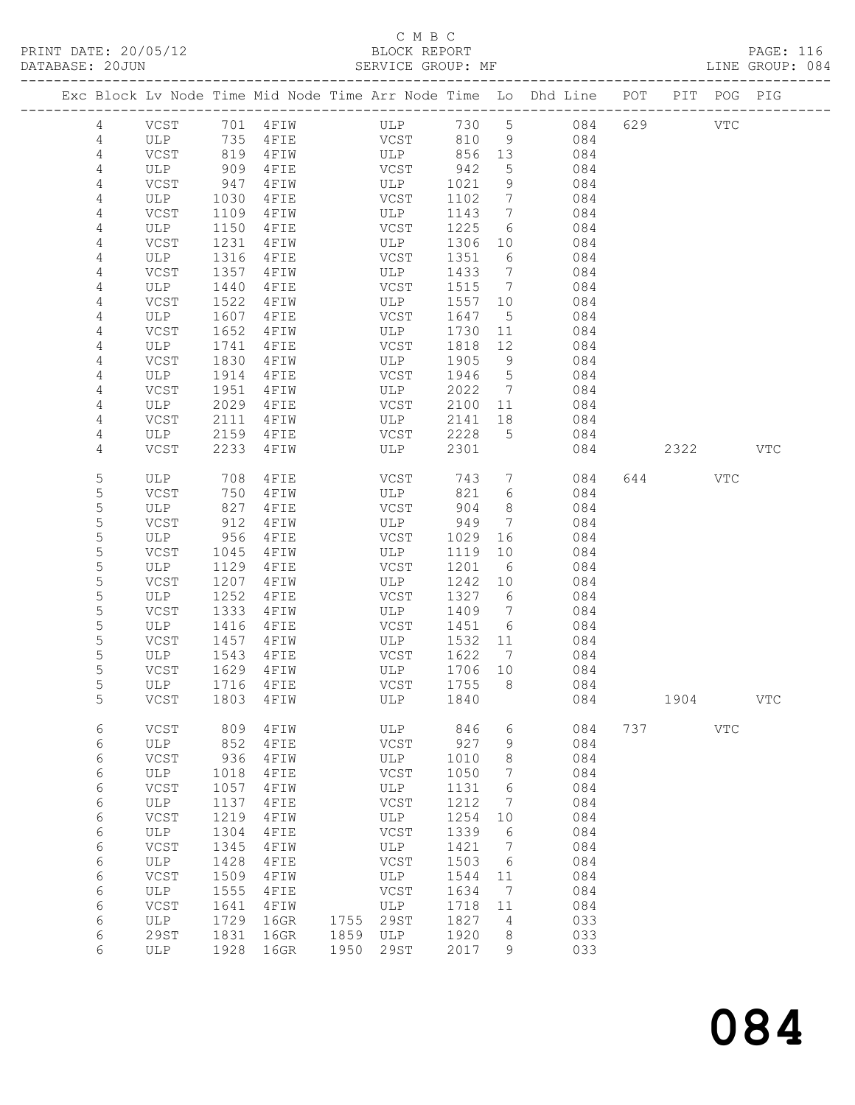# C M B C<br>BLOCK REPORT

SERVICE GROUP: MF

|        |             |              |                 | Exc Block Lv Node Time Mid Node Time Arr Node Time Lo Dhd Line POT |              |                                  |            |     |            | PIT POG PIG |            |
|--------|-------------|--------------|-----------------|--------------------------------------------------------------------|--------------|----------------------------------|------------|-----|------------|-------------|------------|
| 4      | VCST        |              | 701 4FIW        | ULP                                                                | 730 5        |                                  | 084        | 629 | <b>VTC</b> |             |            |
| 4      | ULP         | 735          | $4$ FIE         | <b>VCST</b>                                                        | 810          | 9                                | 084        |     |            |             |            |
| 4      | VCST        | 819          | 4FIW            | ULP                                                                | 856 13       |                                  | 084        |     |            |             |            |
| 4      | ULP         | 909          | 4FIE            | VCST                                                               | 942          | 5                                | 084        |     |            |             |            |
| 4      | VCST        | 947          | 4FIW            | ULP                                                                | 1021         | 9                                | 084        |     |            |             |            |
| 4      | ULP         | 1030         | 4FIE            | VCST                                                               | 1102         | $\overline{7}$                   | 084        |     |            |             |            |
| 4      | VCST        | 1109         | 4FIW            | ULP                                                                | 1143         | $\overline{7}$                   | 084        |     |            |             |            |
| 4      | ULP         | 1150         | 4FIE            | VCST                                                               | 1225         | 6                                | 084        |     |            |             |            |
| 4      | VCST        | 1231         | 4FIW            | ULP                                                                | 1306         | 10                               | 084        |     |            |             |            |
| 4      | ULP         | 1316         | 4FIE            | VCST                                                               | 1351         | 6                                | 084        |     |            |             |            |
| 4      | VCST        | 1357         | 4 F I W<br>4FIE | ULP<br>VCST                                                        | 1433<br>1515 | $\overline{7}$<br>$\overline{7}$ | 084<br>084 |     |            |             |            |
| 4<br>4 | ULP<br>VCST | 1440<br>1522 | 4FIW            | ULP                                                                | 1557 10      |                                  | 084        |     |            |             |            |
| 4      | ULP         | 1607         | 4FIE            | VCST                                                               | 1647         | $5\phantom{.0}$                  | 084        |     |            |             |            |
| 4      | VCST        | 1652         | 4FIW            | ULP                                                                | 1730         | 11                               | 084        |     |            |             |            |
| 4      | ULP         | 1741         | 4FIE            | VCST                                                               | 1818         | 12                               | 084        |     |            |             |            |
| 4      | VCST        | 1830         | 4FIW            | ULP                                                                | 1905         | 9                                | 084        |     |            |             |            |
| 4      | ULP         | 1914         | 4FIE            | VCST                                                               | 1946         | $5\overline{)}$                  | 084        |     |            |             |            |
| 4      | VCST        | 1951         | 4FIW            | ULP                                                                | 2022         | $\overline{7}$                   | 084        |     |            |             |            |
| 4      | ULP         | 2029         | 4FIE            | VCST                                                               | 2100         | 11                               | 084        |     |            |             |            |
| 4      | VCST        | 2111         | 4FIW            | ULP                                                                | 2141         | 18                               | 084        |     |            |             |            |
| 4      | ULP         | 2159         | 4FIE            | VCST                                                               | 2228         | $5^{\circ}$                      | 084        |     |            |             |            |
| 4      | VCST        | 2233         | 4FIW            | ULP                                                                | 2301         |                                  | 084        |     | 2322       |             | <b>VTC</b> |
| 5      | ULP         | 708          | 4FIE            | VCST                                                               | 743          | $7\phantom{.0}$                  | 084        | 644 |            | VTC         |            |
| 5      | VCST        | 750          | 4 F I W         | ULP                                                                | 821          | 6                                | 084        |     |            |             |            |
| 5      | ULP         | 827          | 4FIE            | VCST                                                               | 904          | 8                                | 084        |     |            |             |            |
| 5      | VCST        | 912          | 4FIW            | ULP                                                                | 949          | $7\phantom{.0}$                  | 084        |     |            |             |            |
| 5      | ULP         | 956          | 4FIE            | VCST                                                               | 1029         | 16                               | 084        |     |            |             |            |
| 5      | VCST        | 1045         | 4FIW            | ULP                                                                | 1119         | 10                               | 084        |     |            |             |            |
| 5      | ULP         | 1129         | 4FIE            | VCST                                                               | 1201         | 6                                | 084        |     |            |             |            |
| 5      | VCST        | 1207         | 4FIW            | ULP                                                                | 1242         | 10                               | 084        |     |            |             |            |
| 5<br>5 | ULP<br>VCST | 1252<br>1333 | 4FIE<br>4FIW    | VCST<br>ULP                                                        | 1327<br>1409 | 6<br>$\overline{7}$              | 084<br>084 |     |            |             |            |
| 5      | ULP         | 1416         | 4FIE            | VCST                                                               | 1451         | 6                                | 084        |     |            |             |            |
| 5      | VCST        | 1457         | 4FIW            | ULP                                                                | 1532         | 11                               | 084        |     |            |             |            |
| 5      | ULP         | 1543         | 4FIE            | VCST                                                               | 1622         | 7                                | 084        |     |            |             |            |
| 5      | VCST        | 1629         | 4 F I W         | ULP                                                                | 1706 10      |                                  | 084        |     |            |             |            |
| 5      | ULP         | 1716         | 4FIE            | VCST                                                               | 1755         | 8 <sup>8</sup>                   | 084        |     |            |             |            |
| 5      | VCST        |              | 1803 4FIW       | ULP 1840                                                           |              |                                  | 084        |     | 1904       |             | VTC        |
|        |             |              |                 |                                                                    |              |                                  |            |     |            |             |            |
| 6<br>6 | VCST<br>ULP | 809<br>852   | 4FIW<br>4FIE    | ULP<br>VCST                                                        | 846<br>927   | 6<br>9                           | 084<br>084 | 737 |            | VTC         |            |
| 6      | VCST        | 936          | 4FIW            | ULP                                                                | 1010         | 8                                | 084        |     |            |             |            |
| 6      | ULP         | 1018         | 4FIE            | VCST                                                               | 1050         | 7                                | 084        |     |            |             |            |
| 6      | <b>VCST</b> | 1057         | 4FIW            | ULP                                                                | 1131         | 6                                | 084        |     |            |             |            |
| 6      | ULP         | 1137         | 4FIE            | VCST                                                               | 1212         | 7                                | 084        |     |            |             |            |
| 6      | VCST        | 1219         | 4FIW            | ULP                                                                | 1254         | 10                               | 084        |     |            |             |            |
| 6      | ULP         | 1304         | 4FIE            | VCST                                                               | 1339         | 6                                | 084        |     |            |             |            |
| 6      | VCST        | 1345         | 4FIW            | ULP                                                                | 1421         | 7                                | 084        |     |            |             |            |
| 6      | ULP         | 1428         | 4FIE            | VCST                                                               | 1503         | 6                                | 084        |     |            |             |            |
| 6      | VCST        | 1509         | 4FIW            | ULP                                                                | 1544         | 11                               | 084        |     |            |             |            |
| 6      | ULP         | 1555         | 4FIE            | VCST                                                               | 1634         | 7                                | 084        |     |            |             |            |
| 6      | VCST        | 1641         | 4FIW            | ULP                                                                | 1718         | 11                               | 084        |     |            |             |            |
| 6      | ULP<br>29ST | 1729         | 16GR            | <b>29ST</b><br>1755<br>1859                                        | 1827<br>1920 | 4                                | 033<br>033 |     |            |             |            |
| 6<br>6 | ULP         | 1831<br>1928 | 16GR<br>16GR    | ULP<br>1950<br>29ST                                                | 2017         | 8<br>9                           | 033        |     |            |             |            |
|        |             |              |                 |                                                                    |              |                                  |            |     |            |             |            |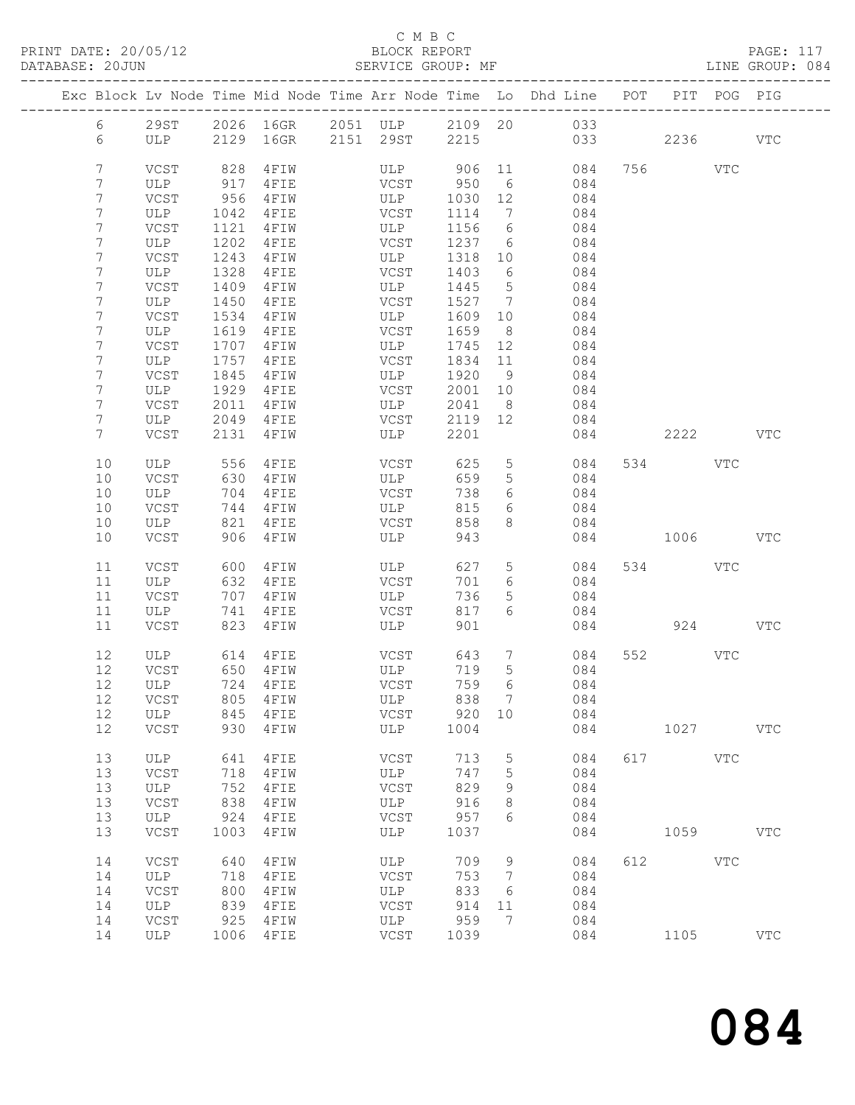PRINT DATE: 20/05/12 BLOCK REPORT<br>DATABASE: 20JUN BATABASE: 2010

## C M B C<br>BLOCK REPORT

PAGE: 117<br>LINE GROUP: 084

|                     |                      |              |                     |                          |              |                                   | Exc Block Lv Node Time Mid Node Time Arr Node Time Lo Dhd Line POT PIT POG PIG |     |          |              |            |
|---------------------|----------------------|--------------|---------------------|--------------------------|--------------|-----------------------------------|--------------------------------------------------------------------------------|-----|----------|--------------|------------|
| $6\overline{}$      |                      |              |                     |                          |              |                                   | 29ST 2026 16GR 2051 ULP 2109 20 033                                            |     |          |              |            |
| 6                   | ULP                  |              | 2129 16GR 2151 29ST |                          | 2215         |                                   | 033                                                                            |     | 2236     |              | <b>VTC</b> |
|                     |                      |              |                     |                          |              |                                   |                                                                                |     |          |              |            |
| 7                   | VCST                 | 828          | 4 F I W             | ULP 906 11               |              |                                   | 084                                                                            |     | 756 VTC  |              |            |
| 7                   | ULP                  | 917          | 4FIE                | VCST                     | 950          | 6                                 | 084                                                                            |     |          |              |            |
| 7                   | VCST                 | 956          | 4 F I W             | ULP                      | 1030         | 12                                | 084                                                                            |     |          |              |            |
| 7                   | ULP                  | 1042         | 4FIE                | VCST                     | 1114         | $\overline{7}$                    | 084                                                                            |     |          |              |            |
| 7                   | VCST                 | 1121         | 4 F I W             | ULP                      | 1156         | 6                                 | 084                                                                            |     |          |              |            |
| 7                   | ULP                  | 1202         | 4FIE                | VCST                     | 1237         | 6                                 | 084                                                                            |     |          |              |            |
| 7                   | VCST                 | 1243         | 4FIW                | ULP                      | 1318         | 10                                | 084                                                                            |     |          |              |            |
| 7                   | ULP                  | 1328         | 4FIE                | VCST                     | 1403         | 6                                 | 084                                                                            |     |          |              |            |
| $\overline{7}$<br>7 | VCST<br>ULP          | 1409<br>1450 | 4 F I W<br>4FIE     | ULP<br>VCST              | 1445<br>1527 | $5\overline{)}$<br>$\overline{7}$ | 084<br>084                                                                     |     |          |              |            |
| 7                   | VCST                 | 1534         | 4 F I W             | ULP                      | 1609         | 10                                | 084                                                                            |     |          |              |            |
| 7                   | ULP                  | 1619         | $4$ FIE             | VCST                     | 1659         | 8 <sup>8</sup>                    | 084                                                                            |     |          |              |            |
| 7                   | VCST                 | 1707         | 4 F I W             | ULP                      | 1745         | 12                                | 084                                                                            |     |          |              |            |
| 7                   | ULP                  | 1757         | 4FIE                | VCST                     | 1834         | 11                                | 084                                                                            |     |          |              |            |
| 7                   | VCST                 | 1845         | 4FIW                | ULP                      | 1920         | 9                                 | 084                                                                            |     |          |              |            |
| 7                   | ULP                  | 1929         | 4FIE                | VCST                     | 2001         | 10                                | 084                                                                            |     |          |              |            |
| 7                   | VCST                 | 2011         | 4 F I W             | ULP                      | 2041         | 8                                 | 084                                                                            |     |          |              |            |
| 7                   | ULP                  | 2049         | 4 F I E             | VCST                     | 2119 12      |                                   | 084                                                                            |     |          |              |            |
| $7\phantom{.}$      | VCST                 | 2131         | 4FIW                | ULP                      | 2201         |                                   | 084                                                                            |     | 2222 VTC |              |            |
|                     |                      |              |                     |                          |              |                                   |                                                                                |     |          |              |            |
| 10                  | ULP                  | 556          | 4FIE                | VCST                     | 625          | $5\overline{)}$                   | 084                                                                            |     | 534 VTC  |              |            |
| 10                  | VCST                 | 630          | 4FIW                | ULP                      | 659          | $5\phantom{.0}$                   | 084                                                                            |     |          |              |            |
| 10                  | ULP                  | 704          | 4FIE                | VCST                     | 738          | 6                                 | 084                                                                            |     |          |              |            |
| 10                  | VCST                 | 744          | 4 F I W             | ULP                      | 815          | 6<br>8                            | 084                                                                            |     |          |              |            |
| 10<br>10            | ULP<br>VCST          | 821<br>906   | 4 F I E<br>4 F I W  | VCST<br>ULP              | 858<br>943   |                                   | 084<br>084                                                                     |     | 1006 100 |              | VTC        |
|                     |                      |              |                     |                          |              |                                   |                                                                                |     |          |              |            |
| 11                  | VCST                 | 600          | 4FIW                | ULP                      | 627          | 5                                 | 084                                                                            |     | 534 VTC  |              |            |
| 11                  | ULP                  | 632          | 4FIE                | VCST                     | 701          | 6                                 | 084                                                                            |     |          |              |            |
| 11                  | VCST                 | 707          | 4 F I W             | ULP                      | 736          | 5                                 | 084                                                                            |     |          |              |            |
| 11                  | ULP                  | 741          | 4FIE                | VCST                     | 817          | 6                                 | 084                                                                            |     |          |              |            |
| 11                  | VCST                 | 823          | 4FIW                | ULP                      | 901          |                                   |                                                                                |     | 924      |              | <b>VTC</b> |
| 12                  | ULP                  | 614          | 4 F I E             | VCST                     | 643          | $7\overline{ }$                   | 084                                                                            |     | 552 35   | VTC          |            |
| 12                  | VCST                 |              | 650 4FIW            | ULP                      | 719          | $5\overline{)}$                   | 084                                                                            |     |          |              |            |
| 12                  | ULP                  |              | 724 4FIE            | <b>STATE STATE STATE</b> | 759          | 6                                 | 084                                                                            |     |          |              |            |
| 12                  | VCST                 |              | 805 4FIW            | ULP                      | 838 7        |                                   | 084                                                                            |     |          |              |            |
| 12                  | ULP                  | 845          | 4FIE                | VCST                     | 920          | 10                                | 084                                                                            |     |          |              |            |
| 12                  | VCST                 | 930          | 4FIW                | ULP                      | 1004         |                                   | 084                                                                            |     | 1027     |              | <b>VTC</b> |
|                     |                      |              |                     |                          |              |                                   |                                                                                |     |          |              |            |
| 13                  | ULP                  | 641          | 4FIE                | <b>VCST</b>              | 713          | 5                                 | 084                                                                            | 617 |          | $_{\rm VTC}$ |            |
| 13                  | VCST                 | 718          | 4FIW                | ULP                      | 747          | 5                                 | 084                                                                            |     |          |              |            |
| 13                  | ULP                  | 752          | 4FIE                | VCST                     | 829          | 9                                 | 084                                                                            |     |          |              |            |
| 13                  | VCST                 | 838          | 4FIW                | ULP<br>VCST              | 916          | 8                                 | 084                                                                            |     |          |              |            |
| 13<br>13            | ULP<br>$_{\rm VCST}$ | 924<br>1003  | 4FIE                | ULP                      | 957<br>1037  | 6                                 | 084                                                                            |     |          |              | <b>VTC</b> |
|                     |                      |              | 4FIW                |                          |              |                                   | 084                                                                            |     | 1059     |              |            |
| 14                  | VCST                 | 640          | 4FIW                | ULP                      | 709          | 9                                 | 084                                                                            | 612 |          | $_{\rm VTC}$ |            |
| 14                  | ULP                  | 718          | 4FIE                | VCST                     | 753          | 7                                 | 084                                                                            |     |          |              |            |
| 14                  | VCST                 | 800          | 4FIW                | ULP                      | 833          | 6                                 | 084                                                                            |     |          |              |            |
| 14                  | ULP                  | 839          | 4FIE                | $_{\rm VCST}$            | 914          | 11                                | 084                                                                            |     |          |              |            |
| 14                  | VCST                 | 925          | 4FIW                | ULP                      | 959          | 7                                 | 084                                                                            |     |          |              |            |
| 14                  | ULP                  | 1006         | 4FIE                | VCST                     | 1039         |                                   | 084                                                                            |     | 1105     |              | <b>VTC</b> |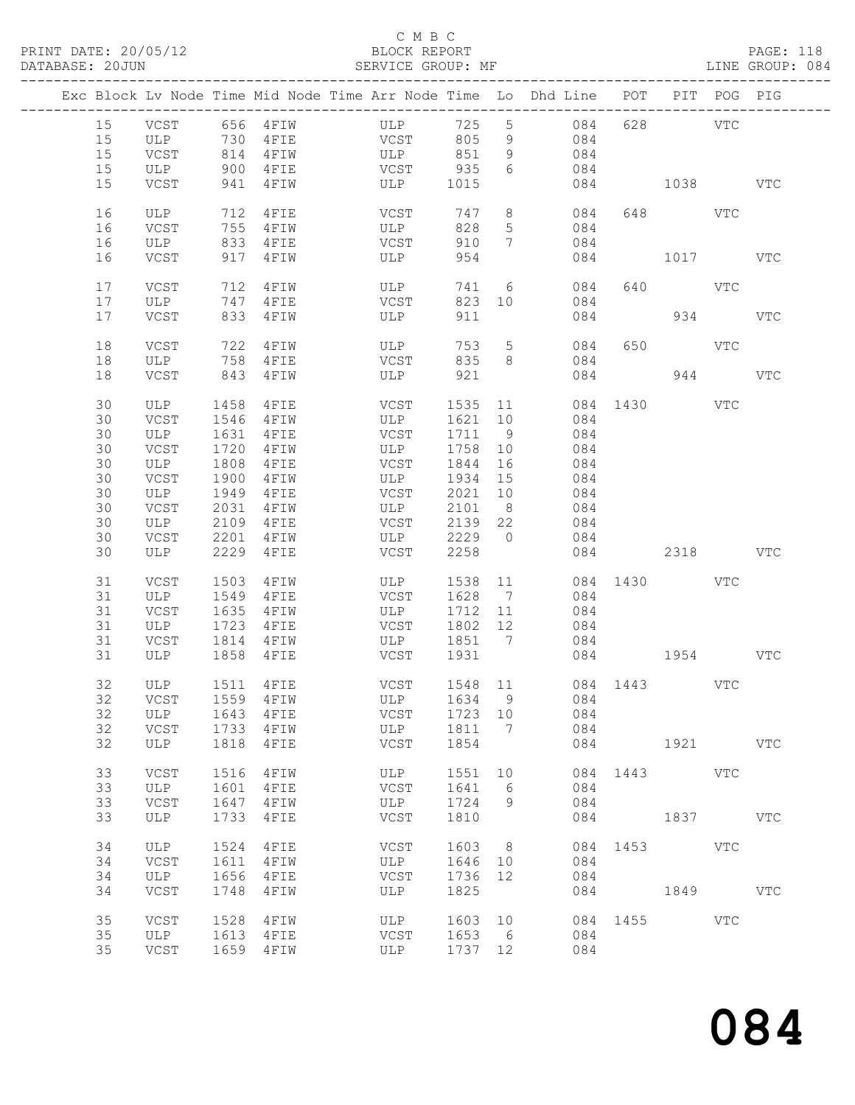## C M B C<br>BLOCK REPORT

|  |    |      |      | Exc Block Lv Node Time Mid Node Time Arr Node Time Lo Dhd Line POT PIT POG PIG |             |            |            |                 |     |                       |             |     |            |
|--|----|------|------|--------------------------------------------------------------------------------|-------------|------------|------------|-----------------|-----|-----------------------|-------------|-----|------------|
|  |    |      |      |                                                                                |             |            |            |                 |     |                       |             |     |            |
|  | 15 | VCST |      | 656 4FIW                                                                       | ULP         |            | 725        | $5\overline{)}$ | 084 |                       | 628 VTC     |     |            |
|  | 15 | ULP  |      | 730 4FIE                                                                       | <b>VCST</b> |            | 805        | 9               | 084 |                       |             |     |            |
|  | 15 | VCST |      | 814 4FIW                                                                       |             | <b>ULP</b> | 851        | 9               | 084 |                       |             |     |            |
|  | 15 | ULP  | 900  | $4$ FIE                                                                        |             | VCST       | 935        | 6               | 084 |                       |             |     |            |
|  | 15 | VCST | 941  | 4 F I W                                                                        |             |            | ULP 1015   |                 |     | 084 1038              |             |     | <b>VTC</b> |
|  |    |      |      |                                                                                |             |            |            |                 |     |                       |             |     |            |
|  | 16 | ULP  | 712  | 4FIE                                                                           |             | VCST       | 747        | 8               |     | 084                   | 648 VTC     |     |            |
|  | 16 | VCST |      | 755 4FIW                                                                       |             | ULP        | 828        | $5\overline{)}$ | 084 |                       |             |     |            |
|  | 16 | ULP  |      | 833 4FIE                                                                       |             | VCST       | 910        | $7\overline{ }$ | 084 |                       |             |     |            |
|  |    |      |      |                                                                                |             |            |            |                 |     |                       |             |     |            |
|  | 16 | VCST |      | 917 4FIW                                                                       |             | ULP        | 954        |                 |     | 084                   | 1017        |     | VTC        |
|  |    |      |      |                                                                                |             |            |            |                 |     |                       |             |     |            |
|  | 17 | VCST | 712  | 4 F I W                                                                        |             | ULP        | 741        | 6               |     | 084                   | 640 VTC     |     |            |
|  | 17 | ULP  | 747  | 4 F I E                                                                        |             | VCST       | 823        | 10              |     | 084                   |             |     |            |
|  | 17 | VCST |      | 833 4FIW                                                                       |             | ULP        | 911        |                 |     | 084                   |             | 934 | <b>VTC</b> |
|  |    |      |      |                                                                                |             |            |            |                 |     |                       |             |     |            |
|  | 18 | VCST | 722  | 4FIW                                                                           |             | ULP        | 753        | $5\overline{)}$ | 084 | 650                   | <b>VTC</b>  |     |            |
|  | 18 | ULP  |      | 758 4FIE                                                                       |             | VCST       | 835        | 8 <sup>8</sup>  |     | 084                   |             |     |            |
|  | 18 | VCST |      | 843 4FIW                                                                       |             | ULP        | 921        |                 | 084 |                       |             | 944 | <b>VTC</b> |
|  |    |      |      |                                                                                |             |            |            |                 |     |                       |             |     |            |
|  | 30 | ULP  | 1458 | 4FIE                                                                           |             | VCST       | 1535 11    |                 |     | 084 1430 VTC          |             |     |            |
|  | 30 | VCST | 1546 | 4 F I W                                                                        |             | ULP        | 1621 10    |                 | 084 |                       |             |     |            |
|  | 30 | ULP  |      | 1631 4FIE                                                                      |             | VCST       | 1711       | 9               | 084 |                       |             |     |            |
|  | 30 | VCST | 1720 | 4 F I W                                                                        |             | <b>ULP</b> | 1758       | 10              | 084 |                       |             |     |            |
|  | 30 | ULP  | 1808 | $4$ FIE                                                                        |             | VCST       | 1844       | 16              | 084 |                       |             |     |            |
|  | 30 | VCST | 1900 | 4 F I W                                                                        |             | ULP        | 1934 15    |                 | 084 |                       |             |     |            |
|  |    |      |      |                                                                                |             |            |            |                 |     |                       |             |     |            |
|  | 30 | ULP  | 1949 | 4FIE                                                                           |             | VCST       | 2021 10    |                 | 084 |                       |             |     |            |
|  | 30 | VCST | 2031 | 4 F I W                                                                        |             | ULP        | 2101       | 8 <sup>8</sup>  | 084 |                       |             |     |            |
|  | 30 | ULP  | 2109 | 4 F I E                                                                        |             | VCST       | 2139 22    |                 | 084 |                       |             |     |            |
|  | 30 | VCST | 2201 | 4 F I W                                                                        |             | ULP        | 2229       | $\overline{0}$  | 084 |                       |             |     |            |
|  | 30 | ULP  | 2229 | 4FIE                                                                           |             | VCST       | 2258       |                 |     | 084 2318              |             |     | VTC        |
|  |    |      |      |                                                                                |             |            |            |                 |     |                       |             |     |            |
|  | 31 | VCST | 1503 | 4 F I W                                                                        |             | ULP        | 1538       | 11              |     | 084 1430 VTC          |             |     |            |
|  | 31 | ULP  | 1549 | $4$ FIE                                                                        |             | VCST       | 1628 7     |                 | 084 |                       |             |     |            |
|  | 31 | VCST | 1635 | 4 F I W                                                                        |             | ULP        | 1712       | 11              | 084 |                       |             |     |            |
|  | 31 | ULP  |      | 1723 4FIE                                                                      |             | VCST       | 1802 12    |                 | 084 |                       |             |     |            |
|  | 31 | VCST | 1814 | 4 F I W                                                                        |             |            | ULP 1851 7 |                 |     | 084                   |             |     |            |
|  | 31 | ULP  | 1858 | 4 F I E                                                                        |             | VCST       | 1931       |                 |     | 084 1954              |             |     | VTC        |
|  |    |      |      |                                                                                |             |            |            |                 |     |                       |             |     |            |
|  | 32 | ULP  |      | 1511 4FIE                                                                      |             |            |            |                 |     | VCST 1548 11 084 1443 |             | VTC |            |
|  | 32 |      |      | VCST 1559 4FIW ULP 1634 9 084                                                  |             |            |            |                 |     |                       |             |     |            |
|  |    |      |      |                                                                                |             | VCST       |            |                 |     |                       |             |     |            |
|  | 32 | ULP  | 1643 | 4 F I E                                                                        |             |            | 1723 10    |                 | 084 |                       |             |     |            |
|  | 32 | VCST | 1733 | 4 F I W                                                                        |             | ULP        | 1811       | $\overline{7}$  | 084 |                       |             |     |            |
|  | 32 | ULP  | 1818 | 4 F I E                                                                        |             | VCST       | 1854       |                 | 084 |                       | 1921 / 1921 |     | <b>VTC</b> |
|  |    |      |      |                                                                                |             |            |            |                 |     |                       |             |     |            |
|  | 33 | VCST | 1516 | 4FIW                                                                           |             | ULP        | 1551       | 10              |     | 084 1443 VTC          |             |     |            |
|  | 33 | ULP  | 1601 | 4 F I E                                                                        |             | VCST       | 1641       | 6               | 084 |                       |             |     |            |
|  | 33 | VCST | 1647 | 4 F I W                                                                        |             | ULP        | 1724       | 9               | 084 |                       |             |     |            |
|  | 33 | ULP  | 1733 | 4FIE                                                                           |             | VCST       | 1810       |                 | 084 |                       | 1837 VTC    |     |            |
|  |    |      |      |                                                                                |             |            |            |                 |     |                       |             |     |            |
|  | 34 | ULP  | 1524 | 4FIE                                                                           |             | VCST       | 1603       | 8 <sup>8</sup>  |     | 084 1453 VTC          |             |     |            |
|  | 34 | VCST | 1611 | 4FIW                                                                           |             | ULP        | 1646 10    |                 | 084 |                       |             |     |            |
|  | 34 | ULP  | 1656 | 4FIE                                                                           |             | VCST       | 1736       | 12              | 084 |                       |             |     |            |
|  | 34 | VCST | 1748 | 4FIW                                                                           |             | ULP        | 1825       |                 |     | 084 08                | 1849        |     | <b>VTC</b> |
|  |    |      |      |                                                                                |             |            |            |                 |     |                       |             |     |            |
|  | 35 | VCST | 1528 | 4 F I W                                                                        |             | ULP        | 1603 10    |                 |     | 084 1455 VTC          |             |     |            |
|  | 35 | ULP  |      | 1613 4FIE                                                                      |             | VCST       | 1653 6     |                 | 084 |                       |             |     |            |
|  | 35 | VCST |      | 1659 4FIW                                                                      |             | ULP        | 1737 12    |                 | 084 |                       |             |     |            |
|  |    |      |      |                                                                                |             |            |            |                 |     |                       |             |     |            |
|  |    |      |      |                                                                                |             |            |            |                 |     |                       |             |     |            |